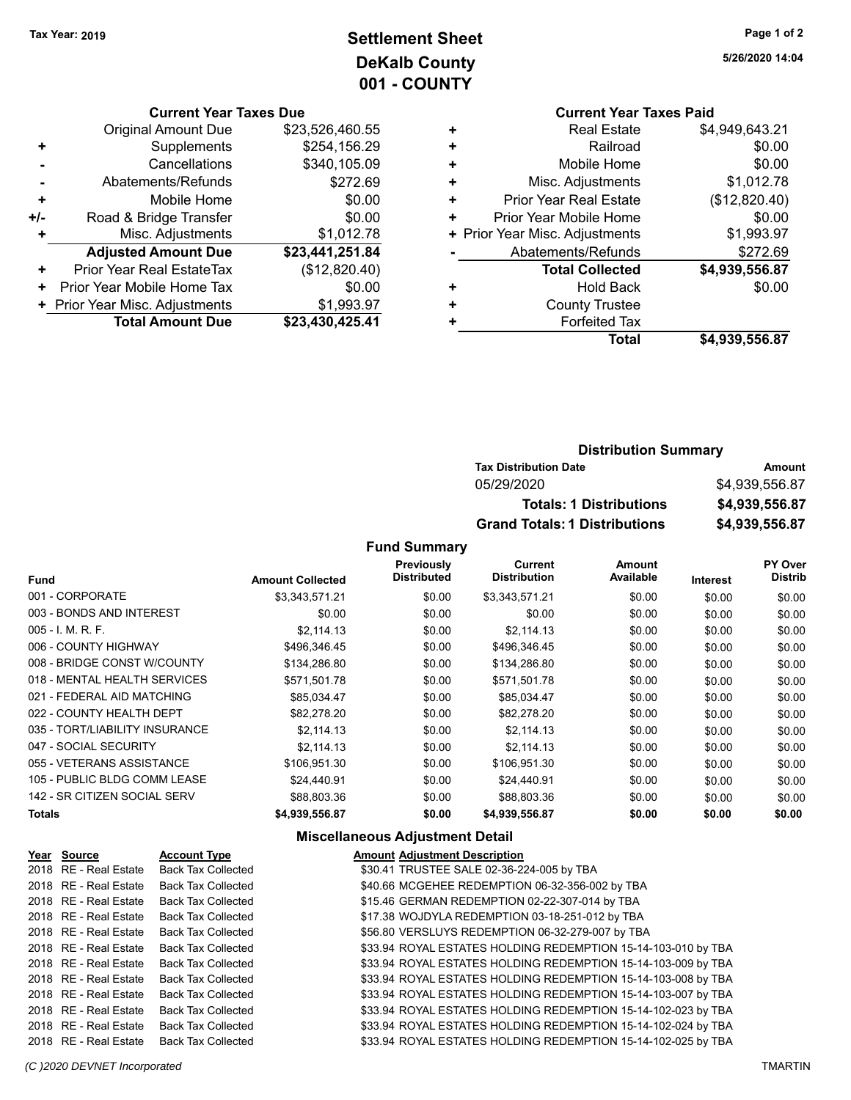# **Settlement Sheet Tax Year: 2019 Page 1 of 2 DeKalb County 001 - COUNTY**

### **Current Year Taxes Due**

|       | <b>Original Amount Due</b>     | \$23,526,460.55 |
|-------|--------------------------------|-----------------|
| ÷     | Supplements                    | \$254,156.29    |
|       | Cancellations                  | \$340,105.09    |
|       | Abatements/Refunds             | \$272.69        |
| ٠     | Mobile Home                    | \$0.00          |
| $+/-$ | Road & Bridge Transfer         | \$0.00          |
|       | Misc. Adjustments              | \$1,012.78      |
|       | <b>Adjusted Amount Due</b>     | \$23,441,251.84 |
| ٠     | Prior Year Real EstateTax      | (\$12,820.40)   |
|       | Prior Year Mobile Home Tax     | \$0.00          |
|       | + Prior Year Misc. Adjustments | \$1,993.97      |
|       | <b>Total Amount Due</b>        | \$23,430,425.41 |

### **Current Year Taxes Paid +** Real Estate \$4,949,643.21 **+** Railroad \$0.00 **+** Mobile Home \$0.00 **+** Misc. Adjustments \$1,012.78 **+** Prior Year Real Estate (\$12,820.40) **+** Prior Year Mobile Home \$0.00<br>**+** Prior Year Misc. Adjustments \$1,993.97 **+ Prior Year Misc. Adjustments -** Abatements/Refunds \$272.69 **Total Collected \$4,939,556.87 +** Hold Back \$0.00 **+** County Trustee **+** Forfeited Tax **Total \$4,939,556.87**

### **Distribution Summary Tax Distribution Date Amount** 05/29/2020 \$4,939,556.87 **Totals: 1 Distributions \$4,939,556.87 Grand Totals: 1 Distributions \$4,939,556.87**

### **Fund Summary**

| <b>Fund</b>                    | <b>Amount Collected</b> | Previously<br><b>Distributed</b> | <b>Current</b><br><b>Distribution</b> | <b>Amount</b><br>Available | <b>Interest</b> | PY Over<br><b>Distrib</b> |
|--------------------------------|-------------------------|----------------------------------|---------------------------------------|----------------------------|-----------------|---------------------------|
| 001 - CORPORATE                | \$3,343,571.21          | \$0.00                           | \$3,343,571.21                        | \$0.00                     | \$0.00          | \$0.00                    |
| 003 - BONDS AND INTEREST       | \$0.00                  | \$0.00                           | \$0.00                                | \$0.00                     | \$0.00          | \$0.00                    |
| $005 - I. M. R. F.$            | \$2.114.13              | \$0.00                           | \$2.114.13                            | \$0.00                     | \$0.00          | \$0.00                    |
| 006 - COUNTY HIGHWAY           | \$496,346.45            | \$0.00                           | \$496,346.45                          | \$0.00                     | \$0.00          | \$0.00                    |
| 008 - BRIDGE CONST W/COUNTY    | \$134,286.80            | \$0.00                           | \$134,286.80                          | \$0.00                     | \$0.00          | \$0.00                    |
| 018 - MENTAL HEALTH SERVICES   | \$571,501.78            | \$0.00                           | \$571,501.78                          | \$0.00                     | \$0.00          | \$0.00                    |
| 021 - FEDERAL AID MATCHING     | \$85,034.47             | \$0.00                           | \$85,034.47                           | \$0.00                     | \$0.00          | \$0.00                    |
| 022 - COUNTY HEALTH DEPT       | \$82,278.20             | \$0.00                           | \$82,278.20                           | \$0.00                     | \$0.00          | \$0.00                    |
| 035 - TORT/LIABILITY INSURANCE | \$2,114.13              | \$0.00                           | \$2,114.13                            | \$0.00                     | \$0.00          | \$0.00                    |
| 047 - SOCIAL SECURITY          | \$2,114.13              | \$0.00                           | \$2.114.13                            | \$0.00                     | \$0.00          | \$0.00                    |
| 055 - VETERANS ASSISTANCE      | \$106,951.30            | \$0.00                           | \$106,951.30                          | \$0.00                     | \$0.00          | \$0.00                    |
| 105 - PUBLIC BLDG COMM LEASE   | \$24.440.91             | \$0.00                           | \$24,440.91                           | \$0.00                     | \$0.00          | \$0.00                    |
| 142 - SR CITIZEN SOCIAL SERV   | \$88,803.36             | \$0.00                           | \$88,803.36                           | \$0.00                     | \$0.00          | \$0.00                    |
| Totals                         | \$4,939,556.87          | \$0.00                           | \$4,939,556.87                        | \$0.00                     | \$0.00          | \$0.00                    |

### **Miscellaneous Adjustment Detail**

| Year Source           | <b>Account Type</b>       | <b>Amount Adjustment Description</b>                          |  |
|-----------------------|---------------------------|---------------------------------------------------------------|--|
| 2018 RE - Real Estate | <b>Back Tax Collected</b> | \$30.41 TRUSTEE SALE 02-36-224-005 by TBA                     |  |
| 2018 RE - Real Estate | <b>Back Tax Collected</b> | \$40.66 MCGEHEE REDEMPTION 06-32-356-002 by TBA               |  |
| 2018 RE - Real Estate | <b>Back Tax Collected</b> | \$15.46 GERMAN REDEMPTION 02-22-307-014 by TBA                |  |
| 2018 RE - Real Estate | <b>Back Tax Collected</b> | \$17.38 WOJDYLA REDEMPTION 03-18-251-012 by TBA               |  |
| 2018 RE - Real Estate | <b>Back Tax Collected</b> | \$56.80 VERSLUYS REDEMPTION 06-32-279-007 by TBA              |  |
| 2018 RE - Real Estate | <b>Back Tax Collected</b> | \$33.94 ROYAL ESTATES HOLDING REDEMPTION 15-14-103-010 by TBA |  |
| 2018 RE - Real Estate | <b>Back Tax Collected</b> | \$33.94 ROYAL ESTATES HOLDING REDEMPTION 15-14-103-009 by TBA |  |
| 2018 RE - Real Estate | <b>Back Tax Collected</b> | \$33.94 ROYAL ESTATES HOLDING REDEMPTION 15-14-103-008 by TBA |  |
| 2018 RE - Real Estate | <b>Back Tax Collected</b> | \$33.94 ROYAL ESTATES HOLDING REDEMPTION 15-14-103-007 by TBA |  |
| 2018 RE - Real Estate | <b>Back Tax Collected</b> | \$33.94 ROYAL ESTATES HOLDING REDEMPTION 15-14-102-023 by TBA |  |
| 2018 RE - Real Estate | <b>Back Tax Collected</b> | \$33.94 ROYAL ESTATES HOLDING REDEMPTION 15-14-102-024 by TBA |  |
| 2018 RE - Real Estate | <b>Back Tax Collected</b> | \$33.94 ROYAL ESTATES HOLDING REDEMPTION 15-14-102-025 by TBA |  |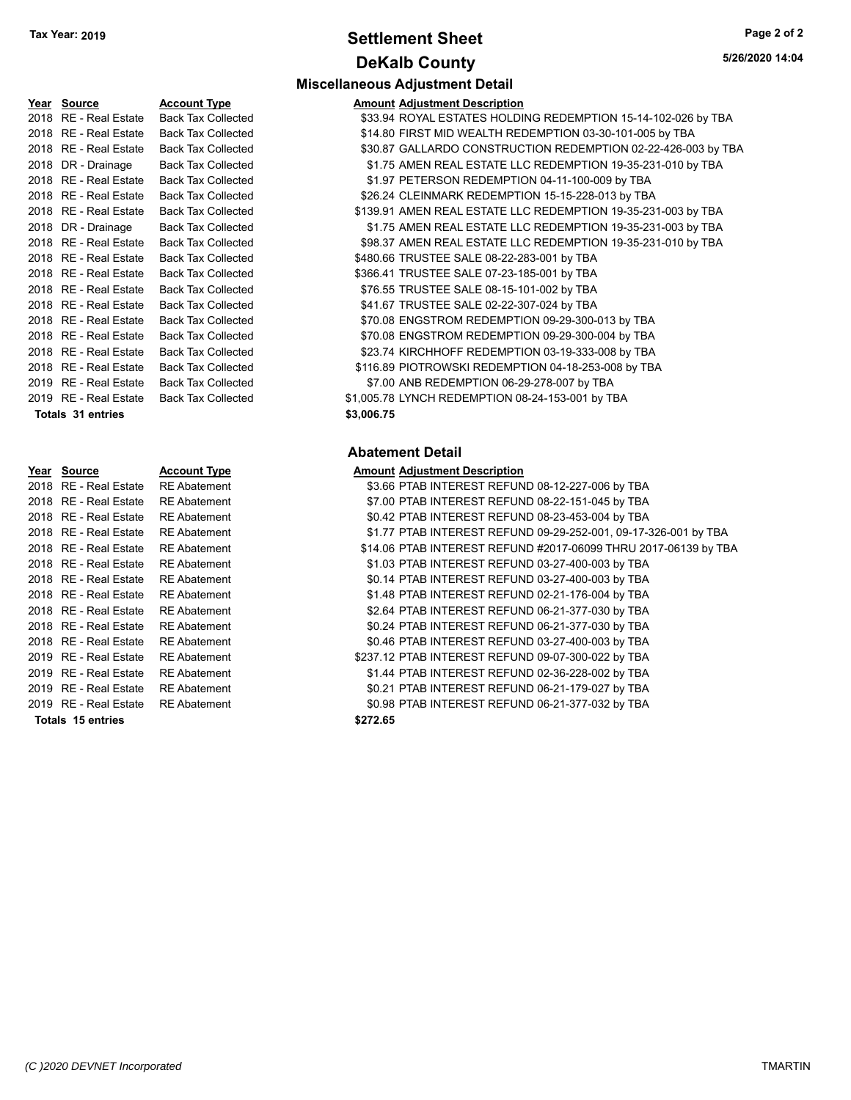# **Settlement Sheet Tax Year: 2019 Page 2 of 2 DeKalb County**

**Miscellaneous Adjustment Detail**

**5/26/2020 14:04**

| Year Source           | <b>Account Type</b>       | <b>Amount Adjustment Description</b>                          |
|-----------------------|---------------------------|---------------------------------------------------------------|
| 2018 RE - Real Estate | <b>Back Tax Collected</b> | \$33.94 ROYAL ESTATES HOLDING REDEMPTION 15-14-102-026 by TBA |
| 2018 RE - Real Estate | <b>Back Tax Collected</b> | \$14.80 FIRST MID WEALTH REDEMPTION 03-30-101-005 by TBA      |
| 2018 RE - Real Estate | <b>Back Tax Collected</b> | \$30.87 GALLARDO CONSTRUCTION REDEMPTION 02-22-426-003 by TBA |
| 2018 DR - Drainage    | <b>Back Tax Collected</b> | \$1.75 AMEN REAL ESTATE LLC REDEMPTION 19-35-231-010 by TBA   |
| 2018 RE - Real Estate | <b>Back Tax Collected</b> | \$1.97 PETERSON REDEMPTION 04-11-100-009 by TBA               |
| 2018 RE - Real Estate | <b>Back Tax Collected</b> | \$26.24 CLEINMARK REDEMPTION 15-15-228-013 by TBA             |
| 2018 RE - Real Estate | <b>Back Tax Collected</b> | \$139.91 AMEN REAL ESTATE LLC REDEMPTION 19-35-231-003 by TBA |
| 2018 DR - Drainage    | <b>Back Tax Collected</b> | \$1.75 AMEN REAL ESTATE LLC REDEMPTION 19-35-231-003 by TBA   |
| 2018 RE - Real Estate | <b>Back Tax Collected</b> | \$98.37 AMEN REAL ESTATE LLC REDEMPTION 19-35-231-010 by TBA  |
| 2018 RE - Real Estate | <b>Back Tax Collected</b> | \$480.66 TRUSTEE SALE 08-22-283-001 by TBA                    |
| 2018 RE - Real Estate | <b>Back Tax Collected</b> | \$366.41 TRUSTEE SALE 07-23-185-001 by TBA                    |
| 2018 RE - Real Estate | <b>Back Tax Collected</b> | \$76.55 TRUSTEE SALE 08-15-101-002 by TBA                     |
| 2018 RE - Real Estate | <b>Back Tax Collected</b> | \$41.67 TRUSTEE SALE 02-22-307-024 by TBA                     |
| 2018 RE - Real Estate | <b>Back Tax Collected</b> | \$70.08 ENGSTROM REDEMPTION 09-29-300-013 by TBA              |
| 2018 RE - Real Estate | <b>Back Tax Collected</b> | \$70.08 ENGSTROM REDEMPTION 09-29-300-004 by TBA              |
| 2018 RE - Real Estate | <b>Back Tax Collected</b> | \$23.74 KIRCHHOFF REDEMPTION 03-19-333-008 by TBA             |
| 2018 RE - Real Estate | <b>Back Tax Collected</b> | \$116.89 PIOTROWSKI REDEMPTION 04-18-253-008 by TBA           |
| 2019 RE - Real Estate | <b>Back Tax Collected</b> | \$7.00 ANB REDEMPTION 06-29-278-007 by TBA                    |
| 2019 RE - Real Estate | <b>Back Tax Collected</b> | \$1,005.78 LYNCH REDEMPTION 08-24-153-001 by TBA              |
|                       |                           |                                                               |

### **Year Source Account Type**<br> **PO18 RE - Real Estate RE Abatement** 2018 RE - Real Estate 2018 RE - Real Estate RE Abatement 2018 RE - Real Estate RE Abatement 2018 RE - Real Estate RE Abatement 2018 RE - Real Estate RE Abatement 2018 RE - Real Estate RE Abatement 2018 RE - Real Estate RE Abatement 2018 RE - Real Estate RE Abatement 2018 RE - Real Estate RE Abatement 2018 RE - Real Estate RE Abatement 2018 RE - Real Estate RE Abatement 2019 RE - Real Estate RE Abatement 2019 RE - Real Estate RE Abatement 2019 RE - Real Estate RE Abatement 2019 RE - Real Estate RE Abatement **Totals \$272.65 15 entries**

<sup>2</sup> ax Collected **Estate ST.00 ANB REDEMPTION 06-29-278-007** by TBA <sup>2</sup> ax Collected  $$1,005.78$  LYNCH REDEMPTION 08-24-153-001 by TBA **Totals \$3,006.75 31 entries**

### **Abatement Detail**

|          | <b>Amount Adjustment Description</b> |                                                    |                                                                 |
|----------|--------------------------------------|----------------------------------------------------|-----------------------------------------------------------------|
|          |                                      | \$3.66 PTAB INTEREST REFUND 08-12-227-006 by TBA   |                                                                 |
|          |                                      | \$7.00 PTAB INTEREST REFUND 08-22-151-045 by TBA   |                                                                 |
|          |                                      | \$0.42 PTAB INTEREST REFUND 08-23-453-004 by TBA   |                                                                 |
|          |                                      |                                                    | \$1.77 PTAB INTEREST REFUND 09-29-252-001, 09-17-326-001 by TBA |
|          |                                      |                                                    | \$14.06 PTAB INTEREST REFUND #2017-06099 THRU 2017-06139 by TBA |
|          |                                      | \$1.03 PTAB INTEREST REFUND 03-27-400-003 by TBA   |                                                                 |
|          |                                      | \$0.14 PTAB INTEREST REFUND 03-27-400-003 by TBA   |                                                                 |
|          |                                      | \$1.48 PTAB INTEREST REFUND 02-21-176-004 by TBA   |                                                                 |
|          |                                      | \$2.64 PTAB INTEREST REFUND 06-21-377-030 by TBA   |                                                                 |
|          |                                      | \$0.24 PTAB INTEREST REFUND 06-21-377-030 by TBA   |                                                                 |
|          |                                      | \$0.46 PTAB INTEREST REFUND 03-27-400-003 by TBA   |                                                                 |
|          |                                      | \$237.12 PTAB INTEREST REFUND 09-07-300-022 by TBA |                                                                 |
|          |                                      | \$1.44 PTAB INTEREST REFUND 02-36-228-002 by TBA   |                                                                 |
|          |                                      | \$0.21 PTAB INTEREST REFUND 06-21-179-027 by TBA   |                                                                 |
|          |                                      | \$0.98 PTAB INTEREST REFUND 06-21-377-032 by TBA   |                                                                 |
| \$272.65 |                                      |                                                    |                                                                 |
|          |                                      |                                                    |                                                                 |

*(C )2020 DEVNET Incorporated* TMARTIN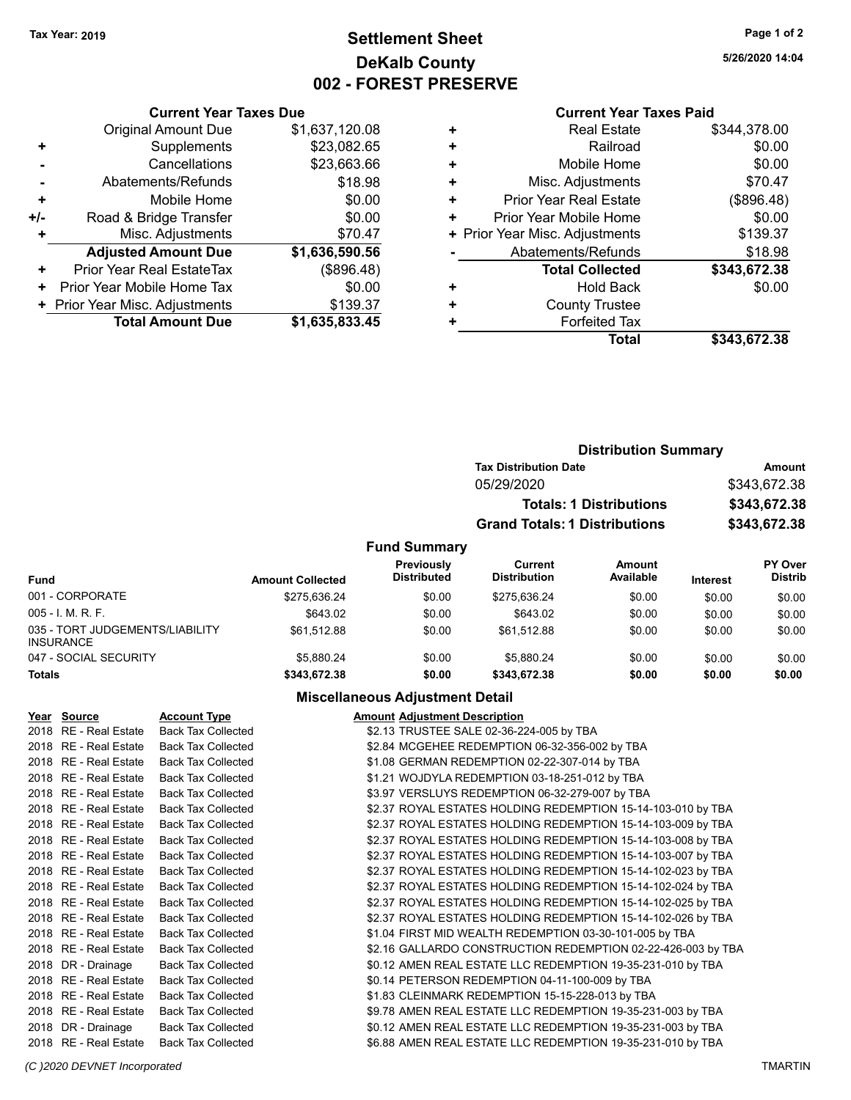# **Settlement Sheet Tax Year: 2019 Page 1 of 2 DeKalb County 002 - FOREST PRESERVE**

**5/26/2020 14:04**

### **Current Year Taxes Paid**

| <b>Current Year Taxes Due</b>  |                                                   |  |  |
|--------------------------------|---------------------------------------------------|--|--|
| <b>Original Amount Due</b>     | \$1,637,120.08                                    |  |  |
| Supplements                    | \$23,082.65                                       |  |  |
| Cancellations                  | \$23,663.66                                       |  |  |
| Abatements/Refunds             | \$18.98                                           |  |  |
| Mobile Home                    | \$0.00                                            |  |  |
| \$0.00<br>+/-                  |                                                   |  |  |
| Misc. Adjustments              | \$70.47                                           |  |  |
| <b>Adjusted Amount Due</b>     | \$1,636,590.56                                    |  |  |
| Prior Year Real EstateTax      | (\$896.48)                                        |  |  |
| Prior Year Mobile Home Tax     | \$0.00                                            |  |  |
| + Prior Year Misc. Adjustments | \$139.37                                          |  |  |
|                                | \$1,635,833.45                                    |  |  |
|                                | Road & Bridge Transfer<br><b>Total Amount Due</b> |  |  |

|   | <b>Real Estate</b>             | \$344,378.00 |
|---|--------------------------------|--------------|
| ÷ | Railroad                       | \$0.00       |
| ٠ | Mobile Home                    | \$0.00       |
| ٠ | Misc. Adjustments              | \$70.47      |
| ٠ | <b>Prior Year Real Estate</b>  | (\$896.48)   |
| ٠ | Prior Year Mobile Home         | \$0.00       |
|   | + Prior Year Misc. Adjustments | \$139.37     |
|   | Abatements/Refunds             | \$18.98      |
|   | <b>Total Collected</b>         | \$343,672.38 |
|   | <b>Hold Back</b>               | \$0.00       |
| ٠ | <b>County Trustee</b>          |              |
|   | <b>Forfeited Tax</b>           |              |
|   | <b>Total</b>                   | \$343,672,38 |
|   |                                |              |

|                     | <b>Distribution Summary</b>          |              |
|---------------------|--------------------------------------|--------------|
|                     | <b>Tax Distribution Date</b>         | Amount       |
|                     | 05/29/2020                           | \$343,672.38 |
|                     | <b>Totals: 1 Distributions</b>       | \$343,672.38 |
|                     | <b>Grand Totals: 1 Distributions</b> | \$343,672.38 |
| <b>Fund Summary</b> |                                      |              |

| Fund                                                | <b>Amount Collected</b> | <b>Previously</b><br><b>Distributed</b> | Current<br><b>Distribution</b> | Amount<br>Available | <b>Interest</b> | <b>PY Over</b><br><b>Distrib</b> |
|-----------------------------------------------------|-------------------------|-----------------------------------------|--------------------------------|---------------------|-----------------|----------------------------------|
| 001 - CORPORATE                                     | \$275.636.24            | \$0.00                                  | \$275.636.24                   | \$0.00              | \$0.00          | \$0.00                           |
| $005 - I. M. R. F.$                                 | \$643.02                | \$0.00                                  | \$643.02                       | \$0.00              | \$0.00          | \$0.00                           |
| 035 - TORT JUDGEMENTS/LIABILITY<br><b>INSURANCE</b> | \$61.512.88             | \$0.00                                  | \$61.512.88                    | \$0.00              | \$0.00          | \$0.00                           |
| 047 - SOCIAL SECURITY                               | \$5.880.24              | \$0.00                                  | \$5.880.24                     | \$0.00              | \$0.00          | \$0.00                           |
| <b>Totals</b>                                       | \$343.672.38            | \$0.00                                  | \$343.672.38                   | \$0.00              | \$0.00          | \$0.00                           |

### **Miscellaneous Adjustment Detail**

| Year Source           | <b>Account Type</b>       | <b>Amount Adjustment Description</b>                         |
|-----------------------|---------------------------|--------------------------------------------------------------|
| 2018 RE - Real Estate | <b>Back Tax Collected</b> | \$2.13 TRUSTEE SALE 02-36-224-005 by TBA                     |
| 2018 RE - Real Estate | <b>Back Tax Collected</b> | \$2.84 MCGEHEE REDEMPTION 06-32-356-002 by TBA               |
| 2018 RE - Real Estate | <b>Back Tax Collected</b> | \$1.08 GERMAN REDEMPTION 02-22-307-014 by TBA                |
| 2018 RE - Real Estate | <b>Back Tax Collected</b> | \$1.21 WOJDYLA REDEMPTION 03-18-251-012 by TBA               |
| 2018 RE - Real Estate | <b>Back Tax Collected</b> | \$3.97 VERSLUYS REDEMPTION 06-32-279-007 by TBA              |
| 2018 RE - Real Estate | <b>Back Tax Collected</b> | \$2.37 ROYAL ESTATES HOLDING REDEMPTION 15-14-103-010 by TBA |
| 2018 RE - Real Estate | <b>Back Tax Collected</b> | \$2.37 ROYAL ESTATES HOLDING REDEMPTION 15-14-103-009 by TBA |
| 2018 RE - Real Estate | <b>Back Tax Collected</b> | \$2.37 ROYAL ESTATES HOLDING REDEMPTION 15-14-103-008 by TBA |
| 2018 RE - Real Estate | <b>Back Tax Collected</b> | \$2.37 ROYAL ESTATES HOLDING REDEMPTION 15-14-103-007 by TBA |
| 2018 RE - Real Estate | <b>Back Tax Collected</b> | \$2.37 ROYAL ESTATES HOLDING REDEMPTION 15-14-102-023 by TBA |
| 2018 RE - Real Estate | <b>Back Tax Collected</b> | \$2.37 ROYAL ESTATES HOLDING REDEMPTION 15-14-102-024 by TBA |
| 2018 RE - Real Estate | <b>Back Tax Collected</b> | \$2.37 ROYAL ESTATES HOLDING REDEMPTION 15-14-102-025 by TBA |
| 2018 RE - Real Estate | <b>Back Tax Collected</b> | \$2.37 ROYAL ESTATES HOLDING REDEMPTION 15-14-102-026 by TBA |
| 2018 RE - Real Estate | <b>Back Tax Collected</b> | \$1.04 FIRST MID WEALTH REDEMPTION 03-30-101-005 by TBA      |
| 2018 RE - Real Estate | <b>Back Tax Collected</b> | \$2.16 GALLARDO CONSTRUCTION REDEMPTION 02-22-426-003 by TBA |
| 2018 DR - Drainage    | <b>Back Tax Collected</b> | \$0.12 AMEN REAL ESTATE LLC REDEMPTION 19-35-231-010 by TBA  |
| 2018 RE - Real Estate | <b>Back Tax Collected</b> | \$0.14 PETERSON REDEMPTION 04-11-100-009 by TBA              |
| 2018 RE - Real Estate | <b>Back Tax Collected</b> | \$1.83 CLEINMARK REDEMPTION 15-15-228-013 by TBA             |
| 2018 RE - Real Estate | <b>Back Tax Collected</b> | \$9.78 AMEN REAL ESTATE LLC REDEMPTION 19-35-231-003 by TBA  |
| 2018 DR - Drainage    | <b>Back Tax Collected</b> | \$0.12 AMEN REAL ESTATE LLC REDEMPTION 19-35-231-003 by TBA  |
| 2018 RE - Real Estate | <b>Back Tax Collected</b> | \$6.88 AMEN REAL ESTATE LLC REDEMPTION 19-35-231-010 by TBA  |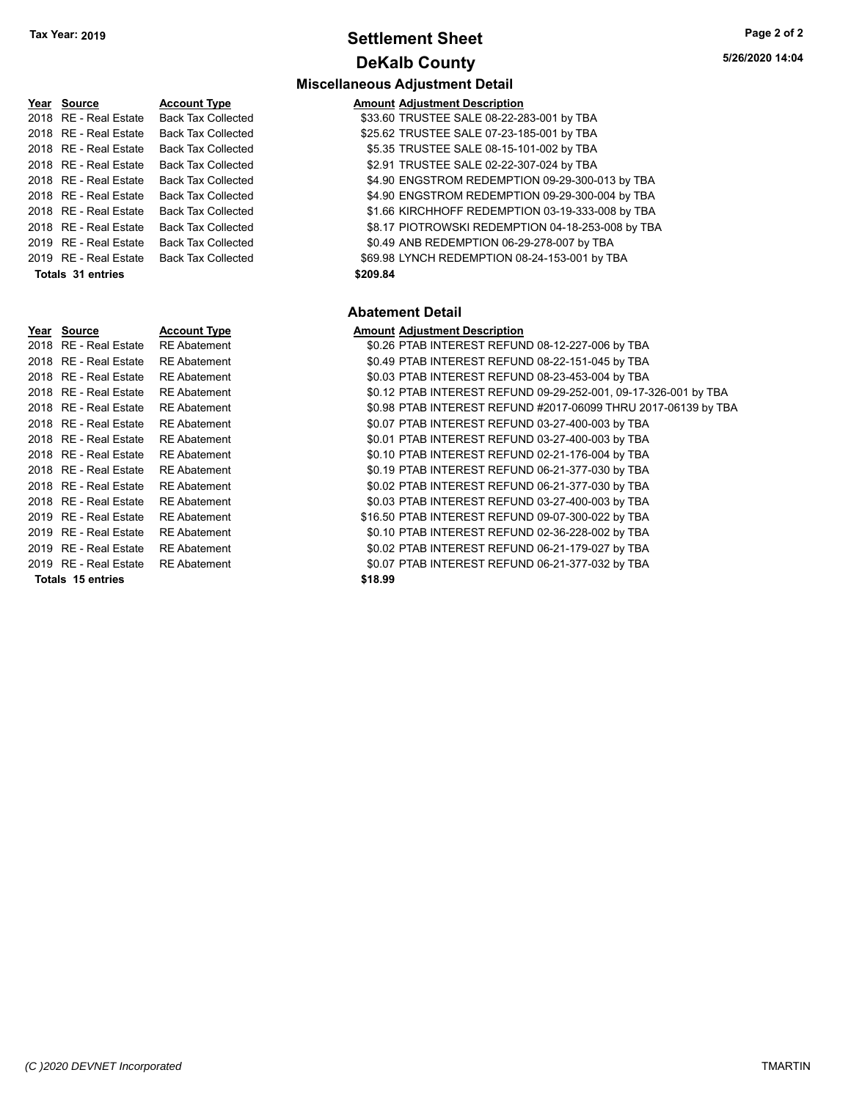# **Settlement Sheet Tax Year: 2019 Page 2 of 2 DeKalb County**

| Year Source           | <b>Account Type</b>       | <b>Amount Adjustment Description</b> |
|-----------------------|---------------------------|--------------------------------------|
| 2018 RE - Real Estate | <b>Back Tax Collected</b> | \$33.60 TRUSTEE SALE 08-22-2         |
| 2018 RE - Real Estate | <b>Back Tax Collected</b> | \$25.62 TRUSTEE SALE 07-23-1         |
| 2018 RE - Real Estate | <b>Back Tax Collected</b> | \$5.35 TRUSTEE SALE 08-15-1          |
| 2018 RE - Real Estate | <b>Back Tax Collected</b> | \$2.91 TRUSTEE SALE 02-22-3          |
| 2018 RE - Real Estate | <b>Back Tax Collected</b> | \$4.90 ENGSTROM REDEMPTI             |
| 2018 RE - Real Estate | <b>Back Tax Collected</b> | \$4.90 ENGSTROM REDEMPTI             |
| 2018 RE - Real Estate | <b>Back Tax Collected</b> | \$1.66 KIRCHHOFF REDEMPTI            |
| 2018 RE - Real Estate | <b>Back Tax Collected</b> | \$8.17 PIOTROWSKI REDEMPT            |
| 2019 RE - Real Estate | <b>Back Tax Collected</b> | \$0.49 ANB REDEMPTION 06-2           |
| 2019 RE - Real Estate | <b>Back Tax Collected</b> | \$69.98 LYNCH REDEMPTION 0           |
| Totals 31 entries     |                           | \$209.84                             |
|                       |                           | <b>Abatement Detail</b>              |
| Year Source           | <b>Account Type</b>       | <b>Amount Adjustment Description</b> |
| 2018 RE - Real Estate | <b>RE</b> Abatement       | \$0.26 PTAB INTEREST REFUN           |
| 2018 RE - Real Estate | <b>RE</b> Abatement       | \$0.49 PTAB INTEREST REFUN           |
| 2018 RE - Real Estate | <b>RE</b> Abatement       | \$0.03 PTAB INTEREST REFUN           |
| 2018 RE - Real Estate | <b>RE</b> Abatement       | \$0.12 PTAB INTEREST REFUN           |

# **Miscellaneous Adjustment Detail**

| <u>Year Source</u>    | <b>Account Type</b>       | <b>Amount Adjustment Description</b>              |
|-----------------------|---------------------------|---------------------------------------------------|
| 2018 RE - Real Estate | Back Tax Collected        | \$33.60 TRUSTEE SALE 08-22-283-001 by TBA         |
| 2018 RE - Real Estate | <b>Back Tax Collected</b> | \$25.62 TRUSTEE SALE 07-23-185-001 by TBA         |
| 2018 RE - Real Estate | <b>Back Tax Collected</b> | \$5.35 TRUSTEE SALE 08-15-101-002 by TBA          |
| 2018 RE - Real Estate | <b>Back Tax Collected</b> | \$2.91 TRUSTEE SALE 02-22-307-024 by TBA          |
| 2018 RE - Real Estate | <b>Back Tax Collected</b> | \$4.90 ENGSTROM REDEMPTION 09-29-300-013 by TBA   |
| 2018 RE - Real Estate | <b>Back Tax Collected</b> | \$4.90 ENGSTROM REDEMPTION 09-29-300-004 by TBA   |
| 2018 RE - Real Estate | <b>Back Tax Collected</b> | \$1.66 KIRCHHOFF REDEMPTION 03-19-333-008 by TBA  |
| 2018 RE - Real Estate | <b>Back Tax Collected</b> | \$8.17 PIOTROWSKI REDEMPTION 04-18-253-008 by TBA |
| 2019 RE - Real Estate | <b>Back Tax Collected</b> | \$0.49 ANB REDEMPTION 06-29-278-007 by TBA        |
| 2019 RE - Real Estate | Back Tax Collected        | \$69.98 LYNCH REDEMPTION 08-24-153-001 by TBA     |
| Totals 31 entries     |                           | \$209.84                                          |
|                       |                           |                                                   |

### **Abatement Detail**

### **Year Source Account Type Amount Adjustment Description**

| 2018 RE - Real Estate   | <b>RE Abatement</b> | \$0.26 PTAB INTEREST REFUND 08-12-227-006 by TBA                |
|-------------------------|---------------------|-----------------------------------------------------------------|
| 2018 RE - Real Estate   | <b>RE Abatement</b> | \$0.49 PTAB INTEREST REFUND 08-22-151-045 by TBA                |
| 2018 RE - Real Estate   | RE Abatement        | \$0.03 PTAB INTEREST REFUND 08-23-453-004 by TBA                |
| 2018 RE - Real Estate   | <b>RE</b> Abatement | \$0.12 PTAB INTEREST REFUND 09-29-252-001, 09-17-326-001 by TBA |
| 2018 RE - Real Estate   | <b>RE</b> Abatement | \$0.98 PTAB INTEREST REFUND #2017-06099 THRU 2017-06139 by TBA  |
| 2018 RE - Real Estate   | <b>RE</b> Abatement | \$0.07 PTAB INTEREST REFUND 03-27-400-003 by TBA                |
| 2018 RE - Real Estate   | <b>RE Abatement</b> | \$0.01 PTAB INTEREST REFUND 03-27-400-003 by TBA                |
| 2018 RE - Real Estate   | <b>RE</b> Abatement | \$0.10 PTAB INTEREST REFUND 02-21-176-004 by TBA                |
| 2018 RE - Real Estate   | <b>RE</b> Abatement | \$0.19 PTAB INTEREST REFUND 06-21-377-030 by TBA                |
| 2018 RE - Real Estate   | <b>RE Abatement</b> | \$0.02 PTAB INTEREST REFUND 06-21-377-030 by TBA                |
| 2018 RE - Real Estate   | <b>RE</b> Abatement | \$0.03 PTAB INTEREST REFUND 03-27-400-003 by TBA                |
| 2019   RE - Real Estate | <b>RE Abatement</b> | \$16.50 PTAB INTEREST REFUND 09-07-300-022 by TBA               |
| 2019 RE - Real Estate   | <b>RE</b> Abatement | \$0.10 PTAB INTEREST REFUND 02-36-228-002 by TBA                |
| 2019 RE - Real Estate   | <b>RE Abatement</b> | \$0.02 PTAB INTEREST REFUND 06-21-179-027 by TBA                |
| 2019 RE - Real Estate   | <b>RE Abatement</b> | \$0.07 PTAB INTEREST REFUND 06-21-377-032 by TBA                |
| Totals, 15 entries      |                     | \$18.99                                                         |

| <b>Totals 15 entries</b>           | \$18.99 |
|------------------------------------|---------|
| 2019 RE - Real Estate RE Abatement | \$0.07  |
| 2019 RE - Real Estate RE Abatement | \$0.02  |
| 2019 RE - Real Estate RE Abatement | \$0.10  |
| 2019 RE - Real Estate RE Abatement | \$16.50 |
| 2018 RE - Real Estate RE Abatement | \$0.03  |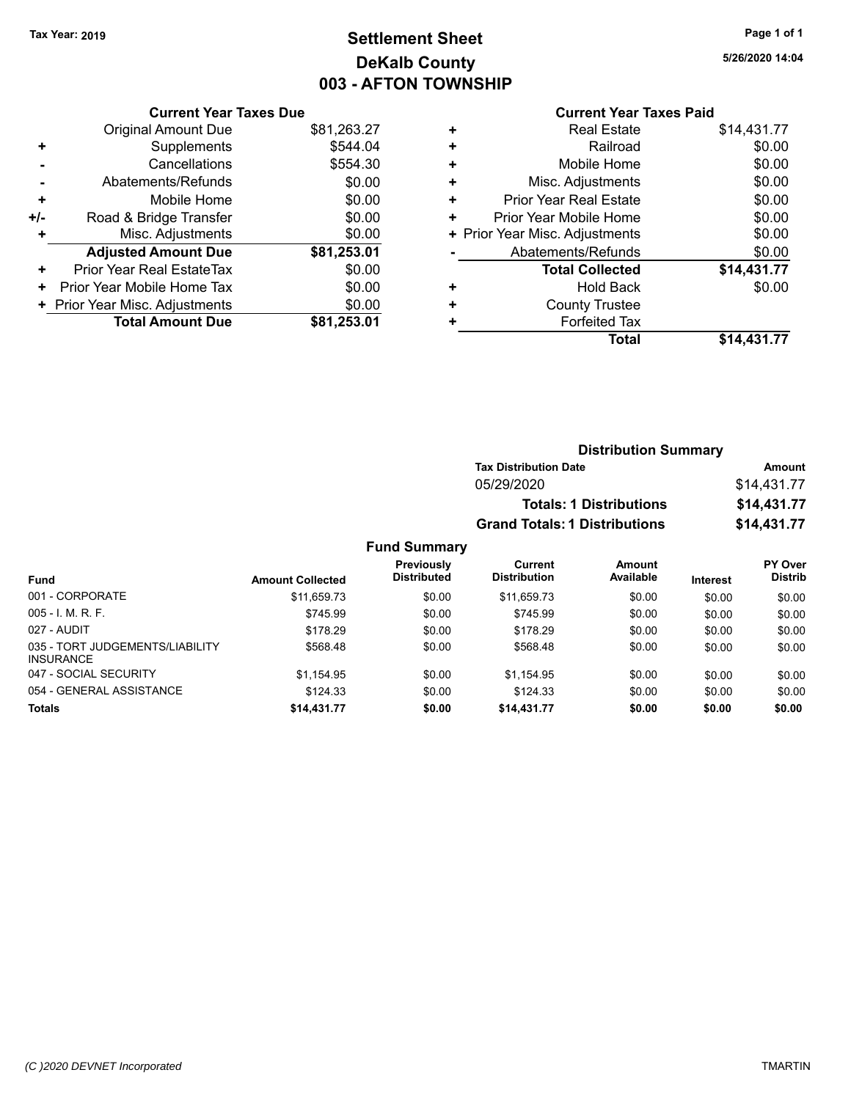# **Settlement Sheet Tax Year: 2019 Page 1 of 1 DeKalb County 003 - AFTON TOWNSHIP**

**5/26/2020 14:04**

### **Current Year Taxes Paid**

|     | <b>Current Year Taxes Due</b>  |             |  |  |  |
|-----|--------------------------------|-------------|--|--|--|
|     | <b>Original Amount Due</b>     | \$81,263.27 |  |  |  |
| ٠   | Supplements                    | \$544.04    |  |  |  |
|     | Cancellations                  | \$554.30    |  |  |  |
|     | Abatements/Refunds             | \$0.00      |  |  |  |
| ٠   | Mobile Home                    | \$0.00      |  |  |  |
| +/- | Road & Bridge Transfer         | \$0.00      |  |  |  |
| ٠   | Misc. Adjustments              | \$0.00      |  |  |  |
|     | <b>Adjusted Amount Due</b>     | \$81,253.01 |  |  |  |
| ٠   | Prior Year Real EstateTax      | \$0.00      |  |  |  |
| ٠   | Prior Year Mobile Home Tax     | \$0.00      |  |  |  |
|     | + Prior Year Misc. Adjustments | \$0.00      |  |  |  |
|     | <b>Total Amount Due</b>        | \$81.253.01 |  |  |  |
|     |                                |             |  |  |  |

| ٠ | <b>Real Estate</b>             | \$14,431.77 |
|---|--------------------------------|-------------|
| ٠ | Railroad                       | \$0.00      |
| ٠ | Mobile Home                    | \$0.00      |
| ٠ | Misc. Adjustments              | \$0.00      |
| ٠ | Prior Year Real Estate         | \$0.00      |
| ٠ | Prior Year Mobile Home         | \$0.00      |
|   | + Prior Year Misc. Adjustments | \$0.00      |
|   | Abatements/Refunds             | \$0.00      |
|   | <b>Total Collected</b>         | \$14,431.77 |
| ٠ | <b>Hold Back</b>               | \$0.00      |
| ٠ | <b>County Trustee</b>          |             |
| ٠ | <b>Forfeited Tax</b>           |             |
|   | <b>Total</b>                   | \$14,431.77 |
|   |                                |             |

| <b>Distribution Summary</b>          |             |
|--------------------------------------|-------------|
| <b>Tax Distribution Date</b>         | Amount      |
| 05/29/2020                           | \$14,431.77 |
| <b>Totals: 1 Distributions</b>       | \$14,431.77 |
| <b>Grand Totals: 1 Distributions</b> | \$14,431.77 |

| <b>Fund</b>                                         | <b>Amount Collected</b> | <b>Previously</b><br><b>Distributed</b> | Current<br><b>Distribution</b> | Amount<br>Available | Interest | <b>PY Over</b><br><b>Distrib</b> |
|-----------------------------------------------------|-------------------------|-----------------------------------------|--------------------------------|---------------------|----------|----------------------------------|
|                                                     |                         |                                         |                                |                     |          |                                  |
| 001 - CORPORATE                                     | \$11.659.73             | \$0.00                                  | \$11.659.73                    | \$0.00              | \$0.00   | \$0.00                           |
| $005 - I. M. R. F.$                                 | \$745.99                | \$0.00                                  | \$745.99                       | \$0.00              | \$0.00   | \$0.00                           |
| 027 - AUDIT                                         | \$178.29                | \$0.00                                  | \$178.29                       | \$0.00              | \$0.00   | \$0.00                           |
| 035 - TORT JUDGEMENTS/LIABILITY<br><b>INSURANCE</b> | \$568.48                | \$0.00                                  | \$568.48                       | \$0.00              | \$0.00   | \$0.00                           |
| 047 - SOCIAL SECURITY                               | \$1.154.95              | \$0.00                                  | \$1.154.95                     | \$0.00              | \$0.00   | \$0.00                           |
| 054 - GENERAL ASSISTANCE                            | \$124.33                | \$0.00                                  | \$124.33                       | \$0.00              | \$0.00   | \$0.00                           |
| <b>Totals</b>                                       | \$14,431.77             | \$0.00                                  | \$14,431.77                    | \$0.00              | \$0.00   | \$0.00                           |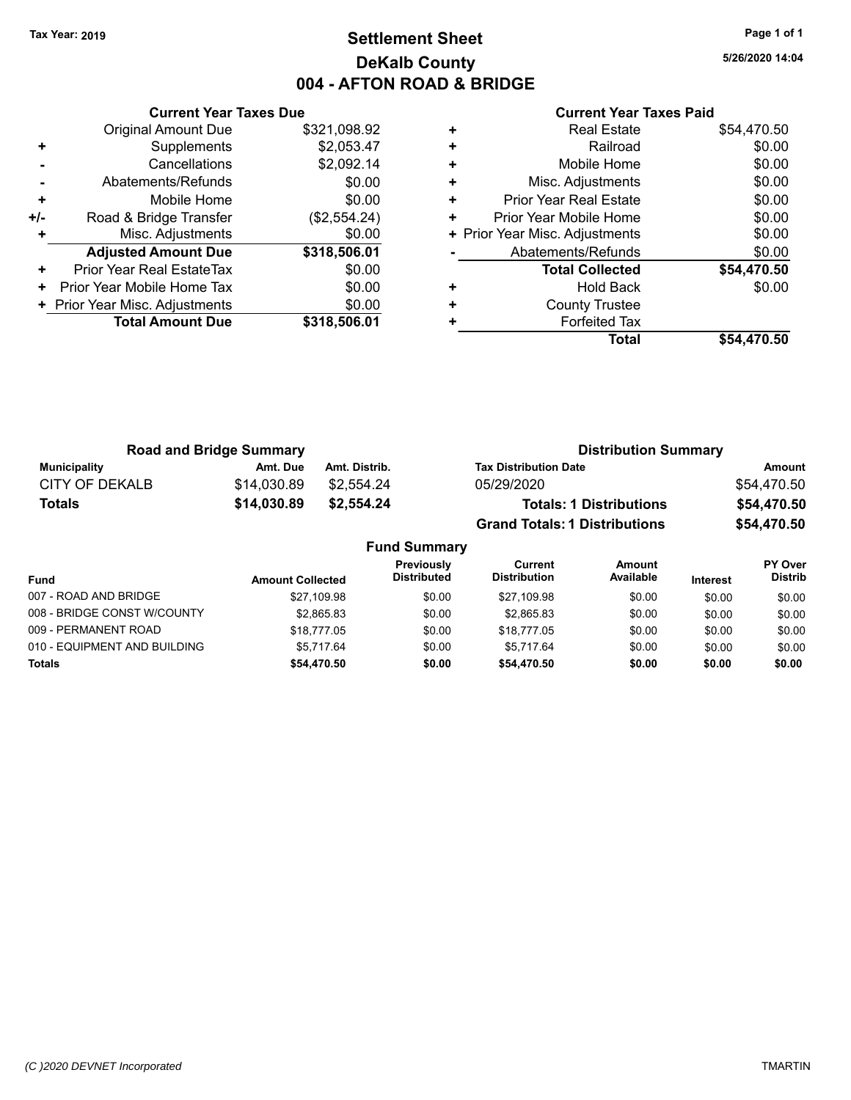# **Settlement Sheet Tax Year: 2019 Page 1 of 1 DeKalb County 004 - AFTON ROAD & BRIDGE**

**5/26/2020 14:04**

|       | <b>Current Year Taxes Due</b>  |              |  |  |
|-------|--------------------------------|--------------|--|--|
|       | <b>Original Amount Due</b>     | \$321,098.92 |  |  |
| ٠     | Supplements                    | \$2,053.47   |  |  |
|       | Cancellations                  | \$2,092.14   |  |  |
|       | Abatements/Refunds             | \$0.00       |  |  |
| ٠     | Mobile Home                    | \$0.00       |  |  |
| $+/-$ | Road & Bridge Transfer         | (\$2,554.24) |  |  |
| ٠     | Misc. Adjustments              | \$0.00       |  |  |
|       | <b>Adjusted Amount Due</b>     | \$318,506.01 |  |  |
| ÷     | Prior Year Real EstateTax      | \$0.00       |  |  |
| ٠     | Prior Year Mobile Home Tax     | \$0.00       |  |  |
|       | + Prior Year Misc. Adjustments | \$0.00       |  |  |
|       | <b>Total Amount Due</b>        | \$318,506.01 |  |  |
|       |                                |              |  |  |

|   | <b>Real Estate</b>             | \$54,470.50 |
|---|--------------------------------|-------------|
| ٠ | Railroad                       | \$0.00      |
| ٠ | Mobile Home                    | \$0.00      |
| ٠ | Misc. Adjustments              | \$0.00      |
| ٠ | Prior Year Real Estate         | \$0.00      |
| ٠ | Prior Year Mobile Home         | \$0.00      |
|   | + Prior Year Misc. Adjustments | \$0.00      |
|   | Abatements/Refunds             | \$0.00      |
|   | <b>Total Collected</b>         | \$54,470.50 |
| ٠ | Hold Back                      | \$0.00      |
| ٠ | <b>County Trustee</b>          |             |
| ٠ | <b>Forfeited Tax</b>           |             |
|   | Total                          | \$54.470.50 |

| <b>Road and Bridge Summary</b> |             |               | <b>Distribution Summary</b>          |             |  |
|--------------------------------|-------------|---------------|--------------------------------------|-------------|--|
| Municipality                   | Amt. Due    | Amt. Distrib. | <b>Tax Distribution Date</b>         | Amount      |  |
| CITY OF DEKALB                 | \$14.030.89 | \$2.554.24    | 05/29/2020                           | \$54.470.50 |  |
| <b>Totals</b>                  | \$14,030.89 | \$2,554,24    | <b>Totals: 1 Distributions</b>       | \$54,470.50 |  |
|                                |             |               | <b>Grand Totals: 1 Distributions</b> | \$54,470.50 |  |

|                              |                         | <b>Fund Summary</b>                     |                                |                     |                 |                                  |
|------------------------------|-------------------------|-----------------------------------------|--------------------------------|---------------------|-----------------|----------------------------------|
| <b>Fund</b>                  | <b>Amount Collected</b> | <b>Previously</b><br><b>Distributed</b> | Current<br><b>Distribution</b> | Amount<br>Available | <b>Interest</b> | <b>PY Over</b><br><b>Distrib</b> |
| 007 - ROAD AND BRIDGE        | \$27,109.98             | \$0.00                                  | \$27,109.98                    | \$0.00              | \$0.00          | \$0.00                           |
| 008 - BRIDGE CONST W/COUNTY  | \$2.865.83              | \$0.00                                  | \$2,865.83                     | \$0.00              | \$0.00          | \$0.00                           |
| 009 - PERMANENT ROAD         | \$18,777.05             | \$0.00                                  | \$18,777.05                    | \$0.00              | \$0.00          | \$0.00                           |
| 010 - EQUIPMENT AND BUILDING | \$5.717.64              | \$0.00                                  | \$5.717.64                     | \$0.00              | \$0.00          | \$0.00                           |
| <b>Totals</b>                | \$54,470.50             | \$0.00                                  | \$54,470.50                    | \$0.00              | \$0.00          | \$0.00                           |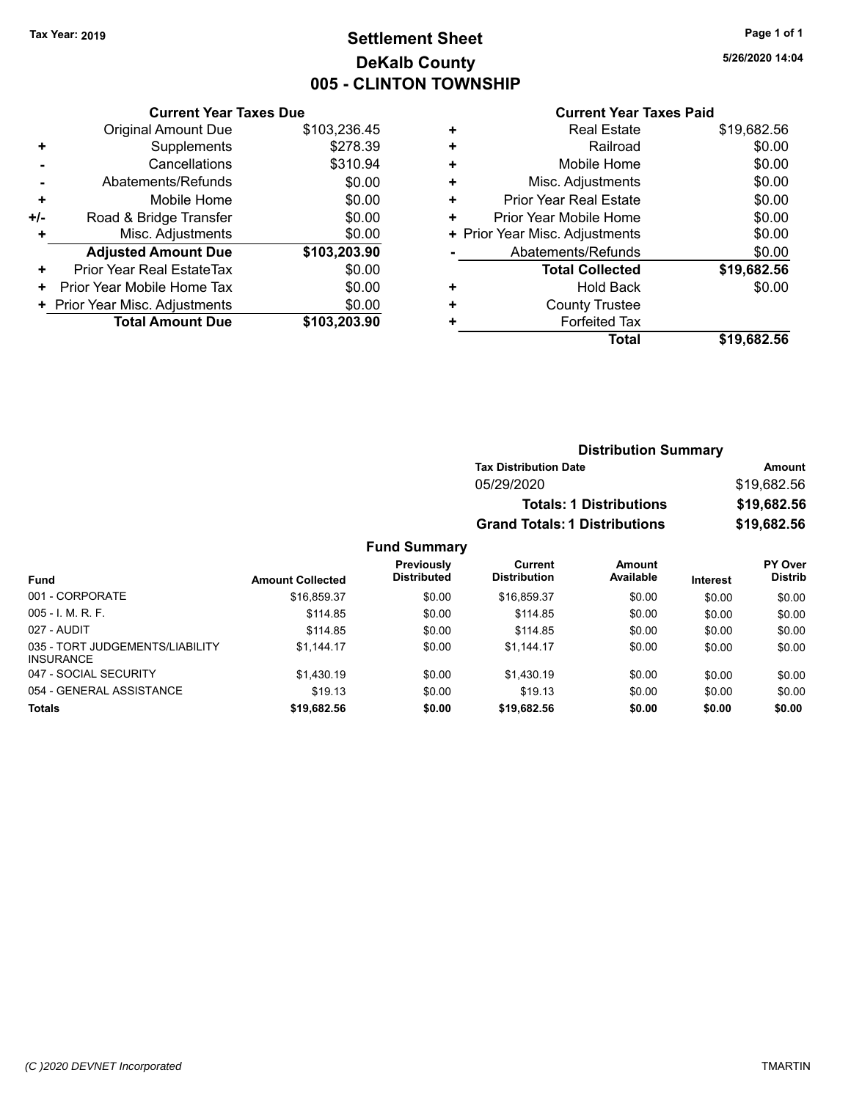# **Settlement Sheet Tax Year: 2019 Page 1 of 1 DeKalb County 005 - CLINTON TOWNSHIP**

**5/26/2020 14:04**

### **Current Year Taxes Paid**

|       | <b>Current Year Taxes Due</b>  |              |  |  |  |
|-------|--------------------------------|--------------|--|--|--|
|       | <b>Original Amount Due</b>     | \$103,236.45 |  |  |  |
| ٠     | Supplements                    | \$278.39     |  |  |  |
|       | Cancellations                  | \$310.94     |  |  |  |
|       | Abatements/Refunds             | \$0.00       |  |  |  |
| ٠     | Mobile Home                    | \$0.00       |  |  |  |
| $+/-$ | Road & Bridge Transfer         | \$0.00       |  |  |  |
|       | Misc. Adjustments              | \$0.00       |  |  |  |
|       | <b>Adjusted Amount Due</b>     | \$103,203.90 |  |  |  |
| ÷     | Prior Year Real EstateTax      | \$0.00       |  |  |  |
| ٠     | Prior Year Mobile Home Tax     | \$0.00       |  |  |  |
|       | + Prior Year Misc. Adjustments | \$0.00       |  |  |  |
|       | <b>Total Amount Due</b>        | \$103,203.90 |  |  |  |
|       |                                |              |  |  |  |

|   | <b>Real Estate</b>             | \$19,682.56 |
|---|--------------------------------|-------------|
| ٠ | Railroad                       | \$0.00      |
| ٠ | Mobile Home                    | \$0.00      |
| ٠ | Misc. Adjustments              | \$0.00      |
| ٠ | <b>Prior Year Real Estate</b>  | \$0.00      |
| ٠ | Prior Year Mobile Home         | \$0.00      |
|   | + Prior Year Misc. Adjustments | \$0.00      |
|   | Abatements/Refunds             | \$0.00      |
|   | <b>Total Collected</b>         | \$19,682.56 |
| ٠ | <b>Hold Back</b>               | \$0.00      |
| ٠ | <b>County Trustee</b>          |             |
| ٠ | <b>Forfeited Tax</b>           |             |
|   | Total                          | \$19,682.56 |

| <b>Distribution Summary</b>          |             |  |  |  |
|--------------------------------------|-------------|--|--|--|
| <b>Tax Distribution Date</b>         | Amount      |  |  |  |
| 05/29/2020                           | \$19,682.56 |  |  |  |
| <b>Totals: 1 Distributions</b>       | \$19,682.56 |  |  |  |
| <b>Grand Totals: 1 Distributions</b> | \$19,682.56 |  |  |  |

|                                                     |                         | <b>Previously</b>  | Current             | Amount    |                 | <b>PY Over</b> |
|-----------------------------------------------------|-------------------------|--------------------|---------------------|-----------|-----------------|----------------|
| Fund                                                | <b>Amount Collected</b> | <b>Distributed</b> | <b>Distribution</b> | Available | <b>Interest</b> | <b>Distrib</b> |
| 001 - CORPORATE                                     | \$16,859.37             | \$0.00             | \$16,859.37         | \$0.00    | \$0.00          | \$0.00         |
| $005 - I. M. R. F.$                                 | \$114.85                | \$0.00             | \$114.85            | \$0.00    | \$0.00          | \$0.00         |
| 027 - AUDIT                                         | \$114.85                | \$0.00             | \$114.85            | \$0.00    | \$0.00          | \$0.00         |
| 035 - TORT JUDGEMENTS/LIABILITY<br><b>INSURANCE</b> | \$1.144.17              | \$0.00             | \$1.144.17          | \$0.00    | \$0.00          | \$0.00         |
| 047 - SOCIAL SECURITY                               | \$1.430.19              | \$0.00             | \$1,430.19          | \$0.00    | \$0.00          | \$0.00         |
| 054 - GENERAL ASSISTANCE                            | \$19.13                 | \$0.00             | \$19.13             | \$0.00    | \$0.00          | \$0.00         |
| <b>Totals</b>                                       | \$19,682.56             | \$0.00             | \$19,682.56         | \$0.00    | \$0.00          | \$0.00         |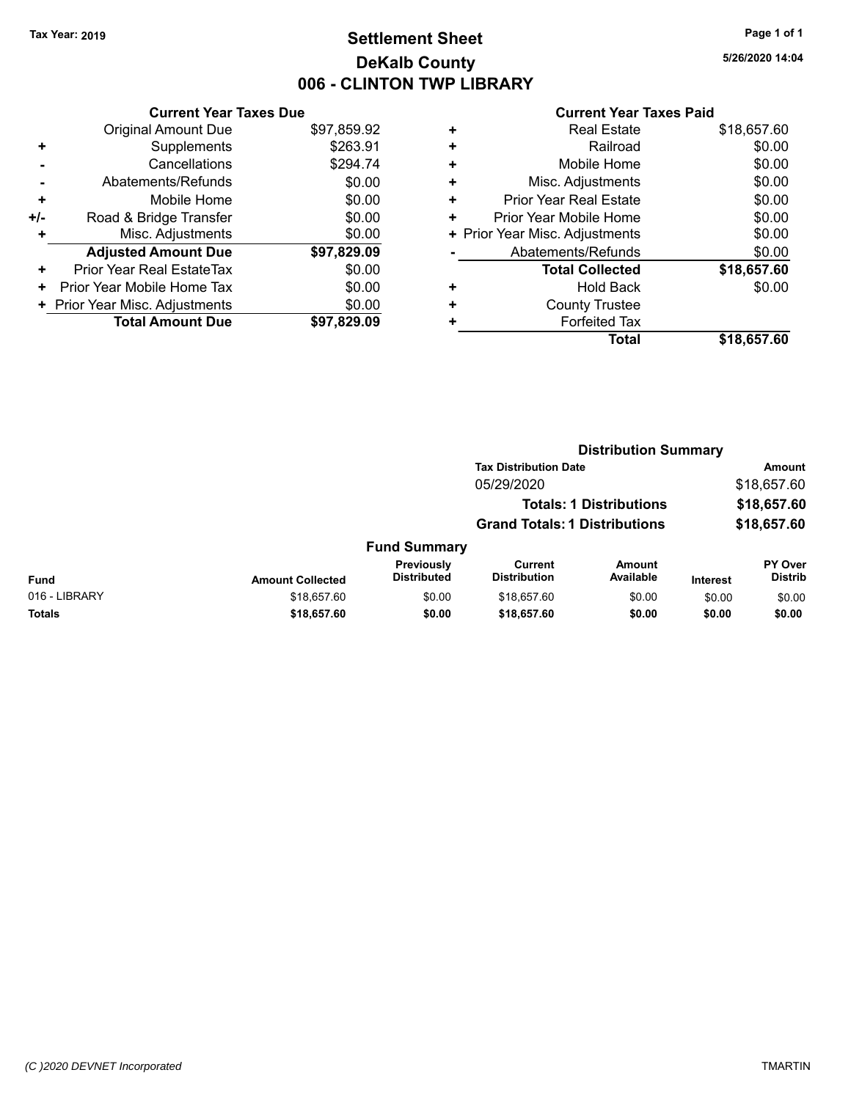# **Settlement Sheet Tax Year: 2019 Page 1 of 1 DeKalb County 006 - CLINTON TWP LIBRARY**

**5/26/2020 14:04**

| \$97,859.92<br><b>Original Amount Due</b><br>\$263.91<br>Supplements<br>٠<br>\$294.74<br>Cancellations<br>\$0.00<br>Abatements/Refunds<br>\$0.00<br>Mobile Home<br>٠<br>\$0.00<br>Road & Bridge Transfer<br>+/-<br>\$0.00<br>Misc. Adjustments<br>٠<br><b>Adjusted Amount Due</b><br>\$97,829.09<br>\$0.00<br>Prior Year Real EstateTax<br>٠<br>\$0.00<br>Prior Year Mobile Home Tax<br>÷<br>\$0.00<br>+ Prior Year Misc. Adjustments | <b>Current Year Taxes Due</b> |             |
|---------------------------------------------------------------------------------------------------------------------------------------------------------------------------------------------------------------------------------------------------------------------------------------------------------------------------------------------------------------------------------------------------------------------------------------|-------------------------------|-------------|
|                                                                                                                                                                                                                                                                                                                                                                                                                                       |                               |             |
|                                                                                                                                                                                                                                                                                                                                                                                                                                       |                               |             |
|                                                                                                                                                                                                                                                                                                                                                                                                                                       |                               |             |
|                                                                                                                                                                                                                                                                                                                                                                                                                                       |                               |             |
|                                                                                                                                                                                                                                                                                                                                                                                                                                       |                               |             |
|                                                                                                                                                                                                                                                                                                                                                                                                                                       |                               |             |
|                                                                                                                                                                                                                                                                                                                                                                                                                                       |                               |             |
|                                                                                                                                                                                                                                                                                                                                                                                                                                       |                               |             |
|                                                                                                                                                                                                                                                                                                                                                                                                                                       |                               |             |
|                                                                                                                                                                                                                                                                                                                                                                                                                                       |                               |             |
|                                                                                                                                                                                                                                                                                                                                                                                                                                       |                               |             |
|                                                                                                                                                                                                                                                                                                                                                                                                                                       | <b>Total Amount Due</b>       | \$97,829.09 |

|   | <b>Real Estate</b>             | \$18,657.60 |
|---|--------------------------------|-------------|
| ٠ | Railroad                       | \$0.00      |
| ٠ | Mobile Home                    | \$0.00      |
| ٠ | Misc. Adjustments              | \$0.00      |
| ٠ | Prior Year Real Estate         | \$0.00      |
| ٠ | Prior Year Mobile Home         | \$0.00      |
|   | + Prior Year Misc. Adjustments | \$0.00      |
|   | Abatements/Refunds             | \$0.00      |
|   | <b>Total Collected</b>         | \$18,657.60 |
| ٠ | <b>Hold Back</b>               | \$0.00      |
| ٠ | <b>County Trustee</b>          |             |
| ٠ | <b>Forfeited Tax</b>           |             |
|   | Total                          | \$18,657.60 |
|   |                                |             |

|               |                         |                                  | <b>Distribution Summary</b>           |                                |                 |                           |
|---------------|-------------------------|----------------------------------|---------------------------------------|--------------------------------|-----------------|---------------------------|
|               |                         |                                  | <b>Tax Distribution Date</b>          |                                |                 | <b>Amount</b>             |
|               |                         |                                  | 05/29/2020                            |                                |                 | \$18,657.60               |
|               |                         |                                  |                                       | <b>Totals: 1 Distributions</b> |                 | \$18,657.60               |
|               |                         |                                  | <b>Grand Totals: 1 Distributions</b>  |                                |                 | \$18,657.60               |
|               |                         | <b>Fund Summary</b>              |                                       |                                |                 |                           |
| <b>Fund</b>   | <b>Amount Collected</b> | Previously<br><b>Distributed</b> | <b>Current</b><br><b>Distribution</b> | Amount<br>Available            | <b>Interest</b> | PY Over<br><b>Distrib</b> |
| 016 - LIBRARY | \$18,657.60             | \$0.00                           | \$18,657.60                           | \$0.00                         | \$0.00          | \$0.00                    |
| <b>Totals</b> | \$18,657.60             | \$0.00                           | \$18,657.60                           | \$0.00                         | \$0.00          | \$0.00                    |
|               |                         |                                  |                                       |                                |                 |                           |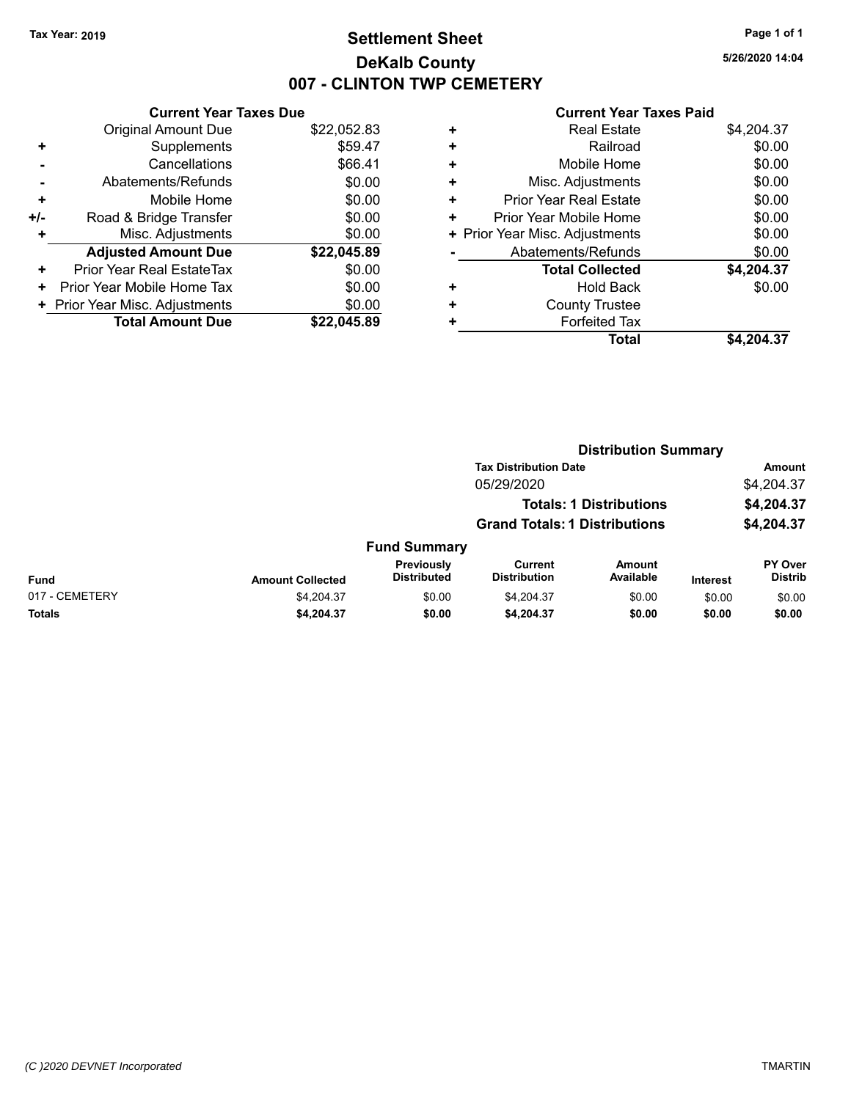# **Settlement Sheet Tax Year: 2019 Page 1 of 1 DeKalb County 007 - CLINTON TWP CEMETERY**

**5/26/2020 14:04**

|     | <b>Current Year Taxes Due</b>  |             |  |  |  |  |
|-----|--------------------------------|-------------|--|--|--|--|
|     | <b>Original Amount Due</b>     | \$22,052.83 |  |  |  |  |
| ٠   | Supplements                    | \$59.47     |  |  |  |  |
|     | Cancellations                  | \$66.41     |  |  |  |  |
|     | Abatements/Refunds             | \$0.00      |  |  |  |  |
| ٠   | Mobile Home                    | \$0.00      |  |  |  |  |
| +/- | Road & Bridge Transfer         | \$0.00      |  |  |  |  |
| ٠   | Misc. Adjustments              | \$0.00      |  |  |  |  |
|     | <b>Adjusted Amount Due</b>     | \$22,045.89 |  |  |  |  |
| ٠   | Prior Year Real EstateTax      | \$0.00      |  |  |  |  |
| ٠   | Prior Year Mobile Home Tax     | \$0.00      |  |  |  |  |
|     | + Prior Year Misc. Adjustments | \$0.00      |  |  |  |  |
|     | <b>Total Amount Due</b>        | \$22.045.89 |  |  |  |  |

| Railroad<br>٠<br>Mobile Home<br>٠<br>Misc. Adjustments<br>٠<br><b>Prior Year Real Estate</b><br>٠<br>Prior Year Mobile Home<br>٠<br>+ Prior Year Misc. Adjustments | ٠ | <b>Real Estate</b> | \$4,204.37 |
|--------------------------------------------------------------------------------------------------------------------------------------------------------------------|---|--------------------|------------|
|                                                                                                                                                                    |   |                    | \$0.00     |
|                                                                                                                                                                    |   |                    | \$0.00     |
|                                                                                                                                                                    |   |                    | \$0.00     |
|                                                                                                                                                                    |   |                    | \$0.00     |
|                                                                                                                                                                    |   |                    | \$0.00     |
|                                                                                                                                                                    |   |                    | \$0.00     |
| Abatements/Refunds                                                                                                                                                 |   |                    | \$0.00     |
| <b>Total Collected</b>                                                                                                                                             |   |                    | \$4,204.37 |
| <b>Hold Back</b><br>٠                                                                                                                                              |   |                    | \$0.00     |
| <b>County Trustee</b><br>٠                                                                                                                                         |   |                    |            |
| <b>Forfeited Tax</b><br>٠                                                                                                                                          |   |                    |            |
| Total                                                                                                                                                              |   |                    | \$4,204.37 |

|                |                         |                                  | <b>Distribution Summary</b>           |                                |                 |                                  |
|----------------|-------------------------|----------------------------------|---------------------------------------|--------------------------------|-----------------|----------------------------------|
|                |                         |                                  | <b>Tax Distribution Date</b>          |                                |                 | Amount                           |
|                |                         |                                  | 05/29/2020                            |                                |                 | \$4,204.37                       |
|                |                         |                                  |                                       | <b>Totals: 1 Distributions</b> |                 | \$4,204.37                       |
|                |                         |                                  | <b>Grand Totals: 1 Distributions</b>  |                                |                 | \$4,204.37                       |
|                |                         | <b>Fund Summary</b>              |                                       |                                |                 |                                  |
| <b>Fund</b>    | <b>Amount Collected</b> | Previously<br><b>Distributed</b> | <b>Current</b><br><b>Distribution</b> | <b>Amount</b><br>Available     | <b>Interest</b> | <b>PY Over</b><br><b>Distrib</b> |
| 017 - CEMETERY | \$4,204.37              | \$0.00                           | \$4,204.37                            | \$0.00                         | \$0.00          | \$0.00                           |
| Totals         | \$4,204.37              | \$0.00                           | \$4,204.37                            | \$0.00                         | \$0.00          | \$0.00                           |
|                |                         |                                  |                                       |                                |                 |                                  |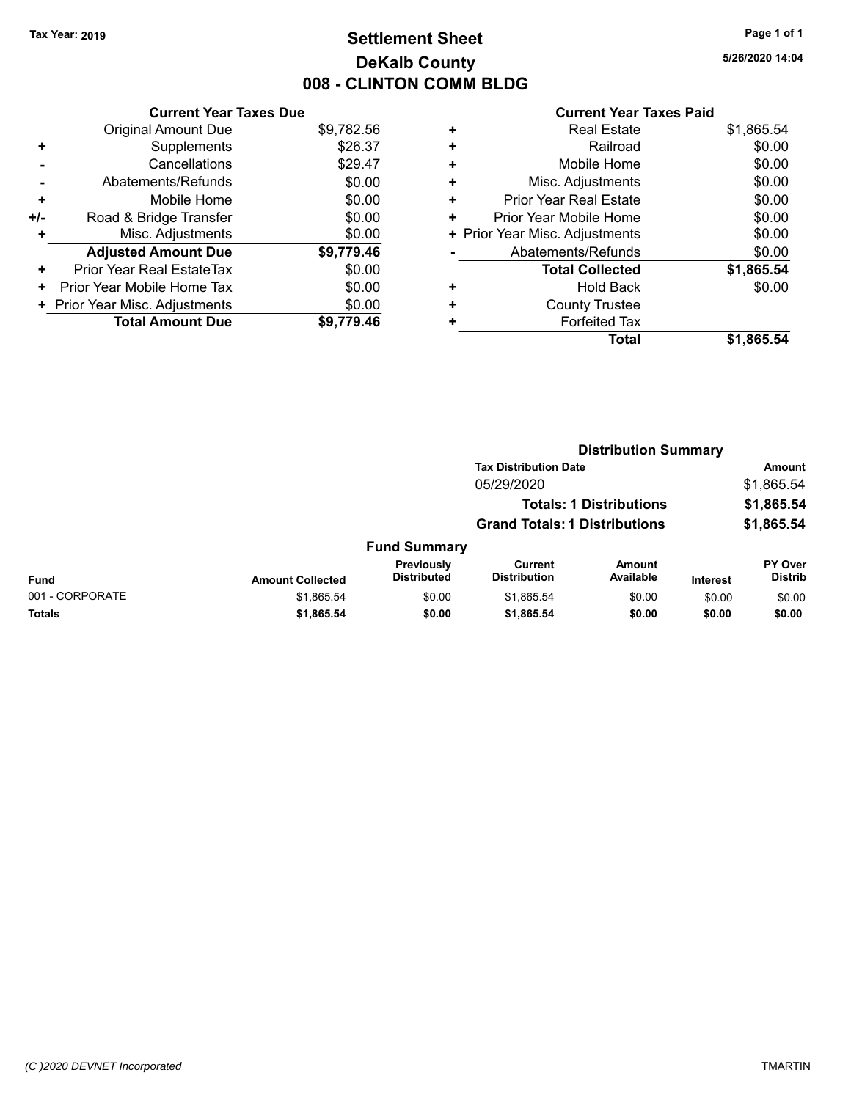# **Settlement Sheet Tax Year: 2019 Page 1 of 1 DeKalb County 008 - CLINTON COMM BLDG**

**5/26/2020 14:04**

|     | <b>Current Year Taxes Due</b>  |            |
|-----|--------------------------------|------------|
|     | <b>Original Amount Due</b>     | \$9,782.56 |
| ٠   | Supplements                    | \$26.37    |
|     | Cancellations                  | \$29.47    |
|     | Abatements/Refunds             | \$0.00     |
| ٠   | Mobile Home                    | \$0.00     |
| +/- | Road & Bridge Transfer         | \$0.00     |
| ٠   | Misc. Adjustments              | \$0.00     |
|     | <b>Adjusted Amount Due</b>     | \$9,779.46 |
| ٠   | Prior Year Real EstateTax      | \$0.00     |
| ٠   | Prior Year Mobile Home Tax     | \$0.00     |
|     | + Prior Year Misc. Adjustments | \$0.00     |
|     | <b>Total Amount Due</b>        | \$9,779.46 |

| ٠ | <b>Real Estate</b>             | \$1,865.54 |
|---|--------------------------------|------------|
| ٠ | Railroad                       | \$0.00     |
| ٠ | Mobile Home                    | \$0.00     |
| ٠ | Misc. Adjustments              | \$0.00     |
| ٠ | <b>Prior Year Real Estate</b>  | \$0.00     |
| ٠ | Prior Year Mobile Home         | \$0.00     |
|   | + Prior Year Misc. Adjustments | \$0.00     |
|   | Abatements/Refunds             | \$0.00     |
|   | <b>Total Collected</b>         | \$1,865.54 |
| ٠ | <b>Hold Back</b>               | \$0.00     |
| ٠ | <b>County Trustee</b>          |            |
| ٠ | <b>Forfeited Tax</b>           |            |
|   | <b>Total</b>                   | \$1,865.54 |
|   |                                |            |

|                 |                         |                                  | <b>Distribution Summary</b>           |                                |                 |                                  |
|-----------------|-------------------------|----------------------------------|---------------------------------------|--------------------------------|-----------------|----------------------------------|
|                 |                         |                                  | <b>Tax Distribution Date</b>          |                                |                 | Amount                           |
|                 |                         |                                  | 05/29/2020                            |                                |                 | \$1,865.54                       |
|                 |                         |                                  |                                       | <b>Totals: 1 Distributions</b> |                 | \$1,865.54                       |
|                 |                         |                                  | <b>Grand Totals: 1 Distributions</b>  |                                |                 | \$1,865.54                       |
|                 |                         | <b>Fund Summary</b>              |                                       |                                |                 |                                  |
| <b>Fund</b>     | <b>Amount Collected</b> | Previously<br><b>Distributed</b> | <b>Current</b><br><b>Distribution</b> | <b>Amount</b><br>Available     | <b>Interest</b> | <b>PY Over</b><br><b>Distrib</b> |
| 001 - CORPORATE | \$1,865.54              | \$0.00                           | \$1,865.54                            | \$0.00                         | \$0.00          | \$0.00                           |
| <b>Totals</b>   | \$1,865.54              | \$0.00                           | \$1,865.54                            | \$0.00                         | \$0.00          | \$0.00                           |
|                 |                         |                                  |                                       |                                |                 |                                  |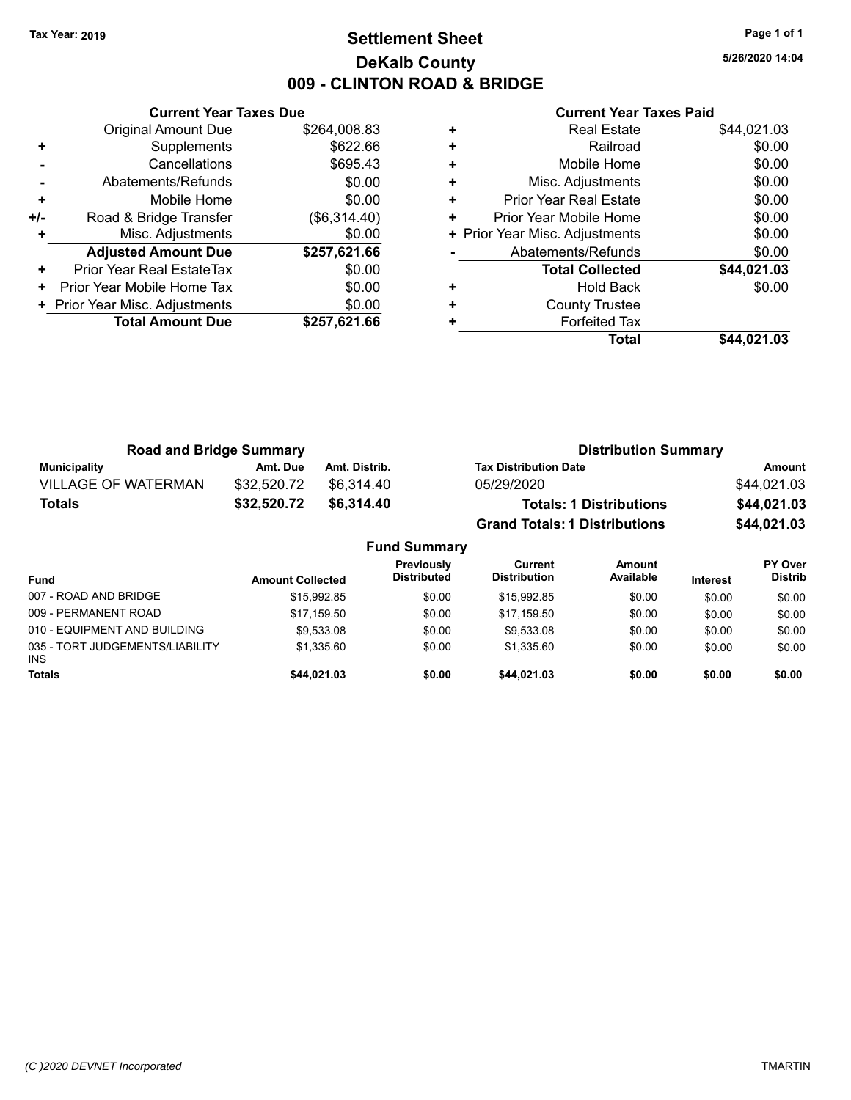# **Settlement Sheet Tax Year: 2019 Page 1 of 1 DeKalb County 009 - CLINTON ROAD & BRIDGE**

**5/26/2020 14:04**

|     | <b>Current Year Taxes Due</b>  |              |
|-----|--------------------------------|--------------|
|     | <b>Original Amount Due</b>     | \$264,008.83 |
| ٠   | Supplements                    | \$622.66     |
|     | Cancellations                  | \$695.43     |
|     | Abatements/Refunds             | \$0.00       |
| ٠   | Mobile Home                    | \$0.00       |
| +/- | Road & Bridge Transfer         | (\$6,314.40) |
|     | Misc. Adjustments              | \$0.00       |
|     | <b>Adjusted Amount Due</b>     | \$257,621.66 |
| ٠   | Prior Year Real EstateTax      | \$0.00       |
| ٠   | Prior Year Mobile Home Tax     | \$0.00       |
|     | + Prior Year Misc. Adjustments | \$0.00       |
|     | <b>Total Amount Due</b>        | \$257,621.66 |
|     |                                |              |

|   | <b>Real Estate</b>             | \$44,021.03 |
|---|--------------------------------|-------------|
| ÷ | Railroad                       | \$0.00      |
| ٠ | Mobile Home                    | \$0.00      |
| ٠ | Misc. Adjustments              | \$0.00      |
| ٠ | <b>Prior Year Real Estate</b>  | \$0.00      |
| ٠ | Prior Year Mobile Home         | \$0.00      |
|   | + Prior Year Misc. Adjustments | \$0.00      |
|   | Abatements/Refunds             | \$0.00      |
|   | <b>Total Collected</b>         | \$44,021.03 |
| ٠ | <b>Hold Back</b>               | \$0.00      |
| ٠ | <b>County Trustee</b>          |             |
| ٠ | <b>Forfeited Tax</b>           |             |
|   | Total                          | \$44,021.03 |

| <b>Road and Bridge Summary</b> |             |               | <b>Distribution Summary</b>          |             |
|--------------------------------|-------------|---------------|--------------------------------------|-------------|
| Municipality                   | Amt. Due    | Amt. Distrib. | <b>Tax Distribution Date</b>         | Amount      |
| <b>VILLAGE OF WATERMAN</b>     | \$32.520.72 | \$6.314.40    | 05/29/2020                           | \$44,021.03 |
| <b>Totals</b>                  | \$32,520.72 | \$6,314,40    | <b>Totals: 1 Distributions</b>       | \$44,021.03 |
|                                |             |               | <b>Grand Totals: 1 Distributions</b> | \$44,021.03 |

|                                               |                         | <b>Fund Summary</b>              |                                |                            |                 |                                  |
|-----------------------------------------------|-------------------------|----------------------------------|--------------------------------|----------------------------|-----------------|----------------------------------|
| <b>Fund</b>                                   | <b>Amount Collected</b> | Previously<br><b>Distributed</b> | Current<br><b>Distribution</b> | <b>Amount</b><br>Available | <b>Interest</b> | <b>PY Over</b><br><b>Distrib</b> |
| 007 - ROAD AND BRIDGE                         | \$15.992.85             | \$0.00                           | \$15.992.85                    | \$0.00                     | \$0.00          | \$0.00                           |
| 009 - PERMANENT ROAD                          | \$17.159.50             | \$0.00                           | \$17.159.50                    | \$0.00                     | \$0.00          | \$0.00                           |
| 010 - EQUIPMENT AND BUILDING                  | \$9,533.08              | \$0.00                           | \$9,533.08                     | \$0.00                     | \$0.00          | \$0.00                           |
| 035 - TORT JUDGEMENTS/LIABILITY<br><b>INS</b> | \$1.335.60              | \$0.00                           | \$1.335.60                     | \$0.00                     | \$0.00          | \$0.00                           |
| <b>Totals</b>                                 | \$44.021.03             | \$0.00                           | \$44,021.03                    | \$0.00                     | \$0.00          | \$0.00                           |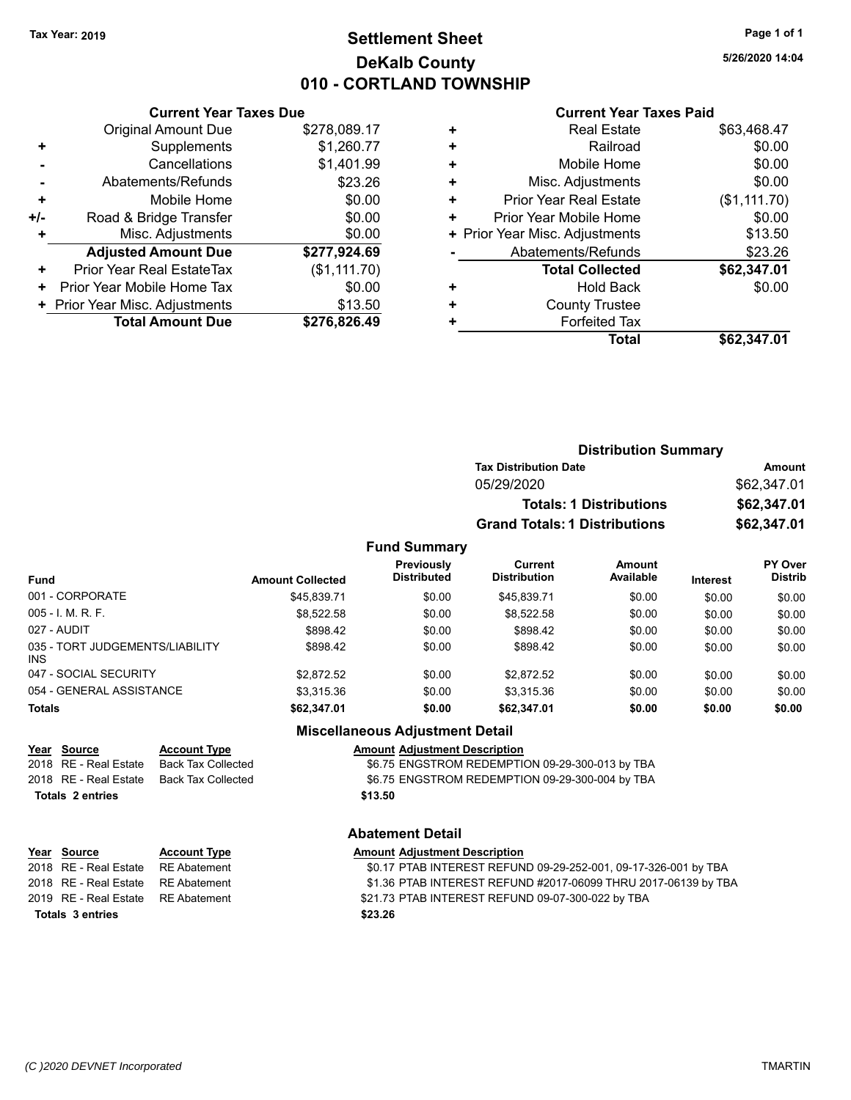# **Settlement Sheet Tax Year: 2019 Page 1 of 1 DeKalb County 010 - CORTLAND TOWNSHIP**

**5/26/2020 14:04**

### **Current Year Taxes Paid**

|       | <b>Current Year Taxes Due</b>  |              |  |  |
|-------|--------------------------------|--------------|--|--|
|       | <b>Original Amount Due</b>     | \$278,089.17 |  |  |
| ٠     | Supplements                    | \$1,260.77   |  |  |
|       | Cancellations                  | \$1,401.99   |  |  |
|       | Abatements/Refunds             | \$23.26      |  |  |
| ٠     | Mobile Home                    | \$0.00       |  |  |
| $+/-$ | Road & Bridge Transfer         | \$0.00       |  |  |
|       | Misc. Adjustments              | \$0.00       |  |  |
|       | <b>Adjusted Amount Due</b>     | \$277,924.69 |  |  |
| ÷     | Prior Year Real EstateTax      | (\$1,111.70) |  |  |
| ٠     | Prior Year Mobile Home Tax     | \$0.00       |  |  |
|       | + Prior Year Misc. Adjustments | \$13.50      |  |  |
|       | <b>Total Amount Due</b>        | \$276,826.49 |  |  |
|       |                                |              |  |  |

|   | <b>Real Estate</b>             | \$63,468.47  |
|---|--------------------------------|--------------|
| ٠ | Railroad                       | \$0.00       |
| ٠ | Mobile Home                    | \$0.00       |
| ٠ | Misc. Adjustments              | \$0.00       |
| ٠ | <b>Prior Year Real Estate</b>  | (\$1,111.70) |
| ٠ | Prior Year Mobile Home         | \$0.00       |
|   | + Prior Year Misc. Adjustments | \$13.50      |
|   | Abatements/Refunds             | \$23.26      |
|   | <b>Total Collected</b>         | \$62,347.01  |
| ٠ | <b>Hold Back</b>               | \$0.00       |
| ٠ | <b>County Trustee</b>          |              |
| ٠ | <b>Forfeited Tax</b>           |              |
|   | Total                          | \$62,347.01  |
|   |                                |              |

| <b>Distribution Summary</b>          |             |
|--------------------------------------|-------------|
| <b>Tax Distribution Date</b>         | Amount      |
| 05/29/2020                           | \$62,347.01 |
| <b>Totals: 1 Distributions</b>       | \$62,347.01 |
| <b>Grand Totals: 1 Distributions</b> | \$62,347.01 |

### **Fund Summary**

| <b>Fund</b>                             | <b>Amount Collected</b> | Previously<br><b>Distributed</b> | Current<br><b>Distribution</b> | Amount<br>Available | <b>Interest</b> | <b>PY Over</b><br><b>Distrib</b> |
|-----------------------------------------|-------------------------|----------------------------------|--------------------------------|---------------------|-----------------|----------------------------------|
| 001 - CORPORATE                         | \$45.839.71             | \$0.00                           | \$45.839.71                    | \$0.00              | \$0.00          | \$0.00                           |
| 005 - I. M. R. F.                       | \$8,522.58              | \$0.00                           | \$8.522.58                     | \$0.00              | \$0.00          | \$0.00                           |
| 027 - AUDIT                             | \$898.42                | \$0.00                           | \$898.42                       | \$0.00              | \$0.00          | \$0.00                           |
| 035 - TORT JUDGEMENTS/LIABILITY<br>INS. | \$898.42                | \$0.00                           | \$898.42                       | \$0.00              | \$0.00          | \$0.00                           |
| 047 - SOCIAL SECURITY                   | \$2.872.52              | \$0.00                           | \$2.872.52                     | \$0.00              | \$0.00          | \$0.00                           |
| 054 - GENERAL ASSISTANCE                | \$3.315.36              | \$0.00                           | \$3.315.36                     | \$0.00              | \$0.00          | \$0.00                           |
| <b>Totals</b>                           | \$62,347.01             | \$0.00                           | \$62,347.01                    | \$0.00              | \$0.00          | \$0.00                           |

### **Miscellaneous Adjustment Detail**

| Year Source           | <b>Account Type</b> | <b>Amount Adjustment Description</b>            |
|-----------------------|---------------------|-------------------------------------------------|
| 2018 RE - Real Estate | Back Tax Collected  | \$6.75 ENGSTROM REDEMPTION 09-29-300-013 by TBA |
| 2018 RE - Real Estate | Back Tax Collected  | \$6.75 ENGSTROM REDEMPTION 09-29-300-004 by TBA |
| Totals 2 entries      |                     | \$13.50                                         |

# **Abatement Detail**

| Year Source                        | <b>Account Type</b> | <b>Amount Adjustment Description</b>                            |
|------------------------------------|---------------------|-----------------------------------------------------------------|
| 2018 RE - Real Estate RE Abatement |                     | \$0.17 PTAB INTEREST REFUND 09-29-252-001, 09-17-326-001 by TBA |
| 2018 RE - Real Estate RE Abatement |                     | \$1.36 PTAB INTEREST REFUND #2017-06099 THRU 2017-06139 by TBA  |
| 2019 RE - Real Estate RE Abatement |                     | \$21.73 PTAB INTEREST REFUND 09-07-300-022 by TBA               |
| <b>Totals 3 entries</b>            |                     | \$23.26                                                         |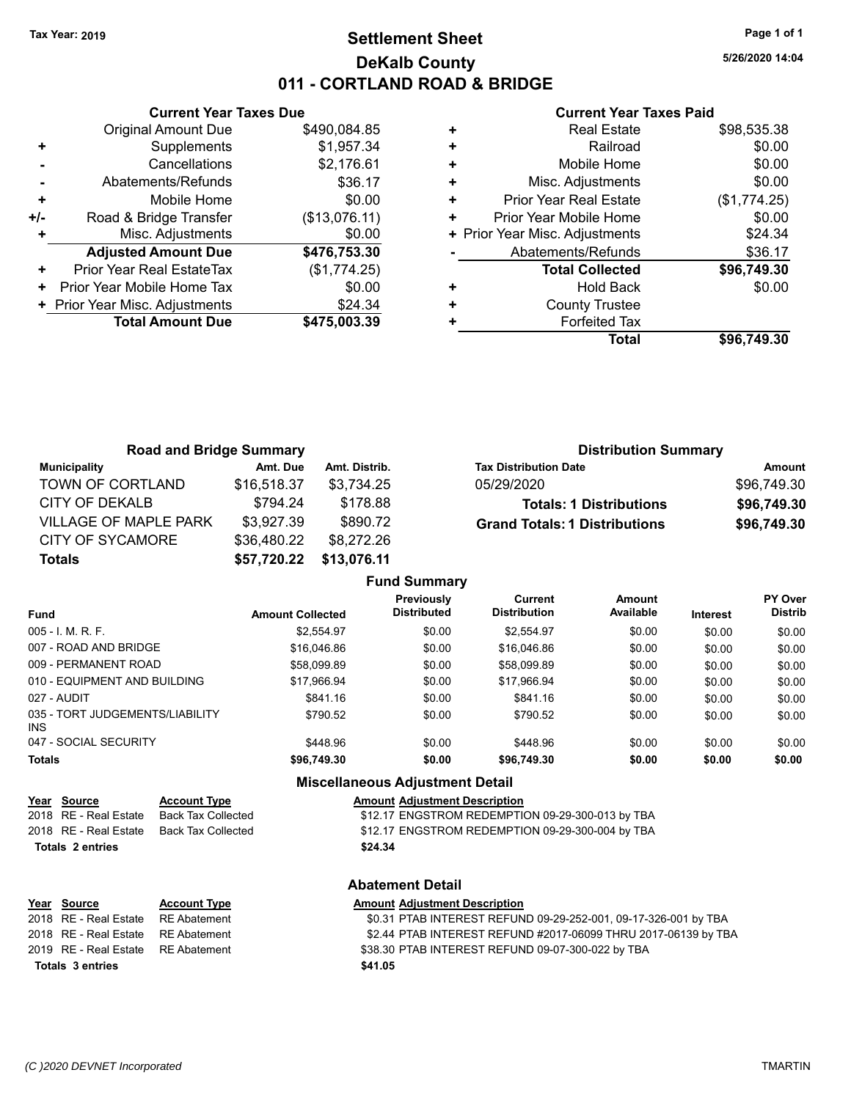# **Settlement Sheet Tax Year: 2019 Page 1 of 1 DeKalb County 011 - CORTLAND ROAD & BRIDGE**

**5/26/2020 14:04**

### **Current Year Taxes Paid**

|     | <b>Current Year Taxes Due</b>  |               |  |  |
|-----|--------------------------------|---------------|--|--|
|     | <b>Original Amount Due</b>     | \$490,084.85  |  |  |
| ٠   | Supplements                    | \$1,957.34    |  |  |
|     | Cancellations                  | \$2,176.61    |  |  |
|     | Abatements/Refunds             | \$36.17       |  |  |
| ٠   | Mobile Home                    | \$0.00        |  |  |
| +/- | Road & Bridge Transfer         | (\$13,076.11) |  |  |
|     | Misc. Adjustments              | \$0.00        |  |  |
|     | <b>Adjusted Amount Due</b>     | \$476,753.30  |  |  |
| ٠   | Prior Year Real EstateTax      | (\$1,774.25)  |  |  |
| ٠   | Prior Year Mobile Home Tax     | \$0.00        |  |  |
|     | + Prior Year Misc. Adjustments | \$24.34       |  |  |
|     | <b>Total Amount Due</b>        | \$475,003.39  |  |  |
|     |                                |               |  |  |

| ٠ | <b>Real Estate</b>             | \$98,535.38  |
|---|--------------------------------|--------------|
| ÷ | Railroad                       | \$0.00       |
| ٠ | Mobile Home                    | \$0.00       |
| ٠ | Misc. Adjustments              | \$0.00       |
| ٠ | <b>Prior Year Real Estate</b>  | (\$1,774.25) |
| ٠ | Prior Year Mobile Home         | \$0.00       |
|   | + Prior Year Misc. Adjustments | \$24.34      |
|   | Abatements/Refunds             | \$36.17      |
|   | <b>Total Collected</b>         | \$96,749.30  |
| ٠ | <b>Hold Back</b>               | \$0.00       |
| ٠ | <b>County Trustee</b>          |              |
| ٠ | <b>Forfeited Tax</b>           |              |
|   | <b>Total</b>                   | \$96,749.30  |

| <b>Road and Bridge Summary</b> |             |               | <b>Distribution Summary</b>          |             |
|--------------------------------|-------------|---------------|--------------------------------------|-------------|
| <b>Municipality</b>            | Amt. Due    | Amt. Distrib. | <b>Tax Distribution Date</b>         | Amount      |
| TOWN OF CORTLAND               | \$16,518.37 | \$3.734.25    | 05/29/2020                           | \$96,749.30 |
| CITY OF DEKALB                 | \$794.24    | \$178.88      | <b>Totals: 1 Distributions</b>       | \$96,749.30 |
| <b>VILLAGE OF MAPLE PARK</b>   | \$3,927.39  | \$890.72      | <b>Grand Totals: 1 Distributions</b> | \$96,749.30 |
| CITY OF SYCAMORE               | \$36,480.22 | \$8,272.26    |                                      |             |
| <b>Totals</b>                  | \$57,720.22 | \$13,076.11   |                                      |             |

|                                         |                         | <b>Fund Summary</b>                     |                                       |                     |                 |                           |
|-----------------------------------------|-------------------------|-----------------------------------------|---------------------------------------|---------------------|-----------------|---------------------------|
| <b>Fund</b>                             | <b>Amount Collected</b> | <b>Previously</b><br><b>Distributed</b> | <b>Current</b><br><b>Distribution</b> | Amount<br>Available | <b>Interest</b> | PY Over<br><b>Distrib</b> |
| 005 - I. M. R. F.                       | \$2.554.97              | \$0.00                                  | \$2.554.97                            | \$0.00              | \$0.00          | \$0.00                    |
| 007 - ROAD AND BRIDGE.                  | \$16,046.86             | \$0.00                                  | \$16,046.86                           | \$0.00              | \$0.00          | \$0.00                    |
| 009 - PERMANENT ROAD                    | \$58,099.89             | \$0.00                                  | \$58,099.89                           | \$0.00              | \$0.00          | \$0.00                    |
| 010 - EQUIPMENT AND BUILDING            | \$17.966.94             | \$0.00                                  | \$17.966.94                           | \$0.00              | \$0.00          | \$0.00                    |
| 027 - AUDIT                             | \$841.16                | \$0.00                                  | \$841.16                              | \$0.00              | \$0.00          | \$0.00                    |
| 035 - TORT JUDGEMENTS/LIABILITY<br>INS. | \$790.52                | \$0.00                                  | \$790.52                              | \$0.00              | \$0.00          | \$0.00                    |
| 047 - SOCIAL SECURITY                   | \$448.96                | \$0.00                                  | \$448.96                              | \$0.00              | \$0.00          | \$0.00                    |
| <b>Totals</b>                           | \$96,749.30             | \$0.00                                  | \$96,749.30                           | \$0.00              | \$0.00          | \$0.00                    |
|                                         |                         |                                         |                                       |                     |                 |                           |

### **Miscellaneous Adjustment Detail**

### **Year** Source **Account Type And Amount Adjustment Description**

2018 RE - Real Estate Back Tax Collected \$12.17 ENGSTROM REDEMPTION 09-29-300-013 by TBA 2018 RE - Real Estate Back Tax Collected \$12.17 ENGSTROM REDEMPTION 09-29-300-004 by TBA

### **Totals \$24.34 2 entries**

| Year Source           | <b>Account Type</b> | Amount  |
|-----------------------|---------------------|---------|
| 2018 RE - Real Estate | RE Abatement        | \$0.31  |
| 2018 RE - Real Estate | RE Abatement        | \$2.44  |
| 2019 RE - Real Estate | RE Abatement        | \$38.30 |
| Totals 3 entries      |                     | \$41.05 |

### **Abatement Detail**

# **Year Type Amount Adjustment Description**

2018 PTAB INTEREST REFUND 09-29-252-001, 09-17-326-001 by TBA 2017 PTAB INTEREST REFUND #2017-06099 THRU 2017-06139 by TBA 2019 PTAB INTEREST REFUND 09-07-300-022 by TBA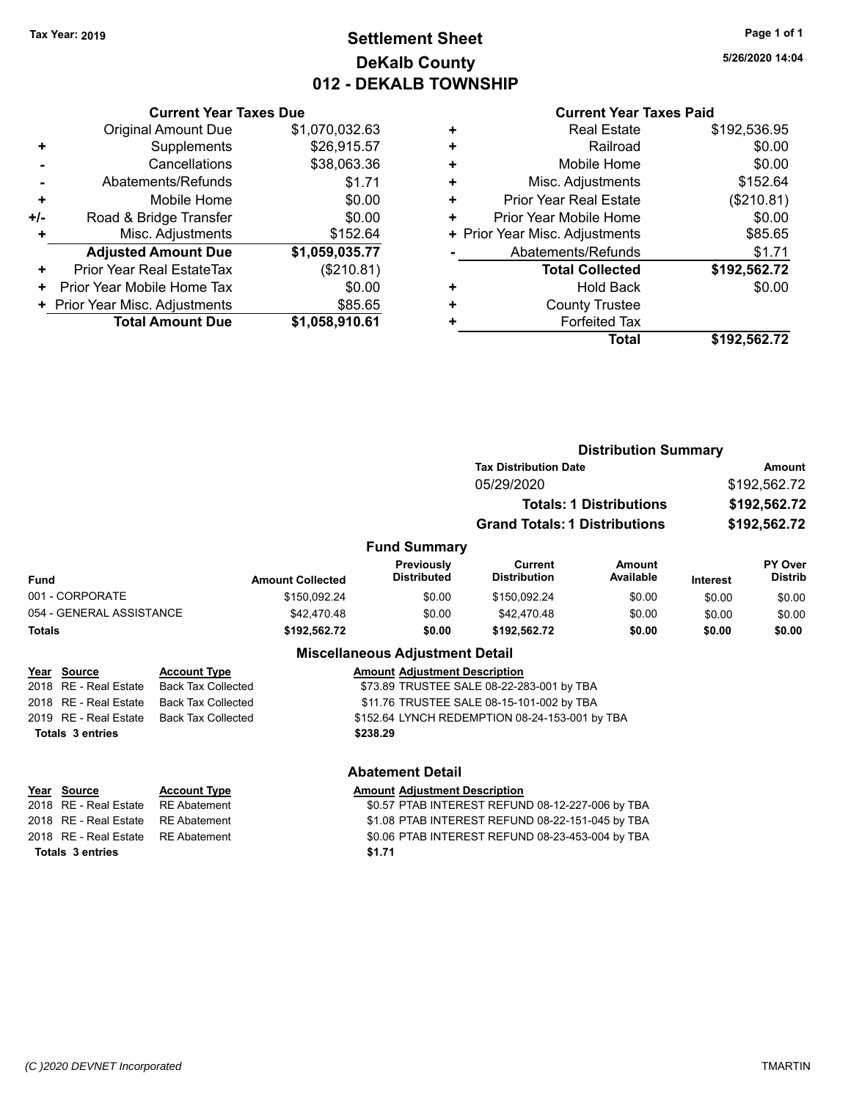# **Settlement Sheet Tax Year: 2019 Page 1 of 1 DeKalb County 012 - DEKALB TOWNSHIP**

**5/26/2020 14:04**

|     | <b>Current Year Taxes Due</b>  |                |
|-----|--------------------------------|----------------|
|     | <b>Original Amount Due</b>     | \$1,070,032.63 |
| ٠   | Supplements                    | \$26,915.57    |
|     | Cancellations                  | \$38,063.36    |
|     | Abatements/Refunds             | \$1.71         |
| ٠   | Mobile Home                    | \$0.00         |
| +/- | Road & Bridge Transfer         | \$0.00         |
| ٠   | Misc. Adjustments              | \$152.64       |
|     | <b>Adjusted Amount Due</b>     | \$1,059,035.77 |
| ÷   | Prior Year Real EstateTax      | (\$210.81)     |
| ٠   | Prior Year Mobile Home Tax     | \$0.00         |
|     | + Prior Year Misc. Adjustments | \$85.65        |
|     | <b>Total Amount Due</b>        | \$1,058,910.61 |

|   | <b>Real Estate</b>             | \$192,536.95 |
|---|--------------------------------|--------------|
| ٠ | Railroad                       | \$0.00       |
| ٠ | Mobile Home                    | \$0.00       |
| ٠ | Misc. Adjustments              | \$152.64     |
| ٠ | <b>Prior Year Real Estate</b>  | (\$210.81)   |
| ٠ | Prior Year Mobile Home         | \$0.00       |
|   | + Prior Year Misc. Adjustments | \$85.65      |
|   | Abatements/Refunds             | \$1.71       |
|   | <b>Total Collected</b>         | \$192,562.72 |
| ٠ | <b>Hold Back</b>               | \$0.00       |
| ٠ | <b>County Trustee</b>          |              |
| ٠ | <b>Forfeited Tax</b>           |              |
|   | <b>Total</b>                   | \$192,562.72 |
|   |                                |              |

|                          |                         |                                        | <b>Distribution Summary</b>           |                                |              |                                  |
|--------------------------|-------------------------|----------------------------------------|---------------------------------------|--------------------------------|--------------|----------------------------------|
|                          |                         |                                        | <b>Tax Distribution Date</b>          |                                |              | Amount                           |
|                          |                         |                                        | 05/29/2020                            |                                |              | \$192,562.72                     |
|                          |                         |                                        |                                       | <b>Totals: 1 Distributions</b> | \$192,562.72 |                                  |
|                          |                         |                                        | <b>Grand Totals: 1 Distributions</b>  |                                |              | \$192,562.72                     |
|                          |                         | <b>Fund Summary</b>                    |                                       |                                |              |                                  |
| <b>Fund</b>              | <b>Amount Collected</b> | Previously<br><b>Distributed</b>       | <b>Current</b><br><b>Distribution</b> | Amount<br>Available            | Interest     | <b>PY Over</b><br><b>Distrib</b> |
| 001 - CORPORATE          | \$150,092.24            | \$0.00                                 | \$150,092.24                          | \$0.00                         | \$0.00       | \$0.00                           |
| 054 - GENERAL ASSISTANCE | \$42,470.48             | \$0.00                                 | \$42,470.48                           | \$0.00                         | \$0.00       | \$0.00                           |
| <b>Totals</b>            | \$192,562.72            | \$0.00                                 | \$192,562.72                          | \$0.00                         | \$0.00       | \$0.00                           |
|                          |                         | <b>Miscellaneous Adjustment Detail</b> |                                       |                                |              |                                  |

| <u>Year Source</u>      | <b>Account Type</b>                            | <b>Amount Adjustment Description</b>           |
|-------------------------|------------------------------------------------|------------------------------------------------|
|                         | 2018   RE - Real Estate     Back Tax Collected | \$73.89 TRUSTEE SALE 08-22-283-001 by TBA      |
|                         | 2018 RE - Real Estate Back Tax Collected       | \$11.76 TRUSTEE SALE 08-15-101-002 by TBA      |
|                         | 2019   RE - Real Estate     Back Tax Collected | \$152.64 LYNCH REDEMPTION 08-24-153-001 by TBA |
| <b>Totals 3 entries</b> |                                                | \$238.29                                       |
|                         |                                                |                                                |

|                         | <b>Abatement Detail</b> |                                                  |  |
|-------------------------|-------------------------|--------------------------------------------------|--|
| Year Source             | <b>Account Type</b>     | <b>Amount Adjustment Description</b>             |  |
| 2018 RE - Real Estate   | RE Abatement            | \$0.57 PTAB INTEREST REFUND 08-12-227-006 by TBA |  |
| 2018 RE - Real Estate   | RE Abatement            | \$1.08 PTAB INTEREST REFUND 08-22-151-045 by TBA |  |
| 2018 RE - Real Estate   | RE Abatement            | \$0.06 PTAB INTEREST REFUND 08-23-453-004 by TBA |  |
| <b>Totals 3 entries</b> |                         | \$1.71                                           |  |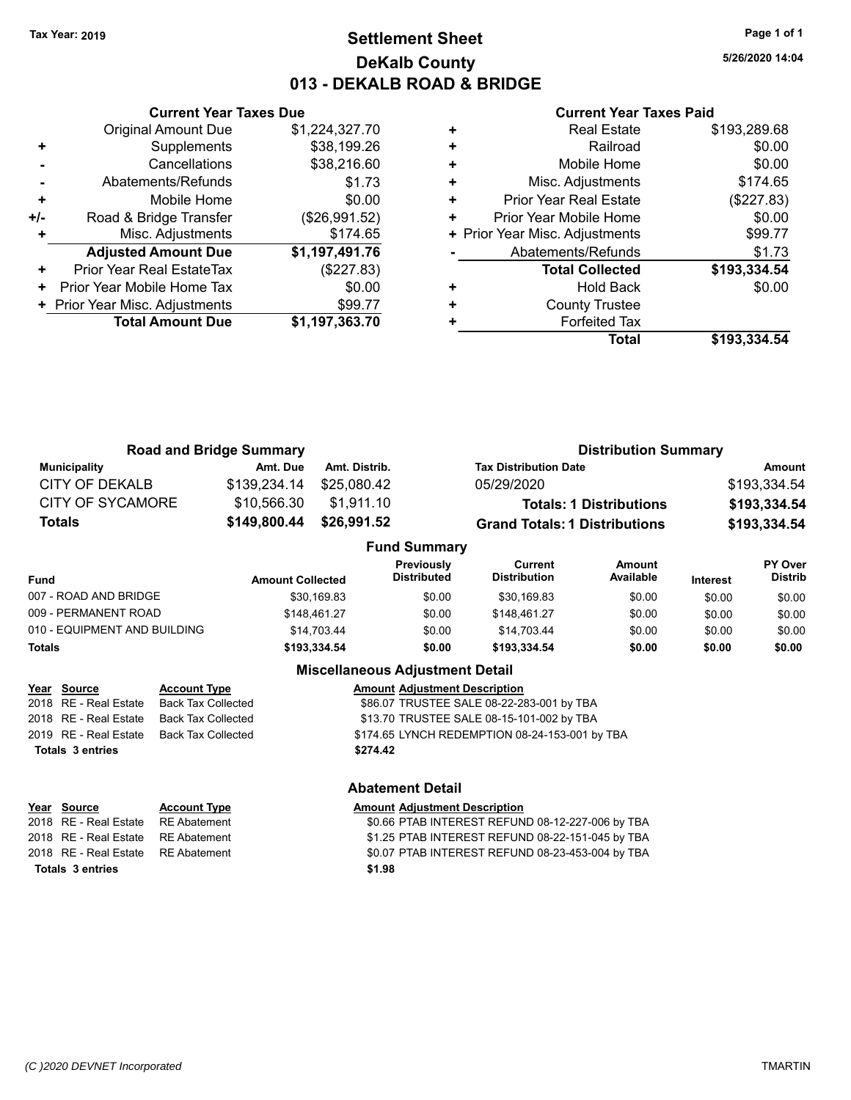# **Settlement Sheet Tax Year: 2019 Page 1 of 1 DeKalb County 013 - DEKALB ROAD & BRIDGE**

**5/26/2020 14:04**

### **Current Year Taxes Paid**

|     | <b>Current Year Taxes Due</b>  |                |
|-----|--------------------------------|----------------|
|     | <b>Original Amount Due</b>     | \$1,224,327.70 |
|     | Supplements                    | \$38,199.26    |
|     | Cancellations                  | \$38,216.60    |
|     | Abatements/Refunds             | \$1.73         |
| ٠   | Mobile Home                    | \$0.00         |
| +/- | Road & Bridge Transfer         | (\$26,991.52)  |
|     | Misc. Adjustments              | \$174.65       |
|     | <b>Adjusted Amount Due</b>     | \$1,197,491.76 |
| ٠   | Prior Year Real EstateTax      | (\$227.83)     |
|     | Prior Year Mobile Home Tax     | \$0.00         |
|     | + Prior Year Misc. Adjustments | \$99.77        |
|     | <b>Total Amount Due</b>        | \$1,197,363.70 |
|     |                                |                |

|   | <b>Real Estate</b>             | \$193,289.68 |
|---|--------------------------------|--------------|
| ٠ | Railroad                       | \$0.00       |
| ٠ | Mobile Home                    | \$0.00       |
| ٠ | Misc. Adjustments              | \$174.65     |
|   | Prior Year Real Estate         | (\$227.83)   |
| ٠ | Prior Year Mobile Home         | \$0.00       |
|   | + Prior Year Misc. Adjustments | \$99.77      |
|   | Abatements/Refunds             | \$1.73       |
|   | <b>Total Collected</b>         | \$193,334.54 |
| ٠ | <b>Hold Back</b>               | \$0.00       |
|   | <b>County Trustee</b>          |              |
|   | <b>Forfeited Tax</b>           |              |
|   | Total                          | \$193,334.54 |

|                         | <b>Road and Bridge Summary</b> |               | <b>Distribution Summary</b>          |              |
|-------------------------|--------------------------------|---------------|--------------------------------------|--------------|
| <b>Municipality</b>     | Amt. Due                       | Amt. Distrib. | <b>Tax Distribution Date</b>         | Amount       |
| CITY OF DEKALB          | \$139,234.14                   | \$25,080.42   | 05/29/2020                           | \$193,334.54 |
| <b>CITY OF SYCAMORE</b> | \$10.566.30                    | \$1,911.10    | <b>Totals: 1 Distributions</b>       | \$193,334.54 |
| <b>Totals</b>           | \$149,800.44                   | \$26,991.52   | <b>Grand Totals: 1 Distributions</b> | \$193,334.54 |
| <b>Fund Summary</b>     |                                |               |                                      |              |

| Fund                         | <b>Amount Collected</b> | <b>Previously</b><br><b>Distributed</b> | Current<br><b>Distribution</b> | Amount<br>Available | <b>Interest</b> | <b>PY Over</b><br><b>Distrib</b> |
|------------------------------|-------------------------|-----------------------------------------|--------------------------------|---------------------|-----------------|----------------------------------|
| 007 - ROAD AND BRIDGE        | \$30.169.83             | \$0.00                                  | \$30,169.83                    | \$0.00              | \$0.00          | \$0.00                           |
| 009 - PERMANENT ROAD         | \$148.461.27            | \$0.00                                  | \$148.461.27                   | \$0.00              | \$0.00          | \$0.00                           |
| 010 - EQUIPMENT AND BUILDING | \$14.703.44             | \$0.00                                  | \$14.703.44                    | \$0.00              | \$0.00          | \$0.00                           |
| Totals                       | \$193.334.54            | \$0.00                                  | \$193.334.54                   | \$0.00              | \$0.00          | \$0.00                           |
|                              |                         |                                         |                                |                     |                 |                                  |

### **Miscellaneous Adjustment Detail**

| Year Source             | <b>Account Type</b>       | <b>Amount Adjustment Description</b>           |
|-------------------------|---------------------------|------------------------------------------------|
| 2018 RE - Real Estate   | <b>Back Tax Collected</b> | \$86.07 TRUSTEE SALE 08-22-283-001 by TBA      |
| 2018 RE - Real Estate   | Back Tax Collected        | \$13.70 TRUSTEE SALE 08-15-101-002 by TBA      |
| 2019 RE - Real Estate   | Back Tax Collected        | \$174.65 LYNCH REDEMPTION 08-24-153-001 by TBA |
| <b>Totals 3 entries</b> |                           | \$274.42                                       |
|                         |                           |                                                |

| Year Source                        | <b>Account Type</b> | Amount |
|------------------------------------|---------------------|--------|
| 2018 RE - Real Estate RE Abatement |                     | \$0.66 |
| 2018 RE - Real Estate RE Abatement |                     | \$1.25 |
| 2018 RE - Real Estate RE Abatement |                     | \$0.07 |
| Totals 3 entries                   |                     | \$1.98 |

### **Abatement Detail**

### **Amount Adjustment Description** \$0.66 PTAB INTEREST REFUND 08-12-227-006 by TBA

\$1.25 PTAB INTEREST REFUND 08-22-151-045 by TBA \$0.07 PTAB INTEREST REFUND 08-23-453-004 by TBA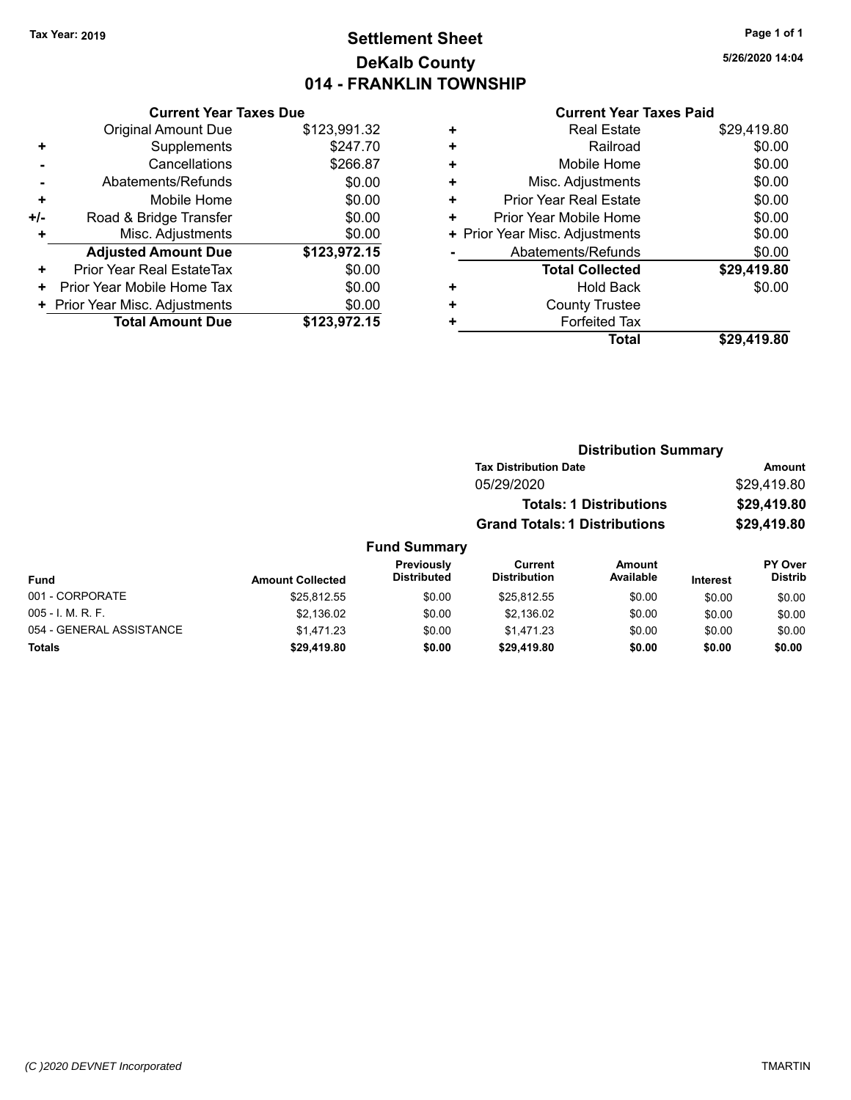# **Settlement Sheet Tax Year: 2019 Page 1 of 1 DeKalb County 014 - FRANKLIN TOWNSHIP**

**5/26/2020 14:04**

|     | <b>Current Year Taxes Due</b>  |              |  |  |  |  |  |
|-----|--------------------------------|--------------|--|--|--|--|--|
|     | <b>Original Amount Due</b>     | \$123,991.32 |  |  |  |  |  |
| ٠   | Supplements                    | \$247.70     |  |  |  |  |  |
|     | Cancellations                  | \$266.87     |  |  |  |  |  |
|     | Abatements/Refunds             | \$0.00       |  |  |  |  |  |
| ÷   | Mobile Home                    | \$0.00       |  |  |  |  |  |
| +/- | Road & Bridge Transfer         | \$0.00       |  |  |  |  |  |
| ٠   | Misc. Adjustments              | \$0.00       |  |  |  |  |  |
|     | <b>Adjusted Amount Due</b>     | \$123,972.15 |  |  |  |  |  |
| ٠   | Prior Year Real EstateTax      | \$0.00       |  |  |  |  |  |
| ٠   | Prior Year Mobile Home Tax     | \$0.00       |  |  |  |  |  |
|     | + Prior Year Misc. Adjustments | \$0.00       |  |  |  |  |  |
|     | <b>Total Amount Due</b>        | \$123,972.15 |  |  |  |  |  |

| ٠ | <b>Real Estate</b>             | \$29,419.80 |
|---|--------------------------------|-------------|
| ٠ | Railroad                       | \$0.00      |
| ÷ | Mobile Home                    | \$0.00      |
| ٠ | Misc. Adjustments              | \$0.00      |
| ٠ | <b>Prior Year Real Estate</b>  | \$0.00      |
| ٠ | Prior Year Mobile Home         | \$0.00      |
|   | + Prior Year Misc. Adjustments | \$0.00      |
|   | Abatements/Refunds             | \$0.00      |
|   | <b>Total Collected</b>         | \$29,419.80 |
| ٠ | Hold Back                      | \$0.00      |
| ٠ | <b>County Trustee</b>          |             |
| ٠ | <b>Forfeited Tax</b>           |             |
|   | <b>Total</b>                   | \$29,419.80 |
|   |                                |             |

|                          |                                      | <b>Distribution Summary</b>    |               |
|--------------------------|--------------------------------------|--------------------------------|---------------|
|                          | <b>Tax Distribution Date</b>         |                                | <b>Amount</b> |
|                          | 05/29/2020                           |                                | \$29,419.80   |
|                          |                                      | <b>Totals: 1 Distributions</b> | \$29,419.80   |
|                          | <b>Grand Totals: 1 Distributions</b> |                                | \$29,419.80   |
| <b>Fund Summary</b><br>. |                                      | .                              |               |

| <b>Fund</b>              | <b>Amount Collected</b> | Previously<br><b>Distributed</b> | Current<br><b>Distribution</b> | Amount<br>Available | <b>Interest</b> | <b>PY Over</b><br><b>Distrib</b> |
|--------------------------|-------------------------|----------------------------------|--------------------------------|---------------------|-----------------|----------------------------------|
| 001 - CORPORATE          | \$25.812.55             | \$0.00                           | \$25.812.55                    | \$0.00              | \$0.00          | \$0.00                           |
| $005 - I. M. R. F.$      | \$2.136.02              | \$0.00                           | \$2.136.02                     | \$0.00              | \$0.00          | \$0.00                           |
| 054 - GENERAL ASSISTANCE | \$1.471.23              | \$0.00                           | \$1,471.23                     | \$0.00              | \$0.00          | \$0.00                           |
| Totals                   | \$29,419.80             | \$0.00                           | \$29.419.80                    | \$0.00              | \$0.00          | \$0.00                           |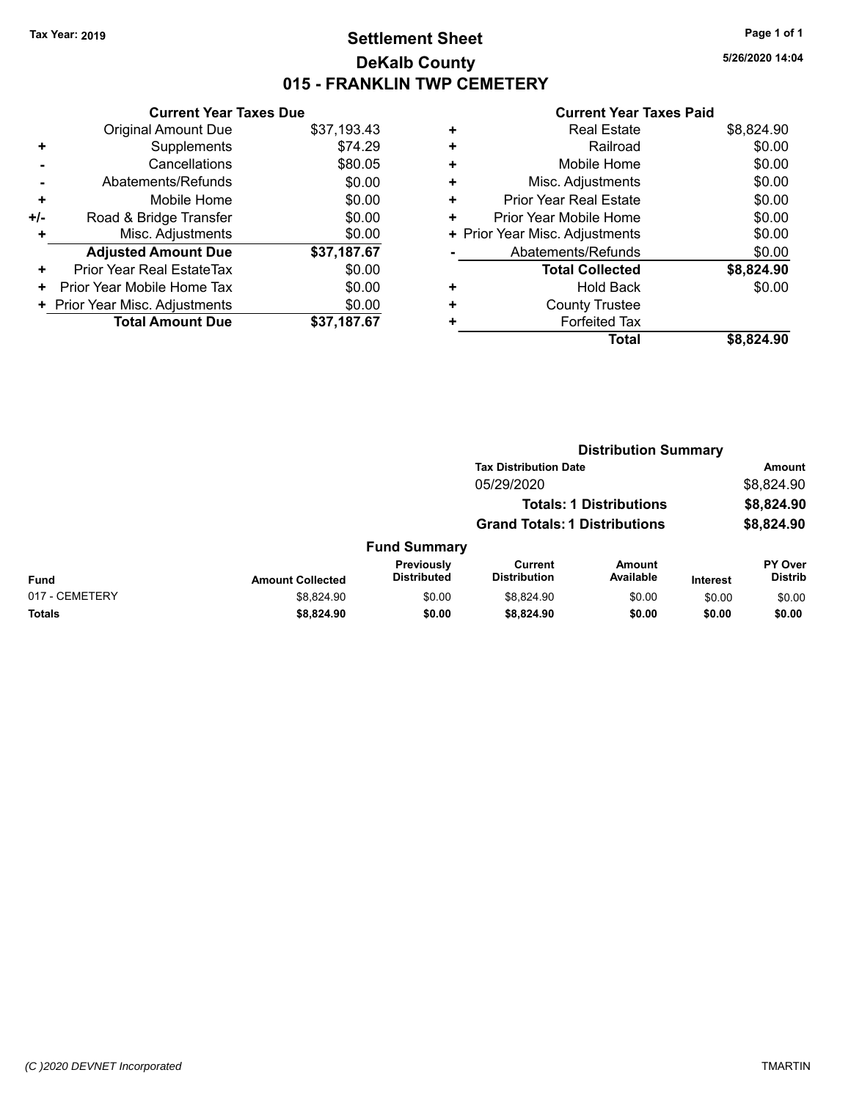# **Settlement Sheet Tax Year: 2019 Page 1 of 1 DeKalb County 015 - FRANKLIN TWP CEMETERY**

**5/26/2020 14:04**

|     | <b>Current Year Taxes Due</b>  |             |
|-----|--------------------------------|-------------|
|     | <b>Original Amount Due</b>     | \$37,193.43 |
| ٠   | Supplements                    | \$74.29     |
|     | Cancellations                  | \$80.05     |
|     | Abatements/Refunds             | \$0.00      |
| ٠   | Mobile Home                    | \$0.00      |
| +/- | Road & Bridge Transfer         | \$0.00      |
|     | Misc. Adjustments              | \$0.00      |
|     | <b>Adjusted Amount Due</b>     | \$37,187.67 |
| ٠   | Prior Year Real EstateTax      | \$0.00      |
| ٠   | Prior Year Mobile Home Tax     | \$0.00      |
|     | + Prior Year Misc. Adjustments | \$0.00      |
|     | <b>Total Amount Due</b>        | \$37,187.67 |
|     |                                |             |

| ٠ | <b>Real Estate</b>             | \$8,824.90 |
|---|--------------------------------|------------|
| ٠ | Railroad                       | \$0.00     |
| ٠ | Mobile Home                    | \$0.00     |
| ٠ | Misc. Adjustments              | \$0.00     |
| ٠ | <b>Prior Year Real Estate</b>  | \$0.00     |
| ٠ | Prior Year Mobile Home         | \$0.00     |
|   | + Prior Year Misc. Adjustments | \$0.00     |
|   | Abatements/Refunds             | \$0.00     |
|   | <b>Total Collected</b>         | \$8,824.90 |
| ٠ | Hold Back                      | \$0.00     |
| ٠ | <b>County Trustee</b>          |            |
| ٠ | <b>Forfeited Tax</b>           |            |
|   | Total                          | \$8,824.90 |
|   |                                |            |

|                | <b>Distribution Summary</b> |                                  |                                       |                                |                 |                           |  |
|----------------|-----------------------------|----------------------------------|---------------------------------------|--------------------------------|-----------------|---------------------------|--|
|                |                             |                                  | <b>Tax Distribution Date</b>          |                                | <b>Amount</b>   |                           |  |
|                |                             |                                  | 05/29/2020                            |                                |                 | \$8,824.90                |  |
|                |                             |                                  |                                       | <b>Totals: 1 Distributions</b> |                 | \$8,824.90                |  |
|                |                             |                                  | <b>Grand Totals: 1 Distributions</b>  |                                |                 | \$8,824.90                |  |
|                |                             | <b>Fund Summary</b>              |                                       |                                |                 |                           |  |
| <b>Fund</b>    | <b>Amount Collected</b>     | Previously<br><b>Distributed</b> | <b>Current</b><br><b>Distribution</b> | <b>Amount</b><br>Available     | <b>Interest</b> | PY Over<br><b>Distrib</b> |  |
| 017 - CEMETERY | \$8,824.90                  | \$0.00                           | \$8.824.90                            | \$0.00                         | \$0.00          | \$0.00                    |  |
| <b>Totals</b>  | \$8,824.90                  | \$0.00                           | \$8,824.90                            | \$0.00                         | \$0.00          | \$0.00                    |  |
|                |                             |                                  |                                       |                                |                 |                           |  |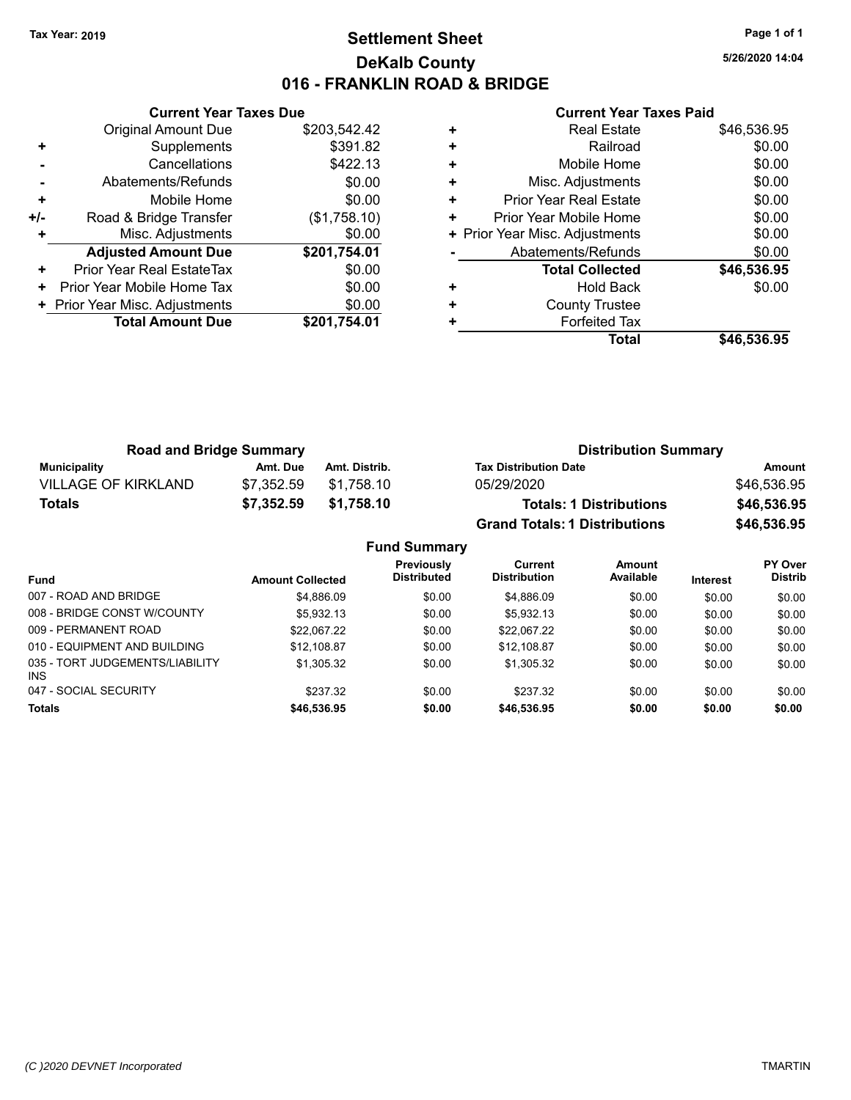# **Settlement Sheet Tax Year: 2019 Page 1 of 1 DeKalb County 016 - FRANKLIN ROAD & BRIDGE**

**5/26/2020 14:04**

|     | <b>Current Year Taxes Due</b>  |              |  |  |  |  |  |
|-----|--------------------------------|--------------|--|--|--|--|--|
|     | <b>Original Amount Due</b>     | \$203,542.42 |  |  |  |  |  |
|     | Supplements                    | \$391.82     |  |  |  |  |  |
|     | Cancellations                  | \$422.13     |  |  |  |  |  |
|     | Abatements/Refunds             | \$0.00       |  |  |  |  |  |
| ٠   | Mobile Home                    | \$0.00       |  |  |  |  |  |
| +/- | Road & Bridge Transfer         | (\$1,758.10) |  |  |  |  |  |
|     | Misc. Adjustments              | \$0.00       |  |  |  |  |  |
|     | <b>Adjusted Amount Due</b>     | \$201,754.01 |  |  |  |  |  |
| ٠   | Prior Year Real EstateTax      | \$0.00       |  |  |  |  |  |
| ÷   | Prior Year Mobile Home Tax     | \$0.00       |  |  |  |  |  |
|     | + Prior Year Misc. Adjustments | \$0.00       |  |  |  |  |  |
|     | <b>Total Amount Due</b>        | \$201,754.01 |  |  |  |  |  |
|     |                                |              |  |  |  |  |  |

|   | <b>Real Estate</b>             | \$46,536.95 |
|---|--------------------------------|-------------|
| ÷ | Railroad                       | \$0.00      |
| ÷ | Mobile Home                    | \$0.00      |
| ٠ | Misc. Adjustments              | \$0.00      |
| ٠ | <b>Prior Year Real Estate</b>  | \$0.00      |
| ٠ | Prior Year Mobile Home         | \$0.00      |
|   | + Prior Year Misc. Adjustments | \$0.00      |
|   | Abatements/Refunds             | \$0.00      |
|   | <b>Total Collected</b>         | \$46,536.95 |
| ٠ | <b>Hold Back</b>               | \$0.00      |
| ٠ | <b>County Trustee</b>          |             |
|   | <b>Forfeited Tax</b>           |             |
|   | Total                          | \$46.536.95 |

| <b>Road and Bridge Summary</b> |            |               | <b>Distribution Summary</b>          |             |  |
|--------------------------------|------------|---------------|--------------------------------------|-------------|--|
| <b>Municipality</b>            | Amt. Due   | Amt. Distrib. | <b>Tax Distribution Date</b>         | Amount      |  |
| <b>VILLAGE OF KIRKLAND</b>     | \$7.352.59 | \$1.758.10    | 05/29/2020                           | \$46,536.95 |  |
| <b>Totals</b>                  | \$7,352.59 | \$1,758.10    | <b>Totals: 1 Distributions</b>       | \$46,536.95 |  |
|                                |            |               | <b>Grand Totals: 1 Distributions</b> | \$46,536.95 |  |

| <b>Fund Summary</b>                     |                         |                                  |                                       |                     |          |                                  |  |
|-----------------------------------------|-------------------------|----------------------------------|---------------------------------------|---------------------|----------|----------------------------------|--|
| <b>Fund</b>                             | <b>Amount Collected</b> | Previously<br><b>Distributed</b> | <b>Current</b><br><b>Distribution</b> | Amount<br>Available | Interest | <b>PY Over</b><br><b>Distrib</b> |  |
| 007 - ROAD AND BRIDGE                   | \$4,886.09              | \$0.00                           | \$4,886.09                            | \$0.00              | \$0.00   | \$0.00                           |  |
| 008 - BRIDGE CONST W/COUNTY             | \$5.932.13              | \$0.00                           | \$5.932.13                            | \$0.00              | \$0.00   | \$0.00                           |  |
| 009 - PERMANENT ROAD                    | \$22.067.22             | \$0.00                           | \$22.067.22                           | \$0.00              | \$0.00   | \$0.00                           |  |
| 010 - EQUIPMENT AND BUILDING            | \$12.108.87             | \$0.00                           | \$12.108.87                           | \$0.00              | \$0.00   | \$0.00                           |  |
| 035 - TORT JUDGEMENTS/LIABILITY<br>INS. | \$1,305.32              | \$0.00                           | \$1,305.32                            | \$0.00              | \$0.00   | \$0.00                           |  |
| 047 - SOCIAL SECURITY                   | \$237.32                | \$0.00                           | \$237.32                              | \$0.00              | \$0.00   | \$0.00                           |  |
| <b>Totals</b>                           | \$46,536.95             | \$0.00                           | \$46,536.95                           | \$0.00              | \$0.00   | \$0.00                           |  |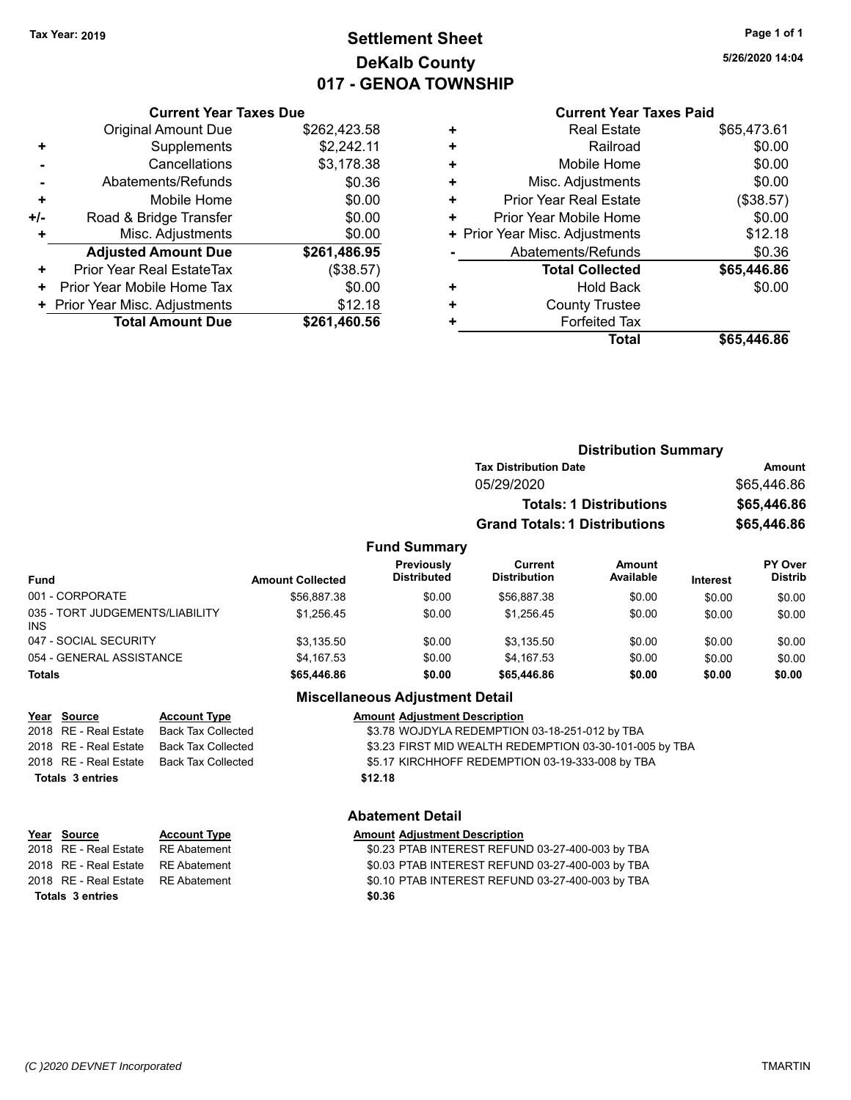# **Settlement Sheet Tax Year: 2019 Page 1 of 1 DeKalb County 017 - GENOA TOWNSHIP**

**5/26/2020 14:04**

### **Current Year Taxes Paid**

| <b>Current Year Taxes Due</b>             |              |  |  |  |
|-------------------------------------------|--------------|--|--|--|
| <b>Original Amount Due</b>                | \$262,423.58 |  |  |  |
| Supplements                               | \$2,242.11   |  |  |  |
| Cancellations                             | \$3,178.38   |  |  |  |
| Abatements/Refunds                        | \$0.36       |  |  |  |
| Mobile Home                               | \$0.00       |  |  |  |
| Road & Bridge Transfer                    | \$0.00       |  |  |  |
| Misc. Adjustments                         | \$0.00       |  |  |  |
| <b>Adjusted Amount Due</b>                | \$261,486.95 |  |  |  |
| Prior Year Real EstateTax                 | (\$38.57)    |  |  |  |
| Prior Year Mobile Home Tax                | \$0.00       |  |  |  |
| \$12.18<br>+ Prior Year Misc. Adjustments |              |  |  |  |
| <b>Total Amount Due</b>                   | \$261,460.56 |  |  |  |
|                                           |              |  |  |  |

| ٠ | <b>Real Estate</b>             | \$65,473.61 |
|---|--------------------------------|-------------|
| ٠ | Railroad                       | \$0.00      |
| ٠ | Mobile Home                    | \$0.00      |
| ٠ | Misc. Adjustments              | \$0.00      |
| ٠ | Prior Year Real Estate         | (\$38.57)   |
| ٠ | Prior Year Mobile Home         | \$0.00      |
|   | + Prior Year Misc. Adjustments | \$12.18     |
|   | Abatements/Refunds             | \$0.36      |
|   | <b>Total Collected</b>         | \$65,446.86 |
| ٠ | <b>Hold Back</b>               | \$0.00      |
| ٠ | <b>County Trustee</b>          |             |
| ٠ | <b>Forfeited Tax</b>           |             |
|   | Total                          | \$65,446.86 |
|   |                                |             |

|                                 |                         |                                  | <b>Distribution Summary</b>           |                                |                 |                           |
|---------------------------------|-------------------------|----------------------------------|---------------------------------------|--------------------------------|-----------------|---------------------------|
|                                 |                         |                                  | <b>Tax Distribution Date</b>          |                                |                 | <b>Amount</b>             |
|                                 |                         |                                  | 05/29/2020                            |                                |                 | \$65,446.86               |
|                                 |                         |                                  |                                       | <b>Totals: 1 Distributions</b> |                 | \$65,446.86               |
|                                 |                         |                                  | <b>Grand Totals: 1 Distributions</b>  |                                |                 | \$65,446.86               |
|                                 |                         | <b>Fund Summary</b>              |                                       |                                |                 |                           |
| <b>Fund</b>                     | <b>Amount Collected</b> | Previously<br><b>Distributed</b> | <b>Current</b><br><b>Distribution</b> | <b>Amount</b><br>Available     | <b>Interest</b> | PY Over<br><b>Distrib</b> |
| 001 - CORPORATE                 | \$56,887.38             | \$0.00                           | \$56,887.38                           | \$0.00                         | \$0.00          | \$0.00                    |
| 035 - TORT JUDGEMENTS/LIABILITY | \$1 256 45              | \$0.00                           | \$1 256 45                            | \$0.00                         | \$0.00          | \$0.00                    |

| Totals                                 | \$65,446.86 | \$0.00 | \$65,446.86 | \$0.00 | \$0.00 | \$0.00 |
|----------------------------------------|-------------|--------|-------------|--------|--------|--------|
| 054 - GENERAL ASSISTANCE               | \$4.167.53  | \$0.00 | \$4.167.53  | \$0.00 | \$0.00 | \$0.00 |
| 047 - SOCIAL SECURITY                  | \$3.135.50  | \$0.00 | \$3.135.50  | \$0.00 | \$0.00 | \$0.00 |
| 035 - TORT JUDGEMENTS/LIABILITY<br>INS | \$1.256.45  | \$0.00 | \$1.256.45  | \$0.00 | \$0.00 | \$0.00 |
| 001 - CORPORATE                        | \$56,887.38 | \$0.00 | \$56,887.38 | \$0.00 | \$0.00 | \$0.00 |

### **Miscellaneous Adjustment Detail**

| Year Source             | <b>Account Type</b> | <b>Amount Adjustment Description</b>                    |
|-------------------------|---------------------|---------------------------------------------------------|
| 2018 RE - Real Estate   | Back Tax Collected  | \$3.78 WOJDYLA REDEMPTION 03-18-251-012 by TBA          |
| 2018 RE - Real Estate   | Back Tax Collected  | \$3.23 FIRST MID WEALTH REDEMPTION 03-30-101-005 by TBA |
| 2018   RE - Real Estate | Back Tax Collected  | \$5.17 KIRCHHOFF REDEMPTION 03-19-333-008 by TBA        |
| Totals 3 entries        |                     | \$12.18                                                 |
|                         |                     |                                                         |

# **Abatement Detail**

| <u>Year Source</u>                  | <b>Account Type</b> | <b>Amount Adjustment Description</b>             |
|-------------------------------------|---------------------|--------------------------------------------------|
| 2018   RE - Real Estate             | RE Abatement        | \$0.23 PTAB INTEREST REFUND 03-27-400-003 by TBA |
| 2018 RE - Real Estate RE Abatement  |                     | \$0.03 PTAB INTEREST REFUND 03-27-400-003 by TBA |
| 2018 RE - Real Estate  RE Abatement |                     | \$0.10 PTAB INTEREST REFUND 03-27-400-003 by TBA |
| Totals 3 entries                    |                     | \$0.36                                           |
|                                     |                     |                                                  |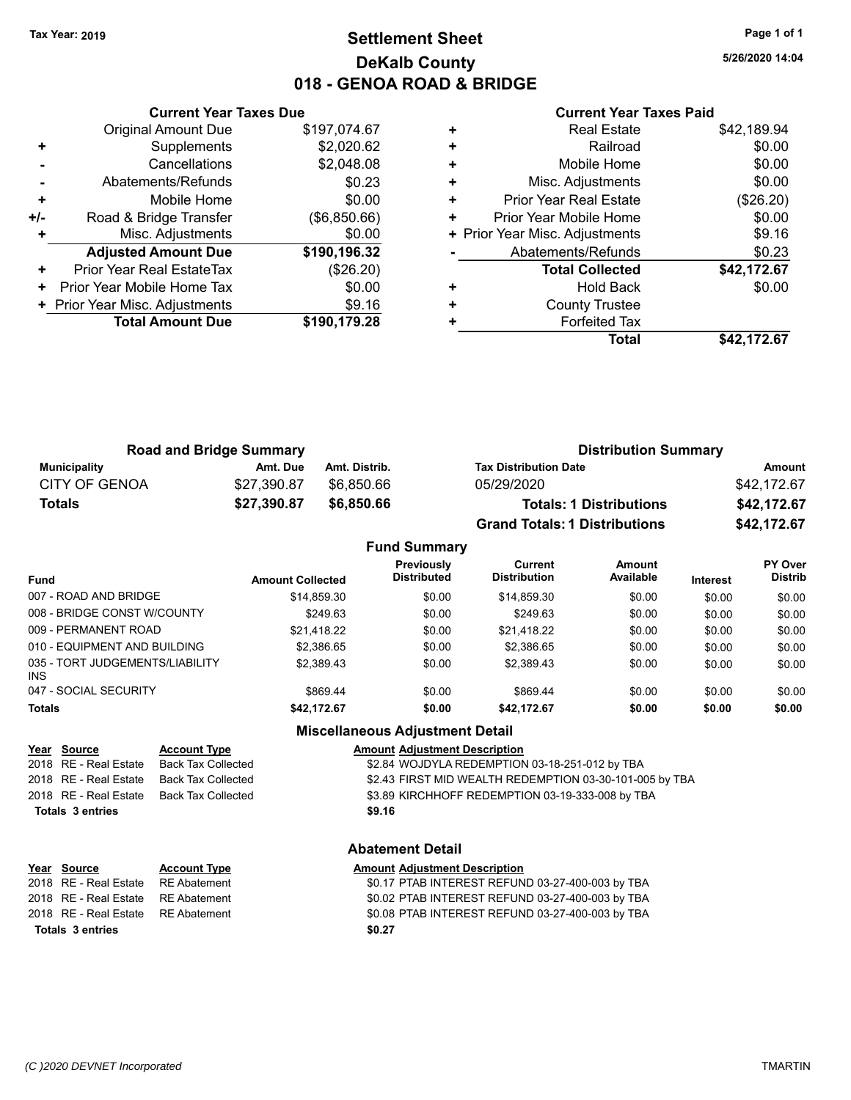# **Settlement Sheet Tax Year: 2019 Page 1 of 1 DeKalb County 018 - GENOA ROAD & BRIDGE**

**5/26/2020 14:04**

### **Current Year Taxes Paid**

|     | <b>Current Year Taxes Due</b>            |              |  |  |
|-----|------------------------------------------|--------------|--|--|
|     | <b>Original Amount Due</b>               | \$197,074.67 |  |  |
| ٠   | Supplements                              | \$2,020.62   |  |  |
|     | Cancellations                            | \$2,048.08   |  |  |
|     | Abatements/Refunds                       | \$0.23       |  |  |
| ٠   | Mobile Home                              | \$0.00       |  |  |
| +/- | Road & Bridge Transfer                   | (\$6,850.66) |  |  |
|     | Misc. Adjustments                        | \$0.00       |  |  |
|     | <b>Adjusted Amount Due</b>               | \$190,196.32 |  |  |
| ٠   | Prior Year Real EstateTax                | (\$26.20)    |  |  |
| ÷   | Prior Year Mobile Home Tax               | \$0.00       |  |  |
|     | \$9.16<br>+ Prior Year Misc. Adjustments |              |  |  |
|     | <b>Total Amount Due</b>                  | \$190,179.28 |  |  |
|     |                                          |              |  |  |

|   | <b>Real Estate</b>             | \$42,189.94 |
|---|--------------------------------|-------------|
| ٠ | Railroad                       | \$0.00      |
| ٠ | Mobile Home                    | \$0.00      |
| ٠ | Misc. Adjustments              | \$0.00      |
| ٠ | <b>Prior Year Real Estate</b>  | (\$26.20)   |
| ٠ | Prior Year Mobile Home         | \$0.00      |
|   | + Prior Year Misc. Adjustments | \$9.16      |
|   | Abatements/Refunds             | \$0.23      |
|   | <b>Total Collected</b>         | \$42,172.67 |
| ٠ | <b>Hold Back</b>               | \$0.00      |
| ٠ | <b>County Trustee</b>          |             |
| ٠ | <b>Forfeited Tax</b>           |             |
|   | <b>Total</b>                   | \$42,172.67 |

| <b>Road and Bridge Summary</b> |             | <b>Distribution Summary</b> |                                      |             |
|--------------------------------|-------------|-----------------------------|--------------------------------------|-------------|
| Municipality                   | Amt. Due    | Amt. Distrib.               | <b>Tax Distribution Date</b>         | Amount      |
| CITY OF GENOA                  | \$27.390.87 | \$6.850.66                  | 05/29/2020                           | \$42,172.67 |
| Totals                         | \$27,390.87 | \$6,850.66                  | <b>Totals: 1 Distributions</b>       | \$42,172.67 |
|                                |             |                             | <b>Grand Totals: 1 Distributions</b> | \$42,172.67 |

#### **Fund Summary Fund Interest Amount Collected Distributed PY Over Distrib Amount Available Current Distribution Previously** 007 - ROAD AND BRIDGE 60.00 \$14,859.30 \$0.00 \$14,859.30 \$0.00 \$0.00 \$0.00 \$0.00 \$0.00 008 - BRIDGE CONST W/COUNTY  $$249.63$   $$0.00$   $$249.63$   $$249.63$   $$0.00$   $$0.00$   $$0.00$ 009 - PERMANENT ROAD \$21,418.22 \$0.00 \$21,418.22 \$0.00 \$0.00 \$0.00 010 - EQUIPMENT AND BUILDING \$2,386.65 \$0.00 \$2,386.65 \$0.00 \$0.00 \$0.00 \$0.00 \$0.00 035 - TORT JUDGEMENTS/LIABILITY INS \$2,389.43 \$0.00 \$2,389.43 \$0.00 \$0.00 \$0.00 047 - SOCIAL SECURITY \$869.44 \$0.00 \$869.44 \$0.00 \$0.00 \$0.00 \$0.00 **Totals \$42,172.67 \$0.00 \$42,172.67 \$0.00 \$0.00 \$0.00**

### **Miscellaneous Adjustment Detail**

| Year Source             | <b>Account Type</b> | <b>Amount Adjustment Description</b>                    |
|-------------------------|---------------------|---------------------------------------------------------|
| 2018   RE - Real Estate | Back Tax Collected  | \$2.84 WOJDYLA REDEMPTION 03-18-251-012 by TBA          |
| 2018 RE - Real Estate   | Back Tax Collected  | \$2.43 FIRST MID WEALTH REDEMPTION 03-30-101-005 by TBA |
| 2018 RE - Real Estate   | Back Tax Collected  | \$3.89 KIRCHHOFF REDEMPTION 03-19-333-008 by TBA        |
| <b>Totals 3 entries</b> |                     | \$9.16                                                  |
|                         |                     |                                                         |

# **Year Source Account Type Amount Adjustment Description Totals \$0.27 3 entries**

**Abatement Detail**

2018 RE - Real Estate RE Abatement \$0.17 PTAB INTEREST REFUND 03-27-400-003 by TBA 2018 RE - Real Estate \$0.02 PTAB INTEREST REFUND 03-27-400-003 by RE Abatement TBA 2018 RE - Real Estate RE Abatement \$0.08 PTAB INTEREST REFUND 03-27-400-003 by TBA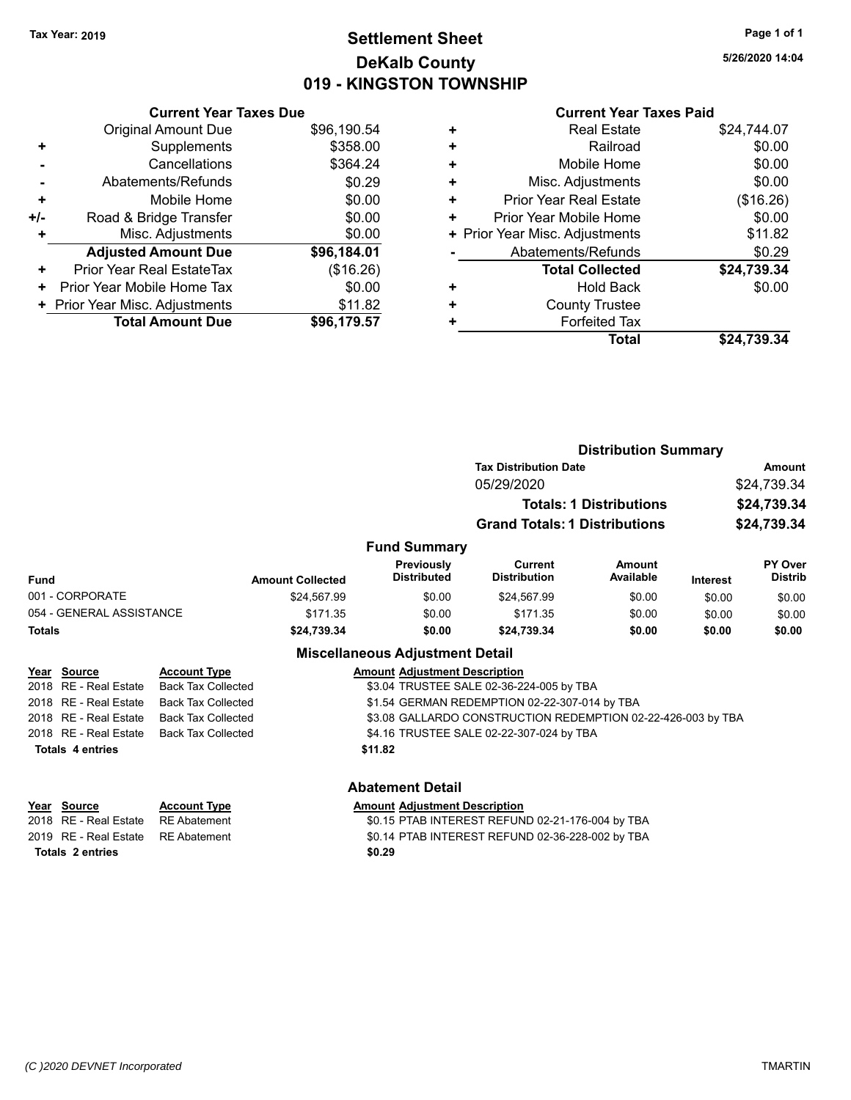# **Settlement Sheet Tax Year: 2019 Page 1 of 1 DeKalb County 019 - KINGSTON TOWNSHIP**

**5/26/2020 14:04**

|     | <b>Current Year Taxes Due</b>    |             |  |  |
|-----|----------------------------------|-------------|--|--|
|     | <b>Original Amount Due</b>       | \$96,190.54 |  |  |
| ÷   | Supplements                      | \$358.00    |  |  |
|     | Cancellations                    | \$364.24    |  |  |
|     | Abatements/Refunds               | \$0.29      |  |  |
| ÷   | Mobile Home                      | \$0.00      |  |  |
| +/- | Road & Bridge Transfer           | \$0.00      |  |  |
| ٠   | Misc. Adjustments                | \$0.00      |  |  |
|     | <b>Adjusted Amount Due</b>       | \$96,184.01 |  |  |
| ٠   | <b>Prior Year Real EstateTax</b> | (\$16.26)   |  |  |
| ٠   | Prior Year Mobile Home Tax       | \$0.00      |  |  |
|     | + Prior Year Misc. Adjustments   | \$11.82     |  |  |
|     | <b>Total Amount Due</b>          | \$96,179.57 |  |  |
|     |                                  |             |  |  |

|   | Total                          | \$24,739.34 |
|---|--------------------------------|-------------|
| ٠ | <b>Forfeited Tax</b>           |             |
| ٠ | <b>County Trustee</b>          |             |
| ٠ | Hold Back                      | \$0.00      |
|   | <b>Total Collected</b>         | \$24,739.34 |
|   | Abatements/Refunds             | \$0.29      |
|   | + Prior Year Misc. Adjustments | \$11.82     |
| ٠ | Prior Year Mobile Home         | \$0.00      |
| ٠ | <b>Prior Year Real Estate</b>  | (\$16.26)   |
| ٠ | Misc. Adjustments              | \$0.00      |
| ٠ | Mobile Home                    | \$0.00      |
| ٠ | Railroad                       | \$0.00      |
| ٠ | <b>Real Estate</b>             | \$24,744.07 |

|                          |                           |                         | <b>Distribution Summary</b>              |                                                              |                                |                 |                           |
|--------------------------|---------------------------|-------------------------|------------------------------------------|--------------------------------------------------------------|--------------------------------|-----------------|---------------------------|
|                          |                           |                         |                                          | <b>Tax Distribution Date</b>                                 |                                |                 | <b>Amount</b>             |
|                          |                           |                         |                                          | 05/29/2020                                                   |                                |                 | \$24,739.34               |
|                          |                           |                         |                                          |                                                              | <b>Totals: 1 Distributions</b> |                 | \$24,739.34               |
|                          |                           |                         |                                          | <b>Grand Totals: 1 Distributions</b>                         |                                |                 | \$24,739.34               |
|                          |                           |                         | <b>Fund Summary</b>                      |                                                              |                                |                 |                           |
| <b>Fund</b>              |                           | <b>Amount Collected</b> | Previously<br><b>Distributed</b>         | <b>Current</b><br><b>Distribution</b>                        | Amount<br>Available            | <b>Interest</b> | PY Over<br><b>Distrib</b> |
| 001 - CORPORATE          |                           | \$24,567.99             | \$0.00                                   | \$24,567.99                                                  | \$0.00                         | \$0.00          | \$0.00                    |
| 054 - GENERAL ASSISTANCE |                           | \$171.35                | \$0.00                                   | \$171.35                                                     | \$0.00                         | \$0.00          | \$0.00                    |
| <b>Totals</b>            |                           | \$24,739.34             | \$0.00                                   | \$24,739.34                                                  | \$0.00                         | \$0.00          | \$0.00                    |
|                          |                           |                         | <b>Miscellaneous Adjustment Detail</b>   |                                                              |                                |                 |                           |
| Year Source              | <b>Account Type</b>       |                         | <b>Amount Adjustment Description</b>     |                                                              |                                |                 |                           |
| 2018 RE - Real Estate    | <b>Back Tax Collected</b> |                         |                                          | \$3.04 TRUSTEE SALE 02-36-224-005 by TBA                     |                                |                 |                           |
| 2018 RE - Real Estate    | <b>Back Tax Collected</b> |                         |                                          | \$1.54 GERMAN REDEMPTION 02-22-307-014 by TBA                |                                |                 |                           |
| 2018 RE - Real Estate    | <b>Back Tax Collected</b> |                         |                                          | \$3.08 GALLARDO CONSTRUCTION REDEMPTION 02-22-426-003 by TBA |                                |                 |                           |
| 2018 RE - Real Estate    | <b>Back Tax Collected</b> |                         | \$4.16 TRUSTEE SALE 02-22-307-024 by TBA |                                                              |                                |                 |                           |
| <b>Totals 4 entries</b>  |                           |                         | \$11.82                                  |                                                              |                                |                 |                           |
|                          |                           |                         | <b>Abatement Detail</b>                  |                                                              |                                |                 |                           |

| Year Source                        | <b>Account Type</b> | <b>Amount Adjustment Description</b>             |
|------------------------------------|---------------------|--------------------------------------------------|
|                                    |                     | \$0.15 PTAB INTEREST REFUND 02-21-176-004 by TBA |
| 2019 RE - Real Estate RE Abatement |                     | \$0.14 PTAB INTEREST REFUND 02-36-228-002 by TBA |
| Totals 2 entries                   |                     | \$0.29                                           |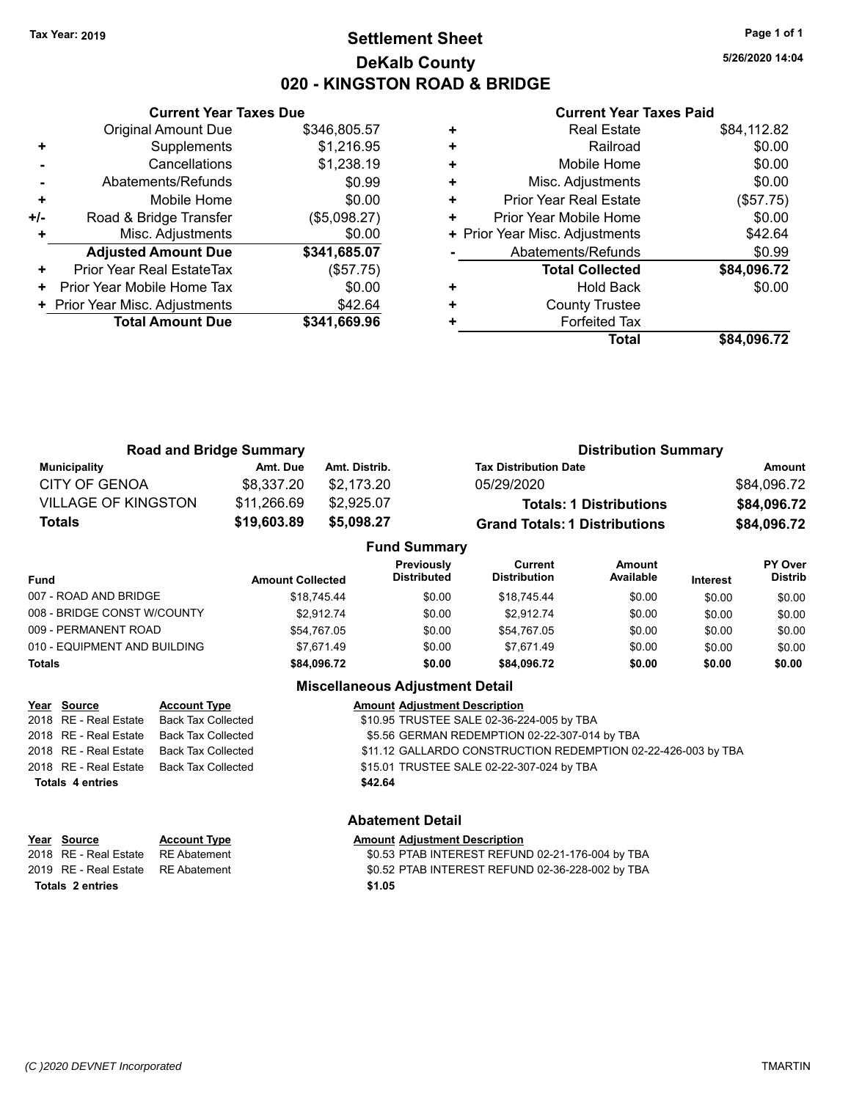# **Settlement Sheet Tax Year: 2019 Page 1 of 1 DeKalb County 020 - KINGSTON ROAD & BRIDGE**

**5/26/2020 14:04**

### **Current Year Taxes Paid**

|     | <b>Current Year Taxes Due</b>  |              |
|-----|--------------------------------|--------------|
|     | <b>Original Amount Due</b>     | \$346,805.57 |
|     | Supplements                    | \$1,216.95   |
|     | Cancellations                  | \$1,238.19   |
|     | Abatements/Refunds             | \$0.99       |
| ٠   | Mobile Home                    | \$0.00       |
| +/- | Road & Bridge Transfer         | (\$5,098.27) |
|     | Misc. Adjustments              | \$0.00       |
|     | <b>Adjusted Amount Due</b>     | \$341,685.07 |
| ٠   | Prior Year Real EstateTax      | (\$57.75)    |
| ٠   | Prior Year Mobile Home Tax     | \$0.00       |
|     | + Prior Year Misc. Adjustments | \$42.64      |
|     | <b>Total Amount Due</b>        | \$341,669.96 |
|     |                                |              |

|   | <b>Real Estate</b>             | \$84,112.82 |
|---|--------------------------------|-------------|
| ٠ | Railroad                       | \$0.00      |
| ٠ | Mobile Home                    | \$0.00      |
| ٠ | Misc. Adjustments              | \$0.00      |
| ٠ | Prior Year Real Estate         | (\$57.75)   |
| ٠ | Prior Year Mobile Home         | \$0.00      |
|   | + Prior Year Misc. Adjustments | \$42.64     |
|   | Abatements/Refunds             | \$0.99      |
|   | <b>Total Collected</b>         | \$84,096.72 |
| ٠ | Hold Back                      | \$0.00      |
| ٠ | <b>County Trustee</b>          |             |
|   | <b>Forfeited Tax</b>           |             |
|   | Total                          | \$84.096.72 |

|                            | <b>Road and Bridge Summary</b> |                     | <b>Distribution Summary</b>          |             |
|----------------------------|--------------------------------|---------------------|--------------------------------------|-------------|
| <b>Municipality</b>        | Amt. Due                       | Amt. Distrib.       | <b>Tax Distribution Date</b>         | Amount      |
| CITY OF GENOA              | \$8.337.20                     | \$2.173.20          | 05/29/2020                           | \$84,096.72 |
| <b>VILLAGE OF KINGSTON</b> | \$11,266.69                    | \$2,925.07          | <b>Totals: 1 Distributions</b>       | \$84,096.72 |
| Totals                     | \$19,603.89                    | \$5,098.27          | <b>Grand Totals: 1 Distributions</b> | \$84,096.72 |
|                            |                                | <b>Fund Summary</b> |                                      |             |

|                              |                         | UIIU VUIIIIIIII Y                       |                                |                            |                 |                                  |
|------------------------------|-------------------------|-----------------------------------------|--------------------------------|----------------------------|-----------------|----------------------------------|
| Fund                         | <b>Amount Collected</b> | <b>Previously</b><br><b>Distributed</b> | Current<br><b>Distribution</b> | <b>Amount</b><br>Available | <b>Interest</b> | <b>PY Over</b><br><b>Distrib</b> |
| 007 - ROAD AND BRIDGE        | \$18.745.44             | \$0.00                                  | \$18.745.44                    | \$0.00                     | \$0.00          | \$0.00                           |
| 008 - BRIDGE CONST W/COUNTY  | \$2.912.74              | \$0.00                                  | \$2.912.74                     | \$0.00                     | \$0.00          | \$0.00                           |
| 009 - PERMANENT ROAD         | \$54.767.05             | \$0.00                                  | \$54.767.05                    | \$0.00                     | \$0.00          | \$0.00                           |
| 010 - EQUIPMENT AND BUILDING | \$7.671.49              | \$0.00                                  | \$7.671.49                     | \$0.00                     | \$0.00          | \$0.00                           |
| Totals                       | \$84.096.72             | \$0.00                                  | \$84,096.72                    | \$0.00                     | \$0.00          | \$0.00                           |
|                              |                         |                                         |                                |                            |                 |                                  |

### **Miscellaneous Adjustment Detail**

| Year Source             | <b>Account Type</b>                      | <b>Amount Adjustment Description</b>                          |
|-------------------------|------------------------------------------|---------------------------------------------------------------|
|                         | 2018 RE - Real Estate Back Tax Collected | \$10.95 TRUSTEE SALE 02-36-224-005 by TBA                     |
|                         | 2018 RE - Real Estate Back Tax Collected | \$5.56 GERMAN REDEMPTION 02-22-307-014 by TBA                 |
|                         | 2018 RE - Real Estate Back Tax Collected | \$11.12 GALLARDO CONSTRUCTION REDEMPTION 02-22-426-003 by TBA |
|                         | 2018 RE - Real Estate Back Tax Collected | \$15.01 TRUSTEE SALE 02-22-307-024 by TBA                     |
| <b>Totals 4 entries</b> |                                          | \$42.64                                                       |
|                         |                                          |                                                               |

# **Year** Source **Account Type Account Adjustment Description**

**Totals \$1.05 2 entries**

### **Abatement Detail**

2018 RE - Real Estate RE Abatement \$0.53 PTAB INTEREST REFUND 02-21-176-004 by TBA 2019 RE - Real Estate RE Abatement \$0.52 PTAB INTEREST REFUND 02-36-228-002 by TBA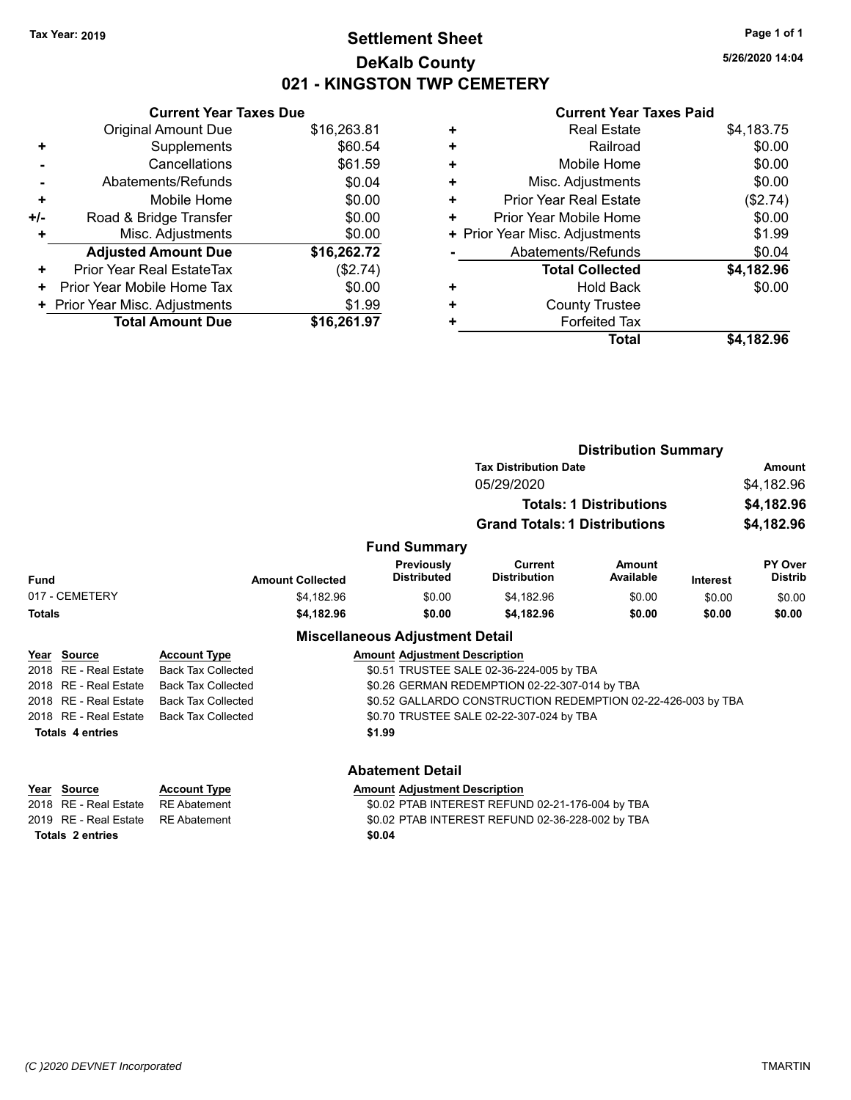# **Settlement Sheet Tax Year: 2019 Page 1 of 1 DeKalb County 021 - KINGSTON TWP CEMETERY**

**5/26/2020 14:04**

### **Current Year Taxes Paid**

| \$16,263.81 |
|-------------|
| \$60.54     |
| \$61.59     |
| \$0.04      |
| \$0.00      |
| \$0.00      |
| \$0.00      |
| \$16,262.72 |
| (\$2.74)    |
| \$0.00      |
| \$1.99      |
| \$16.261.97 |
|             |

| <b>Real Estate</b>             | \$4,183.75 |
|--------------------------------|------------|
| Railroad                       | \$0.00     |
| Mobile Home                    | \$0.00     |
| Misc. Adjustments              | \$0.00     |
| <b>Prior Year Real Estate</b>  | (\$2.74)   |
| Prior Year Mobile Home         | \$0.00     |
| + Prior Year Misc. Adjustments | \$1.99     |
| Abatements/Refunds             | \$0.04     |
| <b>Total Collected</b>         | \$4,182.96 |
| <b>Hold Back</b>               | \$0.00     |
| <b>County Trustee</b>          |            |
| <b>Forfeited Tax</b>           |            |
| Total                          | \$4,182.96 |
|                                |            |

|               |                         |                           |                                        | <b>Distribution Summary</b>                                  |                                |                 |                           |
|---------------|-------------------------|---------------------------|----------------------------------------|--------------------------------------------------------------|--------------------------------|-----------------|---------------------------|
|               |                         |                           |                                        | <b>Tax Distribution Date</b>                                 |                                |                 | <b>Amount</b>             |
|               |                         |                           |                                        | 05/29/2020                                                   |                                |                 | \$4,182.96                |
|               |                         |                           |                                        |                                                              | <b>Totals: 1 Distributions</b> |                 | \$4,182.96                |
|               |                         |                           |                                        | <b>Grand Totals: 1 Distributions</b>                         |                                |                 | \$4,182.96                |
|               |                         |                           | <b>Fund Summary</b>                    |                                                              |                                |                 |                           |
| <b>Fund</b>   |                         | <b>Amount Collected</b>   | Previously<br><b>Distributed</b>       | <b>Current</b><br><b>Distribution</b>                        | Amount<br>Available            | <b>Interest</b> | PY Over<br><b>Distrib</b> |
|               | 017 - CEMETERY          | \$4,182.96                | \$0.00                                 | \$4,182.96                                                   | \$0.00                         | \$0.00          | \$0.00                    |
| <b>Totals</b> |                         | \$4,182.96                | \$0.00                                 | \$4,182.96                                                   | \$0.00                         | \$0.00          | \$0.00                    |
|               |                         |                           | <b>Miscellaneous Adjustment Detail</b> |                                                              |                                |                 |                           |
|               | Year Source             | <b>Account Type</b>       | <b>Amount Adjustment Description</b>   |                                                              |                                |                 |                           |
| 2018          | <b>RE</b> - Real Estate | <b>Back Tax Collected</b> |                                        | \$0.51 TRUSTEE SALE 02-36-224-005 by TBA                     |                                |                 |                           |
| 2018          | RE - Real Estate        | <b>Back Tax Collected</b> |                                        | \$0.26 GERMAN REDEMPTION 02-22-307-014 by TBA                |                                |                 |                           |
| 2018          | <b>RE</b> - Real Estate | <b>Back Tax Collected</b> |                                        | \$0.52 GALLARDO CONSTRUCTION REDEMPTION 02-22-426-003 by TBA |                                |                 |                           |
|               | 2018 RE - Real Estate   | <b>Back Tax Collected</b> |                                        | \$0.70 TRUSTEE SALE 02-22-307-024 by TBA                     |                                |                 |                           |
|               | <b>Totals 4 entries</b> |                           | \$1.99                                 |                                                              |                                |                 |                           |
|               |                         |                           | <b>Abatement Detail</b>                |                                                              |                                |                 |                           |
|               | Year Source             | <b>Account Type</b>       | <b>Amount Adjustment Description</b>   |                                                              |                                |                 |                           |
|               |                         |                           |                                        |                                                              |                                |                 |                           |

**Totals \$0.04 2 entries**

2018 RE - Real Estate RE Abatement \$0.02 PTAB INTEREST REFUND 02-21-176-004 by TBA 2019 RE - Real Estate RE Abatement \$0.02 PTAB INTEREST REFUND 02-36-228-002 by TBA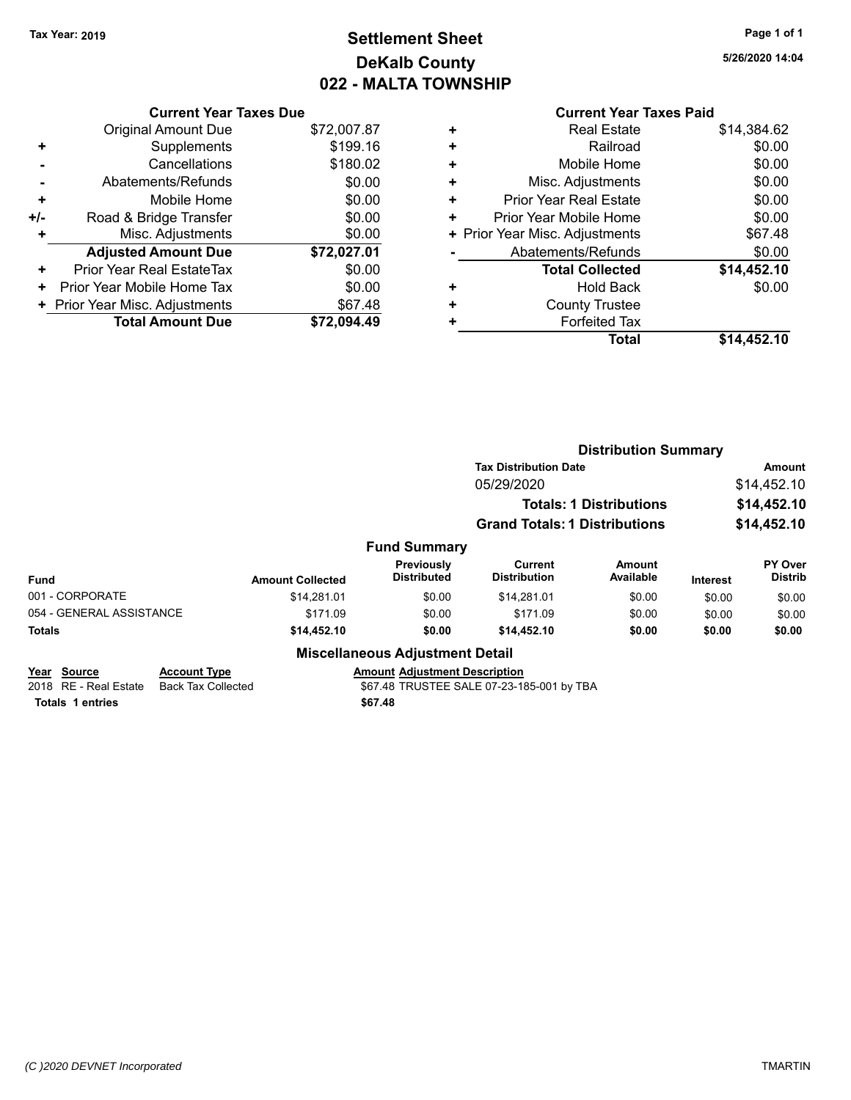# **Settlement Sheet Tax Year: 2019 Page 1 of 1 DeKalb County 022 - MALTA TOWNSHIP**

**5/26/2020 14:04**

|     | <b>Current Year Taxes Due</b>  |             |
|-----|--------------------------------|-------------|
|     | <b>Original Amount Due</b>     | \$72,007.87 |
| ٠   | Supplements                    | \$199.16    |
|     | Cancellations                  | \$180.02    |
|     | Abatements/Refunds             | \$0.00      |
| ÷   | Mobile Home                    | \$0.00      |
| +/- | Road & Bridge Transfer         | \$0.00      |
| ٠   | Misc. Adjustments              | \$0.00      |
|     | <b>Adjusted Amount Due</b>     | \$72,027.01 |
| ÷   | Prior Year Real EstateTax      | \$0.00      |
| ٠   | Prior Year Mobile Home Tax     | \$0.00      |
|     | + Prior Year Misc. Adjustments | \$67.48     |
|     | <b>Total Amount Due</b>        | \$72.094.49 |

| ٠ | <b>Real Estate</b>             | \$14,384.62 |
|---|--------------------------------|-------------|
| ÷ | Railroad                       | \$0.00      |
| ٠ | Mobile Home                    | \$0.00      |
| ÷ | Misc. Adjustments              | \$0.00      |
| ٠ | <b>Prior Year Real Estate</b>  | \$0.00      |
| ٠ | Prior Year Mobile Home         | \$0.00      |
|   | + Prior Year Misc. Adjustments | \$67.48     |
|   | Abatements/Refunds             | \$0.00      |
|   | <b>Total Collected</b>         | \$14,452.10 |
| ٠ | Hold Back                      | \$0.00      |
| ٠ | <b>County Trustee</b>          |             |
| ٠ | <b>Forfeited Tax</b>           |             |
|   | Total                          | \$14,452.10 |
|   |                                |             |

|                          |                     |                         |                                        | <b>Distribution Summary</b>           |                                |                 |                                  |
|--------------------------|---------------------|-------------------------|----------------------------------------|---------------------------------------|--------------------------------|-----------------|----------------------------------|
|                          |                     |                         |                                        | <b>Tax Distribution Date</b>          |                                | Amount          |                                  |
|                          |                     |                         |                                        | 05/29/2020                            |                                |                 | \$14,452.10                      |
|                          |                     |                         |                                        |                                       | <b>Totals: 1 Distributions</b> |                 | \$14,452.10                      |
|                          |                     |                         |                                        | <b>Grand Totals: 1 Distributions</b>  |                                |                 | \$14,452.10                      |
|                          |                     |                         | <b>Fund Summary</b>                    |                                       |                                |                 |                                  |
| <b>Fund</b>              |                     | <b>Amount Collected</b> | Previously<br><b>Distributed</b>       | <b>Current</b><br><b>Distribution</b> | <b>Amount</b><br>Available     | <b>Interest</b> | <b>PY Over</b><br><b>Distrib</b> |
| 001 - CORPORATE          |                     | \$14.281.01             | \$0.00                                 | \$14,281.01                           | \$0.00                         | \$0.00          | \$0.00                           |
| 054 - GENERAL ASSISTANCE |                     | \$171.09                | \$0.00                                 | \$171.09                              | \$0.00                         | \$0.00          | \$0.00                           |
| <b>Totals</b>            |                     | \$14,452.10             | \$0.00                                 | \$14,452.10                           | \$0.00                         | \$0.00          | \$0.00                           |
|                          |                     |                         | <b>Miscellaneous Adjustment Detail</b> |                                       |                                |                 |                                  |
| Year Source              | <b>Account Type</b> |                         | <b>Amount Adjustment Description</b>   |                                       |                                |                 |                                  |

| <b>IGAI JUULU</b> U | ACCOUNT IVDE                             | Allioulit Adiustrielit Describitori       |
|---------------------|------------------------------------------|-------------------------------------------|
|                     | 2018 RE - Real Estate Back Tax Collected | \$67.48 TRUSTEE SALE 07-23-185-001 by TBA |
| Totals 1 entries    |                                          | \$67.48                                   |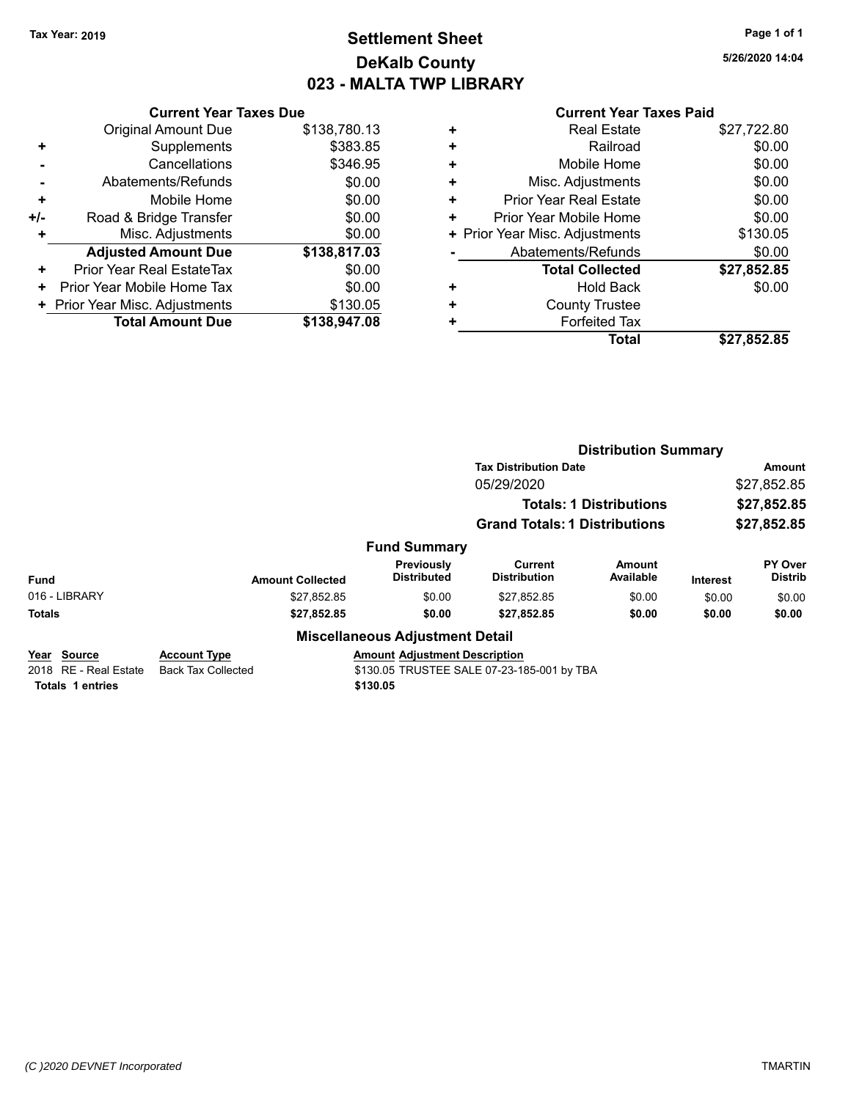# **Settlement Sheet Tax Year: 2019 Page 1 of 1 DeKalb County 023 - MALTA TWP LIBRARY**

**5/26/2020 14:04**

| <b>Current Year Taxes Due</b> |                                |
|-------------------------------|--------------------------------|
| <b>Original Amount Due</b>    | \$138,780.13                   |
| Supplements                   | \$383.85                       |
| Cancellations                 | \$346.95                       |
| Abatements/Refunds            | \$0.00                         |
| Mobile Home                   | \$0.00                         |
| Road & Bridge Transfer        | \$0.00                         |
| Misc. Adjustments             | \$0.00                         |
| <b>Adjusted Amount Due</b>    | \$138,817.03                   |
| Prior Year Real EstateTax     | \$0.00                         |
| Prior Year Mobile Home Tax    | \$0.00                         |
|                               | \$130.05                       |
| <b>Total Amount Due</b>       | \$138,947.08                   |
|                               | + Prior Year Misc. Adjustments |

|   | <b>Real Estate</b>             | \$27,722.80 |
|---|--------------------------------|-------------|
| ٠ | Railroad                       | \$0.00      |
| ٠ | Mobile Home                    | \$0.00      |
| ٠ | Misc. Adjustments              | \$0.00      |
| ٠ | <b>Prior Year Real Estate</b>  | \$0.00      |
| ٠ | Prior Year Mobile Home         | \$0.00      |
|   | + Prior Year Misc. Adjustments | \$130.05    |
|   | Abatements/Refunds             | \$0.00      |
|   | <b>Total Collected</b>         | \$27,852.85 |
| ٠ | <b>Hold Back</b>               | \$0.00      |
| ٠ | <b>County Trustee</b>          |             |
| ٠ | <b>Forfeited Tax</b>           |             |
|   | <b>Total</b>                   | \$27,852.85 |
|   |                                |             |

|                                            |        | <b>Distribution Summary</b> |                                             |                                       |                                |                 |                                  |
|--------------------------------------------|--------|-----------------------------|---------------------------------------------|---------------------------------------|--------------------------------|-----------------|----------------------------------|
|                                            |        |                             |                                             | <b>Tax Distribution Date</b>          |                                | <b>Amount</b>   |                                  |
|                                            |        |                             |                                             | 05/29/2020                            |                                |                 | \$27,852.85                      |
|                                            |        |                             |                                             |                                       | <b>Totals: 1 Distributions</b> |                 | \$27,852.85                      |
|                                            |        |                             |                                             | <b>Grand Totals: 1 Distributions</b>  |                                |                 | \$27,852.85                      |
|                                            |        |                             | <b>Fund Summary</b>                         |                                       |                                |                 |                                  |
| <b>Fund</b>                                |        | <b>Amount Collected</b>     | Previously<br><b>Distributed</b>            | <b>Current</b><br><b>Distribution</b> | Amount<br>Available            | <b>Interest</b> | <b>PY Over</b><br><b>Distrib</b> |
| 016 - LIBRARY                              |        | \$27,852.85                 | \$0.00                                      | \$27,852.85                           | \$0.00                         | \$0.00          | \$0.00                           |
| <b>Totals</b>                              |        | \$27,852.85                 | \$0.00                                      | \$27,852.85                           | \$0.00                         | \$0.00          | \$0.00                           |
|                                            |        |                             | <b>Miscellaneous Adjustment Detail</b>      |                                       |                                |                 |                                  |
| $\mathbf{v}$ . $\mathbf{v}$ . $\mathbf{v}$ | A 4 Th |                             | Associated Additional and Properties Alexan |                                       |                                |                 |                                  |

| Year Source             | <b>Account Type</b> | <b>Amount Adiustment Description</b>       |
|-------------------------|---------------------|--------------------------------------------|
| 2018   RE - Real Estate | Back Tax Collected  | \$130.05 TRUSTEE SALE 07-23-185-001 by TBA |
| Totals 1 entries        |                     | \$130.05                                   |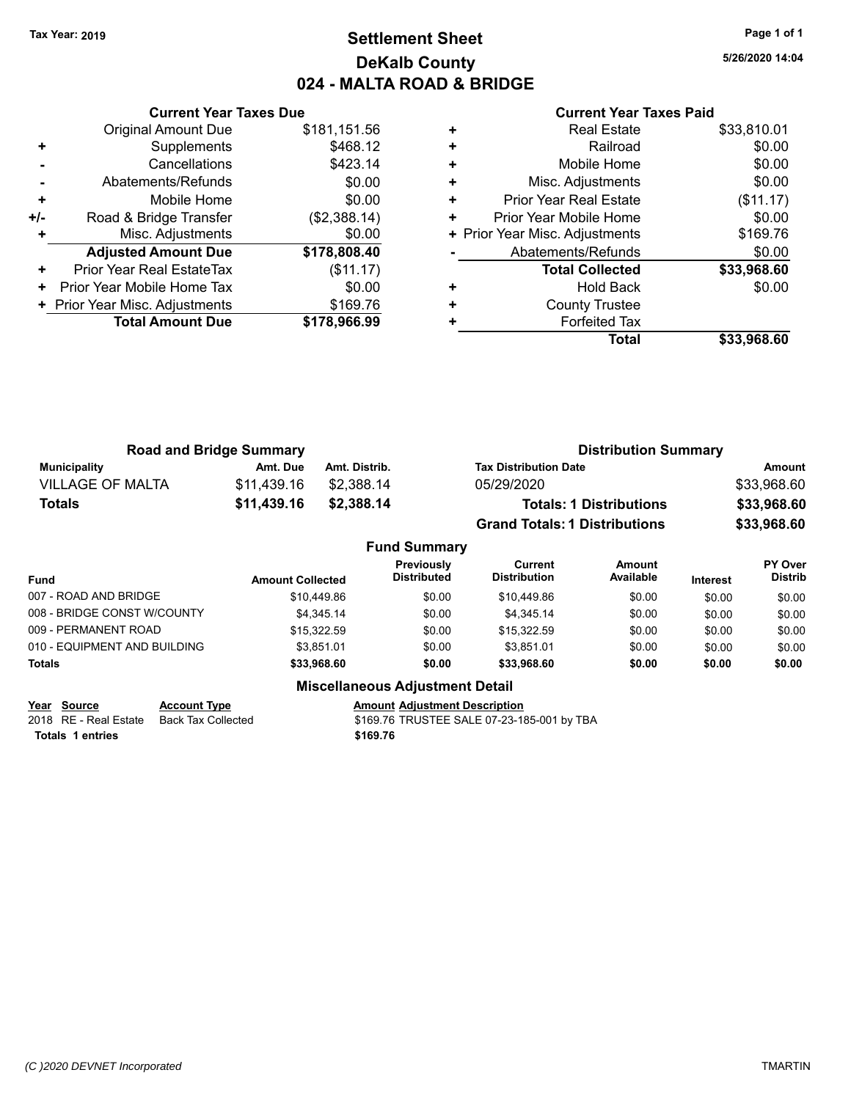# **Settlement Sheet Tax Year: 2019 Page 1 of 1 DeKalb County 024 - MALTA ROAD & BRIDGE**

**5/26/2020 14:04**

|     | <b>Current Year Taxes Due</b>  |              |
|-----|--------------------------------|--------------|
|     | <b>Original Amount Due</b>     | \$181,151.56 |
| ٠   | Supplements                    | \$468.12     |
|     | Cancellations                  | \$423.14     |
|     | Abatements/Refunds             | \$0.00       |
| ٠   | Mobile Home                    | \$0.00       |
| +/- | Road & Bridge Transfer         | (\$2,388.14) |
|     | Misc. Adjustments              | \$0.00       |
|     | <b>Adjusted Amount Due</b>     | \$178,808.40 |
| ٠   | Prior Year Real EstateTax      | (\$11.17)    |
| ٠   | Prior Year Mobile Home Tax     | \$0.00       |
|     | + Prior Year Misc. Adjustments | \$169.76     |
|     | <b>Total Amount Due</b>        | \$178,966.99 |
|     |                                |              |

### **Current Year Taxes Paid**

|   | Total                          | \$33,968.60 |
|---|--------------------------------|-------------|
| ٠ | <b>Forfeited Tax</b>           |             |
| ٠ | <b>County Trustee</b>          |             |
| ٠ | <b>Hold Back</b>               | \$0.00      |
|   | <b>Total Collected</b>         | \$33,968.60 |
|   | Abatements/Refunds             | \$0.00      |
|   | + Prior Year Misc. Adjustments | \$169.76    |
| ٠ | Prior Year Mobile Home         | \$0.00      |
| ٠ | <b>Prior Year Real Estate</b>  | (\$11.17)   |
| ÷ | Misc. Adjustments              | \$0.00      |
| ٠ | Mobile Home                    | \$0.00      |
| ٠ | Railroad                       | \$0.00      |
| ٠ | <b>Real Estate</b>             | \$33,810.01 |

|                         | <b>Road and Bridge Summary</b> |               | <b>Distribution Summary</b>          |             |  |
|-------------------------|--------------------------------|---------------|--------------------------------------|-------------|--|
| Municipality            | Amt. Due                       | Amt. Distrib. | <b>Tax Distribution Date</b>         | Amount      |  |
| <b>VILLAGE OF MALTA</b> | \$11.439.16                    | \$2.388.14    | 05/29/2020                           | \$33,968.60 |  |
| Totals                  | \$11,439.16                    | \$2,388.14    | <b>Totals: 1 Distributions</b>       | \$33,968.60 |  |
|                         |                                |               | <b>Grand Totals: 1 Distributions</b> | \$33,968.60 |  |

### **Fund Summary Fund Interest Amount Collected Distributed PY Over Distrib Amount Available Current Distribution Previously** 007 - ROAD AND BRIDGE 60.00 \$10,449.86 \$0.00 \$10,449.86 \$10,449.86 \$0.00 \$0.00 \$0.00 \$0.00 008 - BRIDGE CONST W/COUNTY  $$4,345.14$   $$0.00$   $$4,345.14$   $$0.00$   $$0.00$   $$0.00$ 009 - PERMANENT ROAD \$15,322.59 \$0.00 \$15,322.59 \$0.00 \$0.00 \$0.00 010 - EQUIPMENT AND BUILDING \$3,851.01 \$0.00 \$3,851.01 \$0.00 \$0.00 \$0.00 \$0.00 **Totals \$33,968.60 \$0.00 \$33,968.60 \$0.00 \$0.00 \$0.00**

2018 RE - Real Estate Back Tax Collected **\$169.76 TRUSTEE SALE 07-23-185-001 by TBA Totals \$169.76 1 entries**

**Miscellaneous Adjustment Detail**

**Year** Source **Account Type A** Annunt Adjustment Description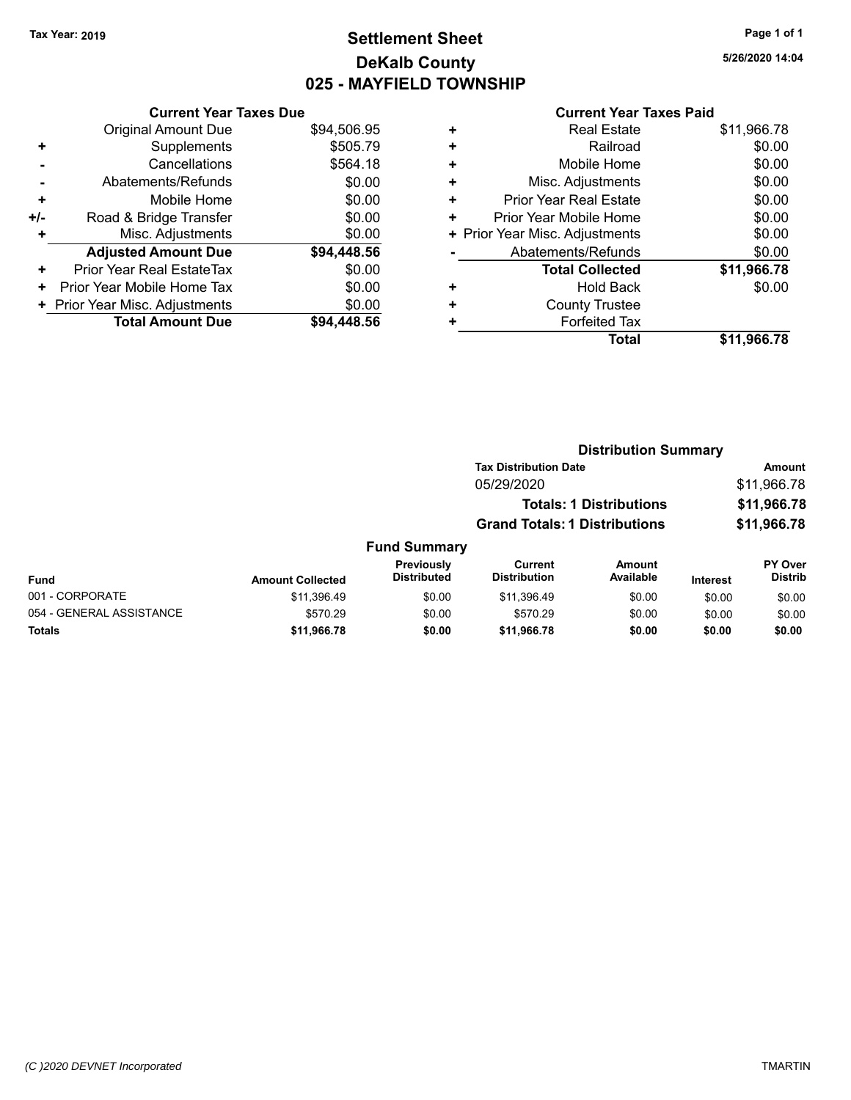# **Settlement Sheet Tax Year: 2019 Page 1 of 1 DeKalb County 025 - MAYFIELD TOWNSHIP**

**5/26/2020 14:04**

|     | <b>Current Year Taxes Due</b>  |             |
|-----|--------------------------------|-------------|
|     | <b>Original Amount Due</b>     | \$94,506.95 |
| ٠   | Supplements                    | \$505.79    |
|     | Cancellations                  | \$564.18    |
|     | Abatements/Refunds             | \$0.00      |
| ٠   | Mobile Home                    | \$0.00      |
| +/- | Road & Bridge Transfer         | \$0.00      |
| ٠   | Misc. Adjustments              | \$0.00      |
|     | <b>Adjusted Amount Due</b>     | \$94,448.56 |
| ÷   | Prior Year Real EstateTax      | \$0.00      |
| ٠   | Prior Year Mobile Home Tax     | \$0.00      |
|     | + Prior Year Misc. Adjustments | \$0.00      |
|     | <b>Total Amount Due</b>        | \$94.448.56 |

|   | <b>Real Estate</b>             | \$11,966.78 |
|---|--------------------------------|-------------|
| ÷ | Railroad                       | \$0.00      |
| ٠ | Mobile Home                    | \$0.00      |
| + | Misc. Adjustments              | \$0.00      |
| ٠ | <b>Prior Year Real Estate</b>  | \$0.00      |
| ٠ | Prior Year Mobile Home         | \$0.00      |
|   | + Prior Year Misc. Adjustments | \$0.00      |
|   | Abatements/Refunds             | \$0.00      |
|   | <b>Total Collected</b>         | \$11,966.78 |
| ٠ | Hold Back                      | \$0.00      |
| ٠ | <b>County Trustee</b>          |             |
| + | <b>Forfeited Tax</b>           |             |
|   | Total                          | \$11,966.78 |
|   |                                |             |

|          |                                  |                                      | <b>Distribution Summary</b>    |          |                                  |
|----------|----------------------------------|--------------------------------------|--------------------------------|----------|----------------------------------|
|          |                                  | <b>Tax Distribution Date</b>         |                                |          | <b>Amount</b>                    |
|          |                                  | 05/29/2020                           |                                |          | \$11,966.78                      |
|          |                                  |                                      | <b>Totals: 1 Distributions</b> |          | \$11,966.78                      |
|          |                                  | <b>Grand Totals: 1 Distributions</b> |                                |          | \$11,966.78                      |
|          | <b>Fund Summary</b>              |                                      |                                |          |                                  |
| ollected | Previously<br><b>Distributed</b> | Current<br><b>Distribution</b>       | Amount<br>Available            | Interest | <b>PY Over</b><br><b>Distrib</b> |

| <b>Fund</b>              | <b>Amount Collected</b> | <b>Previously</b><br><b>Distributed</b> | Current<br><b>Distribution</b> | Amount<br>Available | Interest | <b>PY Over</b><br><b>Distrib</b> |
|--------------------------|-------------------------|-----------------------------------------|--------------------------------|---------------------|----------|----------------------------------|
| 001 - CORPORATE          | \$11.396.49             | \$0.00                                  | \$11.396.49                    | \$0.00              | \$0.00   | \$0.00                           |
| 054 - GENERAL ASSISTANCE | \$570.29                | \$0.00                                  | \$570.29                       | \$0.00              | \$0.00   | \$0.00                           |
| <b>Totals</b>            | \$11.966.78             | \$0.00                                  | \$11.966.78                    | \$0.00              | \$0.00   | \$0.00                           |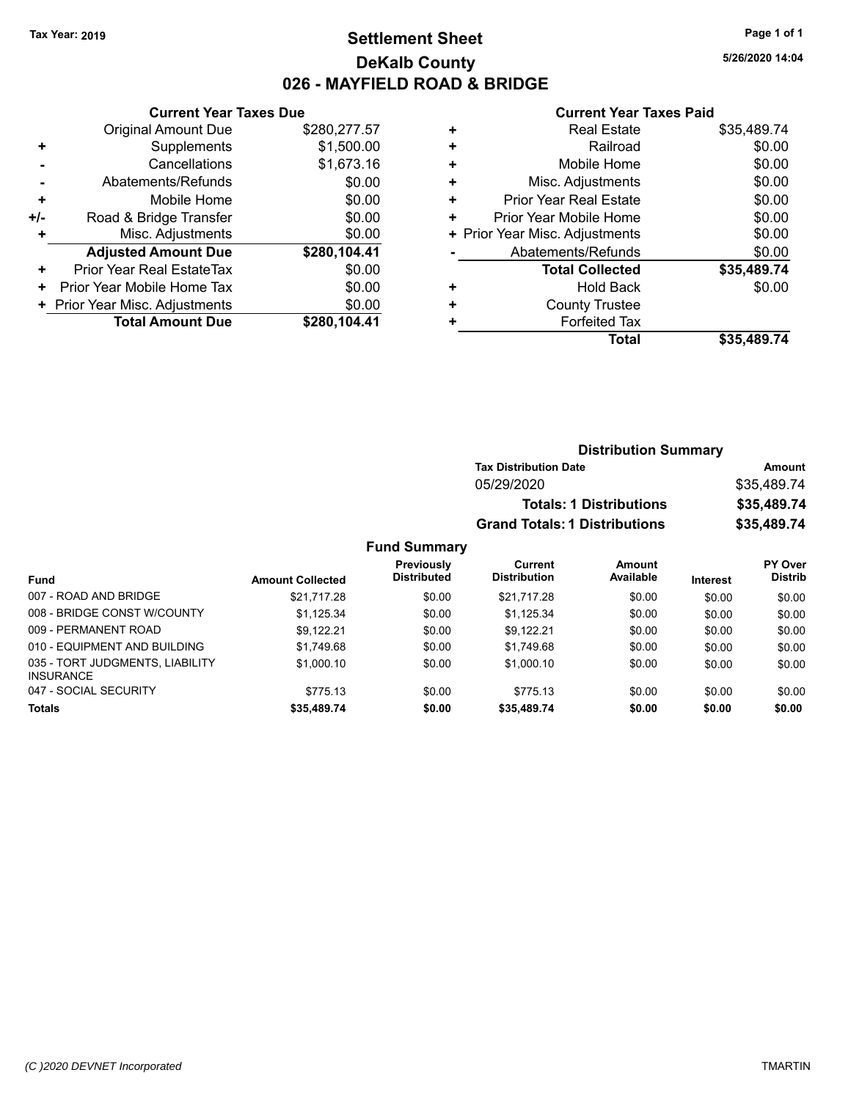# **Settlement Sheet Tax Year: 2019 Page 1 of 1 DeKalb County 026 - MAYFIELD ROAD & BRIDGE**

**5/26/2020 14:04**

### **Current Year Taxes Paid**

|     | <b>Current Year Taxes Due</b>  |              |  |  |  |  |
|-----|--------------------------------|--------------|--|--|--|--|
|     | <b>Original Amount Due</b>     | \$280,277.57 |  |  |  |  |
| ٠   | Supplements                    | \$1,500.00   |  |  |  |  |
|     | Cancellations                  | \$1,673.16   |  |  |  |  |
|     | Abatements/Refunds             | \$0.00       |  |  |  |  |
| ٠   | Mobile Home                    | \$0.00       |  |  |  |  |
| +/- | Road & Bridge Transfer         | \$0.00       |  |  |  |  |
| ٠   | Misc. Adjustments              | \$0.00       |  |  |  |  |
|     | <b>Adjusted Amount Due</b>     | \$280,104.41 |  |  |  |  |
| ٠   | Prior Year Real EstateTax      | \$0.00       |  |  |  |  |
| ÷   | Prior Year Mobile Home Tax     | \$0.00       |  |  |  |  |
|     | + Prior Year Misc. Adjustments | \$0.00       |  |  |  |  |
|     | <b>Total Amount Due</b>        | \$280,104.41 |  |  |  |  |

| ٠ | <b>Real Estate</b>             | \$35,489.74 |
|---|--------------------------------|-------------|
| ٠ | Railroad                       | \$0.00      |
| ٠ | Mobile Home                    | \$0.00      |
| ٠ | Misc. Adjustments              | \$0.00      |
| ٠ | <b>Prior Year Real Estate</b>  | \$0.00      |
| ٠ | Prior Year Mobile Home         | \$0.00      |
|   | + Prior Year Misc. Adjustments | \$0.00      |
|   | Abatements/Refunds             | \$0.00      |
|   | <b>Total Collected</b>         | \$35,489.74 |
| ٠ | Hold Back                      | \$0.00      |
| ٠ | <b>County Trustee</b>          |             |
|   | <b>Forfeited Tax</b>           |             |
|   | Total                          | \$35.489.74 |
|   |                                |             |

| <b>Distribution Summary</b>          |             |
|--------------------------------------|-------------|
| <b>Tax Distribution Date</b>         | Amount      |
| 05/29/2020                           | \$35,489.74 |
| <b>Totals: 1 Distributions</b>       | \$35,489.74 |
| <b>Grand Totals: 1 Distributions</b> | \$35,489.74 |

|                                                     |                         | Previously         | Current             | Amount    |                 | <b>PY Over</b> |
|-----------------------------------------------------|-------------------------|--------------------|---------------------|-----------|-----------------|----------------|
| <b>Fund</b>                                         | <b>Amount Collected</b> | <b>Distributed</b> | <b>Distribution</b> | Available | <b>Interest</b> | <b>Distrib</b> |
| 007 - ROAD AND BRIDGE                               | \$21.717.28             | \$0.00             | \$21.717.28         | \$0.00    | \$0.00          | \$0.00         |
| 008 - BRIDGE CONST W/COUNTY                         | \$1,125.34              | \$0.00             | \$1.125.34          | \$0.00    | \$0.00          | \$0.00         |
| 009 - PERMANENT ROAD                                | \$9.122.21              | \$0.00             | \$9.122.21          | \$0.00    | \$0.00          | \$0.00         |
| 010 - EQUIPMENT AND BUILDING                        | \$1.749.68              | \$0.00             | \$1,749.68          | \$0.00    | \$0.00          | \$0.00         |
| 035 - TORT JUDGMENTS, LIABILITY<br><b>INSURANCE</b> | \$1,000.10              | \$0.00             | \$1,000.10          | \$0.00    | \$0.00          | \$0.00         |
| 047 - SOCIAL SECURITY                               | \$775.13                | \$0.00             | \$775.13            | \$0.00    | \$0.00          | \$0.00         |
| <b>Totals</b>                                       | \$35,489.74             | \$0.00             | \$35,489.74         | \$0.00    | \$0.00          | \$0.00         |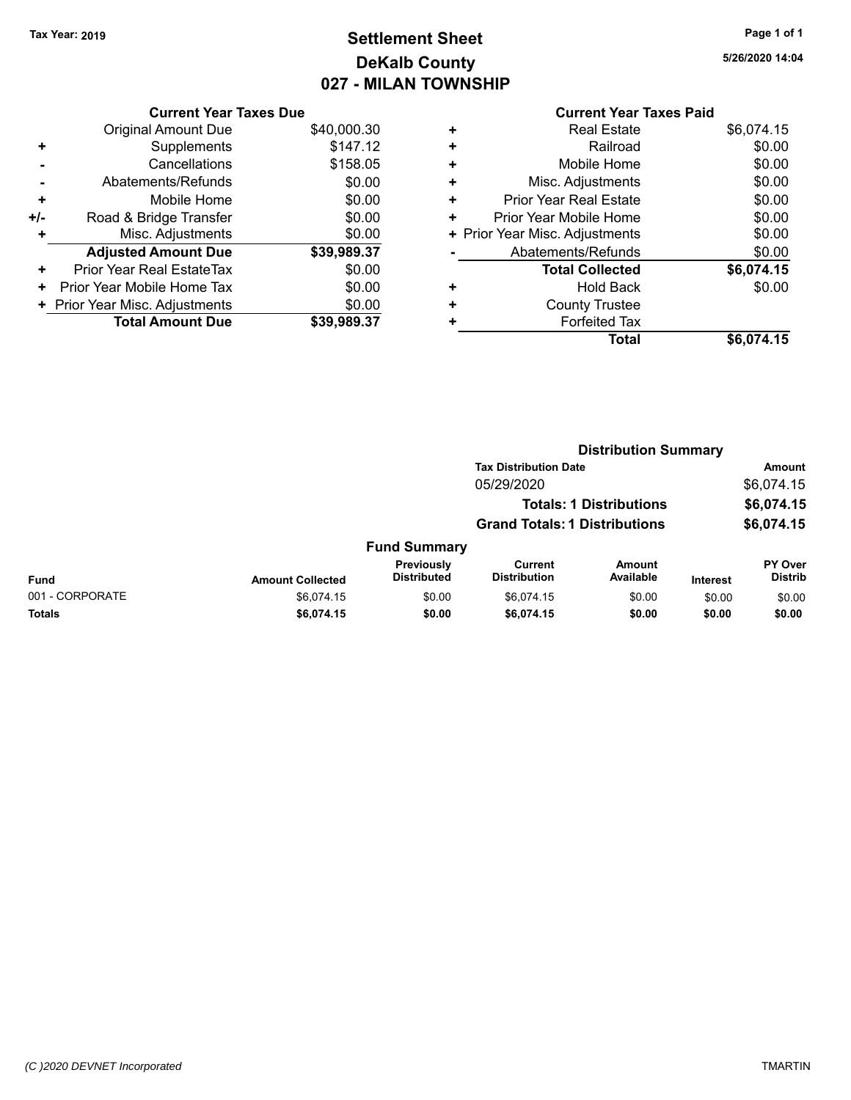# **Settlement Sheet Tax Year: 2019 Page 1 of 1 DeKalb County 027 - MILAN TOWNSHIP**

**5/26/2020 14:04**

| <b>Current Year Taxes Due</b> |                                |  |  |  |  |  |
|-------------------------------|--------------------------------|--|--|--|--|--|
| <b>Original Amount Due</b>    | \$40,000.30                    |  |  |  |  |  |
| Supplements                   | \$147.12                       |  |  |  |  |  |
| Cancellations                 | \$158.05                       |  |  |  |  |  |
| Abatements/Refunds            | \$0.00                         |  |  |  |  |  |
| Mobile Home                   | \$0.00                         |  |  |  |  |  |
| Road & Bridge Transfer        | \$0.00                         |  |  |  |  |  |
| Misc. Adjustments             | \$0.00                         |  |  |  |  |  |
| <b>Adjusted Amount Due</b>    | \$39,989.37                    |  |  |  |  |  |
| Prior Year Real EstateTax     | \$0.00                         |  |  |  |  |  |
| Prior Year Mobile Home Tax    | \$0.00                         |  |  |  |  |  |
|                               | \$0.00                         |  |  |  |  |  |
| <b>Total Amount Due</b>       | \$39.989.37                    |  |  |  |  |  |
|                               | + Prior Year Misc. Adjustments |  |  |  |  |  |

|   | <b>Real Estate</b>             | \$6,074.15 |
|---|--------------------------------|------------|
| ÷ | Railroad                       | \$0.00     |
| ٠ | Mobile Home                    | \$0.00     |
| ٠ | Misc. Adjustments              | \$0.00     |
| ٠ | Prior Year Real Estate         | \$0.00     |
| ٠ | Prior Year Mobile Home         | \$0.00     |
|   | + Prior Year Misc. Adjustments | \$0.00     |
|   | Abatements/Refunds             | \$0.00     |
|   | <b>Total Collected</b>         | \$6,074.15 |
| ٠ | Hold Back                      | \$0.00     |
| + | <b>County Trustee</b>          |            |
| ٠ | <b>Forfeited Tax</b>           |            |
|   | Total                          | \$6,074.15 |
|   |                                |            |

|                 |                         | <b>Distribution Summary</b>      |                                       |                                |                 |                           |
|-----------------|-------------------------|----------------------------------|---------------------------------------|--------------------------------|-----------------|---------------------------|
|                 |                         |                                  | <b>Tax Distribution Date</b>          |                                |                 | Amount                    |
|                 |                         |                                  | 05/29/2020                            |                                |                 | \$6,074.15                |
|                 |                         |                                  |                                       | <b>Totals: 1 Distributions</b> |                 | \$6,074.15                |
|                 |                         |                                  | <b>Grand Totals: 1 Distributions</b>  |                                |                 | \$6,074.15                |
|                 |                         | <b>Fund Summary</b>              |                                       |                                |                 |                           |
| <b>Fund</b>     | <b>Amount Collected</b> | Previously<br><b>Distributed</b> | <b>Current</b><br><b>Distribution</b> | <b>Amount</b><br>Available     | <b>Interest</b> | PY Over<br><b>Distrib</b> |
| 001 - CORPORATE | \$6,074.15              | \$0.00                           | \$6,074.15                            | \$0.00                         | \$0.00          | \$0.00                    |
| <b>Totals</b>   | \$6,074.15              | \$0.00                           | \$6,074.15                            | \$0.00                         | \$0.00          | \$0.00                    |
|                 |                         |                                  |                                       |                                |                 |                           |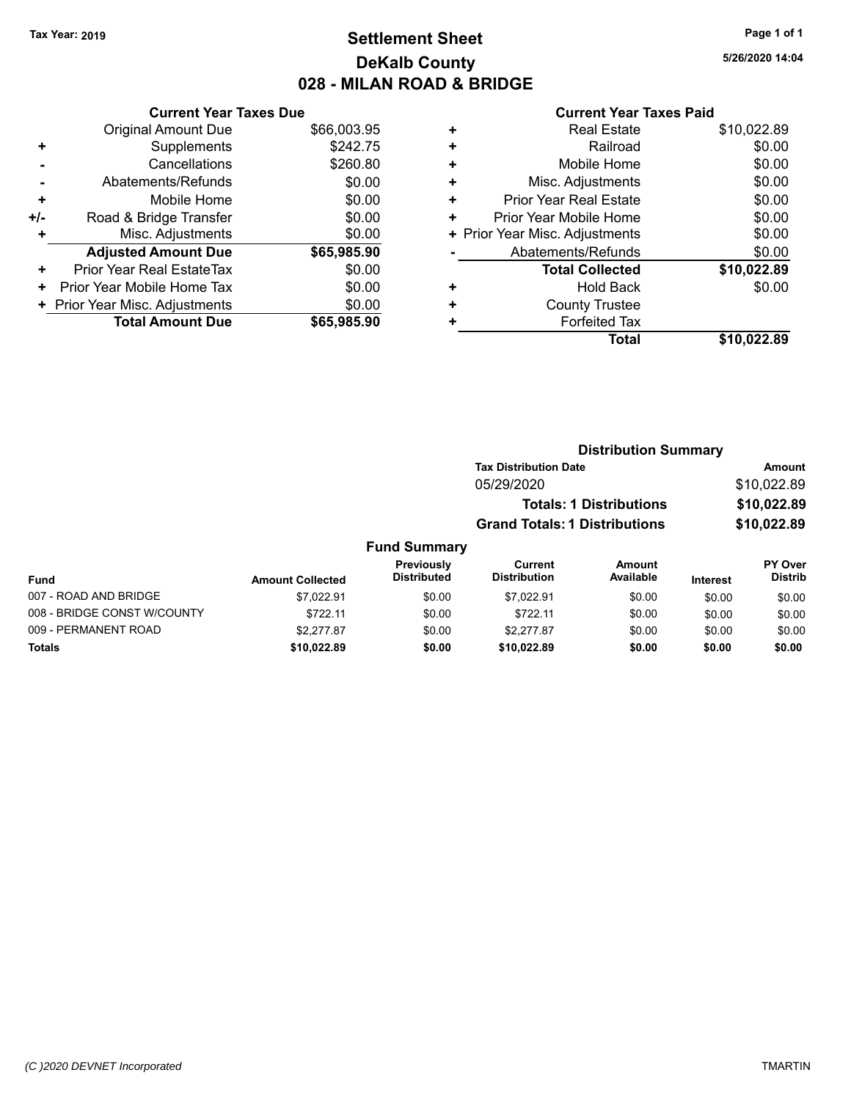# **Settlement Sheet Tax Year: 2019 Page 1 of 1 DeKalb County 028 - MILAN ROAD & BRIDGE**

**5/26/2020 14:04**

|     | <b>Current Year Taxes Due</b>  |             |
|-----|--------------------------------|-------------|
|     | <b>Original Amount Due</b>     | \$66,003.95 |
| ٠   | Supplements                    | \$242.75    |
|     | Cancellations                  | \$260.80    |
|     | Abatements/Refunds             | \$0.00      |
| ٠   | Mobile Home                    | \$0.00      |
| +/- | Road & Bridge Transfer         | \$0.00      |
| ٠   | Misc. Adjustments              | \$0.00      |
|     | <b>Adjusted Amount Due</b>     | \$65,985.90 |
| ÷   | Prior Year Real EstateTax      | \$0.00      |
| ٠   | Prior Year Mobile Home Tax     | \$0.00      |
|     | + Prior Year Misc. Adjustments | \$0.00      |
|     | <b>Total Amount Due</b>        | \$65,985.90 |
|     |                                |             |

|   | <b>Real Estate</b>             | \$10,022.89 |
|---|--------------------------------|-------------|
| ÷ | Railroad                       | \$0.00      |
| ٠ | Mobile Home                    | \$0.00      |
| ٠ | Misc. Adjustments              | \$0.00      |
| ٠ | <b>Prior Year Real Estate</b>  | \$0.00      |
| ٠ | Prior Year Mobile Home         | \$0.00      |
|   | + Prior Year Misc. Adjustments | \$0.00      |
|   | Abatements/Refunds             | \$0.00      |
|   | <b>Total Collected</b>         | \$10,022.89 |
| ٠ | <b>Hold Back</b>               | \$0.00      |
| ٠ | <b>County Trustee</b>          |             |
| ٠ | <b>Forfeited Tax</b>           |             |
|   | Total                          | \$10,022.89 |
|   |                                |             |

|                     | <b>Distribution Summary</b>          |               |
|---------------------|--------------------------------------|---------------|
|                     | <b>Tax Distribution Date</b>         | <b>Amount</b> |
|                     | 05/29/2020                           | \$10,022.89   |
|                     | <b>Totals: 1 Distributions</b>       | \$10,022.89   |
|                     | <b>Grand Totals: 1 Distributions</b> | \$10,022.89   |
| <b>Fund Summary</b> |                                      |               |

| <b>Fund</b>                 | <b>Amount Collected</b> | <b>Previously</b><br><b>Distributed</b> | Current<br><b>Distribution</b> | Amount<br>Available | <b>Interest</b> | <b>PY Over</b><br><b>Distrib</b> |
|-----------------------------|-------------------------|-----------------------------------------|--------------------------------|---------------------|-----------------|----------------------------------|
| 007 - ROAD AND BRIDGE       | \$7.022.91              | \$0.00                                  | \$7.022.91                     | \$0.00              | \$0.00          | \$0.00                           |
| 008 - BRIDGE CONST W/COUNTY | \$722.11                | \$0.00                                  | \$722.11                       | \$0.00              | \$0.00          | \$0.00                           |
| 009 - PERMANENT ROAD        | \$2,277.87              | \$0.00                                  | \$2.277.87                     | \$0.00              | \$0.00          | \$0.00                           |
| Totals                      | \$10,022.89             | \$0.00                                  | \$10.022.89                    | \$0.00              | \$0.00          | \$0.00                           |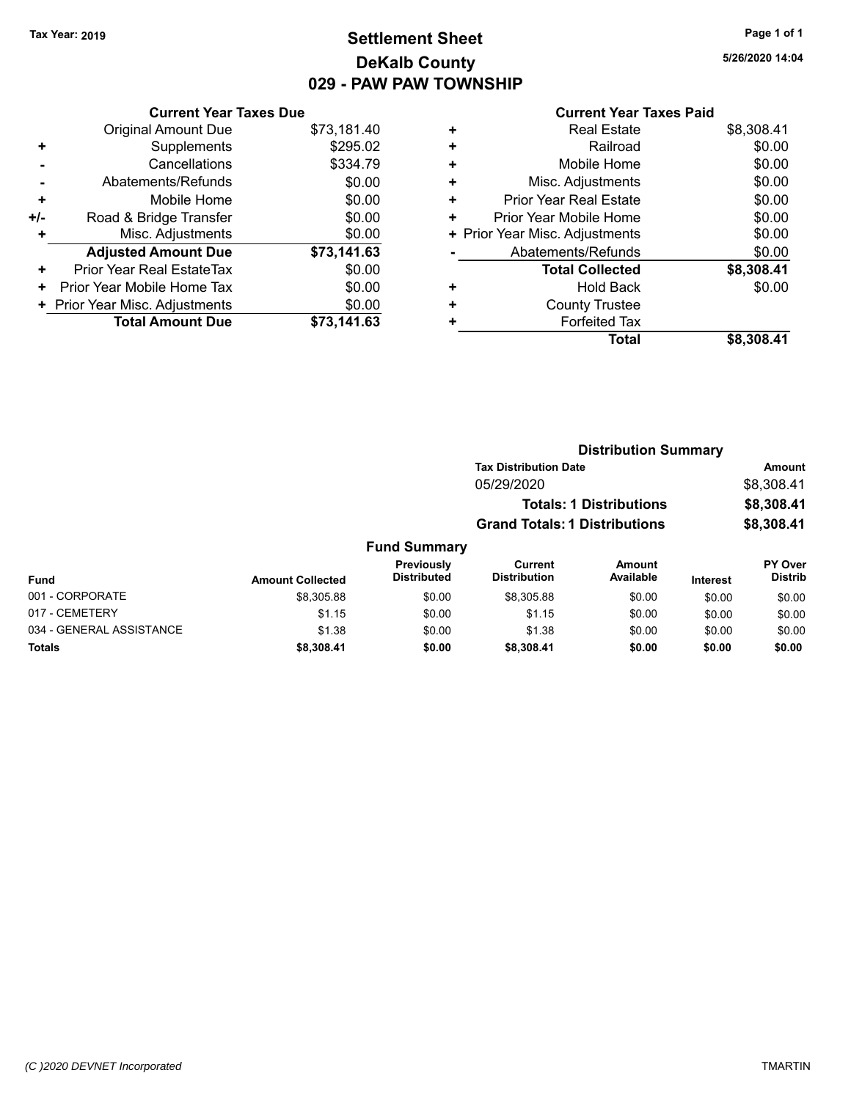# **Settlement Sheet Tax Year: 2019 Page 1 of 1 DeKalb County 029 - PAW PAW TOWNSHIP**

**5/26/2020 14:04**

|     | <b>Current Year Taxes Due</b>  |             |
|-----|--------------------------------|-------------|
|     | <b>Original Amount Due</b>     | \$73,181.40 |
| ٠   | Supplements                    | \$295.02    |
|     | Cancellations                  | \$334.79    |
|     | Abatements/Refunds             | \$0.00      |
| ٠   | Mobile Home                    | \$0.00      |
| +/- | Road & Bridge Transfer         | \$0.00      |
| ٠   | Misc. Adjustments              | \$0.00      |
|     | <b>Adjusted Amount Due</b>     | \$73,141.63 |
| ٠   | Prior Year Real EstateTax      | \$0.00      |
| ٠   | Prior Year Mobile Home Tax     | \$0.00      |
|     | + Prior Year Misc. Adjustments | \$0.00      |
|     | <b>Total Amount Due</b>        | \$73,141.63 |
|     |                                |             |

| ٠ | <b>Real Estate</b>             | \$8,308.41 |
|---|--------------------------------|------------|
| ٠ | Railroad                       | \$0.00     |
| ٠ | Mobile Home                    | \$0.00     |
| ٠ | Misc. Adjustments              | \$0.00     |
| ٠ | <b>Prior Year Real Estate</b>  | \$0.00     |
| ٠ | Prior Year Mobile Home         | \$0.00     |
|   | + Prior Year Misc. Adjustments | \$0.00     |
|   | Abatements/Refunds             | \$0.00     |
|   | <b>Total Collected</b>         | \$8,308.41 |
| ٠ | <b>Hold Back</b>               | \$0.00     |
| ٠ | <b>County Trustee</b>          |            |
| ٠ | <b>Forfeited Tax</b>           |            |
|   | Total                          | \$8,308.41 |
|   |                                |            |

|       |                     |                                      | <b>Distribution Summary</b>    |          |                |
|-------|---------------------|--------------------------------------|--------------------------------|----------|----------------|
|       |                     | <b>Tax Distribution Date</b>         |                                |          | Amount         |
|       |                     | 05/29/2020                           |                                |          | \$8,308.41     |
|       |                     |                                      | <b>Totals: 1 Distributions</b> |          | \$8,308.41     |
|       |                     | <b>Grand Totals: 1 Distributions</b> |                                |          | \$8,308.41     |
|       | <b>Fund Summary</b> |                                      |                                |          |                |
|       | Previously          | Current                              | Amount                         |          | <b>PY Over</b> |
| heter | <b>Distributed</b>  | <b>Distribution</b>                  | Available                      | Interest | <b>Distrib</b> |

| <b>Fund</b>              | <b>Amount Collected</b> | <b>PIEVIOUSIV</b><br><b>Distributed</b> | <b>Guilture</b><br><b>Distribution</b> | AIIIvuin<br>Available | <b>Interest</b> | <b>FI</b> OVEI<br><b>Distrib</b> |
|--------------------------|-------------------------|-----------------------------------------|----------------------------------------|-----------------------|-----------------|----------------------------------|
| 001 - CORPORATE          | \$8,305.88              | \$0.00                                  | \$8,305.88                             | \$0.00                | \$0.00          | \$0.00                           |
| 017 - CEMETERY           | \$1.15                  | \$0.00                                  | \$1.15                                 | \$0.00                | \$0.00          | \$0.00                           |
| 034 - GENERAL ASSISTANCE | \$1.38                  | \$0.00                                  | \$1.38                                 | \$0.00                | \$0.00          | \$0.00                           |
| <b>Totals</b>            | \$8.308.41              | \$0.00                                  | \$8,308,41                             | \$0.00                | \$0.00          | \$0.00                           |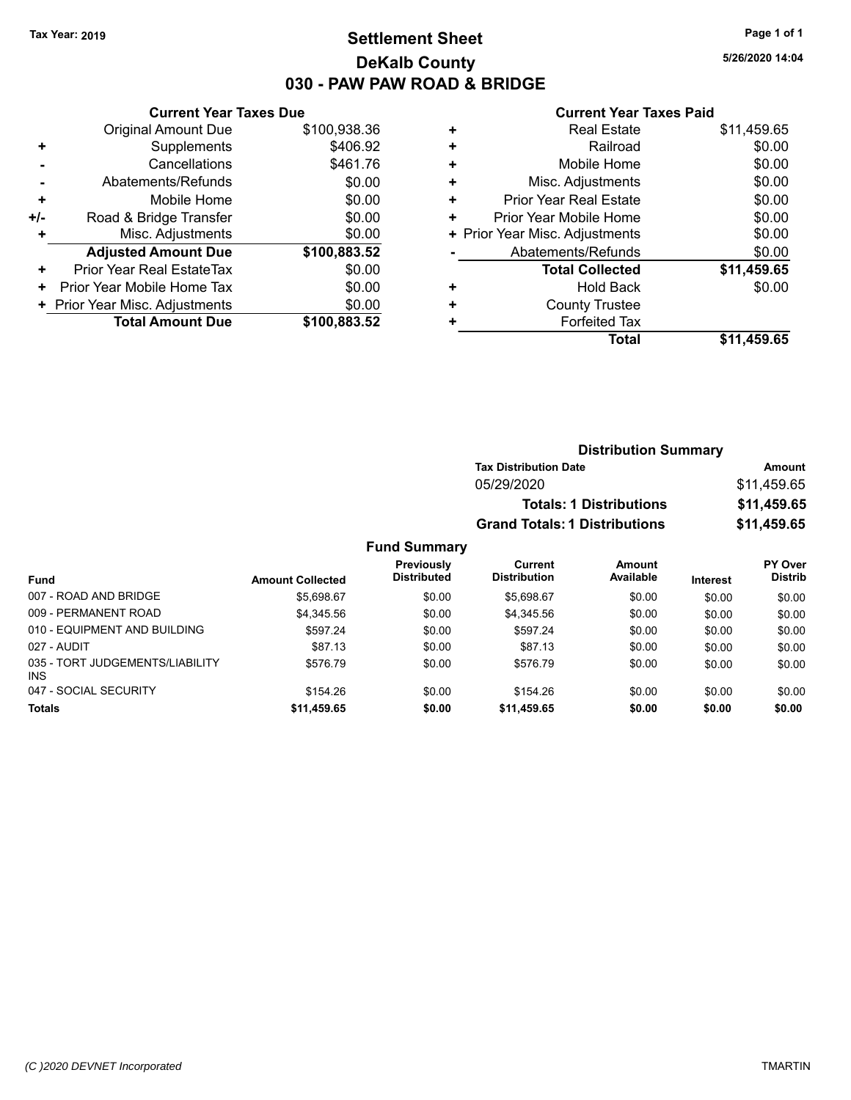# **Settlement Sheet Tax Year: 2019 Page 1 of 1 DeKalb County 030 - PAW PAW ROAD & BRIDGE**

**5/26/2020 14:04**

### **Current Year Taxes Paid**

|     | <b>Current Year Taxes Due</b>  |              |  |  |  |  |
|-----|--------------------------------|--------------|--|--|--|--|
|     | <b>Original Amount Due</b>     | \$100,938.36 |  |  |  |  |
| ٠   | Supplements                    | \$406.92     |  |  |  |  |
|     | Cancellations<br>\$461.76      |              |  |  |  |  |
|     | Abatements/Refunds             | \$0.00       |  |  |  |  |
| ÷   | Mobile Home                    | \$0.00       |  |  |  |  |
| +/- | Road & Bridge Transfer         | \$0.00       |  |  |  |  |
| ٠   | Misc. Adjustments              | \$0.00       |  |  |  |  |
|     | <b>Adjusted Amount Due</b>     | \$100,883.52 |  |  |  |  |
| ٠   | Prior Year Real EstateTax      | \$0.00       |  |  |  |  |
| ٠   | Prior Year Mobile Home Tax     | \$0.00       |  |  |  |  |
|     | + Prior Year Misc. Adjustments | \$0.00       |  |  |  |  |
|     | <b>Total Amount Due</b>        | \$100.883.52 |  |  |  |  |
|     |                                |              |  |  |  |  |

| <b>Real Estate</b>             | \$11,459.65 |
|--------------------------------|-------------|
| Railroad                       | \$0.00      |
| Mobile Home                    | \$0.00      |
| Misc. Adjustments              | \$0.00      |
| Prior Year Real Estate         | \$0.00      |
| Prior Year Mobile Home         | \$0.00      |
| + Prior Year Misc. Adjustments | \$0.00      |
| Abatements/Refunds             | \$0.00      |
| <b>Total Collected</b>         | \$11,459.65 |
| Hold Back                      | \$0.00      |
| <b>County Trustee</b>          |             |
| <b>Forfeited Tax</b>           |             |
| Total                          | \$11,459.65 |
|                                |             |

| <b>Distribution Summary</b>          |             |
|--------------------------------------|-------------|
| <b>Tax Distribution Date</b>         | Amount      |
| 05/29/2020                           | \$11,459.65 |
| <b>Totals: 1 Distributions</b>       | \$11,459.65 |
| <b>Grand Totals: 1 Distributions</b> | \$11,459.65 |

|                                         |                         | Previously         | Current             | <b>Amount</b> |                 | <b>PY Over</b> |
|-----------------------------------------|-------------------------|--------------------|---------------------|---------------|-----------------|----------------|
| <b>Fund</b>                             | <b>Amount Collected</b> | <b>Distributed</b> | <b>Distribution</b> | Available     | <b>Interest</b> | <b>Distrib</b> |
| 007 - ROAD AND BRIDGE                   | \$5,698.67              | \$0.00             | \$5.698.67          | \$0.00        | \$0.00          | \$0.00         |
| 009 - PERMANENT ROAD                    | \$4,345.56              | \$0.00             | \$4,345.56          | \$0.00        | \$0.00          | \$0.00         |
| 010 - EQUIPMENT AND BUILDING            | \$597.24                | \$0.00             | \$597.24            | \$0.00        | \$0.00          | \$0.00         |
| 027 - AUDIT                             | \$87.13                 | \$0.00             | \$87.13             | \$0.00        | \$0.00          | \$0.00         |
| 035 - TORT JUDGEMENTS/LIABILITY<br>INS. | \$576.79                | \$0.00             | \$576.79            | \$0.00        | \$0.00          | \$0.00         |
| 047 - SOCIAL SECURITY                   | \$154.26                | \$0.00             | \$154.26            | \$0.00        | \$0.00          | \$0.00         |
| <b>Totals</b>                           | \$11,459.65             | \$0.00             | \$11,459.65         | \$0.00        | \$0.00          | \$0.00         |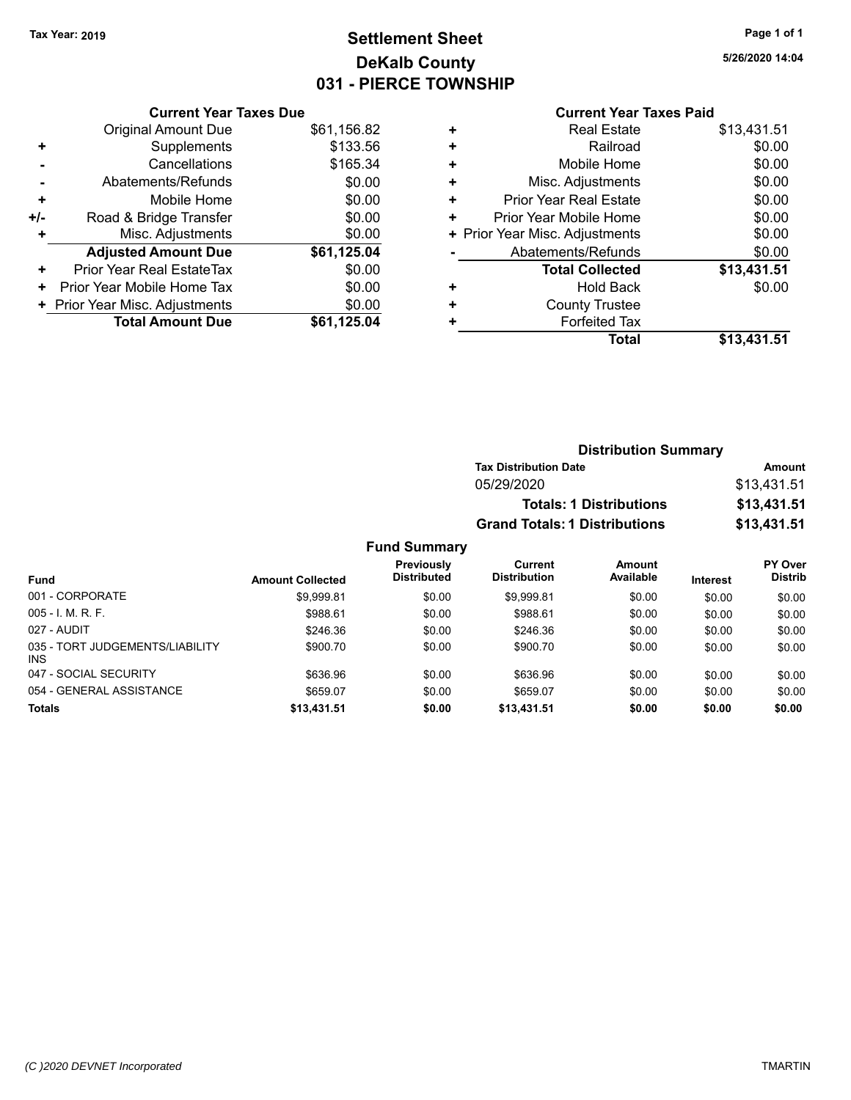# **Settlement Sheet Tax Year: 2019 Page 1 of 1 DeKalb County 031 - PIERCE TOWNSHIP**

**5/26/2020 14:04**

# **Current Year Taxes Paid**

| <b>Current Year Taxes Due</b> |                                |
|-------------------------------|--------------------------------|
| <b>Original Amount Due</b>    | \$61,156.82                    |
| Supplements                   | \$133.56                       |
| Cancellations                 | \$165.34                       |
| Abatements/Refunds            | \$0.00                         |
| Mobile Home                   | \$0.00                         |
| Road & Bridge Transfer        | \$0.00                         |
| Misc. Adjustments             | \$0.00                         |
| <b>Adjusted Amount Due</b>    | \$61,125.04                    |
| Prior Year Real EstateTax     | \$0.00                         |
| Prior Year Mobile Home Tax    | \$0.00                         |
|                               | \$0.00                         |
| <b>Total Amount Due</b>       | \$61,125.04                    |
|                               | + Prior Year Misc. Adjustments |

|   | Total                          | \$13,431.51 |
|---|--------------------------------|-------------|
|   | <b>Forfeited Tax</b>           |             |
| ٠ | <b>County Trustee</b>          |             |
| ٠ | <b>Hold Back</b>               | \$0.00      |
|   | <b>Total Collected</b>         | \$13,431.51 |
|   | Abatements/Refunds             | \$0.00      |
|   | + Prior Year Misc. Adjustments | \$0.00      |
| ٠ | Prior Year Mobile Home         | \$0.00      |
| ٠ | <b>Prior Year Real Estate</b>  | \$0.00      |
| ٠ | Misc. Adjustments              | \$0.00      |
| ٠ | Mobile Home                    | \$0.00      |
| ٠ | Railroad                       | \$0.00      |
| ٠ | <b>Real Estate</b>             | \$13,431.51 |
|   |                                |             |

| <b>Distribution Summary</b>          |             |
|--------------------------------------|-------------|
| <b>Tax Distribution Date</b>         | Amount      |
| 05/29/2020                           | \$13,431.51 |
| <b>Totals: 1 Distributions</b>       | \$13,431.51 |
| <b>Grand Totals: 1 Distributions</b> | \$13,431.51 |

| <b>Fund</b>                                   | <b>Amount Collected</b> | <b>Previously</b><br><b>Distributed</b> | Current<br><b>Distribution</b> | Amount<br>Available | <b>Interest</b> | <b>PY Over</b><br><b>Distrib</b> |
|-----------------------------------------------|-------------------------|-----------------------------------------|--------------------------------|---------------------|-----------------|----------------------------------|
| 001 - CORPORATE                               | \$9.999.81              | \$0.00                                  | \$9.999.81                     | \$0.00              | \$0.00          | \$0.00                           |
| $005 - I. M. R. F.$                           | \$988.61                | \$0.00                                  | \$988.61                       | \$0.00              | \$0.00          | \$0.00                           |
| 027 - AUDIT                                   | \$246.36                | \$0.00                                  | \$246.36                       | \$0.00              | \$0.00          | \$0.00                           |
| 035 - TORT JUDGEMENTS/LIABILITY<br><b>INS</b> | \$900.70                | \$0.00                                  | \$900.70                       | \$0.00              | \$0.00          | \$0.00                           |
| 047 - SOCIAL SECURITY                         | \$636.96                | \$0.00                                  | \$636.96                       | \$0.00              | \$0.00          | \$0.00                           |
| 054 - GENERAL ASSISTANCE                      | \$659.07                | \$0.00                                  | \$659.07                       | \$0.00              | \$0.00          | \$0.00                           |
| <b>Totals</b>                                 | \$13,431.51             | \$0.00                                  | \$13,431.51                    | \$0.00              | \$0.00          | \$0.00                           |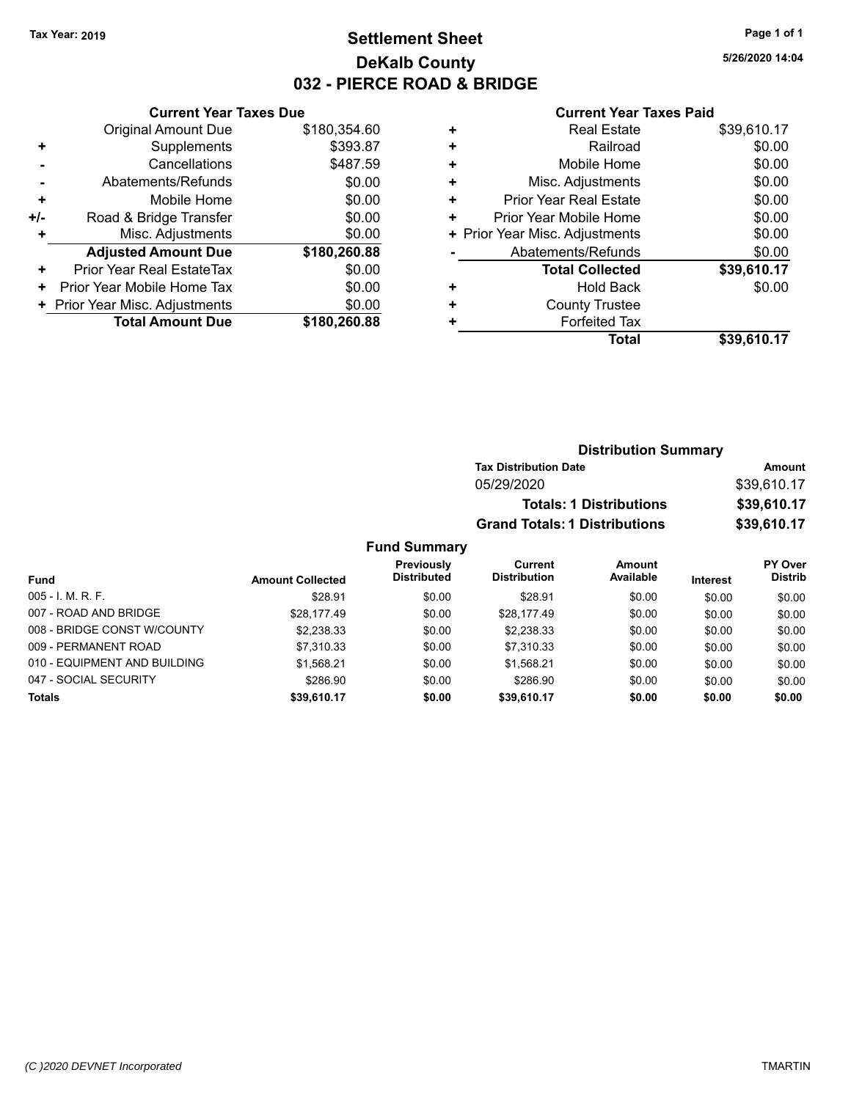# **Settlement Sheet Tax Year: 2019 Page 1 of 1 DeKalb County 032 - PIERCE ROAD & BRIDGE**

**5/26/2020 14:04**

### **Current Year Taxes Paid**

|     | <b>Current Year Taxes Due</b>  |              |
|-----|--------------------------------|--------------|
|     | <b>Original Amount Due</b>     | \$180,354.60 |
| ÷   | Supplements                    | \$393.87     |
|     | Cancellations                  | \$487.59     |
|     | Abatements/Refunds             | \$0.00       |
| ÷   | Mobile Home                    | \$0.00       |
| +/- | Road & Bridge Transfer         | \$0.00       |
| ٠   | Misc. Adjustments              | \$0.00       |
|     | <b>Adjusted Amount Due</b>     | \$180,260.88 |
| ٠   | Prior Year Real EstateTax      | \$0.00       |
| ٠   | Prior Year Mobile Home Tax     | \$0.00       |
|     | + Prior Year Misc. Adjustments | \$0.00       |
|     | <b>Total Amount Due</b>        | \$180,260.88 |
|     |                                |              |

| ٠ | <b>Real Estate</b>             | \$39,610.17 |
|---|--------------------------------|-------------|
| ٠ | Railroad                       | \$0.00      |
| ÷ | Mobile Home                    | \$0.00      |
| ٠ | Misc. Adjustments              | \$0.00      |
| ٠ | <b>Prior Year Real Estate</b>  | \$0.00      |
| ٠ | Prior Year Mobile Home         | \$0.00      |
|   | + Prior Year Misc. Adjustments | \$0.00      |
|   | Abatements/Refunds             | \$0.00      |
|   | <b>Total Collected</b>         | \$39,610.17 |
| ٠ | Hold Back                      | \$0.00      |
| ٠ | <b>County Trustee</b>          |             |
| ٠ | <b>Forfeited Tax</b>           |             |
|   | Total                          | \$39,610.17 |
|   |                                |             |

| <b>Distribution Summary</b>          |             |
|--------------------------------------|-------------|
| <b>Tax Distribution Date</b>         | Amount      |
| 05/29/2020                           | \$39,610.17 |
| <b>Totals: 1 Distributions</b>       | \$39,610.17 |
| <b>Grand Totals: 1 Distributions</b> | \$39,610.17 |

| <b>Fund</b>                  | <b>Amount Collected</b> | <b>Previously</b><br><b>Distributed</b> | Current<br><b>Distribution</b> | <b>Amount</b><br>Available | <b>Interest</b> | <b>PY Over</b><br><b>Distrib</b> |
|------------------------------|-------------------------|-----------------------------------------|--------------------------------|----------------------------|-----------------|----------------------------------|
| $005 - I. M. R. F.$          |                         |                                         |                                |                            |                 |                                  |
|                              | \$28.91                 | \$0.00                                  | \$28.91                        | \$0.00                     | \$0.00          | \$0.00                           |
| 007 - ROAD AND BRIDGE        | \$28.177.49             | \$0.00                                  | \$28.177.49                    | \$0.00                     | \$0.00          | \$0.00                           |
| 008 - BRIDGE CONST W/COUNTY  | \$2,238.33              | \$0.00                                  | \$2,238.33                     | \$0.00                     | \$0.00          | \$0.00                           |
| 009 - PERMANENT ROAD         | \$7.310.33              | \$0.00                                  | \$7,310.33                     | \$0.00                     | \$0.00          | \$0.00                           |
| 010 - EQUIPMENT AND BUILDING | \$1.568.21              | \$0.00                                  | \$1.568.21                     | \$0.00                     | \$0.00          | \$0.00                           |
| 047 - SOCIAL SECURITY        | \$286.90                | \$0.00                                  | \$286.90                       | \$0.00                     | \$0.00          | \$0.00                           |
| <b>Totals</b>                | \$39,610.17             | \$0.00                                  | \$39,610.17                    | \$0.00                     | \$0.00          | \$0.00                           |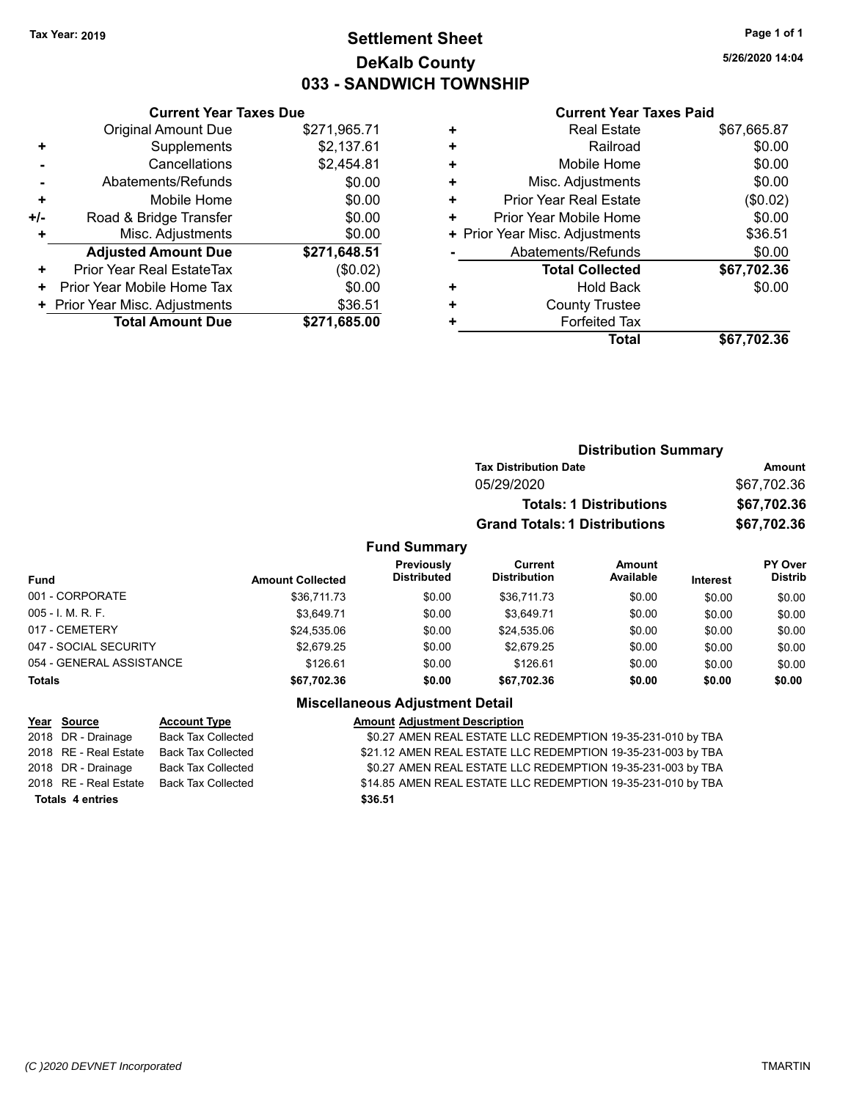# **Settlement Sheet Tax Year: 2019 Page 1 of 1 DeKalb County 033 - SANDWICH TOWNSHIP**

**5/26/2020 14:04**

### **Current Year Taxes Paid**

|     | <b>Current Year Taxes Due</b>  |              |
|-----|--------------------------------|--------------|
|     | <b>Original Amount Due</b>     | \$271,965.71 |
| ٠   | Supplements                    | \$2,137.61   |
|     | Cancellations                  | \$2,454.81   |
|     | Abatements/Refunds             | \$0.00       |
| ٠   | Mobile Home                    | \$0.00       |
| +/- | Road & Bridge Transfer         | \$0.00       |
| ٠   | Misc. Adjustments              | \$0.00       |
|     | <b>Adjusted Amount Due</b>     | \$271,648.51 |
| ÷   | Prior Year Real EstateTax      | (\$0.02)     |
| ٠   | Prior Year Mobile Home Tax     | \$0.00       |
|     | + Prior Year Misc. Adjustments | \$36.51      |
|     | <b>Total Amount Due</b>        | \$271,685.00 |
|     |                                |              |

|   | <b>Real Estate</b>             | \$67,665.87 |
|---|--------------------------------|-------------|
| ٠ | Railroad                       | \$0.00      |
| ٠ | Mobile Home                    | \$0.00      |
| ٠ | Misc. Adjustments              | \$0.00      |
| ٠ | <b>Prior Year Real Estate</b>  | (\$0.02)    |
| ٠ | Prior Year Mobile Home         | \$0.00      |
|   | + Prior Year Misc. Adjustments | \$36.51     |
|   | Abatements/Refunds             | \$0.00      |
|   | <b>Total Collected</b>         | \$67,702.36 |
| ٠ | <b>Hold Back</b>               | \$0.00      |
| ٠ | <b>County Trustee</b>          |             |
| ٠ | <b>Forfeited Tax</b>           |             |
|   | <b>Total</b>                   | \$67,702.36 |
|   |                                |             |

|                 |                                  |                                       | <b>Distribution Summary</b>    |                 |                                  |
|-----------------|----------------------------------|---------------------------------------|--------------------------------|-----------------|----------------------------------|
|                 |                                  | <b>Tax Distribution Date</b>          |                                |                 | Amount                           |
|                 |                                  | 05/29/2020                            |                                |                 | \$67,702.36                      |
|                 |                                  |                                       | <b>Totals: 1 Distributions</b> |                 | \$67,702.36                      |
|                 |                                  | <b>Grand Totals: 1 Distributions</b>  |                                |                 | \$67,702.36                      |
|                 | <b>Fund Summary</b>              |                                       |                                |                 |                                  |
| mount Collected | Previously<br><b>Distributed</b> | <b>Current</b><br><b>Distribution</b> | Amount<br>Available            | <b>Interest</b> | <b>PY Over</b><br><b>Distrib</b> |
| \$36,711.73     | \$0.00                           | \$36,711.73                           | \$0.00                         | \$0.00          | \$0.00                           |

| <b>Fund</b>              | <b>Amount Collected</b> | <b>Distributed</b> | <b>Distribution</b> | Available | <b>Interest</b> | <b>Distrib</b> |
|--------------------------|-------------------------|--------------------|---------------------|-----------|-----------------|----------------|
| 001 - CORPORATE          | \$36,711.73             | \$0.00             | \$36,711.73         | \$0.00    | \$0.00          | \$0.00         |
| 005 - I. M. R. F.        | \$3.649.71              | \$0.00             | \$3.649.71          | \$0.00    | \$0.00          | \$0.00         |
| 017 - CEMETERY           | \$24.535.06             | \$0.00             | \$24.535.06         | \$0.00    | \$0.00          | \$0.00         |
| 047 - SOCIAL SECURITY    | \$2.679.25              | \$0.00             | \$2.679.25          | \$0.00    | \$0.00          | \$0.00         |
| 054 - GENERAL ASSISTANCE | \$126.61                | \$0.00             | \$126.61            | \$0.00    | \$0.00          | \$0.00         |
| <b>Totals</b>            | \$67.702.36             | \$0.00             | \$67.702.36         | \$0.00    | \$0.00          | \$0.00         |
|                          | ---<br>. .              | - --               |                     |           |                 |                |

### **Miscellaneous Adjustment Detail**

| Year Source             | <b>Account Type</b>       | <b>Amount Adjustment Description</b>                         |
|-------------------------|---------------------------|--------------------------------------------------------------|
| 2018 DR - Drainage      | <b>Back Tax Collected</b> | \$0.27 AMEN REAL ESTATE LLC REDEMPTION 19-35-231-010 by TBA  |
| 2018 RE - Real Estate   | <b>Back Tax Collected</b> | \$21.12 AMEN REAL ESTATE LLC REDEMPTION 19-35-231-003 by TBA |
| 2018 DR - Drainage      | <b>Back Tax Collected</b> | \$0.27 AMEN REAL ESTATE LLC REDEMPTION 19-35-231-003 by TBA  |
| 2018 RE - Real Estate   | <b>Back Tax Collected</b> | \$14.85 AMEN REAL ESTATE LLC REDEMPTION 19-35-231-010 by TBA |
| <b>Totals 4 entries</b> |                           | \$36.51                                                      |
|                         |                           |                                                              |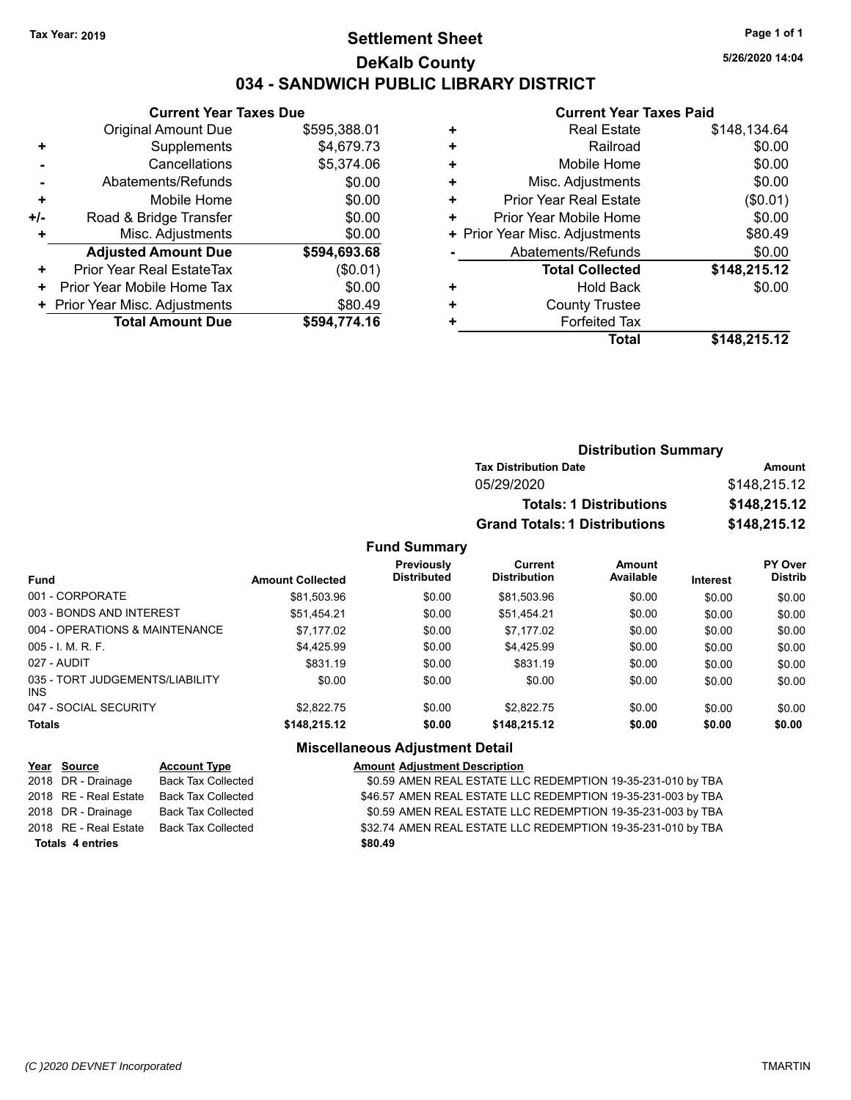# **Settlement Sheet Tax Year: 2019 Page 1 of 1 DeKalb County 034 - SANDWICH PUBLIC LIBRARY DISTRICT**

**5/26/2020 14:04**

### **Current Year Taxes Paid**

|     | <b>Current Year Taxes Due</b>  |              |
|-----|--------------------------------|--------------|
|     | <b>Original Amount Due</b>     | \$595,388.01 |
| ٠   | Supplements                    | \$4,679.73   |
|     | Cancellations                  | \$5,374.06   |
|     | Abatements/Refunds             | \$0.00       |
| ٠   | Mobile Home                    | \$0.00       |
| +/- | Road & Bridge Transfer         | \$0.00       |
| ٠   | Misc. Adjustments              | \$0.00       |
|     | <b>Adjusted Amount Due</b>     | \$594,693.68 |
| ٠   | Prior Year Real EstateTax      | (\$0.01)     |
| ٠   | Prior Year Mobile Home Tax     | \$0.00       |
|     | + Prior Year Misc. Adjustments | \$80.49      |
|     | <b>Total Amount Due</b>        | \$594,774.16 |

| <b>Real Estate</b>             | \$148,134.64 |
|--------------------------------|--------------|
| Railroad                       | \$0.00       |
| Mobile Home                    | \$0.00       |
| Misc. Adjustments              | \$0.00       |
| <b>Prior Year Real Estate</b>  | (\$0.01)     |
| Prior Year Mobile Home         | \$0.00       |
| + Prior Year Misc. Adjustments | \$80.49      |
| Abatements/Refunds             | \$0.00       |
| <b>Total Collected</b>         | \$148,215.12 |
| <b>Hold Back</b>               | \$0.00       |
| <b>County Trustee</b>          |              |
| <b>Forfeited Tax</b>           |              |
| <b>Total</b>                   | \$148,215.12 |
|                                |              |

| <b>Distribution Summary</b>          |              |
|--------------------------------------|--------------|
| <b>Tax Distribution Date</b>         | Amount       |
| 05/29/2020                           | \$148,215.12 |
| <b>Totals: 1 Distributions</b>       | \$148,215.12 |
| <b>Grand Totals: 1 Distributions</b> | \$148,215.12 |

### **Fund Summary**

| <b>Fund</b>                             | <b>Amount Collected</b> | <b>Previously</b><br><b>Distributed</b> | Current<br><b>Distribution</b> | Amount<br>Available | <b>Interest</b> | PY Over<br><b>Distrib</b> |
|-----------------------------------------|-------------------------|-----------------------------------------|--------------------------------|---------------------|-----------------|---------------------------|
| 001 - CORPORATE                         | \$81,503.96             | \$0.00                                  | \$81,503.96                    | \$0.00              | \$0.00          | \$0.00                    |
| 003 - BONDS AND INTEREST                | \$51,454.21             | \$0.00                                  | \$51,454.21                    | \$0.00              | \$0.00          | \$0.00                    |
| 004 - OPERATIONS & MAINTENANCE          | \$7.177.02              | \$0.00                                  | \$7.177.02                     | \$0.00              | \$0.00          | \$0.00                    |
| $005 - 1$ , M, R, F,                    | \$4.425.99              | \$0.00                                  | \$4.425.99                     | \$0.00              | \$0.00          | \$0.00                    |
| 027 - AUDIT                             | \$831.19                | \$0.00                                  | \$831.19                       | \$0.00              | \$0.00          | \$0.00                    |
| 035 - TORT JUDGEMENTS/LIABILITY<br>INS. | \$0.00                  | \$0.00                                  | \$0.00                         | \$0.00              | \$0.00          | \$0.00                    |
| 047 - SOCIAL SECURITY                   | \$2.822.75              | \$0.00                                  | \$2,822.75                     | \$0.00              | \$0.00          | \$0.00                    |
| <b>Totals</b>                           | \$148,215.12            | \$0.00                                  | \$148,215.12                   | \$0.00              | \$0.00          | \$0.00                    |

## **Miscellaneous Adjustment Detail**

| Year Source             | <b>Account Type</b>       | <b>Amount Adjustment Description</b>                         |
|-------------------------|---------------------------|--------------------------------------------------------------|
| 2018 DR - Drainage      | Back Tax Collected        | \$0.59 AMEN REAL ESTATE LLC REDEMPTION 19-35-231-010 by TBA  |
| 2018 RE - Real Estate   | Back Tax Collected        | \$46.57 AMEN REAL ESTATE LLC REDEMPTION 19-35-231-003 by TBA |
| 2018 DR - Drainage      | <b>Back Tax Collected</b> | \$0.59 AMEN REAL ESTATE LLC REDEMPTION 19-35-231-003 by TBA  |
| 2018 RE - Real Estate   | Back Tax Collected        | \$32.74 AMEN REAL ESTATE LLC REDEMPTION 19-35-231-010 by TBA |
| <b>Totals 4 entries</b> |                           | \$80.49                                                      |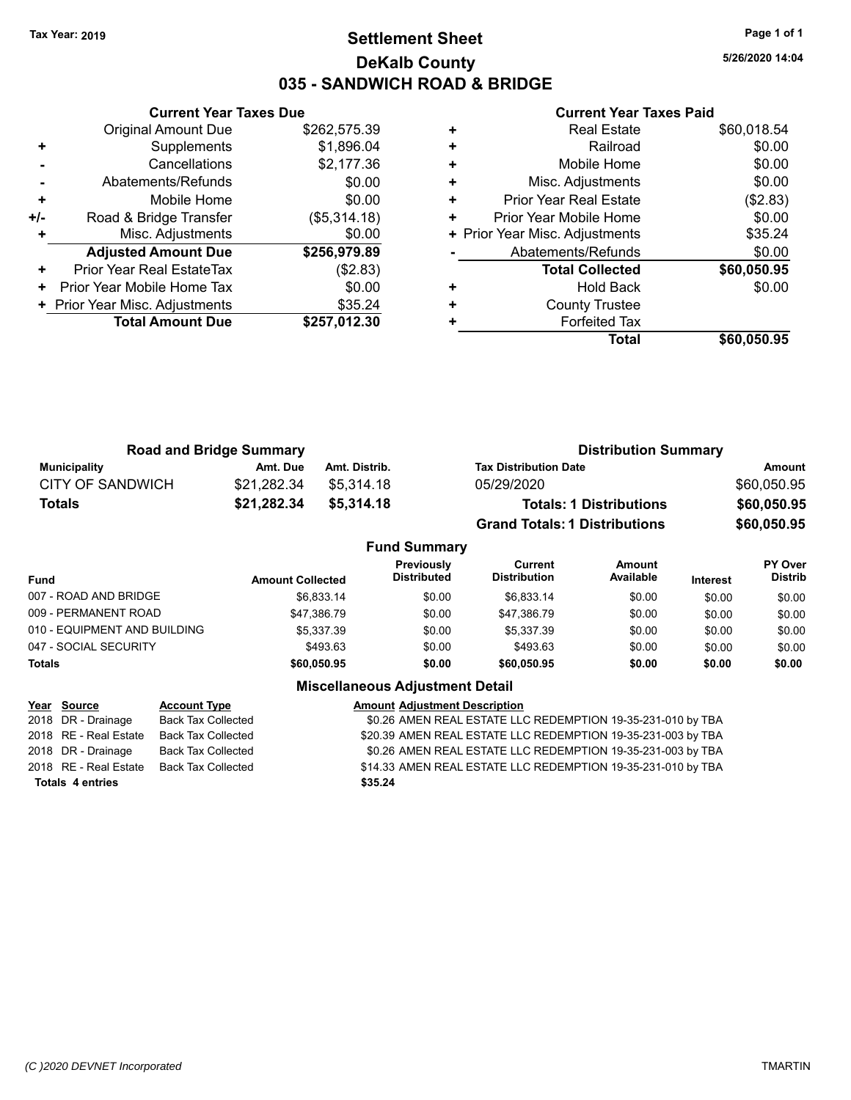# **Settlement Sheet Tax Year: 2019 Page 1 of 1 DeKalb County 035 - SANDWICH ROAD & BRIDGE**

**5/26/2020 14:04**

### **Current Year Taxes Paid**

|     | <b>Current Year Taxes Due</b>  |              |  |  |
|-----|--------------------------------|--------------|--|--|
|     | <b>Original Amount Due</b>     | \$262,575.39 |  |  |
| ٠   | Supplements                    | \$1,896.04   |  |  |
|     | Cancellations                  | \$2,177.36   |  |  |
|     | Abatements/Refunds             | \$0.00       |  |  |
| ٠   | Mobile Home                    | \$0.00       |  |  |
| +/- | Road & Bridge Transfer         | (\$5,314.18) |  |  |
|     | Misc. Adjustments              | \$0.00       |  |  |
|     | <b>Adjusted Amount Due</b>     | \$256,979.89 |  |  |
| ٠   | Prior Year Real EstateTax      | (\$2.83)     |  |  |
| ٠   | Prior Year Mobile Home Tax     | \$0.00       |  |  |
|     | + Prior Year Misc. Adjustments | \$35.24      |  |  |
|     | <b>Total Amount Due</b>        | \$257.012.30 |  |  |
|     |                                |              |  |  |

| <b>Real Estate</b>            | \$60,018.54                    |
|-------------------------------|--------------------------------|
| Railroad                      | \$0.00                         |
| Mobile Home                   | \$0.00                         |
| Misc. Adjustments             | \$0.00                         |
| <b>Prior Year Real Estate</b> | (\$2.83)                       |
| Prior Year Mobile Home        | \$0.00                         |
|                               | \$35.24                        |
| Abatements/Refunds            | \$0.00                         |
| <b>Total Collected</b>        | \$60,050.95                    |
| <b>Hold Back</b>              | \$0.00                         |
| <b>County Trustee</b>         |                                |
| <b>Forfeited Tax</b>          |                                |
| Total                         | \$60,050.95                    |
|                               | + Prior Year Misc. Adjustments |

| <b>Road and Bridge Summary</b> |             |               | <b>Distribution Summary</b>          |             |  |
|--------------------------------|-------------|---------------|--------------------------------------|-------------|--|
| Municipality                   | Amt. Due    | Amt. Distrib. | <b>Tax Distribution Date</b>         | Amount      |  |
| CITY OF SANDWICH               | \$21.282.34 | \$5.314.18    | 05/29/2020                           | \$60,050.95 |  |
| Totals                         | \$21,282.34 | \$5,314,18    | <b>Totals: 1 Distributions</b>       | \$60,050.95 |  |
|                                |             |               | <b>Grand Totals: 1 Distributions</b> | \$60,050.95 |  |

|                              |                         | <b>Fund Summary</b>              |                                |                     |                 |                                  |
|------------------------------|-------------------------|----------------------------------|--------------------------------|---------------------|-----------------|----------------------------------|
| Fund                         | <b>Amount Collected</b> | Previously<br><b>Distributed</b> | Current<br><b>Distribution</b> | Amount<br>Available | <b>Interest</b> | <b>PY Over</b><br><b>Distrib</b> |
| 007 - ROAD AND BRIDGE        | \$6.833.14              | \$0.00                           | \$6.833.14                     | \$0.00              | \$0.00          | \$0.00                           |
| 009 - PERMANENT ROAD         | \$47.386.79             | \$0.00                           | \$47.386.79                    | \$0.00              | \$0.00          | \$0.00                           |
| 010 - EQUIPMENT AND BUILDING | \$5.337.39              | \$0.00                           | \$5.337.39                     | \$0.00              | \$0.00          | \$0.00                           |
| 047 - SOCIAL SECURITY        | \$493.63                | \$0.00                           | \$493.63                       | \$0.00              | \$0.00          | \$0.00                           |
| <b>Totals</b>                | \$60,050.95             | \$0.00                           | \$60,050.95                    | \$0.00              | \$0.00          | \$0.00                           |

| Year Source             | <b>Account Type</b>       | <b>Amount Adjustment Description</b>                         |
|-------------------------|---------------------------|--------------------------------------------------------------|
| 2018 DR - Drainage      | <b>Back Tax Collected</b> | \$0.26 AMEN REAL ESTATE LLC REDEMPTION 19-35-231-010 by TBA  |
| 2018 RE - Real Estate   | Back Tax Collected        | \$20.39 AMEN REAL ESTATE LLC REDEMPTION 19-35-231-003 by TBA |
| 2018 DR - Drainage      | <b>Back Tax Collected</b> | \$0.26 AMEN REAL ESTATE LLC REDEMPTION 19-35-231-003 by TBA  |
| 2018 RE - Real Estate   | <b>Back Tax Collected</b> | \$14.33 AMEN REAL ESTATE LLC REDEMPTION 19-35-231-010 by TBA |
| <b>Totals 4 entries</b> |                           | \$35.24                                                      |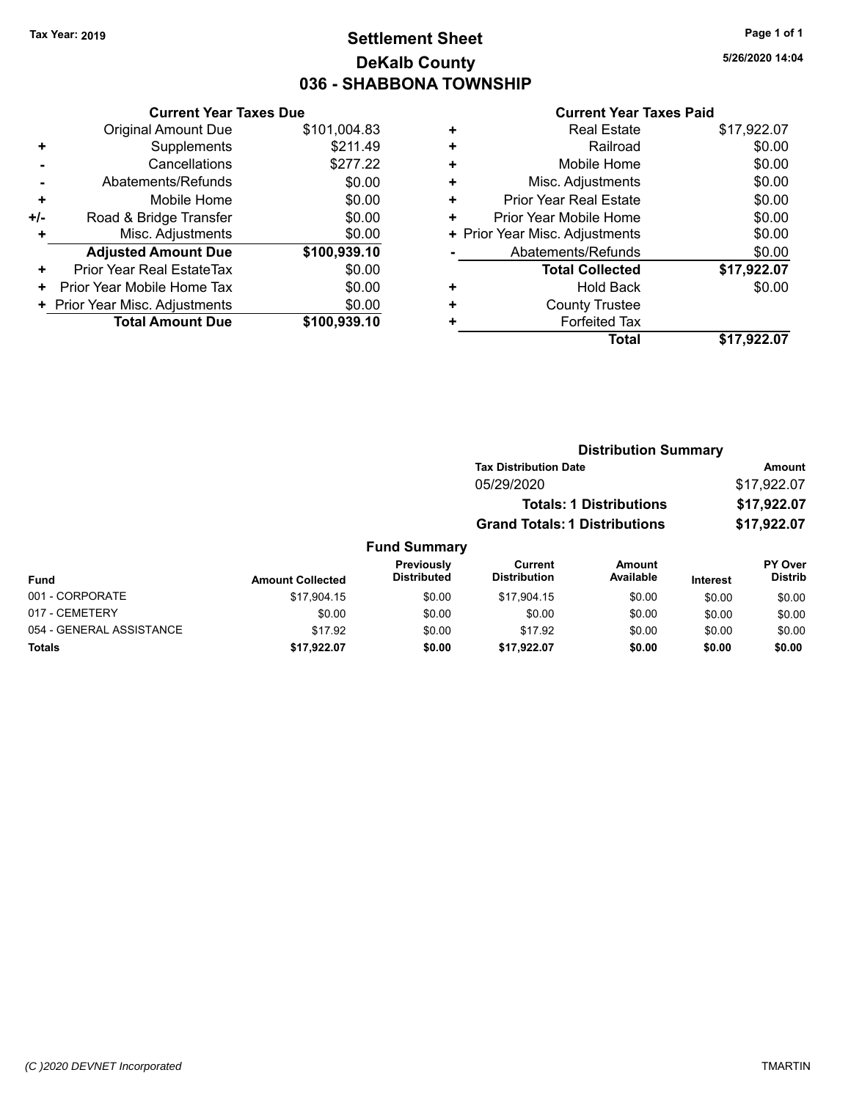# **Settlement Sheet Tax Year: 2019 Page 1 of 1 DeKalb County 036 - SHABBONA TOWNSHIP**

**5/26/2020 14:04**

|     | <b>Current Year Taxes Due</b>  |              |
|-----|--------------------------------|--------------|
|     | <b>Original Amount Due</b>     | \$101,004.83 |
| ٠   | Supplements                    | \$211.49     |
|     | Cancellations                  | \$277.22     |
|     | Abatements/Refunds             | \$0.00       |
| ٠   | Mobile Home                    | \$0.00       |
| +/- | Road & Bridge Transfer         | \$0.00       |
| ٠   | Misc. Adjustments              | \$0.00       |
|     | <b>Adjusted Amount Due</b>     | \$100,939.10 |
| ÷   | Prior Year Real EstateTax      | \$0.00       |
| ٠   | Prior Year Mobile Home Tax     | \$0.00       |
|     | + Prior Year Misc. Adjustments | \$0.00       |
|     | <b>Total Amount Due</b>        | \$100,939.10 |

|   | <b>Real Estate</b>             | \$17,922.07 |
|---|--------------------------------|-------------|
| ÷ | Railroad                       | \$0.00      |
| ٠ | Mobile Home                    | \$0.00      |
| ٠ | Misc. Adjustments              | \$0.00      |
| ٠ | <b>Prior Year Real Estate</b>  | \$0.00      |
| ٠ | Prior Year Mobile Home         | \$0.00      |
|   | + Prior Year Misc. Adjustments | \$0.00      |
|   | Abatements/Refunds             | \$0.00      |
|   | <b>Total Collected</b>         | \$17,922.07 |
| ٠ | <b>Hold Back</b>               | \$0.00      |
| ٠ | <b>County Trustee</b>          |             |
| ٠ | <b>Forfeited Tax</b>           |             |
|   | <b>Total</b>                   | \$17.922.07 |
|   |                                |             |

|                     | <b>Distribution Summary</b>          |             |
|---------------------|--------------------------------------|-------------|
|                     | <b>Tax Distribution Date</b>         | Amount      |
|                     | 05/29/2020                           | \$17,922.07 |
|                     | <b>Totals: 1 Distributions</b>       | \$17,922.07 |
|                     | <b>Grand Totals: 1 Distributions</b> | \$17,922.07 |
| <b>Fund Summary</b> |                                      |             |

| <b>Fund</b>              | <b>Amount Collected</b> | <b>Previously</b><br><b>Distributed</b> | Current<br><b>Distribution</b> | Amount<br>Available | <b>Interest</b> | PY Over<br><b>Distrib</b> |
|--------------------------|-------------------------|-----------------------------------------|--------------------------------|---------------------|-----------------|---------------------------|
| 001 - CORPORATE          | \$17,904.15             | \$0.00                                  | \$17,904.15                    | \$0.00              | \$0.00          | \$0.00                    |
| 017 - CEMETERY           | \$0.00                  | \$0.00                                  | \$0.00                         | \$0.00              | \$0.00          | \$0.00                    |
| 054 - GENERAL ASSISTANCE | \$17.92                 | \$0.00                                  | \$17.92                        | \$0.00              | \$0.00          | \$0.00                    |
| <b>Totals</b>            | \$17,922.07             | \$0.00                                  | \$17.922.07                    | \$0.00              | \$0.00          | \$0.00                    |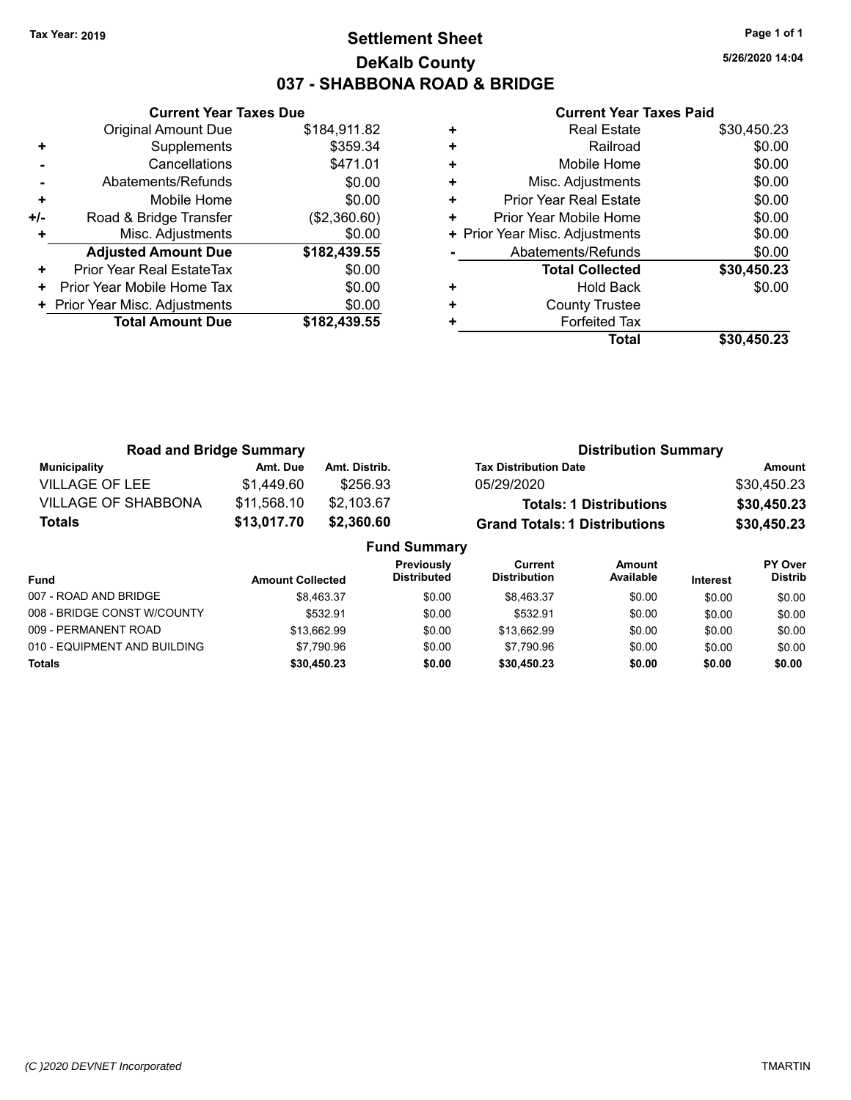# **Settlement Sheet Tax Year: 2019 Page 1 of 1 DeKalb County 037 - SHABBONA ROAD & BRIDGE**

**5/26/2020 14:04**

|     | <b>Current Year Taxes Due</b>  |              |
|-----|--------------------------------|--------------|
|     | <b>Original Amount Due</b>     | \$184,911.82 |
| ٠   | Supplements                    | \$359.34     |
|     | Cancellations                  | \$471.01     |
|     | Abatements/Refunds             | \$0.00       |
| ٠   | Mobile Home                    | \$0.00       |
| +/- | Road & Bridge Transfer         | (\$2,360.60) |
|     | Misc. Adjustments              | \$0.00       |
|     | <b>Adjusted Amount Due</b>     | \$182,439.55 |
| ٠   | Prior Year Real EstateTax      | \$0.00       |
| ٠   | Prior Year Mobile Home Tax     | \$0.00       |
|     | + Prior Year Misc. Adjustments | \$0.00       |
|     | <b>Total Amount Due</b>        | \$182,439.55 |
|     |                                |              |

|   | <b>Real Estate</b>             | \$30,450.23 |
|---|--------------------------------|-------------|
| ٠ | Railroad                       | \$0.00      |
| ٠ | Mobile Home                    | \$0.00      |
| ٠ | Misc. Adjustments              | \$0.00      |
| ٠ | <b>Prior Year Real Estate</b>  | \$0.00      |
| ٠ | Prior Year Mobile Home         | \$0.00      |
|   | + Prior Year Misc. Adjustments | \$0.00      |
|   | Abatements/Refunds             | \$0.00      |
|   | <b>Total Collected</b>         | \$30,450.23 |
| ٠ | <b>Hold Back</b>               | \$0.00      |
| ٠ | <b>County Trustee</b>          |             |
| ٠ | <b>Forfeited Tax</b>           |             |
|   | Total                          | \$30.450.23 |

| <b>Road and Bridge Summary</b> |             |                     | <b>Distribution Summary</b>          |             |  |
|--------------------------------|-------------|---------------------|--------------------------------------|-------------|--|
| <b>Municipality</b>            | Amt. Due    | Amt. Distrib.       | <b>Tax Distribution Date</b>         | Amount      |  |
| <b>VILLAGE OF LEE</b>          | \$1,449.60  | \$256.93            | 05/29/2020                           | \$30,450.23 |  |
| <b>VILLAGE OF SHABBONA</b>     | \$11,568.10 | \$2,103.67          | <b>Totals: 1 Distributions</b>       | \$30,450.23 |  |
| <b>Totals</b>                  | \$13,017.70 | \$2,360.60          | <b>Grand Totals: 1 Distributions</b> | \$30,450.23 |  |
|                                |             | <b>Fund Summary</b> |                                      |             |  |

| Fund                         | <b>Amount Collected</b> | <b>Previously</b><br><b>Distributed</b> | Current<br><b>Distribution</b> | <b>Amount</b><br>Available | <b>Interest</b> | <b>PY Over</b><br>Distrib |
|------------------------------|-------------------------|-----------------------------------------|--------------------------------|----------------------------|-----------------|---------------------------|
| 007 - ROAD AND BRIDGE        | \$8.463.37              | \$0.00                                  | \$8.463.37                     | \$0.00                     | \$0.00          | \$0.00                    |
| 008 - BRIDGE CONST W/COUNTY  | \$532.91                | \$0.00                                  | \$532.91                       | \$0.00                     | \$0.00          | \$0.00                    |
| 009 - PERMANENT ROAD         | \$13.662.99             | \$0.00                                  | \$13.662.99                    | \$0.00                     | \$0.00          | \$0.00                    |
| 010 - EQUIPMENT AND BUILDING | \$7.790.96              | \$0.00                                  | \$7.790.96                     | \$0.00                     | \$0.00          | \$0.00                    |
| <b>Totals</b>                | \$30,450.23             | \$0.00                                  | \$30,450.23                    | \$0.00                     | \$0.00          | \$0.00                    |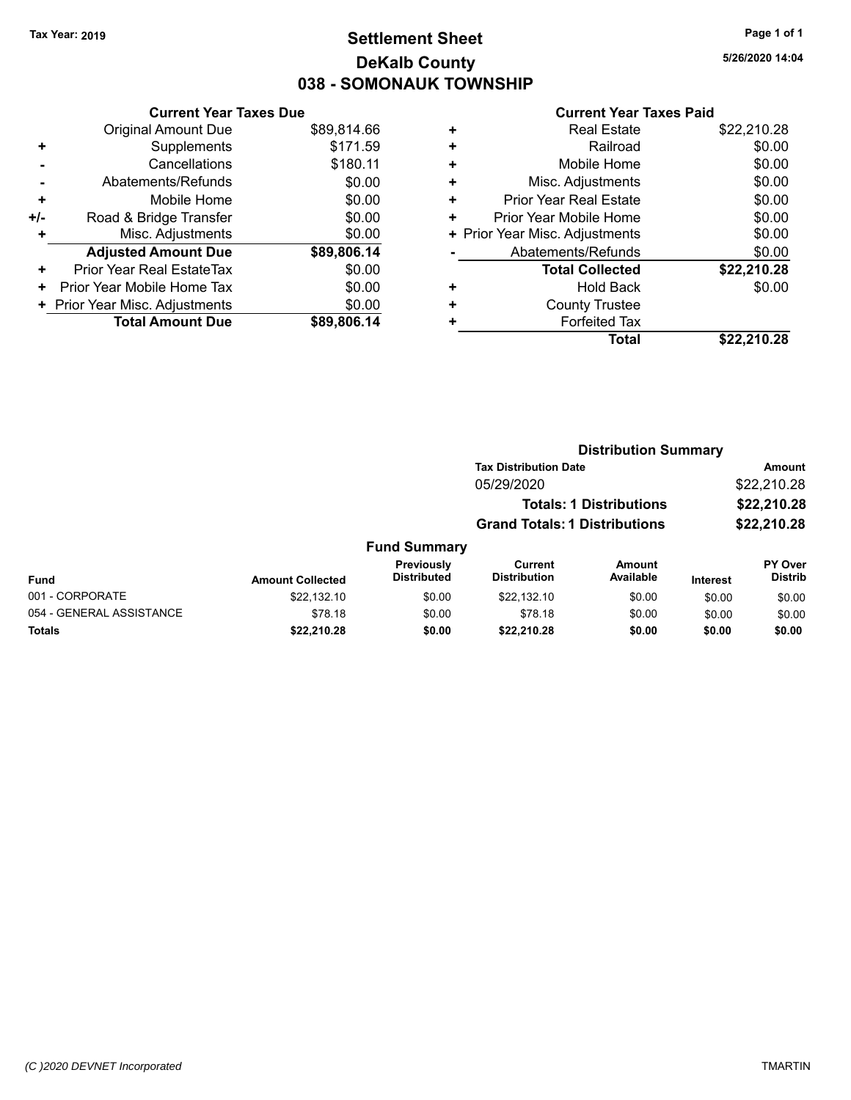# **Settlement Sheet Tax Year: 2019 Page 1 of 1 DeKalb County 038 - SOMONAUK TOWNSHIP**

**5/26/2020 14:04**

|     | <b>Current Year Taxes Due</b>  |             |
|-----|--------------------------------|-------------|
|     | <b>Original Amount Due</b>     | \$89,814.66 |
| ٠   | Supplements                    | \$171.59    |
|     | Cancellations                  | \$180.11    |
|     | Abatements/Refunds             | \$0.00      |
| ٠   | Mobile Home                    | \$0.00      |
| +/- | Road & Bridge Transfer         | \$0.00      |
| ٠   | Misc. Adjustments              | \$0.00      |
|     | <b>Adjusted Amount Due</b>     | \$89,806.14 |
| ٠   | Prior Year Real EstateTax      | \$0.00      |
| ٠   | Prior Year Mobile Home Tax     | \$0.00      |
|     | + Prior Year Misc. Adjustments | \$0.00      |
|     | <b>Total Amount Due</b>        | \$89,806.14 |

| + | <b>Real Estate</b>             | \$22,210.28 |
|---|--------------------------------|-------------|
| ٠ | Railroad                       | \$0.00      |
| ٠ | Mobile Home                    | \$0.00      |
| ٠ | Misc. Adjustments              | \$0.00      |
| ٠ | <b>Prior Year Real Estate</b>  | \$0.00      |
| ٠ | Prior Year Mobile Home         | \$0.00      |
|   | + Prior Year Misc. Adjustments | \$0.00      |
|   | Abatements/Refunds             | \$0.00      |
|   | <b>Total Collected</b>         | \$22,210.28 |
| ٠ | <b>Hold Back</b>               | \$0.00      |
| ٠ | <b>County Trustee</b>          |             |
| ٠ | <b>Forfeited Tax</b>           |             |
|   | Total                          | \$22.210.28 |
|   |                                |             |

|                         |                                  |                                      | <b>Distribution Summary</b>    |                 |                                  |
|-------------------------|----------------------------------|--------------------------------------|--------------------------------|-----------------|----------------------------------|
|                         |                                  | <b>Tax Distribution Date</b>         |                                |                 | Amount                           |
|                         |                                  | 05/29/2020                           |                                |                 | \$22,210.28                      |
|                         |                                  |                                      | <b>Totals: 1 Distributions</b> |                 | \$22,210.28                      |
|                         |                                  | <b>Grand Totals: 1 Distributions</b> |                                |                 | \$22,210.28                      |
|                         | <b>Fund Summary</b>              |                                      |                                |                 |                                  |
| <b>Amount Collected</b> | Previously<br><b>Distributed</b> | Current<br><b>Distribution</b>       | Amount<br>Available            | <b>Interest</b> | <b>PY Over</b><br><b>Distrib</b> |
| \$22.132.10             | \$0.00                           | \$22.132.10                          | \$0.00                         | \$0.00          | \$0.00                           |

| <b>Fund</b>              | <b>Amount Collected</b> | I I GVIVUJIV<br><b>Distributed</b> | <b>VUILUIL</b><br><b>Distribution</b> | <u>Anvun</u><br>Available | <b>Interest</b> | .<br><b>Distrib</b> |
|--------------------------|-------------------------|------------------------------------|---------------------------------------|---------------------------|-----------------|---------------------|
| 001 - CORPORATE          | \$22.132.10             | \$0.00                             | \$22.132.10                           | \$0.00                    | \$0.00          | \$0.00              |
| 054 - GENERAL ASSISTANCE | \$78.18                 | \$0.00                             | \$78.18                               | \$0.00                    | \$0.00          | \$0.00              |
| <b>Totals</b>            | \$22.210.28             | \$0.00                             | \$22,210.28                           | \$0.00                    | \$0.00          | \$0.00              |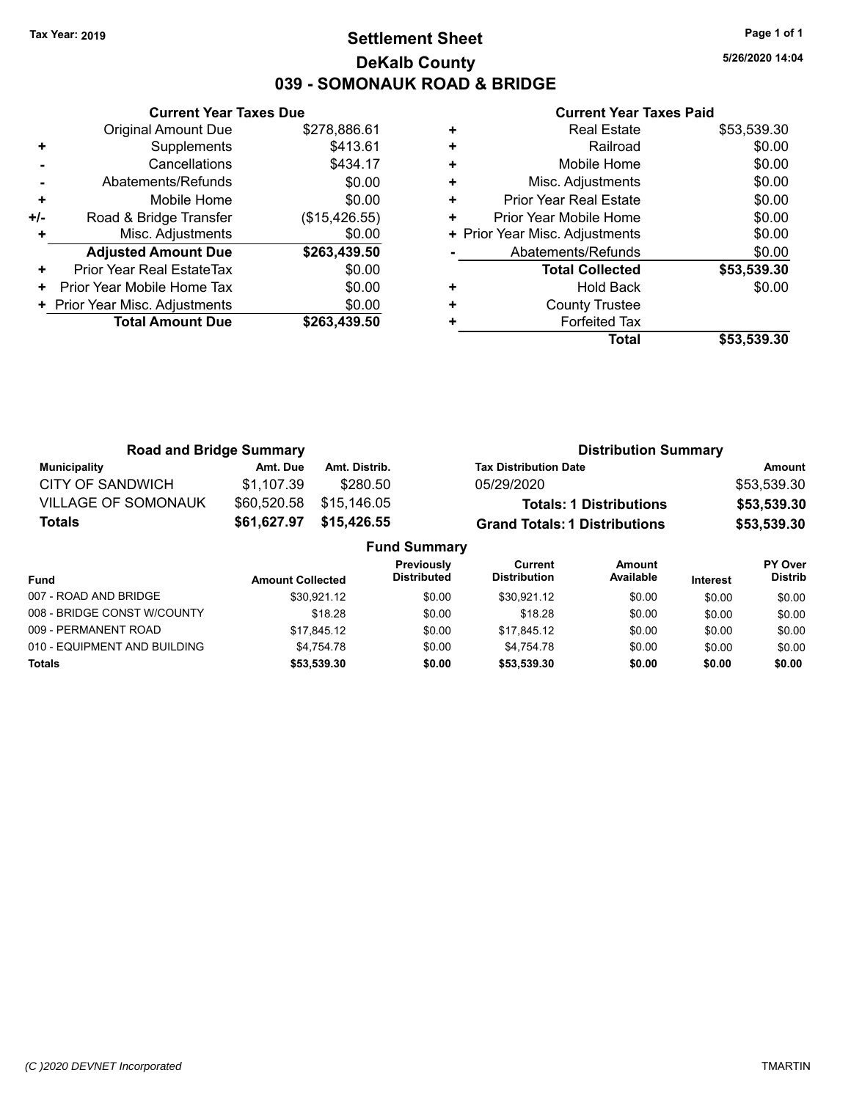# **Settlement Sheet Tax Year: 2019 Page 1 of 1 DeKalb County 039 - SOMONAUK ROAD & BRIDGE**

**5/26/2020 14:04**

|       | <b>Current Year Taxes Due</b>  |               |  |  |  |  |
|-------|--------------------------------|---------------|--|--|--|--|
|       | <b>Original Amount Due</b>     | \$278,886.61  |  |  |  |  |
| ٠     | Supplements                    | \$413.61      |  |  |  |  |
|       | Cancellations                  | \$434.17      |  |  |  |  |
|       | Abatements/Refunds             | \$0.00        |  |  |  |  |
| ٠     | Mobile Home                    | \$0.00        |  |  |  |  |
| $+/-$ | Road & Bridge Transfer         | (\$15,426.55) |  |  |  |  |
| ÷     | Misc. Adjustments              | \$0.00        |  |  |  |  |
|       | <b>Adjusted Amount Due</b>     | \$263,439.50  |  |  |  |  |
| ٠     | Prior Year Real EstateTax      | \$0.00        |  |  |  |  |
| ٠     | Prior Year Mobile Home Tax     | \$0.00        |  |  |  |  |
|       | + Prior Year Misc. Adjustments | \$0.00        |  |  |  |  |
|       | <b>Total Amount Due</b>        | \$263,439.50  |  |  |  |  |
|       |                                |               |  |  |  |  |

|   | <b>Real Estate</b>             | \$53,539.30 |
|---|--------------------------------|-------------|
| ٠ | Railroad                       | \$0.00      |
| ٠ | Mobile Home                    | \$0.00      |
| ٠ | Misc. Adjustments              | \$0.00      |
| ٠ | <b>Prior Year Real Estate</b>  | \$0.00      |
| ٠ | Prior Year Mobile Home         | \$0.00      |
|   | + Prior Year Misc. Adjustments | \$0.00      |
|   | Abatements/Refunds             | \$0.00      |
|   | <b>Total Collected</b>         | \$53,539.30 |
| ٠ | Hold Back                      | \$0.00      |
| ٠ | <b>County Trustee</b>          |             |
| ٠ | <b>Forfeited Tax</b>           |             |
|   | Total                          | \$53,539.30 |

| <b>Road and Bridge Summary</b> |             |                     |                                      | <b>Distribution Summary</b>    |               |
|--------------------------------|-------------|---------------------|--------------------------------------|--------------------------------|---------------|
| Municipality                   | Amt. Due    | Amt. Distrib.       | <b>Tax Distribution Date</b>         |                                | <b>Amount</b> |
| <b>CITY OF SANDWICH</b>        | \$1,107.39  | \$280.50            | 05/29/2020                           |                                | \$53,539.30   |
| <b>VILLAGE OF SOMONAUK</b>     | \$60,520.58 | \$15,146.05         |                                      | <b>Totals: 1 Distributions</b> | \$53,539.30   |
| Totals                         | \$61,627.97 | \$15,426.55         | <b>Grand Totals: 1 Distributions</b> |                                | \$53,539.30   |
|                                |             | <b>Fund Summary</b> |                                      |                                |               |
|                                |             | <b>Droviought</b>   | $C$                                  | $A_{max}$                      | DV Ough       |

| <b>Fund</b>                  | <b>Amount Collected</b> | <b>Previously</b><br><b>Distributed</b> | Current<br><b>Distribution</b> | Amount<br>Available | <b>Interest</b> | <b>PY Over</b><br><b>Distrib</b> |
|------------------------------|-------------------------|-----------------------------------------|--------------------------------|---------------------|-----------------|----------------------------------|
| 007 - ROAD AND BRIDGE        | \$30.921.12             | \$0.00                                  | \$30.921.12                    | \$0.00              | \$0.00          | \$0.00                           |
| 008 - BRIDGE CONST W/COUNTY  | \$18.28                 | \$0.00                                  | \$18.28                        | \$0.00              | \$0.00          | \$0.00                           |
| 009 - PERMANENT ROAD         | \$17.845.12             | \$0.00                                  | \$17.845.12                    | \$0.00              | \$0.00          | \$0.00                           |
| 010 - EQUIPMENT AND BUILDING | \$4.754.78              | \$0.00                                  | \$4.754.78                     | \$0.00              | \$0.00          | \$0.00                           |
| <b>Totals</b>                | \$53,539.30             | \$0.00                                  | \$53.539.30                    | \$0.00              | \$0.00          | \$0.00                           |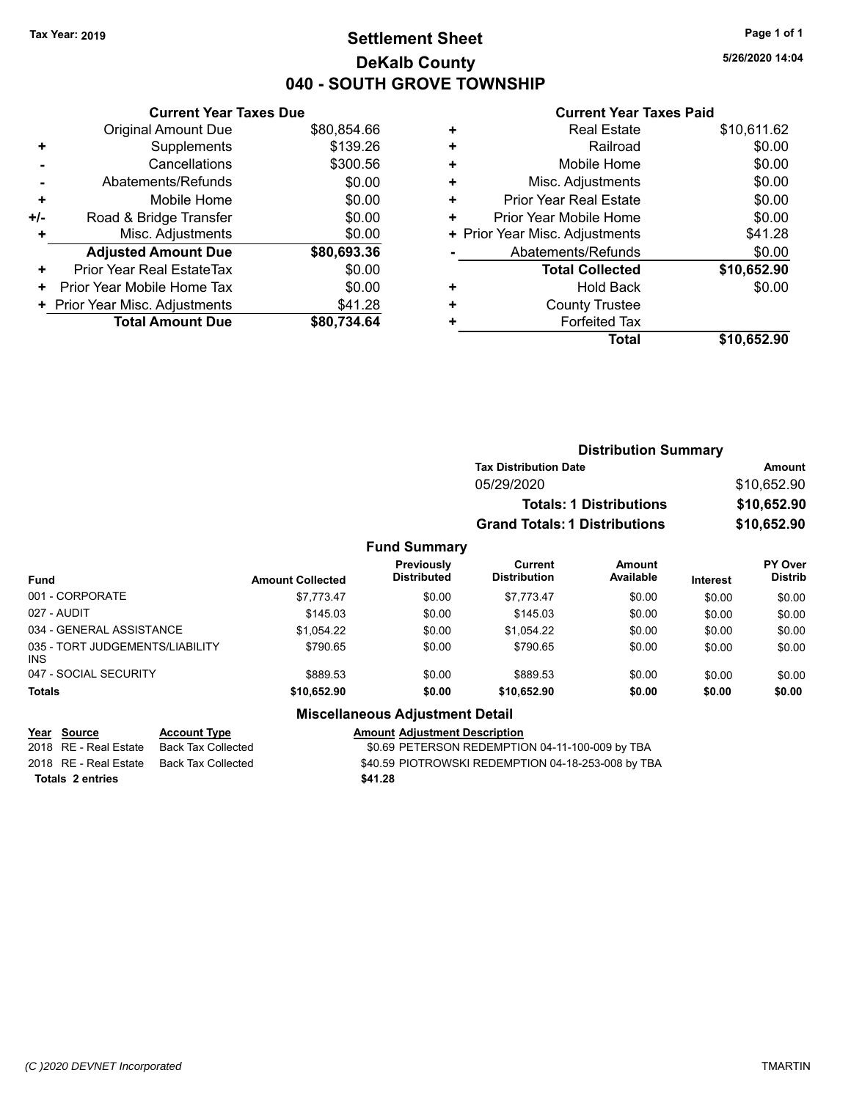# **Settlement Sheet Tax Year: 2019 Page 1 of 1 DeKalb County 040 - SOUTH GROVE TOWNSHIP**

**5/26/2020 14:04**

### **Current Year Taxes Paid**

| <b>Current Year Taxes Due</b>  |                         |
|--------------------------------|-------------------------|
| <b>Original Amount Due</b>     | \$80,854.66             |
| Supplements                    | \$139.26                |
| Cancellations                  | \$300.56                |
| Abatements/Refunds             | \$0.00                  |
| Mobile Home                    | \$0.00                  |
| Road & Bridge Transfer         | \$0.00                  |
| Misc. Adjustments              | \$0.00                  |
| <b>Adjusted Amount Due</b>     | \$80,693.36             |
| Prior Year Real EstateTax      | \$0.00                  |
| Prior Year Mobile Home Tax     | \$0.00                  |
| + Prior Year Misc. Adjustments | \$41.28                 |
|                                | \$80.734.64             |
|                                | <b>Total Amount Due</b> |

|   | <b>Real Estate</b>             | \$10,611.62 |
|---|--------------------------------|-------------|
| ٠ | Railroad                       | \$0.00      |
| ٠ | Mobile Home                    | \$0.00      |
| ٠ | Misc. Adjustments              | \$0.00      |
| ٠ | <b>Prior Year Real Estate</b>  | \$0.00      |
| ٠ | Prior Year Mobile Home         | \$0.00      |
|   | + Prior Year Misc. Adjustments | \$41.28     |
|   | Abatements/Refunds             | \$0.00      |
|   | <b>Total Collected</b>         | \$10,652.90 |
| ٠ | <b>Hold Back</b>               | \$0.00      |
| ٠ | <b>County Trustee</b>          |             |
| ٠ | <b>Forfeited Tax</b>           |             |
|   | Total                          | \$10,652.90 |
|   |                                |             |

|                         |                                  | <b>Tax Distribution Date</b>   |                     |                                                                        | Amount                      |
|-------------------------|----------------------------------|--------------------------------|---------------------|------------------------------------------------------------------------|-----------------------------|
|                         |                                  | 05/29/2020                     |                     |                                                                        | \$10,652.90                 |
|                         |                                  |                                |                     |                                                                        | \$10,652.90                 |
|                         |                                  |                                |                     |                                                                        | \$10,652.90                 |
|                         |                                  |                                |                     |                                                                        |                             |
| <b>Amount Collected</b> | Previously<br><b>Distributed</b> | Current<br><b>Distribution</b> | Amount<br>Available | Interest                                                               | PY Over<br><b>Distrib</b>   |
| \$7,773.47              | \$0.00                           | \$7,773.47                     | \$0.00              | \$0.00                                                                 | \$0.00                      |
| \$145.03                | \$0.00                           | \$145.03                       | \$0.00              | \$0.00                                                                 | \$0.00                      |
|                         |                                  |                                | <b>Fund Summary</b> | <b>Totals: 1 Distributions</b><br><b>Grand Totals: 1 Distributions</b> | <b>Distribution Summary</b> |

| <b>Totals</b>                                 | \$10,652.90 | \$0.00 | \$10,652.90        | \$0.00 | \$0.00 | \$0.00 |
|-----------------------------------------------|-------------|--------|--------------------|--------|--------|--------|
| 047 - SOCIAL SECURITY                         | \$889.53    | \$0.00 | \$889.53           | \$0.00 | \$0.00 | \$0.00 |
| 035 - TORT JUDGEMENTS/LIABILITY<br><b>INS</b> | \$790.65    | \$0.00 | \$790.65           | \$0.00 | \$0.00 | \$0.00 |
| 034 - GENERAL ASSISTANCE                      | \$1.054.22  | \$0.00 | \$1.054.22         | \$0.00 | \$0.00 | \$0.00 |
| 027 - AUDIT                                   | \$145.03    | \$0.00 | \$145.03           | \$0.00 | \$0.00 | \$0.00 |
| $001 - 0011 - 01171$                          |             | JU.UU  | <u>، ۱۰، ۱۰۰ س</u> | JU.UU  | JU.UU  | JU.UU  |

# **Miscellaneous Adjustment Detail**

### **Year Source Account Type Account Adjustment Description**

2018 RE - Real Estate Back Tax Collected \$0.69 PETERSON REDEMPTION 04-11-100-009 by TBA 2018 RE - Real Estate Back Tax Collected Sand Back S40.59 PIOTROWSKI REDEMPTION 04-18-253-008 by TBA **Totals \$41.28 2 entries**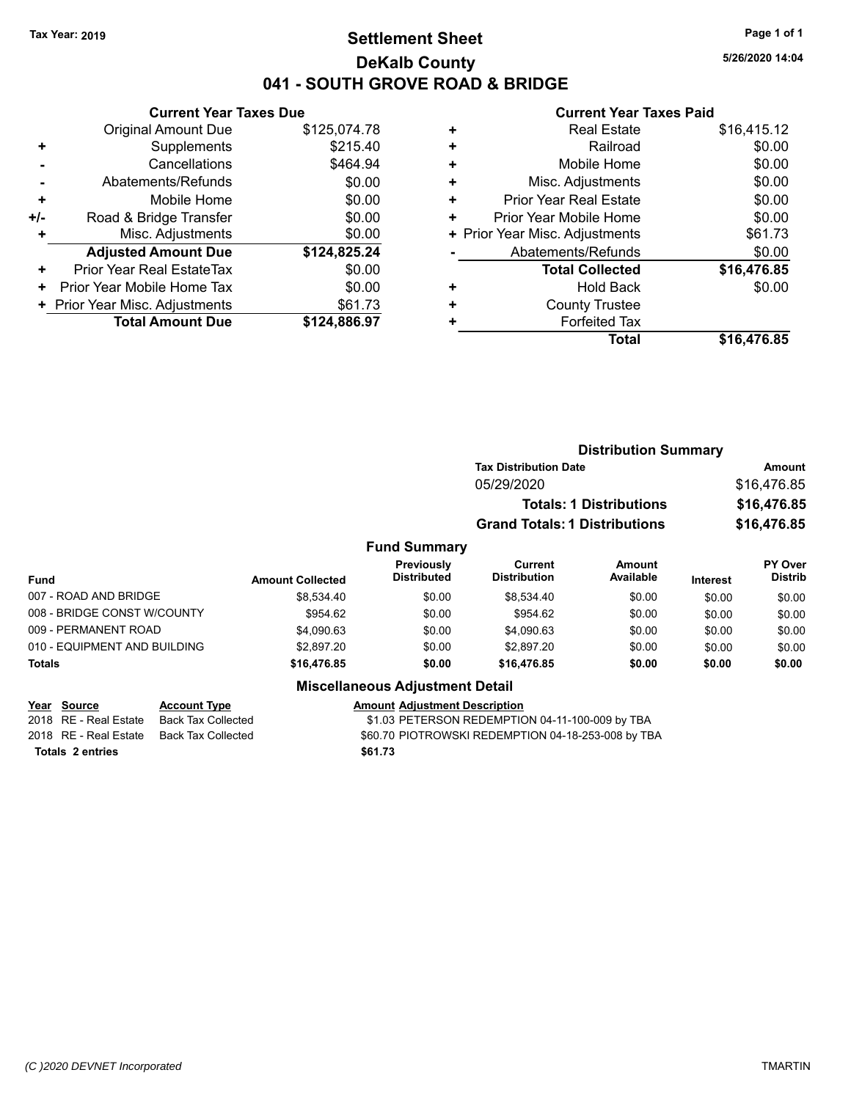# **Settlement Sheet Tax Year: 2019 Page 1 of 1 DeKalb County 041 - SOUTH GROVE ROAD & BRIDGE**

**5/26/2020 14:04**

### **Current Year Taxes Paid**

|       | <b>Current Year Taxes Due</b>  |              |
|-------|--------------------------------|--------------|
|       | <b>Original Amount Due</b>     | \$125,074.78 |
| ٠     | Supplements                    | \$215.40     |
|       | Cancellations                  | \$464.94     |
|       | Abatements/Refunds             | \$0.00       |
| ٠     | Mobile Home                    | \$0.00       |
| $+/-$ | Road & Bridge Transfer         | \$0.00       |
|       | Misc. Adjustments              | \$0.00       |
|       | <b>Adjusted Amount Due</b>     | \$124,825.24 |
| ٠     | Prior Year Real EstateTax      | \$0.00       |
| ٠     | Prior Year Mobile Home Tax     | \$0.00       |
|       | + Prior Year Misc. Adjustments | \$61.73      |
|       | <b>Total Amount Due</b>        | \$124,886.97 |
|       |                                |              |

| ٠ | <b>Real Estate</b>             | \$16,415.12 |
|---|--------------------------------|-------------|
| ÷ | Railroad                       | \$0.00      |
| ٠ | Mobile Home                    | \$0.00      |
| ٠ | Misc. Adjustments              | \$0.00      |
| ٠ | Prior Year Real Estate         | \$0.00      |
| ٠ | Prior Year Mobile Home         | \$0.00      |
|   | + Prior Year Misc. Adjustments | \$61.73     |
|   | Abatements/Refunds             | \$0.00      |
|   | <b>Total Collected</b>         | \$16,476.85 |
| ٠ | <b>Hold Back</b>               | \$0.00      |
| ٠ | <b>County Trustee</b>          |             |
| ٠ | <b>Forfeited Tax</b>           |             |
|   | Total                          | \$16,476.85 |

|                         |                                  | <b>Distribution Summary</b>          |                                |                 |                                  |
|-------------------------|----------------------------------|--------------------------------------|--------------------------------|-----------------|----------------------------------|
|                         |                                  | <b>Tax Distribution Date</b>         |                                |                 | Amount                           |
|                         |                                  | 05/29/2020                           |                                |                 | \$16,476.85                      |
|                         |                                  |                                      | <b>Totals: 1 Distributions</b> |                 | \$16,476.85                      |
|                         |                                  | <b>Grand Totals: 1 Distributions</b> |                                |                 | \$16,476.85                      |
|                         | <b>Fund Summary</b>              |                                      |                                |                 |                                  |
| <b>Amount Collected</b> | Previously<br><b>Distributed</b> | Current<br><b>Distribution</b>       | <b>Amount</b><br>Available     | <b>Interest</b> | <b>PY Over</b><br><b>Distrib</b> |
| \$8.534.40              | \$0.00                           | \$8,534.40                           | \$0.00                         | \$0.00          | \$0.00                           |

| <b>Fund</b>                  | <b>Amount Collected</b> | <b>Distributed</b> | <b>Distribution</b> | Available | <b>Interest</b> | Distrib |
|------------------------------|-------------------------|--------------------|---------------------|-----------|-----------------|---------|
| 007 - ROAD AND BRIDGE        | \$8.534.40              | \$0.00             | \$8.534.40          | \$0.00    | \$0.00          | \$0.00  |
| 008 - BRIDGE CONST W/COUNTY  | \$954.62                | \$0.00             | \$954.62            | \$0.00    | \$0.00          | \$0.00  |
| 009 - PERMANENT ROAD         | \$4,090.63              | \$0.00             | \$4,090.63          | \$0.00    | \$0.00          | \$0.00  |
| 010 - EQUIPMENT AND BUILDING | \$2,897.20              | \$0.00             | \$2,897.20          | \$0.00    | \$0.00          | \$0.00  |
| Totals                       | \$16,476.85             | \$0.00             | \$16,476.85         | \$0.00    | \$0.00          | \$0.00  |
|                              |                         |                    |                     |           |                 |         |

# **Miscellaneous Adjustment Detail**

**Totals \$61.73 2 entries**

**Year** Source **Account Type A** Account Adjustment Description

2018 RE - Real Estate Back Tax Collected **12.03 PETERSON REDEMPTION 04-11-100-009 by TBA**<br>2018 RE - Real Estate Back Tax Collected \$60.70 PIOTROWSKI REDEMPTION 04-18-253-008 by TE \$60.70 PIOTROWSKI REDEMPTION 04-18-253-008 by TBA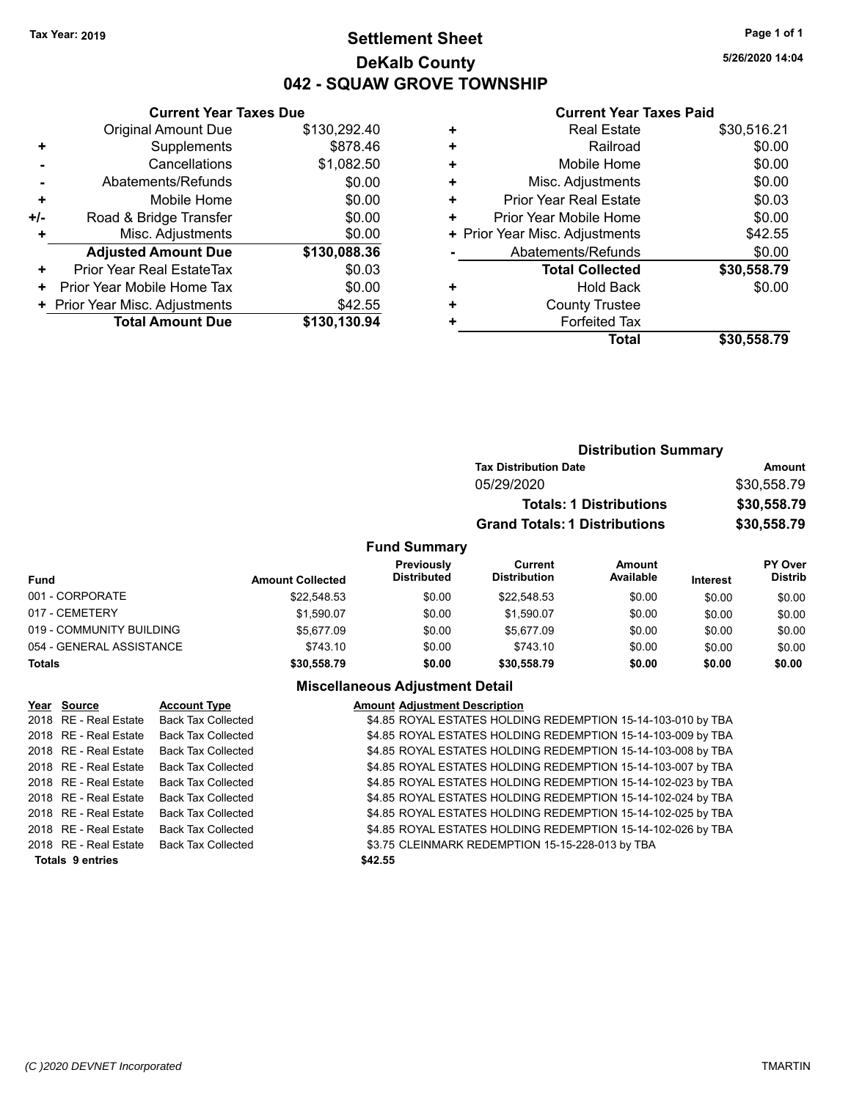# **Settlement Sheet Tax Year: 2019 Page 1 of 1 DeKalb County 042 - SQUAW GROVE TOWNSHIP**

**5/26/2020 14:04**

### **Current Year Taxes Paid**

| <b>Original Amount Due</b> | \$130,292.40                                                  |
|----------------------------|---------------------------------------------------------------|
| Supplements                | \$878.46                                                      |
| Cancellations              | \$1,082.50                                                    |
| Abatements/Refunds         | \$0.00                                                        |
| Mobile Home                | \$0.00                                                        |
| Road & Bridge Transfer     | \$0.00                                                        |
| Misc. Adjustments          | \$0.00                                                        |
| <b>Adjusted Amount Due</b> | \$130,088.36                                                  |
| Prior Year Real EstateTax  | \$0.03                                                        |
| Prior Year Mobile Home Tax | \$0.00                                                        |
|                            | \$42.55                                                       |
| <b>Total Amount Due</b>    | \$130,130.94                                                  |
|                            | <b>Current Year Taxes Due</b><br>Prior Year Misc. Adjustments |

|   | <b>Real Estate</b>             | \$30,516.21 |
|---|--------------------------------|-------------|
| ٠ | Railroad                       | \$0.00      |
| ٠ | Mobile Home                    | \$0.00      |
| ٠ | Misc. Adjustments              | \$0.00      |
| ٠ | <b>Prior Year Real Estate</b>  | \$0.03      |
| ٠ | Prior Year Mobile Home         | \$0.00      |
|   | + Prior Year Misc. Adjustments | \$42.55     |
|   | Abatements/Refunds             | \$0.00      |
|   | <b>Total Collected</b>         | \$30,558.79 |
| ٠ | Hold Back                      | \$0.00      |
| ٠ | <b>County Trustee</b>          |             |
|   | <b>Forfeited Tax</b>           |             |
|   | Total                          | \$30,558.79 |
|   |                                |             |

|                          |                         |                                  | <b>Distribution Summary</b>          |                                |                 |                                  |
|--------------------------|-------------------------|----------------------------------|--------------------------------------|--------------------------------|-----------------|----------------------------------|
|                          |                         |                                  | <b>Tax Distribution Date</b>         |                                |                 | Amount                           |
|                          |                         |                                  | 05/29/2020                           |                                |                 | \$30,558.79                      |
|                          |                         |                                  |                                      | <b>Totals: 1 Distributions</b> |                 | \$30,558.79                      |
|                          |                         |                                  | <b>Grand Totals: 1 Distributions</b> |                                |                 | \$30,558.79                      |
|                          |                         | <b>Fund Summary</b>              |                                      |                                |                 |                                  |
| <b>Fund</b>              | <b>Amount Collected</b> | Previously<br><b>Distributed</b> | Current<br><b>Distribution</b>       | <b>Amount</b><br>Available     | <b>Interest</b> | <b>PY Over</b><br><b>Distrib</b> |
| 001 - CORPORATE          | \$22,548.53             | \$0.00                           | \$22.548.53                          | \$0.00                         | \$0.00          | \$0.00                           |
| 017 - CEMETERY           | \$1,590.07              | \$0.00                           | \$1,590.07                           | \$0.00                         | \$0.00          | \$0.00                           |
| 019 - COMMUNITY BUILDING | \$5.677.09              | \$0.00                           | \$5.677.09                           | \$0.00                         | \$0.00          | \$0.00                           |

# 054 - GENERAL ASSISTANCE \$743.10 \$0.00 \$0.00 \$0.00 \$0.00 \$0.00 **Totals \$30,558.79 \$0.00 \$30,558.79 \$0.00 \$0.00 \$0.00**

| Year Source             | <b>Account Type</b>       | <b>Amount Adjustment Description</b>                         |
|-------------------------|---------------------------|--------------------------------------------------------------|
| 2018 RE - Real Estate   | <b>Back Tax Collected</b> | \$4.85 ROYAL ESTATES HOLDING REDEMPTION 15-14-103-010 by TBA |
| 2018 RE - Real Estate   | <b>Back Tax Collected</b> | \$4.85 ROYAL ESTATES HOLDING REDEMPTION 15-14-103-009 by TBA |
| 2018 RE - Real Estate   | <b>Back Tax Collected</b> | \$4.85 ROYAL ESTATES HOLDING REDEMPTION 15-14-103-008 by TBA |
| 2018 RE - Real Estate   | <b>Back Tax Collected</b> | \$4.85 ROYAL ESTATES HOLDING REDEMPTION 15-14-103-007 by TBA |
| 2018 RE - Real Estate   | <b>Back Tax Collected</b> | \$4.85 ROYAL ESTATES HOLDING REDEMPTION 15-14-102-023 by TBA |
| 2018 RE - Real Estate   | <b>Back Tax Collected</b> | \$4.85 ROYAL ESTATES HOLDING REDEMPTION 15-14-102-024 by TBA |
| 2018 RE - Real Estate   | <b>Back Tax Collected</b> | \$4.85 ROYAL ESTATES HOLDING REDEMPTION 15-14-102-025 by TBA |
| 2018 RE - Real Estate   | <b>Back Tax Collected</b> | \$4.85 ROYAL ESTATES HOLDING REDEMPTION 15-14-102-026 by TBA |
| 2018 RE - Real Estate   | <b>Back Tax Collected</b> | \$3.75 CLEINMARK REDEMPTION 15-15-228-013 by TBA             |
| <b>Totals 9 entries</b> |                           | \$42.55                                                      |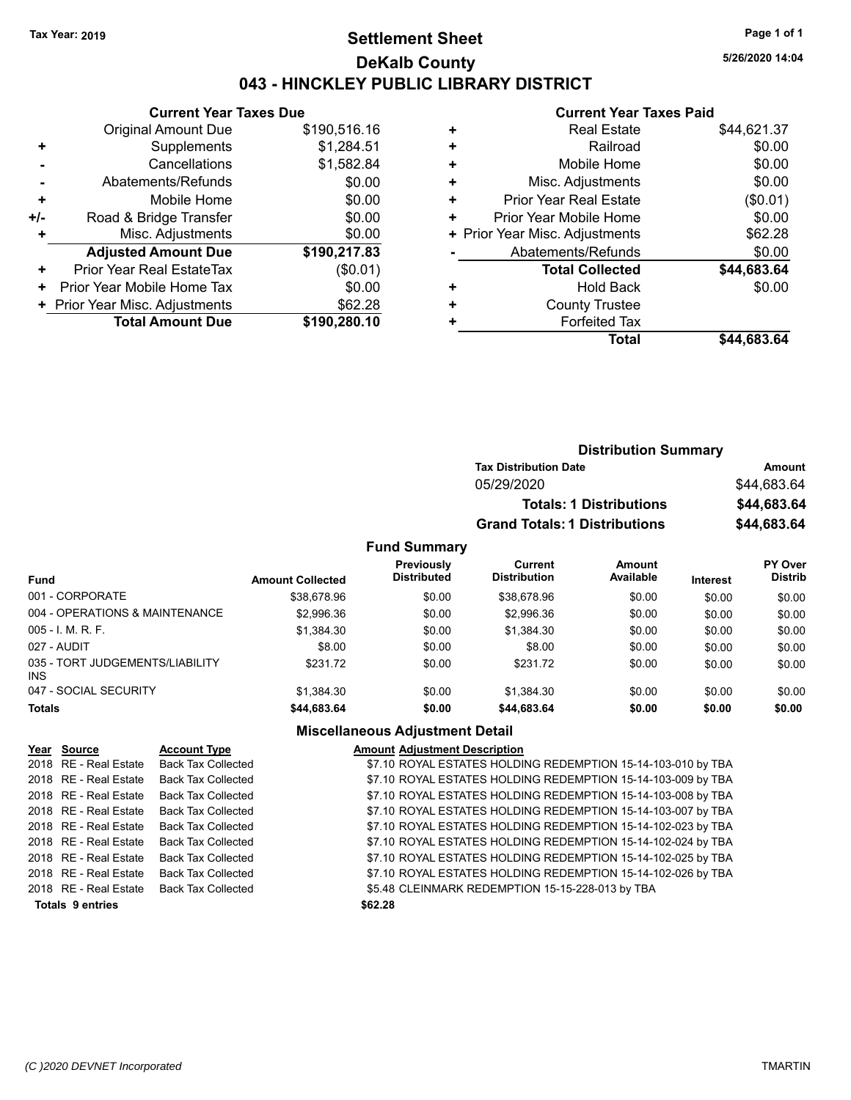# **Settlement Sheet Tax Year: 2019 Page 1 of 1 DeKalb County 043 - HINCKLEY PUBLIC LIBRARY DISTRICT**

**5/26/2020 14:04**

### **Current Year Taxes Paid**

|     | <b>Current Year Taxes Due</b>  |              |  |  |  |  |
|-----|--------------------------------|--------------|--|--|--|--|
|     | <b>Original Amount Due</b>     | \$190,516.16 |  |  |  |  |
| ٠   | Supplements                    | \$1,284.51   |  |  |  |  |
|     | Cancellations                  | \$1,582.84   |  |  |  |  |
|     | Abatements/Refunds             | \$0.00       |  |  |  |  |
| ٠   | Mobile Home                    | \$0.00       |  |  |  |  |
| +/- | Road & Bridge Transfer         | \$0.00       |  |  |  |  |
| ٠   | Misc. Adjustments              | \$0.00       |  |  |  |  |
|     | <b>Adjusted Amount Due</b>     | \$190,217.83 |  |  |  |  |
| ٠   | Prior Year Real EstateTax      | (\$0.01)     |  |  |  |  |
| ÷   | Prior Year Mobile Home Tax     | \$0.00       |  |  |  |  |
|     | + Prior Year Misc. Adjustments | \$62.28      |  |  |  |  |
|     | <b>Total Amount Due</b>        | \$190,280.10 |  |  |  |  |
|     |                                |              |  |  |  |  |

| <b>Real Estate</b>             | \$44,621.37 |
|--------------------------------|-------------|
| Railroad                       | \$0.00      |
| Mobile Home                    | \$0.00      |
| Misc. Adjustments              | \$0.00      |
| <b>Prior Year Real Estate</b>  | (\$0.01)    |
| Prior Year Mobile Home         | \$0.00      |
| + Prior Year Misc. Adjustments | \$62.28     |
| Abatements/Refunds             | \$0.00      |
| <b>Total Collected</b>         | \$44,683.64 |
| <b>Hold Back</b>               | \$0.00      |
| <b>County Trustee</b>          |             |
| <b>Forfeited Tax</b>           |             |
| Total                          | \$44,683.64 |
|                                |             |

| <b>Distribution Summary</b>          |             |
|--------------------------------------|-------------|
| <b>Tax Distribution Date</b>         | Amount      |
| 05/29/2020                           | \$44,683.64 |
| <b>Totals: 1 Distributions</b>       | \$44,683.64 |
| <b>Grand Totals: 1 Distributions</b> | \$44,683.64 |

# **Fund Summary**

|                                         |                         | Previously         | Current             | <b>Amount</b> |                 | <b>PY Over</b> |
|-----------------------------------------|-------------------------|--------------------|---------------------|---------------|-----------------|----------------|
| <b>Fund</b>                             | <b>Amount Collected</b> | <b>Distributed</b> | <b>Distribution</b> | Available     | <b>Interest</b> | <b>Distrib</b> |
| 001 - CORPORATE                         | \$38,678.96             | \$0.00             | \$38,678.96         | \$0.00        | \$0.00          | \$0.00         |
| 004 - OPERATIONS & MAINTENANCE          | \$2,996.36              | \$0.00             | \$2,996.36          | \$0.00        | \$0.00          | \$0.00         |
| $005 - I$ , M, R, F,                    | \$1,384.30              | \$0.00             | \$1.384.30          | \$0.00        | \$0.00          | \$0.00         |
| 027 - AUDIT                             | \$8.00                  | \$0.00             | \$8.00              | \$0.00        | \$0.00          | \$0.00         |
| 035 - TORT JUDGEMENTS/LIABILITY<br>INS. | \$231.72                | \$0.00             | \$231.72            | \$0.00        | \$0.00          | \$0.00         |
| 047 - SOCIAL SECURITY                   | \$1.384.30              | \$0.00             | \$1.384.30          | \$0.00        | \$0.00          | \$0.00         |
| <b>Totals</b>                           | \$44,683.64             | \$0.00             | \$44,683.64         | \$0.00        | \$0.00          | \$0.00         |

| Year Source             | <b>Account Type</b>       | <b>Amount Adjustment Description</b>                         |
|-------------------------|---------------------------|--------------------------------------------------------------|
| 2018 RE - Real Estate   | <b>Back Tax Collected</b> | \$7.10 ROYAL ESTATES HOLDING REDEMPTION 15-14-103-010 by TBA |
| 2018 RE - Real Estate   | <b>Back Tax Collected</b> | \$7.10 ROYAL ESTATES HOLDING REDEMPTION 15-14-103-009 by TBA |
| 2018 RE - Real Estate   | <b>Back Tax Collected</b> | \$7.10 ROYAL ESTATES HOLDING REDEMPTION 15-14-103-008 by TBA |
| 2018 RE - Real Estate   | <b>Back Tax Collected</b> | \$7.10 ROYAL ESTATES HOLDING REDEMPTION 15-14-103-007 by TBA |
| 2018 RE - Real Estate   | <b>Back Tax Collected</b> | \$7.10 ROYAL ESTATES HOLDING REDEMPTION 15-14-102-023 by TBA |
| 2018 RE - Real Estate   | <b>Back Tax Collected</b> | \$7.10 ROYAL ESTATES HOLDING REDEMPTION 15-14-102-024 by TBA |
| 2018 RE - Real Estate   | <b>Back Tax Collected</b> | \$7.10 ROYAL ESTATES HOLDING REDEMPTION 15-14-102-025 by TBA |
| 2018 RE - Real Estate   | <b>Back Tax Collected</b> | \$7.10 ROYAL ESTATES HOLDING REDEMPTION 15-14-102-026 by TBA |
| 2018 RE - Real Estate   | <b>Back Tax Collected</b> | \$5.48 CLEINMARK REDEMPTION 15-15-228-013 by TBA             |
| <b>Totals 9 entries</b> |                           | \$62.28                                                      |
|                         |                           |                                                              |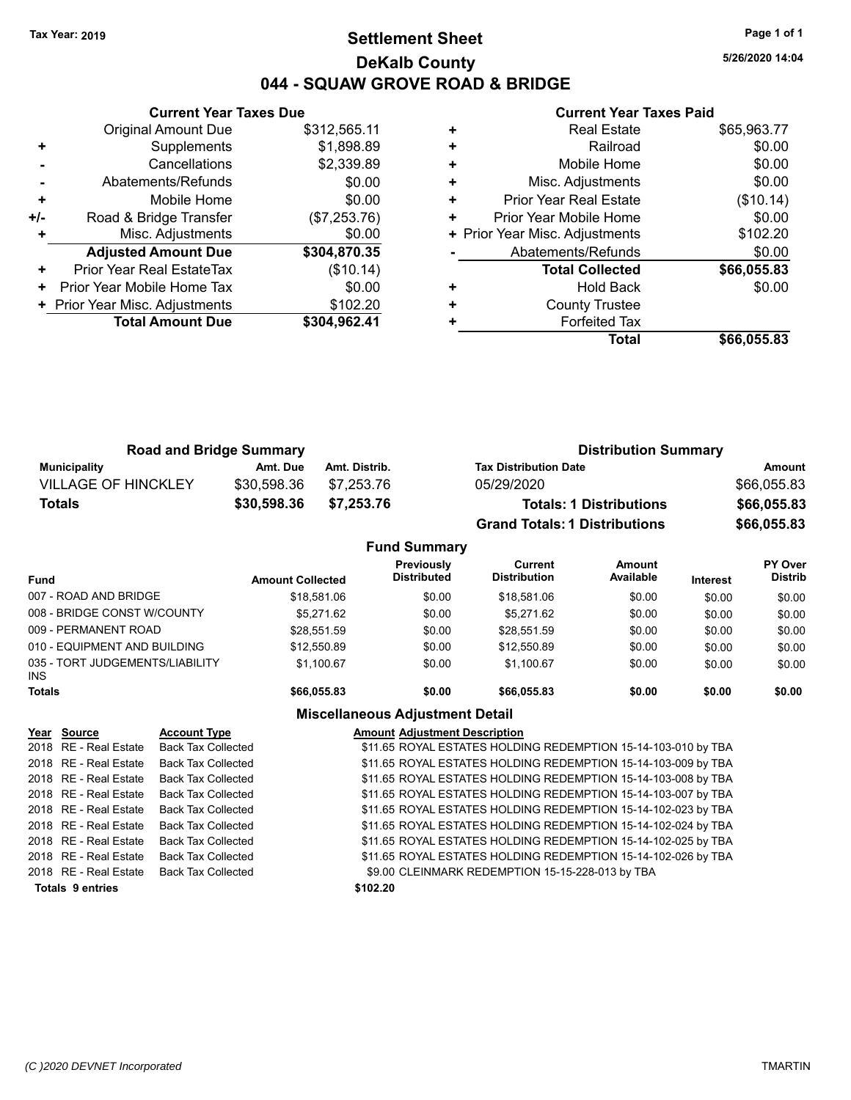# **Settlement Sheet Tax Year: 2019 Page 1 of 1 DeKalb County 044 - SQUAW GROVE ROAD & BRIDGE**

**5/26/2020 14:04**

### **Current Year Taxes Paid**

|     | <b>Original Amount Due</b>     | \$312,565.11 |
|-----|--------------------------------|--------------|
| ٠   | Supplements                    | \$1,898.89   |
|     | Cancellations                  | \$2,339.89   |
|     | Abatements/Refunds             | \$0.00       |
| ٠   | Mobile Home                    | \$0.00       |
| +/- | Road & Bridge Transfer         | (\$7,253.76) |
|     | Misc. Adjustments              | \$0.00       |
|     | <b>Adjusted Amount Due</b>     | \$304,870.35 |
| ÷   | Prior Year Real EstateTax      | (\$10.14)    |
| ٠   | Prior Year Mobile Home Tax     | \$0.00       |
|     | + Prior Year Misc. Adjustments | \$102.20     |
|     | <b>Total Amount Due</b>        | \$304,962.41 |
|     |                                |              |

**Current Year Taxes Due**

| ٠ | <b>Real Estate</b>             | \$65,963.77 |
|---|--------------------------------|-------------|
| ٠ | Railroad                       | \$0.00      |
| ٠ | Mobile Home                    | \$0.00      |
| ٠ | Misc. Adjustments              | \$0.00      |
| ٠ | Prior Year Real Estate         | (\$10.14)   |
| ٠ | Prior Year Mobile Home         | \$0.00      |
|   | + Prior Year Misc. Adjustments | \$102.20    |
|   | Abatements/Refunds             | \$0.00      |
|   | <b>Total Collected</b>         | \$66,055.83 |
| ٠ | <b>Hold Back</b>               | \$0.00      |
| ٠ | <b>County Trustee</b>          |             |
| ٠ | <b>Forfeited Tax</b>           |             |
|   | Total                          | \$66,055.83 |

| <b>Road and Bridge Summary</b> |             |               | <b>Distribution Summary</b>          |             |  |
|--------------------------------|-------------|---------------|--------------------------------------|-------------|--|
| Municipality                   | Amt. Due    | Amt. Distrib. | <b>Tax Distribution Date</b>         | Amount      |  |
| <b>VILLAGE OF HINCKLEY</b>     | \$30,598.36 | \$7.253.76    | 05/29/2020                           | \$66,055.83 |  |
| <b>Totals</b>                  | \$30,598.36 | \$7.253.76    | <b>Totals: 1 Distributions</b>       | \$66,055.83 |  |
|                                |             |               | <b>Grand Totals: 1 Distributions</b> | \$66,055.83 |  |

### **Fund Summary Fund Interest Amount Collected Distributed PY Over Distrib Amount Available Current Distribution Previously** 007 - ROAD AND BRIDGE 60.00 \$18,581.06 \$18,581.06 \$0.00 \$18,581.06 \$0.00 \$0.00 \$0.00 \$0.00 008 - BRIDGE CONST W/COUNTY  $$5,271.62$   $$0.00$   $$5,271.62$   $$0.00$   $$0.00$   $$0.00$ 009 - PERMANENT ROAD \$28,551.59 \$0.00 \$28,551.59 \$0.00 \$0.00 \$0.00 010 - EQUIPMENT AND BUILDING \$12,550.89 \$0.00 \$12,550.89 \$0.00 \$0.00 \$0.00 \$0.00 035 - TORT JUDGEMENTS/LIABILITY INS \$1,100.67 \$0.00 \$1,100.67 \$0.00 \$0.00 \$0.00 **Totals \$66,055.83 \$0.00 \$66,055.83 \$0.00 \$0.00 \$0.00**

### **Miscellaneous Adjustment Detail**

### **Year Source Account Type Amount Adjustment Description**

2018 RE - Real Estate Back Tax Collected \$11.65 ROYAL ESTATES HOLDING REDEMPTION 15-14-103-010 by TBA 2018 RE - Real Estate Back Tax Collected \$11.65 ROYAL ESTATES HOLDING REDEMPTION 15-14-103-009 by TBA 2018 RE - Real Estate Back Tax Collected \$11.65 ROYAL ESTATES HOLDING REDEMPTION 15-14-103-008 by TBA 2018 RE - Real Estate Back Tax Collected \$11.65 ROYAL ESTATES HOLDING REDEMPTION 15-14-103-007 by TBA 2018 RE - Real Estate Back Tax Collected \$11.65 ROYAL ESTATES HOLDING REDEMPTION 15-14-102-023 by TBA 2018 RE - Real Estate Back Tax Collected **\$11.65 ROYAL ESTATES HOLDING REDEMPTION 15-14-102-024 by TBA** 2018 RE - Real Estate Back Tax Collected \$11.65 ROYAL ESTATES HOLDING REDEMPTION 15-14-102-025 by TBA 2018 RE - Real Estate Back Tax Collected \$11.65 ROYAL ESTATES HOLDING REDEMPTION 15-14-102-026 by TBA 2018 RE - Real Estate Back Tax Collected \$9.00 CLEINMARK REDEMPTION 15-15-228-013 by TBA **Totals \$102.20 9 entries**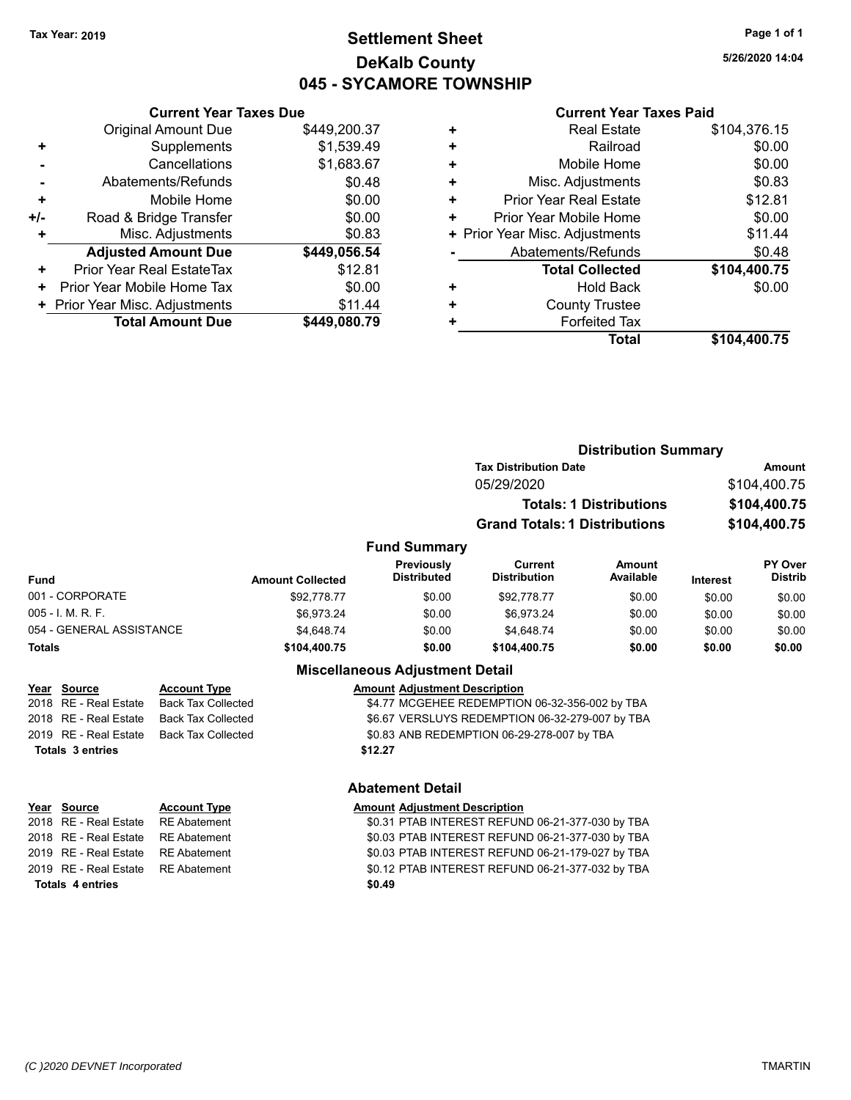# **Settlement Sheet Tax Year: 2019 Page 1 of 1 DeKalb County 045 - SYCAMORE TOWNSHIP**

**5/26/2020 14:04**

### **Current Year Taxes Paid**

| <b>Current Year Taxes Due</b>  |              |
|--------------------------------|--------------|
| <b>Original Amount Due</b>     | \$449,200.37 |
| Supplements                    | \$1,539.49   |
| Cancellations                  | \$1,683.67   |
| Abatements/Refunds             | \$0.48       |
| Mobile Home                    | \$0.00       |
| Road & Bridge Transfer         | \$0.00       |
| Misc. Adjustments              | \$0.83       |
| <b>Adjusted Amount Due</b>     | \$449,056.54 |
| Prior Year Real EstateTax      | \$12.81      |
| Prior Year Mobile Home Tax     | \$0.00       |
| + Prior Year Misc. Adjustments | \$11.44      |
| <b>Total Amount Due</b>        | \$449,080.79 |
|                                |              |

|   | <b>Real Estate</b>             | \$104,376.15 |
|---|--------------------------------|--------------|
| ٠ | Railroad                       | \$0.00       |
| ٠ | Mobile Home                    | \$0.00       |
| ٠ | Misc. Adjustments              | \$0.83       |
| ٠ | <b>Prior Year Real Estate</b>  | \$12.81      |
| ٠ | Prior Year Mobile Home         | \$0.00       |
|   | + Prior Year Misc. Adjustments | \$11.44      |
|   | Abatements/Refunds             | \$0.48       |
|   | <b>Total Collected</b>         | \$104,400.75 |
| ٠ | <b>Hold Back</b>               | \$0.00       |
| ٠ | <b>County Trustee</b>          |              |
| ٠ | <b>Forfeited Tax</b>           |              |
|   | <b>Total</b>                   | \$104.400.75 |

|                   |                         |                                  | <b>Distribution Summary</b>          |                                |                 |                           |  |
|-------------------|-------------------------|----------------------------------|--------------------------------------|--------------------------------|-----------------|---------------------------|--|
|                   |                         |                                  | <b>Tax Distribution Date</b>         |                                |                 | <b>Amount</b>             |  |
|                   |                         |                                  | 05/29/2020                           |                                |                 | \$104,400.75              |  |
|                   |                         |                                  |                                      | <b>Totals: 1 Distributions</b> |                 | \$104,400.75              |  |
|                   |                         |                                  | <b>Grand Totals: 1 Distributions</b> |                                |                 | \$104,400.75              |  |
|                   |                         | <b>Fund Summary</b>              |                                      |                                |                 |                           |  |
| <b>Fund</b>       | <b>Amount Collected</b> | Previously<br><b>Distributed</b> | Current<br><b>Distribution</b>       | <b>Amount</b><br>Available     | <b>Interest</b> | PY Over<br><b>Distrib</b> |  |
| 001 - CORPORATE   | \$92,778.77             | \$0.00                           | \$92,778.77                          | \$0.00                         | \$0.00          | \$0.00                    |  |
| 005 - I. M. R. F. | \$6.973.24              | \$0.00                           | \$6.973.24                           | \$0.00                         | \$0.00          | \$0.00                    |  |
|                   |                         |                                  |                                      |                                |                 |                           |  |

# 054 - GENERAL ASSISTANCE \$4,648.74 \$0.00 \$1,648.74 \$0.00 \$0.00 \$0.00 **Totals \$104,400.75 \$0.00 \$104,400.75 \$0.00 \$0.00 \$0.00**

2018 RE - Real Estate Back Tax Collected \$4.77 MCGEHEE REDEMPTION 06-32-356-002 by TBA 2019 RE - Real Estate Back Tax Collected \$0.83 ANB REDEMPTION 06-29-278-007 by TBA **Totals \$12.27 3 entries**

| Totals 4 entries                   | \$0.49 |
|------------------------------------|--------|
| 2019 RE - Real Estate RE Abatement | \$0.12 |
| 2019 RE - Real Estate RE Abatement | \$0.03 |
| 2018 RE - Real Estate RE Abatement | \$0.03 |
| 2018 RE - Real Estate RE Abatement | \$0.31 |

### **Miscellaneous Adjustment Detail**

**Year Source Account Type AMOU AMOUNT Adjustment Description** 

2018 RE - Real Estate Back Tax Collected \$6.67 VERSLUYS REDEMPTION 06-32-279-007 by TBA

### **Abatement Detail**

# **Year** Source **Account Type And Amount Adjustment Description**

Abatement **2018 SOLAR ESTATE STAB INTEREST REFUND 06-21-377-030 by TBA** Abatement **2018 SOLUME ABATER INTEREST REFUND 06-21-377-030 by TBA** Abatement **2019 CHAB INTEREST REFUND 06-21-179-027 by TBA** Abatement **2018 SO.12 PTAB INTEREST REFUND 06-21-377-032 by TBA**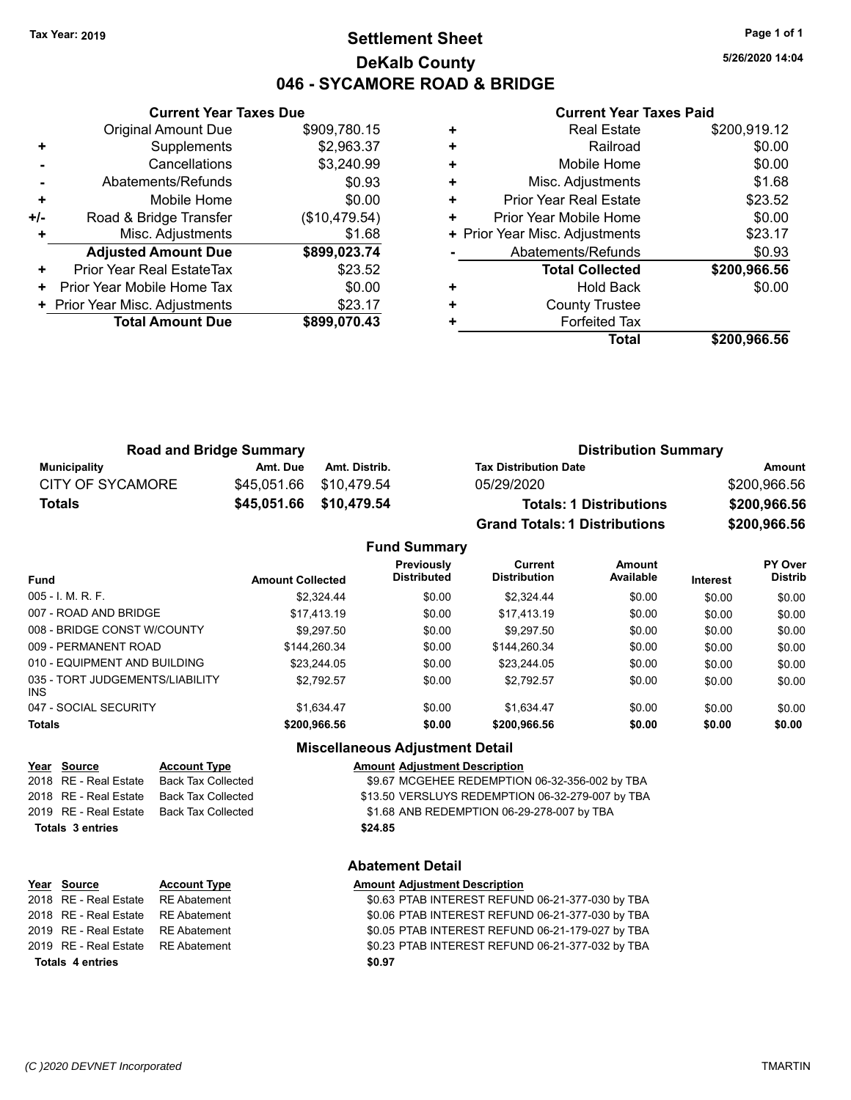# **Settlement Sheet Tax Year: 2019 Page 1 of 1 DeKalb County 046 - SYCAMORE ROAD & BRIDGE**

**5/26/2020 14:04**

### **Current Year Taxes Paid**

|     | <b>Current Year Taxes Due</b> |               |
|-----|-------------------------------|---------------|
|     | <b>Original Amount Due</b>    | \$909,780.15  |
| ٠   | Supplements                   | \$2,963.37    |
|     | Cancellations                 | \$3,240.99    |
|     | Abatements/Refunds            | \$0.93        |
| ٠   | Mobile Home                   | \$0.00        |
| +/- | Road & Bridge Transfer        | (\$10,479.54) |
|     | Misc. Adjustments             | \$1.68        |
|     | <b>Adjusted Amount Due</b>    | \$899,023.74  |
| ٠   | Prior Year Real EstateTax     | \$23.52       |
| ٠   | Prior Year Mobile Home Tax    | \$0.00        |
|     | Prior Year Misc. Adjustments  | \$23.17       |
|     | <b>Total Amount Due</b>       | \$899,070.43  |
|     |                               |               |

|   | <b>Real Estate</b>             | \$200,919.12 |
|---|--------------------------------|--------------|
| ٠ | Railroad                       | \$0.00       |
| ٠ | Mobile Home                    | \$0.00       |
| ٠ | Misc. Adjustments              | \$1.68       |
| ٠ | <b>Prior Year Real Estate</b>  | \$23.52      |
|   | Prior Year Mobile Home         | \$0.00       |
|   | + Prior Year Misc. Adjustments | \$23.17      |
|   | Abatements/Refunds             | \$0.93       |
|   | <b>Total Collected</b>         | \$200,966.56 |
| ٠ | <b>Hold Back</b>               | \$0.00       |
| ٠ | <b>County Trustee</b>          |              |
|   | <b>Forfeited Tax</b>           |              |
|   | Total                          | \$200,966.56 |

| <b>Road and Bridge Summary</b> |          |                         | <b>Distribution Summary</b>          |              |  |
|--------------------------------|----------|-------------------------|--------------------------------------|--------------|--|
| Municipality                   | Amt. Due | Amt. Distrib.           | <b>Tax Distribution Date</b>         | Amount       |  |
| <b>CITY OF SYCAMORE</b>        |          | \$45,051.66 \$10,479.54 | 05/29/2020                           | \$200,966.56 |  |
| Totals                         |          | \$45,051.66 \$10,479.54 | <b>Totals: 1 Distributions</b>       | \$200,966.56 |  |
|                                |          |                         | <b>Grand Totals: 1 Distributions</b> | \$200,966.56 |  |

## **Fund Summary**

| <b>Amount Collected</b> | <b>Previously</b><br><b>Distributed</b> | Current<br><b>Distribution</b> | Amount<br>Available | <b>Interest</b> | PY Over<br><b>Distrib</b> |
|-------------------------|-----------------------------------------|--------------------------------|---------------------|-----------------|---------------------------|
| \$2,324.44              | \$0.00                                  | \$2.324.44                     | \$0.00              | \$0.00          | \$0.00                    |
| \$17.413.19             | \$0.00                                  | \$17,413.19                    | \$0.00              | \$0.00          | \$0.00                    |
| \$9.297.50              | \$0.00                                  | \$9,297.50                     | \$0.00              | \$0.00          | \$0.00                    |
| \$144.260.34            | \$0.00                                  | \$144.260.34                   | \$0.00              | \$0.00          | \$0.00                    |
| \$23.244.05             | \$0.00                                  | \$23.244.05                    | \$0.00              | \$0.00          | \$0.00                    |
| \$2.792.57              | \$0.00                                  | \$2.792.57                     | \$0.00              | \$0.00          | \$0.00                    |
| \$1,634.47              | \$0.00                                  | \$1.634.47                     | \$0.00              | \$0.00          | \$0.00                    |
| \$200,966.56            | \$0.00                                  | \$200,966.56                   | \$0.00              | \$0.00          | \$0.00                    |
|                         |                                         |                                |                     |                 |                           |

### **Miscellaneous Adjustment Detail**

| Year Source             | <b>Account Type</b>                      | <b>Amount Adjustment Description</b>             |
|-------------------------|------------------------------------------|--------------------------------------------------|
|                         | 2018 RE - Real Estate Back Tax Collected | \$9.67 MCGEHEE REDEMPTION 06-32-356-002 by TBA   |
|                         | 2018 RE - Real Estate Back Tax Collected | \$13.50 VERSLUYS REDEMPTION 06-32-279-007 by TBA |
|                         | 2019 RE - Real Estate Back Tax Collected | \$1.68 ANB REDEMPTION 06-29-278-007 by TBA       |
| <b>Totals 3 entries</b> |                                          | \$24.85                                          |
|                         |                                          |                                                  |

### **Abatement Detail**

### **Year** Source **Account Type A** Amount Adjustment Description

2018 RE - Real Estate RE Abatement \$0.63 PTAB INTEREST REFUND 06-21-377-030 by TBA 2018 RE - Real Estate RE Abatement \$0.06 PTAB INTEREST REFUND 06-21-377-030 by TBA 2019 RE - Real Estate RE Abatement \$0.05 PTAB INTEREST REFUND 06-21-179-027 by TBA 2019 RE - Real Estate RE Abatement \$0.23 PTAB INTEREST REFUND 06-21-377-032 by TBA **Totals \$0.97 4 entries**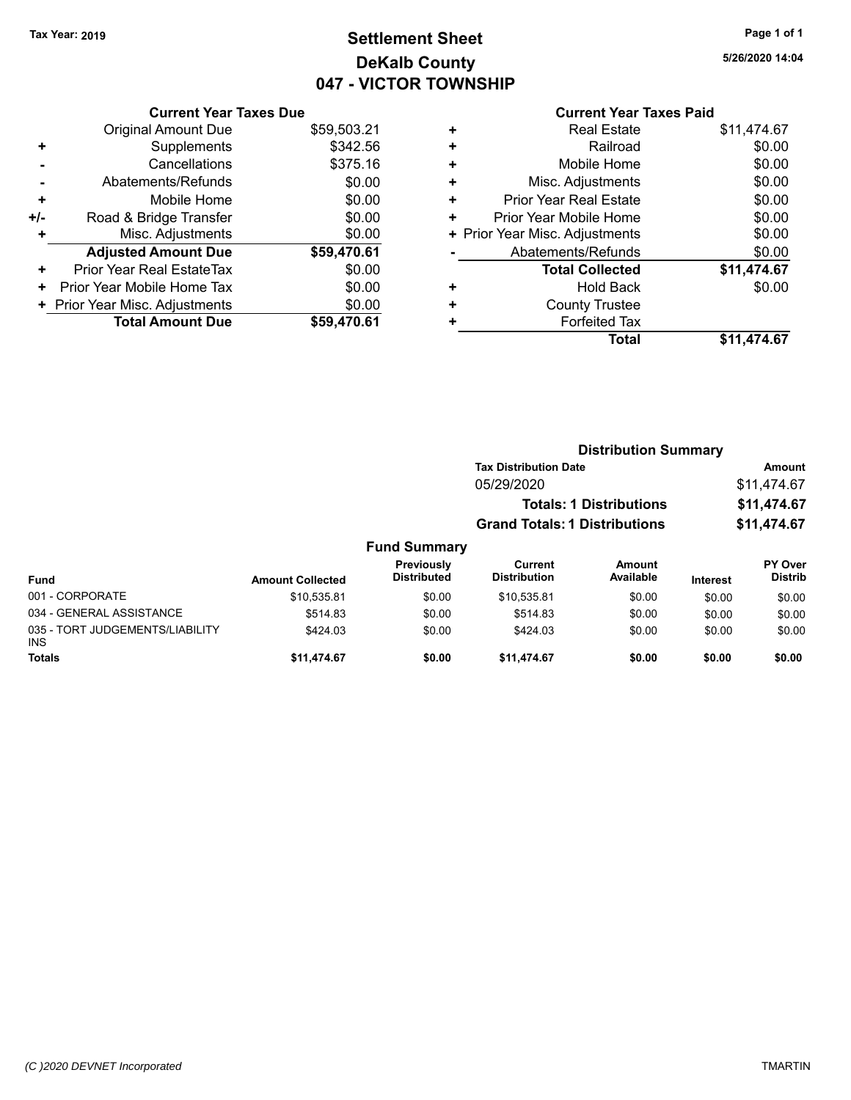# **Settlement Sheet Tax Year: 2019 Page 1 of 1 DeKalb County 047 - VICTOR TOWNSHIP**

**5/26/2020 14:04**

# **Current Year Taxes Due** Original Amount Due \$59,503.21 **+** Supplements \$342.56 **-** Cancellations \$375.16 **-** Abatements/Refunds \$0.00 **+** Mobile Home \$0.00 **+/-** Road & Bridge Transfer **\$0.00 +** Misc. Adjustments \$0.00 **Adjusted Amount Due \$59,470.61 +** Prior Year Real EstateTax \$0.00

**Total Amount Due \$59,470.61**

**+** Prior Year Mobile Home Tax  $$0.00$ **+ Prior Year Misc. Adjustments**  $$0.00$ 

|   | <b>Current Year Taxes Paid</b> |             |
|---|--------------------------------|-------------|
| ٠ | Real Estate                    | \$11,474.67 |
| ÷ | Railroad                       | \$0.00      |
| ٠ | Mobile Home                    | \$0.00      |
| ٠ | Misc. Adjustments              | \$0.00      |
| ÷ | <b>Prior Year Real Estate</b>  | \$0.00      |
| ٠ | Prior Year Mobile Home         | \$0.00      |
|   | + Prior Year Misc. Adjustments | \$0.00      |
|   | Abatements/Refunds             | \$0.00      |
|   | <b>Total Collected</b>         | \$11,474.67 |
| ٠ | <b>Hold Back</b>               | \$0.00      |
| ٠ | <b>County Trustee</b>          |             |
|   | <b>Forfeited Tax</b>           |             |
|   | Total                          | \$11.474.67 |

# **Distribution Summary Tax Distribution Date Amount** 05/29/2020 \$11,474.67 **Totals: 1 Distributions \$11,474.67 Grand Totals: 1 Distributions \$11,474.67 Fund Summary**

| Fund                                          | <b>Amount Collected</b> | Previously<br><b>Distributed</b> | Current<br><b>Distribution</b> | <b>Amount</b><br>Available | <b>Interest</b> | <b>PY Over</b><br><b>Distrib</b> |
|-----------------------------------------------|-------------------------|----------------------------------|--------------------------------|----------------------------|-----------------|----------------------------------|
| 001 - CORPORATE                               | \$10.535.81             | \$0.00                           | \$10.535.81                    | \$0.00                     | \$0.00          | \$0.00                           |
| 034 - GENERAL ASSISTANCE                      | \$514.83                | \$0.00                           | \$514.83                       | \$0.00                     | \$0.00          | \$0.00                           |
| 035 - TORT JUDGEMENTS/LIABILITY<br><b>INS</b> | \$424.03                | \$0.00                           | \$424.03                       | \$0.00                     | \$0.00          | \$0.00                           |
| <b>Totals</b>                                 | \$11.474.67             | \$0.00                           | \$11,474.67                    | \$0.00                     | \$0.00          | \$0.00                           |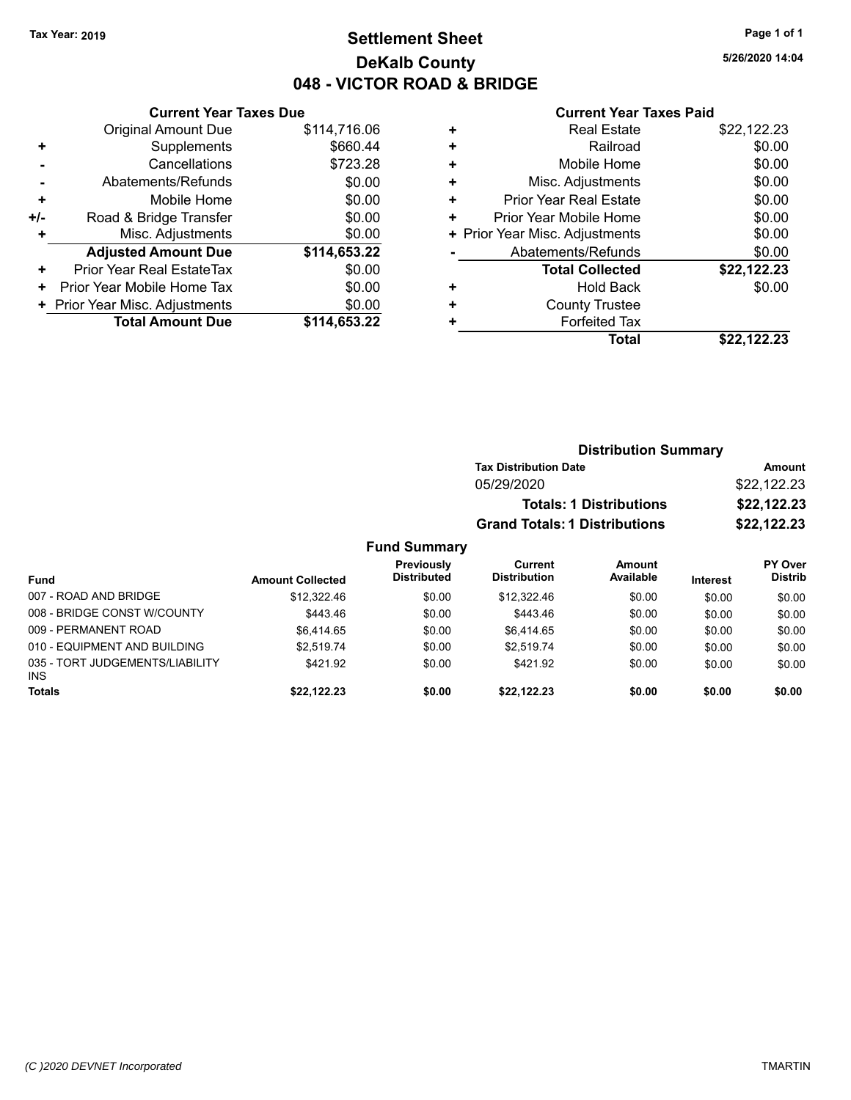# **Settlement Sheet Tax Year: 2019 Page 1 of 1 DeKalb County 048 - VICTOR ROAD & BRIDGE**

**5/26/2020 14:04**

|     | <b>Current Year Taxes Due</b>  |              |
|-----|--------------------------------|--------------|
|     | <b>Original Amount Due</b>     | \$114,716.06 |
| ٠   | Supplements                    | \$660.44     |
|     | Cancellations                  | \$723.28     |
|     | Abatements/Refunds             | \$0.00       |
| ÷   | Mobile Home                    | \$0.00       |
| +/- | Road & Bridge Transfer         | \$0.00       |
| ٠   | Misc. Adjustments              | \$0.00       |
|     | <b>Adjusted Amount Due</b>     | \$114,653.22 |
| ÷   | Prior Year Real EstateTax      | \$0.00       |
| ÷   | Prior Year Mobile Home Tax     | \$0.00       |
|     | + Prior Year Misc. Adjustments | \$0.00       |
|     | <b>Total Amount Due</b>        | \$114,653.22 |

|   | <b>Real Estate</b>             | \$22,122.23 |
|---|--------------------------------|-------------|
| ÷ | Railroad                       | \$0.00      |
| ٠ | Mobile Home                    | \$0.00      |
| ٠ | Misc. Adjustments              | \$0.00      |
| ٠ | <b>Prior Year Real Estate</b>  | \$0.00      |
| ٠ | Prior Year Mobile Home         | \$0.00      |
|   | + Prior Year Misc. Adjustments | \$0.00      |
|   | Abatements/Refunds             | \$0.00      |
|   | <b>Total Collected</b>         | \$22,122.23 |
| ٠ | <b>Hold Back</b>               | \$0.00      |
| ٠ | <b>County Trustee</b>          |             |
| ٠ | <b>Forfeited Tax</b>           |             |
|   | Total                          | \$22.122.23 |
|   |                                |             |

|                     | <b>Distribution Summary</b>          |             |
|---------------------|--------------------------------------|-------------|
|                     | <b>Tax Distribution Date</b>         | Amount      |
|                     | 05/29/2020                           | \$22,122.23 |
|                     | <b>Totals: 1 Distributions</b>       | \$22,122.23 |
|                     | <b>Grand Totals: 1 Distributions</b> | \$22,122.23 |
| <b>Fund Summary</b> |                                      |             |

| <b>Fund</b>                                   | <b>Amount Collected</b> | Previously<br><b>Distributed</b> | Current<br><b>Distribution</b> | Amount<br>Available | <b>Interest</b> | <b>PY Over</b><br><b>Distrib</b> |
|-----------------------------------------------|-------------------------|----------------------------------|--------------------------------|---------------------|-----------------|----------------------------------|
| 007 - ROAD AND BRIDGE                         | \$12,322.46             | \$0.00                           | \$12,322.46                    | \$0.00              | \$0.00          | \$0.00                           |
| 008 - BRIDGE CONST W/COUNTY                   | \$443.46                | \$0.00                           | \$443.46                       | \$0.00              | \$0.00          | \$0.00                           |
| 009 - PERMANENT ROAD                          | \$6.414.65              | \$0.00                           | \$6,414.65                     | \$0.00              | \$0.00          | \$0.00                           |
| 010 - EQUIPMENT AND BUILDING                  | \$2.519.74              | \$0.00                           | \$2.519.74                     | \$0.00              | \$0.00          | \$0.00                           |
| 035 - TORT JUDGEMENTS/LIABILITY<br><b>INS</b> | \$421.92                | \$0.00                           | \$421.92                       | \$0.00              | \$0.00          | \$0.00                           |
| <b>Totals</b>                                 | \$22,122.23             | \$0.00                           | \$22.122.23                    | \$0.00              | \$0.00          | \$0.00                           |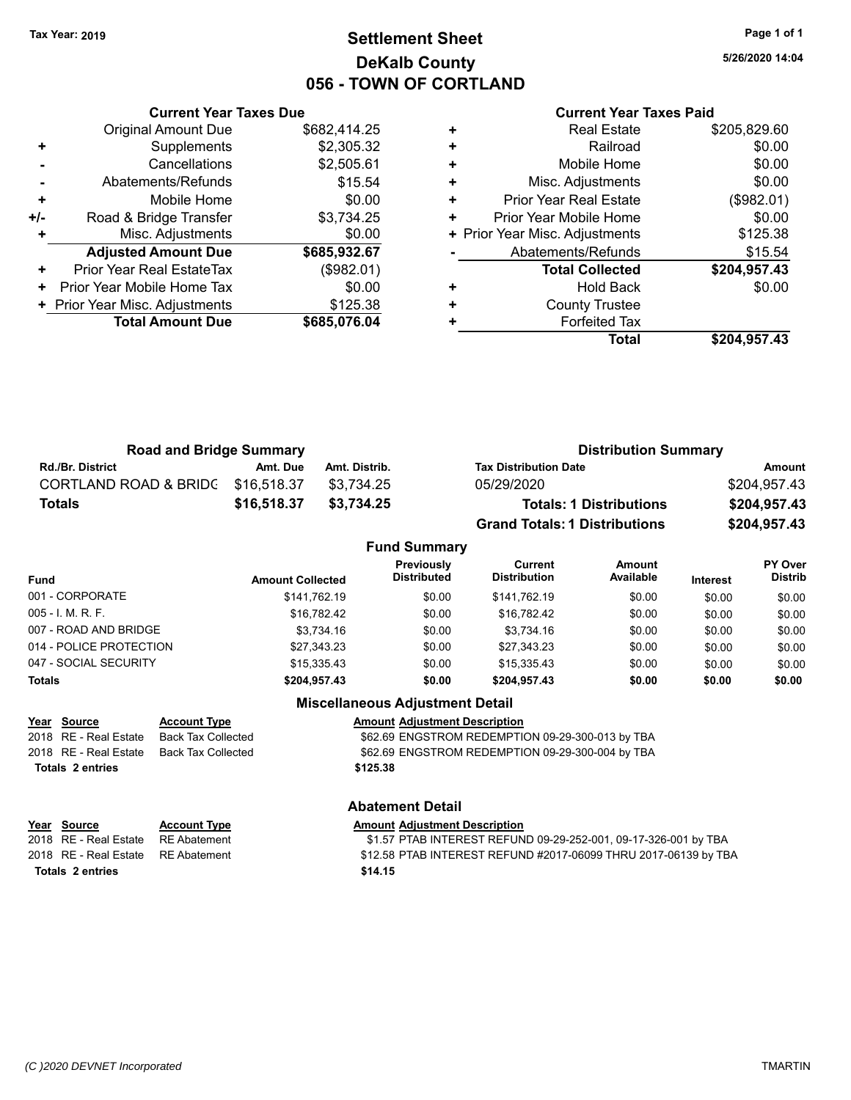# **Settlement Sheet Tax Year: 2019 Page 1 of 1 DeKalb County 056 - TOWN OF CORTLAND**

**5/26/2020 14:04**

### **Current Year Taxes Paid**

|       | <b>Original Amount Due</b>     | \$682,414.25 |
|-------|--------------------------------|--------------|
| ٠     | Supplements                    | \$2,305.32   |
|       | Cancellations                  | \$2,505.61   |
|       | Abatements/Refunds             | \$15.54      |
| ٠     | Mobile Home                    | \$0.00       |
| $+/-$ | Road & Bridge Transfer         | \$3,734.25   |
|       | Misc. Adjustments              | \$0.00       |
|       | <b>Adjusted Amount Due</b>     | \$685,932.67 |
| ÷     | Prior Year Real EstateTax      | (\$982.01)   |
|       |                                |              |
| ٠     | Prior Year Mobile Home Tax     | \$0.00       |
|       | + Prior Year Misc. Adjustments | \$125.38     |
|       | <b>Total Amount Due</b>        | \$685,076.04 |

**Current Year Taxes Due**

| <b>Real Estate</b>             | \$205,829.60 |
|--------------------------------|--------------|
| Railroad                       | \$0.00       |
| Mobile Home                    | \$0.00       |
| Misc. Adjustments              | \$0.00       |
| <b>Prior Year Real Estate</b>  | (\$982.01)   |
| Prior Year Mobile Home         | \$0.00       |
| + Prior Year Misc. Adjustments | \$125.38     |
| Abatements/Refunds             | \$15.54      |
| <b>Total Collected</b>         | \$204,957.43 |
| Hold Back                      | \$0.00       |
| <b>County Trustee</b>          |              |
| <b>Forfeited Tax</b>           |              |
| Total                          | \$204,957.43 |
|                                |              |

| <b>Road and Bridge Summary</b>   |             |               | <b>Distribution Summary</b>          |              |
|----------------------------------|-------------|---------------|--------------------------------------|--------------|
| <b>Rd./Br. District</b>          | Amt. Due    | Amt. Distrib. | <b>Tax Distribution Date</b>         | Amount       |
| <b>CORTLAND ROAD &amp; BRIDG</b> | \$16.518.37 | \$3.734.25    | 05/29/2020                           | \$204.957.43 |
| Totals                           | \$16,518,37 | \$3.734.25    | <b>Totals: 1 Distributions</b>       | \$204,957.43 |
|                                  |             |               | <b>Grand Totals: 1 Distributions</b> | \$204,957.43 |

### **Fund Summary Fund Interest Amount Collected Distributed PY Over Distrib Amount Available Current Distribution Previously** 001 - CORPORATE \$141,762.19 \$141,762.19 \$0.00 \$141,762.19 \$0.00 \$0.00 \$0.00 005 - I. M. R. F. \$16,782.42 \$0.00 \$16,782.42 \$0.00 \$0.00 \$0.00 007 - ROAD AND BRIDGE \$3,734.16 \$3,734.16 \$0.00 \$3,734.16 \$0.00 \$0.00 \$0.00 \$0.00 014 - POLICE PROTECTION \$27,343.23 \$0.00 \$27,343.23 \$0.00 \$0.00 \$0.00 \$0.00 047 - SOCIAL SECURITY \$15,335.43 \$0.00 \$15,335.43 \$0.00 \$0.00 \$0.00 \$0.00 **Totals \$204,957.43 \$0.00 \$204,957.43 \$0.00 \$0.00 \$0.00**

# **Miscellaneous Adjustment Detail**

| Year Source           | <b>Account Type</b> | <b>Amount Adjustment Description</b>             |
|-----------------------|---------------------|--------------------------------------------------|
| 2018 RE - Real Estate | Back Tax Collected  | \$62.69 ENGSTROM REDEMPTION 09-29-300-013 by TBA |
| 2018 RE - Real Estate | Back Tax Collected  | \$62.69 ENGSTROM REDEMPTION 09-29-300-004 by TBA |
| Totals 2 entries      |                     | \$125.38                                         |
|                       |                     |                                                  |

**Abatement Detail**

# **Year Source Account Type Amount Adjustment Description** 2018 RE - Real Estate RE Abatement \$1.57 PTAB INTEREST REFUND 09-29-252-001, 09-17-326-001 by TBA 2018 RE - Real Estate RE Abatement \$12.58 PTAB INTEREST REFUND #2017-06099 THRU 2017-06139 by TBA **Totals \$14.15 2 entries**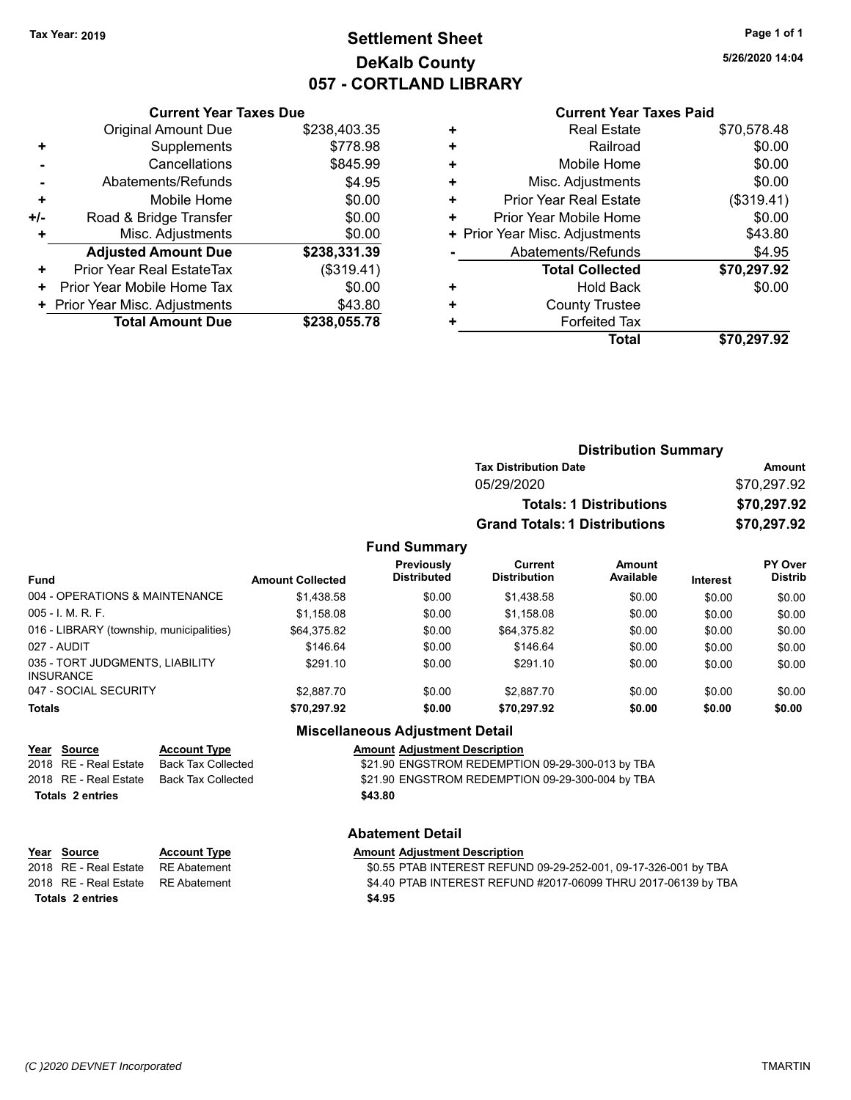# **Settlement Sheet Tax Year: 2019 Page 1 of 1 DeKalb County 057 - CORTLAND LIBRARY**

**5/26/2020 14:04**

### **Current Year Taxes Paid**

|     | <b>Original Amount Due</b>     | \$238,403.35 |
|-----|--------------------------------|--------------|
| ٠   | Supplements                    | \$778.98     |
|     | Cancellations                  | \$845.99     |
|     | Abatements/Refunds             | \$4.95       |
| ٠   | Mobile Home                    | \$0.00       |
| +/- | Road & Bridge Transfer         | \$0.00       |
| ٠   | Misc. Adjustments              | \$0.00       |
|     | <b>Adjusted Amount Due</b>     | \$238,331.39 |
| ÷   | Prior Year Real EstateTax      | (\$319.41)   |
| ٠   | Prior Year Mobile Home Tax     | \$0.00       |
|     | + Prior Year Misc. Adjustments | \$43.80      |
|     | <b>Total Amount Due</b>        | \$238,055.78 |
|     |                                |              |

**Current Year Taxes Due**

|   | <b>Real Estate</b>             | \$70,578.48 |
|---|--------------------------------|-------------|
| ٠ | Railroad                       | \$0.00      |
| ٠ | Mobile Home                    | \$0.00      |
| ٠ | Misc. Adjustments              | \$0.00      |
| ٠ | <b>Prior Year Real Estate</b>  | (\$319.41)  |
| ٠ | Prior Year Mobile Home         | \$0.00      |
|   | + Prior Year Misc. Adjustments | \$43.80     |
|   | Abatements/Refunds             | \$4.95      |
|   | <b>Total Collected</b>         | \$70,297.92 |
| ٠ | <b>Hold Back</b>               | \$0.00      |
| ٠ | <b>County Trustee</b>          |             |
| ٠ | <b>Forfeited Tax</b>           |             |
|   | Total                          | \$70,297.92 |
|   |                                |             |

|                     | <b>Distribution Summary</b>          |             |
|---------------------|--------------------------------------|-------------|
|                     | <b>Tax Distribution Date</b>         | Amount      |
|                     | 05/29/2020                           | \$70,297.92 |
|                     | <b>Totals: 1 Distributions</b>       | \$70,297.92 |
|                     | <b>Grand Totals: 1 Distributions</b> | \$70,297.92 |
| <b>Fund Summary</b> |                                      |             |

### **Fund Interest Amount Collected Distributed PY Over Distrib Amount Available Current Distribution Previously** 004 - OPERATIONS & MAINTENANCE  $$1,438.58$   $$0.00$   $$1,438.58$   $$0.00$   $$0.00$   $$0.00$ 005 - I. M. R. F. Christian Communication (St. 158.08 \$0.00 \$1,158.08 \$0.00 \$0.00 \$0.00 \$0.00 \$0.00 016 - LIBRARY (township, municipalities)  $$64,375.82$   $$0.00$   $$64,375.82$   $$0.00$   $$0.00$   $$0.00$ 027 - AUDIT \$146.64 \$0.00 \$146.64 \$0.00 \$0.00 \$0.00 035 - TORT JUDGMENTS, LIABILITY INSURANCE \$291.10 \$0.00 \$291.10 \$0.00 \$0.00 \$0.00 047 - SOCIAL SECURITY \$2,887.70 \$0.00 \$2,887.70 \$0.00 \$0.00 \$0.00 \$0.00 **Totals \$70,297.92 \$0.00 \$70,297.92 \$0.00 \$0.00 \$0.00**

### **Miscellaneous Adjustment Detail Year Source Account Type Account Adjustment Description**

2018 RE - Real Estate Back Tax Collected **\$21.90 ENGSTROM REDEMPTION 09-29-300-013 by TBA** 2018 RE - Real Estate Back Tax Collected \$21.90 ENGSTROM REDEMPTION 09-29-300-004 by TBA **Totals \$43.80 2 entries**

# **Abatement Detail**

| Year Source                        | <b>Account Type</b> | <b>Amount Adiustment Description</b>                            |
|------------------------------------|---------------------|-----------------------------------------------------------------|
| 2018   RE - Real Estate            | RE Abatement        | \$0.55 PTAB INTEREST REFUND 09-29-252-001, 09-17-326-001 by TBA |
| 2018 RE - Real Estate RE Abatement |                     | \$4.40 PTAB INTEREST REFUND #2017-06099 THRU 2017-06139 by TBA  |
| Totals 2 entries                   |                     | \$4.95                                                          |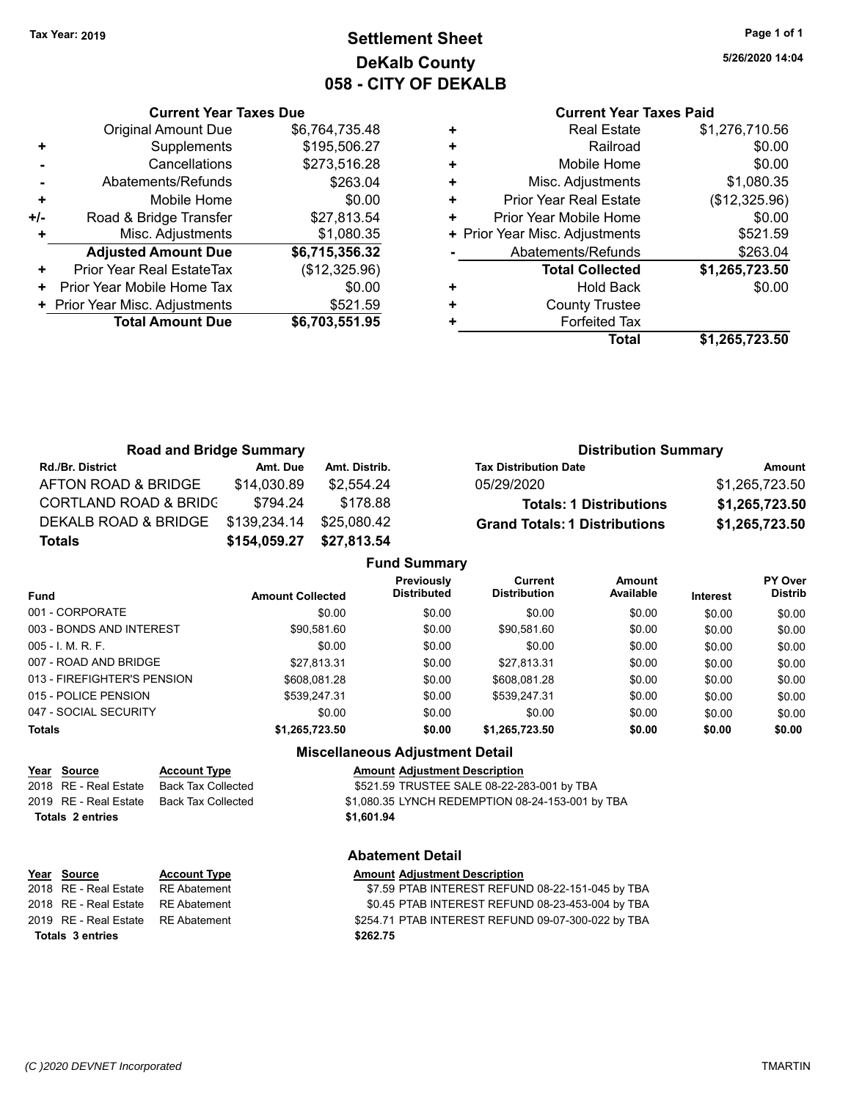# **Settlement Sheet Tax Year: 2019 Page 1 of 1 DeKalb County 058 - CITY OF DEKALB**

**5/26/2020 14:04**

## **Current Year Taxes Paid**

|     | <b>Current Year Taxes Due</b>  |                |
|-----|--------------------------------|----------------|
|     | <b>Original Amount Due</b>     | \$6,764,735.48 |
|     | Supplements                    | \$195,506.27   |
|     | Cancellations                  | \$273,516.28   |
|     | Abatements/Refunds             | \$263.04       |
| ٠   | Mobile Home                    | \$0.00         |
| +/- | Road & Bridge Transfer         | \$27,813.54    |
|     | Misc. Adjustments              | \$1,080.35     |
|     | <b>Adjusted Amount Due</b>     | \$6,715,356.32 |
| ÷   | Prior Year Real EstateTax      | (\$12,325.96)  |
| ٠   | Prior Year Mobile Home Tax     | \$0.00         |
|     | + Prior Year Misc. Adjustments | \$521.59       |
|     | <b>Total Amount Due</b>        | \$6,703,551.95 |
|     |                                |                |

|   | Total                          | \$1,265,723.50 |
|---|--------------------------------|----------------|
| ٠ | <b>Forfeited Tax</b>           |                |
| ٠ | <b>County Trustee</b>          |                |
|   | Hold Back                      | \$0.00         |
|   | <b>Total Collected</b>         | \$1,265,723.50 |
|   | Abatements/Refunds             | \$263.04       |
|   | + Prior Year Misc. Adjustments | \$521.59       |
| ٠ | Prior Year Mobile Home         | \$0.00         |
| ٠ | <b>Prior Year Real Estate</b>  | (\$12,325.96)  |
| ٠ | Misc. Adjustments              | \$1,080.35     |
| ٠ | Mobile Home                    | \$0.00         |
| ٠ | Railroad                       | \$0.00         |
| ٠ | <b>Real Estate</b>             | \$1,276,710.56 |
|   |                                |                |

| <b>Road and Bridge Summary</b>   |              |               | <b>Distribution Summary</b>          |                |
|----------------------------------|--------------|---------------|--------------------------------------|----------------|
| <b>Rd./Br. District</b>          | Amt. Due     | Amt. Distrib. | <b>Tax Distribution Date</b>         | Amount         |
| AFTON ROAD & BRIDGE              | \$14,030.89  | \$2.554.24    | 05/29/2020                           | \$1,265,723.50 |
| <b>CORTLAND ROAD &amp; BRIDC</b> | \$794.24     | \$178.88      | <b>Totals: 1 Distributions</b>       | \$1,265,723.50 |
| DEKALB ROAD & BRIDGE             | \$139,234.14 | \$25.080.42   | <b>Grand Totals: 1 Distributions</b> | \$1,265,723.50 |
| <b>Totals</b>                    | \$154,059.27 | \$27,813.54   |                                      |                |

|                             |                         | <b>Fund Summary</b>              |                                       |                     |                 |                           |
|-----------------------------|-------------------------|----------------------------------|---------------------------------------|---------------------|-----------------|---------------------------|
| <b>Fund</b>                 | <b>Amount Collected</b> | Previously<br><b>Distributed</b> | <b>Current</b><br><b>Distribution</b> | Amount<br>Available | <b>Interest</b> | PY Over<br><b>Distrib</b> |
| 001 - CORPORATE             | \$0.00                  | \$0.00                           | \$0.00                                | \$0.00              | \$0.00          | \$0.00                    |
| 003 - BONDS AND INTEREST    | \$90,581.60             | \$0.00                           | \$90,581.60                           | \$0.00              | \$0.00          | \$0.00                    |
| $005 - I$ , M, R, F,        | \$0.00                  | \$0.00                           | \$0.00                                | \$0.00              | \$0.00          | \$0.00                    |
| 007 - ROAD AND BRIDGE       | \$27,813.31             | \$0.00                           | \$27,813.31                           | \$0.00              | \$0.00          | \$0.00                    |
| 013 - FIREFIGHTER'S PENSION | \$608.081.28            | \$0.00                           | \$608.081.28                          | \$0.00              | \$0.00          | \$0.00                    |
| 015 - POLICE PENSION        | \$539,247.31            | \$0.00                           | \$539,247.31                          | \$0.00              | \$0.00          | \$0.00                    |
| 047 - SOCIAL SECURITY       | \$0.00                  | \$0.00                           | \$0.00                                | \$0.00              | \$0.00          | \$0.00                    |
| <b>Totals</b>               | \$1,265,723.50          | \$0.00                           | \$1,265,723.50                        | \$0.00              | \$0.00          | \$0.00                    |

# **Miscellaneous Adjustment Detail**

|                  | Year Source           | <b>Account Type</b> | <b>Amount Adiustment Description</b>             |
|------------------|-----------------------|---------------------|--------------------------------------------------|
|                  | 2018 RE - Real Estate | Back Tax Collected  | \$521.59 TRUSTEE SALE 08-22-283-001 by TBA       |
|                  | 2019 RE - Real Estate | Back Tax Collected  | \$1,080.35 LYNCH REDEMPTION 08-24-153-001 by TBA |
| Totals 2 entries |                       |                     | \$1,601.94                                       |

### **Abatement Detail**

| <u>Year Source</u>                  | <b>Account Type</b> | <b>Amount Adjustment Description</b>               |
|-------------------------------------|---------------------|----------------------------------------------------|
| 2018 RE - Real Estate               | RE Abatement        | \$7.59 PTAB INTEREST REFUND 08-22-151-045 by TBA   |
| 2018 RE - Real Estate  RE Abatement |                     | \$0.45 PTAB INTEREST REFUND 08-23-453-004 by TBA   |
| 2019 RE - Real Estate  RE Abatement |                     | \$254.71 PTAB INTEREST REFUND 09-07-300-022 by TBA |
| <b>Totals 3 entries</b>             |                     | \$262.75                                           |
|                                     |                     |                                                    |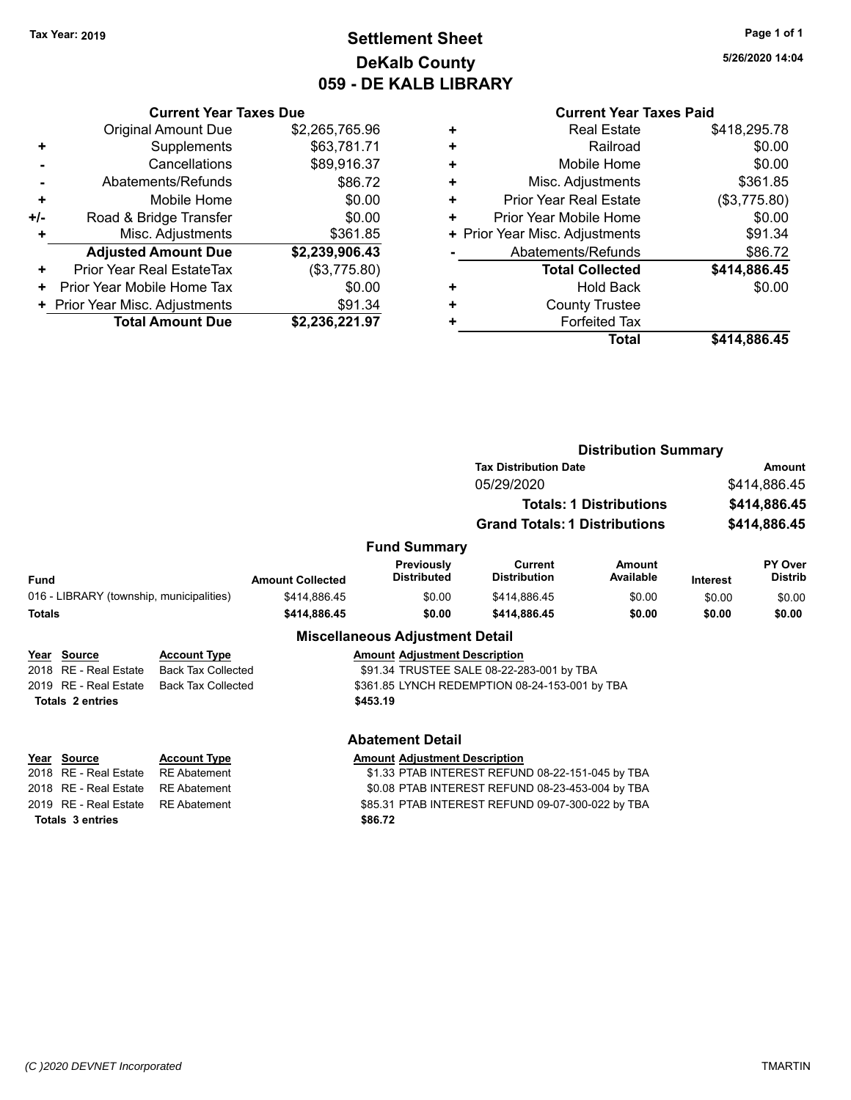# **Settlement Sheet Tax Year: 2019 Page 1 of 1 DeKalb County 059 - DE KALB LIBRARY**

**5/26/2020 14:04**

# **Current Year Taxes Paid**

|       | <b>Current Year Taxes Due</b>    |                |
|-------|----------------------------------|----------------|
|       | <b>Original Amount Due</b>       | \$2,265,765.96 |
| ٠     | Supplements                      | \$63,781.71    |
|       | Cancellations                    | \$89,916.37    |
|       | Abatements/Refunds               | \$86.72        |
| ÷     | Mobile Home                      | \$0.00         |
| $+/-$ | Road & Bridge Transfer           | \$0.00         |
|       | Misc. Adjustments                | \$361.85       |
|       | <b>Adjusted Amount Due</b>       | \$2,239,906.43 |
| ٠     | <b>Prior Year Real EstateTax</b> | (\$3,775.80)   |
| ٠     | Prior Year Mobile Home Tax       | \$0.00         |
|       | + Prior Year Misc. Adjustments   | \$91.34        |
|       | <b>Total Amount Due</b>          | \$2,236,221.97 |

|   | <b>Real Estate</b>             | \$418,295.78 |
|---|--------------------------------|--------------|
| ٠ | Railroad                       | \$0.00       |
| ÷ | Mobile Home                    | \$0.00       |
| ٠ | Misc. Adjustments              | \$361.85     |
| ٠ | <b>Prior Year Real Estate</b>  | (\$3,775.80) |
| ٠ | Prior Year Mobile Home         | \$0.00       |
|   | + Prior Year Misc. Adjustments | \$91.34      |
|   | Abatements/Refunds             | \$86.72      |
|   | <b>Total Collected</b>         | \$414,886.45 |
| ٠ | <b>Hold Back</b>               | \$0.00       |
| ٠ | <b>County Trustee</b>          |              |
| ٠ | <b>Forfeited Tax</b>           |              |
|   | <b>Total</b>                   | \$414,886.45 |
|   |                                |              |

|                         |                                                        |                                |                                                                                                       |                                                                                                                                                                                                       | <b>Amount</b>               |
|-------------------------|--------------------------------------------------------|--------------------------------|-------------------------------------------------------------------------------------------------------|-------------------------------------------------------------------------------------------------------------------------------------------------------------------------------------------------------|-----------------------------|
|                         |                                                        | 05/29/2020                     |                                                                                                       |                                                                                                                                                                                                       | \$414,886.45                |
|                         |                                                        |                                |                                                                                                       |                                                                                                                                                                                                       | \$414,886.45                |
|                         |                                                        |                                |                                                                                                       |                                                                                                                                                                                                       | \$414,886.45                |
|                         |                                                        |                                |                                                                                                       |                                                                                                                                                                                                       |                             |
| <b>Amount Collected</b> | Previously<br><b>Distributed</b>                       | Current<br><b>Distribution</b> | Amount<br>Available                                                                                   | <b>Interest</b>                                                                                                                                                                                       | PY Over<br><b>Distrib</b>   |
| \$414,886.45            | \$0.00                                                 | \$414,886.45                   | \$0.00                                                                                                | \$0.00                                                                                                                                                                                                | \$0.00                      |
| \$414,886.45            | \$0.00                                                 | \$414,886.45                   | \$0.00                                                                                                | \$0.00                                                                                                                                                                                                | \$0.00                      |
|                         |                                                        |                                |                                                                                                       |                                                                                                                                                                                                       |                             |
|                         |                                                        |                                |                                                                                                       |                                                                                                                                                                                                       |                             |
|                         |                                                        |                                |                                                                                                       |                                                                                                                                                                                                       |                             |
|                         |                                                        |                                |                                                                                                       |                                                                                                                                                                                                       |                             |
|                         |                                                        |                                |                                                                                                       |                                                                                                                                                                                                       |                             |
|                         | <b>Back Tax Collected</b><br><b>Back Tax Collected</b> | \$453.19                       | <b>Fund Summary</b><br><b>Miscellaneous Adjustment Detail</b><br><b>Amount Adiustment Description</b> | <b>Tax Distribution Date</b><br><b>Totals: 1 Distributions</b><br><b>Grand Totals: 1 Distributions</b><br>\$91.34 TRUSTEE SALE 08-22-283-001 by TBA<br>\$361.85 LYNCH REDEMPTION 08-24-153-001 by TBA | <b>Distribution Summary</b> |

# **Totals \$86.72 3 entries**

### **Abatement Detail**

### **Year Source Account Type Amount Adjustment Description**

2018 RE - Real Estate RE Abatement \$1.33 PTAB INTEREST REFUND 08-22-151-045 by TBA 2018 RE - Real Estate RE Abatement \$0.08 PTAB INTEREST REFUND 08-23-453-004 by TBA 2019 RE - Real Estate RE Abatement \$85.31 PTAB INTEREST REFUND 09-07-300-022 by TBA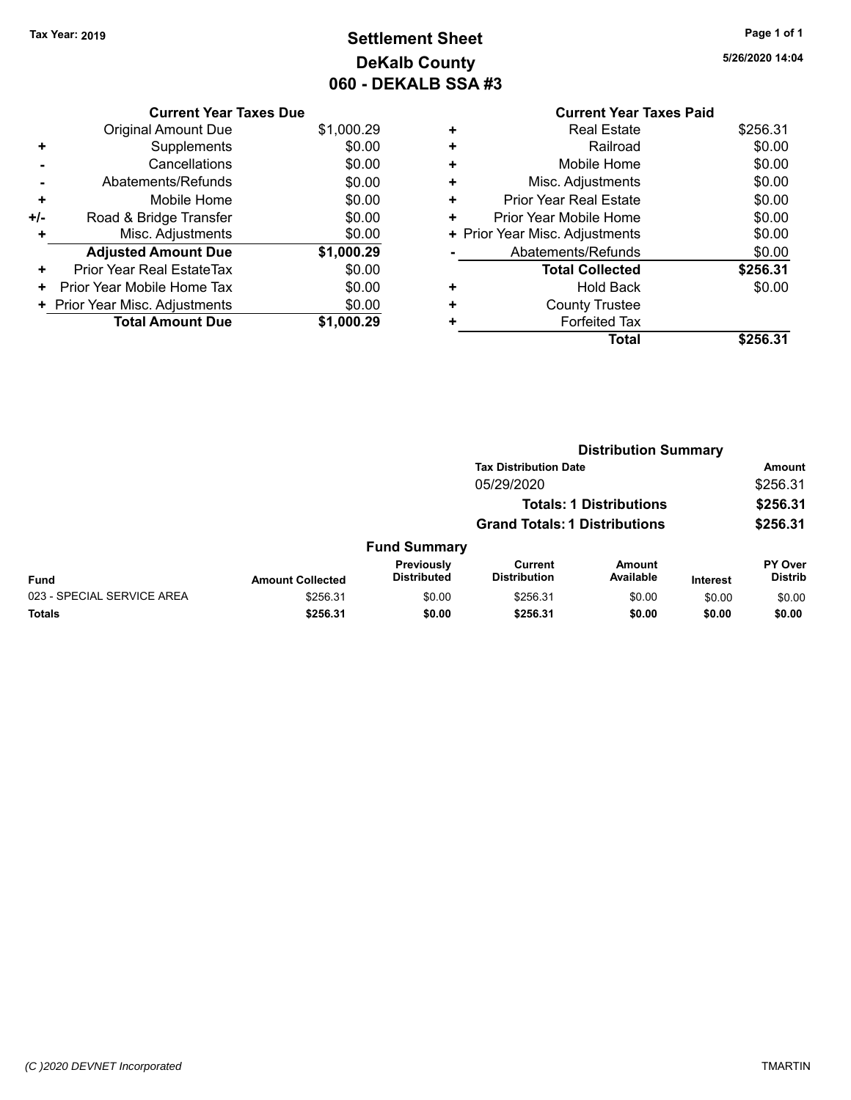**Current Year Taxes Due** Original Amount Due \$1,000.29

**Adjusted Amount Due \$1,000.29**

**Total Amount Due \$1,000.29**

**+** Supplements \$0.00 **-** Cancellations \$0.00 **-** Abatements/Refunds \$0.00 **+** Mobile Home \$0.00 <sup>+/-</sup> Road & Bridge Transfer \$0.00<br> **+** Misc. Adjustments \$0.00

**+** Prior Year Real EstateTax \$0.00 **+** Prior Year Mobile Home Tax  $$0.00$ **+ Prior Year Misc. Adjustments**  $$0.00$ 

**+** Misc. Adjustments

# **Settlement Sheet Tax Year: 2019 Page 1 of 1 DeKalb County 060 - DEKALB SSA #3**

**5/26/2020 14:04**

|   | <b>Current Year Taxes Paid</b> |          |
|---|--------------------------------|----------|
| ٠ | <b>Real Estate</b>             | \$256.31 |
| ÷ | Railroad                       | \$0.00   |
| ٠ | Mobile Home                    | \$0.00   |
| ٠ | Misc. Adjustments              | \$0.00   |
| ٠ | <b>Prior Year Real Estate</b>  | \$0.00   |
| ٠ | Prior Year Mobile Home         | \$0.00   |
|   | + Prior Year Misc. Adjustments | \$0.00   |
|   | Abatements/Refunds             | \$0.00   |
|   | <b>Total Collected</b>         | \$256.31 |
| ٠ | Hold Back                      | \$0.00   |
| ٠ | <b>County Trustee</b>          |          |
| ٠ | <b>Forfeited Tax</b>           |          |
|   | Total                          | \$256.31 |

|                            |                         | <b>Distribution Summary</b>      |                                       |                                |                 |                                  |
|----------------------------|-------------------------|----------------------------------|---------------------------------------|--------------------------------|-----------------|----------------------------------|
|                            |                         |                                  | <b>Tax Distribution Date</b>          |                                |                 | Amount                           |
|                            |                         |                                  | 05/29/2020                            |                                |                 | \$256.31                         |
|                            |                         |                                  |                                       | <b>Totals: 1 Distributions</b> |                 | \$256.31                         |
|                            |                         |                                  | <b>Grand Totals: 1 Distributions</b>  |                                |                 | \$256.31                         |
|                            |                         | <b>Fund Summary</b>              |                                       |                                |                 |                                  |
| <b>Fund</b>                | <b>Amount Collected</b> | Previously<br><b>Distributed</b> | <b>Current</b><br><b>Distribution</b> | <b>Amount</b><br>Available     | <b>Interest</b> | <b>PY Over</b><br><b>Distrib</b> |
| 023 - SPECIAL SERVICE AREA | \$256.31                | \$0.00                           | \$256.31                              | \$0.00                         | \$0.00          | \$0.00                           |
| <b>Totals</b>              | \$256.31                | \$0.00                           | \$256.31                              | \$0.00                         | \$0.00          | \$0.00                           |
|                            |                         |                                  |                                       |                                |                 |                                  |

### *(C )2020 DEVNET Incorporated* TMARTIN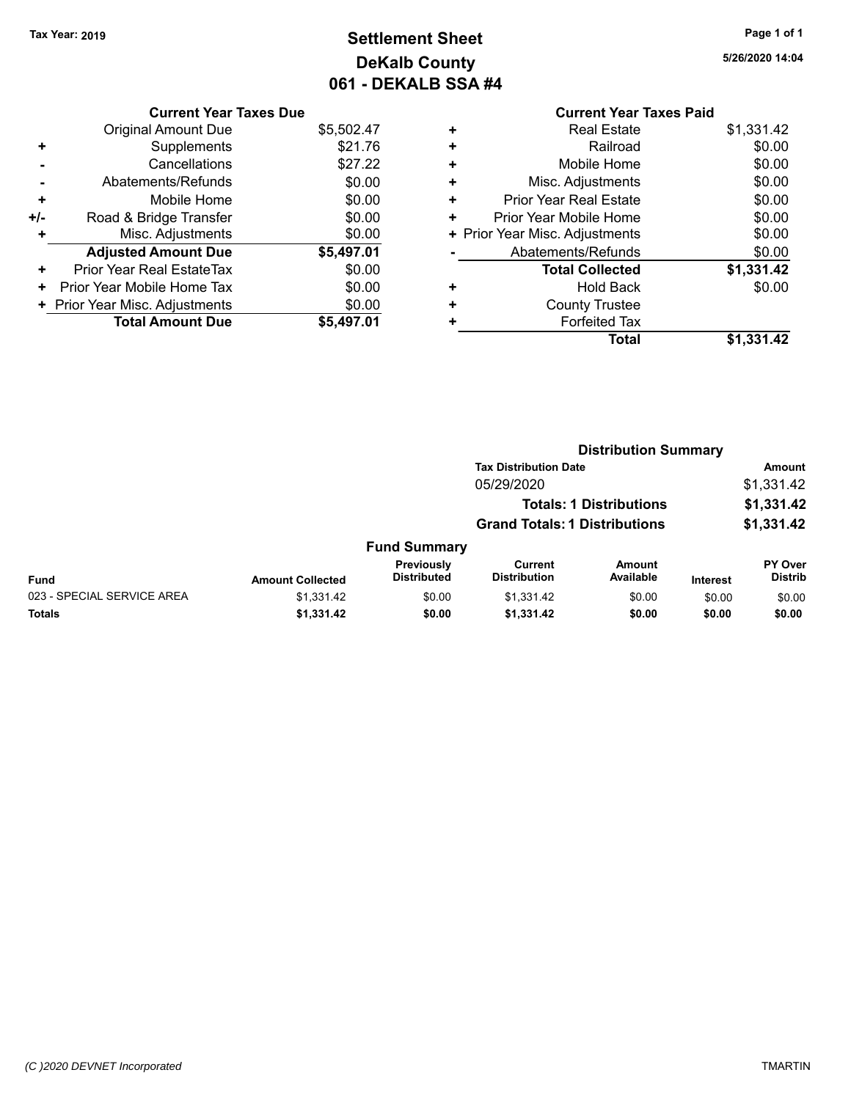# **Settlement Sheet Tax Year: 2019 Page 1 of 1 DeKalb County 061 - DEKALB SSA #4**

**5/26/2020 14:04**

|     | <b>Current Year Taxes Due</b>    |            |
|-----|----------------------------------|------------|
|     | <b>Original Amount Due</b>       | \$5,502.47 |
| ٠   | Supplements                      | \$21.76    |
|     | Cancellations                    | \$27.22    |
|     | Abatements/Refunds               | \$0.00     |
| ٠   | Mobile Home                      | \$0.00     |
| +/- | Road & Bridge Transfer           | \$0.00     |
| ٠   | Misc. Adjustments                | \$0.00     |
|     | <b>Adjusted Amount Due</b>       | \$5,497.01 |
| ٠   | <b>Prior Year Real EstateTax</b> | \$0.00     |
| ٠   | Prior Year Mobile Home Tax       | \$0.00     |
|     | + Prior Year Misc. Adjustments   | \$0.00     |
|     | <b>Total Amount Due</b>          | \$5,497.01 |

# **Current Year Taxes Paid +** Real Estate \$1,331.42 **+** Railroad \$0.00 **+** Mobile Home \$0.00 **+** Misc. Adjustments \$0.00 **+** Prior Year Real Estate \$0.00 **+** Prior Year Mobile Home \$0.00

| + Prior Year Misc. Adjustments | \$0.00     |
|--------------------------------|------------|
| Abatements/Refunds             | \$0.00     |
| <b>Total Collected</b>         | \$1,331.42 |
| <b>Hold Back</b>               | \$0.00     |
| <b>County Trustee</b>          |            |
| <b>Forfeited Tax</b>           |            |
| Total                          | \$1,331.42 |

|                            |                         |                                  | <b>Distribution Summary</b>          |                                |                 |                                  |
|----------------------------|-------------------------|----------------------------------|--------------------------------------|--------------------------------|-----------------|----------------------------------|
|                            |                         |                                  | <b>Tax Distribution Date</b>         |                                |                 | <b>Amount</b>                    |
|                            |                         |                                  | 05/29/2020                           |                                |                 | \$1,331.42                       |
|                            |                         |                                  |                                      | <b>Totals: 1 Distributions</b> |                 | \$1,331.42                       |
|                            |                         |                                  | <b>Grand Totals: 1 Distributions</b> |                                |                 | \$1,331.42                       |
|                            |                         | <b>Fund Summary</b>              |                                      |                                |                 |                                  |
| <b>Fund</b>                | <b>Amount Collected</b> | Previously<br><b>Distributed</b> | Current<br><b>Distribution</b>       | Amount<br>Available            | <b>Interest</b> | <b>PY Over</b><br><b>Distrib</b> |
| 023 - SPECIAL SERVICE AREA | \$1,331.42              | \$0.00                           | \$1,331.42                           | \$0.00                         | \$0.00          | \$0.00                           |
| Totals                     | \$1,331.42              | \$0.00                           | \$1,331.42                           | \$0.00                         | \$0.00          | \$0.00                           |
|                            |                         |                                  |                                      |                                |                 |                                  |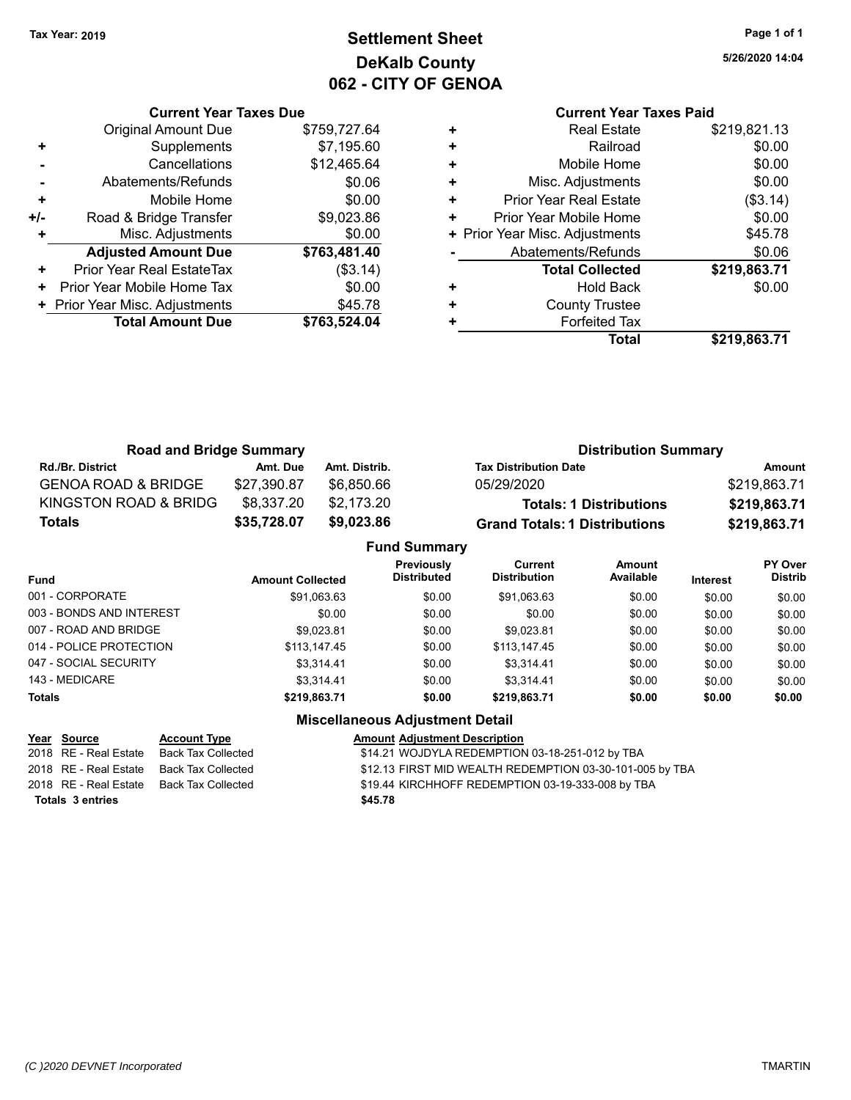# **Settlement Sheet Tax Year: 2019 Page 1 of 1 DeKalb County 062 - CITY OF GENOA**

**5/26/2020 14:04**

# **Current Year Taxes Paid**

|     | <b>Current Year Taxes Due</b>  |              |
|-----|--------------------------------|--------------|
|     | <b>Original Amount Due</b>     | \$759,727.64 |
| ٠   | Supplements                    | \$7,195.60   |
|     | Cancellations                  | \$12,465.64  |
|     | Abatements/Refunds             | \$0.06       |
| ٠   | Mobile Home                    | \$0.00       |
| +/- | Road & Bridge Transfer         | \$9,023.86   |
|     | Misc. Adjustments              | \$0.00       |
|     | <b>Adjusted Amount Due</b>     | \$763,481.40 |
| ÷   | Prior Year Real EstateTax      | (\$3.14)     |
| ٠   | Prior Year Mobile Home Tax     | \$0.00       |
|     | + Prior Year Misc. Adjustments | \$45.78      |
|     | <b>Total Amount Due</b>        | \$763,524.04 |
|     |                                |              |

| <b>Real Estate</b>             | \$219,821.13 |
|--------------------------------|--------------|
| Railroad                       | \$0.00       |
| Mobile Home                    | \$0.00       |
| Misc. Adjustments              | \$0.00       |
| <b>Prior Year Real Estate</b>  | (\$3.14)     |
| Prior Year Mobile Home         | \$0.00       |
| + Prior Year Misc. Adjustments | \$45.78      |
| Abatements/Refunds             | \$0.06       |
| <b>Total Collected</b>         | \$219,863.71 |
| <b>Hold Back</b>               | \$0.00       |
| <b>County Trustee</b>          |              |
| <b>Forfeited Tax</b>           |              |
| <b>Total</b>                   | \$219,863.71 |
|                                |              |

| <b>Road and Bridge Summary</b> |             |               | <b>Distribution Summary</b>          |              |  |
|--------------------------------|-------------|---------------|--------------------------------------|--------------|--|
| <b>Rd./Br. District</b>        | Amt. Due    | Amt. Distrib. | <b>Tax Distribution Date</b>         | Amount       |  |
| <b>GENOA ROAD &amp; BRIDGE</b> | \$27,390.87 | \$6.850.66    | 05/29/2020                           | \$219.863.71 |  |
| KINGSTON ROAD & BRIDG          | \$8,337.20  | \$2.173.20    | <b>Totals: 1 Distributions</b>       | \$219,863.71 |  |
| <b>Totals</b>                  | \$35,728.07 | \$9,023,86    | <b>Grand Totals: 1 Distributions</b> | \$219,863.71 |  |

|                          |                         | <b>Fund Summary</b>              |                                |                     |                 |                           |
|--------------------------|-------------------------|----------------------------------|--------------------------------|---------------------|-----------------|---------------------------|
| Fund                     | <b>Amount Collected</b> | Previously<br><b>Distributed</b> | Current<br><b>Distribution</b> | Amount<br>Available | <b>Interest</b> | PY Over<br><b>Distrib</b> |
| 001 - CORPORATE          | \$91,063.63             | \$0.00                           | \$91,063.63                    | \$0.00              | \$0.00          | \$0.00                    |
| 003 - BONDS AND INTEREST | \$0.00                  | \$0.00                           | \$0.00                         | \$0.00              | \$0.00          | \$0.00                    |
| 007 - ROAD AND BRIDGE.   | \$9.023.81              | \$0.00                           | \$9.023.81                     | \$0.00              | \$0.00          | \$0.00                    |
| 014 - POLICE PROTECTION  | \$113,147.45            | \$0.00                           | \$113.147.45                   | \$0.00              | \$0.00          | \$0.00                    |
| 047 - SOCIAL SECURITY    | \$3.314.41              | \$0.00                           | \$3.314.41                     | \$0.00              | \$0.00          | \$0.00                    |
| 143 - MEDICARE           | \$3.314.41              | \$0.00                           | \$3.314.41                     | \$0.00              | \$0.00          | \$0.00                    |
| <b>Totals</b>            | \$219,863.71            | \$0.00                           | \$219,863.71                   | \$0.00              | \$0.00          | \$0.00                    |

| Year Source           | <b>Account Type</b> | <b>Amount Adjustment Description</b>                     |
|-----------------------|---------------------|----------------------------------------------------------|
| 2018 RE - Real Estate | Back Tax Collected  | \$14.21 WOJDYLA REDEMPTION 03-18-251-012 by TBA          |
| 2018 RE - Real Estate | Back Tax Collected  | \$12.13 FIRST MID WEALTH REDEMPTION 03-30-101-005 by TBA |
| 2018 RE - Real Estate | Back Tax Collected  | \$19.44 KIRCHHOFF REDEMPTION 03-19-333-008 by TBA        |
| Totals 3 entries      |                     | \$45.78                                                  |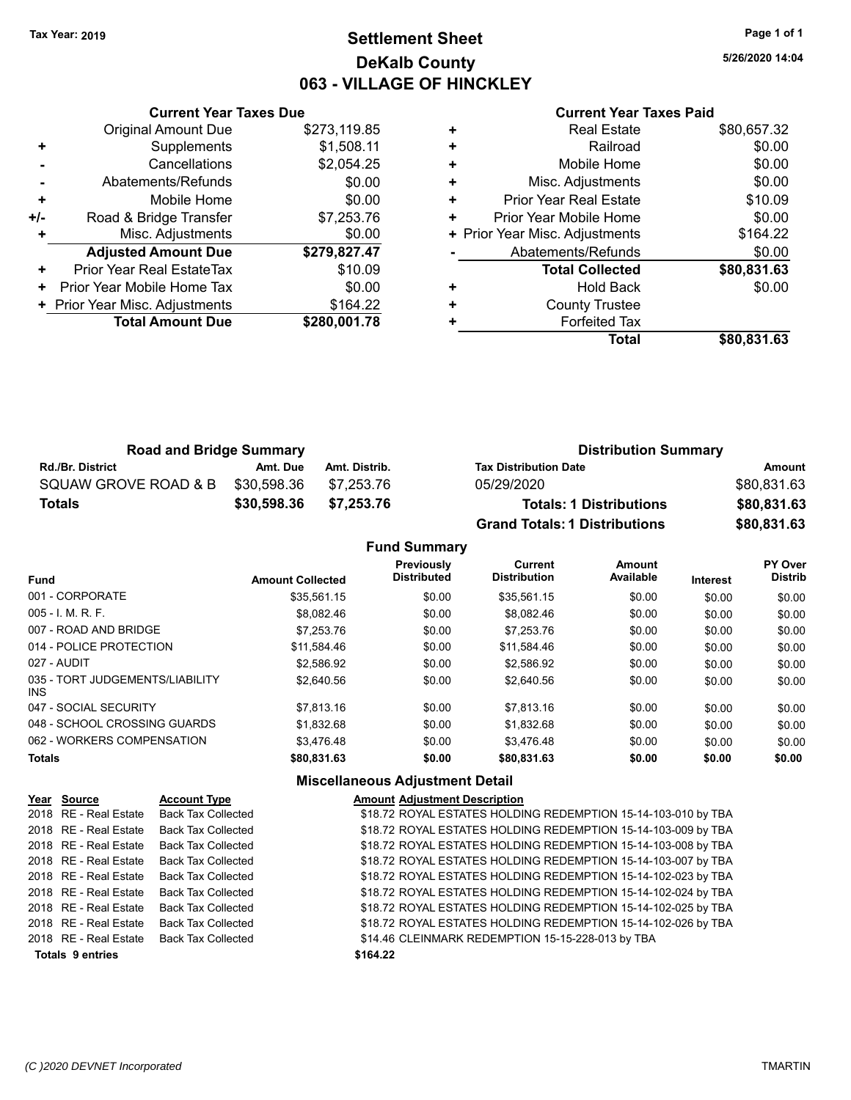# **Settlement Sheet Tax Year: 2019 Page 1 of 1 DeKalb County 063 - VILLAGE OF HINCKLEY**

**5/26/2020 14:04**

| <b>Current Year Taxes Paid</b> |  |
|--------------------------------|--|
|--------------------------------|--|

|     | <b>Current Year Taxes Due</b>  |              |
|-----|--------------------------------|--------------|
|     | <b>Original Amount Due</b>     | \$273,119.85 |
| ÷   | Supplements                    | \$1,508.11   |
|     | Cancellations                  | \$2,054.25   |
|     | Abatements/Refunds             | \$0.00       |
| ٠   | Mobile Home                    | \$0.00       |
| +/- | Road & Bridge Transfer         | \$7,253.76   |
|     | Misc. Adjustments              | \$0.00       |
|     | <b>Adjusted Amount Due</b>     | \$279,827.47 |
| ٠   | Prior Year Real EstateTax      | \$10.09      |
| ٠   | Prior Year Mobile Home Tax     | \$0.00       |
|     | + Prior Year Misc. Adjustments | \$164.22     |
|     | <b>Total Amount Due</b>        | \$280,001.78 |
|     |                                |              |

|   | <b>Real Estate</b>             | \$80,657.32 |
|---|--------------------------------|-------------|
| ÷ | Railroad                       | \$0.00      |
| ٠ | Mobile Home                    | \$0.00      |
| ٠ | Misc. Adjustments              | \$0.00      |
| ٠ | <b>Prior Year Real Estate</b>  | \$10.09     |
| ٠ | Prior Year Mobile Home         | \$0.00      |
|   | + Prior Year Misc. Adjustments | \$164.22    |
|   | Abatements/Refunds             | \$0.00      |
|   | <b>Total Collected</b>         | \$80,831.63 |
| ٠ | <b>Hold Back</b>               | \$0.00      |
| ٠ | <b>County Trustee</b>          |             |
| ٠ | <b>Forfeited Tax</b>           |             |
|   | Total                          | \$80,831.63 |
|   |                                |             |

| <b>Road and Bridge Summary</b> |             |               | <b>Distribution Summary</b>          |             |  |
|--------------------------------|-------------|---------------|--------------------------------------|-------------|--|
| <b>Rd./Br. District</b>        | Amt. Due    | Amt. Distrib. | <b>Tax Distribution Date</b>         | Amount      |  |
| SQUAW GROVE ROAD & B           | \$30.598.36 | \$7.253.76    | 05/29/2020                           | \$80,831.63 |  |
| <b>Totals</b>                  | \$30,598.36 | \$7,253.76    | <b>Totals: 1 Distributions</b>       | \$80,831.63 |  |
|                                |             |               | <b>Grand Totals: 1 Distributions</b> | \$80,831.63 |  |

**Fund Summary**

| <b>Fund</b>                             | <b>Amount Collected</b> | Previously<br><b>Distributed</b> | Current<br><b>Distribution</b> | Amount<br>Available | <b>Interest</b> | PY Over<br><b>Distrib</b> |
|-----------------------------------------|-------------------------|----------------------------------|--------------------------------|---------------------|-----------------|---------------------------|
| 001 - CORPORATE                         | \$35,561.15             | \$0.00                           | \$35.561.15                    | \$0.00              | \$0.00          | \$0.00                    |
| $005 - 1$ , M, R, F,                    | \$8.082.46              | \$0.00                           | \$8.082.46                     | \$0.00              | \$0.00          | \$0.00                    |
| 007 - ROAD AND BRIDGE                   | \$7,253.76              | \$0.00                           | \$7.253.76                     | \$0.00              | \$0.00          | \$0.00                    |
| 014 - POLICE PROTECTION                 | \$11.584.46             | \$0.00                           | \$11.584.46                    | \$0.00              | \$0.00          | \$0.00                    |
| 027 - AUDIT                             | \$2.586.92              | \$0.00                           | \$2.586.92                     | \$0.00              | \$0.00          | \$0.00                    |
| 035 - TORT JUDGEMENTS/LIABILITY<br>INS. | \$2,640.56              | \$0.00                           | \$2.640.56                     | \$0.00              | \$0.00          | \$0.00                    |
| 047 - SOCIAL SECURITY                   | \$7.813.16              | \$0.00                           | \$7.813.16                     | \$0.00              | \$0.00          | \$0.00                    |
| 048 - SCHOOL CROSSING GUARDS            | \$1.832.68              | \$0.00                           | \$1.832.68                     | \$0.00              | \$0.00          | \$0.00                    |
| 062 - WORKERS COMPENSATION              | \$3.476.48              | \$0.00                           | \$3.476.48                     | \$0.00              | \$0.00          | \$0.00                    |
| <b>Totals</b>                           | \$80,831.63             | \$0.00                           | \$80,831.63                    | \$0.00              | \$0.00          | \$0.00                    |

| <b>Back Tax Collected</b><br>\$18.72 ROYAL ESTATES HOLDING REDEMPTION 15-14-103-010 by TBA<br>2018 RE - Real Estate<br>\$18.72 ROYAL ESTATES HOLDING REDEMPTION 15-14-103-009 by TBA<br>2018 RE - Real Estate<br><b>Back Tax Collected</b><br>\$18.72 ROYAL ESTATES HOLDING REDEMPTION 15-14-103-008 by TBA<br>2018 RE - Real Estate<br><b>Back Tax Collected</b><br>\$18.72 ROYAL ESTATES HOLDING REDEMPTION 15-14-103-007 by TBA<br>2018 RE - Real Estate<br><b>Back Tax Collected</b><br>\$18.72 ROYAL ESTATES HOLDING REDEMPTION 15-14-102-023 by TBA<br>2018 RE - Real Estate<br><b>Back Tax Collected</b><br>\$18.72 ROYAL ESTATES HOLDING REDEMPTION 15-14-102-024 by TBA<br>2018 RE - Real Estate<br><b>Back Tax Collected</b><br>\$18.72 ROYAL ESTATES HOLDING REDEMPTION 15-14-102-025 by TBA<br>2018 RE - Real Estate<br><b>Back Tax Collected</b><br>\$18.72 ROYAL ESTATES HOLDING REDEMPTION 15-14-102-026 by TBA<br>2018 RE - Real Estate<br><b>Back Tax Collected</b><br>\$14.46 CLEINMARK REDEMPTION 15-15-228-013 by TBA<br>2018 RE - Real Estate<br>Back Tax Collected<br><b>Totals 9 entries</b><br>\$164.22 |  | Year Source | <b>Account Type</b> | <b>Amount Adjustment Description</b> |
|---------------------------------------------------------------------------------------------------------------------------------------------------------------------------------------------------------------------------------------------------------------------------------------------------------------------------------------------------------------------------------------------------------------------------------------------------------------------------------------------------------------------------------------------------------------------------------------------------------------------------------------------------------------------------------------------------------------------------------------------------------------------------------------------------------------------------------------------------------------------------------------------------------------------------------------------------------------------------------------------------------------------------------------------------------------------------------------------------------------------------------|--|-------------|---------------------|--------------------------------------|
|                                                                                                                                                                                                                                                                                                                                                                                                                                                                                                                                                                                                                                                                                                                                                                                                                                                                                                                                                                                                                                                                                                                                 |  |             |                     |                                      |
|                                                                                                                                                                                                                                                                                                                                                                                                                                                                                                                                                                                                                                                                                                                                                                                                                                                                                                                                                                                                                                                                                                                                 |  |             |                     |                                      |
|                                                                                                                                                                                                                                                                                                                                                                                                                                                                                                                                                                                                                                                                                                                                                                                                                                                                                                                                                                                                                                                                                                                                 |  |             |                     |                                      |
|                                                                                                                                                                                                                                                                                                                                                                                                                                                                                                                                                                                                                                                                                                                                                                                                                                                                                                                                                                                                                                                                                                                                 |  |             |                     |                                      |
|                                                                                                                                                                                                                                                                                                                                                                                                                                                                                                                                                                                                                                                                                                                                                                                                                                                                                                                                                                                                                                                                                                                                 |  |             |                     |                                      |
|                                                                                                                                                                                                                                                                                                                                                                                                                                                                                                                                                                                                                                                                                                                                                                                                                                                                                                                                                                                                                                                                                                                                 |  |             |                     |                                      |
|                                                                                                                                                                                                                                                                                                                                                                                                                                                                                                                                                                                                                                                                                                                                                                                                                                                                                                                                                                                                                                                                                                                                 |  |             |                     |                                      |
|                                                                                                                                                                                                                                                                                                                                                                                                                                                                                                                                                                                                                                                                                                                                                                                                                                                                                                                                                                                                                                                                                                                                 |  |             |                     |                                      |
|                                                                                                                                                                                                                                                                                                                                                                                                                                                                                                                                                                                                                                                                                                                                                                                                                                                                                                                                                                                                                                                                                                                                 |  |             |                     |                                      |
|                                                                                                                                                                                                                                                                                                                                                                                                                                                                                                                                                                                                                                                                                                                                                                                                                                                                                                                                                                                                                                                                                                                                 |  |             |                     |                                      |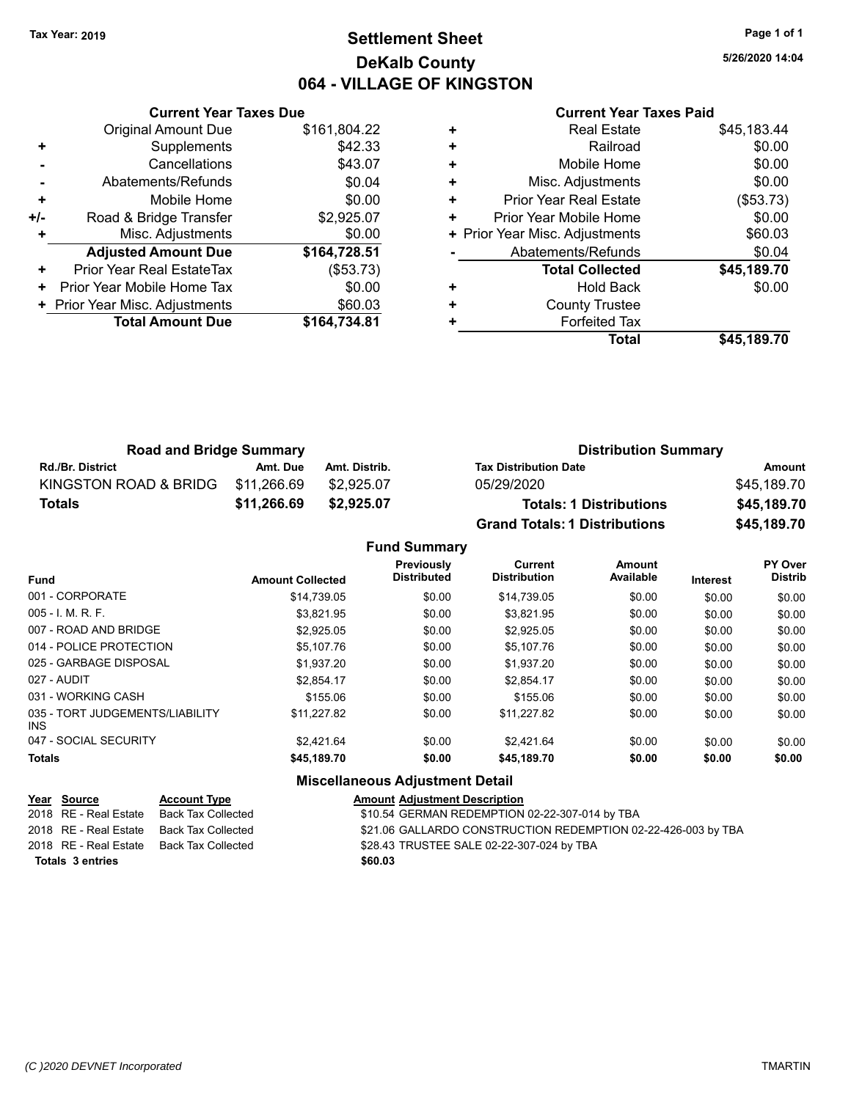# **Settlement Sheet Tax Year: 2019 Page 1 of 1 DeKalb County 064 - VILLAGE OF KINGSTON**

**5/26/2020 14:04**

|     | <b>Current Year Taxes Due</b>  |              |
|-----|--------------------------------|--------------|
|     | <b>Original Amount Due</b>     | \$161,804.22 |
| ٠   | Supplements                    | \$42.33      |
|     | Cancellations                  | \$43.07      |
|     | Abatements/Refunds             | \$0.04       |
| ٠   | Mobile Home                    | \$0.00       |
| +/- | Road & Bridge Transfer         | \$2,925.07   |
| ٠   | Misc. Adjustments              | \$0.00       |
|     | <b>Adjusted Amount Due</b>     | \$164,728.51 |
| +   | Prior Year Real EstateTax      | (\$53.73)    |
| ٠   | Prior Year Mobile Home Tax     | \$0.00       |
|     | + Prior Year Misc. Adjustments | \$60.03      |
|     | <b>Total Amount Due</b>        | \$164,734.81 |
|     |                                |              |

### **Current Year Taxes Paid**

| <b>Real Estate</b>             | \$45,183.44 |
|--------------------------------|-------------|
| Railroad                       | \$0.00      |
| Mobile Home                    | \$0.00      |
| Misc. Adjustments              | \$0.00      |
| <b>Prior Year Real Estate</b>  | (\$53.73)   |
| Prior Year Mobile Home         | \$0.00      |
| + Prior Year Misc. Adjustments | \$60.03     |
| Abatements/Refunds             | \$0.04      |
| <b>Total Collected</b>         | \$45,189.70 |
| <b>Hold Back</b>               | \$0.00      |
| <b>County Trustee</b>          |             |
| <b>Forfeited Tax</b>           |             |
| Total                          | \$45,189.70 |
|                                |             |

| <b>Road and Bridge Summary</b> |             |               | <b>Distribution Summary</b>          |             |  |
|--------------------------------|-------------|---------------|--------------------------------------|-------------|--|
| <b>Rd./Br. District</b>        | Amt. Due    | Amt. Distrib. | <b>Tax Distribution Date</b>         | Amount      |  |
| KINGSTON ROAD & BRIDG          | \$11.266.69 | \$2,925.07    | 05/29/2020                           | \$45.189.70 |  |
| Totals                         | \$11,266.69 | \$2,925,07    | <b>Totals: 1 Distributions</b>       | \$45,189.70 |  |
|                                |             |               | <b>Grand Totals: 1 Distributions</b> | \$45,189.70 |  |

### **Fund Summary Fund Interest Amount Collected Distributed PY Over Distrib Amount Available Current Distribution Previously** 001 - CORPORATE \$14,739.05 \$0.00 \$14,739.05 \$0.00 \$0.00 \$0.00 005 - I. M. R. F. Charles Communication (St. 2010) \$3,821.95 \$0.00 \$1,000 \$0.00 \$0.00 \$0.00 \$0.00 \$0.00 007 - ROAD AND BRIDGE  $$2,925.05$   $$0.00$   $$2,925.05$   $$0.00$   $$0.00$   $$0.00$   $$0.00$ 014 - POLICE PROTECTION \$5,107.76 \$0.00 \$5,107.76 \$0.00 \$0.00 \$0.00 \$0.00 \$0.00 025 - GARBAGE DISPOSAL \$1,937.20 \$0.00 \$0.00 \$0.00 \$0.00 \$0.00 \$0.00 027 - AUDIT \$2,854.17 \$0.00 \$2,854.17 \$0.00 \$0.00 \$0.00 031 - WORKING CASH \$155.06 \$0.00 \$155.06 \$0.00 \$0.00 \$0.00 035 - TORT JUDGEMENTS/LIABILITY INS \$11,227.82 \$0.00 \$11,227.82 \$0.00 \$0.00 \$0.00 047 - SOCIAL SECURITY \$2,421.64 \$0.00 \$0.00 \$0.00 \$0.00 \$0.00 \$0.00 **Totals \$45,189.70 \$0.00 \$45,189.70 \$0.00 \$0.00 \$0.00**

| <u>Year Source</u>      | <b>Account Type</b> | <b>Amount Adjustment Description</b>                          |
|-------------------------|---------------------|---------------------------------------------------------------|
| 2018 RE - Real Estate   | Back Tax Collected  | \$10.54 GERMAN REDEMPTION 02-22-307-014 by TBA                |
| 2018 RE - Real Estate   | Back Tax Collected  | \$21.06 GALLARDO CONSTRUCTION REDEMPTION 02-22-426-003 by TBA |
| 2018 RE - Real Estate   | Back Tax Collected  | \$28.43 TRUSTEE SALE 02-22-307-024 by TBA                     |
| <b>Totals 3 entries</b> |                     | \$60.03                                                       |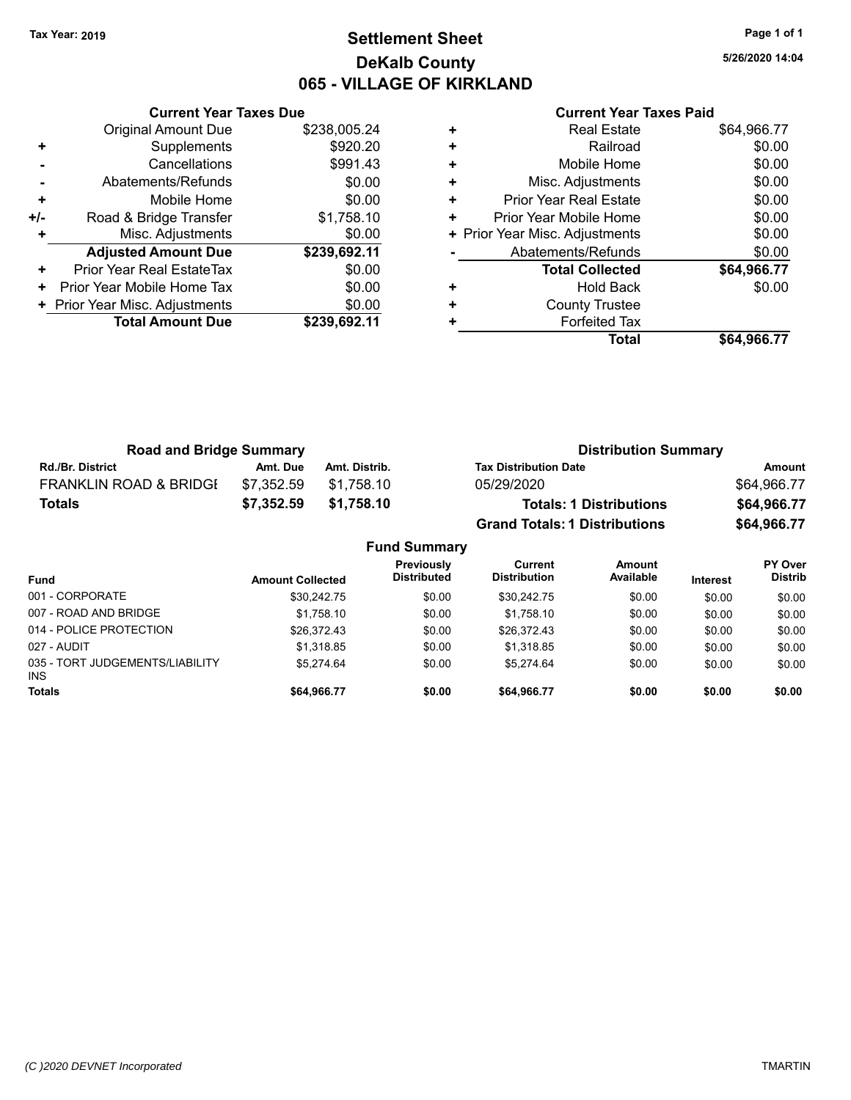# **Settlement Sheet Tax Year: 2019 Page 1 of 1 DeKalb County 065 - VILLAGE OF KIRKLAND**

**5/26/2020 14:04**

|   | <b>Current Year Taxes Paid</b> |             |
|---|--------------------------------|-------------|
| ÷ | <b>Real Estate</b>             | \$64,966.77 |
| ÷ | Railroad                       | \$0.00      |
| ÷ | Mobile Home                    | \$0.00      |
| Ŧ | Misc. Adjustments              | \$0.00      |
| ÷ | <b>Prior Year Real Estate</b>  | \$0.00      |
| ÷ | Prior Year Mobile Home         | \$0.00      |
|   | + Prior Year Misc. Adjustments | \$0.00      |
|   | Abatements/Refunds             | \$0.00      |
|   | <b>Total Collected</b>         | \$64,966.77 |
| ÷ | <b>Hold Back</b>               | \$0.00      |
| Ŧ | <b>County Trustee</b>          |             |

**Total \$64,966.77**

**+** Forfeited Tax

|     | <b>Current Year Taxes Due</b>  |              |
|-----|--------------------------------|--------------|
|     | <b>Original Amount Due</b>     | \$238,005.24 |
|     | Supplements                    | \$920.20     |
|     | Cancellations                  | \$991.43     |
|     | Abatements/Refunds             | \$0.00       |
| ٠   | Mobile Home                    | \$0.00       |
| +/- | Road & Bridge Transfer         | \$1,758.10   |
|     | Misc. Adjustments              | \$0.00       |
|     | <b>Adjusted Amount Due</b>     | \$239,692.11 |
| ٠   | Prior Year Real EstateTax      | \$0.00       |
|     | Prior Year Mobile Home Tax     | \$0.00       |
|     | + Prior Year Misc. Adjustments | \$0.00       |
|     | <b>Total Amount Due</b>        | \$239,692.11 |
|     |                                |              |

| <b>Road and Bridge Summary</b>    |            |               | <b>Distribution Summary</b>          |             |  |
|-----------------------------------|------------|---------------|--------------------------------------|-------------|--|
| <b>Rd./Br. District</b>           | Amt. Due   | Amt. Distrib. | <b>Tax Distribution Date</b>         | Amount      |  |
| <b>FRANKLIN ROAD &amp; BRIDGE</b> | \$7.352.59 | \$1.758.10    | 05/29/2020                           | \$64,966.77 |  |
| <b>Totals</b>                     | \$7,352.59 | \$1.758.10    | <b>Totals: 1 Distributions</b>       | \$64,966.77 |  |
|                                   |            |               | <b>Grand Totals: 1 Distributions</b> | \$64,966.77 |  |

| <b>Fund Summary</b>                     |                         |                                  |                                       |                     |                 |                           |  |
|-----------------------------------------|-------------------------|----------------------------------|---------------------------------------|---------------------|-----------------|---------------------------|--|
| <b>Fund</b>                             | <b>Amount Collected</b> | Previously<br><b>Distributed</b> | <b>Current</b><br><b>Distribution</b> | Amount<br>Available | <b>Interest</b> | PY Over<br><b>Distrib</b> |  |
| 001 - CORPORATE                         | \$30,242.75             | \$0.00                           | \$30,242.75                           | \$0.00              | \$0.00          | \$0.00                    |  |
| 007 - ROAD AND BRIDGE                   | \$1,758.10              | \$0.00                           | \$1,758.10                            | \$0.00              | \$0.00          | \$0.00                    |  |
| 014 - POLICE PROTECTION                 | \$26.372.43             | \$0.00                           | \$26,372.43                           | \$0.00              | \$0.00          | \$0.00                    |  |
| 027 - AUDIT                             | \$1,318.85              | \$0.00                           | \$1.318.85                            | \$0.00              | \$0.00          | \$0.00                    |  |
| 035 - TORT JUDGEMENTS/LIABILITY<br>INS. | \$5.274.64              | \$0.00                           | \$5.274.64                            | \$0.00              | \$0.00          | \$0.00                    |  |
| <b>Totals</b>                           | \$64.966.77             | \$0.00                           | \$64,966.77                           | \$0.00              | \$0.00          | \$0.00                    |  |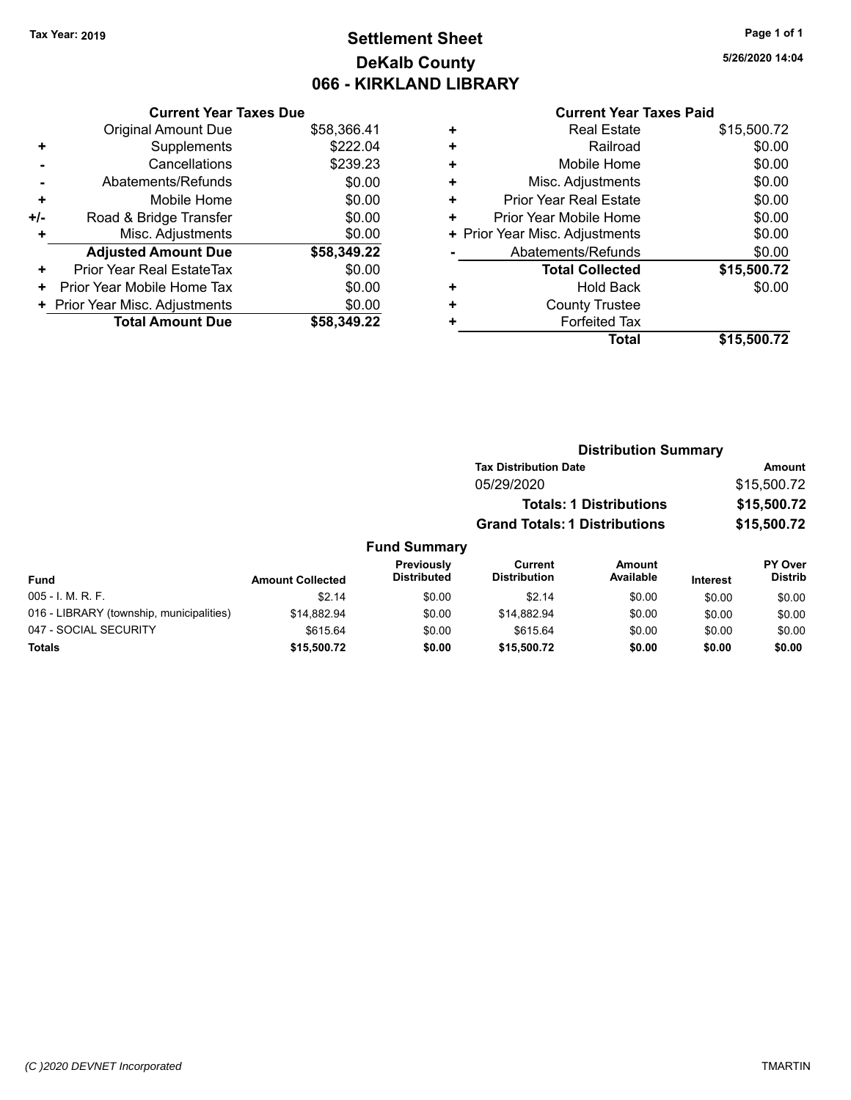# **Settlement Sheet Tax Year: 2019 Page 1 of 1 DeKalb County 066 - KIRKLAND LIBRARY**

**5/26/2020 14:04**

## **Current Year Taxes Paid**

|     | <b>Current Year Taxes Due</b>  |             |
|-----|--------------------------------|-------------|
|     | <b>Original Amount Due</b>     | \$58,366.41 |
| ٠   | Supplements                    | \$222.04    |
|     | Cancellations                  | \$239.23    |
|     | Abatements/Refunds             | \$0.00      |
| ٠   | Mobile Home                    | \$0.00      |
| +/- | Road & Bridge Transfer         | \$0.00      |
| ٠   | Misc. Adjustments              | \$0.00      |
|     | <b>Adjusted Amount Due</b>     | \$58,349.22 |
| ٠   | Prior Year Real EstateTax      | \$0.00      |
| ٠   | Prior Year Mobile Home Tax     | \$0.00      |
|     | + Prior Year Misc. Adjustments | \$0.00      |
|     | <b>Total Amount Due</b>        | \$58.349.22 |

|   | <b>Real Estate</b>             | \$15,500.72 |
|---|--------------------------------|-------------|
| ٠ | Railroad                       | \$0.00      |
| ٠ | Mobile Home                    | \$0.00      |
| ٠ | Misc. Adjustments              | \$0.00      |
| ٠ | <b>Prior Year Real Estate</b>  | \$0.00      |
| ٠ | Prior Year Mobile Home         | \$0.00      |
|   | + Prior Year Misc. Adjustments | \$0.00      |
|   | Abatements/Refunds             | \$0.00      |
|   | <b>Total Collected</b>         | \$15,500.72 |
| ٠ | <b>Hold Back</b>               | \$0.00      |
| ٠ | <b>County Trustee</b>          |             |
| ٠ | <b>Forfeited Tax</b>           |             |
|   | <b>Total</b>                   | \$15,500.72 |
|   |                                |             |

| <b>Distribution Summary</b>          |               |
|--------------------------------------|---------------|
| <b>Tax Distribution Date</b>         | <b>Amount</b> |
| 05/29/2020                           | \$15,500.72   |
| <b>Totals: 1 Distributions</b>       | \$15,500.72   |
| <b>Grand Totals: 1 Distributions</b> | \$15,500.72   |
|                                      |               |

### **Fund Summary Fund Interest Amount Collected Distributed PY Over Amount Available Current Distribution Previously** 005 - I. M. R. F. Channel Communication (St. 14 to the St. 14 to the St. 14 to the St. 10 to the St. 00 \$0.00 016 - LIBRARY (township, municipalities)  $$14,882.94$  \$0.00  $$14,882.94$  \$0.00 \$0.00 \$0.00 047 - SOCIAL SECURITY \$615.64 \$615.64 \$0.00 \$0.00 \$0.00 \$0.00 \$0.00

**Totals \$15,500.72 \$0.00 \$15,500.72 \$0.00 \$0.00 \$0.00**

**Distrib**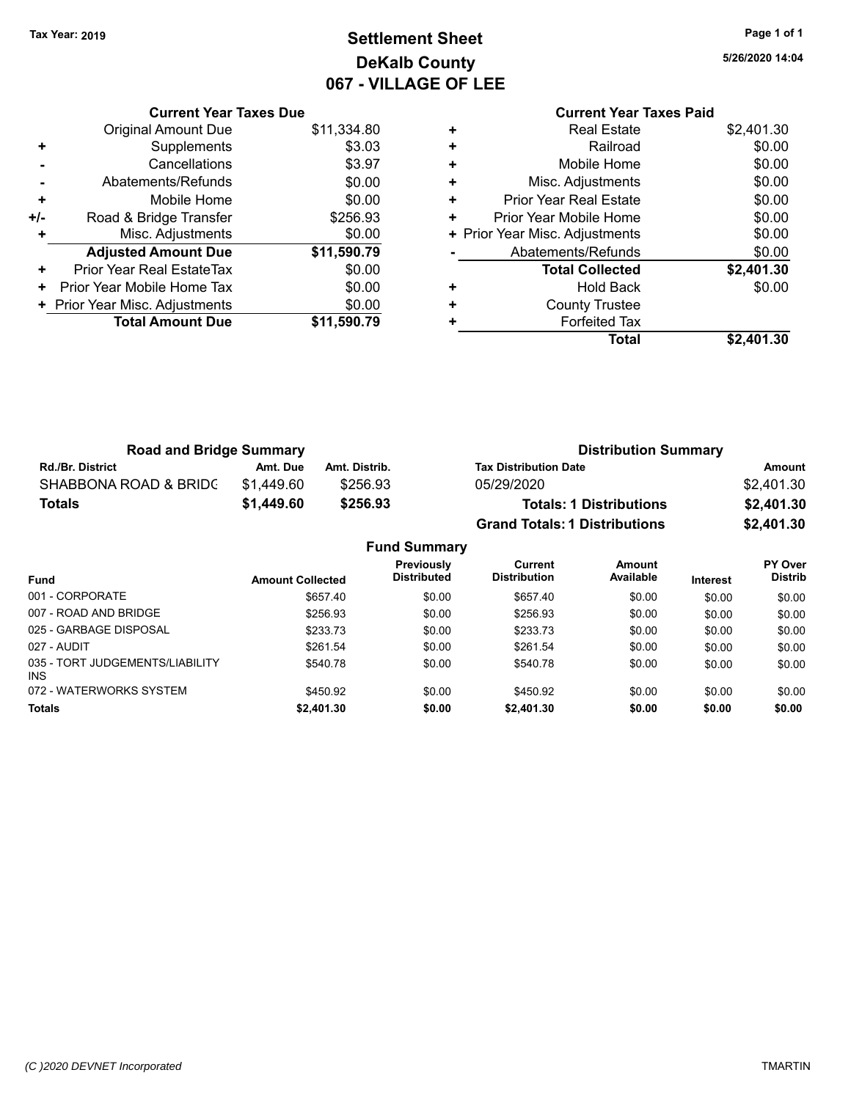# **Settlement Sheet Tax Year: 2019 Page 1 of 1 DeKalb County 067 - VILLAGE OF LEE**

**5/26/2020 14:04**

|     | <b>Current Year Taxes Due</b>  |             |
|-----|--------------------------------|-------------|
|     | <b>Original Amount Due</b>     | \$11,334.80 |
| ٠   | Supplements                    | \$3.03      |
|     | Cancellations                  | \$3.97      |
|     | Abatements/Refunds             | \$0.00      |
| ٠   | Mobile Home                    | \$0.00      |
| +/- | Road & Bridge Transfer         | \$256.93    |
| ٠   | Misc. Adjustments              | \$0.00      |
|     | <b>Adjusted Amount Due</b>     | \$11,590.79 |
| ٠   | Prior Year Real EstateTax      | \$0.00      |
| ٠   | Prior Year Mobile Home Tax     | \$0.00      |
|     | + Prior Year Misc. Adjustments | \$0.00      |
|     | <b>Total Amount Due</b>        | \$11,590.79 |
|     |                                |             |

### **Current Year Taxes Paid +** Real Estate \$2,401.30

|   | Total                          | \$2,401.30 |
|---|--------------------------------|------------|
|   | <b>Forfeited Tax</b>           |            |
| ÷ | <b>County Trustee</b>          |            |
| ٠ | <b>Hold Back</b>               | \$0.00     |
|   | <b>Total Collected</b>         | \$2,401.30 |
|   | Abatements/Refunds             | \$0.00     |
|   | + Prior Year Misc. Adjustments | \$0.00     |
| ÷ | Prior Year Mobile Home         | \$0.00     |
| ÷ | <b>Prior Year Real Estate</b>  | \$0.00     |
| ÷ | Misc. Adjustments              | \$0.00     |
| ÷ | Mobile Home                    | \$0.00     |
| ÷ | Railroad                       | \$0.00     |
| ÷ | Real Estate                    | \$2,401.30 |

| <b>Road and Bridge Summary</b> |            |               | <b>Distribution Summary</b>          |            |  |
|--------------------------------|------------|---------------|--------------------------------------|------------|--|
| <b>Rd./Br. District</b>        | Amt. Due   | Amt. Distrib. | <b>Tax Distribution Date</b>         | Amount     |  |
| SHABBONA ROAD & BRIDC          | \$1.449.60 | \$256.93      | 05/29/2020                           | \$2,401.30 |  |
| <b>Totals</b>                  | \$1,449.60 | \$256.93      | <b>Totals: 1 Distributions</b>       | \$2,401.30 |  |
|                                |            |               | <b>Grand Totals: 1 Distributions</b> | \$2,401.30 |  |

|                                         |                         | <b>Fund Summary</b>              |                                |                     |                 |                                  |
|-----------------------------------------|-------------------------|----------------------------------|--------------------------------|---------------------|-----------------|----------------------------------|
| <b>Fund</b>                             | <b>Amount Collected</b> | Previously<br><b>Distributed</b> | Current<br><b>Distribution</b> | Amount<br>Available | <b>Interest</b> | <b>PY Over</b><br><b>Distrib</b> |
| 001 - CORPORATE                         | \$657.40                | \$0.00                           | \$657.40                       | \$0.00              | \$0.00          | \$0.00                           |
| 007 - ROAD AND BRIDGE                   | \$256.93                | \$0.00                           | \$256.93                       | \$0.00              | \$0.00          | \$0.00                           |
| 025 - GARBAGE DISPOSAL                  | \$233.73                | \$0.00                           | \$233.73                       | \$0.00              | \$0.00          | \$0.00                           |
| 027 - AUDIT                             | \$261.54                | \$0.00                           | \$261.54                       | \$0.00              | \$0.00          | \$0.00                           |
| 035 - TORT JUDGEMENTS/LIABILITY<br>INS. | \$540.78                | \$0.00                           | \$540.78                       | \$0.00              | \$0.00          | \$0.00                           |
| 072 - WATERWORKS SYSTEM                 | \$450.92                | \$0.00                           | \$450.92                       | \$0.00              | \$0.00          | \$0.00                           |
| <b>Totals</b>                           | \$2,401.30              | \$0.00                           | \$2,401.30                     | \$0.00              | \$0.00          | \$0.00                           |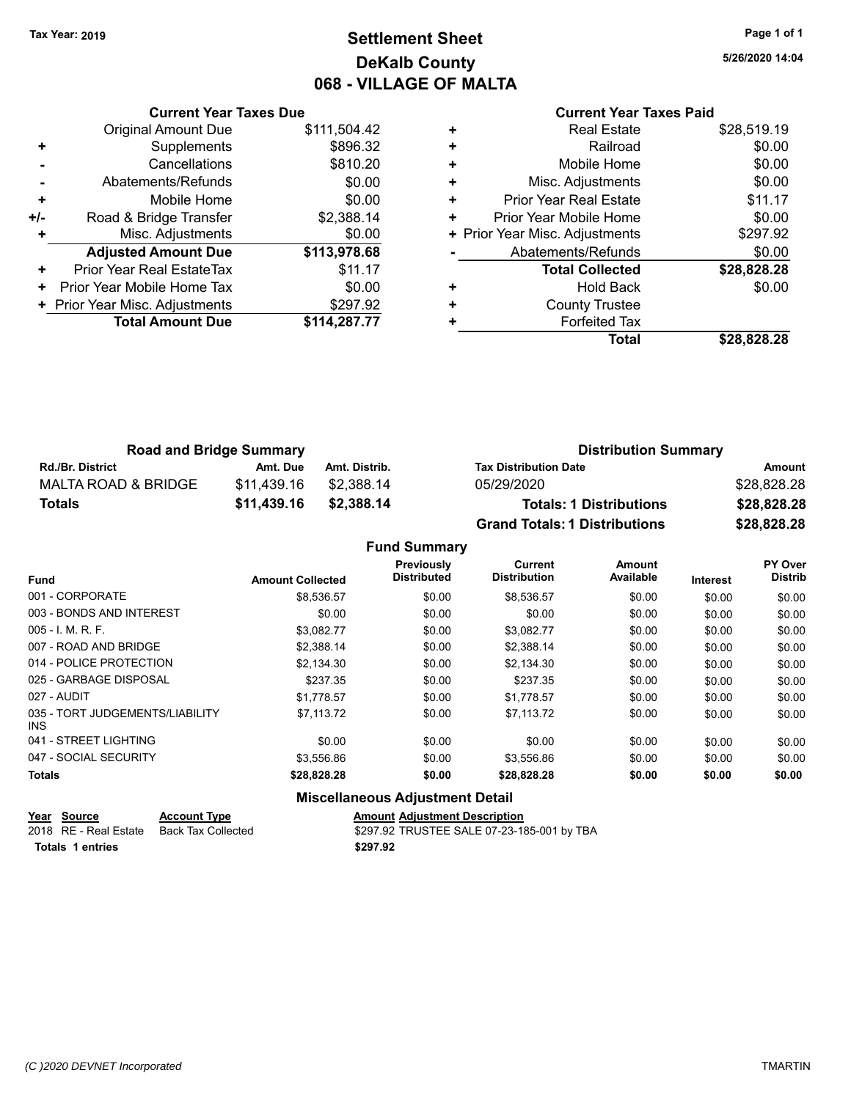# **Settlement Sheet Tax Year: 2019 Page 1 of 1 DeKalb County 068 - VILLAGE OF MALTA**

**5/26/2020 14:04**

# **Current Year Taxes Paid**

|     | <b>Original Amount Due</b>     | \$111,504.42 |
|-----|--------------------------------|--------------|
| ٠   | Supplements                    | \$896.32     |
|     | Cancellations                  | \$810.20     |
|     | Abatements/Refunds             | \$0.00       |
| ÷   | Mobile Home                    | \$0.00       |
| +/- | Road & Bridge Transfer         | \$2,388.14   |
|     | Misc. Adjustments              | \$0.00       |
|     | <b>Adjusted Amount Due</b>     | \$113,978.68 |
| ٠   | Prior Year Real EstateTax      | \$11.17      |
| ٠   | Prior Year Mobile Home Tax     | \$0.00       |
|     | + Prior Year Misc. Adjustments | \$297.92     |
|     |                                |              |
|     | <b>Total Amount Due</b>        | \$114,287.77 |

**Current Year Taxes Due**

|   | <b>Real Estate</b>             | \$28,519.19 |
|---|--------------------------------|-------------|
| ٠ | Railroad                       | \$0.00      |
| ٠ | Mobile Home                    | \$0.00      |
| ٠ | Misc. Adjustments              | \$0.00      |
| ٠ | <b>Prior Year Real Estate</b>  | \$11.17     |
| ٠ | Prior Year Mobile Home         | \$0.00      |
|   | + Prior Year Misc. Adjustments | \$297.92    |
|   | Abatements/Refunds             | \$0.00      |
|   | <b>Total Collected</b>         | \$28,828.28 |
| ٠ | <b>Hold Back</b>               | \$0.00      |
| ٠ | <b>County Trustee</b>          |             |
| ٠ | <b>Forfeited Tax</b>           |             |
|   | Total                          | \$28,828.28 |
|   |                                |             |

| <b>Road and Bridge Summary</b> |             |               | <b>Distribution Summary</b>          |             |  |
|--------------------------------|-------------|---------------|--------------------------------------|-------------|--|
| <b>Rd./Br. District</b>        | Amt. Due    | Amt. Distrib. | <b>Tax Distribution Date</b>         | Amount      |  |
| MALTA ROAD & BRIDGE            | \$11.439.16 | \$2.388.14    | 05/29/2020                           | \$28,828.28 |  |
| <b>Totals</b>                  | \$11,439.16 | \$2,388.14    | <b>Totals: 1 Distributions</b>       | \$28,828.28 |  |
|                                |             |               | <b>Grand Totals: 1 Distributions</b> | \$28,828.28 |  |

# **Fund Summary**

|                                               |                         | Previously         | <b>Current</b>      | Amount    |                 | PY Over        |
|-----------------------------------------------|-------------------------|--------------------|---------------------|-----------|-----------------|----------------|
| <b>Fund</b>                                   | <b>Amount Collected</b> | <b>Distributed</b> | <b>Distribution</b> | Available | <b>Interest</b> | <b>Distrib</b> |
| 001 - CORPORATE                               | \$8,536.57              | \$0.00             | \$8,536.57          | \$0.00    | \$0.00          | \$0.00         |
| 003 - BONDS AND INTEREST                      | \$0.00                  | \$0.00             | \$0.00              | \$0.00    | \$0.00          | \$0.00         |
| $005 - 1$ M, R, F.                            | \$3.082.77              | \$0.00             | \$3.082.77          | \$0.00    | \$0.00          | \$0.00         |
| 007 - ROAD AND BRIDGE                         | \$2.388.14              | \$0.00             | \$2,388.14          | \$0.00    | \$0.00          | \$0.00         |
| 014 - POLICE PROTECTION                       | \$2.134.30              | \$0.00             | \$2,134.30          | \$0.00    | \$0.00          | \$0.00         |
| 025 - GARBAGE DISPOSAL                        | \$237.35                | \$0.00             | \$237.35            | \$0.00    | \$0.00          | \$0.00         |
| 027 - AUDIT                                   | \$1.778.57              | \$0.00             | \$1.778.57          | \$0.00    | \$0.00          | \$0.00         |
| 035 - TORT JUDGEMENTS/LIABILITY<br><b>INS</b> | \$7.113.72              | \$0.00             | \$7.113.72          | \$0.00    | \$0.00          | \$0.00         |
| 041 - STREET LIGHTING                         | \$0.00                  | \$0.00             | \$0.00              | \$0.00    | \$0.00          | \$0.00         |
| 047 - SOCIAL SECURITY                         | \$3.556.86              | \$0.00             | \$3.556.86          | \$0.00    | \$0.00          | \$0.00         |
| <b>Totals</b>                                 | \$28,828.28             | \$0.00             | \$28,828.28         | \$0.00    | \$0.00          | \$0.00         |

| ____ | Year Source           | <b>Account Type</b> | <b>Amount Adiustment Description</b>       |
|------|-----------------------|---------------------|--------------------------------------------|
|      | 2018 RE - Real Estate | Back Tax Collected  | \$297.92 TRUSTEE SALE 07-23-185-001 by TBA |
|      | Totals 1 entries      |                     | \$297.92                                   |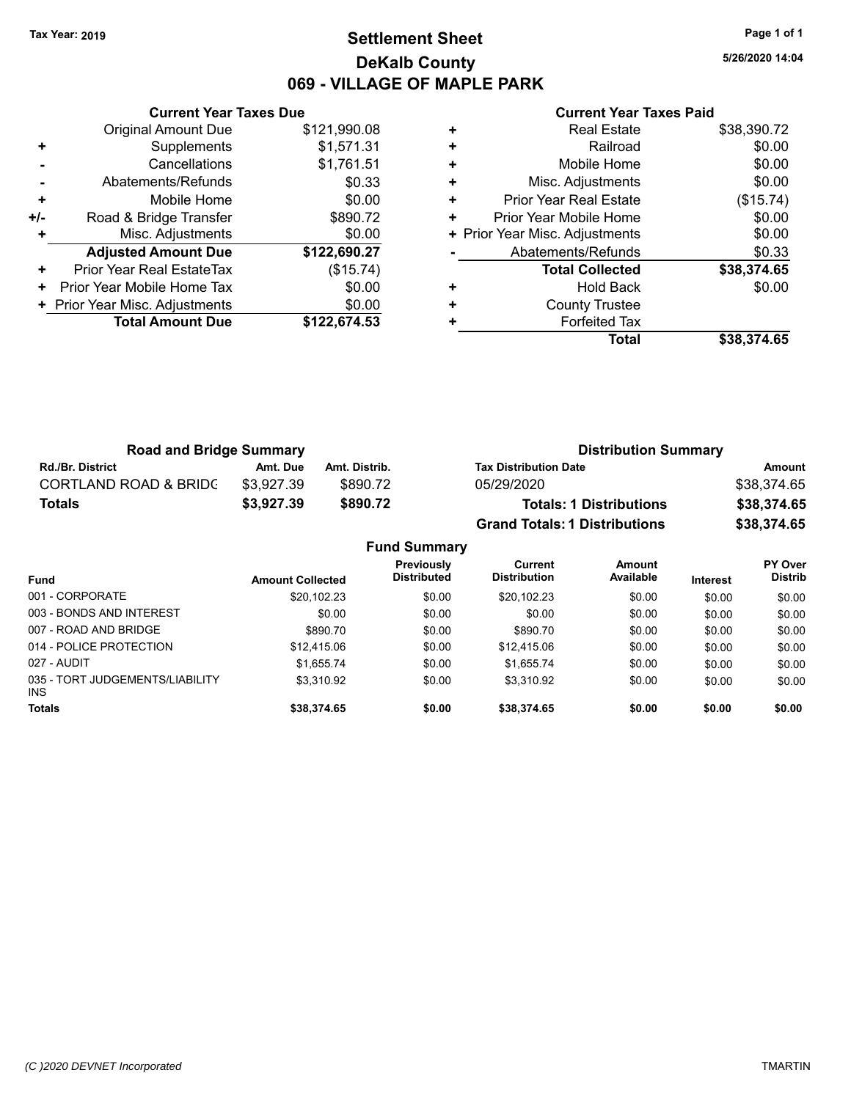# **Settlement Sheet Tax Year: 2019 Page 1 of 1 DeKalb County 069 - VILLAGE OF MAPLE PARK**

**5/26/2020 14:04**

|     | <b>Current Year Taxes Due</b>  |              |
|-----|--------------------------------|--------------|
|     | <b>Original Amount Due</b>     | \$121,990.08 |
| ٠   | Supplements                    | \$1,571.31   |
|     | Cancellations                  | \$1,761.51   |
|     | Abatements/Refunds             | \$0.33       |
| ٠   | Mobile Home                    | \$0.00       |
| +/- | Road & Bridge Transfer         | \$890.72     |
|     | Misc. Adjustments              | \$0.00       |
|     | <b>Adjusted Amount Due</b>     | \$122,690.27 |
| ٠   | Prior Year Real EstateTax      | (\$15.74)    |
| ٠   | Prior Year Mobile Home Tax     | \$0.00       |
|     | + Prior Year Misc. Adjustments | \$0.00       |
|     | <b>Total Amount Due</b>        | \$122.674.53 |
|     |                                |              |

| ٠ | <b>Real Estate</b>             | \$38,390.72 |
|---|--------------------------------|-------------|
| ٠ | Railroad                       | \$0.00      |
| ٠ | Mobile Home                    | \$0.00      |
| ٠ | Misc. Adjustments              | \$0.00      |
| ٠ | Prior Year Real Estate         | (\$15.74)   |
| ٠ | Prior Year Mobile Home         | \$0.00      |
|   | + Prior Year Misc. Adjustments | \$0.00      |
|   | Abatements/Refunds             | \$0.33      |
|   | <b>Total Collected</b>         | \$38,374.65 |
| ٠ | <b>Hold Back</b>               | \$0.00      |
| ٠ | <b>County Trustee</b>          |             |
| ٠ | <b>Forfeited Tax</b>           |             |
|   | Total                          | \$38,374.65 |

| <b>Road and Bridge Summary</b>   |            |               | <b>Distribution Summary</b>          |             |  |
|----------------------------------|------------|---------------|--------------------------------------|-------------|--|
| <b>Rd./Br. District</b>          | Amt. Due   | Amt. Distrib. | <b>Tax Distribution Date</b>         | Amount      |  |
| <b>CORTLAND ROAD &amp; BRIDC</b> | \$3.927.39 | \$890.72      | 05/29/2020                           | \$38,374.65 |  |
| <b>Totals</b>                    | \$3,927.39 | \$890.72      | <b>Totals: 1 Distributions</b>       | \$38,374.65 |  |
|                                  |            |               | <b>Grand Totals: 1 Distributions</b> | \$38,374.65 |  |

|                                         |                         | <b>Fund Summary</b>              |                                       |                     |                 |                                  |
|-----------------------------------------|-------------------------|----------------------------------|---------------------------------------|---------------------|-----------------|----------------------------------|
| Fund                                    | <b>Amount Collected</b> | Previously<br><b>Distributed</b> | <b>Current</b><br><b>Distribution</b> | Amount<br>Available | <b>Interest</b> | <b>PY Over</b><br><b>Distrib</b> |
| 001 - CORPORATE                         | \$20,102.23             | \$0.00                           | \$20,102.23                           | \$0.00              | \$0.00          | \$0.00                           |
| 003 - BONDS AND INTEREST                | \$0.00                  | \$0.00                           | \$0.00                                | \$0.00              | \$0.00          | \$0.00                           |
| 007 - ROAD AND BRIDGE                   | \$890.70                | \$0.00                           | \$890.70                              | \$0.00              | \$0.00          | \$0.00                           |
| 014 - POLICE PROTECTION                 | \$12.415.06             | \$0.00                           | \$12,415.06                           | \$0.00              | \$0.00          | \$0.00                           |
| 027 - AUDIT                             | \$1.655.74              | \$0.00                           | \$1.655.74                            | \$0.00              | \$0.00          | \$0.00                           |
| 035 - TORT JUDGEMENTS/LIABILITY<br>INS. | \$3.310.92              | \$0.00                           | \$3.310.92                            | \$0.00              | \$0.00          | \$0.00                           |
| <b>Totals</b>                           | \$38,374.65             | \$0.00                           | \$38,374.65                           | \$0.00              | \$0.00          | \$0.00                           |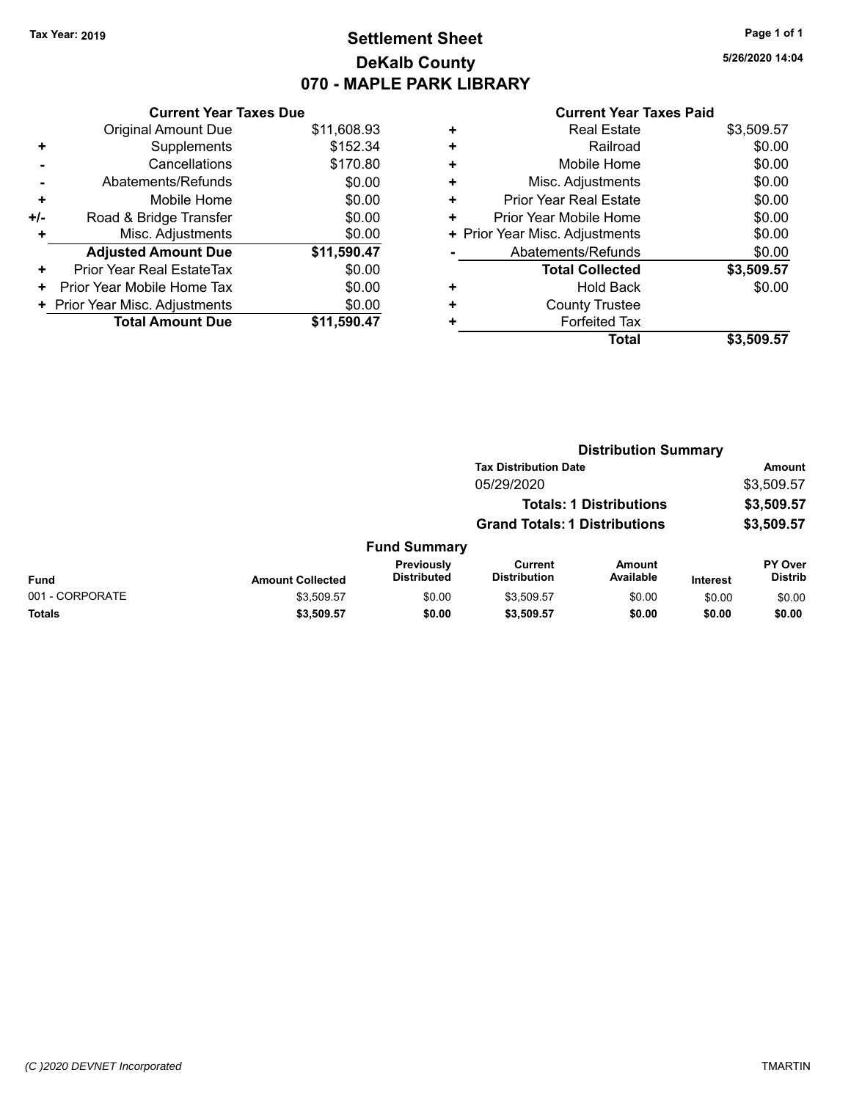# **Settlement Sheet Tax Year: 2019 Page 1 of 1 DeKalb County 070 - MAPLE PARK LIBRARY**

**5/26/2020 14:04**

|     | <b>Current Year Taxes Due</b>  |             |
|-----|--------------------------------|-------------|
|     | <b>Original Amount Due</b>     | \$11,608.93 |
| ٠   | Supplements                    | \$152.34    |
|     | Cancellations                  | \$170.80    |
|     | Abatements/Refunds             | \$0.00      |
| ٠   | Mobile Home                    | \$0.00      |
| +/- | Road & Bridge Transfer         | \$0.00      |
| ٠   | Misc. Adjustments              | \$0.00      |
|     | <b>Adjusted Amount Due</b>     | \$11,590.47 |
| ÷   | Prior Year Real EstateTax      | \$0.00      |
| ٠   | Prior Year Mobile Home Tax     | \$0.00      |
|     | + Prior Year Misc. Adjustments | \$0.00      |
|     | <b>Total Amount Due</b>        | \$11.590.47 |

|   | <b>Real Estate</b>             | \$3,509.57 |
|---|--------------------------------|------------|
| ٠ | Railroad                       | \$0.00     |
| ٠ | Mobile Home                    | \$0.00     |
| ٠ | Misc. Adjustments              | \$0.00     |
| ٠ | <b>Prior Year Real Estate</b>  | \$0.00     |
| ٠ | Prior Year Mobile Home         | \$0.00     |
|   | + Prior Year Misc. Adjustments | \$0.00     |
|   | Abatements/Refunds             | \$0.00     |
|   | <b>Total Collected</b>         | \$3,509.57 |
| ٠ | <b>Hold Back</b>               | \$0.00     |
| ٠ | <b>County Trustee</b>          |            |
| ٠ | <b>Forfeited Tax</b>           |            |
|   | <b>Total</b>                   | \$3,509.57 |
|   |                                |            |

|                 |                         |                                  |                                       | <b>Distribution Summary</b>    |                 |                           |
|-----------------|-------------------------|----------------------------------|---------------------------------------|--------------------------------|-----------------|---------------------------|
|                 |                         |                                  | <b>Tax Distribution Date</b>          |                                |                 | Amount                    |
|                 |                         |                                  | 05/29/2020                            |                                |                 | \$3,509.57                |
|                 |                         |                                  |                                       | <b>Totals: 1 Distributions</b> |                 | \$3,509.57                |
|                 |                         |                                  | <b>Grand Totals: 1 Distributions</b>  |                                |                 | \$3,509.57                |
|                 |                         | <b>Fund Summary</b>              |                                       |                                |                 |                           |
| <b>Fund</b>     | <b>Amount Collected</b> | Previously<br><b>Distributed</b> | <b>Current</b><br><b>Distribution</b> | <b>Amount</b><br>Available     | <b>Interest</b> | PY Over<br><b>Distrib</b> |
| 001 - CORPORATE | \$3,509.57              | \$0.00                           | \$3,509.57                            | \$0.00                         | \$0.00          | \$0.00                    |
| <b>Totals</b>   | \$3,509.57              | \$0.00                           | \$3,509.57                            | \$0.00                         | \$0.00          | \$0.00                    |
|                 |                         |                                  |                                       |                                |                 |                           |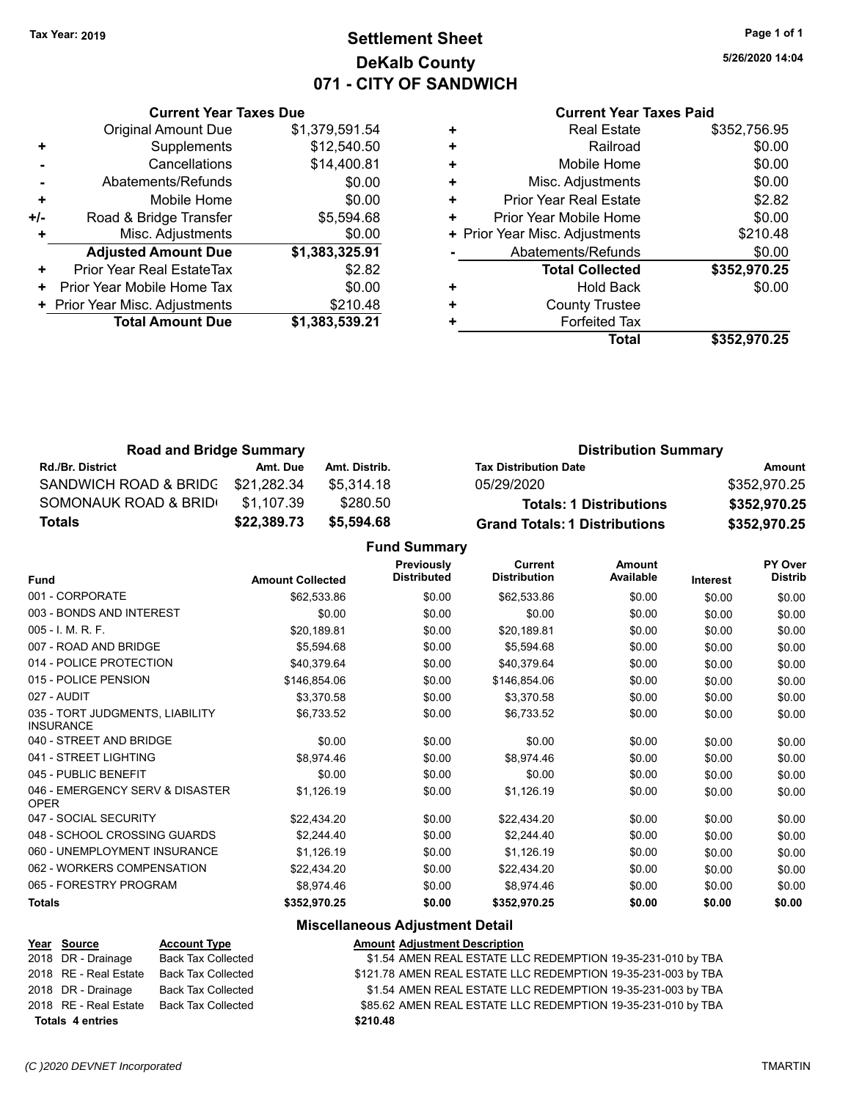# **Settlement Sheet Tax Year: 2019 Page 1 of 1 DeKalb County 071 - CITY OF SANDWICH**

**5/26/2020 14:04**

| <b>Current Year Taxes Paid</b> |  |  |
|--------------------------------|--|--|
|--------------------------------|--|--|

|     | <b>Current Year Taxes Due</b>  |                |
|-----|--------------------------------|----------------|
|     | <b>Original Amount Due</b>     | \$1,379,591.54 |
| ٠   | Supplements                    | \$12,540.50    |
|     | Cancellations                  | \$14,400.81    |
|     | Abatements/Refunds             | \$0.00         |
| ٠   | Mobile Home                    | \$0.00         |
| +/- | Road & Bridge Transfer         | \$5,594.68     |
|     | Misc. Adjustments              | \$0.00         |
|     | <b>Adjusted Amount Due</b>     | \$1,383,325.91 |
| ÷   | Prior Year Real EstateTax      | \$2.82         |
| ٠   | Prior Year Mobile Home Tax     | \$0.00         |
|     | + Prior Year Misc. Adjustments | \$210.48       |
|     | <b>Total Amount Due</b>        | \$1,383,539.21 |
|     |                                |                |

| \$0.00<br>Railroad<br>÷<br>\$0.00<br>Mobile Home<br>٠<br>\$0.00<br>Misc. Adjustments<br>٠<br>\$2.82<br><b>Prior Year Real Estate</b><br>٠<br>\$0.00<br>Prior Year Mobile Home<br>٠<br>\$210.48<br>+ Prior Year Misc. Adjustments<br>\$0.00<br>Abatements/Refunds<br>\$352,970.25<br><b>Total Collected</b><br>\$0.00<br>Hold Back<br><b>County Trustee</b><br>٠<br><b>Forfeited Tax</b><br>Total<br>\$352,970.25 | <b>Real Estate</b> | \$352,756.95 |
|------------------------------------------------------------------------------------------------------------------------------------------------------------------------------------------------------------------------------------------------------------------------------------------------------------------------------------------------------------------------------------------------------------------|--------------------|--------------|
|                                                                                                                                                                                                                                                                                                                                                                                                                  |                    |              |
|                                                                                                                                                                                                                                                                                                                                                                                                                  |                    |              |
|                                                                                                                                                                                                                                                                                                                                                                                                                  |                    |              |
|                                                                                                                                                                                                                                                                                                                                                                                                                  |                    |              |
|                                                                                                                                                                                                                                                                                                                                                                                                                  |                    |              |
|                                                                                                                                                                                                                                                                                                                                                                                                                  |                    |              |
|                                                                                                                                                                                                                                                                                                                                                                                                                  |                    |              |
|                                                                                                                                                                                                                                                                                                                                                                                                                  |                    |              |
|                                                                                                                                                                                                                                                                                                                                                                                                                  |                    |              |
|                                                                                                                                                                                                                                                                                                                                                                                                                  |                    |              |
|                                                                                                                                                                                                                                                                                                                                                                                                                  |                    |              |
|                                                                                                                                                                                                                                                                                                                                                                                                                  |                    |              |

| <b>Road and Bridge Summary</b> |             |               | <b>Distribution Summary</b>          |              |  |
|--------------------------------|-------------|---------------|--------------------------------------|--------------|--|
| <b>Rd./Br. District</b>        | Amt. Due    | Amt. Distrib. | <b>Tax Distribution Date</b>         | Amount       |  |
| SANDWICH ROAD & BRIDG          | \$21,282.34 | \$5.314.18    | 05/29/2020                           | \$352.970.25 |  |
| SOMONAUK ROAD & BRID           | \$1,107.39  | \$280.50      | <b>Totals: 1 Distributions</b>       | \$352,970.25 |  |
| Totals                         | \$22,389.73 | \$5,594.68    | <b>Grand Totals: 1 Distributions</b> | \$352,970.25 |  |

**Fund Summary**

| <b>Fund</b>                                         | <b>Amount Collected</b> | <b>Previously</b><br><b>Distributed</b> | <b>Current</b><br><b>Distribution</b> | <b>Amount</b><br>Available | <b>Interest</b> | PY Over<br><b>Distrib</b> |
|-----------------------------------------------------|-------------------------|-----------------------------------------|---------------------------------------|----------------------------|-----------------|---------------------------|
| 001 - CORPORATE                                     | \$62,533.86             | \$0.00                                  | \$62,533.86                           | \$0.00                     | \$0.00          | \$0.00                    |
| 003 - BONDS AND INTEREST                            | \$0.00                  | \$0.00                                  | \$0.00                                | \$0.00                     | \$0.00          | \$0.00                    |
| 005 - I. M. R. F.                                   | \$20,189.81             | \$0.00                                  | \$20,189.81                           | \$0.00                     | \$0.00          | \$0.00                    |
| 007 - ROAD AND BRIDGE                               | \$5,594.68              | \$0.00                                  | \$5,594.68                            | \$0.00                     | \$0.00          | \$0.00                    |
| 014 - POLICE PROTECTION                             | \$40,379.64             | \$0.00                                  | \$40,379.64                           | \$0.00                     | \$0.00          | \$0.00                    |
| 015 - POLICE PENSION                                | \$146,854.06            | \$0.00                                  | \$146,854.06                          | \$0.00                     | \$0.00          | \$0.00                    |
| 027 - AUDIT                                         | \$3,370.58              | \$0.00                                  | \$3,370.58                            | \$0.00                     | \$0.00          | \$0.00                    |
| 035 - TORT JUDGMENTS, LIABILITY<br><b>INSURANCE</b> | \$6,733.52              | \$0.00                                  | \$6,733.52                            | \$0.00                     | \$0.00          | \$0.00                    |
| 040 - STREET AND BRIDGE                             | \$0.00                  | \$0.00                                  | \$0.00                                | \$0.00                     | \$0.00          | \$0.00                    |
| 041 - STREET LIGHTING                               | \$8,974.46              | \$0.00                                  | \$8,974.46                            | \$0.00                     | \$0.00          | \$0.00                    |
| 045 - PUBLIC BENEFIT                                | \$0.00                  | \$0.00                                  | \$0.00                                | \$0.00                     | \$0.00          | \$0.00                    |
| 046 - EMERGENCY SERV & DISASTER<br><b>OPER</b>      | \$1,126.19              | \$0.00                                  | \$1,126.19                            | \$0.00                     | \$0.00          | \$0.00                    |
| 047 - SOCIAL SECURITY                               | \$22,434.20             | \$0.00                                  | \$22,434.20                           | \$0.00                     | \$0.00          | \$0.00                    |
| 048 - SCHOOL CROSSING GUARDS                        | \$2,244.40              | \$0.00                                  | \$2,244.40                            | \$0.00                     | \$0.00          | \$0.00                    |
| 060 - UNEMPLOYMENT INSURANCE                        | \$1,126.19              | \$0.00                                  | \$1,126.19                            | \$0.00                     | \$0.00          | \$0.00                    |
| 062 - WORKERS COMPENSATION                          | \$22,434.20             | \$0.00                                  | \$22,434.20                           | \$0.00                     | \$0.00          | \$0.00                    |
| 065 - FORESTRY PROGRAM                              | \$8,974.46              | \$0.00                                  | \$8,974.46                            | \$0.00                     | \$0.00          | \$0.00                    |
| <b>Totals</b>                                       | \$352,970.25            | \$0.00                                  | \$352,970.25                          | \$0.00                     | \$0.00          | \$0.00                    |

| Year Source             | <b>Account Type</b>       | <b>Amount Adjustment Description</b>                          |
|-------------------------|---------------------------|---------------------------------------------------------------|
| 2018 DR - Drainage      | <b>Back Tax Collected</b> | \$1.54 AMEN REAL ESTATE LLC REDEMPTION 19-35-231-010 by TBA   |
| 2018 RE - Real Estate   | <b>Back Tax Collected</b> | \$121.78 AMEN REAL ESTATE LLC REDEMPTION 19-35-231-003 by TBA |
| 2018 DR - Drainage      | Back Tax Collected        | \$1.54 AMEN REAL ESTATE LLC REDEMPTION 19-35-231-003 by TBA   |
| 2018 RE - Real Estate   | <b>Back Tax Collected</b> | \$85.62 AMEN REAL ESTATE LLC REDEMPTION 19-35-231-010 by TBA  |
| <b>Totals 4 entries</b> |                           | \$210.48                                                      |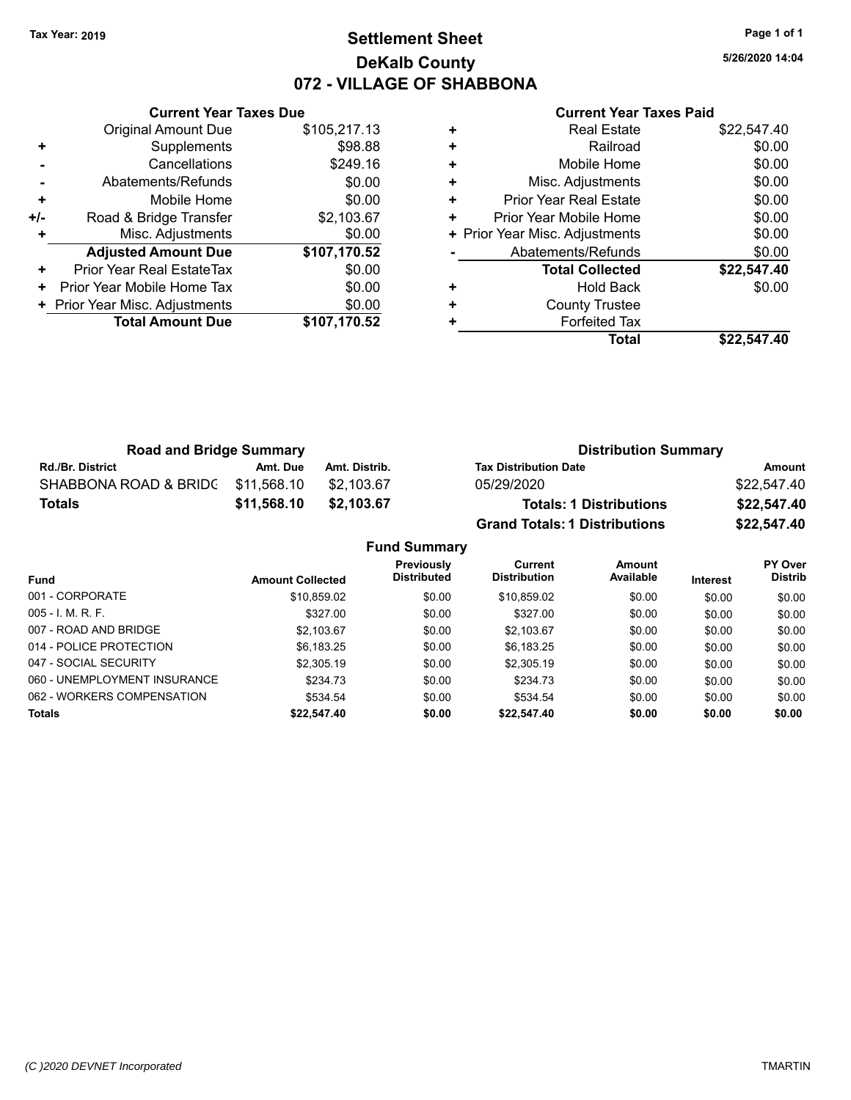# **Settlement Sheet Tax Year: 2019 Page 1 of 1 DeKalb County 072 - VILLAGE OF SHABBONA**

**5/26/2020 14:04**

|     | <b>Current Year Taxes Due</b>  |              |
|-----|--------------------------------|--------------|
|     | <b>Original Amount Due</b>     | \$105,217.13 |
| ٠   | Supplements                    | \$98.88      |
|     | Cancellations                  | \$249.16     |
|     | Abatements/Refunds             | \$0.00       |
| ٠   | Mobile Home                    | \$0.00       |
| +/- | Road & Bridge Transfer         | \$2,103.67   |
|     | Misc. Adjustments              | \$0.00       |
|     | <b>Adjusted Amount Due</b>     | \$107,170.52 |
| ٠   | Prior Year Real EstateTax      | \$0.00       |
| ٠   | Prior Year Mobile Home Tax     | \$0.00       |
|     | + Prior Year Misc. Adjustments | \$0.00       |
|     | <b>Total Amount Due</b>        | \$107,170.52 |
|     |                                |              |

| ٠ | <b>Forfeited Tax</b><br>Total  | \$22.547.40 |
|---|--------------------------------|-------------|
| ٠ | <b>County Trustee</b>          |             |
| ٠ | <b>Hold Back</b>               | \$0.00      |
|   | <b>Total Collected</b>         | \$22,547.40 |
|   | Abatements/Refunds             | \$0.00      |
|   | + Prior Year Misc. Adjustments | \$0.00      |
| ٠ | Prior Year Mobile Home         | \$0.00      |
| ٠ | <b>Prior Year Real Estate</b>  | \$0.00      |
| ٠ | Misc. Adjustments              | \$0.00      |
| ٠ | Mobile Home                    | \$0.00      |
| ٠ | Railroad                       | \$0.00      |
|   | <b>Real Estate</b>             | \$22,547.40 |

| <b>Road and Bridge Summary</b> |             |               | <b>Distribution Summary</b>          |             |  |
|--------------------------------|-------------|---------------|--------------------------------------|-------------|--|
| <b>Rd./Br. District</b>        | Amt. Due    | Amt. Distrib. | <b>Tax Distribution Date</b>         | Amount      |  |
| SHABBONA ROAD & BRIDC          | \$11.568.10 | \$2.103.67    | 05/29/2020                           | \$22,547.40 |  |
| <b>Totals</b>                  | \$11,568.10 | \$2,103,67    | <b>Totals: 1 Distributions</b>       | \$22,547.40 |  |
|                                |             |               | <b>Grand Totals: 1 Distributions</b> | \$22,547.40 |  |

| <b>Fund Summary</b>          |                         |                                  |                                |                     |                 |                                  |
|------------------------------|-------------------------|----------------------------------|--------------------------------|---------------------|-----------------|----------------------------------|
| <b>Fund</b>                  | <b>Amount Collected</b> | Previously<br><b>Distributed</b> | Current<br><b>Distribution</b> | Amount<br>Available | <b>Interest</b> | <b>PY Over</b><br><b>Distrib</b> |
| 001 - CORPORATE              | \$10,859.02             | \$0.00                           | \$10,859.02                    | \$0.00              | \$0.00          | \$0.00                           |
| $005 - I. M. R. F.$          | \$327.00                | \$0.00                           | \$327.00                       | \$0.00              | \$0.00          | \$0.00                           |
| 007 - ROAD AND BRIDGE        | \$2.103.67              | \$0.00                           | \$2.103.67                     | \$0.00              | \$0.00          | \$0.00                           |
| 014 - POLICE PROTECTION      | \$6,183.25              | \$0.00                           | \$6,183.25                     | \$0.00              | \$0.00          | \$0.00                           |
| 047 - SOCIAL SECURITY        | \$2,305.19              | \$0.00                           | \$2,305.19                     | \$0.00              | \$0.00          | \$0.00                           |
| 060 - UNEMPLOYMENT INSURANCE | \$234.73                | \$0.00                           | \$234.73                       | \$0.00              | \$0.00          | \$0.00                           |
| 062 - WORKERS COMPENSATION   | \$534.54                | \$0.00                           | \$534.54                       | \$0.00              | \$0.00          | \$0.00                           |
| <b>Totals</b>                | \$22,547.40             | \$0.00                           | \$22,547.40                    | \$0.00              | \$0.00          | \$0.00                           |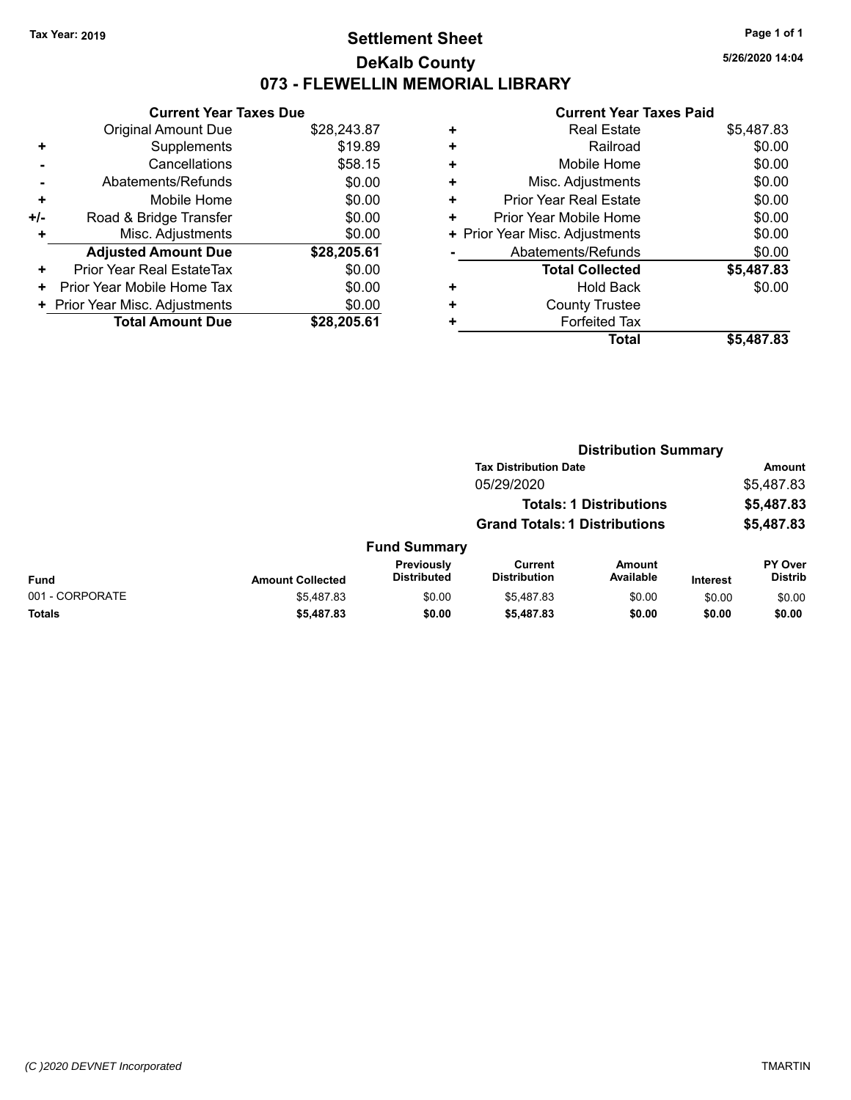# **Settlement Sheet Tax Year: 2019 Page 1 of 1 DeKalb County 073 - FLEWELLIN MEMORIAL LIBRARY**

**5/26/2020 14:04**

| <b>Current Year Taxes Due</b> |                                |
|-------------------------------|--------------------------------|
| <b>Original Amount Due</b>    | \$28,243.87                    |
| Supplements                   | \$19.89                        |
| Cancellations                 | \$58.15                        |
| Abatements/Refunds            | \$0.00                         |
| Mobile Home                   | \$0.00                         |
| Road & Bridge Transfer        | \$0.00                         |
| Misc. Adjustments             | \$0.00                         |
| <b>Adjusted Amount Due</b>    | \$28,205.61                    |
| Prior Year Real EstateTax     | \$0.00                         |
| Prior Year Mobile Home Tax    | \$0.00                         |
|                               | \$0.00                         |
| <b>Total Amount Due</b>       | \$28,205.61                    |
|                               | + Prior Year Misc. Adjustments |

| ٠ | <b>Real Estate</b>             | \$5,487.83 |
|---|--------------------------------|------------|
| ٠ | Railroad                       | \$0.00     |
| ٠ | Mobile Home                    | \$0.00     |
| ٠ | Misc. Adjustments              | \$0.00     |
| ٠ | <b>Prior Year Real Estate</b>  | \$0.00     |
| ٠ | Prior Year Mobile Home         | \$0.00     |
|   | + Prior Year Misc. Adjustments | \$0.00     |
|   | Abatements/Refunds             | \$0.00     |
|   | <b>Total Collected</b>         | \$5,487.83 |
| ٠ | Hold Back                      | \$0.00     |
| ٠ | <b>County Trustee</b>          |            |
| ٠ | <b>Forfeited Tax</b>           |            |
|   | Total                          | \$5,487.83 |

|                 |                         |                                  |                                       | <b>Distribution Summary</b>    |                 |                           |
|-----------------|-------------------------|----------------------------------|---------------------------------------|--------------------------------|-----------------|---------------------------|
|                 |                         |                                  | <b>Tax Distribution Date</b>          |                                |                 | Amount                    |
|                 |                         |                                  | 05/29/2020                            |                                |                 | \$5,487.83                |
|                 |                         |                                  |                                       | <b>Totals: 1 Distributions</b> |                 | \$5,487.83                |
|                 |                         |                                  | <b>Grand Totals: 1 Distributions</b>  |                                |                 | \$5,487.83                |
|                 |                         | <b>Fund Summary</b>              |                                       |                                |                 |                           |
| <b>Fund</b>     | <b>Amount Collected</b> | Previously<br><b>Distributed</b> | <b>Current</b><br><b>Distribution</b> | <b>Amount</b><br>Available     | <b>Interest</b> | PY Over<br><b>Distrib</b> |
| 001 - CORPORATE | \$5,487.83              | \$0.00                           | \$5,487.83                            | \$0.00                         | \$0.00          | \$0.00                    |
| <b>Totals</b>   | \$5,487.83              | \$0.00                           | \$5,487.83                            | \$0.00                         | \$0.00          | \$0.00                    |
|                 |                         |                                  |                                       |                                |                 |                           |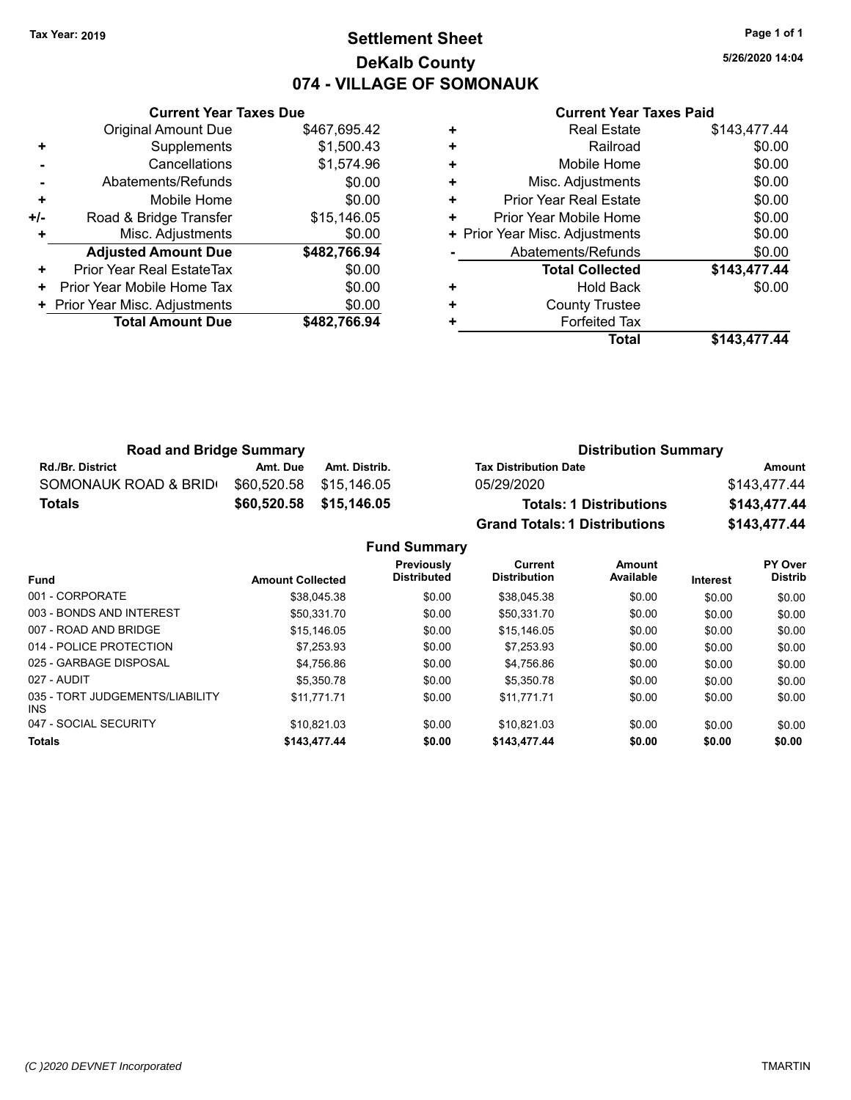# **Settlement Sheet Tax Year: 2019 Page 1 of 1 DeKalb County 074 - VILLAGE OF SOMONAUK**

**5/26/2020 14:04**

### **Current Year Taxes Paid**

|     | <b>Original Amount Due</b>     | \$467,695.42 |
|-----|--------------------------------|--------------|
| ٠   | Supplements                    | \$1,500.43   |
|     | Cancellations                  | \$1,574.96   |
|     | Abatements/Refunds             | \$0.00       |
| ٠   | Mobile Home                    | \$0.00       |
| +/- | Road & Bridge Transfer         | \$15,146.05  |
| ٠   | Misc. Adjustments              | \$0.00       |
|     | <b>Adjusted Amount Due</b>     | \$482,766.94 |
| ٠   | Prior Year Real EstateTax      | \$0.00       |
| ٠   | Prior Year Mobile Home Tax     | \$0.00       |
|     | + Prior Year Misc. Adjustments | \$0.00       |
|     | <b>Total Amount Due</b>        | \$482,766.94 |
|     |                                |              |

**Current Year Taxes Due**

|   | <b>Real Estate</b>             | \$143,477.44 |
|---|--------------------------------|--------------|
| ÷ | Railroad                       | \$0.00       |
| ٠ | Mobile Home                    | \$0.00       |
| ٠ | Misc. Adjustments              | \$0.00       |
| ٠ | Prior Year Real Estate         | \$0.00       |
| ٠ | Prior Year Mobile Home         | \$0.00       |
|   | + Prior Year Misc. Adjustments | \$0.00       |
|   | Abatements/Refunds             | \$0.00       |
|   | <b>Total Collected</b>         | \$143,477.44 |
| ٠ | <b>Hold Back</b>               | \$0.00       |
| ٠ | <b>County Trustee</b>          |              |
|   | <b>Forfeited Tax</b>           |              |
|   | Total                          | \$143,477.44 |

| <b>Road and Bridge Summary</b> |          |                         | <b>Distribution Summary</b>          |              |  |
|--------------------------------|----------|-------------------------|--------------------------------------|--------------|--|
| <b>Rd./Br. District</b>        | Amt. Due | Amt. Distrib.           | <b>Tax Distribution Date</b>         | Amount       |  |
| SOMONAUK ROAD & BRID           |          | \$60.520.58 \$15.146.05 | 05/29/2020                           | \$143.477.44 |  |
| <b>Totals</b>                  |          | \$60,520.58 \$15,146.05 | <b>Totals: 1 Distributions</b>       | \$143,477.44 |  |
|                                |          |                         | <b>Grand Totals: 1 Distributions</b> | \$143,477.44 |  |

**Fund Summary Fund Interest Amount Collected Distributed PY Over Distrib Amount Available Current Distribution Previously** 001 - CORPORATE \$38,045.38 \$0.00 \$38,045.38 \$0.00 \$0.00 \$0.00 003 - BONDS AND INTEREST  $$50,331.70$   $$0.00$   $$50,331.70$   $$0.00$   $$0.00$   $$0.00$ 007 - ROAD AND BRIDGE 60.00 \$15,146.05 \$0.00 \$15,146.05 \$0.00 \$0.00 \$0.00 \$0.00 \$0.00 014 - POLICE PROTECTION \$1,253.93 \$0.00 \$7,253.93 \$0.00 \$0.00 \$0.00 \$0.00 \$0.00 025 - GARBAGE DISPOSAL \$4,756.86 \$0.00 \$0.00 \$0.00 \$0.00 \$0.00 \$0.00 027 - AUDIT \$5,350.78 \$0.00 \$5,350.78 \$0.00 \$0.00 \$0.00 035 - TORT JUDGEMENTS/LIABILITY INS \$11,771.71 \$0.00 \$11,771.71 \$0.00 \$0.00 \$0.00 047 - SOCIAL SECURITY \$10,821.03 \$0.00 \$0.00 \$0.00 \$0.00 \$0.00 \$0.00 \$0.00 **Totals \$143,477.44 \$0.00 \$143,477.44 \$0.00 \$0.00 \$0.00**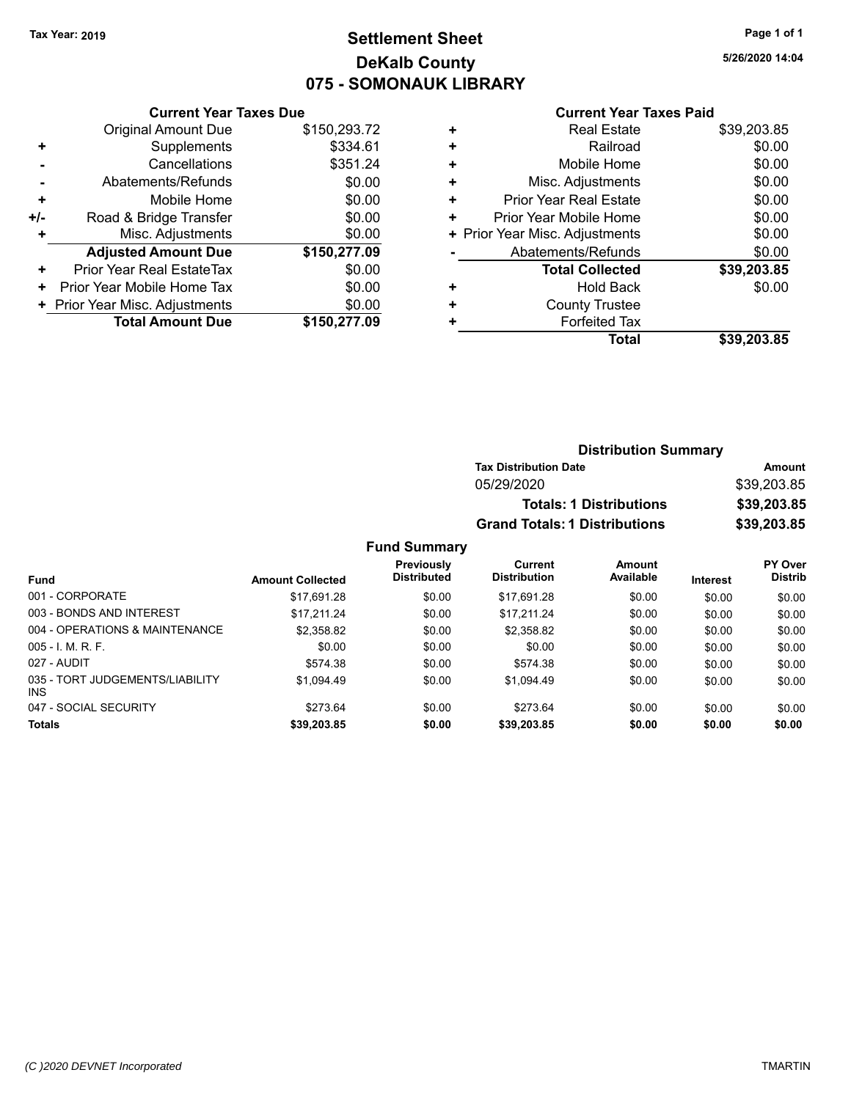# **Settlement Sheet Tax Year: 2019 Page 1 of 1 DeKalb County 075 - SOMONAUK LIBRARY**

**5/26/2020 14:04**

### **Current Year Taxes Paid**

|     | <b>Current Year Taxes Due</b>  |              |  |  |
|-----|--------------------------------|--------------|--|--|
|     | <b>Original Amount Due</b>     | \$150,293.72 |  |  |
| ٠   | Supplements                    | \$334.61     |  |  |
|     | Cancellations                  | \$351.24     |  |  |
|     | Abatements/Refunds             | \$0.00       |  |  |
| ÷   | Mobile Home                    | \$0.00       |  |  |
| +/- | Road & Bridge Transfer         | \$0.00       |  |  |
|     | Misc. Adjustments              | \$0.00       |  |  |
|     | <b>Adjusted Amount Due</b>     | \$150,277.09 |  |  |
| ٠   | Prior Year Real EstateTax      | \$0.00       |  |  |
| ٠   | Prior Year Mobile Home Tax     | \$0.00       |  |  |
|     | + Prior Year Misc. Adjustments | \$0.00       |  |  |
|     | <b>Total Amount Due</b>        | \$150,277.09 |  |  |
|     |                                |              |  |  |

|   | <b>Real Estate</b>             | \$39,203.85 |
|---|--------------------------------|-------------|
| ٠ | Railroad                       | \$0.00      |
| ٠ | Mobile Home                    | \$0.00      |
| ٠ | Misc. Adjustments              | \$0.00      |
| ٠ | <b>Prior Year Real Estate</b>  | \$0.00      |
| ٠ | Prior Year Mobile Home         | \$0.00      |
|   | + Prior Year Misc. Adjustments | \$0.00      |
|   | Abatements/Refunds             | \$0.00      |
|   | <b>Total Collected</b>         | \$39,203.85 |
| ٠ | <b>Hold Back</b>               | \$0.00      |
| ٠ | <b>County Trustee</b>          |             |
| ٠ | <b>Forfeited Tax</b>           |             |
|   | Total                          | \$39,203.85 |
|   |                                |             |

| <b>Distribution Summary</b>          |             |  |
|--------------------------------------|-------------|--|
| <b>Tax Distribution Date</b>         | Amount      |  |
| 05/29/2020                           | \$39,203.85 |  |
| <b>Totals: 1 Distributions</b>       | \$39,203.85 |  |
| <b>Grand Totals: 1 Distributions</b> | \$39,203.85 |  |

# **Fund Summary**

|                                         |                         | Previously<br><b>Distributed</b> | Current<br><b>Distribution</b> | Amount<br>Available |                 | <b>PY Over</b><br><b>Distrib</b> |
|-----------------------------------------|-------------------------|----------------------------------|--------------------------------|---------------------|-----------------|----------------------------------|
| <b>Fund</b>                             | <b>Amount Collected</b> |                                  |                                |                     | <b>Interest</b> |                                  |
| 001 - CORPORATE                         | \$17.691.28             | \$0.00                           | \$17,691.28                    | \$0.00              | \$0.00          | \$0.00                           |
| 003 - BONDS AND INTEREST                | \$17.211.24             | \$0.00                           | \$17.211.24                    | \$0.00              | \$0.00          | \$0.00                           |
| 004 - OPERATIONS & MAINTENANCE          | \$2.358.82              | \$0.00                           | \$2,358.82                     | \$0.00              | \$0.00          | \$0.00                           |
| $005 - 1$ M, R, F.                      | \$0.00                  | \$0.00                           | \$0.00                         | \$0.00              | \$0.00          | \$0.00                           |
| 027 - AUDIT                             | \$574.38                | \$0.00                           | \$574.38                       | \$0.00              | \$0.00          | \$0.00                           |
| 035 - TORT JUDGEMENTS/LIABILITY<br>INS. | \$1.094.49              | \$0.00                           | \$1.094.49                     | \$0.00              | \$0.00          | \$0.00                           |
| 047 - SOCIAL SECURITY                   | \$273.64                | \$0.00                           | \$273.64                       | \$0.00              | \$0.00          | \$0.00                           |
| <b>Totals</b>                           | \$39,203.85             | \$0.00                           | \$39,203.85                    | \$0.00              | \$0.00          | \$0.00                           |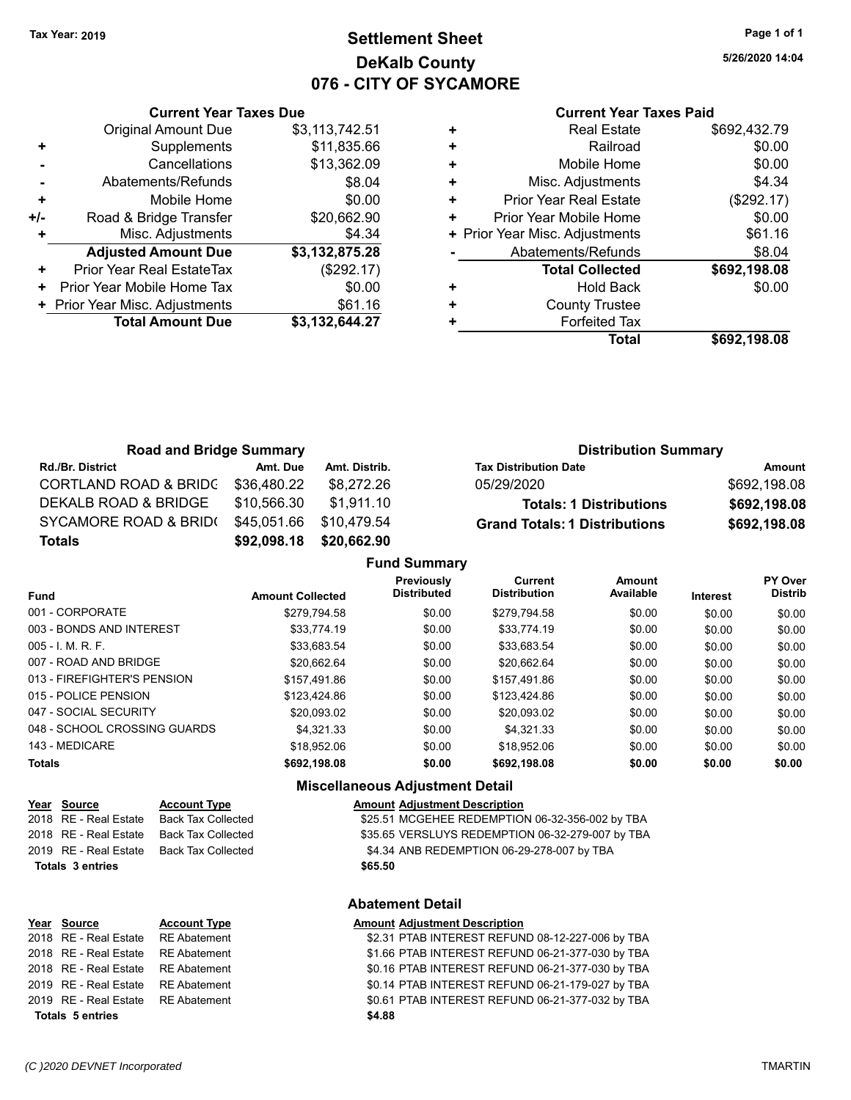# **Settlement Sheet Tax Year: 2019 Page 1 of 1 DeKalb County 076 - CITY OF SYCAMORE**

**5/26/2020 14:04**

### **Current Year Taxes Paid**

|     | <b>Current Year Taxes Due</b>  |                |  |  |
|-----|--------------------------------|----------------|--|--|
|     | <b>Original Amount Due</b>     | \$3,113,742.51 |  |  |
|     | Supplements                    | \$11,835.66    |  |  |
|     | Cancellations                  | \$13,362.09    |  |  |
|     | Abatements/Refunds             | \$8.04         |  |  |
| ٠   | Mobile Home                    | \$0.00         |  |  |
| +/- | Road & Bridge Transfer         | \$20,662.90    |  |  |
|     | Misc. Adjustments              | \$4.34         |  |  |
|     | <b>Adjusted Amount Due</b>     | \$3,132,875.28 |  |  |
| ٠   | Prior Year Real EstateTax      | (\$292.17)     |  |  |
| ٠   | Prior Year Mobile Home Tax     | \$0.00         |  |  |
|     | + Prior Year Misc. Adjustments | \$61.16        |  |  |
|     | <b>Total Amount Due</b>        | \$3.132.644.27 |  |  |
|     |                                |                |  |  |

| <b>Real Estate</b>             | \$692,432.79 |
|--------------------------------|--------------|
| Railroad                       | \$0.00       |
| Mobile Home                    | \$0.00       |
| Misc. Adjustments              | \$4.34       |
| <b>Prior Year Real Estate</b>  | (\$292.17)   |
| Prior Year Mobile Home         | \$0.00       |
| + Prior Year Misc. Adjustments | \$61.16      |
| Abatements/Refunds             | \$8.04       |
| <b>Total Collected</b>         | \$692,198.08 |
| Hold Back                      | \$0.00       |
| <b>County Trustee</b>          |              |
| <b>Forfeited Tax</b>           |              |
| <b>Total</b>                   | \$692,198.08 |
|                                |              |

| <b>Road and Bridge Summary</b>   |             |               | <b>Distribution Summary</b>          |              |
|----------------------------------|-------------|---------------|--------------------------------------|--------------|
| <b>Rd./Br. District</b>          | Amt. Due    | Amt. Distrib. | <b>Tax Distribution Date</b>         | Amount       |
| <b>CORTLAND ROAD &amp; BRIDC</b> | \$36,480.22 | \$8.272.26    | 05/29/2020                           | \$692,198.08 |
| DEKALB ROAD & BRIDGE             | \$10,566.30 | \$1.911.10    | <b>Totals: 1 Distributions</b>       | \$692,198.08 |
| SYCAMORE ROAD & BRID(            | \$45,051.66 | \$10.479.54   | <b>Grand Totals: 1 Distributions</b> | \$692,198.08 |
| <b>Totals</b>                    | \$92,098.18 | \$20,662.90   |                                      |              |
|                                  |             |               |                                      |              |

|                              |                         | <b>Fund Summary</b>              |                                       |                     |          |                                  |
|------------------------------|-------------------------|----------------------------------|---------------------------------------|---------------------|----------|----------------------------------|
| Fund                         | <b>Amount Collected</b> | Previously<br><b>Distributed</b> | <b>Current</b><br><b>Distribution</b> | Amount<br>Available | Interest | <b>PY Over</b><br><b>Distrib</b> |
| 001 - CORPORATE              | \$279.794.58            | \$0.00                           | \$279.794.58                          | \$0.00              | \$0.00   | \$0.00                           |
| 003 - BONDS AND INTEREST     | \$33,774.19             | \$0.00                           | \$33,774.19                           | \$0.00              | \$0.00   | \$0.00                           |
| 005 - I. M. R. F.            | \$33.683.54             | \$0.00                           | \$33,683.54                           | \$0.00              | \$0.00   | \$0.00                           |
| 007 - ROAD AND BRIDGE        | \$20.662.64             | \$0.00                           | \$20.662.64                           | \$0.00              | \$0.00   | \$0.00                           |
| 013 - FIREFIGHTER'S PENSION  | \$157.491.86            | \$0.00                           | \$157.491.86                          | \$0.00              | \$0.00   | \$0.00                           |
| 015 - POLICE PENSION         | \$123,424.86            | \$0.00                           | \$123,424.86                          | \$0.00              | \$0.00   | \$0.00                           |
| 047 - SOCIAL SECURITY        | \$20.093.02             | \$0.00                           | \$20.093.02                           | \$0.00              | \$0.00   | \$0.00                           |
| 048 - SCHOOL CROSSING GUARDS | \$4.321.33              | \$0.00                           | \$4.321.33                            | \$0.00              | \$0.00   | \$0.00                           |
| 143 - MEDICARE               | \$18.952.06             | \$0.00                           | \$18,952.06                           | \$0.00              | \$0.00   | \$0.00                           |
| <b>Totals</b>                | \$692,198.08            | \$0.00                           | \$692,198.08                          | \$0.00              | \$0.00   | \$0.00                           |
|                              |                         |                                  |                                       |                     |          |                                  |

# **Miscellaneous Adjustment Detail**

|                  | Year Source | <b>Account Type</b>                      |         | <b>Amount Adjustment Description</b> |
|------------------|-------------|------------------------------------------|---------|--------------------------------------|
|                  |             | 2018 RE - Real Estate Back Tax Collected |         | \$25.51 MCGEHEE REDEMPTIO            |
|                  |             | 2018 RE - Real Estate Back Tax Collected |         | \$35.65 VERSLUYS REDEMPTIC           |
|                  |             | 2019 RE - Real Estate Back Tax Collected |         | \$4.34 ANB REDEMPTION 06-29          |
| Totals 3 entries |             |                                          | \$65.50 |                                      |

# Collected  $$25.51$  MCGEHEE REDEMPTION 06-32-356-002 by TBA Collected \$35.65 VERSLUYS REDEMPTION 06-32-279-007 by TBA 2019 Collected \$4.34 ANB REDEMPTION 06-29-278-007 by TBA

# **Year Source Account Type Amount Adjustment Description Totals \$4.88 5 entries**

# **Abatement Detail**

# 2018 RE - Real Estate RE Abatement \$2.31 PTAB INTEREST REFUND 08-12-227-006 by TBA 2018 RE - Real Estate RE Abatement \$1.66 PTAB INTEREST REFUND 06-21-377-030 by TBA 2018 RE - Real Estate RE Abatement \$0.16 PTAB INTEREST REFUND 06-21-377-030 by TBA 2019 RE - Real Estate RE Abatement \$0.14 PTAB INTEREST REFUND 06-21-179-027 by TBA 2019 RE - Real Estate RE Abatement \$0.61 PTAB INTEREST REFUND 06-21-377-032 by TBA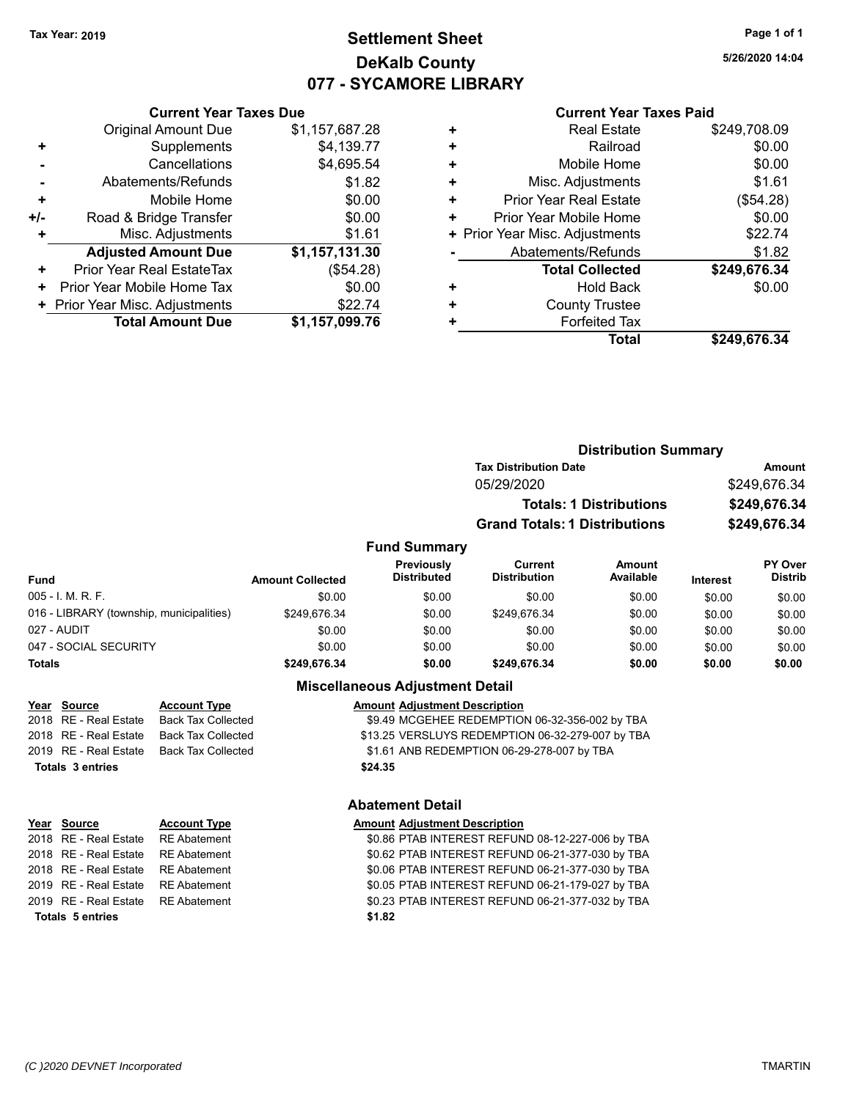# **Settlement Sheet Tax Year: 2019 Page 1 of 1 DeKalb County 077 - SYCAMORE LIBRARY**

**5/26/2020 14:04**

### **Current Year Taxes Paid**

|     | <b>Original Amount Due</b>     | \$1,157,687.28 |
|-----|--------------------------------|----------------|
| ٠   | Supplements                    | \$4,139.77     |
|     | Cancellations                  | \$4,695.54     |
|     | Abatements/Refunds             | \$1.82         |
| ٠   | Mobile Home                    | \$0.00         |
| +/- | Road & Bridge Transfer         | \$0.00         |
| ٠   | Misc. Adjustments              | \$1.61         |
|     | <b>Adjusted Amount Due</b>     | \$1,157,131.30 |
| ٠   | Prior Year Real EstateTax      | (\$54.28)      |
| ٠   | Prior Year Mobile Home Tax     | \$0.00         |
|     | + Prior Year Misc. Adjustments | \$22.74        |
|     | <b>Total Amount Due</b>        | \$1,157,099.76 |
|     |                                |                |

**Current Year Taxes Due**

|   | <b>Real Estate</b>             | \$249,708.09 |
|---|--------------------------------|--------------|
| ٠ | Railroad                       | \$0.00       |
| ٠ | Mobile Home                    | \$0.00       |
| ٠ | Misc. Adjustments              | \$1.61       |
| ٠ | <b>Prior Year Real Estate</b>  | (\$54.28)    |
| ٠ | Prior Year Mobile Home         | \$0.00       |
|   | + Prior Year Misc. Adjustments | \$22.74      |
|   | Abatements/Refunds             | \$1.82       |
|   | <b>Total Collected</b>         | \$249,676.34 |
| ٠ | <b>Hold Back</b>               | \$0.00       |
| ٠ | <b>County Trustee</b>          |              |
| ٠ | <b>Forfeited Tax</b>           |              |
|   | <b>Total</b>                   | \$249,676.34 |

|                              | <b>Distribution Summary</b>          |              |  |
|------------------------------|--------------------------------------|--------------|--|
| <b>Tax Distribution Date</b> |                                      | Amount       |  |
| 05/29/2020                   |                                      | \$249,676.34 |  |
|                              | <b>Totals: 1 Distributions</b>       | \$249,676.34 |  |
|                              | <b>Grand Totals: 1 Distributions</b> | \$249,676.34 |  |
|                              |                                      |              |  |

# **Fund Summary**

| Fund                                     | <b>Amount Collected</b> | <b>Previously</b><br><b>Distributed</b> | Current<br><b>Distribution</b> | Amount<br>Available | <b>Interest</b> | <b>PY Over</b><br><b>Distrib</b> |
|------------------------------------------|-------------------------|-----------------------------------------|--------------------------------|---------------------|-----------------|----------------------------------|
| $005 - I. M. R. F.$                      | \$0.00                  | \$0.00                                  | \$0.00                         | \$0.00              | \$0.00          | \$0.00                           |
| 016 - LIBRARY (township, municipalities) | \$249.676.34            | \$0.00                                  | \$249.676.34                   | \$0.00              | \$0.00          | \$0.00                           |
| 027 - AUDIT                              | \$0.00                  | \$0.00                                  | \$0.00                         | \$0.00              | \$0.00          | \$0.00                           |
| 047 - SOCIAL SECURITY                    | \$0.00                  | \$0.00                                  | \$0.00                         | \$0.00              | \$0.00          | \$0.00                           |
| <b>Totals</b>                            | \$249.676.34            | \$0.00                                  | \$249.676.34                   | \$0.00              | \$0.00          | \$0.00                           |

# **Miscellaneous Adjustment Detail**

|                         | Year Source           | <b>Account Type</b>                      | <b>Amount Adjustment Description</b>             |
|-------------------------|-----------------------|------------------------------------------|--------------------------------------------------|
|                         | 2018 RE - Real Estate | Back Tax Collected                       | \$9.49 MCGEHEE REDEMPTION 06-32-356-002 by TBA   |
|                         | 2018 RE - Real Estate | Back Tax Collected                       | \$13.25 VERSLUYS REDEMPTION 06-32-279-007 by TBA |
|                         |                       | 2019 RE - Real Estate Back Tax Collected | \$1.61 ANB REDEMPTION 06-29-278-007 by TBA       |
| <b>Totals 3 entries</b> |                       |                                          | \$24.35                                          |
|                         |                       |                                          |                                                  |

# **Year Source Account Type Amount Adjustment Description Totals \$1.82 5 entries**

# **Abatement Detail**

2018 RE - Real Estate RE Abatement \$0.86 PTAB INTEREST REFUND 08-12-227-006 by TBA 2018 RE - Real Estate RE Abatement \$0.62 PTAB INTEREST REFUND 06-21-377-030 by TBA 2018 RE - Real Estate RE Abatement S0.06 PTAB INTEREST REFUND 06-21-377-030 by TBA 2019 RE - Real Estate RE Abatement \$0.05 PTAB INTEREST REFUND 06-21-179-027 by TBA 2019 RE - Real Estate RE Abatement \$0.23 PTAB INTEREST REFUND 06-21-377-032 by TBA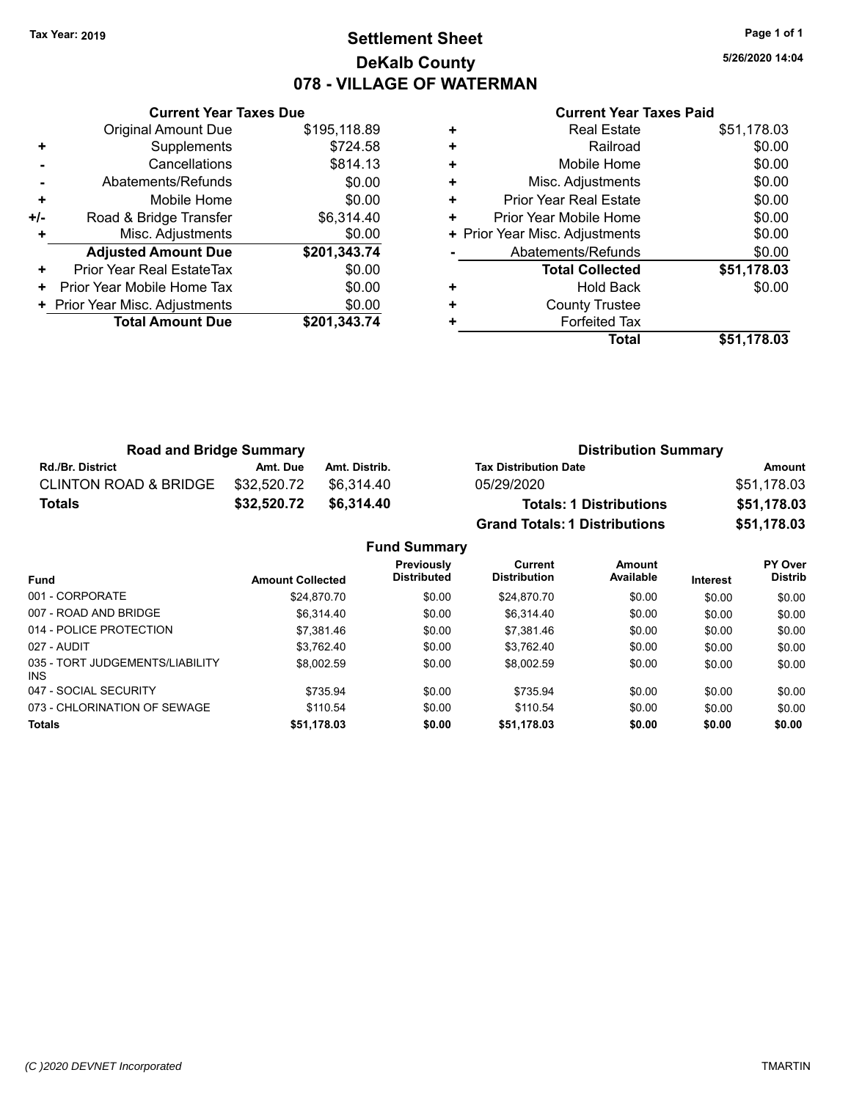### **Settlement Sheet Tax Year: 2019 Page 1 of 1 DeKalb County 078 - VILLAGE OF WATERMAN**

**5/26/2020 14:04**

|     | <b>Current Year Taxes Due</b>  |              |
|-----|--------------------------------|--------------|
|     | <b>Original Amount Due</b>     | \$195,118.89 |
| ٠   | Supplements                    | \$724.58     |
|     | Cancellations                  | \$814.13     |
|     | Abatements/Refunds             | \$0.00       |
| ٠   | Mobile Home                    | \$0.00       |
| +/- | Road & Bridge Transfer         | \$6,314.40   |
|     | Misc. Adjustments              | \$0.00       |
|     | <b>Adjusted Amount Due</b>     | \$201,343.74 |
| ٠   | Prior Year Real EstateTax      | \$0.00       |
| ÷   | Prior Year Mobile Home Tax     | \$0.00       |
|     | + Prior Year Misc. Adjustments | \$0.00       |
|     | <b>Total Amount Due</b>        | \$201.343.74 |
|     |                                |              |

|   | <b>Real Estate</b>             | \$51,178.03 |
|---|--------------------------------|-------------|
| ٠ | Railroad                       | \$0.00      |
| ٠ | Mobile Home                    | \$0.00      |
| ٠ | Misc. Adjustments              | \$0.00      |
| ٠ | <b>Prior Year Real Estate</b>  | \$0.00      |
| ٠ | Prior Year Mobile Home         | \$0.00      |
|   | + Prior Year Misc. Adjustments | \$0.00      |
|   | Abatements/Refunds             | \$0.00      |
|   | <b>Total Collected</b>         | \$51,178.03 |
| ٠ | Hold Back                      | \$0.00      |
| ٠ | <b>County Trustee</b>          |             |
| ٠ | <b>Forfeited Tax</b>           |             |
|   | Total                          | \$51,178.03 |

| <b>Road and Bridge Summary</b>   |             |               | <b>Distribution Summary</b>          |             |  |
|----------------------------------|-------------|---------------|--------------------------------------|-------------|--|
| <b>Rd./Br. District</b>          | Amt. Due    | Amt. Distrib. | <b>Tax Distribution Date</b>         | Amount      |  |
| <b>CLINTON ROAD &amp; BRIDGE</b> | \$32.520.72 | \$6.314.40    | 05/29/2020                           | \$51,178.03 |  |
| <b>Totals</b>                    | \$32,520.72 | \$6,314.40    | <b>Totals: 1 Distributions</b>       | \$51,178.03 |  |
|                                  |             |               | <b>Grand Totals: 1 Distributions</b> | \$51,178.03 |  |

| <b>Fund Summary</b>                     |                         |                                  |                                       |                     |                 |                           |
|-----------------------------------------|-------------------------|----------------------------------|---------------------------------------|---------------------|-----------------|---------------------------|
| <b>Fund</b>                             | <b>Amount Collected</b> | Previously<br><b>Distributed</b> | <b>Current</b><br><b>Distribution</b> | Amount<br>Available | <b>Interest</b> | PY Over<br><b>Distrib</b> |
| 001 - CORPORATE                         | \$24.870.70             | \$0.00                           | \$24.870.70                           | \$0.00              | \$0.00          | \$0.00                    |
| 007 - ROAD AND BRIDGE                   | \$6.314.40              | \$0.00                           | \$6.314.40                            | \$0.00              | \$0.00          | \$0.00                    |
| 014 - POLICE PROTECTION                 | \$7.381.46              | \$0.00                           | \$7.381.46                            | \$0.00              | \$0.00          | \$0.00                    |
| 027 - AUDIT                             | \$3.762.40              | \$0.00                           | \$3.762.40                            | \$0.00              | \$0.00          | \$0.00                    |
| 035 - TORT JUDGEMENTS/LIABILITY<br>INS. | \$8,002.59              | \$0.00                           | \$8.002.59                            | \$0.00              | \$0.00          | \$0.00                    |
| 047 - SOCIAL SECURITY                   | \$735.94                | \$0.00                           | \$735.94                              | \$0.00              | \$0.00          | \$0.00                    |
| 073 - CHLORINATION OF SEWAGE            | \$110.54                | \$0.00                           | \$110.54                              | \$0.00              | \$0.00          | \$0.00                    |
| <b>Totals</b>                           | \$51,178.03             | \$0.00                           | \$51,178.03                           | \$0.00              | \$0.00          | \$0.00                    |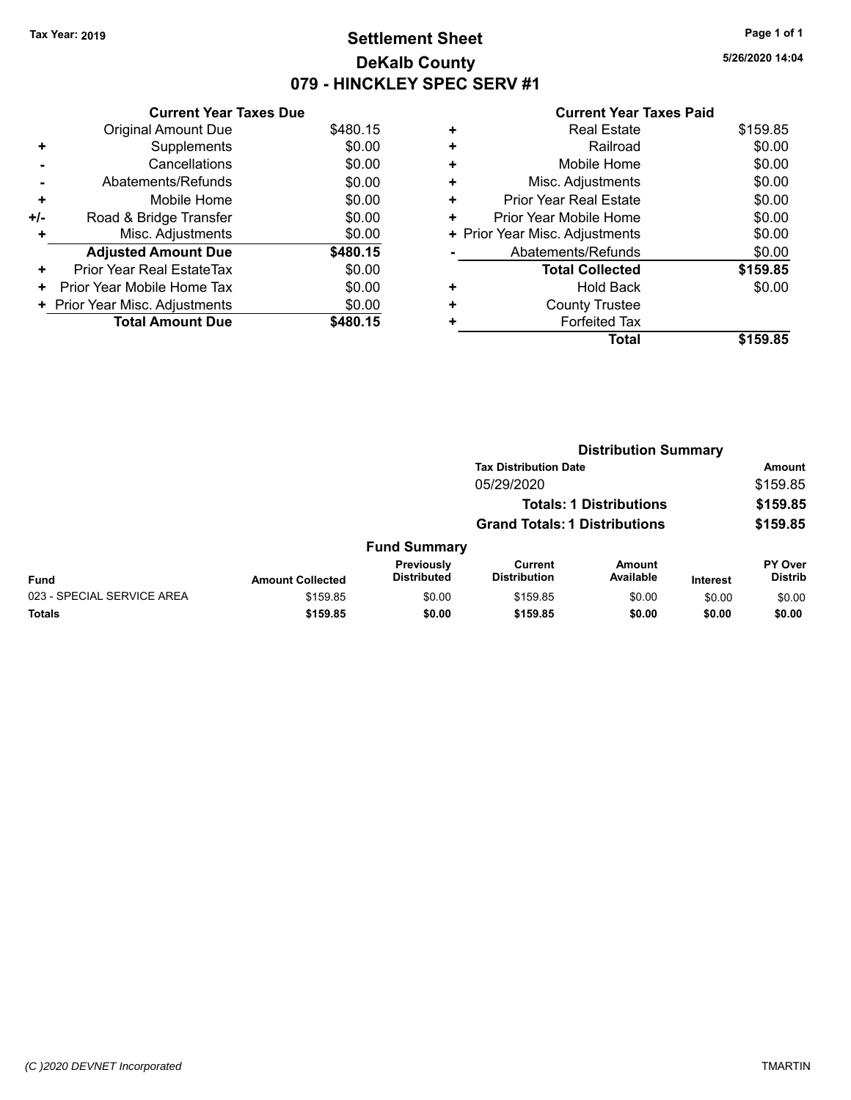### **Settlement Sheet Tax Year: 2019 Page 1 of 1 DeKalb County 079 - HINCKLEY SPEC SERV #1**

**5/26/2020 14:04**

|     | <b>Current Year Taxes Due</b>  |          |
|-----|--------------------------------|----------|
|     | <b>Original Amount Due</b>     | \$480.15 |
| ٠   | Supplements                    | \$0.00   |
|     | Cancellations                  | \$0.00   |
|     | Abatements/Refunds             | \$0.00   |
| ٠   | Mobile Home                    | \$0.00   |
| +/- | Road & Bridge Transfer         | \$0.00   |
| ٠   | Misc. Adjustments              | \$0.00   |
|     | <b>Adjusted Amount Due</b>     | \$480.15 |
| ٠   | Prior Year Real EstateTax      | \$0.00   |
| ٠   | Prior Year Mobile Home Tax     | \$0.00   |
|     | + Prior Year Misc. Adjustments | \$0.00   |
|     | <b>Total Amount Due</b>        | \$480.15 |

|   | <b>Total</b>                   | \$159.85 |
|---|--------------------------------|----------|
| ٠ | <b>Forfeited Tax</b>           |          |
| ٠ | <b>County Trustee</b>          |          |
| ٠ | Hold Back                      | \$0.00   |
|   | <b>Total Collected</b>         | \$159.85 |
|   | Abatements/Refunds             | \$0.00   |
|   | + Prior Year Misc. Adjustments | \$0.00   |
| ٠ | Prior Year Mobile Home         | \$0.00   |
| ٠ | Prior Year Real Estate         | \$0.00   |
| ٠ | Misc. Adjustments              | \$0.00   |
| ٠ | Mobile Home                    | \$0.00   |
| ٠ | Railroad                       | \$0.00   |
|   | <b>Real Estate</b>             | \$159.85 |
|   |                                |          |

|                            |                         |                                  | <b>Distribution Summary</b>           |                                |                 |                           |
|----------------------------|-------------------------|----------------------------------|---------------------------------------|--------------------------------|-----------------|---------------------------|
|                            |                         |                                  | <b>Tax Distribution Date</b>          |                                |                 | Amount                    |
|                            |                         |                                  | 05/29/2020                            |                                |                 | \$159.85                  |
|                            |                         |                                  |                                       | <b>Totals: 1 Distributions</b> |                 | \$159.85                  |
|                            |                         |                                  | <b>Grand Totals: 1 Distributions</b>  |                                |                 | \$159.85                  |
|                            |                         | <b>Fund Summary</b>              |                                       |                                |                 |                           |
| <b>Fund</b>                | <b>Amount Collected</b> | Previously<br><b>Distributed</b> | <b>Current</b><br><b>Distribution</b> | <b>Amount</b><br>Available     | <b>Interest</b> | PY Over<br><b>Distrib</b> |
| 023 - SPECIAL SERVICE AREA | \$159.85                | \$0.00                           | \$159.85                              | \$0.00                         | \$0.00          | \$0.00                    |
| <b>Totals</b>              | \$159.85                | \$0.00                           | \$159.85                              | \$0.00                         | \$0.00          | \$0.00                    |
|                            |                         |                                  |                                       |                                |                 |                           |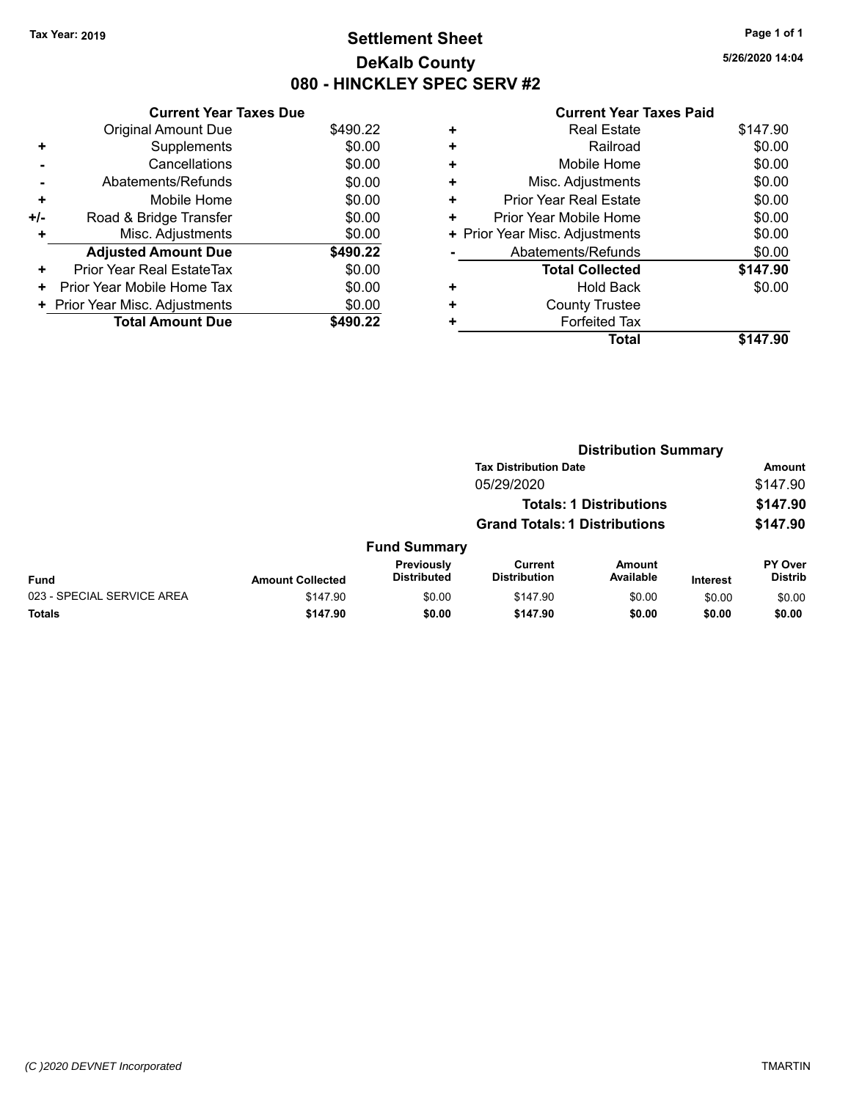### **Settlement Sheet Tax Year: 2019 Page 1 of 1 DeKalb County 080 - HINCKLEY SPEC SERV #2**

**5/26/2020 14:04**

|     | <b>Current Year Taxes Due</b>  |          |
|-----|--------------------------------|----------|
|     | <b>Original Amount Due</b>     | \$490.22 |
| ٠   | Supplements                    | \$0.00   |
|     | Cancellations                  | \$0.00   |
|     | Abatements/Refunds             | \$0.00   |
| ٠   | Mobile Home                    | \$0.00   |
| +/- | Road & Bridge Transfer         | \$0.00   |
| ٠   | Misc. Adjustments              | \$0.00   |
|     | <b>Adjusted Amount Due</b>     | \$490.22 |
| ٠   | Prior Year Real EstateTax      | \$0.00   |
| ٠   | Prior Year Mobile Home Tax     | \$0.00   |
|     | + Prior Year Misc. Adjustments | \$0.00   |
|     | <b>Total Amount Due</b>        | \$490.22 |

|   | <b>Total</b>                   | \$147.90 |
|---|--------------------------------|----------|
| + | <b>Forfeited Tax</b>           |          |
|   | <b>County Trustee</b>          |          |
| ٠ | <b>Hold Back</b>               | \$0.00   |
|   | <b>Total Collected</b>         | \$147.90 |
|   | Abatements/Refunds             | \$0.00   |
|   | + Prior Year Misc. Adjustments | \$0.00   |
|   | Prior Year Mobile Home         | \$0.00   |
| ٠ | <b>Prior Year Real Estate</b>  | \$0.00   |
| ٠ | Misc. Adjustments              | \$0.00   |
| ÷ | Mobile Home                    | \$0.00   |
| ÷ | Railroad                       | \$0.00   |
|   | <b>Real Estate</b>             | \$147.90 |
|   |                                |          |

|                            |                         |                                  | <b>Distribution Summary</b>           |                                |                 |                                  |  |
|----------------------------|-------------------------|----------------------------------|---------------------------------------|--------------------------------|-----------------|----------------------------------|--|
|                            |                         |                                  | <b>Tax Distribution Date</b>          |                                |                 | <b>Amount</b>                    |  |
|                            |                         |                                  | 05/29/2020                            |                                |                 | \$147.90                         |  |
|                            |                         |                                  |                                       | <b>Totals: 1 Distributions</b> |                 | \$147.90                         |  |
|                            |                         |                                  | <b>Grand Totals: 1 Distributions</b>  |                                |                 | \$147.90                         |  |
|                            |                         | <b>Fund Summary</b>              |                                       |                                |                 |                                  |  |
| <b>Fund</b>                | <b>Amount Collected</b> | Previously<br><b>Distributed</b> | <b>Current</b><br><b>Distribution</b> | Amount<br>Available            | <b>Interest</b> | <b>PY Over</b><br><b>Distrib</b> |  |
| 023 - SPECIAL SERVICE AREA | \$147.90                | \$0.00                           | \$147.90                              | \$0.00                         | \$0.00          | \$0.00                           |  |
| Totals                     | \$147.90                | \$0.00                           | \$147.90                              | \$0.00                         | \$0.00          | \$0.00                           |  |
|                            |                         |                                  |                                       |                                |                 |                                  |  |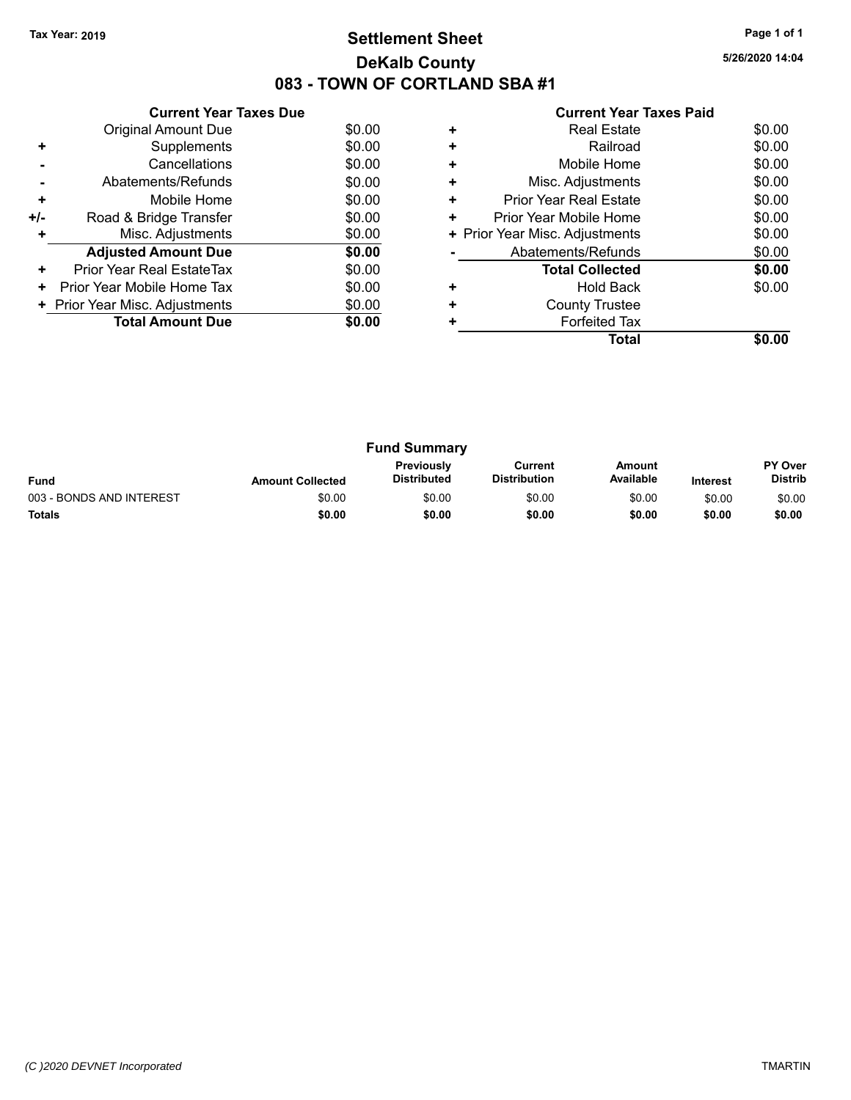### **Settlement Sheet Tax Year: 2019 Page 1 of 1 DeKalb County 083 - TOWN OF CORTLAND SBA #1**

**5/26/2020 14:04**

| <b>Current Year Taxes Paid</b> |  |  |
|--------------------------------|--|--|
|                                |  |  |

|     | <b>Current Year Taxes Due</b>  |        |
|-----|--------------------------------|--------|
|     | Original Amount Due            | \$0.00 |
| ÷   | Supplements                    | \$0.00 |
|     | Cancellations                  | \$0.00 |
|     | Abatements/Refunds             | \$0.00 |
| ٠   | Mobile Home                    | \$0.00 |
| +/- | Road & Bridge Transfer         | \$0.00 |
|     | Misc. Adjustments              | \$0.00 |
|     | <b>Adjusted Amount Due</b>     | \$0.00 |
| ÷   | Prior Year Real EstateTax      | \$0.00 |
| ٠   | Prior Year Mobile Home Tax     | \$0.00 |
|     | + Prior Year Misc. Adjustments | \$0.00 |
|     | <b>Total Amount Due</b>        | \$0.00 |
|     |                                |        |

|   | <b>Real Estate</b>             | \$0.00 |
|---|--------------------------------|--------|
| ٠ | Railroad                       | \$0.00 |
| ٠ | Mobile Home                    | \$0.00 |
| ٠ | Misc. Adjustments              | \$0.00 |
| ٠ | <b>Prior Year Real Estate</b>  | \$0.00 |
| ٠ | Prior Year Mobile Home         | \$0.00 |
|   | + Prior Year Misc. Adjustments | \$0.00 |
|   | Abatements/Refunds             | \$0.00 |
|   | <b>Total Collected</b>         | \$0.00 |
| ٠ | <b>Hold Back</b>               | \$0.00 |
| ٠ | <b>County Trustee</b>          |        |
|   | <b>Forfeited Tax</b>           |        |
|   | Total                          |        |

| <b>Fund Summary</b>      |                         |                                         |                                |                     |                 |                                  |
|--------------------------|-------------------------|-----------------------------------------|--------------------------------|---------------------|-----------------|----------------------------------|
| <b>Fund</b>              | <b>Amount Collected</b> | <b>Previously</b><br><b>Distributed</b> | Current<br><b>Distribution</b> | Amount<br>Available | <b>Interest</b> | <b>PY Over</b><br><b>Distrib</b> |
| 003 - BONDS AND INTEREST | \$0.00                  | \$0.00                                  | \$0.00                         | \$0.00              | \$0.00          | \$0.00                           |
| <b>Totals</b>            | \$0.00                  | \$0.00                                  | \$0.00                         | \$0.00              | \$0.00          | \$0.00                           |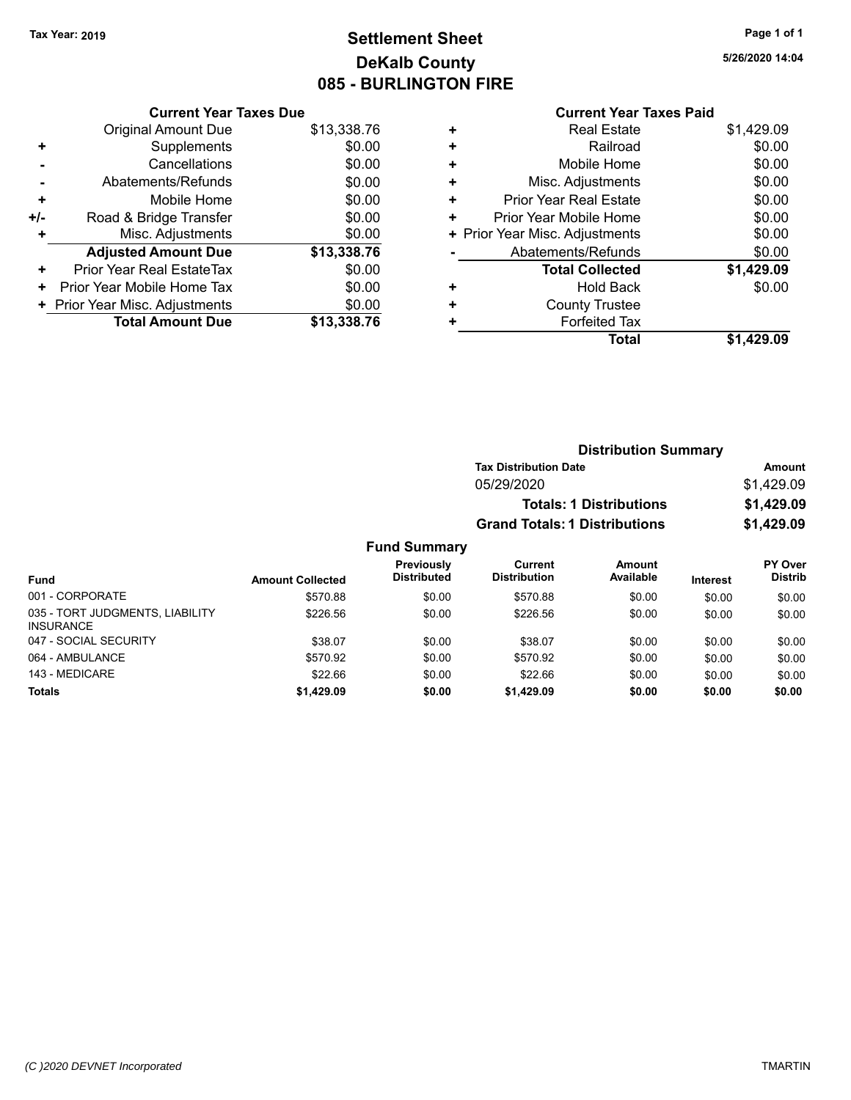### **Settlement Sheet Tax Year: 2019 Page 1 of 1 DeKalb County 085 - BURLINGTON FIRE**

**5/26/2020 14:04**

|     | <b>Current Year Taxes Due</b>  |             |
|-----|--------------------------------|-------------|
|     | Original Amount Due            | \$13,338.76 |
| ٠   | Supplements                    | \$0.00      |
|     | Cancellations                  | \$0.00      |
|     | Abatements/Refunds             | \$0.00      |
| ٠   | Mobile Home                    | \$0.00      |
| +/- | Road & Bridge Transfer         | \$0.00      |
| ÷   | Misc. Adjustments              | \$0.00      |
|     | <b>Adjusted Amount Due</b>     | \$13,338.76 |
| ٠   | Prior Year Real EstateTax      | \$0.00      |
| ٠   | Prior Year Mobile Home Tax     | \$0.00      |
|     | + Prior Year Misc. Adjustments | \$0.00      |
|     | <b>Total Amount Due</b>        | \$13,338.76 |

|   | <b>Real Estate</b>             | \$1,429.09 |
|---|--------------------------------|------------|
| ÷ | Railroad                       | \$0.00     |
| ٠ | Mobile Home                    | \$0.00     |
| ٠ | Misc. Adjustments              | \$0.00     |
| ÷ | <b>Prior Year Real Estate</b>  | \$0.00     |
| ٠ | Prior Year Mobile Home         | \$0.00     |
|   | + Prior Year Misc. Adjustments | \$0.00     |
|   | Abatements/Refunds             | \$0.00     |
|   | <b>Total Collected</b>         | \$1,429.09 |
| ٠ | <b>Hold Back</b>               | \$0.00     |
| ÷ | <b>County Trustee</b>          |            |
| ٠ | <b>Forfeited Tax</b>           |            |
|   | Total                          | \$1,429.09 |
|   |                                |            |

|                     | <b>Distribution Summary</b>          |            |
|---------------------|--------------------------------------|------------|
|                     | <b>Tax Distribution Date</b>         | Amount     |
|                     | 05/29/2020                           | \$1,429.09 |
|                     | <b>Totals: 1 Distributions</b>       | \$1,429.09 |
|                     | <b>Grand Totals: 1 Distributions</b> | \$1,429.09 |
| <b>Fund Summary</b> |                                      |            |

| Fund                                                | <b>Amount Collected</b> | Previously<br><b>Distributed</b> | Current<br><b>Distribution</b> | Amount<br>Available | <b>Interest</b> | PY Over<br><b>Distrib</b> |
|-----------------------------------------------------|-------------------------|----------------------------------|--------------------------------|---------------------|-----------------|---------------------------|
| 001 - CORPORATE                                     | \$570.88                | \$0.00                           | \$570.88                       | \$0.00              | \$0.00          | \$0.00                    |
| 035 - TORT JUDGMENTS, LIABILITY<br><b>INSURANCE</b> | \$226.56                | \$0.00                           | \$226.56                       | \$0.00              | \$0.00          | \$0.00                    |
| 047 - SOCIAL SECURITY                               | \$38.07                 | \$0.00                           | \$38.07                        | \$0.00              | \$0.00          | \$0.00                    |
| 064 - AMBULANCE                                     | \$570.92                | \$0.00                           | \$570.92                       | \$0.00              | \$0.00          | \$0.00                    |
| 143 - MEDICARE                                      | \$22.66                 | \$0.00                           | \$22.66                        | \$0.00              | \$0.00          | \$0.00                    |
| <b>Totals</b>                                       | \$1,429.09              | \$0.00                           | \$1,429.09                     | \$0.00              | \$0.00          | \$0.00                    |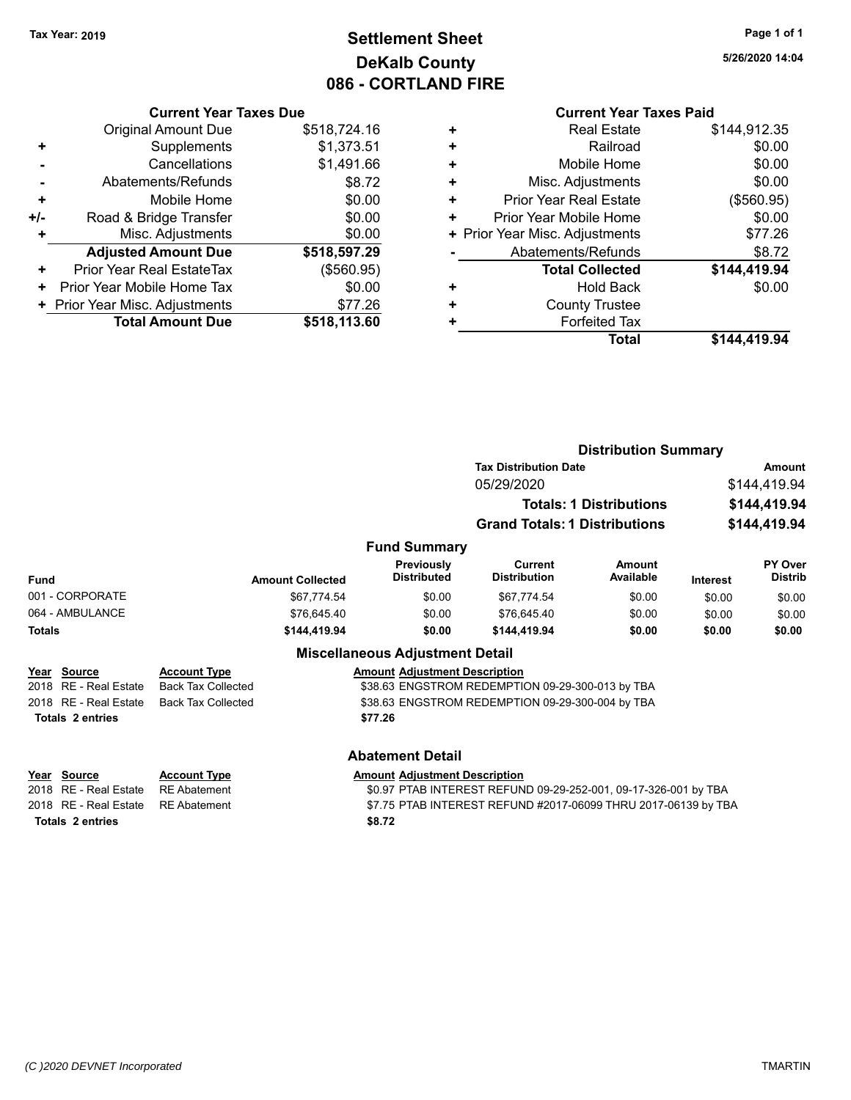### **Settlement Sheet Tax Year: 2019 Page 1 of 1 DeKalb County 086 - CORTLAND FIRE**

**5/26/2020 14:04**

|       | <b>Current Year Taxes Due</b>  |              |  |  |
|-------|--------------------------------|--------------|--|--|
|       | <b>Original Amount Due</b>     | \$518,724.16 |  |  |
| ٠     | Supplements                    | \$1,373.51   |  |  |
|       | Cancellations                  | \$1,491.66   |  |  |
|       | Abatements/Refunds             | \$8.72       |  |  |
| ٠     | Mobile Home                    | \$0.00       |  |  |
| $+/-$ | Road & Bridge Transfer         | \$0.00       |  |  |
| ٠     | Misc. Adjustments              | \$0.00       |  |  |
|       | <b>Adjusted Amount Due</b>     | \$518,597.29 |  |  |
| ٠     | Prior Year Real EstateTax      | (\$560.95)   |  |  |
| ٠     | Prior Year Mobile Home Tax     | \$0.00       |  |  |
|       | + Prior Year Misc. Adjustments | \$77.26      |  |  |
|       | <b>Total Amount Due</b>        | \$518,113.60 |  |  |

| ٠ | <b>Real Estate</b>             | \$144,912.35 |
|---|--------------------------------|--------------|
| ÷ | Railroad                       | \$0.00       |
| ٠ | Mobile Home                    | \$0.00       |
| ٠ | Misc. Adjustments              | \$0.00       |
| ٠ | <b>Prior Year Real Estate</b>  | (\$560.95)   |
| ٠ | Prior Year Mobile Home         | \$0.00       |
|   | + Prior Year Misc. Adjustments | \$77.26      |
|   | Abatements/Refunds             | \$8.72       |
|   | <b>Total Collected</b>         | \$144,419.94 |
| ٠ | <b>Hold Back</b>               | \$0.00       |
| ٠ | <b>County Trustee</b>          |              |
| ٠ | <b>Forfeited Tax</b>           |              |
|   | Total                          | \$144,419.94 |
|   |                                |              |

|                                                                                          |                                                                   |                                                | <b>Distribution Summary</b>                                                                                                       |                                |                                              |                           |
|------------------------------------------------------------------------------------------|-------------------------------------------------------------------|------------------------------------------------|-----------------------------------------------------------------------------------------------------------------------------------|--------------------------------|----------------------------------------------|---------------------------|
|                                                                                          |                                                                   |                                                | <b>Tax Distribution Date</b>                                                                                                      | Amount                         |                                              |                           |
|                                                                                          |                                                                   |                                                | 05/29/2020                                                                                                                        |                                | \$144,419.94<br>\$144,419.94<br>\$144,419.94 |                           |
|                                                                                          |                                                                   |                                                |                                                                                                                                   | <b>Totals: 1 Distributions</b> |                                              |                           |
|                                                                                          |                                                                   |                                                | <b>Grand Totals: 1 Distributions</b>                                                                                              |                                |                                              |                           |
|                                                                                          |                                                                   | <b>Fund Summary</b>                            |                                                                                                                                   |                                |                                              |                           |
| Fund                                                                                     | <b>Amount Collected</b>                                           | Previously<br><b>Distributed</b>               | <b>Current</b><br><b>Distribution</b>                                                                                             | Amount<br>Available            | <b>Interest</b>                              | PY Over<br><b>Distrib</b> |
| 001 - CORPORATE                                                                          | \$67,774.54                                                       | \$0.00                                         | \$67,774.54                                                                                                                       | \$0.00                         | \$0.00                                       | \$0.00                    |
| 064 - AMBULANCE                                                                          | \$76,645.40                                                       | \$0.00                                         | \$76,645.40                                                                                                                       | \$0.00                         | \$0.00                                       | \$0.00                    |
| <b>Totals</b>                                                                            | \$144,419.94                                                      | \$0.00                                         | \$144.419.94                                                                                                                      | \$0.00                         | \$0.00                                       | \$0.00                    |
|                                                                                          |                                                                   | <b>Miscellaneous Adjustment Detail</b>         |                                                                                                                                   |                                |                                              |                           |
| Year Source<br>2018 RE - Real Estate                                                     | <b>Account Type</b><br><b>Back Tax Collected</b>                  | <b>Amount Adjustment Description</b>           | \$38.63 ENGSTROM REDEMPTION 09-29-300-013 by TBA                                                                                  |                                |                                              |                           |
| 2018 RE - Real Estate                                                                    | <b>Back Tax Collected</b>                                         |                                                | \$38.63 ENGSTROM REDEMPTION 09-29-300-004 by TBA                                                                                  |                                |                                              |                           |
| <b>Totals 2 entries</b>                                                                  |                                                                   | \$77.26                                        |                                                                                                                                   |                                |                                              |                           |
|                                                                                          |                                                                   | <b>Abatement Detail</b>                        |                                                                                                                                   |                                |                                              |                           |
| Year Source<br>2018 RE - Real Estate<br>2018 RE - Real Estate<br><b>Totals 2 entries</b> | <b>Account Type</b><br><b>RE</b> Abatement<br><b>RE</b> Abatement | <b>Amount Adjustment Description</b><br>\$8.72 | \$0.97 PTAB INTEREST REFUND 09-29-252-001, 09-17-326-001 by TBA<br>\$7.75 PTAB INTEREST REFUND #2017-06099 THRU 2017-06139 by TBA |                                |                                              |                           |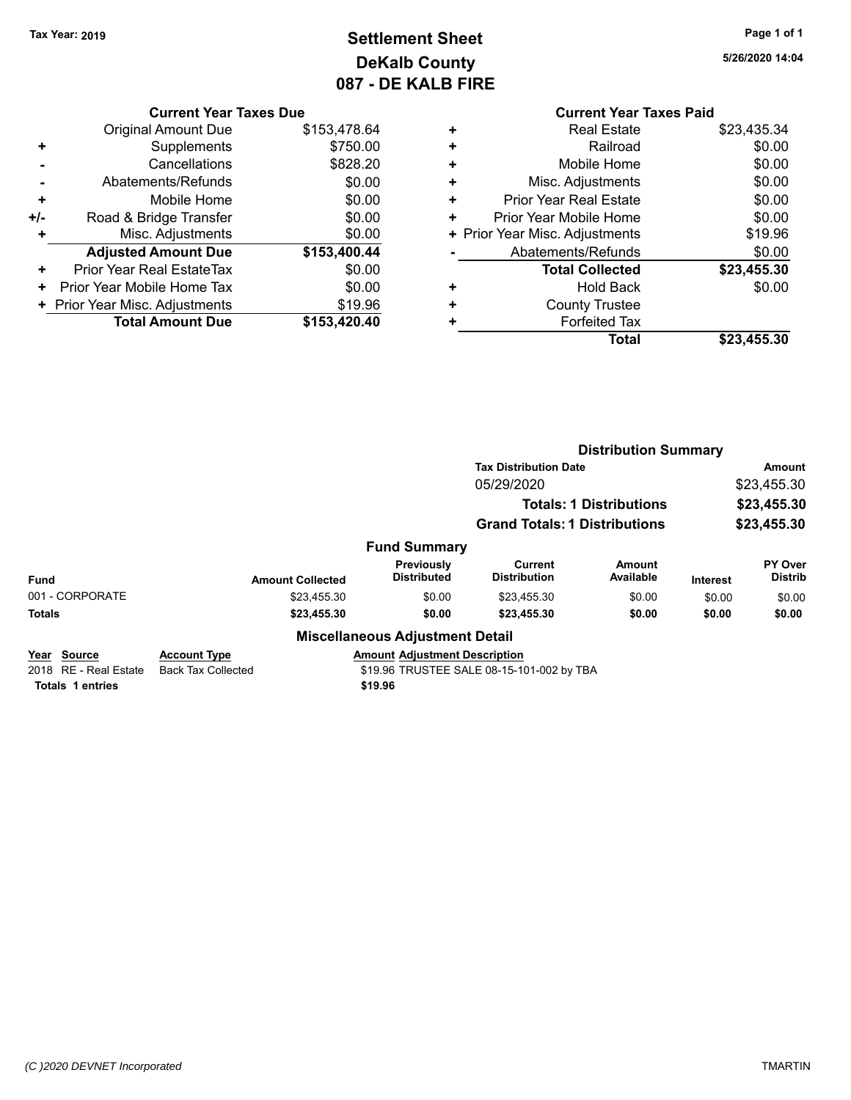### **Settlement Sheet Tax Year: 2019 Page 1 of 1 DeKalb County 087 - DE KALB FIRE**

**5/26/2020 14:04**

| <b>Current Year Taxes Due</b> |                                |  |  |
|-------------------------------|--------------------------------|--|--|
| <b>Original Amount Due</b>    | \$153,478.64                   |  |  |
| Supplements                   | \$750.00                       |  |  |
| Cancellations                 | \$828.20                       |  |  |
| Abatements/Refunds            | \$0.00                         |  |  |
| Mobile Home                   | \$0.00                         |  |  |
| Road & Bridge Transfer        | \$0.00                         |  |  |
| Misc. Adjustments             | \$0.00                         |  |  |
| <b>Adjusted Amount Due</b>    | \$153,400.44                   |  |  |
| Prior Year Real EstateTax     | \$0.00                         |  |  |
| Prior Year Mobile Home Tax    | \$0.00                         |  |  |
|                               | \$19.96                        |  |  |
| <b>Total Amount Due</b>       | \$153,420.40                   |  |  |
|                               | + Prior Year Misc. Adjustments |  |  |

| Total                          | \$23,455.30 |
|--------------------------------|-------------|
| <b>Forfeited Tax</b>           |             |
| <b>County Trustee</b>          |             |
| <b>Hold Back</b>               | \$0.00      |
| <b>Total Collected</b>         | \$23,455.30 |
| Abatements/Refunds             | \$0.00      |
| + Prior Year Misc. Adjustments | \$19.96     |
| Prior Year Mobile Home         | \$0.00      |
| <b>Prior Year Real Estate</b>  | \$0.00      |
| Misc. Adjustments              | \$0.00      |
| Mobile Home                    | \$0.00      |
| Railroad                       | \$0.00      |
| <b>Real Estate</b>             | \$23.435.34 |
|                                |             |

|                       |                           | <b>Distribution Summary</b>               |                                                                                      |                                                            |                 |                           |  |
|-----------------------|---------------------------|-------------------------------------------|--------------------------------------------------------------------------------------|------------------------------------------------------------|-----------------|---------------------------|--|
|                       |                           |                                           | <b>Tax Distribution Date</b>                                                         | <b>Amount</b><br>\$23,455.30<br>\$23,455.30<br>\$23,455.30 |                 |                           |  |
|                       |                           |                                           | 05/29/2020<br><b>Totals: 1 Distributions</b><br><b>Grand Totals: 1 Distributions</b> |                                                            |                 |                           |  |
|                       |                           |                                           |                                                                                      |                                                            |                 |                           |  |
|                       |                           |                                           |                                                                                      |                                                            |                 |                           |  |
|                       |                           | <b>Fund Summary</b>                       |                                                                                      |                                                            |                 |                           |  |
| <b>Fund</b>           | <b>Amount Collected</b>   | Previously<br><b>Distributed</b>          | Current<br><b>Distribution</b>                                                       | Amount<br>Available                                        | <b>Interest</b> | PY Over<br><b>Distrib</b> |  |
| 001 - CORPORATE       | \$23,455.30               | \$0.00                                    | \$23,455.30                                                                          | \$0.00                                                     | \$0.00          | \$0.00                    |  |
| <b>Totals</b>         | \$23,455.30               | \$0.00                                    | \$23,455.30                                                                          | \$0.00                                                     | \$0.00          | \$0.00                    |  |
|                       |                           | <b>Miscellaneous Adjustment Detail</b>    |                                                                                      |                                                            |                 |                           |  |
| Year<br>Source        | <b>Account Type</b>       | <b>Amount Adjustment Description</b>      |                                                                                      |                                                            |                 |                           |  |
| 2018 RE - Real Estate | <b>Back Tax Collected</b> | \$19.96 TRUSTEE SALE 08-15-101-002 by TBA |                                                                                      |                                                            |                 |                           |  |

| Year Source           | <b>Account Ivpe</b> |         | Amount Adiustment Desc |
|-----------------------|---------------------|---------|------------------------|
| 2018 RE - Real Estate | Back Tax Collected  |         | \$19.96 TRUSTEE SALE ( |
| Totals 1 entries      |                     | \$19.96 |                        |
|                       |                     |         |                        |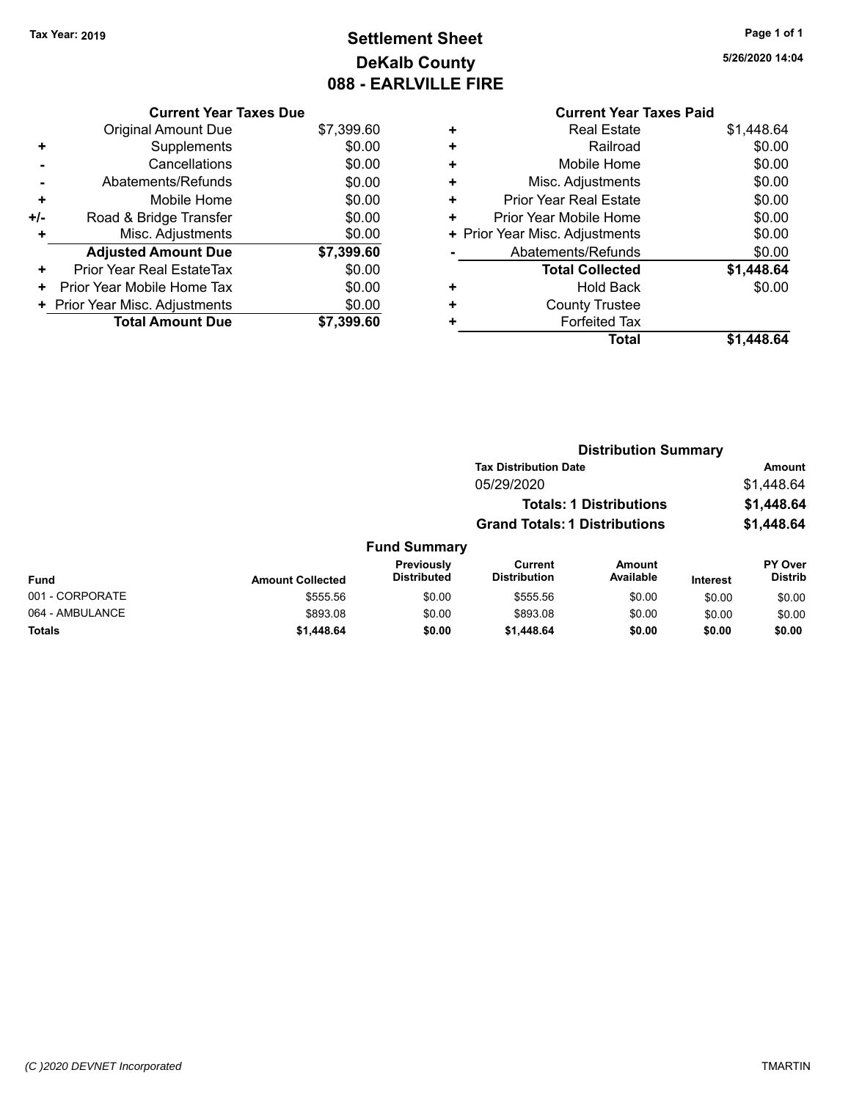### **Settlement Sheet Tax Year: 2019 Page 1 of 1 DeKalb County 088 - EARLVILLE FIRE**

**5/26/2020 14:04**

|     | <b>Current Year Taxes Due</b> |            |
|-----|-------------------------------|------------|
|     | <b>Original Amount Due</b>    | \$7,399.60 |
| ٠   | Supplements                   | \$0.00     |
|     | Cancellations                 | \$0.00     |
|     | Abatements/Refunds            | \$0.00     |
| ÷   | Mobile Home                   | \$0.00     |
| +/- | Road & Bridge Transfer        | \$0.00     |
| ٠   | Misc. Adjustments             | \$0.00     |
|     | <b>Adjusted Amount Due</b>    | \$7,399.60 |
| ٠   | Prior Year Real EstateTax     | \$0.00     |
| ٠   | Prior Year Mobile Home Tax    | \$0.00     |
|     | Prior Year Misc. Adjustments  | \$0.00     |
|     | <b>Total Amount Due</b>       | \$7.399.60 |
|     |                               |            |

| ٠ | <b>Real Estate</b>             | \$1,448.64 |
|---|--------------------------------|------------|
| ÷ | Railroad                       | \$0.00     |
| ٠ | Mobile Home                    | \$0.00     |
| ٠ | Misc. Adjustments              | \$0.00     |
| ٠ | Prior Year Real Estate         | \$0.00     |
| ٠ | Prior Year Mobile Home         | \$0.00     |
|   | + Prior Year Misc. Adjustments | \$0.00     |
|   | Abatements/Refunds             | \$0.00     |
|   | <b>Total Collected</b>         | \$1,448.64 |
| ٠ | Hold Back                      | \$0.00     |
| ٠ | <b>County Trustee</b>          |            |
| ٠ | <b>Forfeited Tax</b>           |            |
|   | Total                          | \$1.448.64 |
|   |                                |            |

|                 |                         |                                  |                                       | <b>Distribution Summary</b>    |                 |                           |
|-----------------|-------------------------|----------------------------------|---------------------------------------|--------------------------------|-----------------|---------------------------|
|                 |                         |                                  | <b>Tax Distribution Date</b>          |                                |                 | <b>Amount</b>             |
|                 |                         |                                  | 05/29/2020                            |                                |                 | \$1,448.64                |
|                 |                         |                                  |                                       | <b>Totals: 1 Distributions</b> |                 | \$1,448.64                |
|                 |                         |                                  | <b>Grand Totals: 1 Distributions</b>  |                                |                 | \$1,448.64                |
|                 |                         | <b>Fund Summary</b>              |                                       |                                |                 |                           |
| <b>Fund</b>     | <b>Amount Collected</b> | Previously<br><b>Distributed</b> | <b>Current</b><br><b>Distribution</b> | Amount<br>Available            | <b>Interest</b> | PY Over<br><b>Distrib</b> |
| 001 - CORPORATE | \$555.56                | \$0.00                           | \$555.56                              | \$0.00                         | \$0.00          | \$0.00                    |
| 064 - AMBULANCE | \$893.08                | \$0.00                           | \$893.08                              | \$0.00                         | \$0.00          | \$0.00                    |
| Totals          | \$1,448.64              | \$0.00                           | \$1,448.64                            | \$0.00                         | \$0.00          | \$0.00                    |
|                 |                         |                                  |                                       |                                |                 |                           |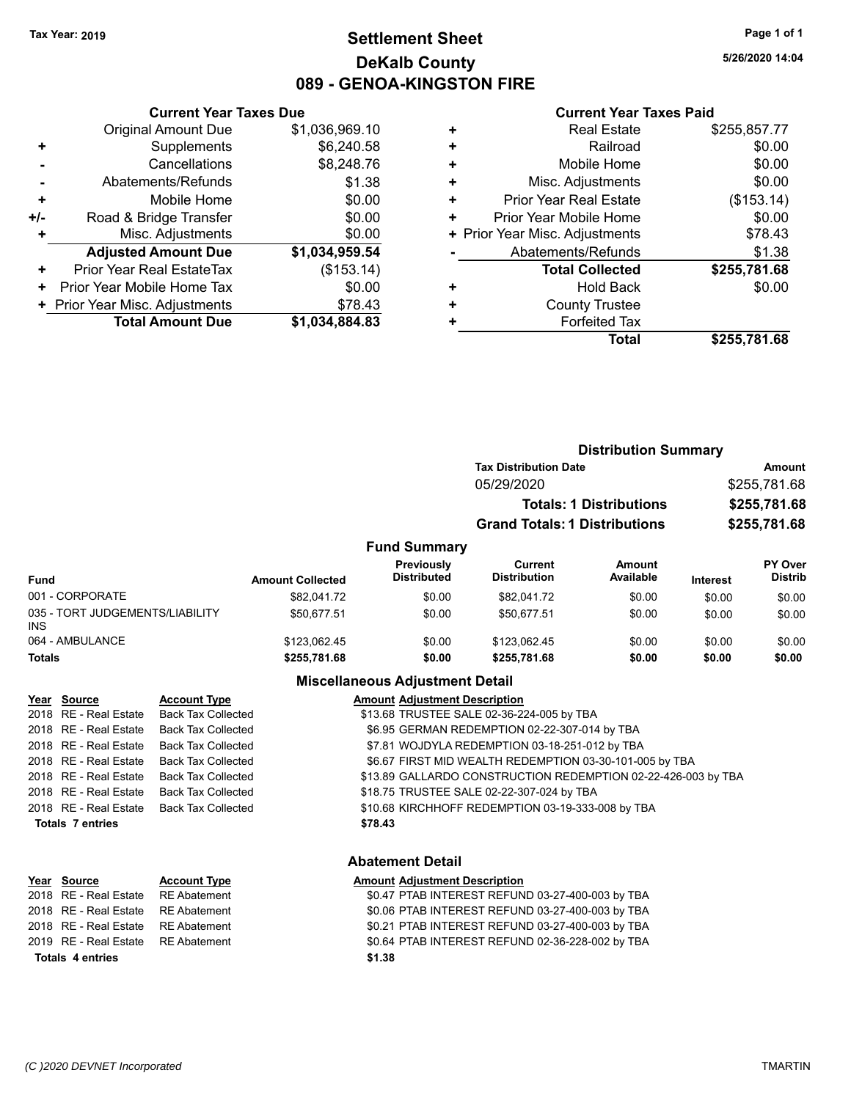### **Settlement Sheet Tax Year: 2019 Page 1 of 1 DeKalb County 089 - GENOA-KINGSTON FIRE**

**5/26/2020 14:04**

#### **Current Year Taxes Paid**

|     | <b>Current Year Taxes Due</b>  |                |
|-----|--------------------------------|----------------|
|     | <b>Original Amount Due</b>     | \$1,036,969.10 |
| ٠   | Supplements                    | \$6,240.58     |
|     | Cancellations                  | \$8,248.76     |
|     | Abatements/Refunds             | \$1.38         |
| ٠   | Mobile Home                    | \$0.00         |
| +/- | Road & Bridge Transfer         | \$0.00         |
| ٠   | Misc. Adjustments              | \$0.00         |
|     | <b>Adjusted Amount Due</b>     | \$1,034,959.54 |
| ٠   | Prior Year Real EstateTax      | (\$153.14)     |
| ٠   | Prior Year Mobile Home Tax     | \$0.00         |
|     | + Prior Year Misc. Adjustments | \$78.43        |
|     | <b>Total Amount Due</b>        | \$1.034.884.83 |

| \$0.00<br>Railroad<br>٠<br>\$0.00<br>Mobile Home<br>٠<br>\$0.00<br>Misc. Adjustments<br>٠<br>(\$153.14)<br><b>Prior Year Real Estate</b><br>٠<br>\$0.00<br>Prior Year Mobile Home<br>٠<br>\$78.43<br>+ Prior Year Misc. Adjustments<br>Abatements/Refunds<br>\$1.38<br>\$255,781.68<br><b>Total Collected</b><br>\$0.00<br>Hold Back<br>٠<br><b>County Trustee</b><br>٠ | <b>Real Estate</b> | \$255,857.77 |
|-------------------------------------------------------------------------------------------------------------------------------------------------------------------------------------------------------------------------------------------------------------------------------------------------------------------------------------------------------------------------|--------------------|--------------|
|                                                                                                                                                                                                                                                                                                                                                                         |                    |              |
|                                                                                                                                                                                                                                                                                                                                                                         |                    |              |
|                                                                                                                                                                                                                                                                                                                                                                         |                    |              |
|                                                                                                                                                                                                                                                                                                                                                                         |                    |              |
|                                                                                                                                                                                                                                                                                                                                                                         |                    |              |
|                                                                                                                                                                                                                                                                                                                                                                         |                    |              |
|                                                                                                                                                                                                                                                                                                                                                                         |                    |              |
|                                                                                                                                                                                                                                                                                                                                                                         |                    |              |
|                                                                                                                                                                                                                                                                                                                                                                         |                    |              |
|                                                                                                                                                                                                                                                                                                                                                                         |                    |              |
| <b>Forfeited Tax</b><br>٠                                                                                                                                                                                                                                                                                                                                               |                    |              |
| \$255,781.68<br>Total                                                                                                                                                                                                                                                                                                                                                   |                    |              |

|                                         |                         |                                  | <b>Distribution Summary</b>          |                                |                 |                           |
|-----------------------------------------|-------------------------|----------------------------------|--------------------------------------|--------------------------------|-----------------|---------------------------|
|                                         |                         |                                  | <b>Tax Distribution Date</b>         |                                | <b>Amount</b>   |                           |
|                                         |                         |                                  | 05/29/2020                           |                                | \$255,781.68    |                           |
|                                         |                         |                                  |                                      | <b>Totals: 1 Distributions</b> |                 | \$255,781.68              |
|                                         |                         |                                  | <b>Grand Totals: 1 Distributions</b> |                                |                 | \$255,781.68              |
|                                         |                         | <b>Fund Summary</b>              |                                      |                                |                 |                           |
| <b>Fund</b>                             | <b>Amount Collected</b> | Previously<br><b>Distributed</b> | Current<br><b>Distribution</b>       | Amount<br>Available            | <b>Interest</b> | PY Over<br><b>Distrib</b> |
| 001 - CORPORATE                         | \$82.041.72             | \$0.00                           | \$82.041.72                          | \$0.00                         | \$0.00          | \$0.00                    |
| 035 - TORT JUDGEMENTS/LIABILITY<br>INS. | \$50,677.51             | \$0.00                           | \$50,677.51                          | \$0.00                         | \$0.00          | \$0.00                    |
| 064 - AMBULANCE                         | \$123.062.45            | \$0.00                           | \$123,062.45                         | \$0.00                         | \$0.00          | \$0.00                    |
| <b>Totals</b>                           | \$255,781.68            | \$0.00                           | \$255,781.68                         | \$0.00                         | \$0.00          | \$0.00                    |
|                                         | --- --                  | .                                |                                      |                                |                 |                           |

#### **Miscellaneous Adjustment Detail**

| <b>Account Type</b>                                                                                                                                                                                            | <b>Amount Adjustment Description</b>                          |
|----------------------------------------------------------------------------------------------------------------------------------------------------------------------------------------------------------------|---------------------------------------------------------------|
|                                                                                                                                                                                                                | \$13.68 TRUSTEE SALE 02-36-224-005 by TBA                     |
| Back Tax Collected                                                                                                                                                                                             | \$6.95 GERMAN REDEMPTION 02-22-307-014 by TBA                 |
| Back Tax Collected                                                                                                                                                                                             | \$7.81 WOJDYLA REDEMPTION 03-18-251-012 by TBA                |
| Back Tax Collected                                                                                                                                                                                             | \$6.67 FIRST MID WEALTH REDEMPTION 03-30-101-005 by TBA       |
| Back Tax Collected                                                                                                                                                                                             | \$13.89 GALLARDO CONSTRUCTION REDEMPTION 02-22-426-003 by TBA |
| <b>Back Tax Collected</b>                                                                                                                                                                                      | \$18.75 TRUSTEE SALE 02-22-307-024 by TBA                     |
|                                                                                                                                                                                                                | \$10.68 KIRCHHOFF REDEMPTION 03-19-333-008 by TBA             |
|                                                                                                                                                                                                                | \$78.43                                                       |
|                                                                                                                                                                                                                |                                                               |
| Year Source<br>2018 RE - Real Estate<br>2018 RE - Real Estate<br>2018 RE - Real Estate<br>2018 RE - Real Estate<br>2018 RE - Real Estate<br>2018 RE - Real Estate<br>2018 RE - Real Estate<br>Totals 7 entries | Back Tax Collected<br>Back Tax Collected                      |

#### **Abatement Detail**

| Year Source             | <b>Account Type</b> | <b>Amount Adjustment Description</b>             |
|-------------------------|---------------------|--------------------------------------------------|
| 2018 RE - Real Estate   | <b>RE Abatement</b> | \$0.47 PTAB INTEREST REFUND 03-27-400-003 by TBA |
| 2018 RE - Real Estate   | RE Abatement        | \$0.06 PTAB INTEREST REFUND 03-27-400-003 by TBA |
| 2018   RE - Real Estate | RE Abatement        | \$0.21 PTAB INTEREST REFUND 03-27-400-003 by TBA |
| 2019   RE - Real Estate | RE Abatement        | \$0.64 PTAB INTEREST REFUND 02-36-228-002 by TBA |
| <b>Totals 4 entries</b> |                     | \$1.38                                           |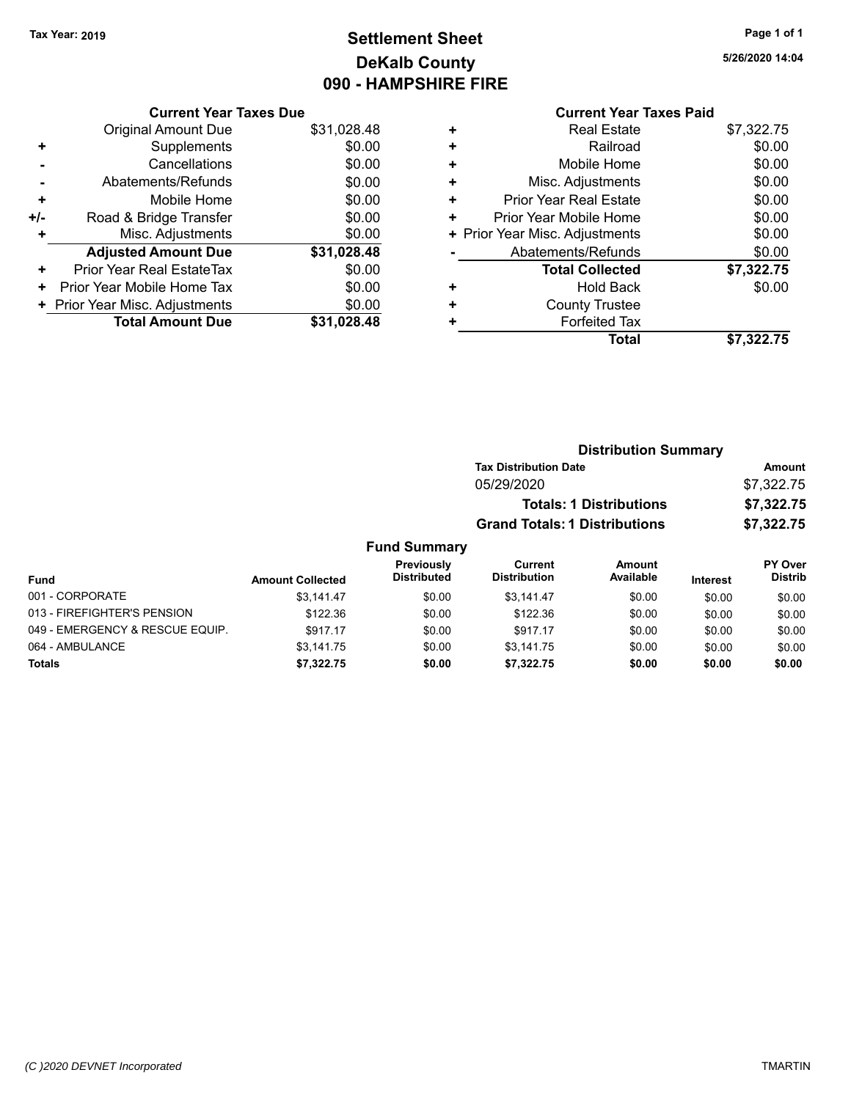### **Settlement Sheet Tax Year: 2019 Page 1 of 1 DeKalb County 090 - HAMPSHIRE FIRE**

**5/26/2020 14:04**

|     |                                | UJU - NAN   |
|-----|--------------------------------|-------------|
|     | <b>Current Year Taxes Due</b>  |             |
|     | Original Amount Due            | \$31,028.48 |
| ٠   | Supplements                    | \$0.00      |
|     | Cancellations                  | \$0.00      |
|     | Abatements/Refunds             | \$0.00      |
| ٠   | Mobile Home                    | \$0.00      |
| +/- | Road & Bridge Transfer         | \$0.00      |
| ٠   | Misc. Adjustments              | \$0.00      |
|     | <b>Adjusted Amount Due</b>     | \$31,028.48 |
| ٠   | Prior Year Real EstateTax      | \$0.00      |
| ٠   | Prior Year Mobile Home Tax     | \$0.00      |
|     | + Prior Year Misc. Adjustments | \$0.00      |
|     | <b>Total Amount Due</b>        | \$31,028.48 |
|     |                                |             |

### **Current Year Taxes Paid**

|   | <b>Real Estate</b>             | \$7,322.75 |
|---|--------------------------------|------------|
| ٠ | Railroad                       | \$0.00     |
| ٠ | Mobile Home                    | \$0.00     |
| ٠ | Misc. Adjustments              | \$0.00     |
| ٠ | <b>Prior Year Real Estate</b>  | \$0.00     |
| ٠ | Prior Year Mobile Home         | \$0.00     |
|   | + Prior Year Misc. Adjustments | \$0.00     |
|   | Abatements/Refunds             | \$0.00     |
|   | <b>Total Collected</b>         | \$7,322.75 |
| ٠ | <b>Hold Back</b>               | \$0.00     |
| ٠ | <b>County Trustee</b>          |            |
|   | <b>Forfeited Tax</b>           |            |
|   | Total                          | \$7,322.75 |
|   |                                |            |

### **Distribution Summary Tax Distribution Date Amount** 05/29/2020 \$7,322.75 **Totals: 1 Distributions \$7,322.75 Grand Totals: 1 Distributions \$7,322.75**

| <b>Fund</b>                     | <b>Amount Collected</b> | Previously<br><b>Distributed</b> | Current<br><b>Distribution</b> | Amount<br>Available | <b>Interest</b> | PY Over<br>Distrib |
|---------------------------------|-------------------------|----------------------------------|--------------------------------|---------------------|-----------------|--------------------|
| 001 - CORPORATE                 | \$3.141.47              | \$0.00                           | \$3.141.47                     | \$0.00              | \$0.00          | \$0.00             |
| 013 - FIREFIGHTER'S PENSION     | \$122.36                | \$0.00                           | \$122.36                       | \$0.00              | \$0.00          | \$0.00             |
| 049 - EMERGENCY & RESCUE EQUIP. | \$917.17                | \$0.00                           | \$917.17                       | \$0.00              | \$0.00          | \$0.00             |
| 064 - AMBULANCE                 | \$3,141.75              | \$0.00                           | \$3.141.75                     | \$0.00              | \$0.00          | \$0.00             |
| <b>Totals</b>                   | \$7,322.75              | \$0.00                           | \$7,322.75                     | \$0.00              | \$0.00          | \$0.00             |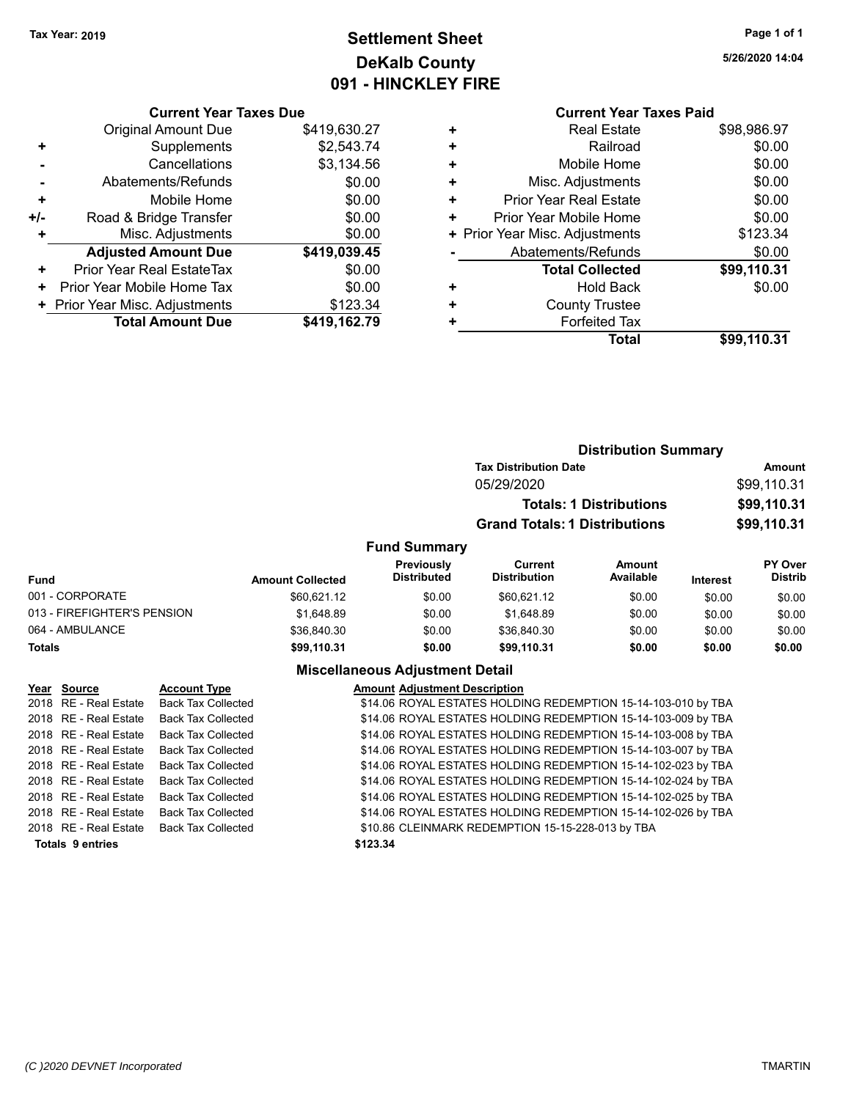### **Settlement Sheet Tax Year: 2019 Page 1 of 1 DeKalb County 091 - HINCKLEY FIRE**

**5/26/2020 14:04**

|     | <b>Original Amount Due</b>     | \$419,630.27 |
|-----|--------------------------------|--------------|
| ٠   | Supplements                    | \$2,543.74   |
|     | Cancellations                  | \$3,134.56   |
|     | Abatements/Refunds             | \$0.00       |
| ٠   | Mobile Home                    | \$0.00       |
| +/- | Road & Bridge Transfer         | \$0.00       |
| ٠   | Misc. Adjustments              | \$0.00       |
|     | <b>Adjusted Amount Due</b>     | \$419,039.45 |
| ÷   | Prior Year Real EstateTax      | \$0.00       |
| ٠   | Prior Year Mobile Home Tax     | \$0.00       |
|     | + Prior Year Misc. Adjustments | \$123.34     |
|     | <b>Total Amount Due</b>        | \$419,162.79 |

### **Current Year Taxes Paid +** Real Estate \$98,986.97 **+** Railroad \$0.00 **+** Mobile Home \$0.00 **+** Misc. Adjustments \$0.00 **+** Prior Year Real Estate \$0.00 **+** Prior Year Mobile Home \$0.00 **+** Prior Year Misc. Adjustments \$123.34 Abatements/Refunds \$0.00 **Total Collected \$99,110.31 +** Hold Back \$0.00 **+** County Trustee **+** Forfeited Tax **Total \$99,110.31**

|                             |                         |                                        |                                                                              | <b>Distribution Summary</b> |                            |                                  |
|-----------------------------|-------------------------|----------------------------------------|------------------------------------------------------------------------------|-----------------------------|----------------------------|----------------------------------|
|                             |                         |                                        | <b>Tax Distribution Date</b><br>05/29/2020<br><b>Totals: 1 Distributions</b> |                             |                            | Amount                           |
|                             |                         |                                        |                                                                              |                             | \$99,110.31<br>\$99,110.31 |                                  |
|                             |                         |                                        |                                                                              |                             |                            |                                  |
|                             |                         |                                        | <b>Grand Totals: 1 Distributions</b>                                         |                             |                            | \$99,110.31                      |
|                             |                         | <b>Fund Summary</b>                    |                                                                              |                             |                            |                                  |
| <b>Fund</b>                 | <b>Amount Collected</b> | Previously<br><b>Distributed</b>       | <b>Current</b><br><b>Distribution</b>                                        | <b>Amount</b><br>Available  | <b>Interest</b>            | <b>PY Over</b><br><b>Distrib</b> |
| 001 - CORPORATE             | \$60,621.12             | \$0.00                                 | \$60,621.12                                                                  | \$0.00                      | \$0.00                     | \$0.00                           |
| 013 - FIREFIGHTER'S PENSION | \$1.648.89              | \$0.00                                 | \$1,648.89                                                                   | \$0.00                      | \$0.00                     | \$0.00                           |
| 064 - AMBULANCE             | \$36,840.30             | \$0.00                                 | \$36,840.30                                                                  | \$0.00                      | \$0.00                     | \$0.00                           |
| <b>Totals</b>               | \$99,110.31             | \$0.00                                 | \$99,110.31                                                                  | \$0.00                      | \$0.00                     | \$0.00                           |
|                             |                         | <b>Miscellaneous Adjustment Detail</b> |                                                                              |                             |                            |                                  |

### **Year Source Account Type Amount Adjustment Description**

2018 RE - Real Estate Back Tax Collected \$14.06 ROYAL ESTATES HOLDING REDEMPTION 15-14-103-010 by TBA 2018 RE - Real Estate Back Tax Collected \$14.06 ROYAL ESTATES HOLDING REDEMPTION 15-14-103-009 by TBA 2018 RE - Real Estate Back Tax Collected \$14.06 ROYAL ESTATES HOLDING REDEMPTION 15-14-103-008 by TBA 2018 RE - Real Estate Back Tax Collected \$14.06 ROYAL ESTATES HOLDING REDEMPTION 15-14-103-007 by TBA 2018 RE - Real Estate Back Tax Collected \$14.06 ROYAL ESTATES HOLDING REDEMPTION 15-14-102-023 by TBA 2018 RE - Real Estate Back Tax Collected \$14.06 ROYAL ESTATES HOLDING REDEMPTION 15-14-102-024 by TBA 2018 RE - Real Estate Back Tax Collected \$14.06 ROYAL ESTATES HOLDING REDEMPTION 15-14-102-025 by TBA 2018 RE - Real Estate Back Tax Collected \$14.06 ROYAL ESTATES HOLDING REDEMPTION 15-14-102-026 by TBA 2018 RE - Real Estate Back Tax Collected \$10.86 CLEINMARK REDEMPTION 15-15-228-013 by TBA **Totals \$123.34 9 entries**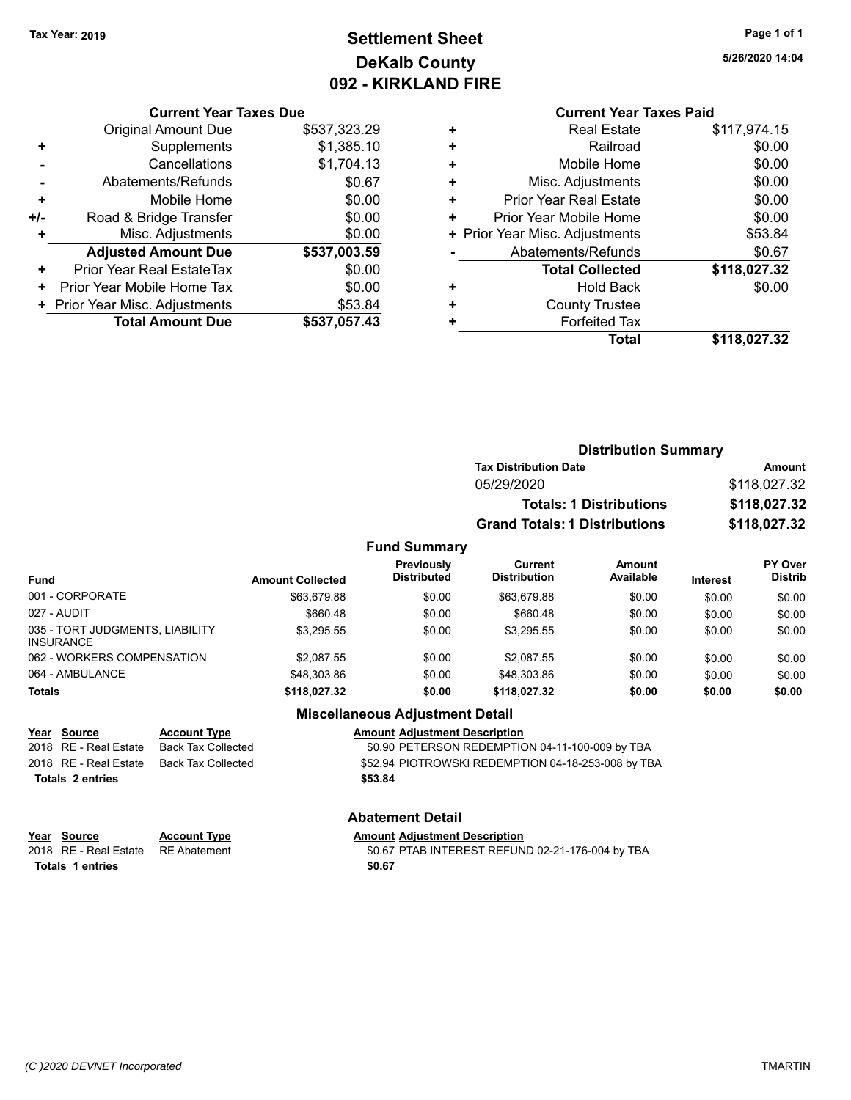### **Settlement Sheet Tax Year: 2019 Page 1 of 1 DeKalb County 092 - KIRKLAND FIRE**

**5/26/2020 14:04**

#### **Current Year Taxes Due**

|     | <b>Original Amount Due</b>     | \$537,323.29 |
|-----|--------------------------------|--------------|
| ٠   | Supplements                    | \$1,385.10   |
|     | Cancellations                  | \$1,704.13   |
|     | Abatements/Refunds             | \$0.67       |
| ٠   | Mobile Home                    | \$0.00       |
| +/- | Road & Bridge Transfer         | \$0.00       |
| ٠   | Misc. Adjustments              | \$0.00       |
|     | <b>Adjusted Amount Due</b>     | \$537,003.59 |
| ٠   | Prior Year Real EstateTax      | \$0.00       |
|     | Prior Year Mobile Home Tax     | \$0.00       |
|     | + Prior Year Misc. Adjustments | \$53.84      |
|     | <b>Total Amount Due</b>        | \$537,057.43 |

### **Current Year Taxes Paid**

|   | Total                          | \$118,027.32 |
|---|--------------------------------|--------------|
| ٠ | <b>Forfeited Tax</b>           |              |
| ٠ | <b>County Trustee</b>          |              |
| ٠ | <b>Hold Back</b>               | \$0.00       |
|   | <b>Total Collected</b>         | \$118,027.32 |
|   | Abatements/Refunds             | \$0.67       |
|   | + Prior Year Misc. Adjustments | \$53.84      |
| ٠ | Prior Year Mobile Home         | \$0.00       |
| ٠ | <b>Prior Year Real Estate</b>  | \$0.00       |
| ÷ | Misc. Adjustments              | \$0.00       |
| ٠ | Mobile Home                    | \$0.00       |
| ٠ | Railroad                       | \$0.00       |
| ٠ | <b>Real Estate</b>             | \$117,974.15 |

### **Distribution Summary Tax Distribution Date Amount** 05/29/2020 \$118,027.32 **Totals: 1 Distributions \$118,027.32 Grand Totals: 1 Distributions \$118,027.32**

#### **Fund Summary**

| <b>Fund</b>                                         | <b>Amount Collected</b> | Previously<br><b>Distributed</b> | Current<br><b>Distribution</b> | Amount<br>Available | <b>Interest</b> | <b>PY Over</b><br><b>Distrib</b> |
|-----------------------------------------------------|-------------------------|----------------------------------|--------------------------------|---------------------|-----------------|----------------------------------|
| 001 - CORPORATE                                     | \$63.679.88             | \$0.00                           | \$63.679.88                    | \$0.00              | \$0.00          | \$0.00                           |
| 027 - AUDIT                                         | \$660.48                | \$0.00                           | \$660.48                       | \$0.00              | \$0.00          | \$0.00                           |
| 035 - TORT JUDGMENTS, LIABILITY<br><b>INSURANCE</b> | \$3.295.55              | \$0.00                           | \$3.295.55                     | \$0.00              | \$0.00          | \$0.00                           |
| 062 - WORKERS COMPENSATION                          | \$2.087.55              | \$0.00                           | \$2.087.55                     | \$0.00              | \$0.00          | \$0.00                           |
| 064 - AMBULANCE                                     | \$48,303.86             | \$0.00                           | \$48.303.86                    | \$0.00              | \$0.00          | \$0.00                           |
| <b>Totals</b>                                       | \$118.027.32            | \$0.00                           | \$118.027.32                   | \$0.00              | \$0.00          | \$0.00                           |

### **Miscellaneous Adjustment Detail**

### **Year Source Account Type Account Adjustment Description**

2018 RE - Real Estate Back Tax Collected \$0.90 PETERSON REDEMPTION 04-11-100-009 by TBA 2018 RE - Real Estate Back Tax Collected State \$52.94 PIOTROWSKI REDEMPTION 04-18-253-008 by TBA **Totals \$53.84 2 entries**

**Abatement Detail**

| .                                  |                     |                                                  |  |  |
|------------------------------------|---------------------|--------------------------------------------------|--|--|
| Year Source                        | <b>Account Type</b> | <b>Amount Adiustment Description</b>             |  |  |
| 2018 RE - Real Estate RE Abatement |                     | \$0.67 PTAB INTEREST REFUND 02-21-176-004 by TBA |  |  |
| Totals 1 entries                   |                     | \$0.67                                           |  |  |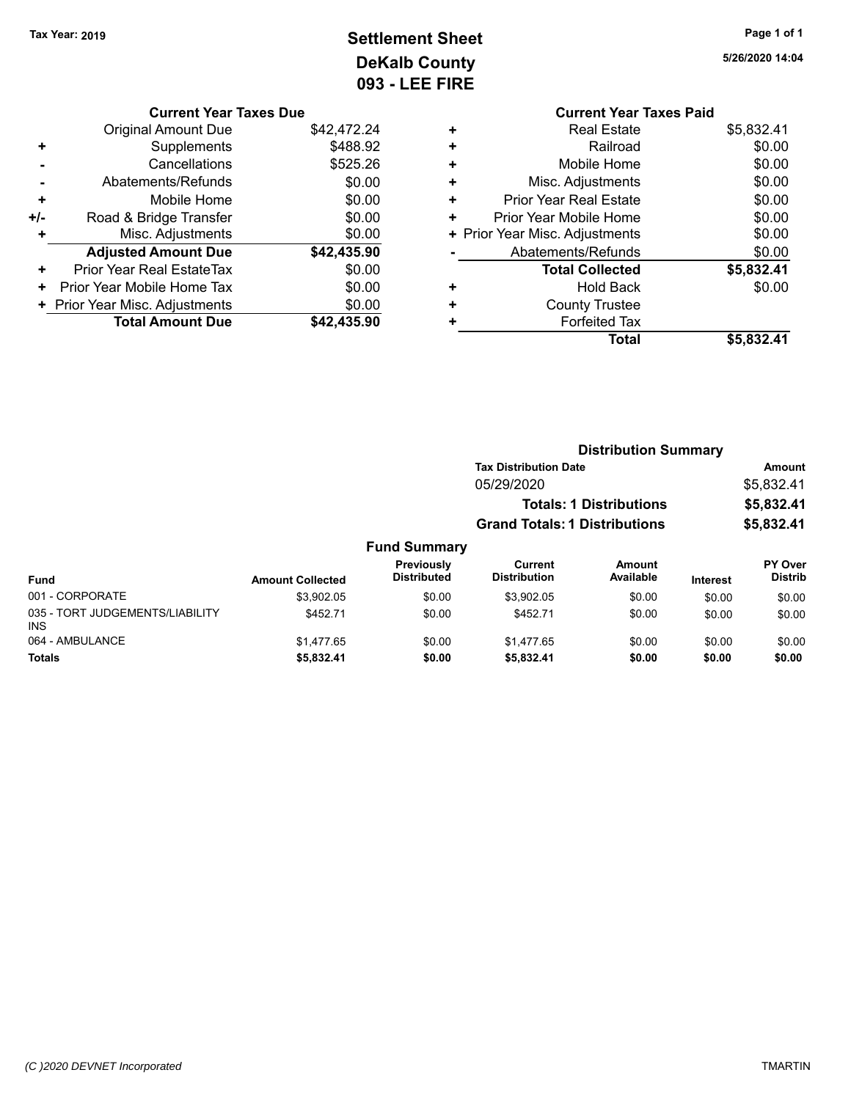## **Settlement Sheet Tax Year: 2019 Page 1 of 1 DeKalb County 093 - LEE FIRE**

| \$42,472.24<br>\$488.92 |
|-------------------------|
|                         |
|                         |
| \$525.26                |
| \$0.00                  |
| \$0.00                  |
| \$0.00                  |
| \$0.00                  |
| \$42,435.90             |
|                         |
| \$0.00                  |
| \$0.00                  |
| \$0.00                  |
|                         |

**5/26/2020 14:04**

|   | <b>Current Year Taxes Paid</b> |            |
|---|--------------------------------|------------|
| ٠ | <b>Real Estate</b>             | \$5,832.41 |
| ٠ | Railroad                       | \$0.00     |
| ٠ | Mobile Home                    | \$0.00     |
| ٠ | Misc. Adjustments              | \$0.00     |
| ٠ | <b>Prior Year Real Estate</b>  | \$0.00     |
| ٠ | Prior Year Mobile Home         | \$0.00     |
|   | + Prior Year Misc. Adjustments | \$0.00     |
|   | Abatements/Refunds             | \$0.00     |
|   | <b>Total Collected</b>         | \$5,832.41 |
| ٠ | <b>Hold Back</b>               | \$0.00     |
|   | <b>County Trustee</b>          |            |
|   | <b>Forfeited Tax</b>           |            |
|   | Total                          | \$5,832.41 |
|   |                                |            |

|                                         |                         |                                         | <b>Distribution Summary</b>                  |                     |                 |                                  |  |
|-----------------------------------------|-------------------------|-----------------------------------------|----------------------------------------------|---------------------|-----------------|----------------------------------|--|
|                                         |                         |                                         | <b>Tax Distribution Date</b>                 |                     | Amount          |                                  |  |
|                                         |                         |                                         | 05/29/2020<br><b>Totals: 1 Distributions</b> |                     |                 | \$5,832.41                       |  |
|                                         |                         |                                         |                                              |                     |                 | \$5,832.41                       |  |
|                                         |                         |                                         | <b>Grand Totals: 1 Distributions</b>         |                     |                 | \$5,832.41                       |  |
|                                         |                         | <b>Fund Summary</b>                     |                                              |                     |                 |                                  |  |
| <b>Fund</b>                             | <b>Amount Collected</b> | <b>Previously</b><br><b>Distributed</b> | Current<br><b>Distribution</b>               | Amount<br>Available | <b>Interest</b> | <b>PY Over</b><br><b>Distrib</b> |  |
| 001 - CORPORATE                         | \$3.902.05              | \$0.00                                  | \$3,902.05                                   | \$0.00              | \$0.00          | \$0.00                           |  |
| 035 - TORT JUDGEMENTS/LIABILITY<br>INS. | \$452.71                | \$0.00                                  | \$452.71                                     | \$0.00              | \$0.00          | \$0.00                           |  |
| 064 - AMBULANCE                         | \$1,477.65              | \$0.00                                  | \$1.477.65                                   | \$0.00              | \$0.00          | \$0.00                           |  |

**Totals \$5,832.41 \$0.00 \$5,832.41 \$0.00 \$0.00 \$0.00**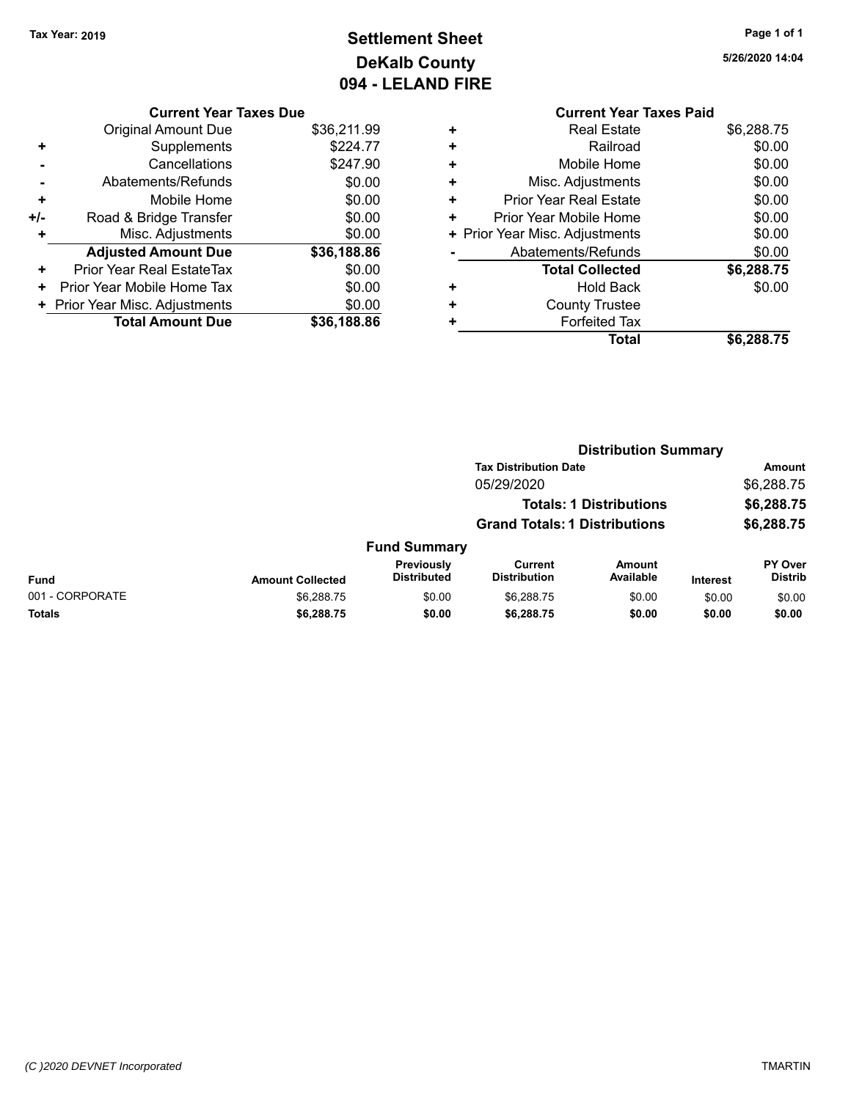### **Settlement Sheet Tax Year: 2019 Page 1 of 1 DeKalb County 094 - LELAND FIRE**

**5/26/2020 14:04**

### **Current Year Taxes Due**

|     | <b>Original Amount Due</b>     | \$36,211.99 |
|-----|--------------------------------|-------------|
|     | Supplements                    | \$224.77    |
|     | Cancellations                  | \$247.90    |
|     | Abatements/Refunds             | \$0.00      |
| ٠   | Mobile Home                    | \$0.00      |
| +/- | Road & Bridge Transfer         | \$0.00      |
| ٠   | Misc. Adjustments              | \$0.00      |
|     | <b>Adjusted Amount Due</b>     | \$36,188.86 |
| ÷   | Prior Year Real EstateTax      | \$0.00      |
| ٠   | Prior Year Mobile Home Tax     | \$0.00      |
|     | + Prior Year Misc. Adjustments | \$0.00      |
|     | <b>Total Amount Due</b>        | \$36,188.86 |

### **Current Year Taxes Paid +** Real Estate \$6,288.75 **+** Railroad \$0.00 **+** Mobile Home \$0.00 **+** Misc. Adjustments \$0.00 **+** Prior Year Real Estate \$0.00 **+** Prior Year Mobile Home \$0.00 **+ Prior Year Misc. Adjustments**  $$0.00$ **-** Abatements/Refunds \$0.00 **Total Collected \$6,288.75 +** Hold Back \$0.00 **+** County Trustee **+** Forfeited Tax **Total \$6,288.75**

|                 |                         | <b>Distribution Summary</b>      |                                       |                                |                 |                                  |  |
|-----------------|-------------------------|----------------------------------|---------------------------------------|--------------------------------|-----------------|----------------------------------|--|
|                 |                         |                                  | <b>Tax Distribution Date</b>          |                                |                 | Amount                           |  |
|                 |                         |                                  | 05/29/2020                            |                                |                 | \$6,288.75                       |  |
|                 |                         |                                  |                                       | <b>Totals: 1 Distributions</b> |                 | \$6,288.75                       |  |
|                 |                         |                                  | <b>Grand Totals: 1 Distributions</b>  |                                |                 | \$6,288.75                       |  |
|                 |                         | <b>Fund Summary</b>              |                                       |                                |                 |                                  |  |
| Fund            | <b>Amount Collected</b> | Previously<br><b>Distributed</b> | <b>Current</b><br><b>Distribution</b> | <b>Amount</b><br>Available     | <b>Interest</b> | <b>PY Over</b><br><b>Distrib</b> |  |
| 001 - CORPORATE | \$6,288.75              | \$0.00                           | \$6,288.75                            | \$0.00                         | \$0.00          | \$0.00                           |  |
| Totals          | \$6,288.75              | \$0.00                           | \$6,288.75                            | \$0.00                         | \$0.00          | \$0.00                           |  |
|                 |                         |                                  |                                       |                                |                 |                                  |  |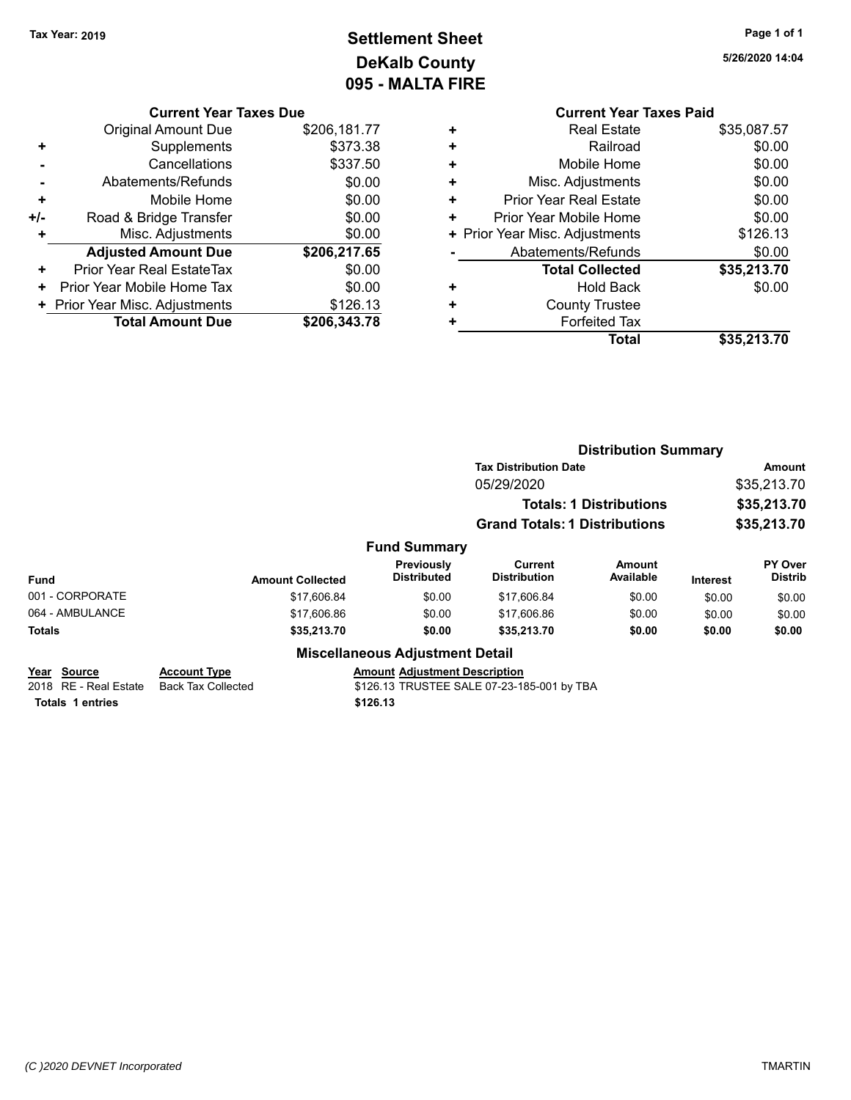## **Settlement Sheet Tax Year: 2019 Page 1 of 1 DeKalb County 095 - MALTA FIRE**

**5/26/2020 14:04**

| <b>Current Year Taxes Due</b> |  |  |
|-------------------------------|--|--|
|                               |  |  |

|     | <b>Original Amount Due</b>     | \$206,181.77 |
|-----|--------------------------------|--------------|
|     | Supplements                    | \$373.38     |
|     | Cancellations                  | \$337.50     |
|     | Abatements/Refunds             | \$0.00       |
| ٠   | Mobile Home                    | \$0.00       |
| +/- | Road & Bridge Transfer         | \$0.00       |
| ٠   | Misc. Adjustments              | \$0.00       |
|     | <b>Adjusted Amount Due</b>     | \$206,217.65 |
| ٠   | Prior Year Real EstateTax      | \$0.00       |
|     | Prior Year Mobile Home Tax     | \$0.00       |
|     | + Prior Year Misc. Adjustments | \$126.13     |
|     | <b>Total Amount Due</b>        | \$206,343.78 |

|   | <b>Current Year Taxes Paid</b> |             |
|---|--------------------------------|-------------|
| ٠ | <b>Real Estate</b>             | \$35,087.57 |
|   | Railroad                       | \$0.00      |
|   | Mobile Home                    | \$0.00      |
| ٠ | Misc. Adjustments              | \$0.00      |
| ٠ | <b>Prior Year Real Estate</b>  | \$0.00      |
|   | Prior Year Mobile Home         | \$0.00      |
|   | + Prior Year Misc. Adjustments | \$126.13    |
|   | Abatements/Refunds             | \$0.00      |
|   | <b>Total Collected</b>         | \$35,213.70 |
|   | <b>Hold Back</b>               | \$0.00      |
|   | <b>County Trustee</b>          |             |
|   | <b>Forfeited Tax</b>           |             |
|   | Total                          | \$35,213.70 |
|   |                                |             |

|                 |                     |                         |                                        | <b>Distribution Summary</b>          |                                |                 |                           |
|-----------------|---------------------|-------------------------|----------------------------------------|--------------------------------------|--------------------------------|-----------------|---------------------------|
|                 |                     |                         |                                        | <b>Tax Distribution Date</b>         |                                |                 | <b>Amount</b>             |
|                 |                     |                         |                                        | 05/29/2020                           |                                |                 | \$35,213.70               |
|                 |                     |                         |                                        |                                      | <b>Totals: 1 Distributions</b> |                 | \$35,213.70               |
|                 |                     |                         |                                        | <b>Grand Totals: 1 Distributions</b> |                                |                 | \$35,213.70               |
|                 |                     |                         | <b>Fund Summary</b>                    |                                      |                                |                 |                           |
| <b>Fund</b>     |                     | <b>Amount Collected</b> | Previously<br><b>Distributed</b>       | Current<br><b>Distribution</b>       | <b>Amount</b><br>Available     | <b>Interest</b> | PY Over<br><b>Distrib</b> |
| 001 - CORPORATE |                     | \$17.606.84             | \$0.00                                 | \$17.606.84                          | \$0.00                         | \$0.00          | \$0.00                    |
| 064 - AMBULANCE |                     | \$17,606.86             | \$0.00                                 | \$17,606.86                          | \$0.00                         | \$0.00          | \$0.00                    |
| <b>Totals</b>   |                     | \$35,213.70             | \$0.00                                 | \$35,213.70                          | \$0.00                         | \$0.00          | \$0.00                    |
|                 |                     |                         | <b>Miscellaneous Adjustment Detail</b> |                                      |                                |                 |                           |
| Year<br>Source  | <b>Account Type</b> |                         | <b>Amount Adjustment Description</b>   |                                      |                                |                 |                           |

| .<br>2018 RE - Real Estate Back Tax Collected | .<br>\$126.13 TRUSTEE SALE 07-23-185-001 by TBA |
|-----------------------------------------------|-------------------------------------------------|
| Totals 1 entries                              | \$126.13                                        |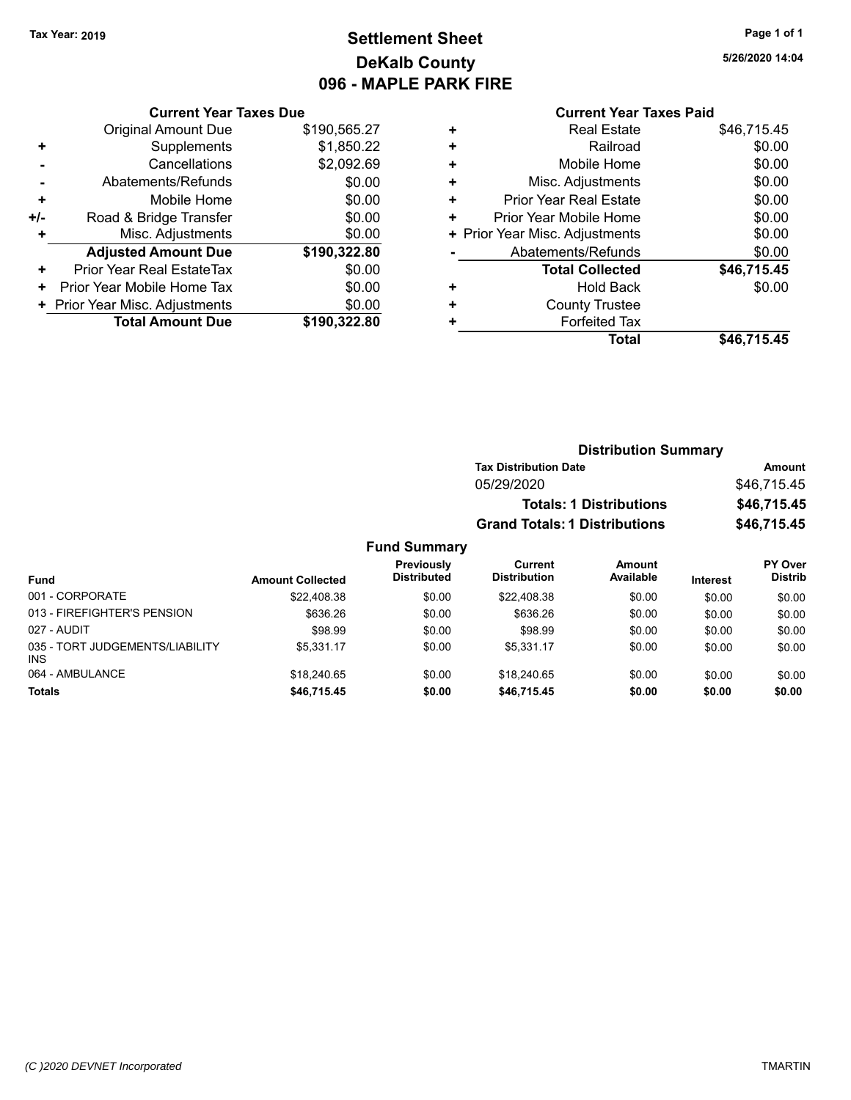### **Settlement Sheet Tax Year: 2019 Page 1 of 1 DeKalb County 096 - MAPLE PARK FIRE**

**5/26/2020 14:04**

#### **Current Year Taxes Paid**

|     | <b>Current Year Taxes Due</b>  |              |  |  |  |  |  |
|-----|--------------------------------|--------------|--|--|--|--|--|
|     | <b>Original Amount Due</b>     | \$190,565.27 |  |  |  |  |  |
| ٠   | Supplements                    | \$1,850.22   |  |  |  |  |  |
|     | Cancellations                  | \$2,092.69   |  |  |  |  |  |
|     | Abatements/Refunds             | \$0.00       |  |  |  |  |  |
| ٠   | Mobile Home                    | \$0.00       |  |  |  |  |  |
| +/- | Road & Bridge Transfer         | \$0.00       |  |  |  |  |  |
| ٠   | Misc. Adjustments              | \$0.00       |  |  |  |  |  |
|     | <b>Adjusted Amount Due</b>     | \$190,322.80 |  |  |  |  |  |
| ÷   | Prior Year Real EstateTax      | \$0.00       |  |  |  |  |  |
| ÷   | Prior Year Mobile Home Tax     | \$0.00       |  |  |  |  |  |
|     | + Prior Year Misc. Adjustments | \$0.00       |  |  |  |  |  |
|     | <b>Total Amount Due</b>        | \$190.322.80 |  |  |  |  |  |

| ٠ | <b>Real Estate</b>             | \$46,715.45 |
|---|--------------------------------|-------------|
| ٠ | Railroad                       | \$0.00      |
| ٠ | Mobile Home                    | \$0.00      |
| ٠ | Misc. Adjustments              | \$0.00      |
| ٠ | <b>Prior Year Real Estate</b>  | \$0.00      |
| ٠ | Prior Year Mobile Home         | \$0.00      |
|   | + Prior Year Misc. Adjustments | \$0.00      |
|   | Abatements/Refunds             | \$0.00      |
|   | <b>Total Collected</b>         | \$46,715.45 |
| ٠ | Hold Back                      | \$0.00      |
| ٠ | <b>County Trustee</b>          |             |
| ٠ | <b>Forfeited Tax</b>           |             |
|   | Total                          | \$46,715.45 |
|   |                                |             |

| <b>Distribution Summary</b>          |             |
|--------------------------------------|-------------|
| <b>Tax Distribution Date</b>         | Amount      |
| 05/29/2020                           | \$46,715.45 |
| <b>Totals: 1 Distributions</b>       | \$46,715.45 |
| <b>Grand Totals: 1 Distributions</b> | \$46,715.45 |

| <b>Fund</b>                                   | <b>Amount Collected</b> | Previously<br><b>Distributed</b> | Current<br><b>Distribution</b> | <b>Amount</b><br>Available | <b>Interest</b> | PY Over<br><b>Distrib</b> |
|-----------------------------------------------|-------------------------|----------------------------------|--------------------------------|----------------------------|-----------------|---------------------------|
| 001 - CORPORATE                               | \$22,408.38             | \$0.00                           | \$22,408.38                    | \$0.00                     | \$0.00          | \$0.00                    |
| 013 - FIREFIGHTER'S PENSION                   | \$636.26                | \$0.00                           | \$636.26                       | \$0.00                     | \$0.00          | \$0.00                    |
| 027 - AUDIT                                   | \$98.99                 | \$0.00                           | \$98.99                        | \$0.00                     | \$0.00          | \$0.00                    |
| 035 - TORT JUDGEMENTS/LIABILITY<br><b>INS</b> | \$5.331.17              | \$0.00                           | \$5.331.17                     | \$0.00                     | \$0.00          | \$0.00                    |
| 064 - AMBULANCE                               | \$18,240.65             | \$0.00                           | \$18,240.65                    | \$0.00                     | \$0.00          | \$0.00                    |
| <b>Totals</b>                                 | \$46.715.45             | \$0.00                           | \$46.715.45                    | \$0.00                     | \$0.00          | \$0.00                    |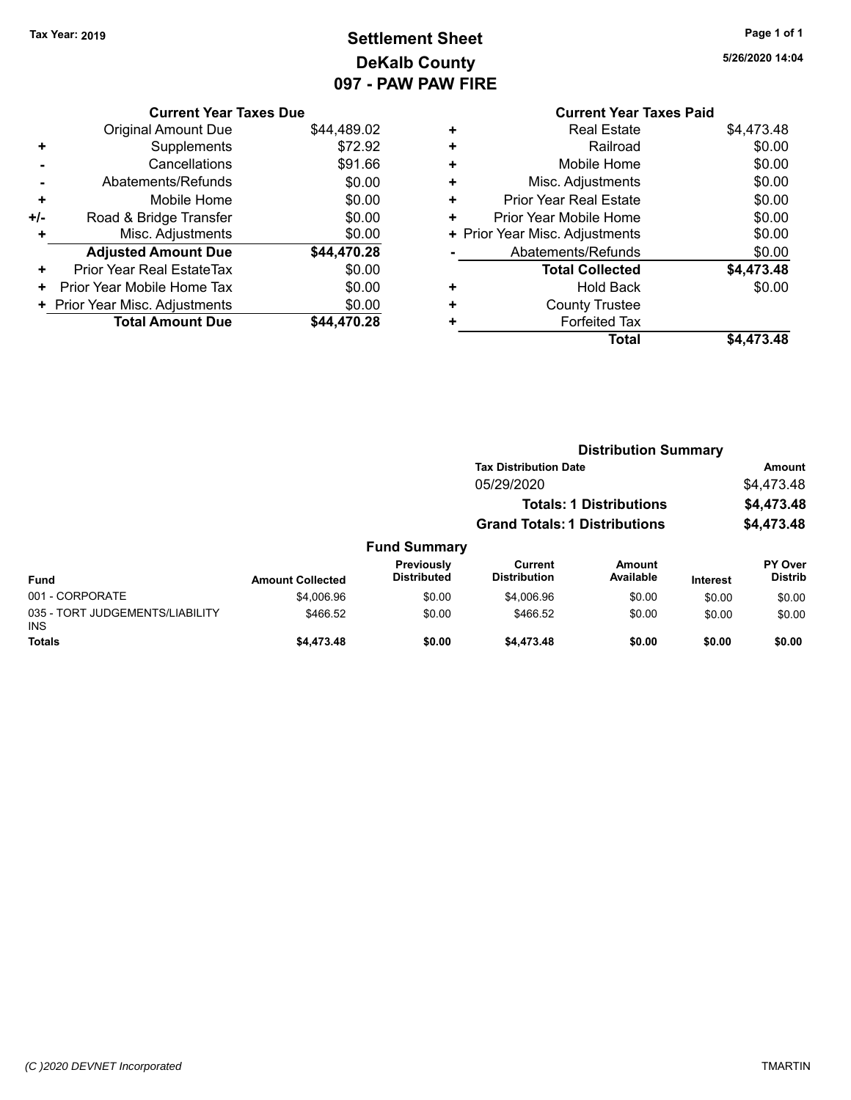$035 -$ INS

### **Settlement Sheet Tax Year: 2019 Page 1 of 1 DeKalb County 097 - PAW PAW FIRE**

**5/26/2020 14:04**

| <b>Current Year Taxes Due</b> |  |  |
|-------------------------------|--|--|
|                               |  |  |

|       | <b>Original Amount Due</b>     | \$44,489.02 |
|-------|--------------------------------|-------------|
|       | Supplements                    | \$72.92     |
|       | Cancellations                  | \$91.66     |
|       | Abatements/Refunds             | \$0.00      |
| ٠     | Mobile Home                    | \$0.00      |
| $+/-$ | Road & Bridge Transfer         | \$0.00      |
|       | Misc. Adjustments              | \$0.00      |
|       | <b>Adjusted Amount Due</b>     | \$44,470.28 |
| ٠     | Prior Year Real EstateTax      | \$0.00      |
|       | Prior Year Mobile Home Tax     | \$0.00      |
|       | + Prior Year Misc. Adjustments | \$0.00      |
|       | <b>Total Amount Due</b>        | \$44.470.28 |

### **Current Year Taxes Paid +** Real Estate \$4,473.48 **+** Railroad \$0.00 **+** Mobile Home \$0.00 **+** Misc. Adjustments \$0.00 **+** Prior Year Real Estate \$0.00 **+** Prior Year Mobile Home \$0.00 **+ Prior Year Misc. Adjustments**  $$0.00$ **-** Abatements/Refunds \$0.00 **Total Collected \$4,473.48 +** Hold Back \$0.00 **+** County Trustee **+** Forfeited Tax **Total \$4,473.48**

|                                         |                         |                                  | <b>Distribution Summary</b>          |                                |                 |                                  |  |
|-----------------------------------------|-------------------------|----------------------------------|--------------------------------------|--------------------------------|-----------------|----------------------------------|--|
|                                         |                         |                                  | <b>Tax Distribution Date</b>         |                                |                 | Amount                           |  |
|                                         |                         |                                  | 05/29/2020                           |                                |                 | \$4,473.48                       |  |
|                                         |                         |                                  |                                      | <b>Totals: 1 Distributions</b> |                 | \$4,473.48                       |  |
|                                         |                         |                                  | <b>Grand Totals: 1 Distributions</b> |                                |                 | \$4,473.48                       |  |
|                                         |                         | <b>Fund Summary</b>              |                                      |                                |                 |                                  |  |
| <b>Fund</b>                             | <b>Amount Collected</b> | Previously<br><b>Distributed</b> | Current<br><b>Distribution</b>       | <b>Amount</b><br>Available     | <b>Interest</b> | <b>PY Over</b><br><b>Distrib</b> |  |
| 001 - CORPORATE                         | \$4,006.96              | \$0.00                           | \$4,006.96                           | \$0.00                         | \$0.00          | \$0.00                           |  |
| 035 - TORT JUDGEMENTS/LIABILITY<br>INS. | \$466.52                | \$0.00                           | \$466.52                             | \$0.00                         | \$0.00          | \$0.00                           |  |
| <b>Totals</b>                           | \$4,473.48              | \$0.00                           | \$4,473.48                           | \$0.00                         | \$0.00          | \$0.00                           |  |
|                                         |                         |                                  |                                      |                                |                 |                                  |  |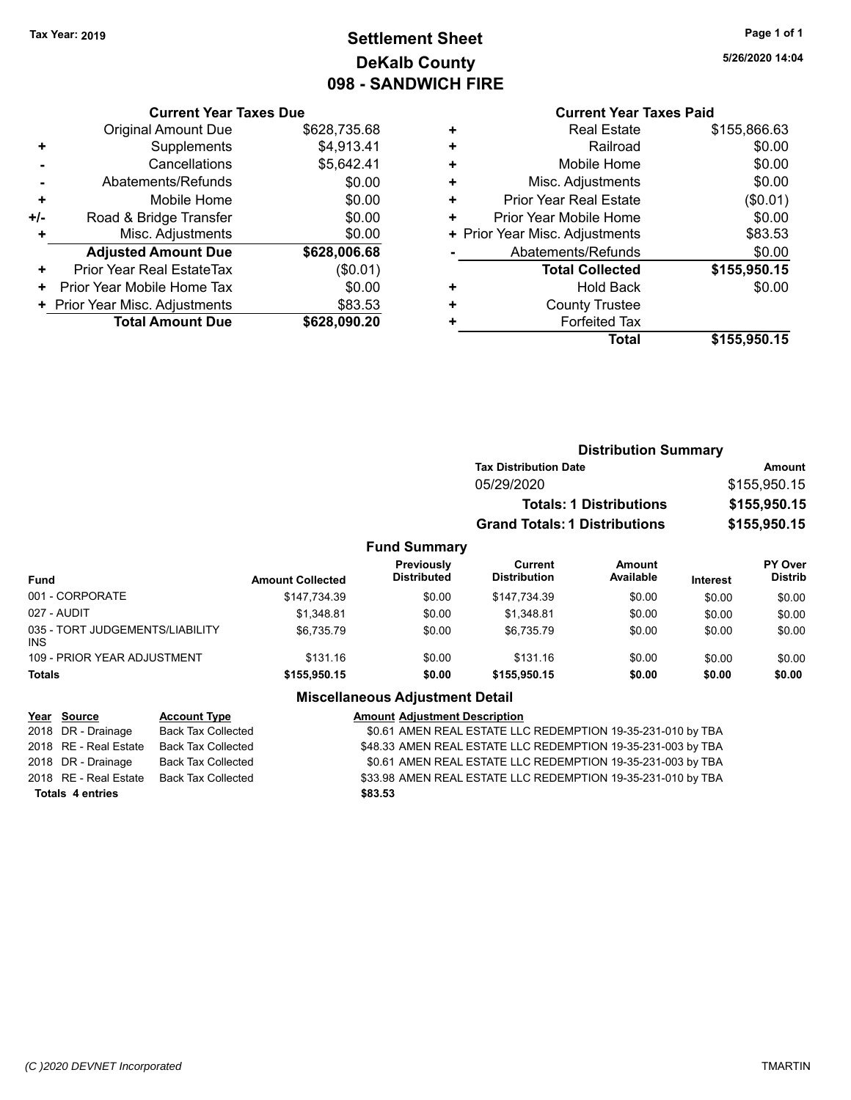### **Settlement Sheet Tax Year: 2019 Page 1 of 1 DeKalb County 098 - SANDWICH FIRE**

**5/26/2020 14:04**

|       | <b>Current Year Taxes Due</b>  |              |
|-------|--------------------------------|--------------|
|       | <b>Original Amount Due</b>     | \$628,735.68 |
| ٠     | Supplements                    | \$4,913.41   |
|       | Cancellations                  | \$5,642.41   |
|       | Abatements/Refunds             | \$0.00       |
| ٠     | Mobile Home                    | \$0.00       |
| $+/-$ | Road & Bridge Transfer         | \$0.00       |
| ٠     | Misc. Adjustments              | \$0.00       |
|       | <b>Adjusted Amount Due</b>     | \$628,006.68 |
| ٠     | Prior Year Real EstateTax      | (\$0.01)     |
| ٠     | Prior Year Mobile Home Tax     | \$0.00       |
|       | + Prior Year Misc. Adjustments | \$83.53      |
|       | <b>Total Amount Due</b>        | \$628,090.20 |

|   | <b>Current Year Taxes Paid</b> |              |  |  |  |
|---|--------------------------------|--------------|--|--|--|
| ٠ | <b>Real Estate</b>             | \$155,866.63 |  |  |  |
| ٠ | Railroad                       | \$0.00       |  |  |  |
| ٠ | Mobile Home                    | \$0.00       |  |  |  |
| ٠ | Misc. Adjustments              | \$0.00       |  |  |  |
| ٠ | <b>Prior Year Real Estate</b>  | (\$0.01)     |  |  |  |
| ٠ | Prior Year Mobile Home         | \$0.00       |  |  |  |
|   | + Prior Year Misc. Adjustments | \$83.53      |  |  |  |
|   | Abatements/Refunds             | \$0.00       |  |  |  |
|   | <b>Total Collected</b>         | \$155,950.15 |  |  |  |
| ٠ | <b>Hold Back</b>               | \$0.00       |  |  |  |
|   | <b>County Trustee</b>          |              |  |  |  |
| ٠ | <b>Forfeited Tax</b>           |              |  |  |  |
|   | Total                          | \$155,950.15 |  |  |  |
|   |                                |              |  |  |  |

|                                               |                         |                                  | <b>Distribution Summary</b>           |                                |          |                                  |
|-----------------------------------------------|-------------------------|----------------------------------|---------------------------------------|--------------------------------|----------|----------------------------------|
|                                               |                         |                                  | <b>Tax Distribution Date</b>          |                                |          | Amount                           |
|                                               |                         |                                  | 05/29/2020                            |                                |          | \$155,950.15                     |
|                                               |                         |                                  |                                       | <b>Totals: 1 Distributions</b> |          | \$155,950.15                     |
|                                               |                         |                                  | <b>Grand Totals: 1 Distributions</b>  |                                |          | \$155,950.15                     |
|                                               |                         | <b>Fund Summary</b>              |                                       |                                |          |                                  |
| <b>Fund</b>                                   | <b>Amount Collected</b> | Previously<br><b>Distributed</b> | <b>Current</b><br><b>Distribution</b> | Amount<br>Available            | Interest | <b>PY Over</b><br><b>Distrib</b> |
| 001 - CORPORATE                               | \$147,734.39            | \$0.00                           | \$147,734.39                          | \$0.00                         | \$0.00   | \$0.00                           |
| 027 - AUDIT                                   | \$1,348.81              | \$0.00                           | \$1,348.81                            | \$0.00                         | \$0.00   | \$0.00                           |
| 035 - TORT JUDGEMENTS/LIABILITY<br><b>INS</b> | \$6,735.79              | \$0.00                           | \$6,735.79                            | \$0.00                         | \$0.00   | \$0.00                           |
| 109 - PRIOR YEAR ADJUSTMENT                   | \$131.16                | \$0.00                           | \$131.16                              | \$0.00                         | \$0.00   | \$0.00                           |
| <b>Totals</b>                                 | \$155,950.15            | \$0.00                           | \$155,950.15                          | \$0.00                         | \$0.00   | \$0.00                           |

### **Miscellaneous Adjustment Detail**

|                         | Year Source           | <b>Account Type</b>       | <b>Amount Adjustment Description</b>                         |
|-------------------------|-----------------------|---------------------------|--------------------------------------------------------------|
|                         | 2018 DR - Drainage    | <b>Back Tax Collected</b> | \$0.61 AMEN REAL ESTATE LLC REDEMPTION 19-35-231-010 by TBA  |
|                         | 2018 RE - Real Estate | Back Tax Collected        | \$48.33 AMEN REAL ESTATE LLC REDEMPTION 19-35-231-003 by TBA |
|                         | 2018 DR - Drainage    | Back Tax Collected        | \$0.61 AMEN REAL ESTATE LLC REDEMPTION 19-35-231-003 by TBA  |
|                         | 2018 RE - Real Estate | Back Tax Collected        | \$33.98 AMEN REAL ESTATE LLC REDEMPTION 19-35-231-010 by TBA |
| <b>Totals 4 entries</b> |                       |                           | \$83.53                                                      |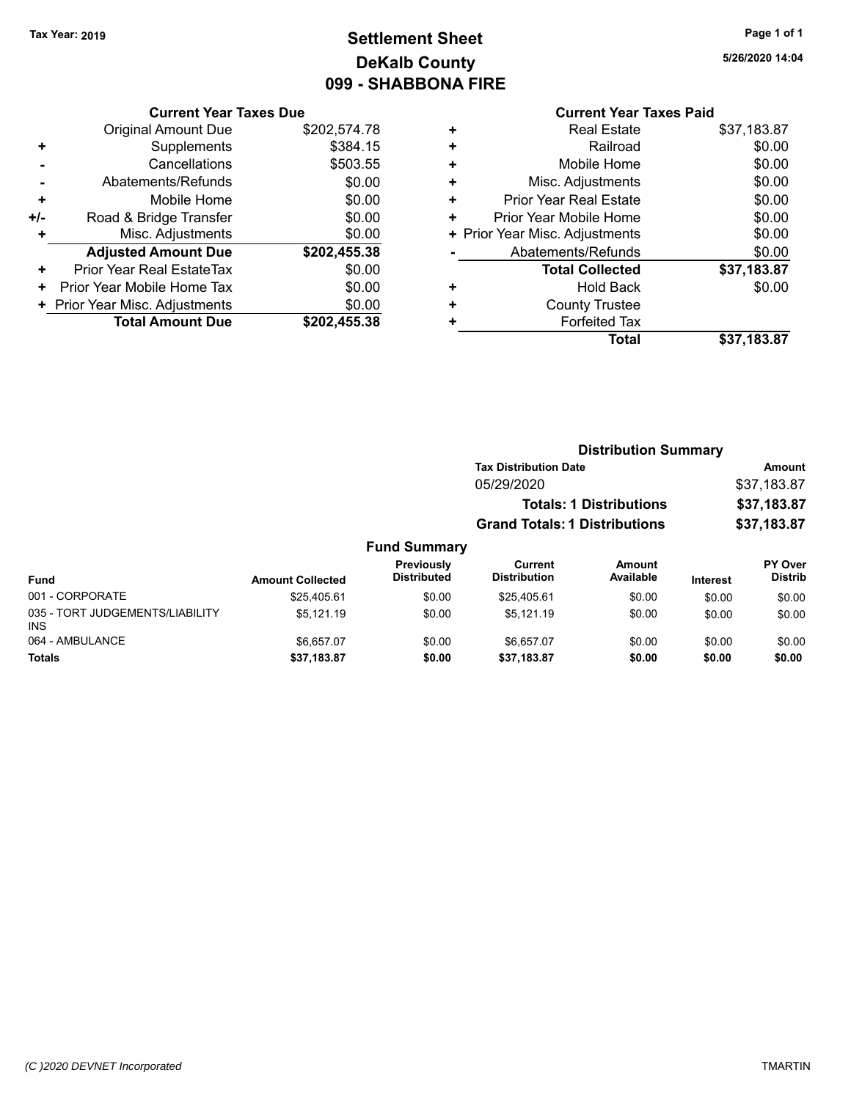### **Settlement Sheet Tax Year: 2019 Page 1 of 1 DeKalb County 099 - SHABBONA FIRE**

#### **Current Year Taxes Due**

|     | <b>Original Amount Due</b>     | \$202,574.78 |
|-----|--------------------------------|--------------|
| ÷   | Supplements                    | \$384.15     |
|     | Cancellations                  | \$503.55     |
|     | Abatements/Refunds             | \$0.00       |
| ٠   | Mobile Home                    | \$0.00       |
| +/- | Road & Bridge Transfer         | \$0.00       |
| ٠   | Misc. Adjustments              | \$0.00       |
|     | <b>Adjusted Amount Due</b>     | \$202,455.38 |
| ٠   | Prior Year Real EstateTax      | \$0.00       |
| ٠   | Prior Year Mobile Home Tax     | \$0.00       |
|     | + Prior Year Misc. Adjustments | \$0.00       |
|     | <b>Total Amount Due</b>        | \$202,455.38 |

### **Current Year Taxes Paid**

|   | <b>Real Estate</b>             | \$37,183.87 |
|---|--------------------------------|-------------|
| ٠ | Railroad                       | \$0.00      |
| ٠ | Mobile Home                    | \$0.00      |
| ٠ | Misc. Adjustments              | \$0.00      |
| ٠ | <b>Prior Year Real Estate</b>  | \$0.00      |
| ٠ | Prior Year Mobile Home         | \$0.00      |
|   | + Prior Year Misc. Adjustments | \$0.00      |
|   | Abatements/Refunds             | \$0.00      |
|   | <b>Total Collected</b>         | \$37,183.87 |
| ٠ | <b>Hold Back</b>               | \$0.00      |
| ٠ | <b>County Trustee</b>          |             |
| ٠ | <b>Forfeited Tax</b>           |             |
|   | <b>Total</b>                   | \$37,183.87 |
|   |                                |             |

### **Distribution Summary Tax Distribution Date Amount** 05/29/2020 \$37,183.87 **Totals: 1 Distributions \$37,183.87 Grand Totals: 1 Distributions \$37,183.87**

| <b>Fund</b>                                   | <b>Amount Collected</b> | <b>Previously</b><br><b>Distributed</b> | Current<br><b>Distribution</b> | Amount<br>Available | <b>Interest</b> | <b>PY Over</b><br><b>Distrib</b> |
|-----------------------------------------------|-------------------------|-----------------------------------------|--------------------------------|---------------------|-----------------|----------------------------------|
| 001 - CORPORATE                               | \$25,405.61             | \$0.00                                  | \$25.405.61                    | \$0.00              | \$0.00          | \$0.00                           |
| 035 - TORT JUDGEMENTS/LIABILITY<br><b>INS</b> | \$5.121.19              | \$0.00                                  | \$5.121.19                     | \$0.00              | \$0.00          | \$0.00                           |
| 064 - AMBULANCE                               | \$6.657.07              | \$0.00                                  | \$6.657.07                     | \$0.00              | \$0.00          | \$0.00                           |
| Totals                                        | \$37,183.87             | \$0.00                                  | \$37,183.87                    | \$0.00              | \$0.00          | \$0.00                           |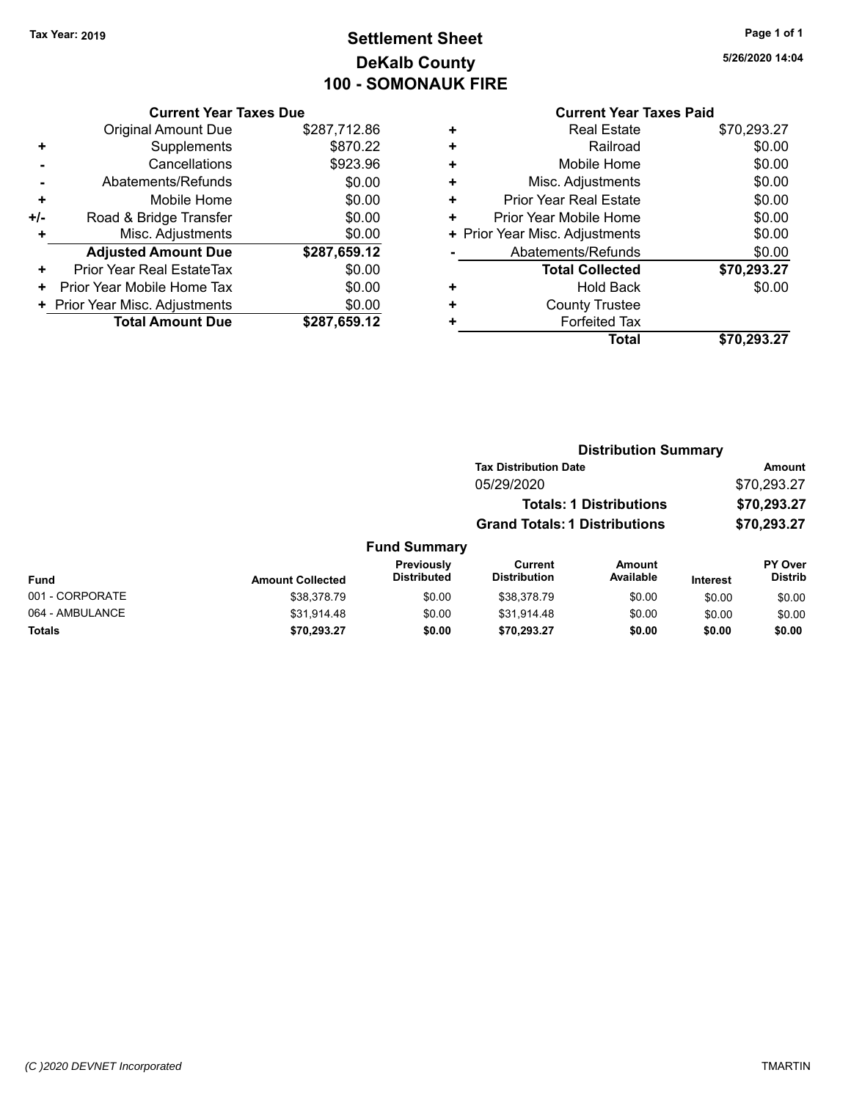### **Settlement Sheet Tax Year: 2019 Page 1 of 1 DeKalb County 100 - SOMONAUK FIRE**

**5/26/2020 14:04**

|     | <b>Current Year Taxes Due</b>  |              |  |  |
|-----|--------------------------------|--------------|--|--|
|     | <b>Original Amount Due</b>     | \$287,712.86 |  |  |
| ٠   | Supplements                    | \$870.22     |  |  |
|     | Cancellations                  | \$923.96     |  |  |
|     | Abatements/Refunds             | \$0.00       |  |  |
| ٠   | Mobile Home                    | \$0.00       |  |  |
| +/- | Road & Bridge Transfer         | \$0.00       |  |  |
| ٠   | Misc. Adjustments              | \$0.00       |  |  |
|     | <b>Adjusted Amount Due</b>     | \$287,659.12 |  |  |
| ٠   | Prior Year Real EstateTax      | \$0.00       |  |  |
| ٠   | Prior Year Mobile Home Tax     | \$0.00       |  |  |
|     | + Prior Year Misc. Adjustments | \$0.00       |  |  |
|     | <b>Total Amount Due</b>        | \$287,659.12 |  |  |
|     |                                |              |  |  |

| ٠ | <b>Real Estate</b>             | \$70,293.27 |
|---|--------------------------------|-------------|
| ٠ | Railroad                       | \$0.00      |
| ٠ | Mobile Home                    | \$0.00      |
| ٠ | Misc. Adjustments              | \$0.00      |
| ٠ | Prior Year Real Estate         | \$0.00      |
| ٠ | Prior Year Mobile Home         | \$0.00      |
|   | + Prior Year Misc. Adjustments | \$0.00      |
|   | Abatements/Refunds             | \$0.00      |
|   | <b>Total Collected</b>         | \$70,293.27 |
| ٠ | <b>Hold Back</b>               | \$0.00      |
| ٠ | <b>County Trustee</b>          |             |
| ٠ | <b>Forfeited Tax</b>           |             |
|   | <b>Total</b>                   | \$70,293.27 |
|   |                                |             |

|                     |                                      | <b>Distribution Summary</b>    |                |
|---------------------|--------------------------------------|--------------------------------|----------------|
|                     | <b>Tax Distribution Date</b>         |                                | Amount         |
|                     | 05/29/2020                           |                                | \$70,293.27    |
|                     |                                      | <b>Totals: 1 Distributions</b> | \$70,293.27    |
|                     | <b>Grand Totals: 1 Distributions</b> |                                | \$70,293.27    |
| <b>Fund Summary</b> |                                      |                                |                |
| Previously          | Current                              | Amount                         | <b>PY Over</b> |

| Fund            | <b>Amount Collected</b> | <b>Previously</b><br><b>Distributed</b> | Current<br><b>Distribution</b> | Amount<br>Available | <b>Interest</b> | <b>PY Over</b><br><b>Distrib</b> |
|-----------------|-------------------------|-----------------------------------------|--------------------------------|---------------------|-----------------|----------------------------------|
| 001 - CORPORATE | \$38.378.79             | \$0.00                                  | \$38,378.79                    | \$0.00              | \$0.00          | \$0.00                           |
| 064 - AMBULANCE | \$31.914.48             | \$0.00                                  | \$31.914.48                    | \$0.00              | \$0.00          | \$0.00                           |
| <b>Totals</b>   | \$70.293.27             | \$0.00                                  | \$70.293.27                    | \$0.00              | \$0.00          | \$0.00                           |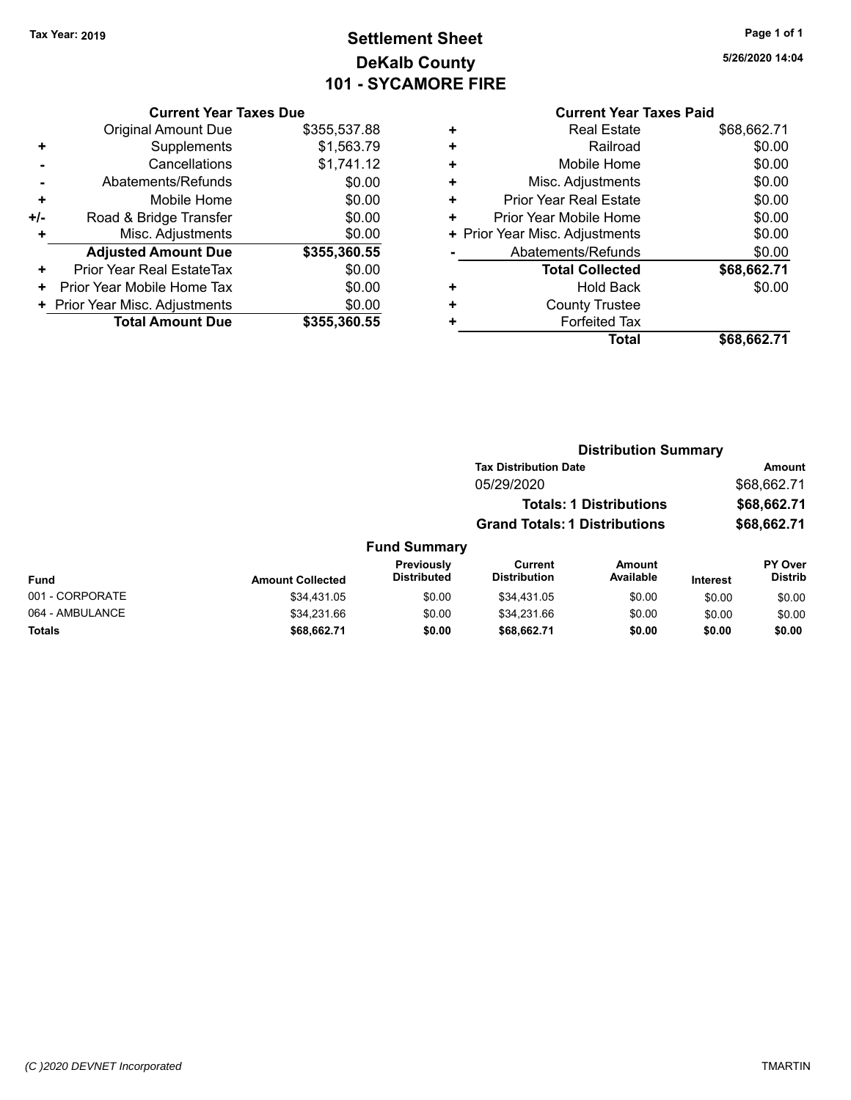### **Settlement Sheet Tax Year: 2019 Page 1 of 1 DeKalb County 101 - SYCAMORE FIRE**

| <b>Current Year Taxes Due</b> |                                |
|-------------------------------|--------------------------------|
| <b>Original Amount Due</b>    | \$355,537.88                   |
| Supplements                   | \$1,563.79                     |
| Cancellations                 | \$1,741.12                     |
| Abatements/Refunds            | \$0.00                         |
| Mobile Home                   | \$0.00                         |
| Road & Bridge Transfer        | \$0.00                         |
| Misc. Adjustments             | \$0.00                         |
| <b>Adjusted Amount Due</b>    | \$355,360.55                   |
| Prior Year Real EstateTax     | \$0.00                         |
| Prior Year Mobile Home Tax    | \$0.00                         |
|                               | \$0.00                         |
| <b>Total Amount Due</b>       | \$355,360.55                   |
|                               | + Prior Year Misc. Adjustments |

|   | <b>Current Year Taxes Paid</b> |             |
|---|--------------------------------|-------------|
| ٠ | <b>Real Estate</b>             | \$68,662.71 |
| ÷ | Railroad                       | \$0.00      |
| ÷ | Mobile Home                    | \$0.00      |
| ÷ | Misc. Adjustments              | \$0.00      |
| ÷ | <b>Prior Year Real Estate</b>  | \$0.00      |
| ٠ | Prior Year Mobile Home         | \$0.00      |
|   | + Prior Year Misc. Adjustments | \$0.00      |
|   | Abatements/Refunds             | \$0.00      |
|   | <b>Total Collected</b>         | \$68,662.71 |
| ٠ | <b>Hold Back</b>               | \$0.00      |
| ÷ | <b>County Trustee</b>          |             |
| ٠ | <b>Forfeited Tax</b>           |             |

**Total \$68,662.71**

|                     |                                      | <b>Distribution Summary</b>    |             |
|---------------------|--------------------------------------|--------------------------------|-------------|
|                     | <b>Tax Distribution Date</b>         |                                | Amount      |
|                     | 05/29/2020                           |                                | \$68,662.71 |
|                     |                                      | <b>Totals: 1 Distributions</b> | \$68,662.71 |
|                     | <b>Grand Totals: 1 Distributions</b> |                                | \$68,662.71 |
| <b>Fund Summary</b> |                                      |                                |             |
| <b>Provinuely</b>   | $C$ urront                           | <b>Amount</b>                  | DV ∩ver     |

| <b>Fund</b>     | <b>Amount Collected</b> | <b>Previously</b><br><b>Distributed</b> | Current<br><b>Distribution</b> | Amount<br>Available | <b>Interest</b> | <b>PY Over</b><br><b>Distrib</b> |
|-----------------|-------------------------|-----------------------------------------|--------------------------------|---------------------|-----------------|----------------------------------|
| 001 - CORPORATE | \$34,431.05             | \$0.00                                  | \$34.431.05                    | \$0.00              | \$0.00          | \$0.00                           |
| 064 - AMBULANCE | \$34,231.66             | \$0.00                                  | \$34.231.66                    | \$0.00              | \$0.00          | \$0.00                           |
| <b>Totals</b>   | \$68.662.71             | \$0.00                                  | \$68.662.71                    | \$0.00              | \$0.00          | \$0.00                           |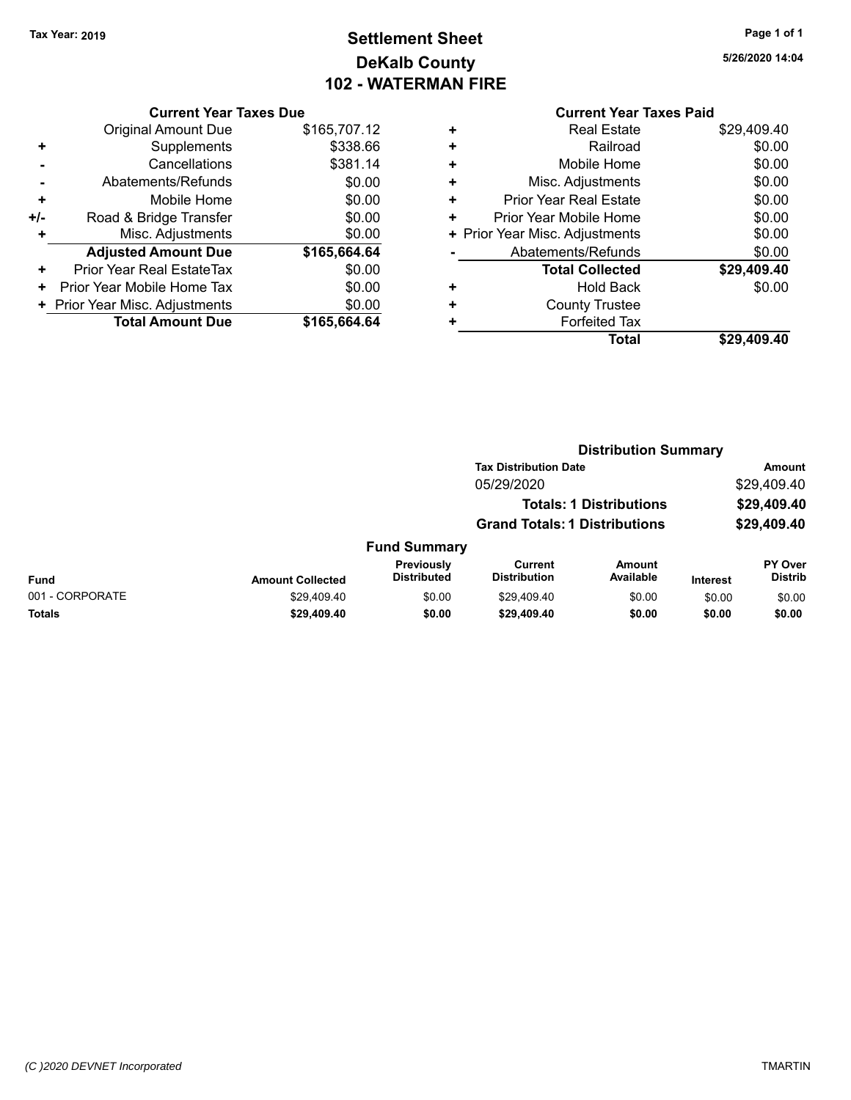### **Settlement Sheet Tax Year: 2019 Page 1 of 1 DeKalb County 102 - WATERMAN FIRE**

#### **Current Year Taxes Due**

|               | <b>Total Amount Due</b>        | \$165,664.64 |
|---------------|--------------------------------|--------------|
|               | + Prior Year Misc. Adjustments | \$0.00       |
| ٠             | Prior Year Mobile Home Tax     | \$0.00       |
| ٠             | Prior Year Real EstateTax      | \$0.00       |
|               | <b>Adjusted Amount Due</b>     | \$165,664.64 |
| ٠             | Misc. Adjustments              | \$0.00       |
| +/-           | Road & Bridge Transfer         | \$0.00       |
| ÷             | Mobile Home                    | \$0.00       |
|               | Abatements/Refunds             | \$0.00       |
| Cancellations |                                | \$381.14     |
| ٠             | Supplements                    | \$338.66     |
|               | <b>Original Amount Due</b>     | \$165,707.12 |
|               |                                |              |

## **Current Year Taxes Paid**

|   | <b>Total</b>                   | \$29,409.40 |
|---|--------------------------------|-------------|
|   | <b>Forfeited Tax</b>           |             |
| ÷ | <b>County Trustee</b>          |             |
| ٠ | <b>Hold Back</b>               | \$0.00      |
|   | <b>Total Collected</b>         | \$29,409.40 |
|   | Abatements/Refunds             | \$0.00      |
|   | + Prior Year Misc. Adjustments | \$0.00      |
| ٠ | Prior Year Mobile Home         | \$0.00      |
| ٠ | <b>Prior Year Real Estate</b>  | \$0.00      |
| ÷ | Misc. Adjustments              | \$0.00      |
| ٠ | Mobile Home                    | \$0.00      |
| ٠ | Railroad                       | \$0.00      |
|   | <b>Real Estate</b>             | \$29,409.40 |

#### **Distribution Summary Tax Distribution Date Amount** 05/29/2020 \$29,409.40 **Totals: 1 Distributions \$29,409.40 Grand Totals: 1 Distributions \$29,409.40 Fund Summary PY Over Amount Current Previously**

| Fund            | <b>Amount Collected</b> | Previously<br><b>Distributed</b> | Current<br><b>Distribution</b> | Amount<br>Available | <b>Interest</b> | <b>PY Over</b><br>Distrib |
|-----------------|-------------------------|----------------------------------|--------------------------------|---------------------|-----------------|---------------------------|
| 001 - CORPORATE | \$29.409.40             | \$0.00                           | \$29.409.40                    | \$0.00              | \$0.00          | \$0.00                    |
| <b>Totals</b>   | \$29,409.40             | \$0.00                           | \$29,409.40                    | \$0.00              | \$0.00          | \$0.00                    |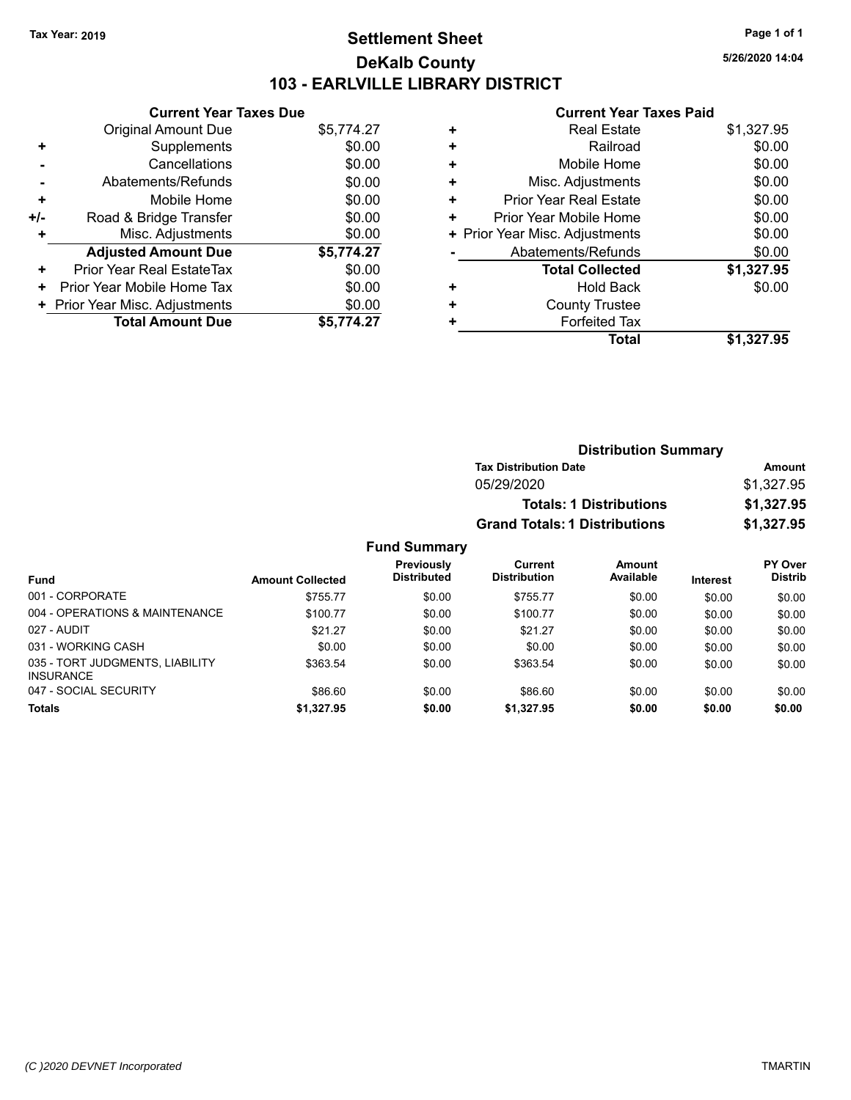### **Settlement Sheet Tax Year: 2019 Page 1 of 1 DeKalb County 103 - EARLVILLE LIBRARY DISTRICT**

**5/26/2020 14:04**

#### **Current Year Taxes Paid**

|     | <b>Current Year Taxes Due</b>  |            |
|-----|--------------------------------|------------|
|     | <b>Original Amount Due</b>     | \$5,774.27 |
| ٠   | Supplements                    | \$0.00     |
|     | Cancellations                  | \$0.00     |
|     | Abatements/Refunds             | \$0.00     |
| ٠   | Mobile Home                    | \$0.00     |
| +/- | Road & Bridge Transfer         | \$0.00     |
|     | Misc. Adjustments              | \$0.00     |
|     | <b>Adjusted Amount Due</b>     | \$5,774.27 |
| ٠   | Prior Year Real EstateTax      | \$0.00     |
| ٠   | Prior Year Mobile Home Tax     | \$0.00     |
|     | + Prior Year Misc. Adjustments | \$0.00     |
|     | <b>Total Amount Due</b>        | \$5,774.27 |

|   | <b>Real Estate</b>             | \$1,327.95 |
|---|--------------------------------|------------|
| ٠ | Railroad                       | \$0.00     |
| ٠ | Mobile Home                    | \$0.00     |
| ٠ | Misc. Adjustments              | \$0.00     |
| ٠ | <b>Prior Year Real Estate</b>  | \$0.00     |
| ٠ | Prior Year Mobile Home         | \$0.00     |
|   | + Prior Year Misc. Adjustments | \$0.00     |
|   | Abatements/Refunds             | \$0.00     |
|   | <b>Total Collected</b>         | \$1,327.95 |
| ٠ | Hold Back                      | \$0.00     |
| ٠ | <b>County Trustee</b>          |            |
|   | <b>Forfeited Tax</b>           |            |
|   | Total                          | \$1,327.95 |
|   |                                |            |

| <b>Distribution Summary</b>          |            |  |
|--------------------------------------|------------|--|
| <b>Tax Distribution Date</b>         | Amount     |  |
| 05/29/2020                           | \$1,327.95 |  |
| <b>Totals: 1 Distributions</b>       | \$1,327.95 |  |
| <b>Grand Totals: 1 Distributions</b> | \$1,327.95 |  |

|                                                     |                         | Previously         | Current             | Amount    |                 | <b>PY Over</b> |
|-----------------------------------------------------|-------------------------|--------------------|---------------------|-----------|-----------------|----------------|
| <b>Fund</b>                                         | <b>Amount Collected</b> | <b>Distributed</b> | <b>Distribution</b> | Available | <b>Interest</b> | <b>Distrib</b> |
| 001 - CORPORATE                                     | \$755.77                | \$0.00             | \$755.77            | \$0.00    | \$0.00          | \$0.00         |
| 004 - OPERATIONS & MAINTENANCE                      | \$100.77                | \$0.00             | \$100.77            | \$0.00    | \$0.00          | \$0.00         |
| 027 - AUDIT                                         | \$21.27                 | \$0.00             | \$21.27             | \$0.00    | \$0.00          | \$0.00         |
| 031 - WORKING CASH                                  | \$0.00                  | \$0.00             | \$0.00              | \$0.00    | \$0.00          | \$0.00         |
| 035 - TORT JUDGMENTS, LIABILITY<br><b>INSURANCE</b> | \$363.54                | \$0.00             | \$363.54            | \$0.00    | \$0.00          | \$0.00         |
| 047 - SOCIAL SECURITY                               | \$86.60                 | \$0.00             | \$86.60             | \$0.00    | \$0.00          | \$0.00         |
| <b>Totals</b>                                       | \$1,327.95              | \$0.00             | \$1,327.95          | \$0.00    | \$0.00          | \$0.00         |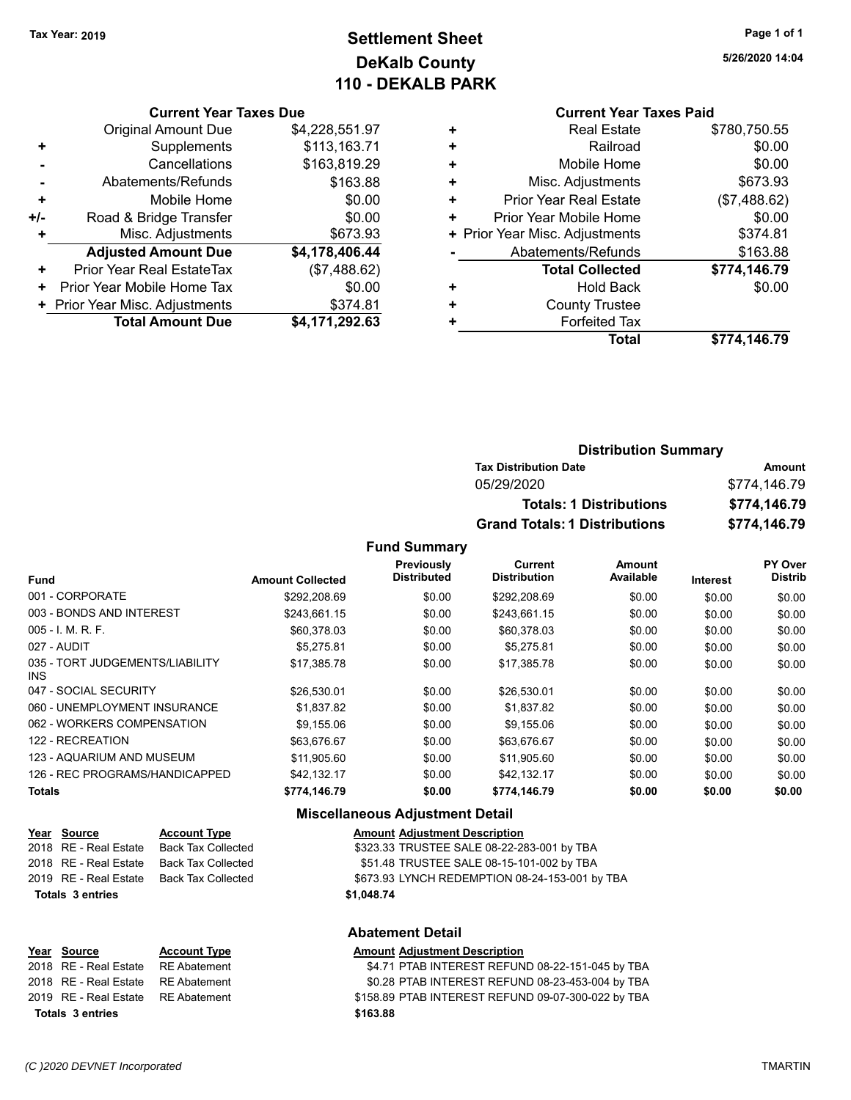### **Settlement Sheet Tax Year: 2019 Page 1 of 1 DeKalb County 110 - DEKALB PARK**

#### **Current Year Taxes Due**

|       | <b>Original Amount Due</b>     | \$4,228,551.97 |
|-------|--------------------------------|----------------|
|       | Supplements                    | \$113,163.71   |
|       | Cancellations                  | \$163,819.29   |
|       | Abatements/Refunds             | \$163.88       |
| ÷     | Mobile Home                    | \$0.00         |
| $+/-$ | Road & Bridge Transfer         | \$0.00         |
| ٠     | Misc. Adjustments              | \$673.93       |
|       | <b>Adjusted Amount Due</b>     | \$4,178,406.44 |
| ÷     | Prior Year Real EstateTax      | (\$7,488.62)   |
|       | Prior Year Mobile Home Tax     | \$0.00         |
|       | + Prior Year Misc. Adjustments | \$374.81       |
|       | <b>Total Amount Due</b>        | \$4,171,292.63 |

### **Current Year Taxes Paid**

|   | <b>Real Estate</b>             | \$780,750.55 |
|---|--------------------------------|--------------|
| ٠ | Railroad                       | \$0.00       |
| ٠ | Mobile Home                    | \$0.00       |
| ٠ | Misc. Adjustments              | \$673.93     |
| ٠ | <b>Prior Year Real Estate</b>  | (\$7,488.62) |
| ٠ | Prior Year Mobile Home         | \$0.00       |
|   | + Prior Year Misc. Adjustments | \$374.81     |
|   | Abatements/Refunds             | \$163.88     |
|   | <b>Total Collected</b>         | \$774,146.79 |
| ٠ | Hold Back                      | \$0.00       |
| ÷ | <b>County Trustee</b>          |              |
| ٠ | <b>Forfeited Tax</b>           |              |
|   | <b>Total</b>                   | \$774,146.79 |
|   |                                |              |

### **Distribution Summary Tax Distribution Date Amount** 05/29/2020 \$774,146.79 **Totals: 1 Distributions \$774,146.79 Grand Totals: 1 Distributions \$774,146.79**

#### **Fund Summary**

|                                         |                         | Previously         | Current             | Amount    |          | PY Over        |
|-----------------------------------------|-------------------------|--------------------|---------------------|-----------|----------|----------------|
| <b>Fund</b>                             | <b>Amount Collected</b> | <b>Distributed</b> | <b>Distribution</b> | Available | Interest | <b>Distrib</b> |
| 001 - CORPORATE                         | \$292.208.69            | \$0.00             | \$292.208.69        | \$0.00    | \$0.00   | \$0.00         |
| 003 - BONDS AND INTEREST                | \$243,661.15            | \$0.00             | \$243,661.15        | \$0.00    | \$0.00   | \$0.00         |
| $005 - 1$ , M, R, F,                    | \$60,378.03             | \$0.00             | \$60,378.03         | \$0.00    | \$0.00   | \$0.00         |
| 027 - AUDIT                             | \$5,275.81              | \$0.00             | \$5.275.81          | \$0.00    | \$0.00   | \$0.00         |
| 035 - TORT JUDGEMENTS/LIABILITY<br>INS. | \$17.385.78             | \$0.00             | \$17.385.78         | \$0.00    | \$0.00   | \$0.00         |
| 047 - SOCIAL SECURITY                   | \$26,530.01             | \$0.00             | \$26,530.01         | \$0.00    | \$0.00   | \$0.00         |
| 060 - UNEMPLOYMENT INSURANCE            | \$1,837.82              | \$0.00             | \$1,837.82          | \$0.00    | \$0.00   | \$0.00         |
| 062 - WORKERS COMPENSATION              | \$9,155.06              | \$0.00             | \$9,155.06          | \$0.00    | \$0.00   | \$0.00         |
| 122 - RECREATION                        | \$63,676.67             | \$0.00             | \$63,676.67         | \$0.00    | \$0.00   | \$0.00         |
| 123 - AQUARIUM AND MUSEUM               | \$11,905.60             | \$0.00             | \$11,905.60         | \$0.00    | \$0.00   | \$0.00         |
| 126 - REC PROGRAMS/HANDICAPPED          | \$42.132.17             | \$0.00             | \$42,132.17         | \$0.00    | \$0.00   | \$0.00         |
| <b>Totals</b>                           | \$774.146.79            | \$0.00             | \$774,146.79        | \$0.00    | \$0.00   | \$0.00         |

#### **Miscellaneous Adjustment Detail**

| Year Source             | <b>Account Type</b>                      | <b>Amount Adjustment Description</b>           |
|-------------------------|------------------------------------------|------------------------------------------------|
|                         | 2018 RE - Real Estate Back Tax Collected | \$323.33 TRUSTEE SALE 08-22-283-001 by TBA     |
|                         | 2018 RE - Real Estate Back Tax Collected | \$51.48 TRUSTEE SALE 08-15-101-002 by TBA      |
|                         | 2019 RE - Real Estate Back Tax Collected | \$673.93 LYNCH REDEMPTION 08-24-153-001 by TBA |
| <b>Totals 3 entries</b> |                                          | \$1,048.74                                     |
|                         |                                          | AL-4----------------                           |

#### **Abatement Detail**

| Year Source                        | <b>Account Type</b> | <b>Amount Adjustment Description</b>               |
|------------------------------------|---------------------|----------------------------------------------------|
| 2018 RE - Real Estate RE Abatement |                     | \$4.71 PTAB INTEREST REFUND 08-22-151-045 by TBA   |
| 2018 RE - Real Estate RE Abatement |                     | \$0.28 PTAB INTEREST REFUND 08-23-453-004 by TBA   |
| 2019 RE - Real Estate RE Abatement |                     | \$158.89 PTAB INTEREST REFUND 09-07-300-022 by TBA |
| Totals 3 entries                   |                     | \$163.88                                           |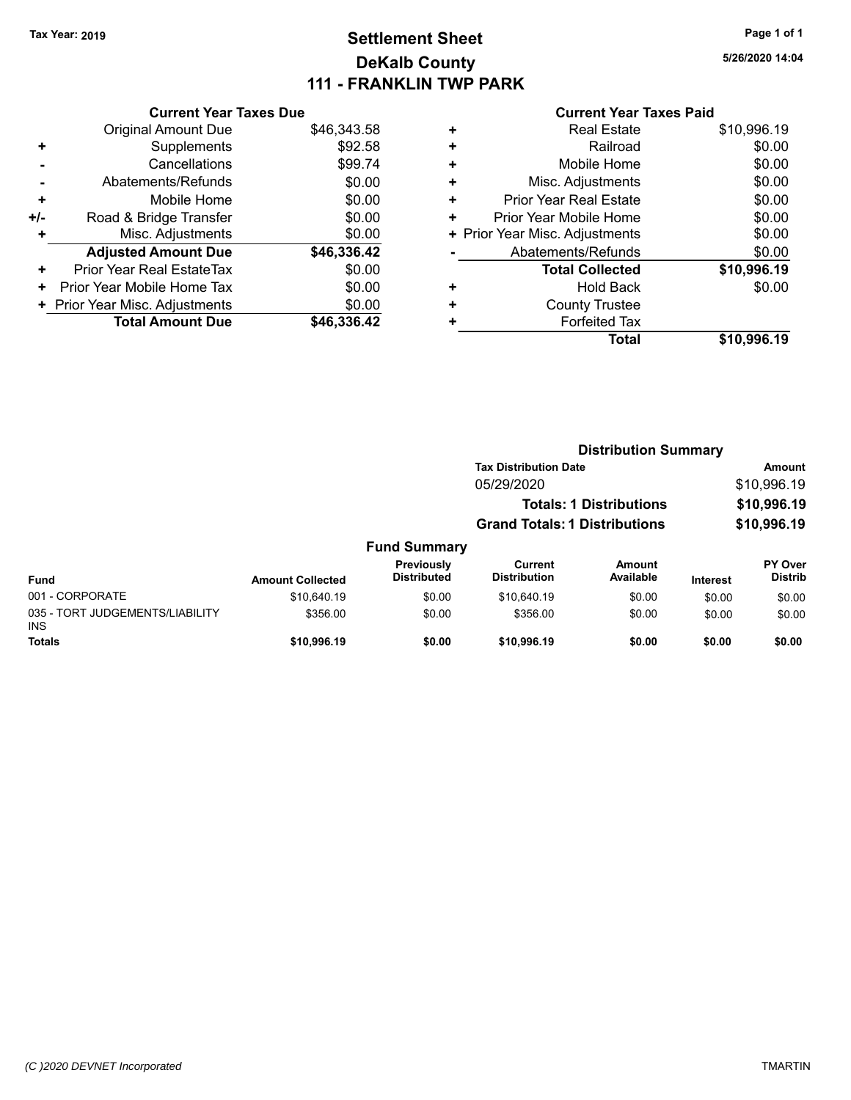### **Settlement Sheet Tax Year: 2019 Page 1 of 1 DeKalb County 111 - FRANKLIN TWP PARK**

**5/26/2020 14:04**

|       | <b>Current Year Taxes Due</b>  |             |
|-------|--------------------------------|-------------|
|       | <b>Original Amount Due</b>     | \$46,343.58 |
| ٠     | Supplements                    | \$92.58     |
|       | Cancellations                  | \$99.74     |
|       | Abatements/Refunds             | \$0.00      |
| ٠     | Mobile Home                    | \$0.00      |
| $+/-$ | Road & Bridge Transfer         | \$0.00      |
| ٠     | Misc. Adjustments              | \$0.00      |
|       | <b>Adjusted Amount Due</b>     | \$46,336.42 |
| ÷     | Prior Year Real EstateTax      | \$0.00      |
| ٠     | Prior Year Mobile Home Tax     | \$0.00      |
|       | + Prior Year Misc. Adjustments | \$0.00      |
|       | <b>Total Amount Due</b>        | \$46,336,42 |
|       |                                |             |

| ٠ | <b>Real Estate</b>             | \$10,996.19 |
|---|--------------------------------|-------------|
| ٠ | Railroad                       | \$0.00      |
| ٠ | Mobile Home                    | \$0.00      |
| ٠ | Misc. Adjustments              | \$0.00      |
| ٠ | Prior Year Real Estate         | \$0.00      |
| ٠ | Prior Year Mobile Home         | \$0.00      |
|   | + Prior Year Misc. Adjustments | \$0.00      |
|   | Abatements/Refunds             | \$0.00      |
|   | <b>Total Collected</b>         | \$10,996.19 |
| ٠ | <b>Hold Back</b>               | \$0.00      |
| ٠ | <b>County Trustee</b>          |             |
| ٠ | <b>Forfeited Tax</b>           |             |
|   | Total                          | \$10,996.19 |
|   |                                |             |

|                                               |                         |                                  | <b>Distribution Summary</b>          |                                |          |                           |
|-----------------------------------------------|-------------------------|----------------------------------|--------------------------------------|--------------------------------|----------|---------------------------|
|                                               |                         |                                  | <b>Tax Distribution Date</b>         |                                |          | Amount                    |
|                                               |                         |                                  | 05/29/2020                           |                                |          | \$10,996.19               |
|                                               |                         |                                  |                                      | <b>Totals: 1 Distributions</b> |          | \$10,996.19               |
|                                               |                         |                                  | <b>Grand Totals: 1 Distributions</b> |                                |          | \$10,996.19               |
|                                               |                         | <b>Fund Summary</b>              |                                      |                                |          |                           |
| <b>Fund</b>                                   | <b>Amount Collected</b> | Previously<br><b>Distributed</b> | Current<br><b>Distribution</b>       | Amount<br>Available            | Interest | PY Over<br><b>Distrib</b> |
| 001 - CORPORATE                               | \$10.640.19             | \$0.00                           | \$10,640.19                          | \$0.00                         | \$0.00   | \$0.00                    |
| 035 - TORT JUDGEMENTS/LIABILITY<br><b>INS</b> | \$356.00                | \$0.00                           | \$356.00                             | \$0.00                         | \$0.00   | \$0.00                    |
| <b>Totals</b>                                 | \$10,996.19             | \$0.00                           | \$10.996.19                          | \$0.00                         | \$0.00   | \$0.00                    |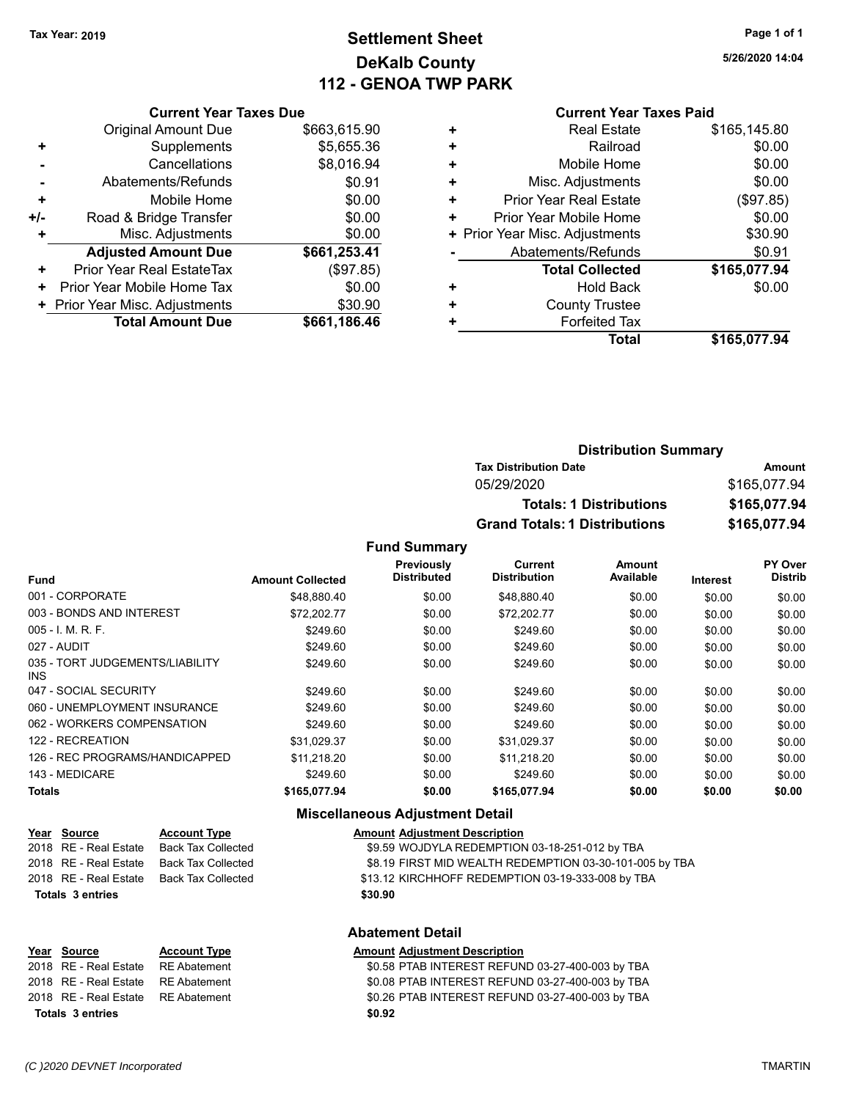### **Settlement Sheet Tax Year: 2019 Page 1 of 1 DeKalb County 112 - GENOA TWP PARK**

**5/26/2020 14:04**

#### **Current Year Taxes Paid**

|     | <b>Current Year Taxes Due</b>             |              |  |  |  |
|-----|-------------------------------------------|--------------|--|--|--|
|     | <b>Original Amount Due</b>                | \$663,615.90 |  |  |  |
| ٠   | Supplements                               | \$5,655.36   |  |  |  |
|     | Cancellations                             | \$8,016.94   |  |  |  |
|     | Abatements/Refunds                        | \$0.91       |  |  |  |
| ÷   | Mobile Home                               | \$0.00       |  |  |  |
| +/- | Road & Bridge Transfer                    | \$0.00       |  |  |  |
| ٠   | Misc. Adjustments                         | \$0.00       |  |  |  |
|     | <b>Adjusted Amount Due</b>                | \$661,253.41 |  |  |  |
| ٠   | Prior Year Real EstateTax                 | (\$97.85)    |  |  |  |
| ٠   | Prior Year Mobile Home Tax                | \$0.00       |  |  |  |
|     | \$30.90<br>+ Prior Year Misc. Adjustments |              |  |  |  |
|     | <b>Total Amount Due</b>                   | \$661,186.46 |  |  |  |

|   | <b>Real Estate</b>             | \$165,145.80 |
|---|--------------------------------|--------------|
| ٠ | Railroad                       | \$0.00       |
| ٠ | Mobile Home                    | \$0.00       |
| ٠ | Misc. Adjustments              | \$0.00       |
| ٠ | <b>Prior Year Real Estate</b>  | (\$97.85)    |
| ٠ | Prior Year Mobile Home         | \$0.00       |
|   | + Prior Year Misc. Adjustments | \$30.90      |
|   | Abatements/Refunds             | \$0.91       |
|   | <b>Total Collected</b>         | \$165,077.94 |
| ٠ | <b>Hold Back</b>               | \$0.00       |
| ٠ | <b>County Trustee</b>          |              |
| ٠ | <b>Forfeited Tax</b>           |              |
|   | Total                          | \$165,077.94 |
|   |                                |              |

| <b>Distribution Summary</b>          |              |
|--------------------------------------|--------------|
| <b>Tax Distribution Date</b>         | Amount       |
| 05/29/2020                           | \$165,077.94 |
| <b>Totals: 1 Distributions</b>       | \$165,077.94 |
| <b>Grand Totals: 1 Distributions</b> | \$165,077.94 |

**Fund Summary**

| <b>Fund</b>                                   | <b>Amount Collected</b> | Previously<br><b>Distributed</b> | Current<br><b>Distribution</b> | Amount<br>Available | <b>Interest</b> | PY Over<br><b>Distrib</b> |
|-----------------------------------------------|-------------------------|----------------------------------|--------------------------------|---------------------|-----------------|---------------------------|
| 001 - CORPORATE                               |                         |                                  |                                |                     |                 |                           |
|                                               | \$48.880.40             | \$0.00                           | \$48,880.40                    | \$0.00              | \$0.00          | \$0.00                    |
| 003 - BONDS AND INTEREST                      | \$72,202.77             | \$0.00                           | \$72,202.77                    | \$0.00              | \$0.00          | \$0.00                    |
| $005 - 1$ , M, R, F,                          | \$249.60                | \$0.00                           | \$249.60                       | \$0.00              | \$0.00          | \$0.00                    |
| 027 - AUDIT                                   | \$249.60                | \$0.00                           | \$249.60                       | \$0.00              | \$0.00          | \$0.00                    |
| 035 - TORT JUDGEMENTS/LIABILITY<br><b>INS</b> | \$249.60                | \$0.00                           | \$249.60                       | \$0.00              | \$0.00          | \$0.00                    |
| 047 - SOCIAL SECURITY                         | \$249.60                | \$0.00                           | \$249.60                       | \$0.00              | \$0.00          | \$0.00                    |
| 060 - UNEMPLOYMENT INSURANCE                  | \$249.60                | \$0.00                           | \$249.60                       | \$0.00              | \$0.00          | \$0.00                    |
| 062 - WORKERS COMPENSATION                    | \$249.60                | \$0.00                           | \$249.60                       | \$0.00              | \$0.00          | \$0.00                    |
| 122 - RECREATION                              | \$31,029.37             | \$0.00                           | \$31,029.37                    | \$0.00              | \$0.00          | \$0.00                    |
| 126 - REC PROGRAMS/HANDICAPPED                | \$11.218.20             | \$0.00                           | \$11.218.20                    | \$0.00              | \$0.00          | \$0.00                    |
| 143 - MEDICARE                                | \$249.60                | \$0.00                           | \$249.60                       | \$0.00              | \$0.00          | \$0.00                    |
| <b>Totals</b>                                 | \$165,077.94            | \$0.00                           | \$165,077.94                   | \$0.00              | \$0.00          | \$0.00                    |

### **Miscellaneous Adjustment Detail**

|                         | Year Source             | <b>Account Type</b>                      | <b>Amount Adjustment Description</b>                    |  |
|-------------------------|-------------------------|------------------------------------------|---------------------------------------------------------|--|
|                         |                         | 2018 RE - Real Estate Back Tax Collected | \$9.59 WOJDYLA REDEMPTION 03-18-251-012 by TBA          |  |
|                         | 2018 RE - Real Estate   | <b>Back Tax Collected</b>                | \$8.19 FIRST MID WEALTH REDEMPTION 03-30-101-005 by TBA |  |
|                         |                         | 2018 RE - Real Estate Back Tax Collected | \$13.12 KIRCHHOFF REDEMPTION 03-19-333-008 by TBA       |  |
|                         | <b>Totals 3 entries</b> |                                          | \$30.90                                                 |  |
| <b>Abatement Detail</b> |                         |                                          |                                                         |  |
|                         |                         |                                          |                                                         |  |

| Year Source                        | <b>Account Type</b> | <b>Amount Adjustment Description</b>             |
|------------------------------------|---------------------|--------------------------------------------------|
| 2018 RE - Real Estate RE Abatement |                     | \$0.58 PTAB INTEREST REFUND 03-27-400-003 by TBA |
| 2018 RE - Real Estate RE Abatement |                     | \$0.08 PTAB INTEREST REFUND 03-27-400-003 by TBA |
| 2018 RE - Real Estate RE Abatement |                     | \$0.26 PTAB INTEREST REFUND 03-27-400-003 by TBA |
| Totals 3 entries                   |                     | \$0.92                                           |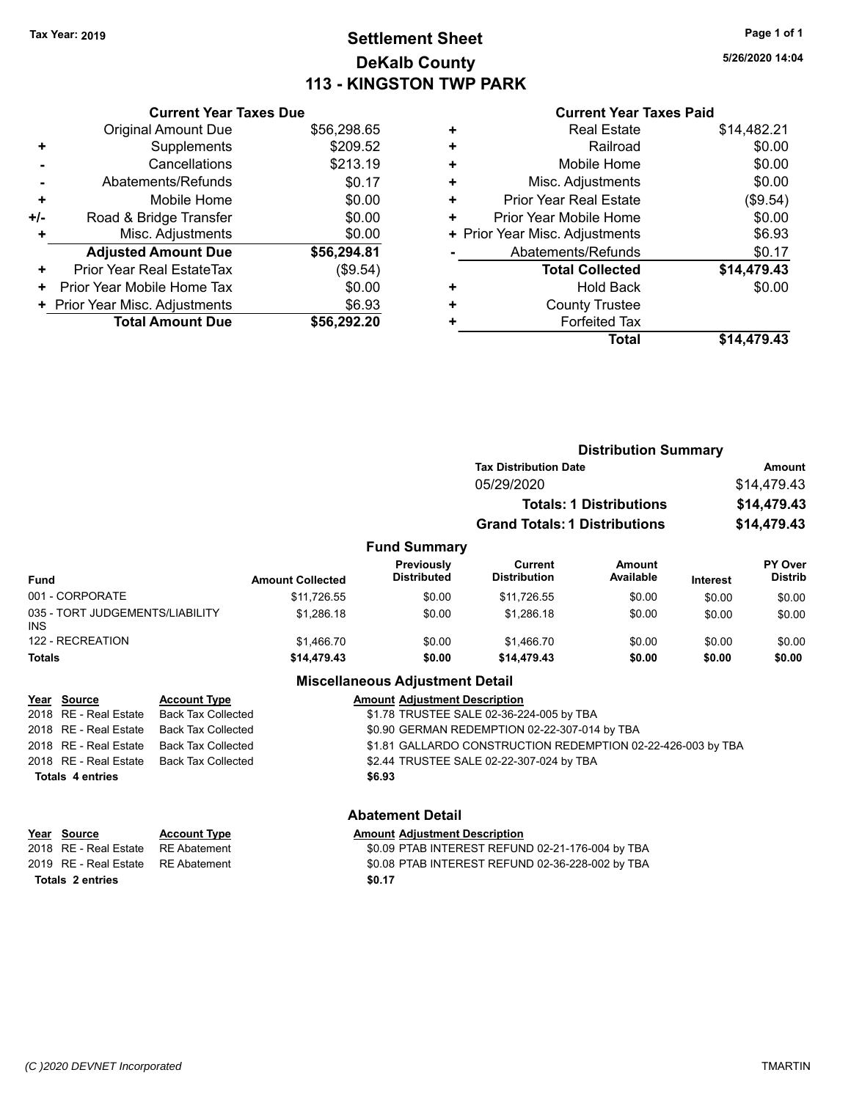### **Settlement Sheet Tax Year: 2019 Page 1 of 1 DeKalb County 113 - KINGSTON TWP PARK**

**5/26/2020 14:04**

#### **Current Year Taxes Paid**

|     | <b>Current Year Taxes Due</b>  |             |
|-----|--------------------------------|-------------|
|     | <b>Original Amount Due</b>     | \$56,298.65 |
| ٠   | Supplements                    | \$209.52    |
|     | Cancellations                  | \$213.19    |
|     | Abatements/Refunds             | \$0.17      |
| ٠   | Mobile Home                    | \$0.00      |
| +/- | Road & Bridge Transfer         | \$0.00      |
| ٠   | Misc. Adjustments              | \$0.00      |
|     | <b>Adjusted Amount Due</b>     | \$56,294.81 |
| ٠   | Prior Year Real EstateTax      | (\$9.54)    |
| ٠   | Prior Year Mobile Home Tax     | \$0.00      |
|     | + Prior Year Misc. Adjustments | \$6.93      |
|     | <b>Total Amount Due</b>        | \$56.292.20 |
|     |                                |             |

|   | <b>Total</b>                   | \$14,479.43 |
|---|--------------------------------|-------------|
| ÷ | <b>Forfeited Tax</b>           |             |
| ٠ | <b>County Trustee</b>          |             |
| ٠ | <b>Hold Back</b>               | \$0.00      |
|   | <b>Total Collected</b>         | \$14,479.43 |
|   | Abatements/Refunds             | \$0.17      |
|   | + Prior Year Misc. Adjustments | \$6.93      |
| ٠ | Prior Year Mobile Home         | \$0.00      |
| ٠ | <b>Prior Year Real Estate</b>  | (\$9.54)    |
| ٠ | Misc. Adjustments              | \$0.00      |
| ٠ | Mobile Home                    | \$0.00      |
| ٠ | Railroad                       | \$0.00      |
| ٠ | <b>Real Estate</b>             | \$14,482.21 |
|   |                                |             |

|                                                                                                     |                           |                                          |                                        | <b>Distribution Summary</b>           |                                |                 |                                  |
|-----------------------------------------------------------------------------------------------------|---------------------------|------------------------------------------|----------------------------------------|---------------------------------------|--------------------------------|-----------------|----------------------------------|
|                                                                                                     |                           |                                          |                                        | <b>Tax Distribution Date</b>          |                                |                 | Amount                           |
|                                                                                                     |                           |                                          |                                        | 05/29/2020                            |                                |                 | \$14,479.43                      |
|                                                                                                     |                           |                                          |                                        |                                       | <b>Totals: 1 Distributions</b> |                 | \$14,479.43                      |
|                                                                                                     |                           |                                          |                                        | <b>Grand Totals: 1 Distributions</b>  |                                |                 | \$14,479.43                      |
|                                                                                                     |                           |                                          | <b>Fund Summary</b>                    |                                       |                                |                 |                                  |
| <b>Fund</b>                                                                                         |                           | <b>Amount Collected</b>                  | Previously<br><b>Distributed</b>       | <b>Current</b><br><b>Distribution</b> | <b>Amount</b><br>Available     | <b>Interest</b> | <b>PY Over</b><br><b>Distrib</b> |
| 001 - CORPORATE                                                                                     |                           | \$11,726.55                              | \$0.00                                 | \$11,726.55                           | \$0.00                         | \$0.00          | \$0.00                           |
| 035 - TORT JUDGEMENTS/LIABILITY<br><b>INS</b>                                                       |                           | \$1,286.18                               | \$0.00                                 | \$1,286.18                            | \$0.00                         | \$0.00          | \$0.00                           |
| 122 - RECREATION                                                                                    |                           | \$1,466.70                               | \$0.00                                 | \$1,466.70                            | \$0.00                         | \$0.00          | \$0.00                           |
| Totals                                                                                              |                           | \$14,479.43                              | \$0.00                                 | \$14,479.43                           | \$0.00                         | \$0.00          | \$0.00                           |
|                                                                                                     |                           |                                          | <b>Miscellaneous Adjustment Detail</b> |                                       |                                |                 |                                  |
| Source<br>Year                                                                                      | <b>Account Type</b>       |                                          | <b>Amount Adjustment Description</b>   |                                       |                                |                 |                                  |
| RE - Real Estate<br>2018                                                                            | <b>Back Tax Collected</b> | \$1.78 TRUSTEE SALE 02-36-224-005 by TBA |                                        |                                       |                                |                 |                                  |
| 2018 RE - Real Estate<br>\$0.90 GERMAN REDEMPTION 02-22-307-014 by TBA<br><b>Back Tax Collected</b> |                           |                                          |                                        |                                       |                                |                 |                                  |

2018 RE - Real Estate Back Tax Collected **CONSTRUCTION REDEMPTION 02-22-426-003** by TBA 2018 RE - Real Estate Back Tax Collected \$2.44 TRUSTEE SALE 02-22-307-024 by TBA

**Totals \$6.93 4 entries**

#### **Abatement Detail**

| Year Source             | <b>Account Type</b> | <b>Amount Adjustment Description</b>             |
|-------------------------|---------------------|--------------------------------------------------|
| 2018 RE - Real Estate   | RE Abatement        | \$0.09 PTAB INTEREST REFUND 02-21-176-004 by TBA |
| 2019 RE - Real Estate   | RE Abatement        | \$0.08 PTAB INTEREST REFUND 02-36-228-002 by TBA |
| <b>Totals 2 entries</b> |                     | \$0.17                                           |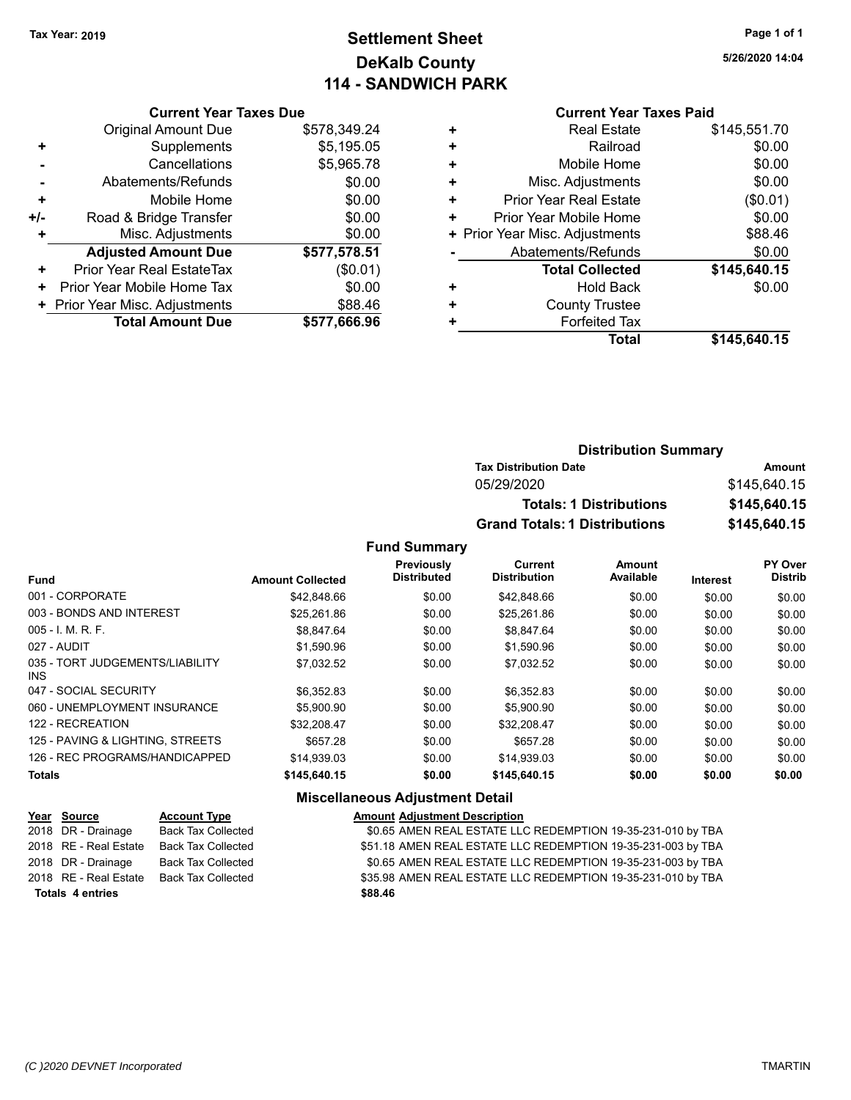### **Settlement Sheet Tax Year: 2019 Page 1 of 1 DeKalb County 114 - SANDWICH PARK**

**5/26/2020 14:04**

### **Current Year Taxes Paid**

|     | <b>Current Year Taxes Due</b>  |              |
|-----|--------------------------------|--------------|
|     | <b>Original Amount Due</b>     | \$578,349.24 |
| ٠   | Supplements                    | \$5,195.05   |
|     | Cancellations                  | \$5,965.78   |
|     | Abatements/Refunds             | \$0.00       |
| ÷   | Mobile Home                    | \$0.00       |
| +/- | Road & Bridge Transfer         | \$0.00       |
|     | Misc. Adjustments              | \$0.00       |
|     | <b>Adjusted Amount Due</b>     | \$577,578.51 |
| ٠   | Prior Year Real EstateTax      | (\$0.01)     |
| ٠   | Prior Year Mobile Home Tax     | \$0.00       |
|     | + Prior Year Misc. Adjustments | \$88.46      |
|     | <b>Total Amount Due</b>        | \$577,666.96 |
|     |                                |              |

| ٠ | <b>Real Estate</b>             | \$145,551.70 |
|---|--------------------------------|--------------|
| ÷ | Railroad                       | \$0.00       |
| ٠ | Mobile Home                    | \$0.00       |
| ٠ | Misc. Adjustments              | \$0.00       |
| ٠ | <b>Prior Year Real Estate</b>  | (\$0.01)     |
| ٠ | Prior Year Mobile Home         | \$0.00       |
|   | + Prior Year Misc. Adjustments | \$88.46      |
|   | Abatements/Refunds             | \$0.00       |
|   | <b>Total Collected</b>         | \$145,640.15 |
| ٠ | <b>Hold Back</b>               | \$0.00       |
| ٠ | <b>County Trustee</b>          |              |
| ٠ | <b>Forfeited Tax</b>           |              |
|   | Total                          | \$145,640.15 |
|   |                                |              |

| <b>Distribution Summary</b>          |              |
|--------------------------------------|--------------|
| <b>Tax Distribution Date</b>         | Amount       |
| 05/29/2020                           | \$145,640.15 |
| <b>Totals: 1 Distributions</b>       | \$145,640.15 |
| <b>Grand Totals: 1 Distributions</b> | \$145,640.15 |

#### **Fund Summary**

|                                         |                         | Previously         | <b>Current</b>      | <b>Amount</b> |                 | PY Over        |
|-----------------------------------------|-------------------------|--------------------|---------------------|---------------|-----------------|----------------|
| <b>Fund</b>                             | <b>Amount Collected</b> | <b>Distributed</b> | <b>Distribution</b> | Available     | <b>Interest</b> | <b>Distrib</b> |
| 001 - CORPORATE                         | \$42,848.66             | \$0.00             | \$42,848.66         | \$0.00        | \$0.00          | \$0.00         |
| 003 - BONDS AND INTEREST                | \$25,261.86             | \$0.00             | \$25,261.86         | \$0.00        | \$0.00          | \$0.00         |
| $005 - I$ , M, R, F,                    | \$8,847.64              | \$0.00             | \$8,847.64          | \$0.00        | \$0.00          | \$0.00         |
| 027 - AUDIT                             | \$1,590.96              | \$0.00             | \$1,590.96          | \$0.00        | \$0.00          | \$0.00         |
| 035 - TORT JUDGEMENTS/LIABILITY<br>INS. | \$7,032.52              | \$0.00             | \$7.032.52          | \$0.00        | \$0.00          | \$0.00         |
| 047 - SOCIAL SECURITY                   | \$6.352.83              | \$0.00             | \$6.352.83          | \$0.00        | \$0.00          | \$0.00         |
| 060 - UNEMPLOYMENT INSURANCE            | \$5,900.90              | \$0.00             | \$5,900.90          | \$0.00        | \$0.00          | \$0.00         |
| 122 - RECREATION                        | \$32.208.47             | \$0.00             | \$32,208.47         | \$0.00        | \$0.00          | \$0.00         |
| 125 - PAVING & LIGHTING, STREETS        | \$657.28                | \$0.00             | \$657.28            | \$0.00        | \$0.00          | \$0.00         |
| 126 - REC PROGRAMS/HANDICAPPED          | \$14.939.03             | \$0.00             | \$14.939.03         | \$0.00        | \$0.00          | \$0.00         |
| <b>Totals</b>                           | \$145,640.15            | \$0.00             | \$145,640.15        | \$0.00        | \$0.00          | \$0.00         |

### **Miscellaneous Adjustment Detail**

| Year Source             | <b>Account Type</b>       | <b>Amount Adjustment Description</b>                         |
|-------------------------|---------------------------|--------------------------------------------------------------|
| 2018 DR - Drainage      | <b>Back Tax Collected</b> | \$0.65 AMEN REAL ESTATE LLC REDEMPTION 19-35-231-010 by TBA  |
| 2018 RE - Real Estate   | <b>Back Tax Collected</b> | \$51.18 AMEN REAL ESTATE LLC REDEMPTION 19-35-231-003 by TBA |
| 2018 DR - Drainage      | Back Tax Collected        | \$0.65 AMEN REAL ESTATE LLC REDEMPTION 19-35-231-003 by TBA  |
| 2018 RE - Real Estate   | <b>Back Tax Collected</b> | \$35.98 AMEN REAL ESTATE LLC REDEMPTION 19-35-231-010 by TBA |
| <b>Totals 4 entries</b> |                           | \$88.46                                                      |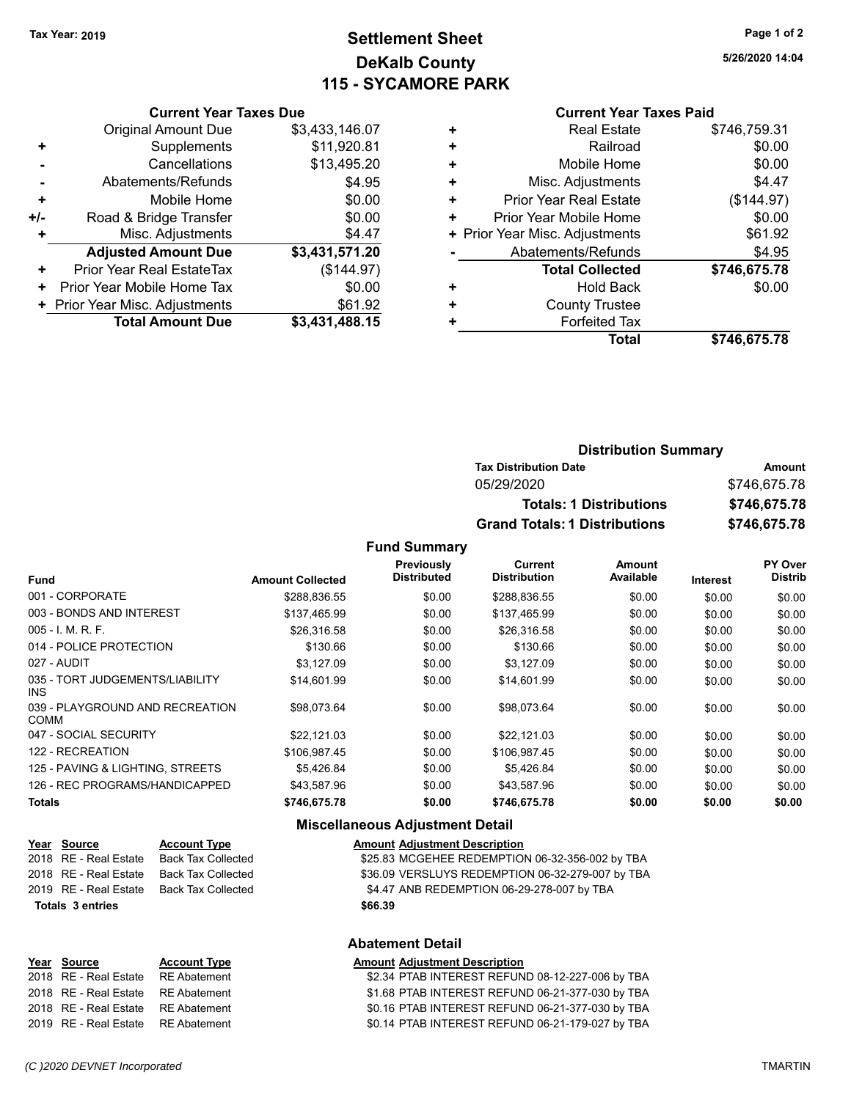### **Settlement Sheet Tax Year: 2019 Page 1 of 2 DeKalb County 115 - SYCAMORE PARK**

**5/26/2020 14:04**

#### **Current Year Taxes Paid**

|     | <b>Current Year Taxes Due</b>    |                |
|-----|----------------------------------|----------------|
|     | <b>Original Amount Due</b>       | \$3,433,146.07 |
| ٠   | Supplements                      | \$11,920.81    |
|     | Cancellations                    | \$13,495.20    |
|     | Abatements/Refunds               | \$4.95         |
| ÷   | Mobile Home                      | \$0.00         |
| +/- | Road & Bridge Transfer           | \$0.00         |
|     | Misc. Adjustments                | \$4.47         |
|     | <b>Adjusted Amount Due</b>       | \$3,431,571.20 |
| ٠   | <b>Prior Year Real EstateTax</b> | (\$144.97)     |
| ٠   | Prior Year Mobile Home Tax       | \$0.00         |
|     | + Prior Year Misc. Adjustments   | \$61.92        |
|     | <b>Total Amount Due</b>          | \$3,431,488.15 |

|   | <b>Real Estate</b>             | \$746,759.31 |
|---|--------------------------------|--------------|
| ٠ | Railroad                       | \$0.00       |
| ٠ | Mobile Home                    | \$0.00       |
| ٠ | Misc. Adjustments              | \$4.47       |
| ٠ | <b>Prior Year Real Estate</b>  | (\$144.97)   |
| ٠ | Prior Year Mobile Home         | \$0.00       |
|   | + Prior Year Misc. Adjustments | \$61.92      |
|   | Abatements/Refunds             | \$4.95       |
|   | <b>Total Collected</b>         | \$746,675.78 |
| ٠ | Hold Back                      | \$0.00       |
| ٠ | <b>County Trustee</b>          |              |
|   | <b>Forfeited Tax</b>           |              |
|   | Total                          | \$746,675.78 |
|   |                                |              |

| <b>Distribution Summary</b>          |              |
|--------------------------------------|--------------|
| <b>Tax Distribution Date</b>         | Amount       |
| 05/29/2020                           | \$746,675.78 |
| <b>Totals: 1 Distributions</b>       | \$746,675.78 |
| <b>Grand Totals: 1 Distributions</b> | \$746,675.78 |

**Fund Summary**

|                                                |                         | Previously         | Current             | Amount    |                 | <b>PY Over</b> |
|------------------------------------------------|-------------------------|--------------------|---------------------|-----------|-----------------|----------------|
| <b>Fund</b>                                    | <b>Amount Collected</b> | <b>Distributed</b> | <b>Distribution</b> | Available | <b>Interest</b> | <b>Distrib</b> |
| 001 - CORPORATE                                | \$288.836.55            | \$0.00             | \$288,836.55        | \$0.00    | \$0.00          | \$0.00         |
| 003 - BONDS AND INTEREST                       | \$137,465.99            | \$0.00             | \$137,465.99        | \$0.00    | \$0.00          | \$0.00         |
| $005 - 1$ , M, R, F,                           | \$26,316.58             | \$0.00             | \$26,316.58         | \$0.00    | \$0.00          | \$0.00         |
| 014 - POLICE PROTECTION                        | \$130.66                | \$0.00             | \$130.66            | \$0.00    | \$0.00          | \$0.00         |
| 027 - AUDIT                                    | \$3.127.09              | \$0.00             | \$3,127.09          | \$0.00    | \$0.00          | \$0.00         |
| 035 - TORT JUDGEMENTS/LIABILITY<br>INS.        | \$14,601.99             | \$0.00             | \$14,601.99         | \$0.00    | \$0.00          | \$0.00         |
| 039 - PLAYGROUND AND RECREATION<br><b>COMM</b> | \$98.073.64             | \$0.00             | \$98.073.64         | \$0.00    | \$0.00          | \$0.00         |
| 047 - SOCIAL SECURITY                          | \$22,121.03             | \$0.00             | \$22,121.03         | \$0.00    | \$0.00          | \$0.00         |
| 122 - RECREATION                               | \$106.987.45            | \$0.00             | \$106,987.45        | \$0.00    | \$0.00          | \$0.00         |
| 125 - PAVING & LIGHTING, STREETS               | \$5.426.84              | \$0.00             | \$5.426.84          | \$0.00    | \$0.00          | \$0.00         |
| 126 - REC PROGRAMS/HANDICAPPED                 | \$43.587.96             | \$0.00             | \$43.587.96         | \$0.00    | \$0.00          | \$0.00         |
| <b>Totals</b>                                  | \$746,675.78            | \$0.00             | \$746,675.78        | \$0.00    | \$0.00          | \$0.00         |

#### **Miscellaneous Adjustment Detail**

**Abatement Detail**

| <u>Year Source</u>      | <b>Account Type</b>                            | <b>Amount Adjustment Description</b>             |
|-------------------------|------------------------------------------------|--------------------------------------------------|
| 2018 RE - Real Estate   | Back Tax Collected                             | \$25.83 MCGEHEE REDEMPTION 06-32-356-002 by TBA  |
| 2018   RE - Real Estate | Back Tax Collected                             | \$36.09 VERSLUYS REDEMPTION 06-32-279-007 by TBA |
|                         | 2019   RE - Real Estate     Back Tax Collected | \$4.47 ANB REDEMPTION 06-29-278-007 by TBA       |
| Totals 3 entries        |                                                | \$66.39                                          |
|                         |                                                |                                                  |

# **Year** Source **Account Type Account Adjustment Description** 2019 RE - Real Estate RE Abatement \$0.14 PTAB INTEREST REFUND 06-21-179-027 by TBA

2018 RE - Real Estate RE Abatement \$2.34 PTAB INTEREST REFUND 08-12-227-006 by TBA 2018 RE - Real Estate RE Abatement \$1.68 PTAB INTEREST REFUND 06-21-377-030 by TBA 2018 RE - Real Estate RE Abatement \$0.16 PTAB INTEREST REFUND 06-21-377-030 by TBA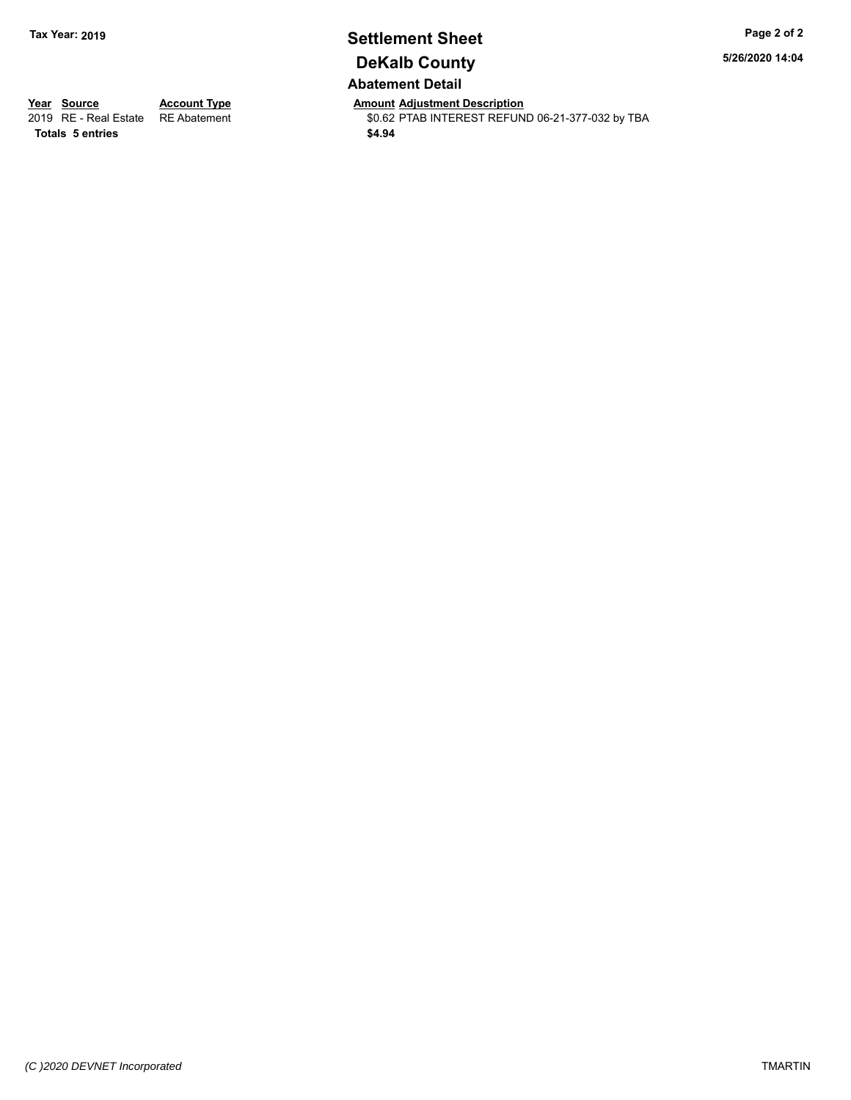### **Settlement Sheet Tax Year: 2019 Page 2 of 2 DeKalb County Abatement Detail**

**5/26/2020 14:04**

**Totals \$4.94 5 entries**

**Year Source Account Type Anneurs Amount Adjustment Description**<br>
2019 RE - Real Estate RE Abatement **Account 1998 AMOUNTEREST REFUN** \$0.62 PTAB INTEREST REFUND 06-21-377-032 by TBA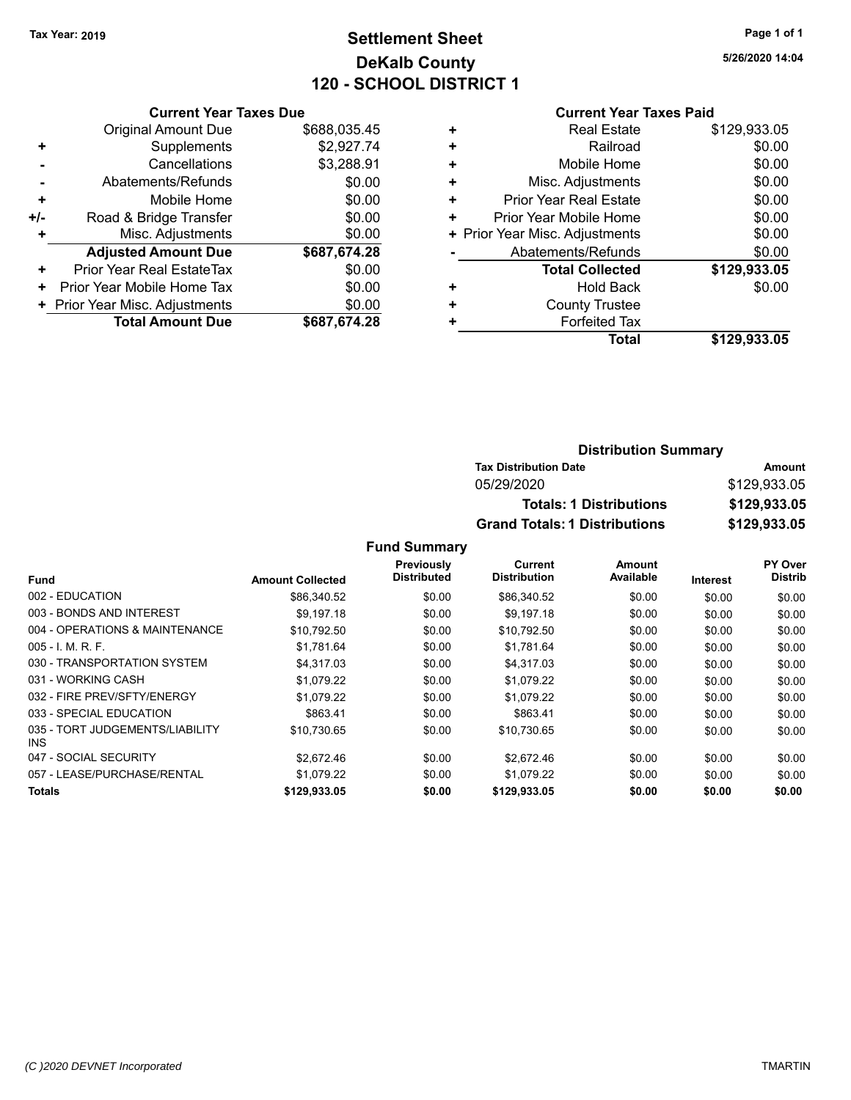### **Settlement Sheet Tax Year: 2019 Page 1 of 1 DeKalb County 120 - SCHOOL DISTRICT 1**

**5/26/2020 14:04**

#### **Current Year Taxes Paid**

|     | <b>Current Year Taxes Due</b>  |              |
|-----|--------------------------------|--------------|
|     | <b>Original Amount Due</b>     | \$688,035.45 |
| ٠   | Supplements                    | \$2,927.74   |
|     | Cancellations                  | \$3,288.91   |
|     | Abatements/Refunds             | \$0.00       |
| ٠   | Mobile Home                    | \$0.00       |
| +/- | Road & Bridge Transfer         | \$0.00       |
|     | Misc. Adjustments              | \$0.00       |
|     | <b>Adjusted Amount Due</b>     | \$687,674.28 |
| ٠   | Prior Year Real EstateTax      | \$0.00       |
| ٠   | Prior Year Mobile Home Tax     | \$0.00       |
|     | + Prior Year Misc. Adjustments | \$0.00       |
|     | <b>Total Amount Due</b>        | \$687.674.28 |
|     |                                |              |

| ٠ | <b>Real Estate</b>             | \$129,933.05 |
|---|--------------------------------|--------------|
| ٠ | Railroad                       | \$0.00       |
| ٠ | Mobile Home                    | \$0.00       |
| ٠ | Misc. Adjustments              | \$0.00       |
| ٠ | <b>Prior Year Real Estate</b>  | \$0.00       |
| ٠ | Prior Year Mobile Home         | \$0.00       |
|   | + Prior Year Misc. Adjustments | \$0.00       |
|   | Abatements/Refunds             | \$0.00       |
|   | <b>Total Collected</b>         | \$129,933.05 |
| ٠ | Hold Back                      | \$0.00       |
| ٠ | <b>County Trustee</b>          |              |
| ٠ | <b>Forfeited Tax</b>           |              |
|   | <b>Total</b>                   | \$129,933.05 |
|   |                                |              |

### **Distribution Summary Tax Distribution Date Amount** 05/29/2020 \$129,933.05 **Totals: 1 Distributions \$129,933.05 Grand Totals: 1 Distributions \$129,933.05**

|                                         |                         | Previously  | Current             | Amount    |                 | PY Over        |
|-----------------------------------------|-------------------------|-------------|---------------------|-----------|-----------------|----------------|
| <b>Fund</b>                             | <b>Amount Collected</b> | Distributed | <b>Distribution</b> | Available | <b>Interest</b> | <b>Distrib</b> |
| 002 - EDUCATION                         | \$86,340.52             | \$0.00      | \$86,340.52         | \$0.00    | \$0.00          | \$0.00         |
| 003 - BONDS AND INTEREST                | \$9.197.18              | \$0.00      | \$9,197.18          | \$0.00    | \$0.00          | \$0.00         |
| 004 - OPERATIONS & MAINTENANCE          | \$10,792.50             | \$0.00      | \$10,792.50         | \$0.00    | \$0.00          | \$0.00         |
| $005 - 1$ , M, R, F,                    | \$1,781.64              | \$0.00      | \$1,781.64          | \$0.00    | \$0.00          | \$0.00         |
| 030 - TRANSPORTATION SYSTEM             | \$4.317.03              | \$0.00      | \$4.317.03          | \$0.00    | \$0.00          | \$0.00         |
| 031 - WORKING CASH                      | \$1.079.22              | \$0.00      | \$1.079.22          | \$0.00    | \$0.00          | \$0.00         |
| 032 - FIRE PREV/SFTY/ENERGY             | \$1.079.22              | \$0.00      | \$1,079.22          | \$0.00    | \$0.00          | \$0.00         |
| 033 - SPECIAL EDUCATION                 | \$863.41                | \$0.00      | \$863.41            | \$0.00    | \$0.00          | \$0.00         |
| 035 - TORT JUDGEMENTS/LIABILITY<br>INS. | \$10,730.65             | \$0.00      | \$10,730.65         | \$0.00    | \$0.00          | \$0.00         |
| 047 - SOCIAL SECURITY                   | \$2.672.46              | \$0.00      | \$2.672.46          | \$0.00    | \$0.00          | \$0.00         |
| 057 - LEASE/PURCHASE/RENTAL             | \$1.079.22              | \$0.00      | \$1,079.22          | \$0.00    | \$0.00          | \$0.00         |
| <b>Totals</b>                           | \$129,933.05            | \$0.00      | \$129,933.05        | \$0.00    | \$0.00          | \$0.00         |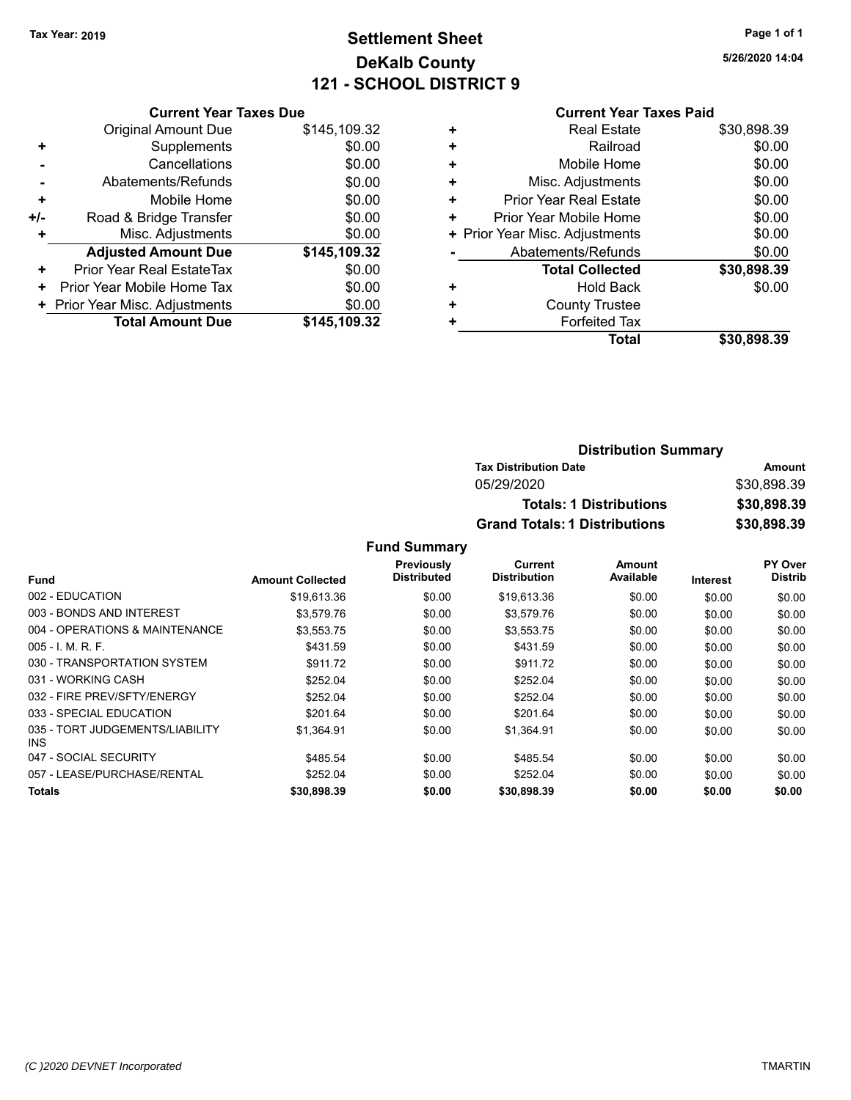### **Settlement Sheet Tax Year: 2019 Page 1 of 1 DeKalb County 121 - SCHOOL DISTRICT 9**

**5/26/2020 14:04**

#### **Current Year Taxes Paid**

| <b>Original Amount Due</b>     | \$145,109.32                  |
|--------------------------------|-------------------------------|
| Supplements                    | \$0.00                        |
| Cancellations                  | \$0.00                        |
| Abatements/Refunds             | \$0.00                        |
| Mobile Home                    | \$0.00                        |
| Road & Bridge Transfer         | \$0.00                        |
| Misc. Adjustments              | \$0.00                        |
| <b>Adjusted Amount Due</b>     | \$145,109.32                  |
| Prior Year Real EstateTax      | \$0.00                        |
| Prior Year Mobile Home Tax     | \$0.00                        |
| + Prior Year Misc. Adjustments | \$0.00                        |
| <b>Total Amount Due</b>        | \$145,109.32                  |
|                                | <b>Current Year Taxes Due</b> |

|   | <b>Real Estate</b>             | \$30,898.39 |
|---|--------------------------------|-------------|
| ٠ | Railroad                       | \$0.00      |
| ٠ | Mobile Home                    | \$0.00      |
| ٠ | Misc. Adjustments              | \$0.00      |
| ٠ | <b>Prior Year Real Estate</b>  | \$0.00      |
| ٠ | Prior Year Mobile Home         | \$0.00      |
|   | + Prior Year Misc. Adjustments | \$0.00      |
|   | Abatements/Refunds             | \$0.00      |
|   | <b>Total Collected</b>         | \$30,898.39 |
| ٠ | <b>Hold Back</b>               | \$0.00      |
| ٠ | <b>County Trustee</b>          |             |
| ٠ | <b>Forfeited Tax</b>           |             |
|   | Total                          | \$30,898,39 |
|   |                                |             |

| <b>Distribution Summary</b>          |             |
|--------------------------------------|-------------|
| <b>Tax Distribution Date</b>         | Amount      |
| 05/29/2020                           | \$30,898.39 |
| <b>Totals: 1 Distributions</b>       | \$30,898.39 |
| <b>Grand Totals: 1 Distributions</b> | \$30,898.39 |

|                                         |                         | Previously  | Current             | Amount    |                 | PY Over        |
|-----------------------------------------|-------------------------|-------------|---------------------|-----------|-----------------|----------------|
| <b>Fund</b>                             | <b>Amount Collected</b> | Distributed | <b>Distribution</b> | Available | <b>Interest</b> | <b>Distrib</b> |
| 002 - EDUCATION                         | \$19,613.36             | \$0.00      | \$19,613.36         | \$0.00    | \$0.00          | \$0.00         |
| 003 - BONDS AND INTEREST                | \$3.579.76              | \$0.00      | \$3,579.76          | \$0.00    | \$0.00          | \$0.00         |
| 004 - OPERATIONS & MAINTENANCE          | \$3,553.75              | \$0.00      | \$3,553.75          | \$0.00    | \$0.00          | \$0.00         |
| $005 - 1$ , M, R, F,                    | \$431.59                | \$0.00      | \$431.59            | \$0.00    | \$0.00          | \$0.00         |
| 030 - TRANSPORTATION SYSTEM             | \$911.72                | \$0.00      | \$911.72            | \$0.00    | \$0.00          | \$0.00         |
| 031 - WORKING CASH                      | \$252.04                | \$0.00      | \$252.04            | \$0.00    | \$0.00          | \$0.00         |
| 032 - FIRE PREV/SFTY/ENERGY             | \$252.04                | \$0.00      | \$252.04            | \$0.00    | \$0.00          | \$0.00         |
| 033 - SPECIAL EDUCATION                 | \$201.64                | \$0.00      | \$201.64            | \$0.00    | \$0.00          | \$0.00         |
| 035 - TORT JUDGEMENTS/LIABILITY<br>INS. | \$1.364.91              | \$0.00      | \$1.364.91          | \$0.00    | \$0.00          | \$0.00         |
| 047 - SOCIAL SECURITY                   | \$485.54                | \$0.00      | \$485.54            | \$0.00    | \$0.00          | \$0.00         |
| 057 - LEASE/PURCHASE/RENTAL             | \$252.04                | \$0.00      | \$252.04            | \$0.00    | \$0.00          | \$0.00         |
| Totals                                  | \$30,898.39             | \$0.00      | \$30,898.39         | \$0.00    | \$0.00          | \$0.00         |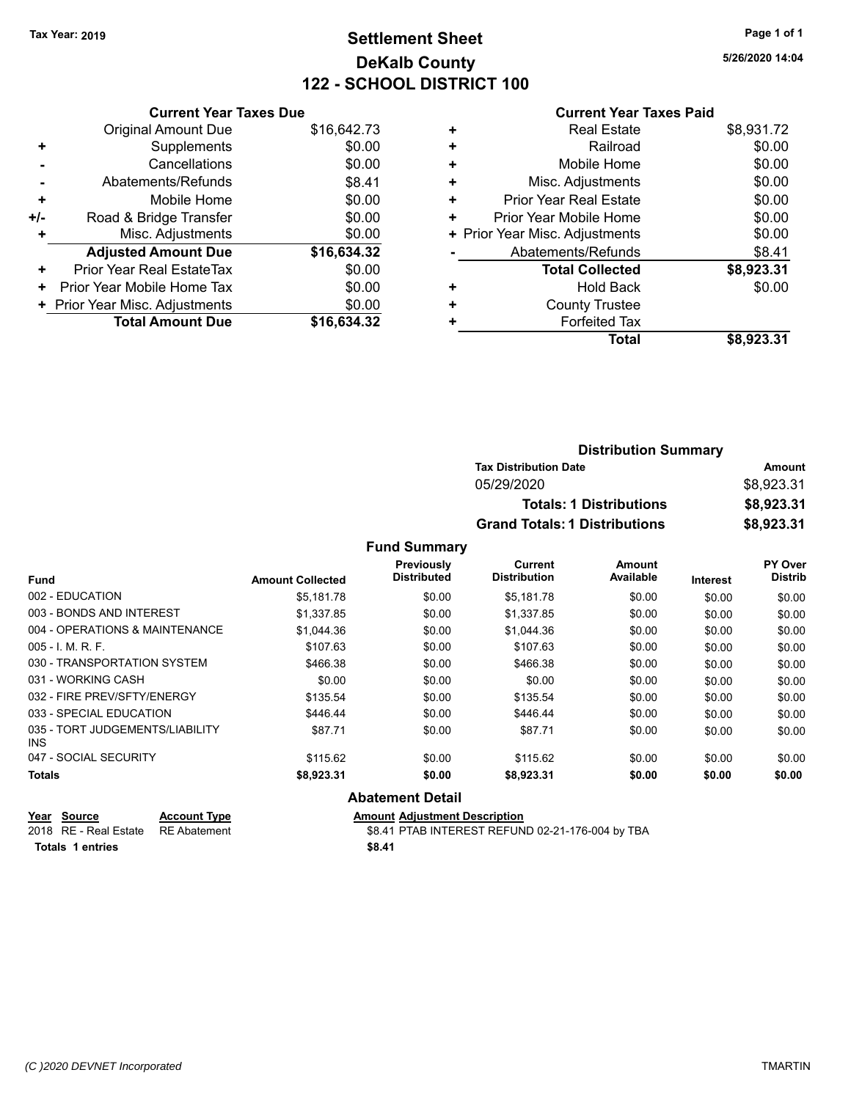### **Settlement Sheet Tax Year: 2019 Page 1 of 1 DeKalb County 122 - SCHOOL DISTRICT 100**

**5/26/2020 14:04**

#### **Current Year Taxes Paid**

|     | <b>Current Year Taxes Due</b>  |             |
|-----|--------------------------------|-------------|
|     | <b>Original Amount Due</b>     | \$16,642.73 |
| ٠   | Supplements                    | \$0.00      |
|     | Cancellations                  | \$0.00      |
|     | Abatements/Refunds             | \$8.41      |
| ٠   | Mobile Home                    | \$0.00      |
| +/- | Road & Bridge Transfer         | \$0.00      |
| ٠   | Misc. Adjustments              | \$0.00      |
|     | <b>Adjusted Amount Due</b>     | \$16,634.32 |
| ÷   | Prior Year Real EstateTax      | \$0.00      |
| ٠   | Prior Year Mobile Home Tax     | \$0.00      |
|     | + Prior Year Misc. Adjustments | \$0.00      |
|     | <b>Total Amount Due</b>        | \$16,634,32 |
|     |                                |             |

|   | <b>Real Estate</b>             | \$8,931.72 |
|---|--------------------------------|------------|
| ÷ | Railroad                       | \$0.00     |
| ÷ | Mobile Home                    | \$0.00     |
| ٠ | Misc. Adjustments              | \$0.00     |
| ٠ | <b>Prior Year Real Estate</b>  | \$0.00     |
| ٠ | Prior Year Mobile Home         | \$0.00     |
|   | + Prior Year Misc. Adjustments | \$0.00     |
|   | Abatements/Refunds             | \$8.41     |
|   | <b>Total Collected</b>         | \$8,923.31 |
| ٠ | <b>Hold Back</b>               | \$0.00     |
| ٠ | <b>County Trustee</b>          |            |
| ٠ | <b>Forfeited Tax</b>           |            |
|   | <b>Total</b>                   | \$8,923.31 |
|   |                                |            |

| <b>Distribution Summary</b>          |            |  |
|--------------------------------------|------------|--|
| <b>Tax Distribution Date</b>         | Amount     |  |
| 05/29/2020                           | \$8,923.31 |  |
| <b>Totals: 1 Distributions</b>       | \$8,923.31 |  |
| <b>Grand Totals: 1 Distributions</b> | \$8,923.31 |  |

#### **Fund Summary**

|                                               |                         | <b>Previously</b>  | Current             | Amount    |                 | PY Over        |
|-----------------------------------------------|-------------------------|--------------------|---------------------|-----------|-----------------|----------------|
| <b>Fund</b>                                   | <b>Amount Collected</b> | <b>Distributed</b> | <b>Distribution</b> | Available | <b>Interest</b> | <b>Distrib</b> |
| 002 - EDUCATION                               | \$5.181.78              | \$0.00             | \$5.181.78          | \$0.00    | \$0.00          | \$0.00         |
| 003 - BONDS AND INTEREST                      | \$1,337.85              | \$0.00             | \$1,337.85          | \$0.00    | \$0.00          | \$0.00         |
| 004 - OPERATIONS & MAINTENANCE                | \$1,044.36              | \$0.00             | \$1,044.36          | \$0.00    | \$0.00          | \$0.00         |
| $005 - 1$ , M, R, F,                          | \$107.63                | \$0.00             | \$107.63            | \$0.00    | \$0.00          | \$0.00         |
| 030 - TRANSPORTATION SYSTEM                   | \$466.38                | \$0.00             | \$466.38            | \$0.00    | \$0.00          | \$0.00         |
| 031 - WORKING CASH                            | \$0.00                  | \$0.00             | \$0.00              | \$0.00    | \$0.00          | \$0.00         |
| 032 - FIRE PREV/SFTY/ENERGY                   | \$135.54                | \$0.00             | \$135.54            | \$0.00    | \$0.00          | \$0.00         |
| 033 - SPECIAL EDUCATION                       | \$446.44                | \$0.00             | \$446.44            | \$0.00    | \$0.00          | \$0.00         |
| 035 - TORT JUDGEMENTS/LIABILITY<br><b>INS</b> | \$87.71                 | \$0.00             | \$87.71             | \$0.00    | \$0.00          | \$0.00         |
| 047 - SOCIAL SECURITY                         | \$115.62                | \$0.00             | \$115.62            | \$0.00    | \$0.00          | \$0.00         |
| <b>Totals</b>                                 | \$8,923.31              | \$0.00             | \$8,923.31          | \$0.00    | \$0.00          | \$0.00         |

#### **Abatement Detail**

| Year Source<br>$\sim$ $\sim$ | <b>Account Type</b> | <b>Amount Adjustment Description</b>             |
|------------------------------|---------------------|--------------------------------------------------|
| 2018 RE - Real Estate        | RE Abatement        | \$8.41 PTAB INTEREST REFUND 02-21-176-004 by TBA |
| Totals 1 entries             |                     | \$8.41                                           |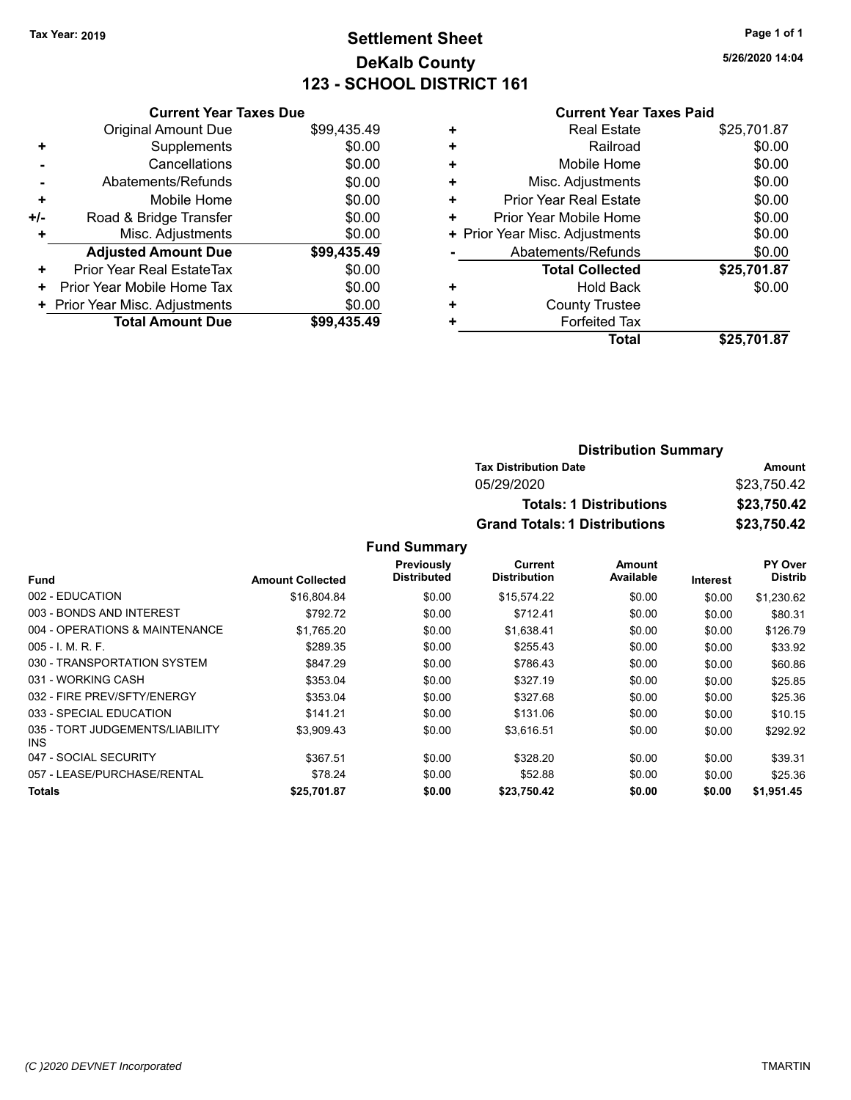### **Settlement Sheet Tax Year: 2019 Page 1 of 1 DeKalb County 123 - SCHOOL DISTRICT 161**

**5/26/2020 14:04**

### **Current Year Taxes Paid**

|     | <b>Current Year Taxes Due</b>  |             |
|-----|--------------------------------|-------------|
|     | <b>Original Amount Due</b>     | \$99,435.49 |
| ٠   | Supplements                    | \$0.00      |
|     | Cancellations                  | \$0.00      |
|     | Abatements/Refunds             | \$0.00      |
| ٠   | Mobile Home                    | \$0.00      |
| +/- | Road & Bridge Transfer         | \$0.00      |
|     | Misc. Adjustments              | \$0.00      |
|     | <b>Adjusted Amount Due</b>     | \$99,435.49 |
| ٠   | Prior Year Real EstateTax      | \$0.00      |
| ٠   | Prior Year Mobile Home Tax     | \$0.00      |
|     | + Prior Year Misc. Adjustments | \$0.00      |
|     | <b>Total Amount Due</b>        | \$99.435.49 |
|     |                                |             |

| ٠ | <b>Real Estate</b>             | \$25,701.87 |
|---|--------------------------------|-------------|
| ٠ | Railroad                       | \$0.00      |
| ÷ | Mobile Home                    | \$0.00      |
| ٠ | Misc. Adjustments              | \$0.00      |
| ٠ | <b>Prior Year Real Estate</b>  | \$0.00      |
| ٠ | Prior Year Mobile Home         | \$0.00      |
|   | + Prior Year Misc. Adjustments | \$0.00      |
|   | Abatements/Refunds             | \$0.00      |
|   | <b>Total Collected</b>         | \$25,701.87 |
| ٠ | Hold Back                      | \$0.00      |
|   | <b>County Trustee</b>          |             |
| ٠ | <b>Forfeited Tax</b>           |             |
|   | Total                          | \$25.701.87 |

| <b>Distribution Summary</b>          |             |
|--------------------------------------|-------------|
| <b>Tax Distribution Date</b>         | Amount      |
| 05/29/2020                           | \$23.750.42 |
| <b>Totals: 1 Distributions</b>       | \$23,750.42 |
| <b>Grand Totals: 1 Distributions</b> | \$23,750.42 |

|                                         |                         | Previously<br><b>Distributed</b> | Current             | <b>Amount</b><br>Available |                 | PY Over        |
|-----------------------------------------|-------------------------|----------------------------------|---------------------|----------------------------|-----------------|----------------|
| <b>Fund</b>                             | <b>Amount Collected</b> |                                  | <b>Distribution</b> |                            | <b>Interest</b> | <b>Distrib</b> |
| 002 - EDUCATION                         | \$16,804.84             | \$0.00                           | \$15,574.22         | \$0.00                     | \$0.00          | \$1,230.62     |
| 003 - BONDS AND INTEREST                | \$792.72                | \$0.00                           | \$712.41            | \$0.00                     | \$0.00          | \$80.31        |
| 004 - OPERATIONS & MAINTENANCE          | \$1,765.20              | \$0.00                           | \$1,638.41          | \$0.00                     | \$0.00          | \$126.79       |
| $005 - I. M. R. F.$                     | \$289.35                | \$0.00                           | \$255.43            | \$0.00                     | \$0.00          | \$33.92        |
| 030 - TRANSPORTATION SYSTEM             | \$847.29                | \$0.00                           | \$786.43            | \$0.00                     | \$0.00          | \$60.86        |
| 031 - WORKING CASH                      | \$353.04                | \$0.00                           | \$327.19            | \$0.00                     | \$0.00          | \$25.85        |
| 032 - FIRE PREV/SFTY/ENERGY             | \$353.04                | \$0.00                           | \$327.68            | \$0.00                     | \$0.00          | \$25.36        |
| 033 - SPECIAL EDUCATION                 | \$141.21                | \$0.00                           | \$131.06            | \$0.00                     | \$0.00          | \$10.15        |
| 035 - TORT JUDGEMENTS/LIABILITY<br>INS. | \$3,909.43              | \$0.00                           | \$3,616.51          | \$0.00                     | \$0.00          | \$292.92       |
| 047 - SOCIAL SECURITY                   | \$367.51                | \$0.00                           | \$328.20            | \$0.00                     | \$0.00          | \$39.31        |
| 057 - LEASE/PURCHASE/RENTAL             | \$78.24                 | \$0.00                           | \$52.88             | \$0.00                     | \$0.00          | \$25.36        |
| Totals                                  | \$25,701.87             | \$0.00                           | \$23,750.42         | \$0.00                     | \$0.00          | \$1,951.45     |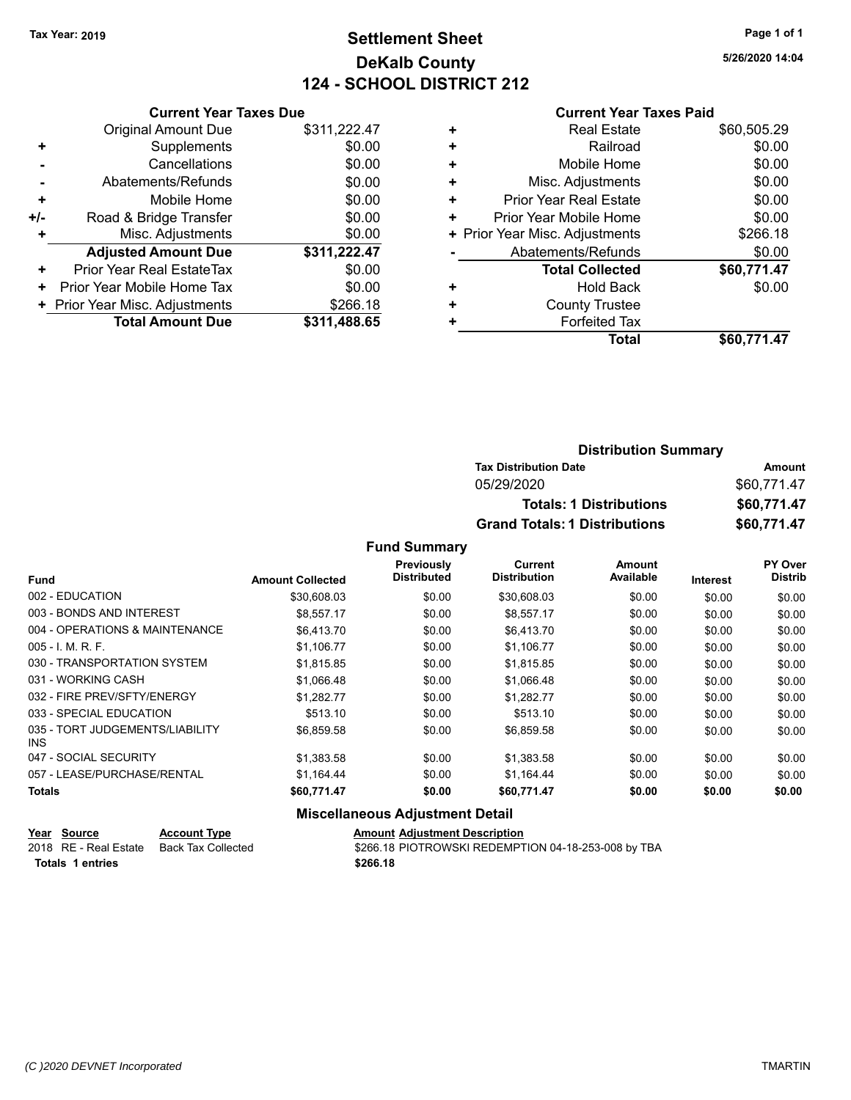### **Settlement Sheet Tax Year: 2019 Page 1 of 1 DeKalb County 124 - SCHOOL DISTRICT 212**

**5/26/2020 14:04**

#### **Current Year Taxes Paid**

|     | <b>Current Year Taxes Due</b>  |              |
|-----|--------------------------------|--------------|
|     | <b>Original Amount Due</b>     | \$311,222.47 |
| ٠   | Supplements                    | \$0.00       |
|     | Cancellations                  | \$0.00       |
|     | Abatements/Refunds             | \$0.00       |
| ÷   | Mobile Home                    | \$0.00       |
| +/- | Road & Bridge Transfer         | \$0.00       |
| ٠   | Misc. Adjustments              | \$0.00       |
|     | <b>Adjusted Amount Due</b>     | \$311,222.47 |
| ٠   | Prior Year Real EstateTax      | \$0.00       |
| ٠   | Prior Year Mobile Home Tax     | \$0.00       |
|     | + Prior Year Misc. Adjustments | \$266.18     |
|     | <b>Total Amount Due</b>        | \$311,488.65 |
|     |                                |              |

| <b>Real Estate</b>             | \$60,505.29 |
|--------------------------------|-------------|
| Railroad                       | \$0.00      |
| Mobile Home                    | \$0.00      |
| Misc. Adjustments              | \$0.00      |
| <b>Prior Year Real Estate</b>  | \$0.00      |
| Prior Year Mobile Home         | \$0.00      |
| + Prior Year Misc. Adjustments | \$266.18    |
| Abatements/Refunds             | \$0.00      |
| <b>Total Collected</b>         | \$60,771.47 |
| Hold Back                      | \$0.00      |
| <b>County Trustee</b>          |             |
| <b>Forfeited Tax</b>           |             |
| Total                          | \$60,771.47 |
|                                |             |

| <b>Distribution Summary</b>          |             |
|--------------------------------------|-------------|
| <b>Tax Distribution Date</b>         | Amount      |
| 05/29/2020                           | \$60,771.47 |
| <b>Totals: 1 Distributions</b>       | \$60,771.47 |
| <b>Grand Totals: 1 Distributions</b> | \$60,771.47 |

#### **Fund Summary**

|                                         |                         | Previously         | Current             | Amount    |                 | PY Over        |
|-----------------------------------------|-------------------------|--------------------|---------------------|-----------|-----------------|----------------|
| <b>Fund</b>                             | <b>Amount Collected</b> | <b>Distributed</b> | <b>Distribution</b> | Available | <b>Interest</b> | <b>Distrib</b> |
| 002 - EDUCATION                         | \$30,608.03             | \$0.00             | \$30,608.03         | \$0.00    | \$0.00          | \$0.00         |
| 003 - BONDS AND INTEREST                | \$8.557.17              | \$0.00             | \$8.557.17          | \$0.00    | \$0.00          | \$0.00         |
| 004 - OPERATIONS & MAINTENANCE          | \$6,413.70              | \$0.00             | \$6,413.70          | \$0.00    | \$0.00          | \$0.00         |
| $005 - 1$ , M, R, F,                    | \$1.106.77              | \$0.00             | \$1.106.77          | \$0.00    | \$0.00          | \$0.00         |
| 030 - TRANSPORTATION SYSTEM             | \$1,815.85              | \$0.00             | \$1,815.85          | \$0.00    | \$0.00          | \$0.00         |
| 031 - WORKING CASH                      | \$1.066.48              | \$0.00             | \$1,066.48          | \$0.00    | \$0.00          | \$0.00         |
| 032 - FIRE PREV/SFTY/ENERGY             | \$1,282.77              | \$0.00             | \$1,282.77          | \$0.00    | \$0.00          | \$0.00         |
| 033 - SPECIAL EDUCATION                 | \$513.10                | \$0.00             | \$513.10            | \$0.00    | \$0.00          | \$0.00         |
| 035 - TORT JUDGEMENTS/LIABILITY<br>INS. | \$6,859.58              | \$0.00             | \$6,859.58          | \$0.00    | \$0.00          | \$0.00         |
| 047 - SOCIAL SECURITY                   | \$1,383.58              | \$0.00             | \$1,383.58          | \$0.00    | \$0.00          | \$0.00         |
| 057 - LEASE/PURCHASE/RENTAL             | \$1.164.44              | \$0.00             | \$1,164.44          | \$0.00    | \$0.00          | \$0.00         |
| Totals                                  | \$60,771.47             | \$0.00             | \$60,771.47         | \$0.00    | \$0.00          | \$0.00         |

### **Miscellaneous Adjustment Detail**

| Year Source           | <b>Account Type</b> | <b>Amount Adjustment Description</b>                |
|-----------------------|---------------------|-----------------------------------------------------|
| 2018 RE - Real Estate | Back Tax Collected  | \$266.18 PIOTROWSKI REDEMPTION 04-18-253-008 by TBA |
| Totals 1 entries      |                     | \$266.18                                            |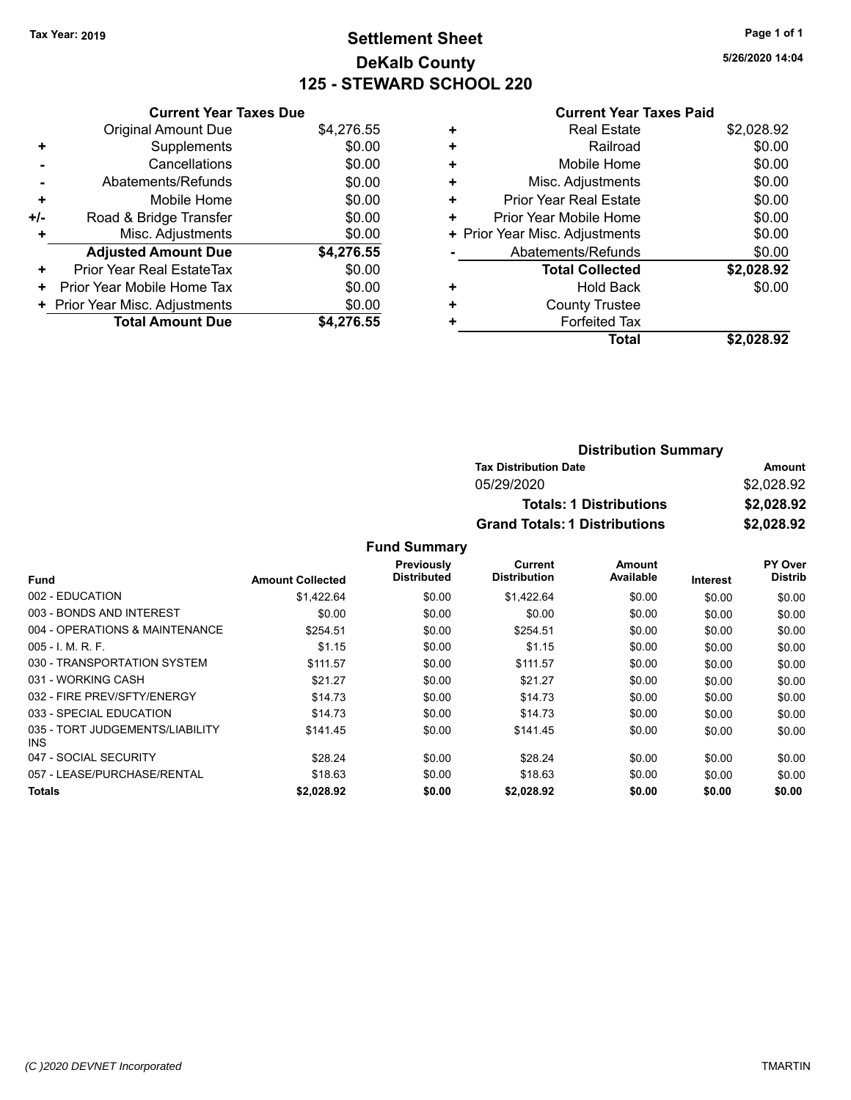### **Settlement Sheet Tax Year: 2019 Page 1 of 1 DeKalb County 125 - STEWARD SCHOOL 220**

**5/26/2020 14:04**

#### **Current Year Taxes Paid**

|       | <b>Current Year Taxes Due</b>  |            |
|-------|--------------------------------|------------|
|       | <b>Original Amount Due</b>     | \$4,276.55 |
| ٠     | Supplements                    | \$0.00     |
|       | Cancellations                  | \$0.00     |
|       | Abatements/Refunds             | \$0.00     |
| ÷     | Mobile Home                    | \$0.00     |
| $+/-$ | Road & Bridge Transfer         | \$0.00     |
| ٠     | Misc. Adjustments              | \$0.00     |
|       | <b>Adjusted Amount Due</b>     | \$4,276.55 |
| ٠     | Prior Year Real EstateTax      | \$0.00     |
| ٠     | Prior Year Mobile Home Tax     | \$0.00     |
|       | + Prior Year Misc. Adjustments | \$0.00     |
|       | <b>Total Amount Due</b>        | \$4.276.55 |

|   | <b>Real Estate</b>             | \$2,028.92 |
|---|--------------------------------|------------|
| ٠ | Railroad                       | \$0.00     |
| ٠ | Mobile Home                    | \$0.00     |
| ٠ | Misc. Adjustments              | \$0.00     |
| ٠ | <b>Prior Year Real Estate</b>  | \$0.00     |
| ٠ | Prior Year Mobile Home         | \$0.00     |
|   | + Prior Year Misc. Adjustments | \$0.00     |
|   | Abatements/Refunds             | \$0.00     |
|   | <b>Total Collected</b>         | \$2,028.92 |
| ٠ | Hold Back                      | \$0.00     |
| ٠ | <b>County Trustee</b>          |            |
| ٠ | <b>Forfeited Tax</b>           |            |
|   | <b>Total</b>                   | \$2.028.92 |
|   |                                |            |

| <b>Distribution Summary</b>          |            |
|--------------------------------------|------------|
| <b>Tax Distribution Date</b>         | Amount     |
| 05/29/2020                           | \$2,028.92 |
| <b>Totals: 1 Distributions</b>       | \$2,028.92 |
| <b>Grand Totals: 1 Distributions</b> | \$2,028.92 |

|                                         |                         | Previously  | <b>Current</b>      | Amount    |                 | PY Over        |
|-----------------------------------------|-------------------------|-------------|---------------------|-----------|-----------------|----------------|
| <b>Fund</b>                             | <b>Amount Collected</b> | Distributed | <b>Distribution</b> | Available | <b>Interest</b> | <b>Distrib</b> |
| 002 - EDUCATION                         | \$1,422.64              | \$0.00      | \$1,422.64          | \$0.00    | \$0.00          | \$0.00         |
| 003 - BONDS AND INTEREST                | \$0.00                  | \$0.00      | \$0.00              | \$0.00    | \$0.00          | \$0.00         |
| 004 - OPERATIONS & MAINTENANCE          | \$254.51                | \$0.00      | \$254.51            | \$0.00    | \$0.00          | \$0.00         |
| $005 - 1$ , M, R, F,                    | \$1.15                  | \$0.00      | \$1.15              | \$0.00    | \$0.00          | \$0.00         |
| 030 - TRANSPORTATION SYSTEM             | \$111.57                | \$0.00      | \$111.57            | \$0.00    | \$0.00          | \$0.00         |
| 031 - WORKING CASH                      | \$21.27                 | \$0.00      | \$21.27             | \$0.00    | \$0.00          | \$0.00         |
| 032 - FIRE PREV/SFTY/ENERGY             | \$14.73                 | \$0.00      | \$14.73             | \$0.00    | \$0.00          | \$0.00         |
| 033 - SPECIAL EDUCATION                 | \$14.73                 | \$0.00      | \$14.73             | \$0.00    | \$0.00          | \$0.00         |
| 035 - TORT JUDGEMENTS/LIABILITY<br>INS. | \$141.45                | \$0.00      | \$141.45            | \$0.00    | \$0.00          | \$0.00         |
| 047 - SOCIAL SECURITY                   | \$28.24                 | \$0.00      | \$28.24             | \$0.00    | \$0.00          | \$0.00         |
| 057 - LEASE/PURCHASE/RENTAL             | \$18.63                 | \$0.00      | \$18.63             | \$0.00    | \$0.00          | \$0.00         |
| Totals                                  | \$2.028.92              | \$0.00      | \$2,028.92          | \$0.00    | \$0.00          | \$0.00         |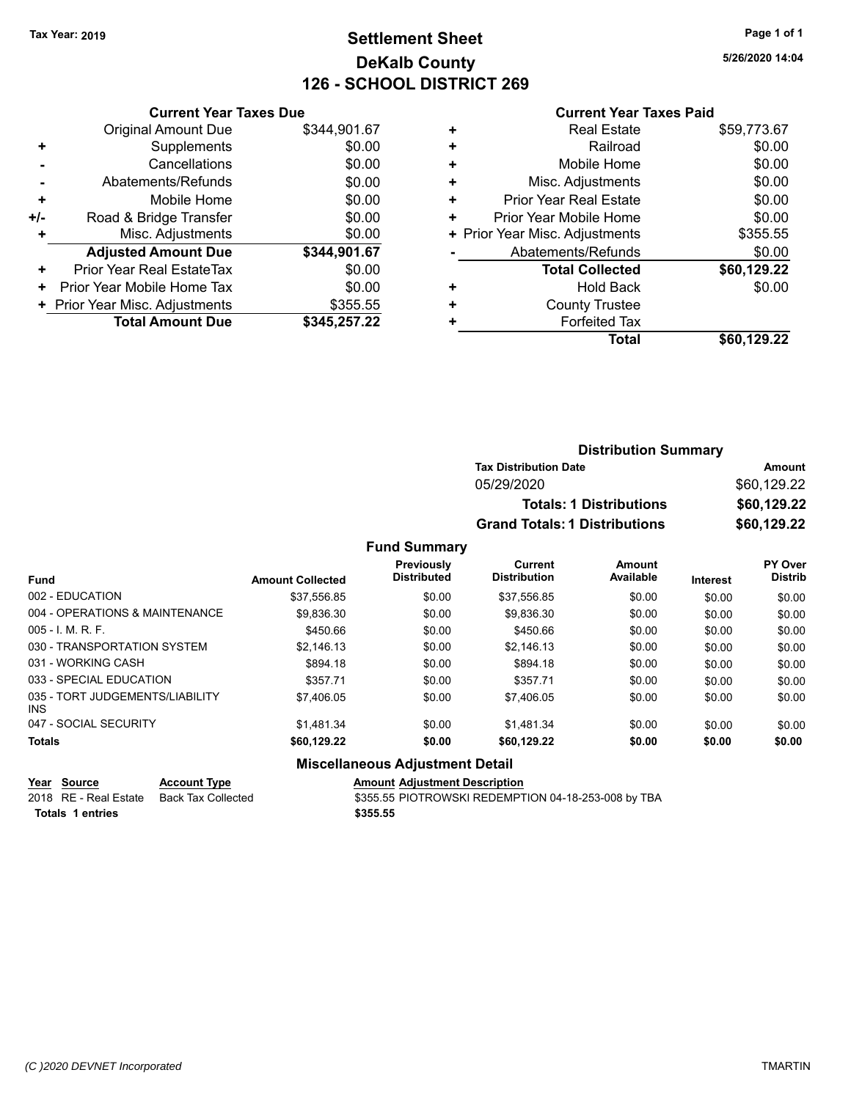# **Settlement Sheet Tax Year: 2019 Page 1 of 1 DeKalb County 126 - SCHOOL DISTRICT 269**

**5/26/2020 14:04**

#### **Current Year Taxes Paid**

|       | <b>Current Year Taxes Due</b>  |              |
|-------|--------------------------------|--------------|
|       | <b>Original Amount Due</b>     | \$344,901.67 |
| ٠     | Supplements                    | \$0.00       |
|       | Cancellations                  | \$0.00       |
|       | Abatements/Refunds             | \$0.00       |
| ٠     | Mobile Home                    | \$0.00       |
| $+/-$ | Road & Bridge Transfer         | \$0.00       |
| ٠     | Misc. Adjustments              | \$0.00       |
|       | <b>Adjusted Amount Due</b>     | \$344,901.67 |
| ٠     | Prior Year Real EstateTax      | \$0.00       |
| ٠     | Prior Year Mobile Home Tax     | \$0.00       |
|       | + Prior Year Misc. Adjustments | \$355.55     |
|       | <b>Total Amount Due</b>        | \$345,257.22 |
|       |                                |              |

|   | <b>Real Estate</b>             | \$59,773.67 |
|---|--------------------------------|-------------|
| ٠ | Railroad                       | \$0.00      |
| ٠ | Mobile Home                    | \$0.00      |
| ٠ | Misc. Adjustments              | \$0.00      |
| ٠ | <b>Prior Year Real Estate</b>  | \$0.00      |
| ٠ | Prior Year Mobile Home         | \$0.00      |
|   | + Prior Year Misc. Adjustments | \$355.55    |
|   | Abatements/Refunds             | \$0.00      |
|   | <b>Total Collected</b>         | \$60,129.22 |
| ٠ | <b>Hold Back</b>               | \$0.00      |
| ٠ | <b>County Trustee</b>          |             |
| ٠ | <b>Forfeited Tax</b>           |             |
|   | <b>Total</b>                   | \$60,129.22 |
|   |                                |             |

| <b>Distribution Summary</b>          |             |
|--------------------------------------|-------------|
| <b>Tax Distribution Date</b>         | Amount      |
| 05/29/2020                           | \$60.129.22 |
| <b>Totals: 1 Distributions</b>       | \$60,129.22 |
| <b>Grand Totals: 1 Distributions</b> | \$60,129.22 |

#### **Fund Summary**

| <b>Fund</b>                             | <b>Amount Collected</b> | Previously<br><b>Distributed</b> | Current<br><b>Distribution</b> | Amount<br>Available | <b>Interest</b> | <b>PY Over</b><br><b>Distrib</b> |
|-----------------------------------------|-------------------------|----------------------------------|--------------------------------|---------------------|-----------------|----------------------------------|
| 002 - EDUCATION                         | \$37,556.85             | \$0.00                           | \$37.556.85                    | \$0.00              | \$0.00          | \$0.00                           |
| 004 - OPERATIONS & MAINTENANCE          | \$9.836.30              | \$0.00                           | \$9.836.30                     | \$0.00              | \$0.00          | \$0.00                           |
| $005 - I$ , M, R, F,                    | \$450.66                | \$0.00                           | \$450.66                       | \$0.00              | \$0.00          | \$0.00                           |
| 030 - TRANSPORTATION SYSTEM             | \$2.146.13              | \$0.00                           | \$2,146.13                     | \$0.00              | \$0.00          | \$0.00                           |
| 031 - WORKING CASH                      | \$894.18                | \$0.00                           | \$894.18                       | \$0.00              | \$0.00          | \$0.00                           |
| 033 - SPECIAL EDUCATION                 | \$357.71                | \$0.00                           | \$357.71                       | \$0.00              | \$0.00          | \$0.00                           |
| 035 - TORT JUDGEMENTS/LIABILITY<br>INS. | \$7.406.05              | \$0.00                           | \$7.406.05                     | \$0.00              | \$0.00          | \$0.00                           |
| 047 - SOCIAL SECURITY                   | \$1.481.34              | \$0.00                           | \$1.481.34                     | \$0.00              | \$0.00          | \$0.00                           |
| <b>Totals</b>                           | \$60,129.22             | \$0.00                           | \$60,129.22                    | \$0.00              | \$0.00          | \$0.00                           |

#### **Miscellaneous Adjustment Detail**

**Year Source Account Type**<br>
2018 RE - Real Estate Back Tax Collected **Account S**\$355.55 PIOTROWSKI REDEMPT \$355.55 PIOTROWSKI REDEMPTION 04-18-253-008 by TBA **Totals \$355.55 1 entries**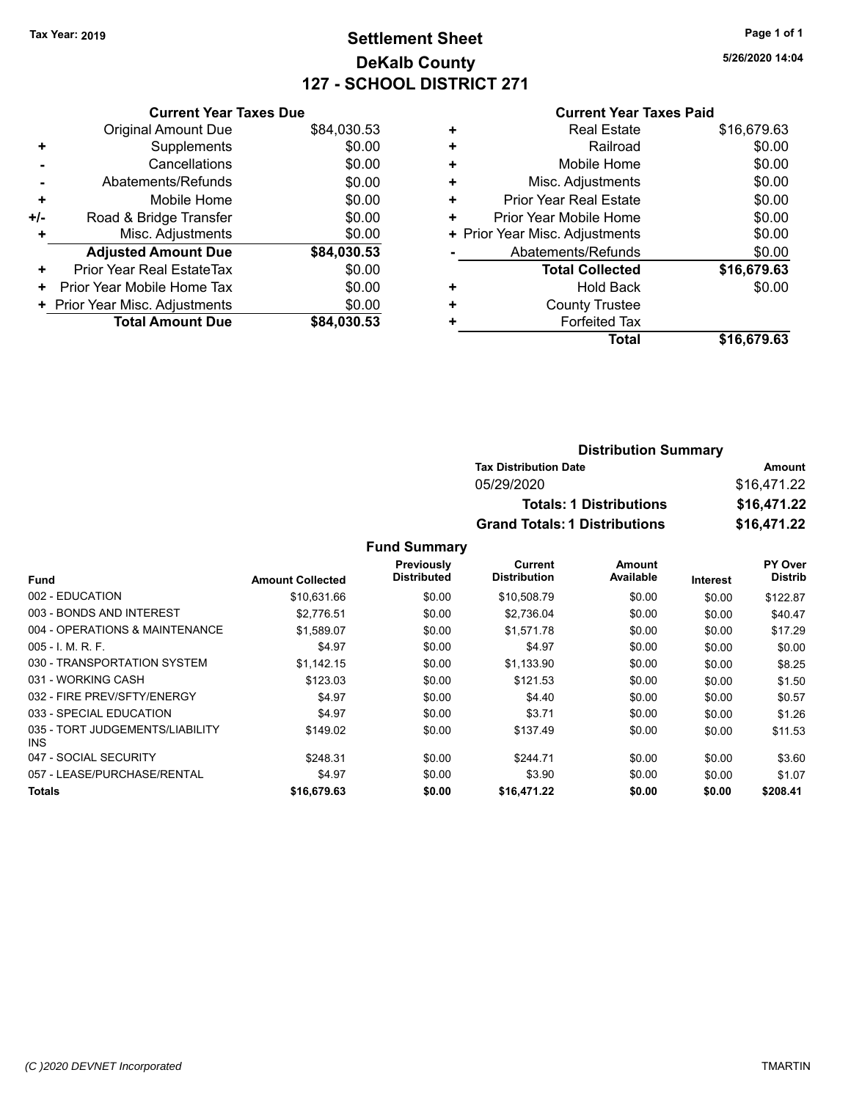# **Settlement Sheet Tax Year: 2019 Page 1 of 1 DeKalb County 127 - SCHOOL DISTRICT 271**

**5/26/2020 14:04**

#### **Current Year Taxes Paid**

|     | <b>Current Year Taxes Due</b>  |             |
|-----|--------------------------------|-------------|
|     | <b>Original Amount Due</b>     | \$84,030.53 |
| ٠   | Supplements                    | \$0.00      |
|     | Cancellations                  | \$0.00      |
|     | Abatements/Refunds             | \$0.00      |
| ٠   | Mobile Home                    | \$0.00      |
| +/- | Road & Bridge Transfer         | \$0.00      |
| ٠   | Misc. Adjustments              | \$0.00      |
|     | <b>Adjusted Amount Due</b>     | \$84,030.53 |
| ٠   | Prior Year Real EstateTax      | \$0.00      |
| ٠   | Prior Year Mobile Home Tax     | \$0.00      |
|     | + Prior Year Misc. Adjustments | \$0.00      |
|     | <b>Total Amount Due</b>        | \$84,030.53 |
|     |                                |             |

|   | <b>Real Estate</b>             | \$16,679.63 |
|---|--------------------------------|-------------|
| ٠ | Railroad                       | \$0.00      |
| ٠ | Mobile Home                    | \$0.00      |
| ÷ | Misc. Adjustments              | \$0.00      |
| ٠ | <b>Prior Year Real Estate</b>  | \$0.00      |
| + | Prior Year Mobile Home         | \$0.00      |
|   | + Prior Year Misc. Adjustments | \$0.00      |
|   | Abatements/Refunds             | \$0.00      |
|   | <b>Total Collected</b>         | \$16,679.63 |
| ٠ | <b>Hold Back</b>               | \$0.00      |
| ٠ | <b>County Trustee</b>          |             |
| ٠ | <b>Forfeited Tax</b>           |             |
|   | Total                          | \$16,679.63 |
|   |                                |             |

#### **Distribution Summary Tax Distribution Date Amount** 05/29/2020 \$16,471.22 **Totals: 1 Distributions \$16,471.22 Grand Totals: 1 Distributions \$16,471.22**

|                                         |                         | Previously         | Current             | Amount    |                 | PY Over        |
|-----------------------------------------|-------------------------|--------------------|---------------------|-----------|-----------------|----------------|
| <b>Fund</b>                             | <b>Amount Collected</b> | <b>Distributed</b> | <b>Distribution</b> | Available | <b>Interest</b> | <b>Distrib</b> |
| 002 - EDUCATION                         | \$10.631.66             | \$0.00             | \$10,508.79         | \$0.00    | \$0.00          | \$122.87       |
| 003 - BONDS AND INTEREST                | \$2.776.51              | \$0.00             | \$2,736.04          | \$0.00    | \$0.00          | \$40.47        |
| 004 - OPERATIONS & MAINTENANCE          | \$1,589.07              | \$0.00             | \$1,571.78          | \$0.00    | \$0.00          | \$17.29        |
| $005 - 1$ , M, R, F,                    | \$4.97                  | \$0.00             | \$4.97              | \$0.00    | \$0.00          | \$0.00         |
| 030 - TRANSPORTATION SYSTEM             | \$1.142.15              | \$0.00             | \$1,133.90          | \$0.00    | \$0.00          | \$8.25         |
| 031 - WORKING CASH                      | \$123.03                | \$0.00             | \$121.53            | \$0.00    | \$0.00          | \$1.50         |
| 032 - FIRE PREV/SFTY/ENERGY             | \$4.97                  | \$0.00             | \$4.40              | \$0.00    | \$0.00          | \$0.57         |
| 033 - SPECIAL EDUCATION                 | \$4.97                  | \$0.00             | \$3.71              | \$0.00    | \$0.00          | \$1.26         |
| 035 - TORT JUDGEMENTS/LIABILITY<br>INS. | \$149.02                | \$0.00             | \$137.49            | \$0.00    | \$0.00          | \$11.53        |
| 047 - SOCIAL SECURITY                   | \$248.31                | \$0.00             | \$244.71            | \$0.00    | \$0.00          | \$3.60         |
| 057 - LEASE/PURCHASE/RENTAL             | \$4.97                  | \$0.00             | \$3.90              | \$0.00    | \$0.00          | \$1.07         |
| <b>Totals</b>                           | \$16,679.63             | \$0.00             | \$16,471.22         | \$0.00    | \$0.00          | \$208.41       |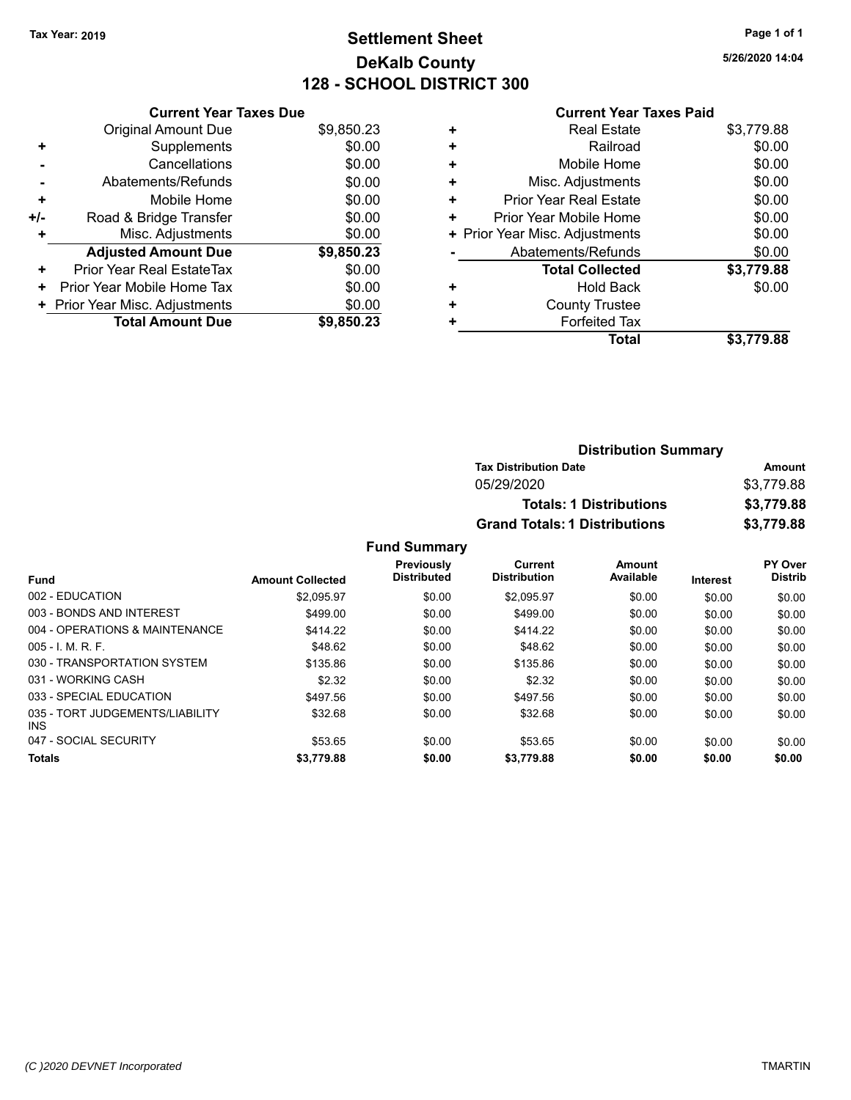# **Settlement Sheet Tax Year: 2019 Page 1 of 1 DeKalb County 128 - SCHOOL DISTRICT 300**

**5/26/2020 14:04**

| <b>Current Year Taxes Paid</b> |  |  |  |
|--------------------------------|--|--|--|
|--------------------------------|--|--|--|

|     | <b>Current Year Taxes Due</b>  |            |
|-----|--------------------------------|------------|
|     | <b>Original Amount Due</b>     | \$9,850.23 |
| ٠   | Supplements                    | \$0.00     |
|     | Cancellations                  | \$0.00     |
|     | Abatements/Refunds             | \$0.00     |
| ٠   | Mobile Home                    | \$0.00     |
| +/- | Road & Bridge Transfer         | \$0.00     |
|     | Misc. Adjustments              | \$0.00     |
|     | <b>Adjusted Amount Due</b>     | \$9,850.23 |
| ٠   | Prior Year Real EstateTax      | \$0.00     |
| ٠   | Prior Year Mobile Home Tax     | \$0.00     |
|     | + Prior Year Misc. Adjustments | \$0.00     |
|     | <b>Total Amount Due</b>        | \$9,850.23 |

|   | <b>Real Estate</b>             | \$3,779.88 |
|---|--------------------------------|------------|
| ÷ | Railroad                       | \$0.00     |
| ٠ | Mobile Home                    | \$0.00     |
| + | Misc. Adjustments              | \$0.00     |
| ٠ | Prior Year Real Estate         | \$0.00     |
| ٠ | Prior Year Mobile Home         | \$0.00     |
|   | + Prior Year Misc. Adjustments | \$0.00     |
|   | Abatements/Refunds             | \$0.00     |
|   | <b>Total Collected</b>         | \$3,779.88 |
| ٠ | Hold Back                      | \$0.00     |
| ٠ | <b>County Trustee</b>          |            |
| + | <b>Forfeited Tax</b>           |            |
|   | Total                          | \$3,779.88 |
|   |                                |            |

| <b>Distribution Summary</b>          |            |
|--------------------------------------|------------|
| <b>Tax Distribution Date</b>         | Amount     |
| 05/29/2020                           | \$3,779.88 |
| <b>Totals: 1 Distributions</b>       | \$3,779.88 |
| <b>Grand Totals: 1 Distributions</b> | \$3,779.88 |

|                                         |                         | <b>Previously</b><br><b>Distributed</b> | Current<br><b>Distribution</b> | Amount<br>Available |                 | PY Over<br><b>Distrib</b> |
|-----------------------------------------|-------------------------|-----------------------------------------|--------------------------------|---------------------|-----------------|---------------------------|
| <b>Fund</b>                             | <b>Amount Collected</b> |                                         |                                |                     | <b>Interest</b> |                           |
| 002 - EDUCATION                         | \$2.095.97              | \$0.00                                  | \$2.095.97                     | \$0.00              | \$0.00          | \$0.00                    |
| 003 - BONDS AND INTEREST                | \$499.00                | \$0.00                                  | \$499.00                       | \$0.00              | \$0.00          | \$0.00                    |
| 004 - OPERATIONS & MAINTENANCE          | \$414.22                | \$0.00                                  | \$414.22                       | \$0.00              | \$0.00          | \$0.00                    |
| $005 - 1$ M, R, F.                      | \$48.62                 | \$0.00                                  | \$48.62                        | \$0.00              | \$0.00          | \$0.00                    |
| 030 - TRANSPORTATION SYSTEM             | \$135.86                | \$0.00                                  | \$135.86                       | \$0.00              | \$0.00          | \$0.00                    |
| 031 - WORKING CASH                      | \$2.32                  | \$0.00                                  | \$2.32                         | \$0.00              | \$0.00          | \$0.00                    |
| 033 - SPECIAL EDUCATION                 | \$497.56                | \$0.00                                  | \$497.56                       | \$0.00              | \$0.00          | \$0.00                    |
| 035 - TORT JUDGEMENTS/LIABILITY<br>INS. | \$32.68                 | \$0.00                                  | \$32.68                        | \$0.00              | \$0.00          | \$0.00                    |
| 047 - SOCIAL SECURITY                   | \$53.65                 | \$0.00                                  | \$53.65                        | \$0.00              | \$0.00          | \$0.00                    |
| Totals                                  | \$3,779.88              | \$0.00                                  | \$3,779.88                     | \$0.00              | \$0.00          | \$0.00                    |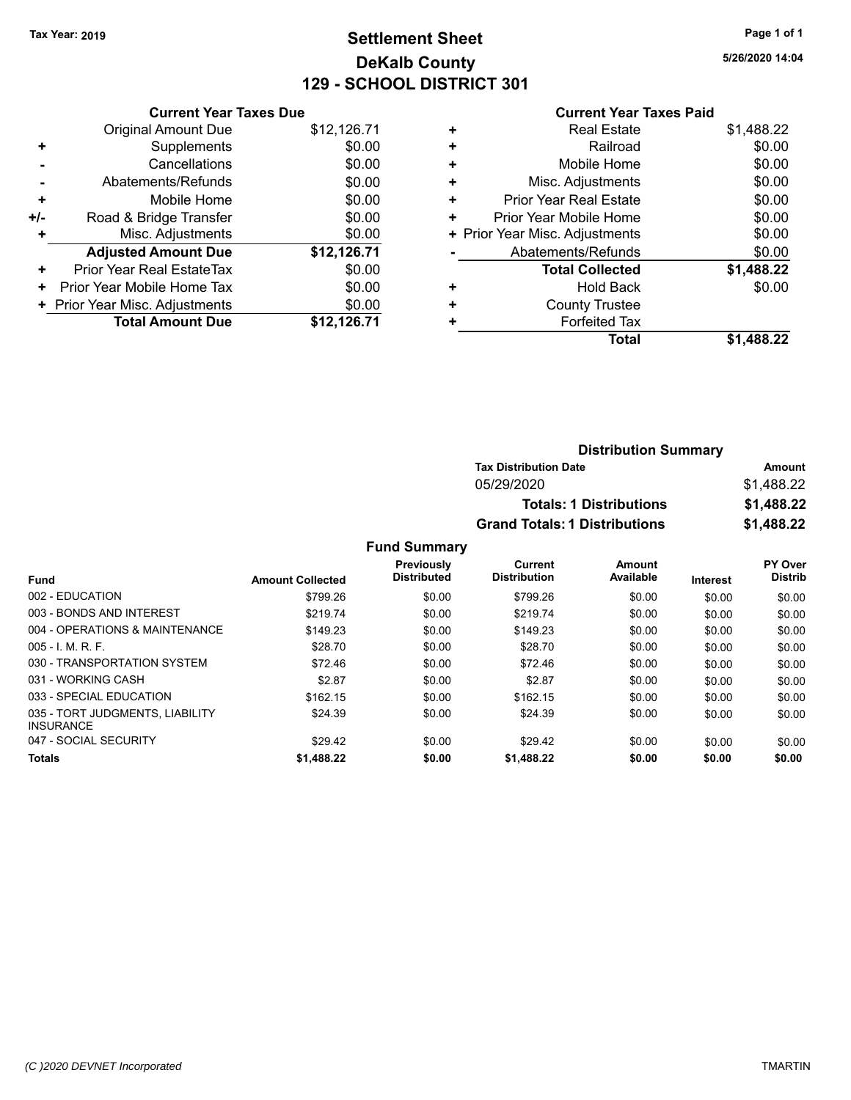# **Settlement Sheet Tax Year: 2019 Page 1 of 1 DeKalb County 129 - SCHOOL DISTRICT 301**

**5/26/2020 14:04**

#### **Current Year Taxes Paid**

| <b>Original Amount Due</b> | \$12,126.71                                                     |
|----------------------------|-----------------------------------------------------------------|
| Supplements                | \$0.00                                                          |
| Cancellations              | \$0.00                                                          |
| Abatements/Refunds         | \$0.00                                                          |
| Mobile Home                | \$0.00                                                          |
| Road & Bridge Transfer     | \$0.00                                                          |
| Misc. Adjustments          | \$0.00                                                          |
| <b>Adjusted Amount Due</b> | \$12,126.71                                                     |
| Prior Year Real EstateTax  | \$0.00                                                          |
| Prior Year Mobile Home Tax | \$0.00                                                          |
|                            | \$0.00                                                          |
| <b>Total Amount Due</b>    | \$12,126.71                                                     |
|                            | <b>Current Year Taxes Due</b><br>+ Prior Year Misc. Adjustments |

| ٠ | <b>Real Estate</b>             | \$1,488.22 |  |  |  |  |
|---|--------------------------------|------------|--|--|--|--|
| ٠ | \$0.00<br>Railroad             |            |  |  |  |  |
| ٠ | Mobile Home                    | \$0.00     |  |  |  |  |
| ٠ | Misc. Adjustments              | \$0.00     |  |  |  |  |
| ٠ | <b>Prior Year Real Estate</b>  | \$0.00     |  |  |  |  |
| ٠ | Prior Year Mobile Home         | \$0.00     |  |  |  |  |
|   | + Prior Year Misc. Adjustments | \$0.00     |  |  |  |  |
|   | Abatements/Refunds             | \$0.00     |  |  |  |  |
|   | <b>Total Collected</b>         | \$1,488.22 |  |  |  |  |
| ٠ | Hold Back                      | \$0.00     |  |  |  |  |
| ٠ | <b>County Trustee</b>          |            |  |  |  |  |
| ٠ | <b>Forfeited Tax</b>           |            |  |  |  |  |
|   | <b>Total</b>                   | \$1.488.22 |  |  |  |  |
|   |                                |            |  |  |  |  |

| <b>Distribution Summary</b>          |            |  |  |  |
|--------------------------------------|------------|--|--|--|
| <b>Tax Distribution Date</b>         | Amount     |  |  |  |
| 05/29/2020                           | \$1.488.22 |  |  |  |
| <b>Totals: 1 Distributions</b>       | \$1,488.22 |  |  |  |
| <b>Grand Totals: 1 Distributions</b> | \$1,488.22 |  |  |  |

|                                                     |                         | Previously<br><b>Distributed</b> | Current             | Amount    |                 | <b>PY Over</b> |
|-----------------------------------------------------|-------------------------|----------------------------------|---------------------|-----------|-----------------|----------------|
| <b>Fund</b>                                         | <b>Amount Collected</b> |                                  | <b>Distribution</b> | Available | <b>Interest</b> | <b>Distrib</b> |
| 002 - EDUCATION                                     | \$799.26                | \$0.00                           | \$799.26            | \$0.00    | \$0.00          | \$0.00         |
| 003 - BONDS AND INTEREST                            | \$219.74                | \$0.00                           | \$219.74            | \$0.00    | \$0.00          | \$0.00         |
| 004 - OPERATIONS & MAINTENANCE                      | \$149.23                | \$0.00                           | \$149.23            | \$0.00    | \$0.00          | \$0.00         |
| $005 - 1$ M, R, F.                                  | \$28.70                 | \$0.00                           | \$28.70             | \$0.00    | \$0.00          | \$0.00         |
| 030 - TRANSPORTATION SYSTEM                         | \$72.46                 | \$0.00                           | \$72.46             | \$0.00    | \$0.00          | \$0.00         |
| 031 - WORKING CASH                                  | \$2.87                  | \$0.00                           | \$2.87              | \$0.00    | \$0.00          | \$0.00         |
| 033 - SPECIAL EDUCATION                             | \$162.15                | \$0.00                           | \$162.15            | \$0.00    | \$0.00          | \$0.00         |
| 035 - TORT JUDGMENTS, LIABILITY<br><b>INSURANCE</b> | \$24.39                 | \$0.00                           | \$24.39             | \$0.00    | \$0.00          | \$0.00         |
| 047 - SOCIAL SECURITY                               | \$29.42                 | \$0.00                           | \$29.42             | \$0.00    | \$0.00          | \$0.00         |
| <b>Totals</b>                                       | \$1,488.22              | \$0.00                           | \$1,488.22          | \$0.00    | \$0.00          | \$0.00         |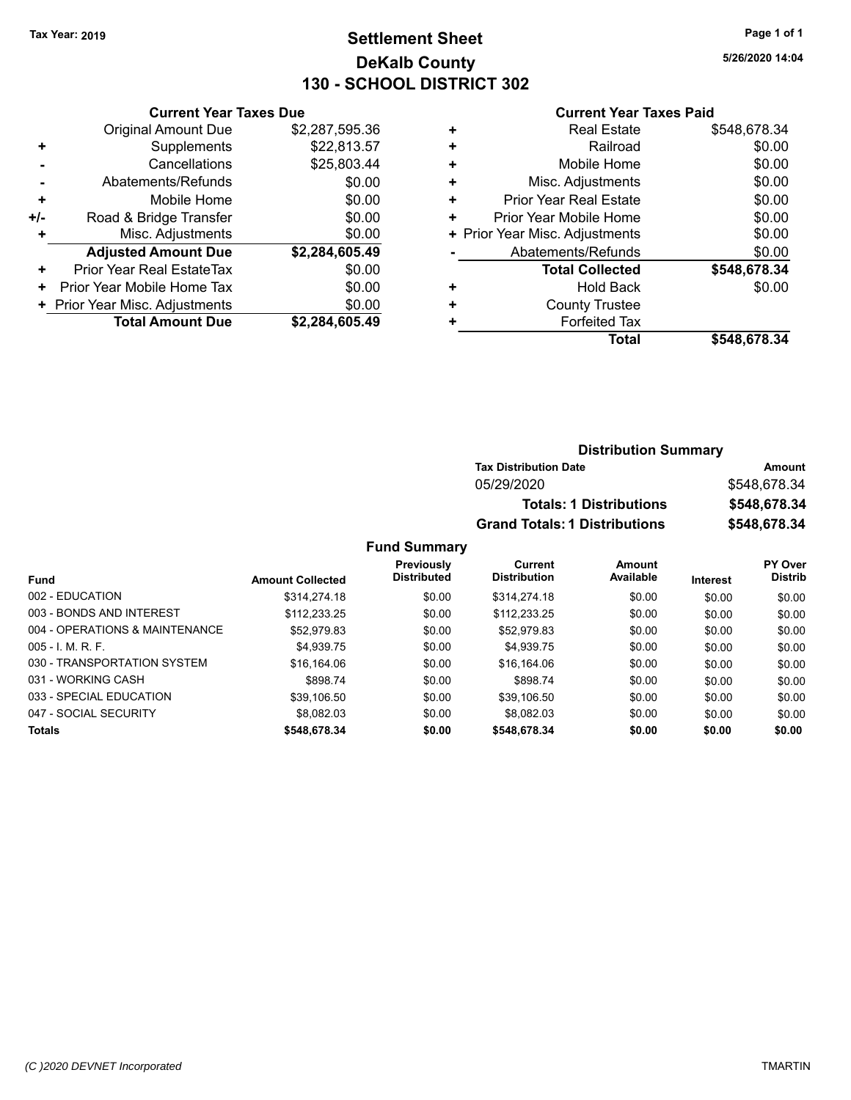# **Settlement Sheet Tax Year: 2019 Page 1 of 1 DeKalb County 130 - SCHOOL DISTRICT 302**

**5/26/2020 14:04**

#### **Current Year Taxes Paid**

|     | <b>Current Year Taxes Due</b>                |                |  |  |  |  |
|-----|----------------------------------------------|----------------|--|--|--|--|
|     | <b>Original Amount Due</b><br>\$2,287,595.36 |                |  |  |  |  |
| ٠   | \$22,813.57<br>Supplements                   |                |  |  |  |  |
|     | Cancellations                                | \$25,803.44    |  |  |  |  |
|     | Abatements/Refunds                           | \$0.00         |  |  |  |  |
| ٠   | Mobile Home                                  | \$0.00         |  |  |  |  |
| +/- | \$0.00<br>Road & Bridge Transfer             |                |  |  |  |  |
|     | \$0.00<br>Misc. Adjustments                  |                |  |  |  |  |
|     | <b>Adjusted Amount Due</b>                   | \$2,284,605.49 |  |  |  |  |
| ٠   | Prior Year Real EstateTax                    | \$0.00         |  |  |  |  |
| ٠   | Prior Year Mobile Home Tax                   | \$0.00         |  |  |  |  |
|     | \$0.00<br>+ Prior Year Misc. Adjustments     |                |  |  |  |  |
|     | <b>Total Amount Due</b>                      | \$2,284,605.49 |  |  |  |  |
|     |                                              |                |  |  |  |  |

|   | <b>Real Estate</b>             | \$548,678.34 |
|---|--------------------------------|--------------|
| ٠ | Railroad                       | \$0.00       |
| ٠ | Mobile Home                    | \$0.00       |
| ٠ | Misc. Adjustments              | \$0.00       |
| ٠ | <b>Prior Year Real Estate</b>  | \$0.00       |
| ٠ | Prior Year Mobile Home         | \$0.00       |
|   | + Prior Year Misc. Adjustments | \$0.00       |
|   | Abatements/Refunds             | \$0.00       |
|   | <b>Total Collected</b>         | \$548,678.34 |
| ٠ | <b>Hold Back</b>               | \$0.00       |
| ٠ | <b>County Trustee</b>          |              |
| ٠ | <b>Forfeited Tax</b>           |              |
|   | <b>Total</b>                   | \$548,678.34 |

## **Distribution Summary Tax Distribution Date Amount** 05/29/2020 \$548,678.34 **Totals: 1 Distributions \$548,678.34 Grand Totals: 1 Distributions \$548,678.34**

|                                |                         | Previously         | Current             | Amount    |                 | PY Over        |
|--------------------------------|-------------------------|--------------------|---------------------|-----------|-----------------|----------------|
| <b>Fund</b>                    | <b>Amount Collected</b> | <b>Distributed</b> | <b>Distribution</b> | Available | <b>Interest</b> | <b>Distrib</b> |
| 002 - EDUCATION                | \$314,274.18            | \$0.00             | \$314,274.18        | \$0.00    | \$0.00          | \$0.00         |
| 003 - BONDS AND INTEREST       | \$112,233.25            | \$0.00             | \$112.233.25        | \$0.00    | \$0.00          | \$0.00         |
| 004 - OPERATIONS & MAINTENANCE | \$52.979.83             | \$0.00             | \$52,979.83         | \$0.00    | \$0.00          | \$0.00         |
| $005 - 1$ , M, R, F,           | \$4.939.75              | \$0.00             | \$4.939.75          | \$0.00    | \$0.00          | \$0.00         |
| 030 - TRANSPORTATION SYSTEM    | \$16,164.06             | \$0.00             | \$16,164.06         | \$0.00    | \$0.00          | \$0.00         |
| 031 - WORKING CASH             | \$898.74                | \$0.00             | \$898.74            | \$0.00    | \$0.00          | \$0.00         |
| 033 - SPECIAL EDUCATION        | \$39.106.50             | \$0.00             | \$39,106.50         | \$0.00    | \$0.00          | \$0.00         |
| 047 - SOCIAL SECURITY          | \$8.082.03              | \$0.00             | \$8.082.03          | \$0.00    | \$0.00          | \$0.00         |
| <b>Totals</b>                  | \$548,678.34            | \$0.00             | \$548,678.34        | \$0.00    | \$0.00          | \$0.00         |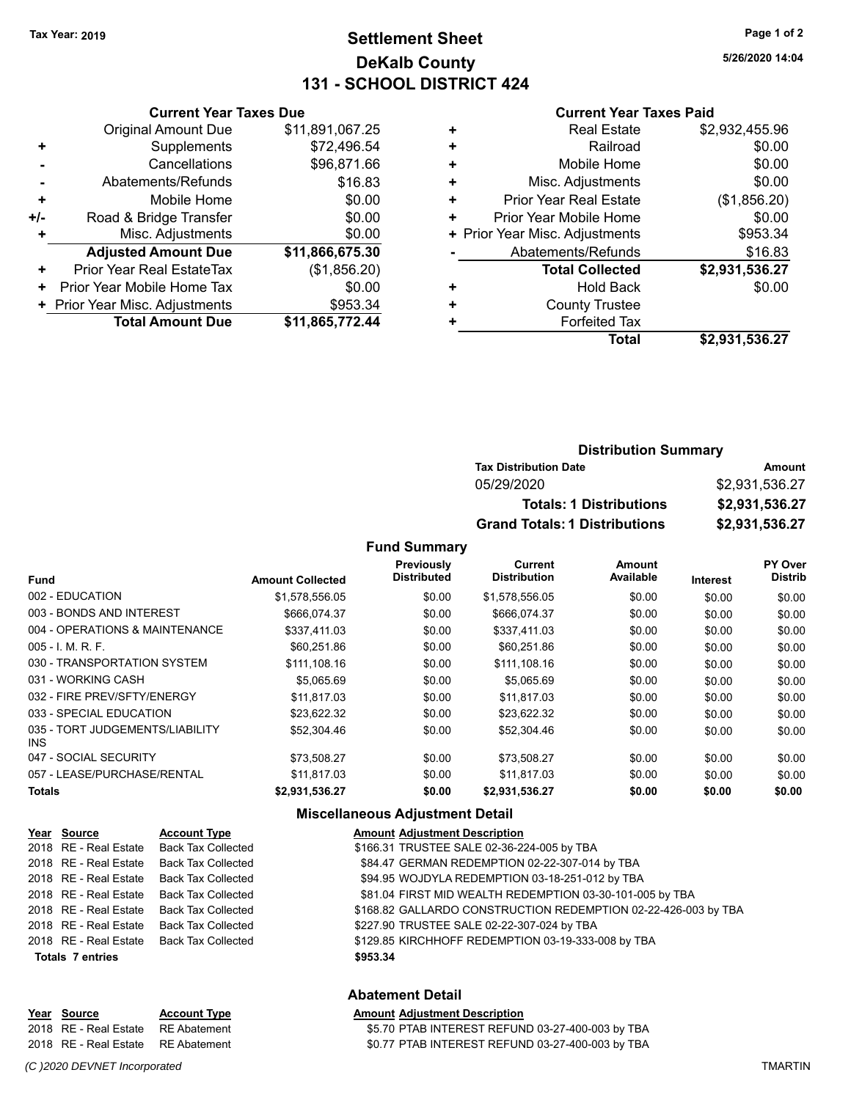# **Settlement Sheet Tax Year: 2019 Page 1 of 2 DeKalb County 131 - SCHOOL DISTRICT 424**

**5/26/2020 14:04**

#### **Current Year Taxes Paid**

| <b>Original Amount Due</b>       | \$11,891,067.25                                          |  |  |
|----------------------------------|----------------------------------------------------------|--|--|
| Supplements                      | \$72,496.54                                              |  |  |
| Cancellations                    | \$96,871.66                                              |  |  |
| Abatements/Refunds               | \$16.83                                                  |  |  |
| Mobile Home                      | \$0.00                                                   |  |  |
| Road & Bridge Transfer           | \$0.00                                                   |  |  |
| Misc. Adjustments<br>\$0.00<br>٠ |                                                          |  |  |
| <b>Adjusted Amount Due</b>       | \$11,866,675.30                                          |  |  |
| Prior Year Real EstateTax        | (\$1,856.20)                                             |  |  |
| Prior Year Mobile Home Tax       | \$0.00                                                   |  |  |
| + Prior Year Misc. Adjustments   | \$953.34                                                 |  |  |
|                                  | \$11,865,772.44                                          |  |  |
|                                  | <b>Current Year Taxes Due</b><br><b>Total Amount Due</b> |  |  |

|   | <b>Real Estate</b>             | \$2,932,455.96 |
|---|--------------------------------|----------------|
| ٠ | Railroad                       | \$0.00         |
| ٠ | Mobile Home                    | \$0.00         |
| ٠ | Misc. Adjustments              | \$0.00         |
| ٠ | Prior Year Real Estate         | (\$1,856.20)   |
| ٠ | Prior Year Mobile Home         | \$0.00         |
|   | + Prior Year Misc. Adjustments | \$953.34       |
|   | Abatements/Refunds             | \$16.83        |
|   | <b>Total Collected</b>         | \$2,931,536.27 |
|   | <b>Hold Back</b>               | \$0.00         |
|   | <b>County Trustee</b>          |                |
|   | <b>Forfeited Tax</b>           |                |
|   | Total                          | \$2,931,536.27 |
|   |                                |                |

| <b>Distribution Summary</b>          |                |
|--------------------------------------|----------------|
| <b>Tax Distribution Date</b>         | Amount         |
| 05/29/2020                           | \$2,931,536.27 |
| <b>Totals: 1 Distributions</b>       | \$2,931,536.27 |
| <b>Grand Totals: 1 Distributions</b> | \$2,931,536.27 |

#### **Fund Summary**

|                                         |                         | Previously         | Current             | <b>Amount</b> |          | PY Over        |
|-----------------------------------------|-------------------------|--------------------|---------------------|---------------|----------|----------------|
| <b>Fund</b>                             | <b>Amount Collected</b> | <b>Distributed</b> | <b>Distribution</b> | Available     | Interest | <b>Distrib</b> |
| 002 - EDUCATION                         | \$1,578,556.05          | \$0.00             | \$1,578,556.05      | \$0.00        | \$0.00   | \$0.00         |
| 003 - BONDS AND INTEREST                | \$666.074.37            | \$0.00             | \$666.074.37        | \$0.00        | \$0.00   | \$0.00         |
| 004 - OPERATIONS & MAINTENANCE          | \$337,411.03            | \$0.00             | \$337.411.03        | \$0.00        | \$0.00   | \$0.00         |
| $005 - I$ , M, R, F.                    | \$60,251.86             | \$0.00             | \$60,251.86         | \$0.00        | \$0.00   | \$0.00         |
| 030 - TRANSPORTATION SYSTEM             | \$111,108.16            | \$0.00             | \$111,108.16        | \$0.00        | \$0.00   | \$0.00         |
| 031 - WORKING CASH                      | \$5,065.69              | \$0.00             | \$5,065.69          | \$0.00        | \$0.00   | \$0.00         |
| 032 - FIRE PREV/SFTY/ENERGY             | \$11.817.03             | \$0.00             | \$11,817.03         | \$0.00        | \$0.00   | \$0.00         |
| 033 - SPECIAL EDUCATION                 | \$23.622.32             | \$0.00             | \$23.622.32         | \$0.00        | \$0.00   | \$0.00         |
| 035 - TORT JUDGEMENTS/LIABILITY<br>INS. | \$52,304.46             | \$0.00             | \$52,304.46         | \$0.00        | \$0.00   | \$0.00         |
| 047 - SOCIAL SECURITY                   | \$73,508.27             | \$0.00             | \$73,508.27         | \$0.00        | \$0.00   | \$0.00         |
| 057 - LEASE/PURCHASE/RENTAL             | \$11,817.03             | \$0.00             | \$11,817.03         | \$0.00        | \$0.00   | \$0.00         |
| Totals                                  | \$2,931,536.27          | \$0.00             | \$2,931,536.27      | \$0.00        | \$0.00   | \$0.00         |

#### **Miscellaneous Adjustment Detail**

| Year Source             | <b>Account Type</b>                      | <b>Amount Adjustment Description</b>                           |
|-------------------------|------------------------------------------|----------------------------------------------------------------|
|                         | 2018 RE - Real Estate Back Tax Collected | \$166.31 TRUSTEE SALE 02-36-224-005 by TBA                     |
| 2018 RE - Real Estate   | Back Tax Collected                       | \$84.47 GERMAN REDEMPTION 02-22-307-014 by TBA                 |
|                         | 2018 RE - Real Estate Back Tax Collected | \$94.95 WOJDYLA REDEMPTION 03-18-251-012 by TBA                |
|                         | 2018 RE - Real Estate Back Tax Collected | \$81.04 FIRST MID WEALTH REDEMPTION 03-30-101-005 by TBA       |
|                         | 2018 RE - Real Estate Back Tax Collected | \$168.82 GALLARDO CONSTRUCTION REDEMPTION 02-22-426-003 by TBA |
|                         | 2018 RE - Real Estate Back Tax Collected | \$227.90 TRUSTEE SALE 02-22-307-024 by TBA                     |
|                         | 2018 RE - Real Estate Back Tax Collected | \$129.85 KIRCHHOFF REDEMPTION 03-19-333-008 by TBA             |
| <b>Totals 7 entries</b> |                                          | \$953.34                                                       |

# **Abatement Detail**

| Year Source                              | <b>Account Type</b> | <b>Amount Adiustment Description</b>             |
|------------------------------------------|---------------------|--------------------------------------------------|
| 2018   RE - Real Estate     RE Abatement |                     | \$5.70 PTAB INTEREST REFUND 03-27-400-003 by TBA |
| 2018   RE - Real Estate     RE Abatement |                     | \$0.77 PTAB INTEREST REFUND 03-27-400-003 by TBA |

*(C )2020 DEVNET Incorporated* TMARTIN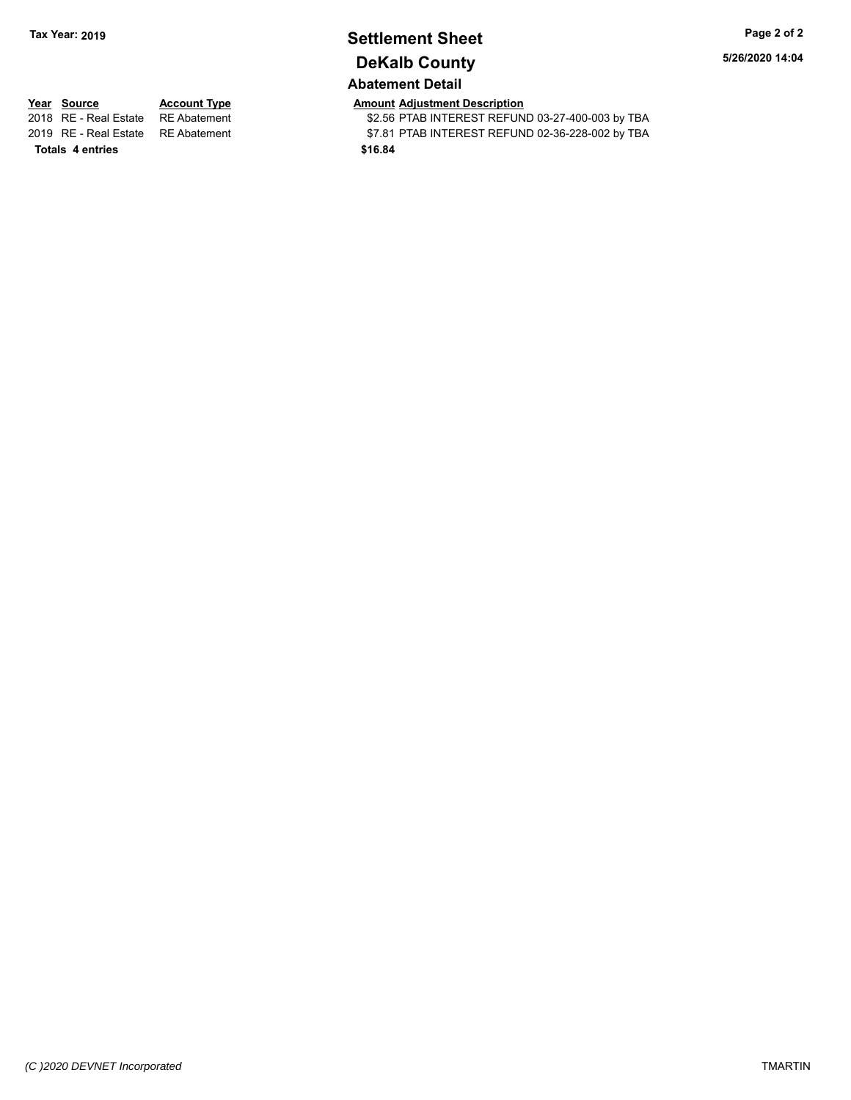# **Settlement Sheet Tax Year: 2019 Page 2 of 2 DeKalb County Abatement Detail**

**5/26/2020 14:04**

**Totals \$16.84 4 entries**

**Year Source Account Type Amount Adjustment Description**<br>2018 RE - Real Estate RE Abatement **Amount Adjustment Adjustment** ACS-56 PTAB INTEREST REFUN

\$2.56 PTAB INTEREST REFUND 03-27-400-003 by TBA 2019 RE - Real Estate RE Abatement \$7.81 PTAB INTEREST REFUND 02-36-228-002 by TBA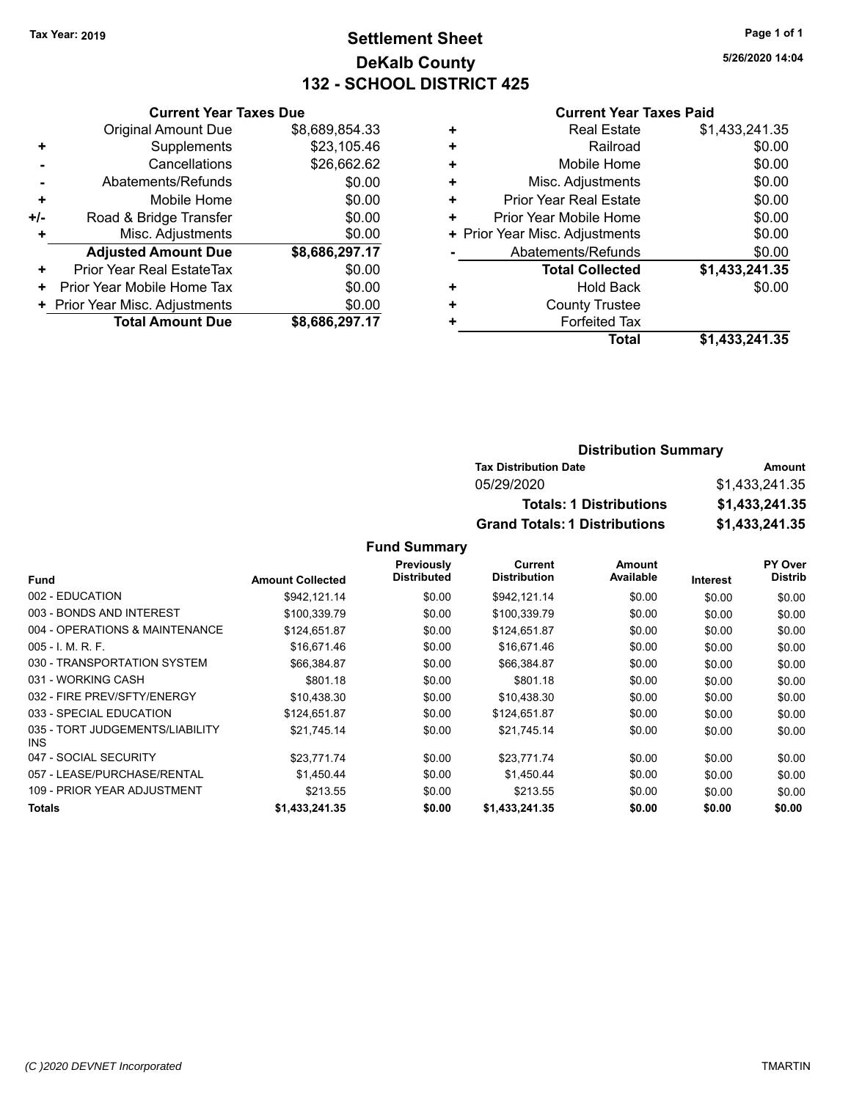# **Settlement Sheet Tax Year: 2019 Page 1 of 1 DeKalb County 132 - SCHOOL DISTRICT 425**

**5/26/2020 14:04**

#### **Current Year Taxes Paid**

|     | <b>Current Year Taxes Due</b>  |                |
|-----|--------------------------------|----------------|
|     | <b>Original Amount Due</b>     | \$8,689,854.33 |
| ÷   | Supplements                    | \$23,105.46    |
|     | Cancellations                  | \$26,662.62    |
|     | Abatements/Refunds             | \$0.00         |
| ٠   | Mobile Home                    | \$0.00         |
| +/- | Road & Bridge Transfer         | \$0.00         |
| ÷   | Misc. Adjustments              | \$0.00         |
|     | <b>Adjusted Amount Due</b>     | \$8,686,297.17 |
| ٠   | Prior Year Real EstateTax      | \$0.00         |
| ٠   | Prior Year Mobile Home Tax     | \$0.00         |
|     | + Prior Year Misc. Adjustments | \$0.00         |
|     | <b>Total Amount Due</b>        | \$8,686,297.17 |
|     |                                |                |

| <b>Real Estate</b>            | \$1,433,241.35                 |
|-------------------------------|--------------------------------|
| Railroad                      | \$0.00                         |
| Mobile Home                   | \$0.00                         |
| Misc. Adjustments             | \$0.00                         |
| <b>Prior Year Real Estate</b> | \$0.00                         |
| Prior Year Mobile Home        | \$0.00                         |
|                               | \$0.00                         |
| Abatements/Refunds            | \$0.00                         |
| <b>Total Collected</b>        | \$1,433,241.35                 |
| Hold Back                     | \$0.00                         |
| <b>County Trustee</b>         |                                |
| <b>Forfeited Tax</b>          |                                |
| <b>Total</b>                  | \$1,433,241.35                 |
|                               | + Prior Year Misc. Adjustments |

#### **Distribution Summary Tax Distribution Date Amount** 05/29/2020 \$1,433,241.35 **Totals: 1 Distributions \$1,433,241.35 Grand Totals: 1 Distributions \$1,433,241.35**

|                                         |                         | <b>Previously</b>  | Current             | <b>Amount</b> |                 | <b>PY Over</b> |
|-----------------------------------------|-------------------------|--------------------|---------------------|---------------|-----------------|----------------|
| <b>Fund</b>                             | <b>Amount Collected</b> | <b>Distributed</b> | <b>Distribution</b> | Available     | <b>Interest</b> | <b>Distrib</b> |
| 002 - EDUCATION                         | \$942,121.14            | \$0.00             | \$942,121.14        | \$0.00        | \$0.00          | \$0.00         |
| 003 - BONDS AND INTEREST                | \$100.339.79            | \$0.00             | \$100,339.79        | \$0.00        | \$0.00          | \$0.00         |
| 004 - OPERATIONS & MAINTENANCE          | \$124,651.87            | \$0.00             | \$124,651.87        | \$0.00        | \$0.00          | \$0.00         |
| $005 - 1$ , M, R, F,                    | \$16,671.46             | \$0.00             | \$16,671.46         | \$0.00        | \$0.00          | \$0.00         |
| 030 - TRANSPORTATION SYSTEM             | \$66,384.87             | \$0.00             | \$66,384.87         | \$0.00        | \$0.00          | \$0.00         |
| 031 - WORKING CASH                      | \$801.18                | \$0.00             | \$801.18            | \$0.00        | \$0.00          | \$0.00         |
| 032 - FIRE PREV/SFTY/ENERGY             | \$10.438.30             | \$0.00             | \$10,438.30         | \$0.00        | \$0.00          | \$0.00         |
| 033 - SPECIAL EDUCATION                 | \$124.651.87            | \$0.00             | \$124.651.87        | \$0.00        | \$0.00          | \$0.00         |
| 035 - TORT JUDGEMENTS/LIABILITY<br>INS. | \$21.745.14             | \$0.00             | \$21,745.14         | \$0.00        | \$0.00          | \$0.00         |
| 047 - SOCIAL SECURITY                   | \$23,771.74             | \$0.00             | \$23,771.74         | \$0.00        | \$0.00          | \$0.00         |
| 057 - LEASE/PURCHASE/RENTAL             | \$1.450.44              | \$0.00             | \$1,450.44          | \$0.00        | \$0.00          | \$0.00         |
| 109 - PRIOR YEAR ADJUSTMENT             | \$213.55                | \$0.00             | \$213.55            | \$0.00        | \$0.00          | \$0.00         |
| Totals                                  | \$1,433,241.35          | \$0.00             | \$1,433,241.35      | \$0.00        | \$0.00          | \$0.00         |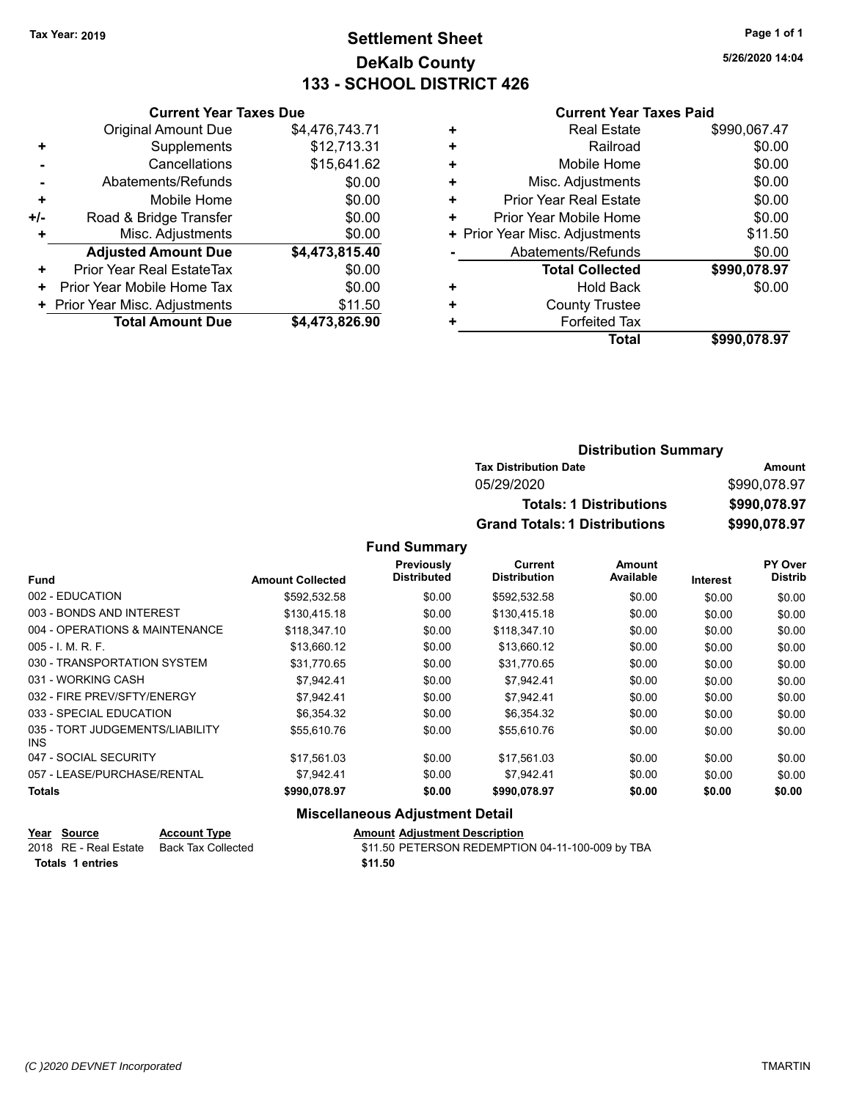# **Settlement Sheet Tax Year: 2019 Page 1 of 1 DeKalb County 133 - SCHOOL DISTRICT 426**

**5/26/2020 14:04**

#### **Current Year Taxes Paid**

|     | <b>Current Year Taxes Due</b>  |                |  |
|-----|--------------------------------|----------------|--|
|     | <b>Original Amount Due</b>     | \$4,476,743.71 |  |
| ٠   | Supplements                    | \$12,713.31    |  |
|     | Cancellations                  | \$15,641.62    |  |
|     | Abatements/Refunds             | \$0.00         |  |
| ٠   | Mobile Home                    | \$0.00         |  |
| +/- | Road & Bridge Transfer         | \$0.00         |  |
|     | Misc. Adjustments              | \$0.00         |  |
|     | <b>Adjusted Amount Due</b>     | \$4,473,815.40 |  |
| ٠   | Prior Year Real EstateTax      | \$0.00         |  |
| ٠   | Prior Year Mobile Home Tax     | \$0.00         |  |
|     | + Prior Year Misc. Adjustments | \$11.50        |  |
|     | <b>Total Amount Due</b>        | \$4,473,826.90 |  |
|     |                                |                |  |

|   | <b>Real Estate</b>             | \$990,067.47 |
|---|--------------------------------|--------------|
| ٠ | Railroad                       | \$0.00       |
| ٠ | Mobile Home                    | \$0.00       |
| ٠ | Misc. Adjustments              | \$0.00       |
| ٠ | <b>Prior Year Real Estate</b>  | \$0.00       |
| ٠ | Prior Year Mobile Home         | \$0.00       |
|   | + Prior Year Misc. Adjustments | \$11.50      |
|   | Abatements/Refunds             | \$0.00       |
|   | <b>Total Collected</b>         | \$990,078.97 |
| ٠ | Hold Back                      | \$0.00       |
| ٠ | <b>County Trustee</b>          |              |
| ٠ | <b>Forfeited Tax</b>           |              |
|   | Total                          | \$990,078.97 |
|   |                                |              |

| <b>Distribution Summary</b>          |              |
|--------------------------------------|--------------|
| <b>Tax Distribution Date</b>         | Amount       |
| 05/29/2020                           | \$990,078.97 |
| <b>Totals: 1 Distributions</b>       | \$990,078.97 |
| <b>Grand Totals: 1 Distributions</b> | \$990,078.97 |

#### **Fund Summary**

|                                         |                         | Previously         | Current             | Amount    |          | <b>PY Over</b> |
|-----------------------------------------|-------------------------|--------------------|---------------------|-----------|----------|----------------|
| <b>Fund</b>                             | <b>Amount Collected</b> | <b>Distributed</b> | <b>Distribution</b> | Available | Interest | <b>Distrib</b> |
| 002 - EDUCATION                         | \$592,532.58            | \$0.00             | \$592,532.58        | \$0.00    | \$0.00   | \$0.00         |
| 003 - BONDS AND INTEREST                | \$130,415.18            | \$0.00             | \$130,415.18        | \$0.00    | \$0.00   | \$0.00         |
| 004 - OPERATIONS & MAINTENANCE          | \$118,347.10            | \$0.00             | \$118,347.10        | \$0.00    | \$0.00   | \$0.00         |
| $005 - I. M. R. F.$                     | \$13,660.12             | \$0.00             | \$13,660.12         | \$0.00    | \$0.00   | \$0.00         |
| 030 - TRANSPORTATION SYSTEM             | \$31.770.65             | \$0.00             | \$31.770.65         | \$0.00    | \$0.00   | \$0.00         |
| 031 - WORKING CASH                      | \$7.942.41              | \$0.00             | \$7,942.41          | \$0.00    | \$0.00   | \$0.00         |
| 032 - FIRE PREV/SFTY/ENERGY             | \$7,942.41              | \$0.00             | \$7,942.41          | \$0.00    | \$0.00   | \$0.00         |
| 033 - SPECIAL EDUCATION                 | \$6,354.32              | \$0.00             | \$6,354.32          | \$0.00    | \$0.00   | \$0.00         |
| 035 - TORT JUDGEMENTS/LIABILITY<br>INS. | \$55,610.76             | \$0.00             | \$55.610.76         | \$0.00    | \$0.00   | \$0.00         |
| 047 - SOCIAL SECURITY                   | \$17.561.03             | \$0.00             | \$17.561.03         | \$0.00    | \$0.00   | \$0.00         |
| 057 - LEASE/PURCHASE/RENTAL             | \$7.942.41              | \$0.00             | \$7.942.41          | \$0.00    | \$0.00   | \$0.00         |
| Totals                                  | \$990,078.97            | \$0.00             | \$990,078.97        | \$0.00    | \$0.00   | \$0.00         |

#### **Miscellaneous Adjustment Detail**

| Year Source           | <b>Account Type</b> | <b>Amount Adjustment Description</b>             |
|-----------------------|---------------------|--------------------------------------------------|
| 2018 RE - Real Estate | Back Tax Collected  | \$11.50 PETERSON REDEMPTION 04-11-100-009 by TBA |
| Totals 1 entries      |                     | \$11.50                                          |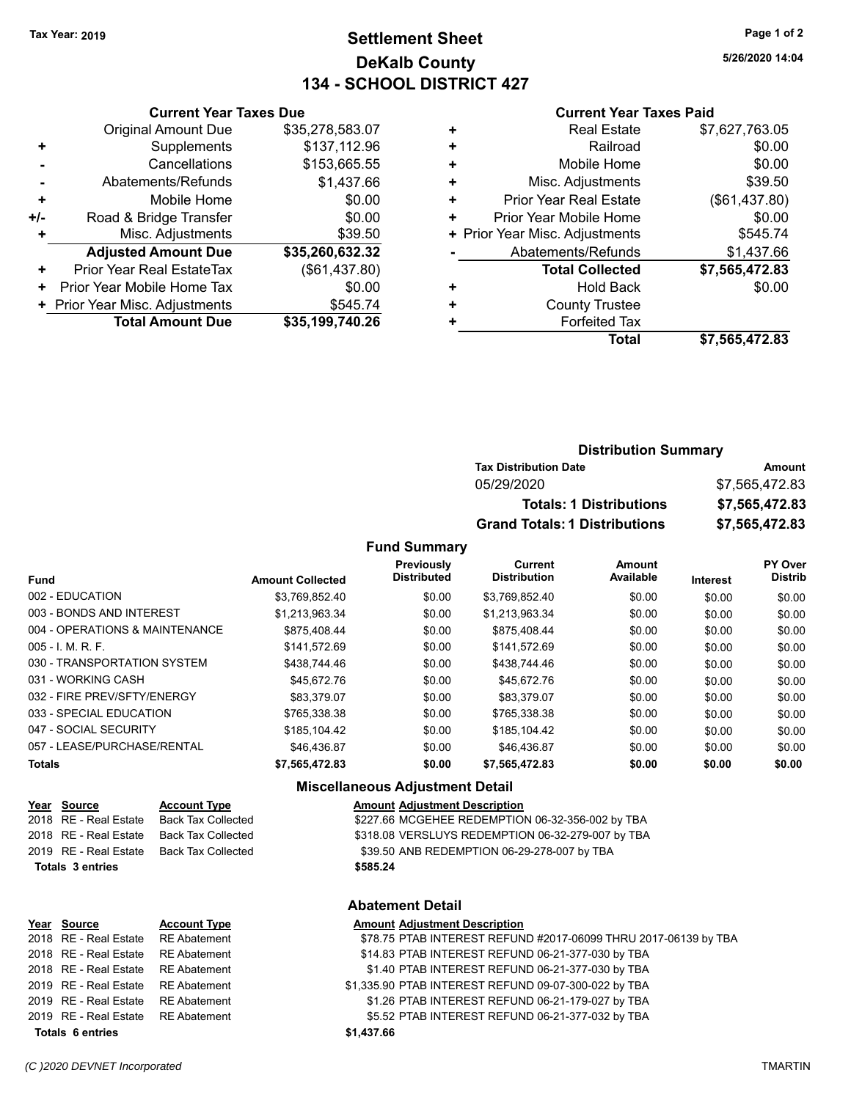# **Settlement Sheet Tax Year: 2019 Page 1 of 2 DeKalb County 134 - SCHOOL DISTRICT 427**

**5/26/2020 14:04**

#### **Current Year Taxes Paid**

|     | <b>Current Year Taxes Due</b>  |                 |
|-----|--------------------------------|-----------------|
|     | <b>Original Amount Due</b>     | \$35,278,583.07 |
| ٠   | Supplements                    | \$137,112.96    |
|     | Cancellations                  | \$153,665.55    |
|     | Abatements/Refunds             | \$1,437.66      |
| ٠   | Mobile Home                    | \$0.00          |
| +/- | Road & Bridge Transfer         | \$0.00          |
|     | Misc. Adjustments              | \$39.50         |
|     | <b>Adjusted Amount Due</b>     | \$35,260,632.32 |
| ٠   | Prior Year Real EstateTax      | (\$61,437.80)   |
| ٠   | Prior Year Mobile Home Tax     | \$0.00          |
|     | + Prior Year Misc. Adjustments | \$545.74        |
|     | <b>Total Amount Due</b>        | \$35,199,740.26 |
|     |                                |                 |

|   | <b>Real Estate</b>             | \$7,627,763.05 |
|---|--------------------------------|----------------|
| ÷ | Railroad                       | \$0.00         |
| ٠ | Mobile Home                    | \$0.00         |
| ٠ | Misc. Adjustments              | \$39.50        |
| ٠ | <b>Prior Year Real Estate</b>  | (\$61,437.80)  |
| ٠ | Prior Year Mobile Home         | \$0.00         |
|   | + Prior Year Misc. Adjustments | \$545.74       |
|   | Abatements/Refunds             | \$1,437.66     |
|   | <b>Total Collected</b>         | \$7,565,472.83 |
|   | <b>Hold Back</b>               | \$0.00         |
|   | <b>County Trustee</b>          |                |
|   | <b>Forfeited Tax</b>           |                |
|   | <b>Total</b>                   | \$7,565,472.83 |
|   |                                |                |

| <b>Distribution Summary</b>          |                |  |
|--------------------------------------|----------------|--|
| <b>Tax Distribution Date</b>         | Amount         |  |
| 05/29/2020                           | \$7,565,472.83 |  |
| <b>Totals: 1 Distributions</b>       | \$7,565,472.83 |  |
| <b>Grand Totals: 1 Distributions</b> | \$7,565,472.83 |  |

#### **Fund Summary**

|                                |                         | Previously         | Current             | Amount    |          | <b>PY Over</b> |
|--------------------------------|-------------------------|--------------------|---------------------|-----------|----------|----------------|
| <b>Fund</b>                    | <b>Amount Collected</b> | <b>Distributed</b> | <b>Distribution</b> | Available | Interest | <b>Distrib</b> |
| 002 - EDUCATION                | \$3.769.852.40          | \$0.00             | \$3.769.852.40      | \$0.00    | \$0.00   | \$0.00         |
| 003 - BONDS AND INTEREST       | \$1,213,963.34          | \$0.00             | \$1,213,963.34      | \$0.00    | \$0.00   | \$0.00         |
| 004 - OPERATIONS & MAINTENANCE | \$875.408.44            | \$0.00             | \$875.408.44        | \$0.00    | \$0.00   | \$0.00         |
| $005 - I. M. R. F.$            | \$141.572.69            | \$0.00             | \$141.572.69        | \$0.00    | \$0.00   | \$0.00         |
| 030 - TRANSPORTATION SYSTEM    | \$438,744.46            | \$0.00             | \$438,744.46        | \$0.00    | \$0.00   | \$0.00         |
| 031 - WORKING CASH             | \$45.672.76             | \$0.00             | \$45.672.76         | \$0.00    | \$0.00   | \$0.00         |
| 032 - FIRE PREV/SFTY/ENERGY    | \$83.379.07             | \$0.00             | \$83.379.07         | \$0.00    | \$0.00   | \$0.00         |
| 033 - SPECIAL EDUCATION        | \$765.338.38            | \$0.00             | \$765.338.38        | \$0.00    | \$0.00   | \$0.00         |
| 047 - SOCIAL SECURITY          | \$185.104.42            | \$0.00             | \$185,104.42        | \$0.00    | \$0.00   | \$0.00         |
| 057 - LEASE/PURCHASE/RENTAL    | \$46,436.87             | \$0.00             | \$46,436.87         | \$0.00    | \$0.00   | \$0.00         |
| <b>Totals</b>                  | \$7,565,472.83          | \$0.00             | \$7,565,472.83      | \$0.00    | \$0.00   | \$0.00         |

#### **Miscellaneous Adjustment Detail**

| \$227.66 MCGEHEE REDEMPTION 06-32-356-002 by TBA  |
|---------------------------------------------------|
| \$318.08 VERSLUYS REDEMPTION 06-32-279-007 by TBA |
| \$39.50 ANB REDEMPTION 06-29-278-007 by TBA       |
|                                                   |
|                                                   |

#### **Abatement Detail**

| Year Source                        | <b>Account Type</b> | <b>Amount Adjustment Description</b>                            |
|------------------------------------|---------------------|-----------------------------------------------------------------|
| 2018 RE - Real Estate              | RE Abatement        | \$78.75 PTAB INTEREST REFUND #2017-06099 THRU 2017-06139 by TBA |
| 2018 RE - Real Estate              | <b>RE Abatement</b> | \$14.83 PTAB INTEREST REFUND 06-21-377-030 by TBA               |
| 2018 RE - Real Estate              | RE Abatement        | \$1.40 PTAB INTEREST REFUND 06-21-377-030 by TBA                |
| 2019 RE - Real Estate              | RE Abatement        | \$1,335.90 PTAB INTEREST REFUND 09-07-300-022 by TBA            |
| 2019 RE - Real Estate              | RE Abatement        | \$1.26 PTAB INTEREST REFUND 06-21-179-027 by TBA                |
| 2019 RE - Real Estate RE Abatement |                     | \$5.52 PTAB INTEREST REFUND 06-21-377-032 by TBA                |
| <b>Totals 6 entries</b>            |                     | \$1,437.66                                                      |
|                                    |                     |                                                                 |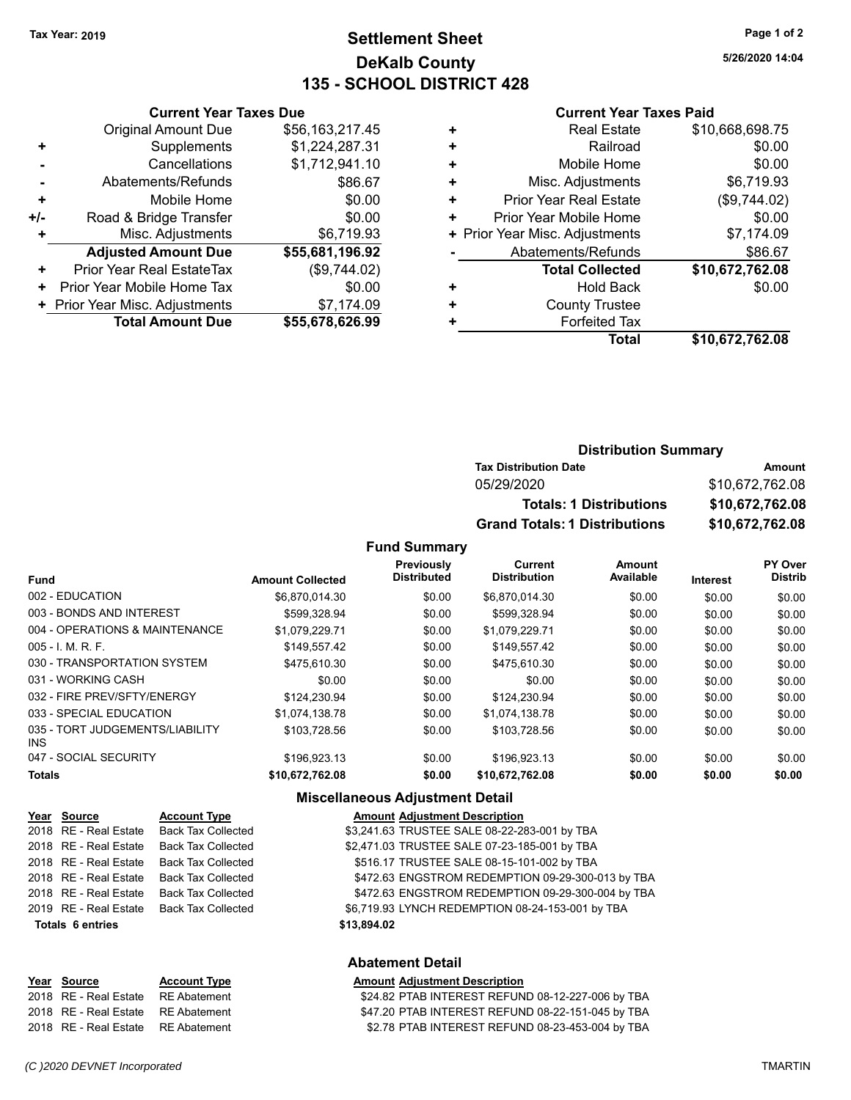# **Settlement Sheet Tax Year: 2019 Page 1 of 2 DeKalb County 135 - SCHOOL DISTRICT 428**

**5/26/2020 14:04**

#### **Current Year Taxes Paid**

|     | <b>Current Year Taxes Due</b>                |                 |  |  |  |  |
|-----|----------------------------------------------|-----------------|--|--|--|--|
|     | <b>Original Amount Due</b>                   | \$56,163,217.45 |  |  |  |  |
| ٠   | \$1,224,287.31<br>Supplements                |                 |  |  |  |  |
|     | \$1,712,941.10<br>Cancellations              |                 |  |  |  |  |
|     | \$86.67<br>Abatements/Refunds                |                 |  |  |  |  |
| ٠   | \$0.00<br>Mobile Home                        |                 |  |  |  |  |
| +/- | \$0.00<br>Road & Bridge Transfer             |                 |  |  |  |  |
| ٠   | Misc. Adjustments                            | \$6,719.93      |  |  |  |  |
|     | <b>Adjusted Amount Due</b>                   | \$55,681,196.92 |  |  |  |  |
| ٠   | <b>Prior Year Real EstateTax</b>             | (\$9,744.02)    |  |  |  |  |
| ٠   | Prior Year Mobile Home Tax                   | \$0.00          |  |  |  |  |
|     | + Prior Year Misc. Adjustments<br>\$7,174.09 |                 |  |  |  |  |
|     | <b>Total Amount Due</b>                      | \$55,678,626.99 |  |  |  |  |
|     |                                              |                 |  |  |  |  |

|   | <b>Real Estate</b>             | \$10,668,698.75 |
|---|--------------------------------|-----------------|
| ÷ | Railroad                       | \$0.00          |
| ٠ | Mobile Home                    | \$0.00          |
|   | Misc. Adjustments              | \$6,719.93      |
| ٠ | <b>Prior Year Real Estate</b>  | (\$9,744.02)    |
| ٠ | Prior Year Mobile Home         | \$0.00          |
|   | + Prior Year Misc. Adjustments | \$7,174.09      |
|   | Abatements/Refunds             | \$86.67         |
|   | <b>Total Collected</b>         | \$10,672,762.08 |
|   | <b>Hold Back</b>               | \$0.00          |
| ٠ | <b>County Trustee</b>          |                 |
|   | <b>Forfeited Tax</b>           |                 |
|   | <b>Total</b>                   | \$10,672,762.08 |
|   |                                |                 |

# **Distribution Summary Tax Distribution Date Amount** 05/29/2020 \$10,672,762.08 **Totals: 1 Distributions \$10,672,762.08 Grand Totals: 1 Distributions \$10,672,762.08**

#### **Fund Summary**

|                                         |                         | Previously         | Current             | <b>Amount</b> |          | PY Over        |
|-----------------------------------------|-------------------------|--------------------|---------------------|---------------|----------|----------------|
| <b>Fund</b>                             | <b>Amount Collected</b> | <b>Distributed</b> | <b>Distribution</b> | Available     | Interest | <b>Distrib</b> |
| 002 - EDUCATION                         | \$6.870.014.30          | \$0.00             | \$6.870.014.30      | \$0.00        | \$0.00   | \$0.00         |
| 003 - BONDS AND INTEREST                | \$599,328.94            | \$0.00             | \$599,328.94        | \$0.00        | \$0.00   | \$0.00         |
| 004 - OPERATIONS & MAINTENANCE          | \$1.079.229.71          | \$0.00             | \$1.079.229.71      | \$0.00        | \$0.00   | \$0.00         |
| $005 - 1$ , M, R, F,                    | \$149.557.42            | \$0.00             | \$149.557.42        | \$0.00        | \$0.00   | \$0.00         |
| 030 - TRANSPORTATION SYSTEM             | \$475.610.30            | \$0.00             | \$475.610.30        | \$0.00        | \$0.00   | \$0.00         |
| 031 - WORKING CASH                      | \$0.00                  | \$0.00             | \$0.00              | \$0.00        | \$0.00   | \$0.00         |
| 032 - FIRE PREV/SFTY/ENERGY             | \$124.230.94            | \$0.00             | \$124.230.94        | \$0.00        | \$0.00   | \$0.00         |
| 033 - SPECIAL EDUCATION                 | \$1.074.138.78          | \$0.00             | \$1.074.138.78      | \$0.00        | \$0.00   | \$0.00         |
| 035 - TORT JUDGEMENTS/LIABILITY<br>INS. | \$103.728.56            | \$0.00             | \$103.728.56        | \$0.00        | \$0.00   | \$0.00         |
| 047 - SOCIAL SECURITY                   | \$196,923.13            | \$0.00             | \$196,923.13        | \$0.00        | \$0.00   | \$0.00         |
| <b>Totals</b>                           | \$10.672.762.08         | \$0.00             | \$10.672.762.08     | \$0.00        | \$0.00   | \$0.00         |

#### **Miscellaneous Adjustment Detail**

| Year Source             | <b>Account Type</b>       | <b>Amount Adjustment Description</b>              |
|-------------------------|---------------------------|---------------------------------------------------|
| 2018 RE - Real Estate   | Back Tax Collected        | \$3,241.63 TRUSTEE SALE 08-22-283-001 by TBA      |
| 2018 RE - Real Estate   | <b>Back Tax Collected</b> | \$2,471.03 TRUSTEE SALE 07-23-185-001 by TBA      |
| 2018 RE - Real Estate   | <b>Back Tax Collected</b> | \$516.17 TRUSTEE SALE 08-15-101-002 by TBA        |
| 2018 RE - Real Estate   | <b>Back Tax Collected</b> | \$472.63 ENGSTROM REDEMPTION 09-29-300-013 by TBA |
| 2018 RE - Real Estate   | <b>Back Tax Collected</b> | \$472.63 ENGSTROM REDEMPTION 09-29-300-004 by TBA |
| 2019 RE - Real Estate   | Back Tax Collected        | \$6,719.93 LYNCH REDEMPTION 08-24-153-001 by TBA  |
| <b>Totals 6 entries</b> |                           | \$13,894.02                                       |
|                         |                           | <b>Abatement Detail</b>                           |

# **Year Source Account Type Account Adjustment Description**

**Abatement Detail**

|  | Amount Agiustment Description   |  |
|--|---------------------------------|--|
|  | \$24.82 PTAB INTEREST REFUND 08 |  |

2018 RE - Real Estate RE Abatement \$24.82 PTAB INTEREST REFUND 08-12-227-006 by TBA 2018 RE - Real Estate RE Abatement \$47.20 PTAB INTEREST REFUND 08-22-151-045 by TBA 2018 RE - Real Estate RE Abatement \$2.78 PTAB INTEREST REFUND 08-23-453-004 by TBA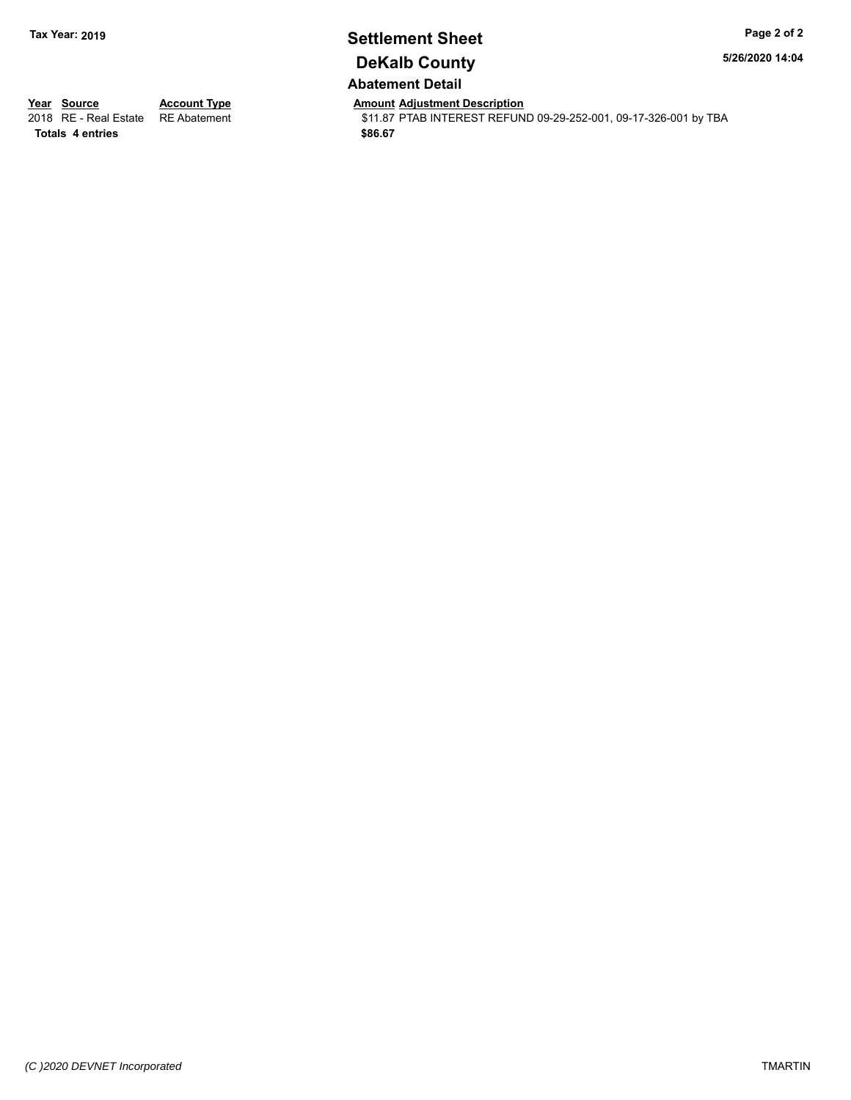# **Settlement Sheet Tax Year: 2019 Page 2 of 2 DeKalb County Abatement Detail**

**5/26/2020 14:04**

**Totals \$86.67 4 entries**

**Year Source Account Type And Amount Adjustment Description**<br>2018 RE - Real Estate RE Abatement **Account 1991** 11.87 PTAB INTEREST REFUN \$11.87 PTAB INTEREST REFUND 09-29-252-001, 09-17-326-001 by TBA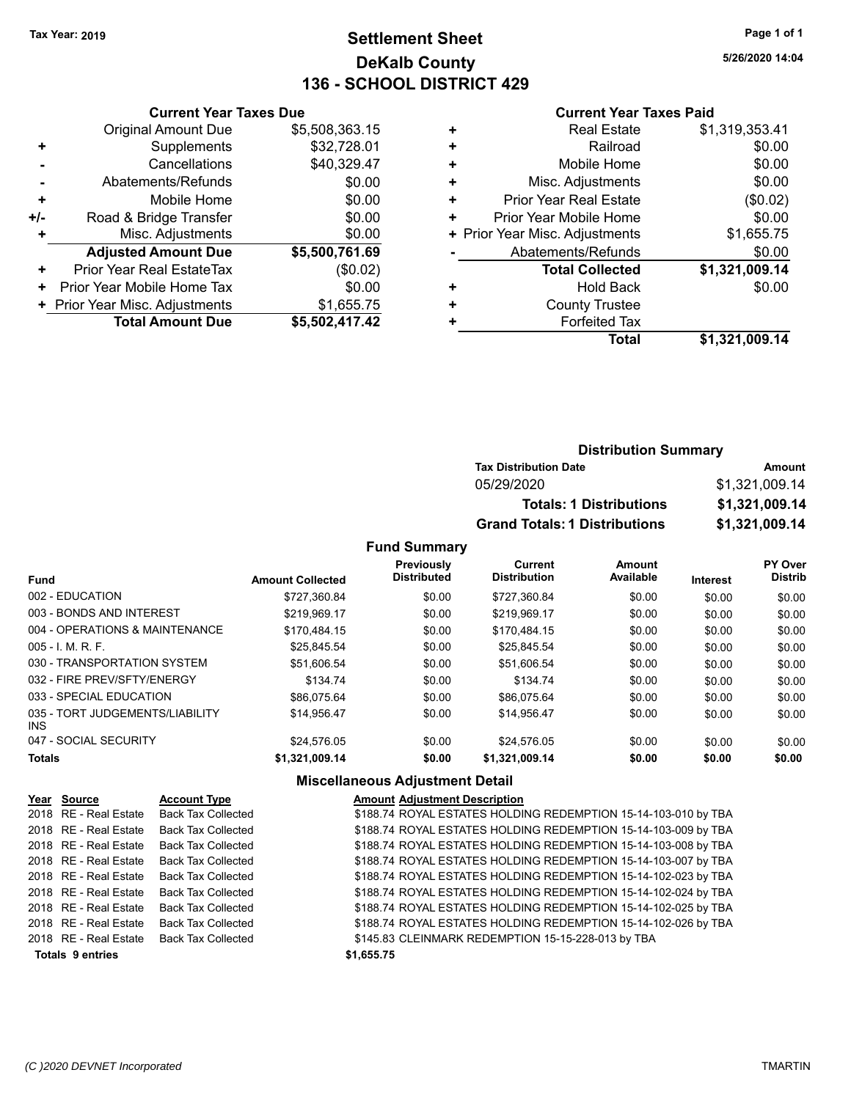# **Settlement Sheet Tax Year: 2019 Page 1 of 1 DeKalb County 136 - SCHOOL DISTRICT 429**

**5/26/2020 14:04**

#### **Current Year Taxes Paid**

| <b>Current Year Taxes Due</b>                |                |  |  |  |  |  |
|----------------------------------------------|----------------|--|--|--|--|--|
| <b>Original Amount Due</b>                   | \$5,508,363.15 |  |  |  |  |  |
| Supplements                                  | \$32,728.01    |  |  |  |  |  |
| Cancellations                                | \$40,329.47    |  |  |  |  |  |
| Abatements/Refunds                           | \$0.00         |  |  |  |  |  |
| \$0.00<br>Mobile Home<br>٠                   |                |  |  |  |  |  |
| \$0.00<br>Road & Bridge Transfer<br>$+/-$    |                |  |  |  |  |  |
| Misc. Adjustments                            | \$0.00         |  |  |  |  |  |
| <b>Adjusted Amount Due</b>                   | \$5,500,761.69 |  |  |  |  |  |
| Prior Year Real EstateTax                    | (\$0.02)       |  |  |  |  |  |
| Prior Year Mobile Home Tax                   | \$0.00         |  |  |  |  |  |
| \$1,655.75<br>+ Prior Year Misc. Adjustments |                |  |  |  |  |  |
| <b>Total Amount Due</b>                      | \$5,502,417.42 |  |  |  |  |  |
|                                              |                |  |  |  |  |  |

| ٠ | <b>Real Estate</b>             | \$1,319,353.41 |
|---|--------------------------------|----------------|
| ٠ | Railroad                       | \$0.00         |
| ٠ | Mobile Home                    | \$0.00         |
| ٠ | Misc. Adjustments              | \$0.00         |
| ٠ | <b>Prior Year Real Estate</b>  | (\$0.02)       |
| ٠ | Prior Year Mobile Home         | \$0.00         |
|   | + Prior Year Misc. Adjustments | \$1,655.75     |
|   | Abatements/Refunds             | \$0.00         |
|   | <b>Total Collected</b>         | \$1,321,009.14 |
| ٠ | <b>Hold Back</b>               | \$0.00         |
| ٠ | <b>County Trustee</b>          |                |
| ٠ | <b>Forfeited Tax</b>           |                |
|   | Total                          | \$1,321,009.14 |

# **Distribution Summary Tax Distribution Date Amount** 05/29/2020 \$1,321,009.14 **Totals: 1 Distributions \$1,321,009.14 Grand Totals: 1 Distributions \$1,321,009.14**

#### **Fund Summary**

|                                         |                         | Previously<br><b>Distributed</b> | Current<br><b>Distribution</b> | Amount    |          | PY Over<br><b>Distrib</b> |
|-----------------------------------------|-------------------------|----------------------------------|--------------------------------|-----------|----------|---------------------------|
| <b>Fund</b>                             | <b>Amount Collected</b> |                                  |                                | Available | Interest |                           |
| 002 - EDUCATION                         | \$727.360.84            | \$0.00                           | \$727.360.84                   | \$0.00    | \$0.00   | \$0.00                    |
| 003 - BONDS AND INTEREST                | \$219.969.17            | \$0.00                           | \$219.969.17                   | \$0.00    | \$0.00   | \$0.00                    |
| 004 - OPERATIONS & MAINTENANCE          | \$170.484.15            | \$0.00                           | \$170.484.15                   | \$0.00    | \$0.00   | \$0.00                    |
| $005 - 1$ M, R, F.                      | \$25.845.54             | \$0.00                           | \$25.845.54                    | \$0.00    | \$0.00   | \$0.00                    |
| 030 - TRANSPORTATION SYSTEM             | \$51.606.54             | \$0.00                           | \$51,606.54                    | \$0.00    | \$0.00   | \$0.00                    |
| 032 - FIRE PREV/SFTY/ENERGY             | \$134.74                | \$0.00                           | \$134.74                       | \$0.00    | \$0.00   | \$0.00                    |
| 033 - SPECIAL EDUCATION                 | \$86.075.64             | \$0.00                           | \$86,075.64                    | \$0.00    | \$0.00   | \$0.00                    |
| 035 - TORT JUDGEMENTS/LIABILITY<br>INS. | \$14.956.47             | \$0.00                           | \$14.956.47                    | \$0.00    | \$0.00   | \$0.00                    |
| 047 - SOCIAL SECURITY                   | \$24.576.05             | \$0.00                           | \$24.576.05                    | \$0.00    | \$0.00   | \$0.00                    |
| <b>Totals</b>                           | \$1,321,009.14          | \$0.00                           | \$1.321.009.14                 | \$0.00    | \$0.00   | \$0.00                    |

#### **Miscellaneous Adjustment Detail**

| Year Source             | <b>Account Type</b>       | <b>Amount Adjustment Description</b>                           |
|-------------------------|---------------------------|----------------------------------------------------------------|
| 2018 RE - Real Estate   | <b>Back Tax Collected</b> | \$188.74 ROYAL ESTATES HOLDING REDEMPTION 15-14-103-010 by TBA |
| 2018 RE - Real Estate   | <b>Back Tax Collected</b> | \$188.74 ROYAL ESTATES HOLDING REDEMPTION 15-14-103-009 by TBA |
| 2018 RE - Real Estate   | Back Tax Collected        | \$188.74 ROYAL ESTATES HOLDING REDEMPTION 15-14-103-008 by TBA |
| 2018 RE - Real Estate   | Back Tax Collected        | \$188.74 ROYAL ESTATES HOLDING REDEMPTION 15-14-103-007 by TBA |
| 2018 RE - Real Estate   | Back Tax Collected        | \$188.74 ROYAL ESTATES HOLDING REDEMPTION 15-14-102-023 by TBA |
| 2018 RE - Real Estate   | <b>Back Tax Collected</b> | \$188.74 ROYAL ESTATES HOLDING REDEMPTION 15-14-102-024 by TBA |
| 2018 RE - Real Estate   | Back Tax Collected        | \$188.74 ROYAL ESTATES HOLDING REDEMPTION 15-14-102-025 by TBA |
| 2018 RE - Real Estate   | Back Tax Collected        | \$188.74 ROYAL ESTATES HOLDING REDEMPTION 15-14-102-026 by TBA |
| 2018 RE - Real Estate   | <b>Back Tax Collected</b> | \$145.83 CLEINMARK REDEMPTION 15-15-228-013 by TBA             |
| <b>Totals 9 entries</b> |                           | \$1,655.75                                                     |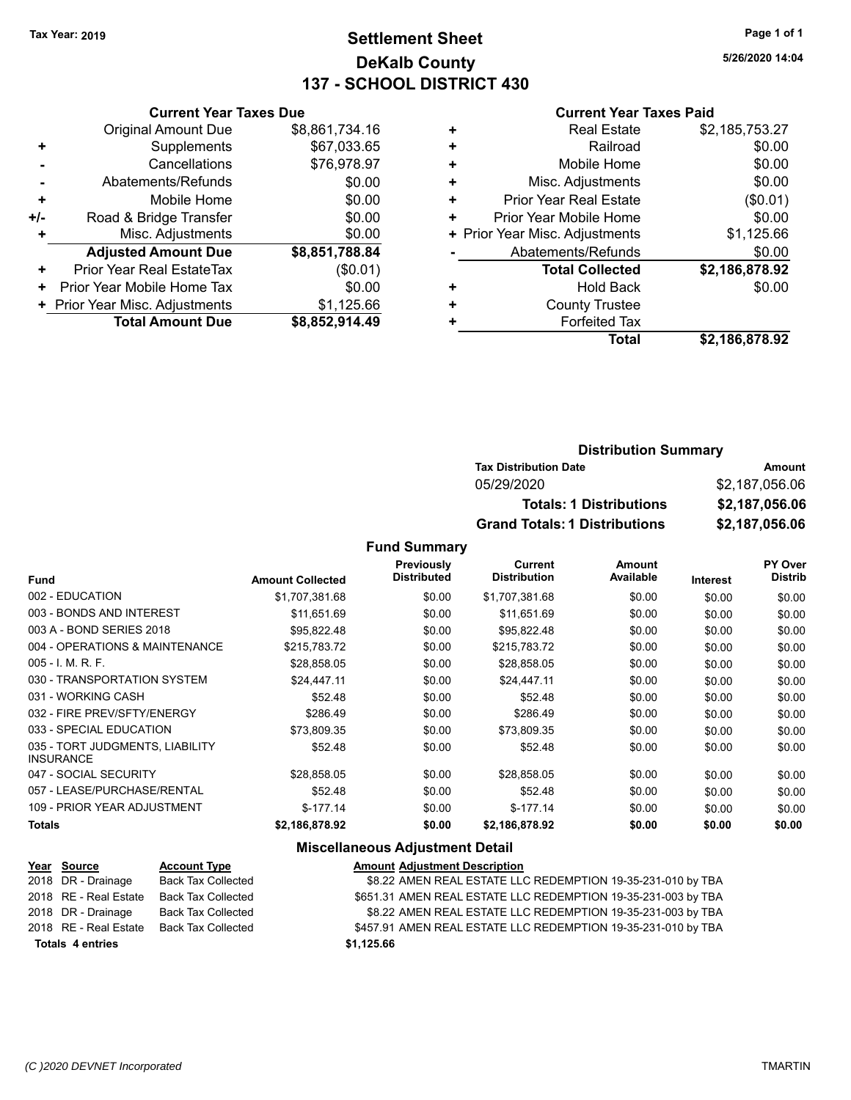# **Settlement Sheet Tax Year: 2019 Page 1 of 1 DeKalb County 137 - SCHOOL DISTRICT 430**

**5/26/2020 14:04**

#### **Current Year Taxes Paid**

|     | <b>Current Year Taxes Due</b>  |                |  |  |  |
|-----|--------------------------------|----------------|--|--|--|
|     | <b>Original Amount Due</b>     | \$8,861,734.16 |  |  |  |
| ٠   | Supplements                    | \$67,033.65    |  |  |  |
|     | \$76,978.97<br>Cancellations   |                |  |  |  |
| ۰   | \$0.00<br>Abatements/Refunds   |                |  |  |  |
| ÷   | Mobile Home                    | \$0.00         |  |  |  |
| +/- | Road & Bridge Transfer         | \$0.00         |  |  |  |
| ٠   | Misc. Adjustments              | \$0.00         |  |  |  |
|     | <b>Adjusted Amount Due</b>     | \$8,851,788.84 |  |  |  |
| ٠   | Prior Year Real EstateTax      | (\$0.01)       |  |  |  |
| ٠   | Prior Year Mobile Home Tax     | \$0.00         |  |  |  |
|     | + Prior Year Misc. Adjustments | \$1,125.66     |  |  |  |
|     | <b>Total Amount Due</b>        | \$8,852,914.49 |  |  |  |

|   | <b>Real Estate</b>             | \$2,185,753.27 |
|---|--------------------------------|----------------|
| ÷ | Railroad                       | \$0.00         |
| ٠ | Mobile Home                    | \$0.00         |
| ٠ | Misc. Adjustments              | \$0.00         |
| ٠ | <b>Prior Year Real Estate</b>  | (\$0.01)       |
| ٠ | Prior Year Mobile Home         | \$0.00         |
|   | + Prior Year Misc. Adjustments | \$1,125.66     |
|   | Abatements/Refunds             | \$0.00         |
|   | <b>Total Collected</b>         | \$2,186,878.92 |
| ٠ | <b>Hold Back</b>               | \$0.00         |
| ٠ | <b>County Trustee</b>          |                |
| ٠ | <b>Forfeited Tax</b>           |                |
|   | <b>Total</b>                   | \$2,186,878.92 |

## **Distribution Summary Tax Distribution Date Amount** 05/29/2020 \$2,187,056.06 **Totals: 1 Distributions \$2,187,056.06 Grand Totals: 1 Distributions \$2,187,056.06**

#### **Fund Summary**

| <b>Fund</b>                                         | <b>Amount Collected</b> | Previously<br><b>Distributed</b> | Current<br><b>Distribution</b> | Amount<br>Available | <b>Interest</b> | PY Over<br><b>Distrib</b> |
|-----------------------------------------------------|-------------------------|----------------------------------|--------------------------------|---------------------|-----------------|---------------------------|
| 002 - EDUCATION                                     | \$1,707,381.68          | \$0.00                           | \$1,707,381.68                 | \$0.00              | \$0.00          | \$0.00                    |
| 003 - BONDS AND INTEREST                            | \$11,651.69             | \$0.00                           | \$11,651.69                    | \$0.00              | \$0.00          | \$0.00                    |
| 003 A - BOND SERIES 2018                            | \$95,822.48             | \$0.00                           | \$95,822.48                    | \$0.00              | \$0.00          | \$0.00                    |
| 004 - OPERATIONS & MAINTENANCE                      | \$215,783.72            | \$0.00                           | \$215,783.72                   | \$0.00              | \$0.00          | \$0.00                    |
| $005 - I$ , M, R, F,                                | \$28,858.05             | \$0.00                           | \$28,858.05                    | \$0.00              | \$0.00          | \$0.00                    |
| 030 - TRANSPORTATION SYSTEM                         | \$24,447.11             | \$0.00                           | \$24,447.11                    | \$0.00              | \$0.00          | \$0.00                    |
| 031 - WORKING CASH                                  | \$52.48                 | \$0.00                           | \$52.48                        | \$0.00              | \$0.00          | \$0.00                    |
| 032 - FIRE PREV/SFTY/ENERGY                         | \$286.49                | \$0.00                           | \$286.49                       | \$0.00              | \$0.00          | \$0.00                    |
| 033 - SPECIAL EDUCATION                             | \$73.809.35             | \$0.00                           | \$73.809.35                    | \$0.00              | \$0.00          | \$0.00                    |
| 035 - TORT JUDGMENTS, LIABILITY<br><b>INSURANCE</b> | \$52.48                 | \$0.00                           | \$52.48                        | \$0.00              | \$0.00          | \$0.00                    |
| 047 - SOCIAL SECURITY                               | \$28.858.05             | \$0.00                           | \$28,858.05                    | \$0.00              | \$0.00          | \$0.00                    |
| 057 - LEASE/PURCHASE/RENTAL                         | \$52.48                 | \$0.00                           | \$52.48                        | \$0.00              | \$0.00          | \$0.00                    |
| 109 - PRIOR YEAR ADJUSTMENT                         | $$-177.14$              | \$0.00                           | $$-177.14$                     | \$0.00              | \$0.00          | \$0.00                    |
| <b>Totals</b>                                       | \$2,186,878.92          | \$0.00                           | \$2,186,878.92                 | \$0.00              | \$0.00          | \$0.00                    |

#### **Miscellaneous Adjustment Detail**

| Year Source             | <b>Account Type</b> | <b>Amount Adjustment Description</b>                          |  |
|-------------------------|---------------------|---------------------------------------------------------------|--|
| 2018 DR - Drainage      | Back Tax Collected  | \$8.22 AMEN REAL ESTATE LLC REDEMPTION 19-35-231-010 by TBA   |  |
| 2018 RE - Real Estate   | Back Tax Collected  | \$651.31 AMEN REAL ESTATE LLC REDEMPTION 19-35-231-003 by TBA |  |
| 2018 DR - Drainage      | Back Tax Collected  | \$8.22 AMEN REAL ESTATE LLC REDEMPTION 19-35-231-003 by TBA   |  |
| 2018 RE - Real Estate   | Back Tax Collected  | \$457.91 AMEN REAL ESTATE LLC REDEMPTION 19-35-231-010 by TBA |  |
| <b>Totals 4 entries</b> |                     | \$1,125.66                                                    |  |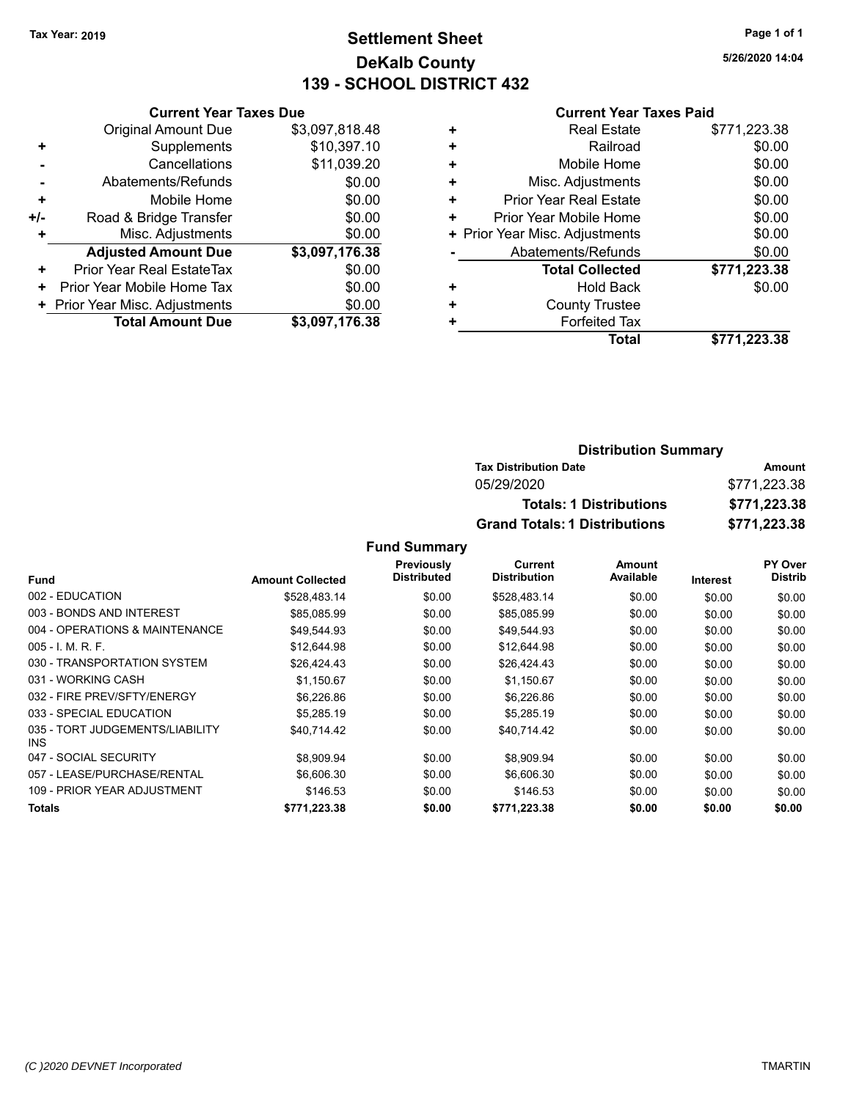# **Settlement Sheet Tax Year: 2019 Page 1 of 1 DeKalb County 139 - SCHOOL DISTRICT 432**

**5/26/2020 14:04**

#### **Current Year Taxes Paid**

|     | <b>Current Year Taxes Due</b>  |                |  |  |  |
|-----|--------------------------------|----------------|--|--|--|
|     | <b>Original Amount Due</b>     | \$3,097,818.48 |  |  |  |
| ٠   | Supplements                    | \$10,397.10    |  |  |  |
|     | \$11,039.20<br>Cancellations   |                |  |  |  |
|     | \$0.00<br>Abatements/Refunds   |                |  |  |  |
| ٠   | Mobile Home                    | \$0.00         |  |  |  |
| +/- | Road & Bridge Transfer         | \$0.00         |  |  |  |
|     | Misc. Adjustments              | \$0.00         |  |  |  |
|     | <b>Adjusted Amount Due</b>     | \$3,097,176.38 |  |  |  |
| ٠   | Prior Year Real EstateTax      | \$0.00         |  |  |  |
| ٠   | Prior Year Mobile Home Tax     | \$0.00         |  |  |  |
|     | + Prior Year Misc. Adjustments | \$0.00         |  |  |  |
|     | <b>Total Amount Due</b>        | \$3,097,176.38 |  |  |  |
|     |                                |                |  |  |  |

|   | <b>Real Estate</b>             | \$771,223.38 |
|---|--------------------------------|--------------|
| ٠ | Railroad                       | \$0.00       |
| ٠ | Mobile Home                    | \$0.00       |
| ٠ | Misc. Adjustments              | \$0.00       |
| ٠ | <b>Prior Year Real Estate</b>  | \$0.00       |
| ٠ | Prior Year Mobile Home         | \$0.00       |
|   | + Prior Year Misc. Adjustments | \$0.00       |
|   | Abatements/Refunds             | \$0.00       |
|   | <b>Total Collected</b>         | \$771,223.38 |
| ٠ | Hold Back                      | \$0.00       |
| ٠ | <b>County Trustee</b>          |              |
|   | <b>Forfeited Tax</b>           |              |
|   | Total                          | \$771,223.38 |
|   |                                |              |

#### **Distribution Summary Tax Distribution Date Amount** 05/29/2020 \$771,223.38 **Totals: 1 Distributions \$771,223.38 Grand Totals: 1 Distributions \$771,223.38**

|                                         |                         | <b>Previously</b>  | Current             | Amount    |                 | PY Over        |
|-----------------------------------------|-------------------------|--------------------|---------------------|-----------|-----------------|----------------|
| <b>Fund</b>                             | <b>Amount Collected</b> | <b>Distributed</b> | <b>Distribution</b> | Available | <b>Interest</b> | <b>Distrib</b> |
| 002 - EDUCATION                         | \$528,483.14            | \$0.00             | \$528.483.14        | \$0.00    | \$0.00          | \$0.00         |
| 003 - BONDS AND INTEREST                | \$85,085.99             | \$0.00             | \$85,085.99         | \$0.00    | \$0.00          | \$0.00         |
| 004 - OPERATIONS & MAINTENANCE          | \$49,544.93             | \$0.00             | \$49,544.93         | \$0.00    | \$0.00          | \$0.00         |
| $005 - 1$ , M, R, F,                    | \$12,644.98             | \$0.00             | \$12,644.98         | \$0.00    | \$0.00          | \$0.00         |
| 030 - TRANSPORTATION SYSTEM             | \$26,424.43             | \$0.00             | \$26,424.43         | \$0.00    | \$0.00          | \$0.00         |
| 031 - WORKING CASH                      | \$1,150.67              | \$0.00             | \$1,150.67          | \$0.00    | \$0.00          | \$0.00         |
| 032 - FIRE PREV/SFTY/ENERGY             | \$6,226.86              | \$0.00             | \$6,226.86          | \$0.00    | \$0.00          | \$0.00         |
| 033 - SPECIAL EDUCATION                 | \$5,285.19              | \$0.00             | \$5,285.19          | \$0.00    | \$0.00          | \$0.00         |
| 035 - TORT JUDGEMENTS/LIABILITY<br>INS. | \$40.714.42             | \$0.00             | \$40.714.42         | \$0.00    | \$0.00          | \$0.00         |
| 047 - SOCIAL SECURITY                   | \$8,909.94              | \$0.00             | \$8,909.94          | \$0.00    | \$0.00          | \$0.00         |
| 057 - LEASE/PURCHASE/RENTAL             | \$6,606.30              | \$0.00             | \$6,606.30          | \$0.00    | \$0.00          | \$0.00         |
| 109 - PRIOR YEAR ADJUSTMENT             | \$146.53                | \$0.00             | \$146.53            | \$0.00    | \$0.00          | \$0.00         |
| Totals                                  | \$771,223.38            | \$0.00             | \$771,223.38        | \$0.00    | \$0.00          | \$0.00         |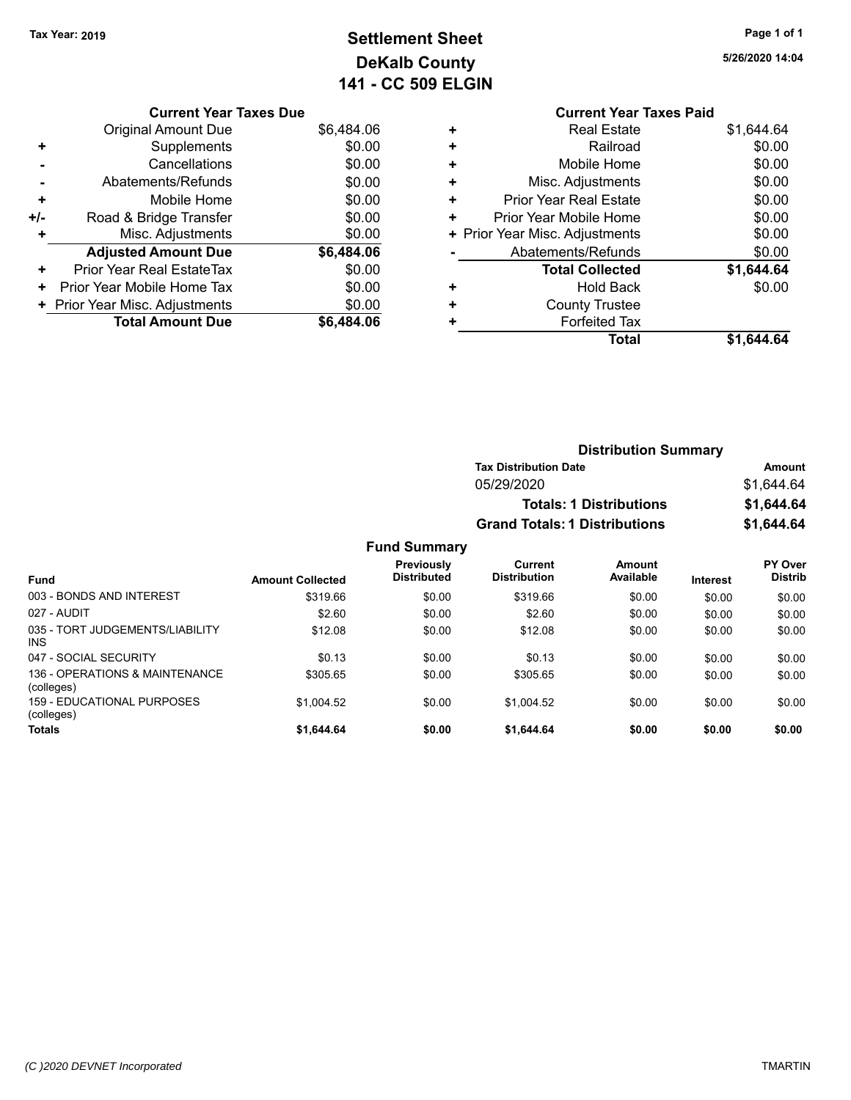# **Settlement Sheet Tax Year: 2019 Page 1 of 1 DeKalb County 141 - CC 509 ELGIN**

| <b>Current Year Taxes Due</b> |            |
|-------------------------------|------------|
| Am∩unt Du                     | <b>RG.</b> |

| \$0.00<br>\$0.00<br>\$0.00 |
|----------------------------|
|                            |
|                            |
|                            |
| \$0.00                     |
| \$0.00                     |
| \$0.00                     |
| \$6,484.06                 |
| \$0.00                     |
|                            |
| \$0.00                     |
| \$0.00                     |
|                            |

|   | <b>Current Year Taxes Paid</b> |            |
|---|--------------------------------|------------|
| ٠ | <b>Real Estate</b>             | \$1,644.64 |
| ٠ | Railroad                       | \$0.00     |
| ÷ | Mobile Home                    | \$0.00     |
| ٠ | Misc. Adjustments              | \$0.00     |
| ٠ | <b>Prior Year Real Estate</b>  | \$0.00     |
| ٠ | Prior Year Mobile Home         | \$0.00     |
|   | + Prior Year Misc. Adjustments | \$0.00     |
|   | Abatements/Refunds             | \$0.00     |
|   | <b>Total Collected</b>         | \$1,644.64 |
| ٠ | Hold Back                      | \$0.00     |
| ÷ | <b>County Trustee</b>          |            |
|   | <b>Forfeited Tax</b>           |            |
|   | Total                          | \$1.644.64 |
|   |                                |            |

|      | <b>Distribution Summary</b>      |                                       |                                |                 |                                  |  |
|------|----------------------------------|---------------------------------------|--------------------------------|-----------------|----------------------------------|--|
|      |                                  | <b>Tax Distribution Date</b>          |                                |                 | Amount                           |  |
|      |                                  | 05/29/2020                            |                                |                 | \$1,644.64                       |  |
|      |                                  |                                       | <b>Totals: 1 Distributions</b> |                 | \$1,644.64                       |  |
|      |                                  | <b>Grand Totals: 1 Distributions</b>  |                                |                 | \$1,644.64                       |  |
|      | <b>Fund Summary</b>              |                                       |                                |                 |                                  |  |
| ted  | Previously<br><b>Distributed</b> | <b>Current</b><br><b>Distribution</b> | Amount<br>Available            | <b>Interest</b> | <b>PY Over</b><br><b>Distrib</b> |  |
| 06.( | \$0.00                           | \$319.66                              | \$0.00                         | \$0.00          | \$0.00                           |  |

| <b>Fund</b>                                  | <b>Amount Collected</b> | <b>Distributed</b> | <b>Distribution</b> | Available | <b>Interest</b> | <b>Distrib</b> |
|----------------------------------------------|-------------------------|--------------------|---------------------|-----------|-----------------|----------------|
| 003 - BONDS AND INTEREST                     | \$319.66                | \$0.00             | \$319.66            | \$0.00    | \$0.00          | \$0.00         |
| 027 - AUDIT                                  | \$2.60                  | \$0.00             | \$2.60              | \$0.00    | \$0.00          | \$0.00         |
| 035 - TORT JUDGEMENTS/LIABILITY<br>INS.      | \$12.08                 | \$0.00             | \$12.08             | \$0.00    | \$0.00          | \$0.00         |
| 047 - SOCIAL SECURITY                        | \$0.13                  | \$0.00             | \$0.13              | \$0.00    | \$0.00          | \$0.00         |
| 136 - OPERATIONS & MAINTENANCE<br>(colleges) | \$305.65                | \$0.00             | \$305.65            | \$0.00    | \$0.00          | \$0.00         |
| 159 - EDUCATIONAL PURPOSES<br>(colleges)     | \$1.004.52              | \$0.00             | \$1.004.52          | \$0.00    | \$0.00          | \$0.00         |
| Totals                                       | \$1,644.64              | \$0.00             | \$1.644.64          | \$0.00    | \$0.00          | \$0.00         |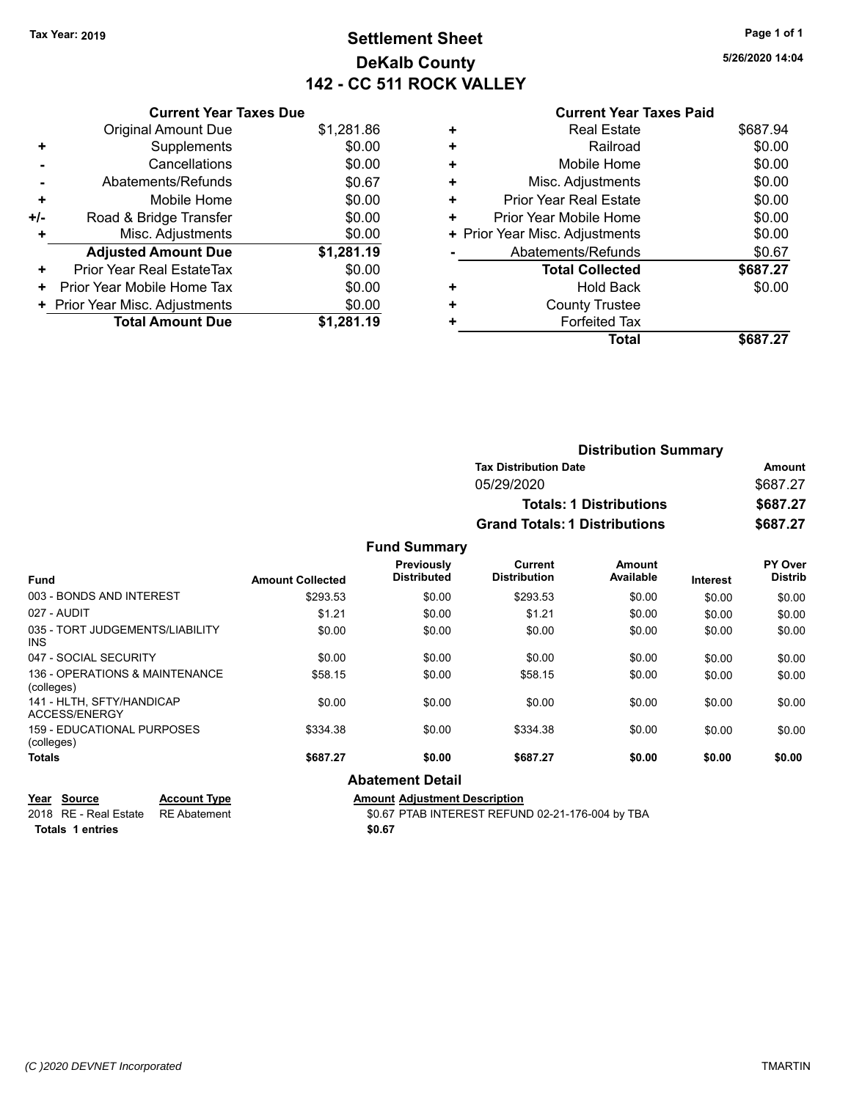# **Settlement Sheet Tax Year: 2019 Page 1 of 1 DeKalb County 142 - CC 511 ROCK VALLEY**

**5/26/2020 14:04**

#### **Current Year Taxes Paid**

| <b>Current Year Taxes Due</b> |                                |
|-------------------------------|--------------------------------|
| <b>Original Amount Due</b>    | \$1,281.86                     |
| Supplements                   | \$0.00                         |
| Cancellations                 | \$0.00                         |
| Abatements/Refunds            | \$0.67                         |
| Mobile Home                   | \$0.00                         |
| Road & Bridge Transfer        | \$0.00                         |
| Misc. Adjustments             | \$0.00                         |
| <b>Adjusted Amount Due</b>    | \$1,281.19                     |
| Prior Year Real EstateTax     | \$0.00                         |
| Prior Year Mobile Home Tax    | \$0.00                         |
|                               | \$0.00                         |
| <b>Total Amount Due</b>       | \$1,281.19                     |
|                               | + Prior Year Misc. Adjustments |

| <b>Real Estate</b>            | \$687.94                       |
|-------------------------------|--------------------------------|
| Railroad                      | \$0.00                         |
| Mobile Home                   | \$0.00                         |
| Misc. Adjustments             | \$0.00                         |
| <b>Prior Year Real Estate</b> | \$0.00                         |
| Prior Year Mobile Home        | \$0.00                         |
|                               | \$0.00                         |
| Abatements/Refunds            | \$0.67                         |
| <b>Total Collected</b>        | \$687.27                       |
| Hold Back                     | \$0.00                         |
| <b>County Trustee</b>         |                                |
| <b>Forfeited Tax</b>          |                                |
| Total                         | \$687.27                       |
|                               | + Prior Year Misc. Adjustments |

| <b>Distribution Summary</b>          |          |
|--------------------------------------|----------|
| <b>Tax Distribution Date</b>         | Amount   |
| 05/29/2020                           | \$687.27 |
| <b>Totals: 1 Distributions</b>       | \$687.27 |
| <b>Grand Totals: 1 Distributions</b> | \$687.27 |

**Fund Summary**

| <b>Fund</b>                                     | <b>Amount Collected</b> | Previously<br><b>Distributed</b> | <b>Current</b><br><b>Distribution</b> | Amount<br>Available | <b>Interest</b> | PY Over<br><b>Distrib</b> |
|-------------------------------------------------|-------------------------|----------------------------------|---------------------------------------|---------------------|-----------------|---------------------------|
| 003 - BONDS AND INTEREST                        | \$293.53                | \$0.00                           | \$293.53                              | \$0.00              | \$0.00          | \$0.00                    |
| 027 - AUDIT                                     | \$1.21                  | \$0.00                           | \$1.21                                | \$0.00              | \$0.00          | \$0.00                    |
| 035 - TORT JUDGEMENTS/LIABILITY<br><b>INS</b>   | \$0.00                  | \$0.00                           | \$0.00                                | \$0.00              | \$0.00          | \$0.00                    |
| 047 - SOCIAL SECURITY                           | \$0.00                  | \$0.00                           | \$0.00                                | \$0.00              | \$0.00          | \$0.00                    |
| 136 - OPERATIONS & MAINTENANCE<br>(colleges)    | \$58.15                 | \$0.00                           | \$58.15                               | \$0.00              | \$0.00          | \$0.00                    |
| 141 - HLTH, SFTY/HANDICAP<br>ACCESS/ENERGY      | \$0.00                  | \$0.00                           | \$0.00                                | \$0.00              | \$0.00          | \$0.00                    |
| <b>159 - EDUCATIONAL PURPOSES</b><br>(colleges) | \$334.38                | \$0.00                           | \$334.38                              | \$0.00              | \$0.00          | \$0.00                    |
| <b>Totals</b>                                   | \$687.27                | \$0.00                           | \$687.27                              | \$0.00              | \$0.00          | \$0.00                    |
|                                                 |                         |                                  |                                       |                     |                 |                           |

#### **Abatement Detail**

| Year Source                        | <b>Account Type</b> | <b>Amount Adiustment Description</b> |
|------------------------------------|---------------------|--------------------------------------|
| 2018 RE - Real Estate RE Abatement |                     | \$0.67 PTAB INTEREST REFUN           |

**Totals \$0.67 1 entries**

2018 PTAB INTEREST REFUND 02-21-176-004 by TBA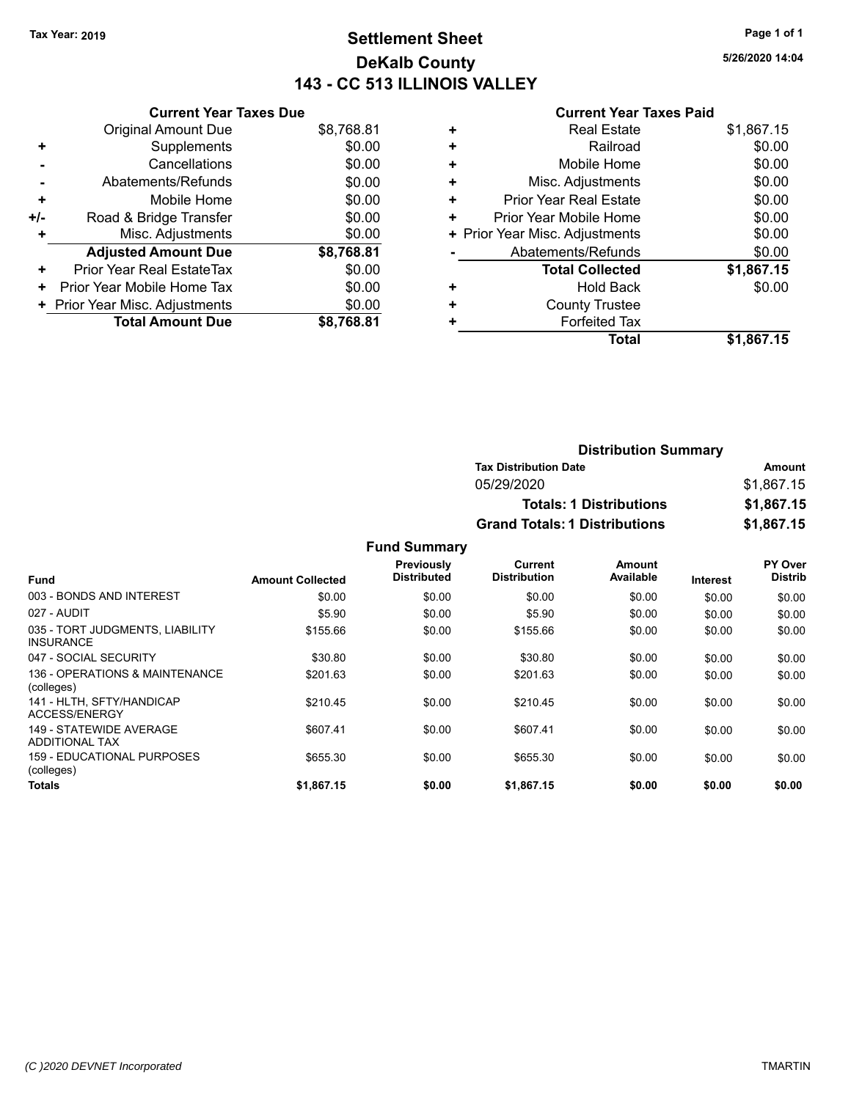# **Settlement Sheet Tax Year: 2019 Page 1 of 1 DeKalb County 143 - CC 513 ILLINOIS VALLEY**

**5/26/2020 14:04**

#### **Current Year Taxes Paid**

|     | <b>Current Year Taxes Due</b>    |            |
|-----|----------------------------------|------------|
|     | <b>Original Amount Due</b>       | \$8,768.81 |
| ٠   | Supplements                      | \$0.00     |
|     | Cancellations                    | \$0.00     |
|     | Abatements/Refunds               | \$0.00     |
| ٠   | Mobile Home                      | \$0.00     |
| +/- | Road & Bridge Transfer           | \$0.00     |
|     | Misc. Adjustments                | \$0.00     |
|     | <b>Adjusted Amount Due</b>       | \$8,768.81 |
| ÷   | <b>Prior Year Real EstateTax</b> | \$0.00     |
| ÷   | Prior Year Mobile Home Tax       | \$0.00     |
|     | + Prior Year Misc. Adjustments   | \$0.00     |
|     | <b>Total Amount Due</b>          | \$8,768,81 |

| ٠ | <b>Real Estate</b>             | \$1,867.15 |
|---|--------------------------------|------------|
| ٠ | Railroad                       | \$0.00     |
| ٠ | Mobile Home                    | \$0.00     |
| ٠ | Misc. Adjustments              | \$0.00     |
| ٠ | <b>Prior Year Real Estate</b>  | \$0.00     |
| ٠ | Prior Year Mobile Home         | \$0.00     |
|   | + Prior Year Misc. Adjustments | \$0.00     |
|   | Abatements/Refunds             | \$0.00     |
|   | <b>Total Collected</b>         | \$1,867.15 |
| ٠ | Hold Back                      | \$0.00     |
|   | <b>County Trustee</b>          |            |
| ٠ | <b>Forfeited Tax</b>           |            |
|   | Total                          | \$1,867.15 |

| <b>Distribution Summary</b>          |            |
|--------------------------------------|------------|
| <b>Tax Distribution Date</b>         | Amount     |
| 05/29/2020                           | \$1.867.15 |
| <b>Totals: 1 Distributions</b>       | \$1,867.15 |
| <b>Grand Totals: 1 Distributions</b> | \$1,867.15 |

|                                                     |                         | Previously         | Current             | Amount    |          | PY Over        |
|-----------------------------------------------------|-------------------------|--------------------|---------------------|-----------|----------|----------------|
| <b>Fund</b>                                         | <b>Amount Collected</b> | <b>Distributed</b> | <b>Distribution</b> | Available | Interest | <b>Distrib</b> |
| 003 - BONDS AND INTEREST                            | \$0.00                  | \$0.00             | \$0.00              | \$0.00    | \$0.00   | \$0.00         |
| 027 - AUDIT                                         | \$5.90                  | \$0.00             | \$5.90              | \$0.00    | \$0.00   | \$0.00         |
| 035 - TORT JUDGMENTS, LIABILITY<br><b>INSURANCE</b> | \$155.66                | \$0.00             | \$155.66            | \$0.00    | \$0.00   | \$0.00         |
| 047 - SOCIAL SECURITY                               | \$30.80                 | \$0.00             | \$30.80             | \$0.00    | \$0.00   | \$0.00         |
| 136 - OPERATIONS & MAINTENANCE<br>(colleges)        | \$201.63                | \$0.00             | \$201.63            | \$0.00    | \$0.00   | \$0.00         |
| 141 - HLTH. SFTY/HANDICAP<br>ACCESS/ENERGY          | \$210.45                | \$0.00             | \$210.45            | \$0.00    | \$0.00   | \$0.00         |
| 149 - STATEWIDE AVERAGE<br>ADDITIONAL TAX           | \$607.41                | \$0.00             | \$607.41            | \$0.00    | \$0.00   | \$0.00         |
| 159 - EDUCATIONAL PURPOSES<br>(colleges)            | \$655.30                | \$0.00             | \$655.30            | \$0.00    | \$0.00   | \$0.00         |
| <b>Totals</b>                                       | \$1.867.15              | \$0.00             | \$1.867.15          | \$0.00    | \$0.00   | \$0.00         |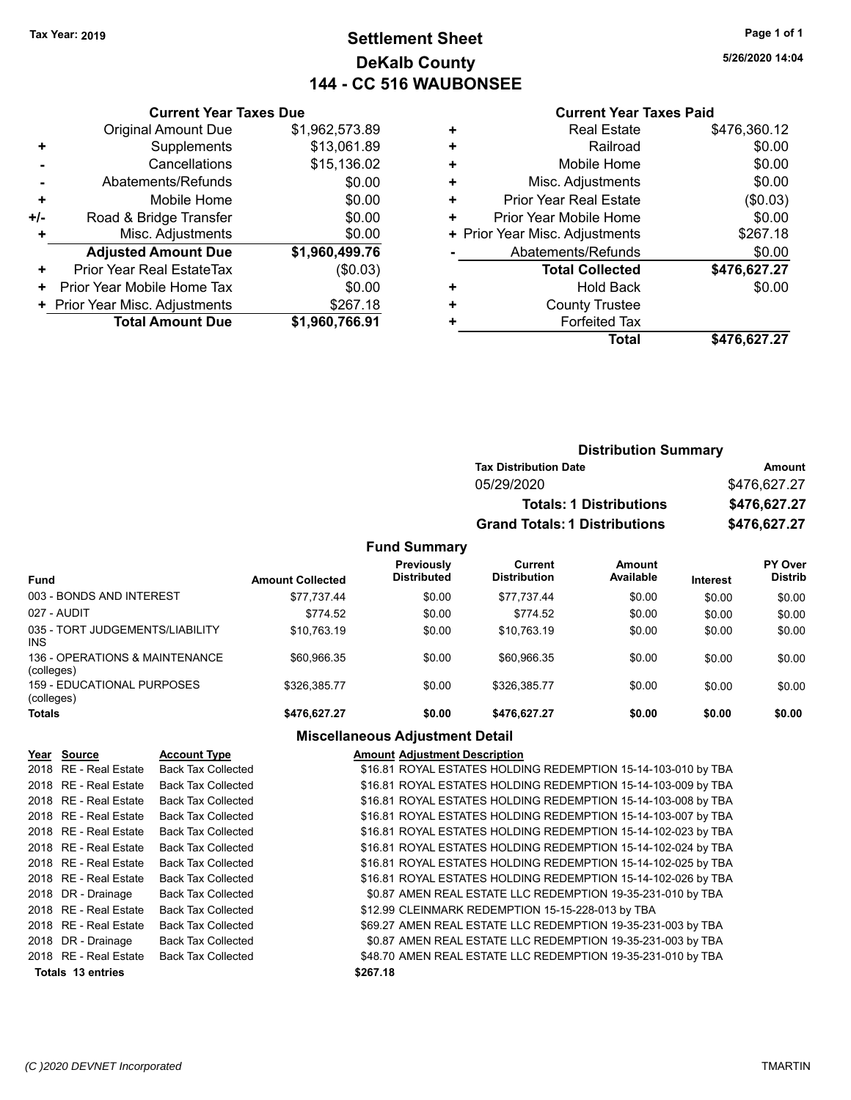# **Settlement Sheet Tax Year: 2019 Page 1 of 1 DeKalb County 144 - CC 516 WAUBONSEE**

**5/26/2020 14:04**

#### **Current Year Taxes Paid**

|       | <b>Current Year Taxes Due</b>  |                |
|-------|--------------------------------|----------------|
|       | <b>Original Amount Due</b>     | \$1,962,573.89 |
| ٠     | Supplements                    | \$13,061.89    |
|       | Cancellations                  | \$15,136.02    |
|       | Abatements/Refunds             | \$0.00         |
| ٠     | Mobile Home                    | \$0.00         |
| $+/-$ | Road & Bridge Transfer         | \$0.00         |
| ÷     | Misc. Adjustments              | \$0.00         |
|       | <b>Adjusted Amount Due</b>     | \$1,960,499.76 |
| ٠     | Prior Year Real EstateTax      | (\$0.03)       |
| ٠     | Prior Year Mobile Home Tax     | \$0.00         |
|       | + Prior Year Misc. Adjustments | \$267.18       |
|       | <b>Total Amount Due</b>        | \$1,960,766.91 |
|       |                                |                |

| Railroad<br>٠<br>\$0.00<br>Mobile Home<br>٠<br>Misc. Adjustments<br>٠<br><b>Prior Year Real Estate</b><br>٠<br>Prior Year Mobile Home<br>٠<br>+ Prior Year Misc. Adjustments<br>Abatements/Refunds |  | \$0.00       |
|----------------------------------------------------------------------------------------------------------------------------------------------------------------------------------------------------|--|--------------|
|                                                                                                                                                                                                    |  |              |
|                                                                                                                                                                                                    |  |              |
|                                                                                                                                                                                                    |  | \$0.00       |
|                                                                                                                                                                                                    |  | (\$0.03)     |
|                                                                                                                                                                                                    |  | \$0.00       |
|                                                                                                                                                                                                    |  | \$267.18     |
|                                                                                                                                                                                                    |  | \$0.00       |
| <b>Total Collected</b>                                                                                                                                                                             |  | \$476,627.27 |
| <b>Hold Back</b><br>٠                                                                                                                                                                              |  | \$0.00       |
| <b>County Trustee</b><br>٠                                                                                                                                                                         |  |              |
| <b>Forfeited Tax</b><br>٠                                                                                                                                                                          |  |              |
| Total                                                                                                                                                                                              |  | \$476,627.27 |

|                     | <b>Distribution Summary</b>          |              |
|---------------------|--------------------------------------|--------------|
|                     | <b>Tax Distribution Date</b>         | Amount       |
|                     | 05/29/2020                           | \$476,627.27 |
|                     | <b>Totals: 1 Distributions</b>       | \$476,627.27 |
|                     | <b>Grand Totals: 1 Distributions</b> | \$476,627.27 |
| <b>Fund Summary</b> |                                      |              |

| <b>Fund</b>                                  | <b>Amount Collected</b> | <b>Previously</b><br><b>Distributed</b> | Current<br><b>Distribution</b> | Amount<br>Available | <b>Interest</b> | PY Over<br><b>Distrib</b> |
|----------------------------------------------|-------------------------|-----------------------------------------|--------------------------------|---------------------|-----------------|---------------------------|
| 003 - BONDS AND INTEREST                     | \$77.737.44             | \$0.00                                  | \$77.737.44                    | \$0.00              | \$0.00          | \$0.00                    |
| 027 - AUDIT                                  | \$774.52                | \$0.00                                  | \$774.52                       | \$0.00              | \$0.00          | \$0.00                    |
| 035 - TORT JUDGEMENTS/LIABILITY<br>INS.      | \$10.763.19             | \$0.00                                  | \$10.763.19                    | \$0.00              | \$0.00          | \$0.00                    |
| 136 - OPERATIONS & MAINTENANCE<br>(colleges) | \$60,966.35             | \$0.00                                  | \$60.966.35                    | \$0.00              | \$0.00          | \$0.00                    |
| 159 - EDUCATIONAL PURPOSES<br>(colleges)     | \$326.385.77            | \$0.00                                  | \$326.385.77                   | \$0.00              | \$0.00          | \$0.00                    |
| <b>Totals</b>                                | \$476.627.27            | \$0.00                                  | \$476.627.27                   | \$0.00              | \$0.00          | \$0.00                    |

## **Miscellaneous Adjustment Detail**

| Year Source           | <b>Account Type</b>       | <b>Amount Adjustment Description</b>                          |
|-----------------------|---------------------------|---------------------------------------------------------------|
| 2018 RE - Real Estate | <b>Back Tax Collected</b> | \$16.81 ROYAL ESTATES HOLDING REDEMPTION 15-14-103-010 by TBA |
| 2018 RE - Real Estate | <b>Back Tax Collected</b> | \$16.81 ROYAL ESTATES HOLDING REDEMPTION 15-14-103-009 by TBA |
| 2018 RE - Real Estate | <b>Back Tax Collected</b> | \$16.81 ROYAL ESTATES HOLDING REDEMPTION 15-14-103-008 by TBA |
| 2018 RE - Real Estate | <b>Back Tax Collected</b> | \$16.81 ROYAL ESTATES HOLDING REDEMPTION 15-14-103-007 by TBA |
| 2018 RE - Real Estate | <b>Back Tax Collected</b> | \$16.81 ROYAL ESTATES HOLDING REDEMPTION 15-14-102-023 by TBA |
| 2018 RE - Real Estate | <b>Back Tax Collected</b> | \$16.81 ROYAL ESTATES HOLDING REDEMPTION 15-14-102-024 by TBA |
| 2018 RE - Real Estate | <b>Back Tax Collected</b> | \$16.81 ROYAL ESTATES HOLDING REDEMPTION 15-14-102-025 by TBA |
| 2018 RE - Real Estate | <b>Back Tax Collected</b> | \$16.81 ROYAL ESTATES HOLDING REDEMPTION 15-14-102-026 by TBA |
| 2018 DR - Drainage    | <b>Back Tax Collected</b> | \$0.87 AMEN REAL ESTATE LLC REDEMPTION 19-35-231-010 by TBA   |
| 2018 RE - Real Estate | <b>Back Tax Collected</b> | \$12.99 CLEINMARK REDEMPTION 15-15-228-013 by TBA             |
| 2018 RE - Real Estate | <b>Back Tax Collected</b> | \$69.27 AMEN REAL ESTATE LLC REDEMPTION 19-35-231-003 by TBA  |
| 2018 DR - Drainage    | <b>Back Tax Collected</b> | \$0.87 AMEN REAL ESTATE LLC REDEMPTION 19-35-231-003 by TBA   |
| 2018 RE - Real Estate | <b>Back Tax Collected</b> | \$48.70 AMEN REAL ESTATE LLC REDEMPTION 19-35-231-010 by TBA  |
| Totals 13 entries     |                           | \$267.18                                                      |
|                       |                           |                                                               |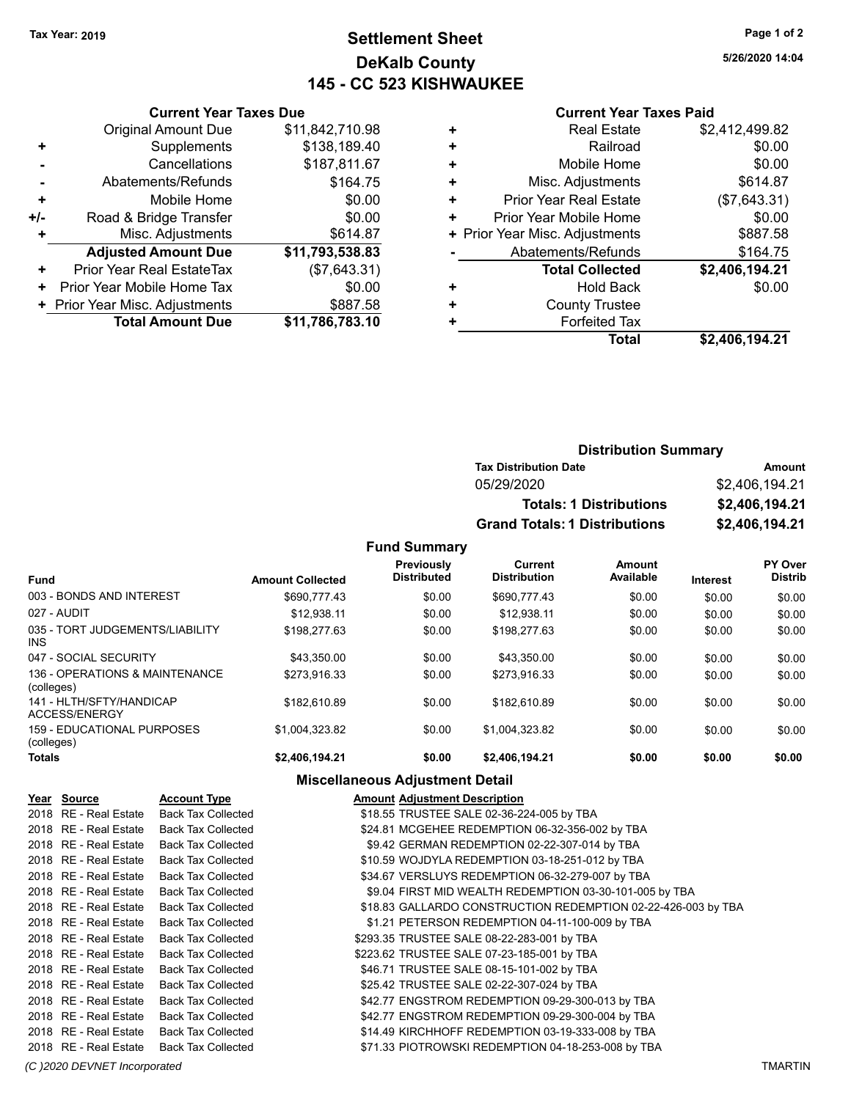# **Settlement Sheet Tax Year: 2019 Page 1 of 2 DeKalb County 145 - CC 523 KISHWAUKEE**

**5/26/2020 14:04**

#### **Current Year Taxes Paid**

|     | <b>Current Year Taxes Due</b>              |                 |  |  |  |  |
|-----|--------------------------------------------|-----------------|--|--|--|--|
|     | <b>Original Amount Due</b>                 | \$11,842,710.98 |  |  |  |  |
| ٠   | Supplements                                | \$138,189.40    |  |  |  |  |
|     | Cancellations                              | \$187,811.67    |  |  |  |  |
|     | Abatements/Refunds                         | \$164.75        |  |  |  |  |
| ٠   | \$0.00<br>Mobile Home                      |                 |  |  |  |  |
| +/- | Road & Bridge Transfer                     | \$0.00          |  |  |  |  |
|     | Misc. Adjustments                          | \$614.87        |  |  |  |  |
|     | <b>Adjusted Amount Due</b>                 | \$11,793,538.83 |  |  |  |  |
| ٠   | Prior Year Real EstateTax                  | (\$7,643.31)    |  |  |  |  |
| ٠   | Prior Year Mobile Home Tax                 | \$0.00          |  |  |  |  |
|     | \$887.58<br>+ Prior Year Misc. Adjustments |                 |  |  |  |  |
|     | <b>Total Amount Due</b>                    | \$11,786,783.10 |  |  |  |  |
|     |                                            |                 |  |  |  |  |

|   | <b>Real Estate</b>             | \$2,412,499.82 |
|---|--------------------------------|----------------|
| ٠ | Railroad                       | \$0.00         |
| ٠ | Mobile Home                    | \$0.00         |
| ٠ | Misc. Adjustments              | \$614.87       |
| ٠ | <b>Prior Year Real Estate</b>  | (\$7,643.31)   |
| ٠ | Prior Year Mobile Home         | \$0.00         |
|   | + Prior Year Misc. Adjustments | \$887.58       |
|   | Abatements/Refunds             | \$164.75       |
|   | <b>Total Collected</b>         | \$2,406,194.21 |
| ٠ | <b>Hold Back</b>               | \$0.00         |
| ÷ | <b>County Trustee</b>          |                |
| ٠ | <b>Forfeited Tax</b>           |                |
|   | <b>Total</b>                   | \$2,406,194.21 |
|   |                                |                |

| <b>Distribution Summary</b>          |                |  |  |  |  |
|--------------------------------------|----------------|--|--|--|--|
| <b>Tax Distribution Date</b>         | Amount         |  |  |  |  |
| 05/29/2020                           | \$2,406,194,21 |  |  |  |  |
| <b>Totals: 1 Distributions</b>       | \$2,406,194.21 |  |  |  |  |
| <b>Grand Totals: 1 Distributions</b> | \$2,406,194.21 |  |  |  |  |

**Fund Summary**

|                                               |                         | Previously         | Current             | Amount    |                 | PY Over        |
|-----------------------------------------------|-------------------------|--------------------|---------------------|-----------|-----------------|----------------|
| <b>Fund</b>                                   | <b>Amount Collected</b> | <b>Distributed</b> | <b>Distribution</b> | Available | <b>Interest</b> | <b>Distrib</b> |
| 003 - BONDS AND INTEREST                      | \$690.777.43            | \$0.00             | \$690.777.43        | \$0.00    | \$0.00          | \$0.00         |
| 027 - AUDIT                                   | \$12.938.11             | \$0.00             | \$12.938.11         | \$0.00    | \$0.00          | \$0.00         |
| 035 - TORT JUDGEMENTS/LIABILITY<br><b>INS</b> | \$198,277.63            | \$0.00             | \$198,277.63        | \$0.00    | \$0.00          | \$0.00         |
| 047 - SOCIAL SECURITY                         | \$43.350.00             | \$0.00             | \$43.350.00         | \$0.00    | \$0.00          | \$0.00         |
| 136 - OPERATIONS & MAINTENANCE<br>(colleges)  | \$273.916.33            | \$0.00             | \$273.916.33        | \$0.00    | \$0.00          | \$0.00         |
| 141 - HLTH/SFTY/HANDICAP<br>ACCESS/ENERGY     | \$182.610.89            | \$0.00             | \$182.610.89        | \$0.00    | \$0.00          | \$0.00         |
| 159 - EDUCATIONAL PURPOSES<br>(colleges)      | \$1.004.323.82          | \$0.00             | \$1.004.323.82      | \$0.00    | \$0.00          | \$0.00         |
| <b>Totals</b>                                 | \$2.406.194.21          | \$0.00             | \$2,406,194.21      | \$0.00    | \$0.00          | \$0.00         |

### **Miscellaneous Adjustment Detail**

| Year Source           | <b>Account Type</b>       | <b>Amount Adjustment Description</b>                          |
|-----------------------|---------------------------|---------------------------------------------------------------|
| 2018 RE - Real Estate | <b>Back Tax Collected</b> | \$18.55 TRUSTEE SALE 02-36-224-005 by TBA                     |
| 2018 RE - Real Estate | <b>Back Tax Collected</b> | \$24.81 MCGEHEE REDEMPTION 06-32-356-002 by TBA               |
| 2018 RE - Real Estate | <b>Back Tax Collected</b> | \$9.42 GERMAN REDEMPTION 02-22-307-014 by TBA                 |
| 2018 RE - Real Estate | <b>Back Tax Collected</b> | \$10.59 WOJDYLA REDEMPTION 03-18-251-012 by TBA               |
| 2018 RE - Real Estate | <b>Back Tax Collected</b> | \$34.67 VERSLUYS REDEMPTION 06-32-279-007 by TBA              |
| 2018 RE - Real Estate | <b>Back Tax Collected</b> | \$9.04 FIRST MID WEALTH REDEMPTION 03-30-101-005 by TBA       |
| 2018 RE - Real Estate | <b>Back Tax Collected</b> | \$18.83 GALLARDO CONSTRUCTION REDEMPTION 02-22-426-003 by TBA |
| 2018 RE - Real Estate | <b>Back Tax Collected</b> | \$1.21 PETERSON REDEMPTION 04-11-100-009 by TBA               |
| 2018 RE - Real Estate | <b>Back Tax Collected</b> | \$293.35 TRUSTEE SALE 08-22-283-001 by TBA                    |
| 2018 RE - Real Estate | <b>Back Tax Collected</b> | \$223.62 TRUSTEE SALE 07-23-185-001 by TBA                    |
| 2018 RE - Real Estate | <b>Back Tax Collected</b> | \$46.71 TRUSTEE SALE 08-15-101-002 by TBA                     |
| 2018 RE - Real Estate | <b>Back Tax Collected</b> | \$25.42 TRUSTEE SALE 02-22-307-024 by TBA                     |
| 2018 RE - Real Estate | <b>Back Tax Collected</b> | \$42.77 ENGSTROM REDEMPTION 09-29-300-013 by TBA              |
| 2018 RE - Real Estate | <b>Back Tax Collected</b> | \$42.77 ENGSTROM REDEMPTION 09-29-300-004 by TBA              |
| 2018 RE - Real Estate | <b>Back Tax Collected</b> | \$14.49 KIRCHHOFF REDEMPTION 03-19-333-008 by TBA             |
| 2018 RE - Real Estate | <b>Back Tax Collected</b> | \$71.33 PIOTROWSKI REDEMPTION 04-18-253-008 by TBA            |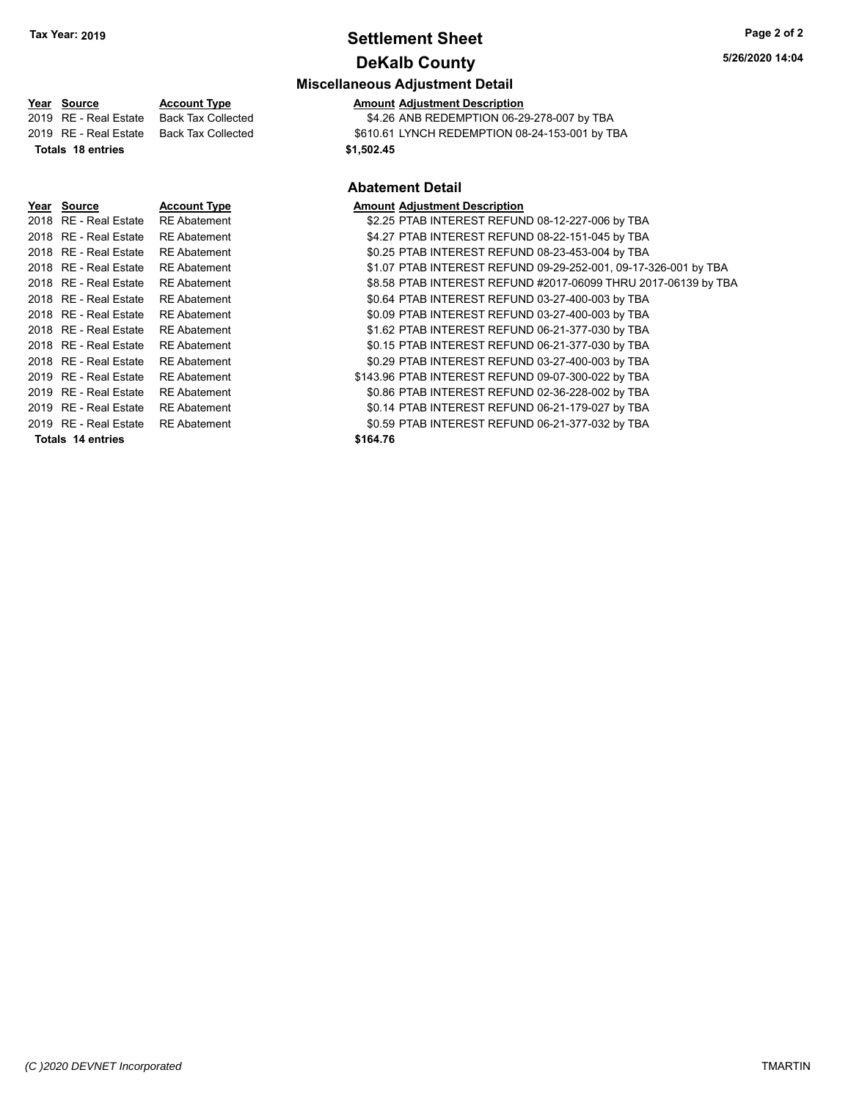# **Settlement Sheet Tax Year: 2019 Page 2 of 2 DeKalb County**

# **Miscellaneous Adjustment Detail**

**Year Source Account Type Amount Adjustment Description**<br>2019 RE - Real Estate Back Tax Collected \$4.26 ANB REDEMPTION 06-29 \$4.26 ANB REDEMPTION 06-29-278-007 by TBA 2019 RE - Real Estate Back Tax Collected \$610.61 LYNCH REDEMPTION 08-24-153-001 by TBA **Totals 18 entries 18 and 18 and 18 and 18 and 18 and 18 and 18 and 18 and 18 and 18 and 18 and 18 and 18 and 18 and 18 and 18 and 18 and 18 and 18 and 18 and 18 and 18 and 18 and 18 and 18 and 18 and 18 and 18 and 18 an** 

#### **Abatement Detail**

| Year Source             | <b>Account Type</b> | <b>Amount Adjustment Description</b>                            |
|-------------------------|---------------------|-----------------------------------------------------------------|
| 2018 RE - Real Estate   | <b>RE Abatement</b> | \$2.25 PTAB INTEREST REFUND 08-12-227-006 by TBA                |
| 2018 RE - Real Estate   | <b>RE</b> Abatement | \$4.27 PTAB INTEREST REFUND 08-22-151-045 by TBA                |
| 2018 RE - Real Estate   | <b>RE</b> Abatement | \$0.25 PTAB INTEREST REFUND 08-23-453-004 by TBA                |
| 2018   RE - Real Estate | <b>RE</b> Abatement | \$1.07 PTAB INTEREST REFUND 09-29-252-001, 09-17-326-001 by TBA |
| 2018 RE - Real Estate   | <b>RE</b> Abatement | \$8.58 PTAB INTEREST REFUND #2017-06099 THRU 2017-06139 by TBA  |
| 2018 RE - Real Estate   | <b>RE</b> Abatement | \$0.64 PTAB INTEREST REFUND 03-27-400-003 by TBA                |
| 2018   RE - Real Estate | <b>RE</b> Abatement | \$0.09 PTAB INTEREST REFUND 03-27-400-003 by TBA                |
| 2018   RE - Real Estate | <b>RE</b> Abatement | \$1.62 PTAB INTEREST REFUND 06-21-377-030 by TBA                |
| 2018   RE - Real Estate | <b>RE</b> Abatement | \$0.15 PTAB INTEREST REFUND 06-21-377-030 by TBA                |
| 2018 RE - Real Estate   | <b>RE</b> Abatement | \$0.29 PTAB INTEREST REFUND 03-27-400-003 by TBA                |
| 2019 RE - Real Estate   | <b>RE</b> Abatement | \$143.96 PTAB INTEREST REFUND 09-07-300-022 by TBA              |
| 2019 RE - Real Estate   | <b>RE Abatement</b> | \$0.86 PTAB INTEREST REFUND 02-36-228-002 by TBA                |
| 2019   RE - Real Estate | <b>RE</b> Abatement | \$0.14 PTAB INTEREST REFUND 06-21-179-027 by TBA                |
| 2019   RE - Real Estate | <b>RE</b> Abatement | \$0.59 PTAB INTEREST REFUND 06-21-377-032 by TBA                |
| Totals 14 entries       |                     | \$164.76                                                        |
|                         |                     |                                                                 |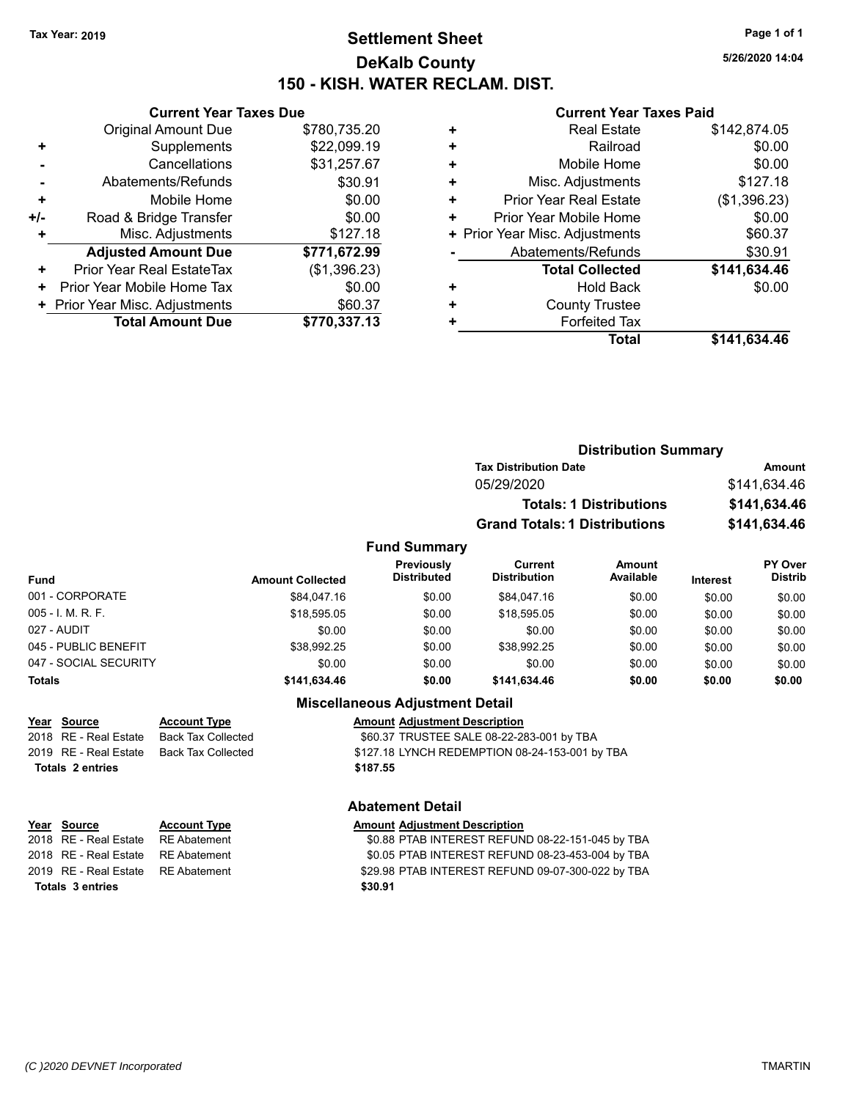# **Settlement Sheet Tax Year: 2019 Page 1 of 1 DeKalb County 150 - KISH. WATER RECLAM. DIST.**

**5/26/2020 14:04**

#### **Current Year Taxes Paid**

| <b>Current Year Taxes Due</b> |
|-------------------------------|
| \$780,735.20                  |
| \$22,099.19                   |
| \$31,257.67                   |
| \$30.91                       |
| \$0.00                        |
| \$0.00                        |
| \$127.18                      |
| \$771,672.99                  |
| (\$1,396.23)                  |
| \$0.00                        |
| \$60.37                       |
| \$770,337.13                  |
|                               |

| ٠ | <b>Real Estate</b>             | \$142,874.05 |
|---|--------------------------------|--------------|
| ÷ | Railroad                       | \$0.00       |
| ÷ | Mobile Home                    | \$0.00       |
| ٠ | Misc. Adjustments              | \$127.18     |
| ٠ | <b>Prior Year Real Estate</b>  | (\$1,396.23) |
| ٠ | Prior Year Mobile Home         | \$0.00       |
|   | + Prior Year Misc. Adjustments | \$60.37      |
|   | Abatements/Refunds             | \$30.91      |
|   | <b>Total Collected</b>         | \$141,634.46 |
| ٠ | <b>Hold Back</b>               | \$0.00       |
| ٠ | <b>County Trustee</b>          |              |
| ٠ | <b>Forfeited Tax</b>           |              |
|   | Total                          | \$141,634.46 |
|   |                                |              |

|                      |                         |                                  | <b>Distribution Summary</b>          |                                |          |                           |
|----------------------|-------------------------|----------------------------------|--------------------------------------|--------------------------------|----------|---------------------------|
|                      |                         |                                  | <b>Tax Distribution Date</b>         |                                |          | Amount                    |
|                      |                         |                                  | 05/29/2020                           |                                |          | \$141,634.46              |
|                      |                         |                                  |                                      | <b>Totals: 1 Distributions</b> |          | \$141,634.46              |
|                      |                         |                                  | <b>Grand Totals: 1 Distributions</b> |                                |          | \$141,634.46              |
|                      |                         | <b>Fund Summary</b>              |                                      |                                |          |                           |
| <b>Fund</b>          | <b>Amount Collected</b> | Previously<br><b>Distributed</b> | Current<br><b>Distribution</b>       | Amount<br>Available            | Interest | PY Over<br><b>Distrib</b> |
| 001 - CORPORATE      | \$84,047.16             | \$0.00                           | \$84,047.16                          | \$0.00                         | \$0.00   | \$0.00                    |
| $005 - I. M. R. F.$  | \$18,595.05             | \$0.00                           | \$18,595.05                          | \$0.00                         | \$0.00   | \$0.00                    |
| 027 - AUDIT          | \$0.00                  | \$0.00                           | \$0.00                               | \$0.00                         | \$0.00   | \$0.00                    |
| 045 - PUBLIC BENEFIT | \$38.992.25             | \$0.00                           | \$38.992.25                          | \$0.00                         | \$0.00   | \$0.00                    |

#### **Miscellaneous Adjustment Detail**

047 - SOCIAL SECURITY 60.00 \$0.00 \$0.00 \$0.00 \$0.00 \$0.00 \$0.00 \$0.00 \$0.00 \$0.00 **Totals \$141,634.46 \$0.00 \$141,634.46 \$0.00 \$0.00 \$0.00**

| Year Source             | <b>Account Type</b>                            | <b>Amount Adjustment Description</b>           |
|-------------------------|------------------------------------------------|------------------------------------------------|
| 2018   RE - Real Estate | Back Tax Collected                             | \$60.37 TRUSTEE SALE 08-22-283-001 by TBA      |
|                         | 2019   RE - Real Estate     Back Tax Collected | \$127.18 LYNCH REDEMPTION 08-24-153-001 by TBA |
| Totals 2 entries        |                                                | \$187.55                                       |
|                         |                                                |                                                |

|                         | Year Source                        | <b>Account Type</b> | <b>Amount Adjustment Description</b> |
|-------------------------|------------------------------------|---------------------|--------------------------------------|
|                         | 2018 RE - Real Estate RE Abatement |                     | \$0.88 PTAB INTEREST REFUN           |
|                         | 2018 RE - Real Estate RE Abatement |                     | \$0.05 PTAB INTEREST REFUN           |
|                         | 2019 RE - Real Estate RE Abatement |                     | \$29.98 PTAB INTEREST REFUN          |
| <b>Totals 3 entries</b> |                                    |                     | \$30.91                              |

#### **Abatement Detail**

2018 RE - Real Estate RE Abatement \$0.88 PTAB INTEREST REFUND 08-22-151-045 by TBA 2018 RE - Real Estate RE Abatement S0.05 PTAB INTEREST REFUND 08-23-453-004 by TBA 2019 RE - Real Estate RE Abatement S29.98 PTAB INTEREST REFUND 09-07-300-022 by TBA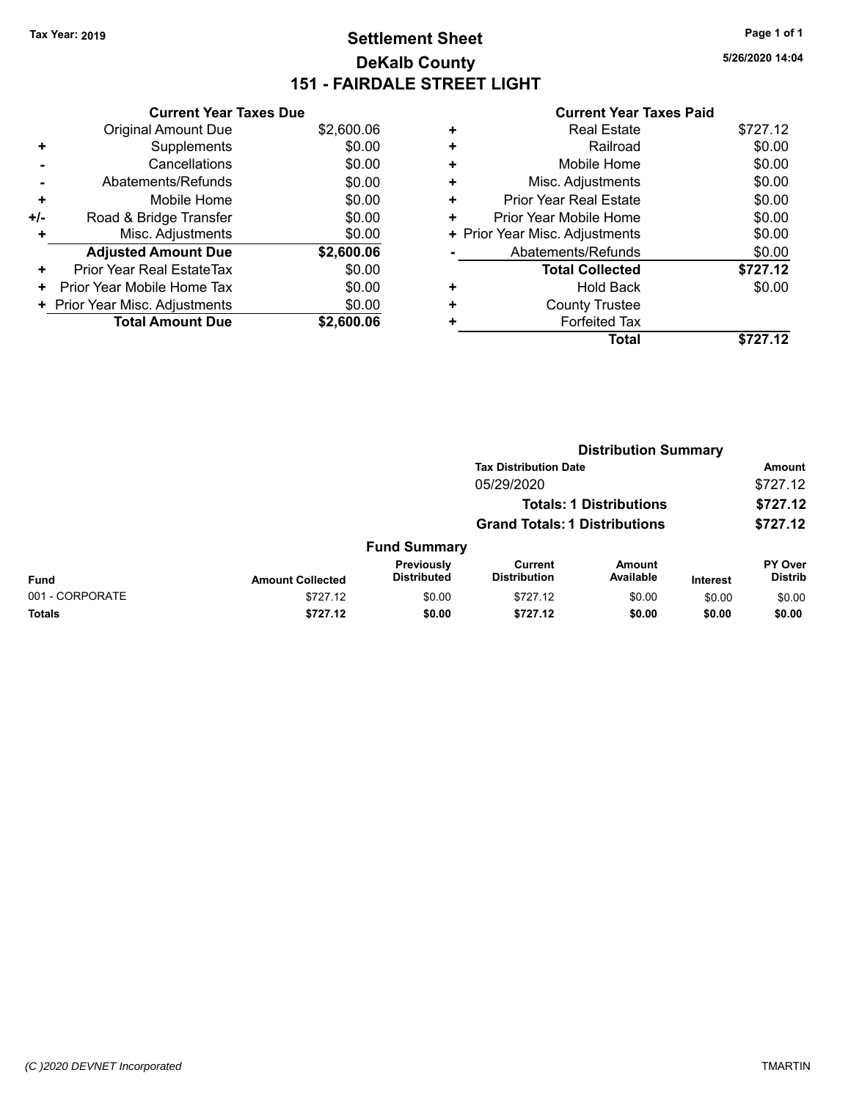# **Settlement Sheet Tax Year: 2019 Page 1 of 1 DeKalb County 151 - FAIRDALE STREET LIGHT**

**5/26/2020 14:04**

|     | <b>Current Year Taxes Due</b>  |            |
|-----|--------------------------------|------------|
|     | <b>Original Amount Due</b>     | \$2,600.06 |
| ٠   | Supplements                    | \$0.00     |
|     | Cancellations                  | \$0.00     |
|     | Abatements/Refunds             | \$0.00     |
| ٠   | Mobile Home                    | \$0.00     |
| +/- | Road & Bridge Transfer         | \$0.00     |
| ٠   | Misc. Adjustments              | \$0.00     |
|     | <b>Adjusted Amount Due</b>     | \$2,600.06 |
| ٠   | Prior Year Real EstateTax      | \$0.00     |
| ٠   | Prior Year Mobile Home Tax     | \$0.00     |
|     | + Prior Year Misc. Adjustments | \$0.00     |
|     | <b>Total Amount Due</b>        | \$2,600.06 |

|   | <b>Real Estate</b>             | \$727.12 |
|---|--------------------------------|----------|
| ٠ | Railroad                       | \$0.00   |
| ٠ | Mobile Home                    | \$0.00   |
| + | Misc. Adjustments              | \$0.00   |
| ٠ | <b>Prior Year Real Estate</b>  | \$0.00   |
| ٠ | Prior Year Mobile Home         | \$0.00   |
|   | + Prior Year Misc. Adjustments | \$0.00   |
|   | Abatements/Refunds             | \$0.00   |
|   | <b>Total Collected</b>         | \$727.12 |
| ٠ | Hold Back                      | \$0.00   |
|   | <b>County Trustee</b>          |          |
| + | <b>Forfeited Tax</b>           |          |
|   | <b>Total</b>                   | \$727.12 |
|   |                                |          |

|                 |                         | <b>Distribution Summary</b>      |                                       |                                |                 |                           |
|-----------------|-------------------------|----------------------------------|---------------------------------------|--------------------------------|-----------------|---------------------------|
|                 |                         |                                  | <b>Tax Distribution Date</b>          |                                |                 | Amount                    |
|                 |                         |                                  | 05/29/2020                            |                                |                 | \$727.12                  |
|                 |                         |                                  |                                       | <b>Totals: 1 Distributions</b> |                 | \$727.12                  |
|                 |                         |                                  | <b>Grand Totals: 1 Distributions</b>  |                                |                 | \$727.12                  |
|                 |                         | <b>Fund Summary</b>              |                                       |                                |                 |                           |
| <b>Fund</b>     | <b>Amount Collected</b> | Previously<br><b>Distributed</b> | <b>Current</b><br><b>Distribution</b> | Amount<br>Available            | <b>Interest</b> | PY Over<br><b>Distrib</b> |
| 001 - CORPORATE | \$727.12                | \$0.00                           | \$727.12                              | \$0.00                         | \$0.00          | \$0.00                    |
| Totals          | \$727.12                | \$0.00                           | \$727.12                              | \$0.00                         | \$0.00          | \$0.00                    |
|                 |                         |                                  |                                       |                                |                 |                           |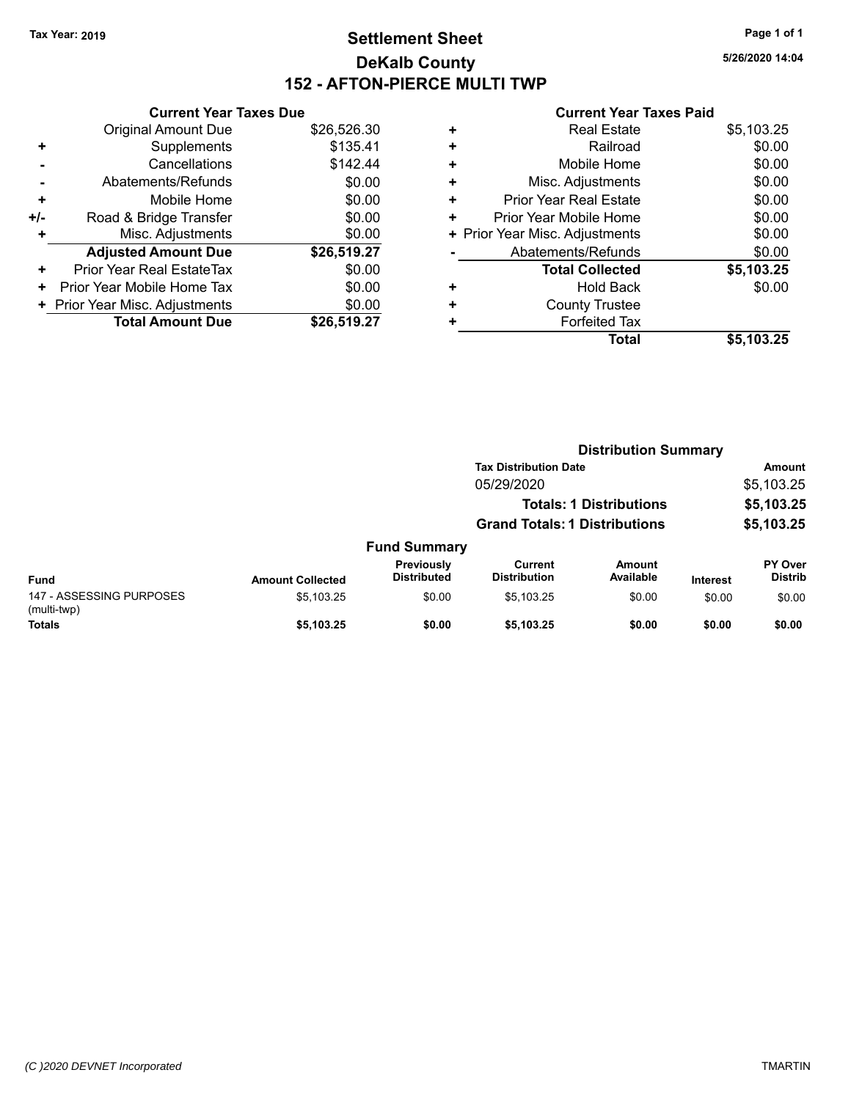# **Settlement Sheet Tax Year: 2019 Page 1 of 1 DeKalb County 152 - AFTON-PIERCE MULTI TWP**

**5/26/2020 14:04**

| <b>Current Year Taxes Due</b> |                                |
|-------------------------------|--------------------------------|
| <b>Original Amount Due</b>    | \$26,526.30                    |
| Supplements                   | \$135.41                       |
| Cancellations                 | \$142.44                       |
| Abatements/Refunds            | \$0.00                         |
| Mobile Home                   | \$0.00                         |
| Road & Bridge Transfer        | \$0.00                         |
| Misc. Adjustments             | \$0.00                         |
| <b>Adjusted Amount Due</b>    | \$26,519.27                    |
| Prior Year Real EstateTax     | \$0.00                         |
| Prior Year Mobile Home Tax    | \$0.00                         |
|                               | \$0.00                         |
| <b>Total Amount Due</b>       | \$26,519.27                    |
|                               | + Prior Year Misc. Adjustments |

| <b>Real Estate</b>             | \$5,103.25 |
|--------------------------------|------------|
| Railroad                       | \$0.00     |
| Mobile Home                    | \$0.00     |
| Misc. Adjustments              | \$0.00     |
| <b>Prior Year Real Estate</b>  | \$0.00     |
| Prior Year Mobile Home         | \$0.00     |
| + Prior Year Misc. Adjustments | \$0.00     |
| Abatements/Refunds             | \$0.00     |
| <b>Total Collected</b>         | \$5,103.25 |
| Hold Back                      | \$0.00     |
| <b>County Trustee</b>          |            |
| <b>Forfeited Tax</b>           |            |
| Total                          | \$5,103.25 |
|                                |            |

|                                         |                         |                                  | <b>Distribution Summary</b>          |                                |                 |                           |
|-----------------------------------------|-------------------------|----------------------------------|--------------------------------------|--------------------------------|-----------------|---------------------------|
|                                         |                         |                                  | <b>Tax Distribution Date</b>         |                                |                 | Amount                    |
|                                         |                         |                                  | 05/29/2020                           |                                |                 | \$5,103.25                |
|                                         |                         |                                  |                                      | <b>Totals: 1 Distributions</b> |                 | \$5,103.25                |
|                                         |                         |                                  | <b>Grand Totals: 1 Distributions</b> |                                |                 | \$5,103.25                |
|                                         |                         | <b>Fund Summary</b>              |                                      |                                |                 |                           |
| <b>Fund</b>                             | <b>Amount Collected</b> | Previously<br><b>Distributed</b> | Current<br><b>Distribution</b>       | Amount<br>Available            | <b>Interest</b> | PY Over<br><b>Distrib</b> |
| 147 - ASSESSING PURPOSES<br>(multi-twp) | \$5,103.25              | \$0.00                           | \$5.103.25                           | \$0.00                         | \$0.00          | \$0.00                    |
| <b>Totals</b>                           | \$5,103.25              | \$0.00                           | \$5,103.25                           | \$0.00                         | \$0.00          | \$0.00                    |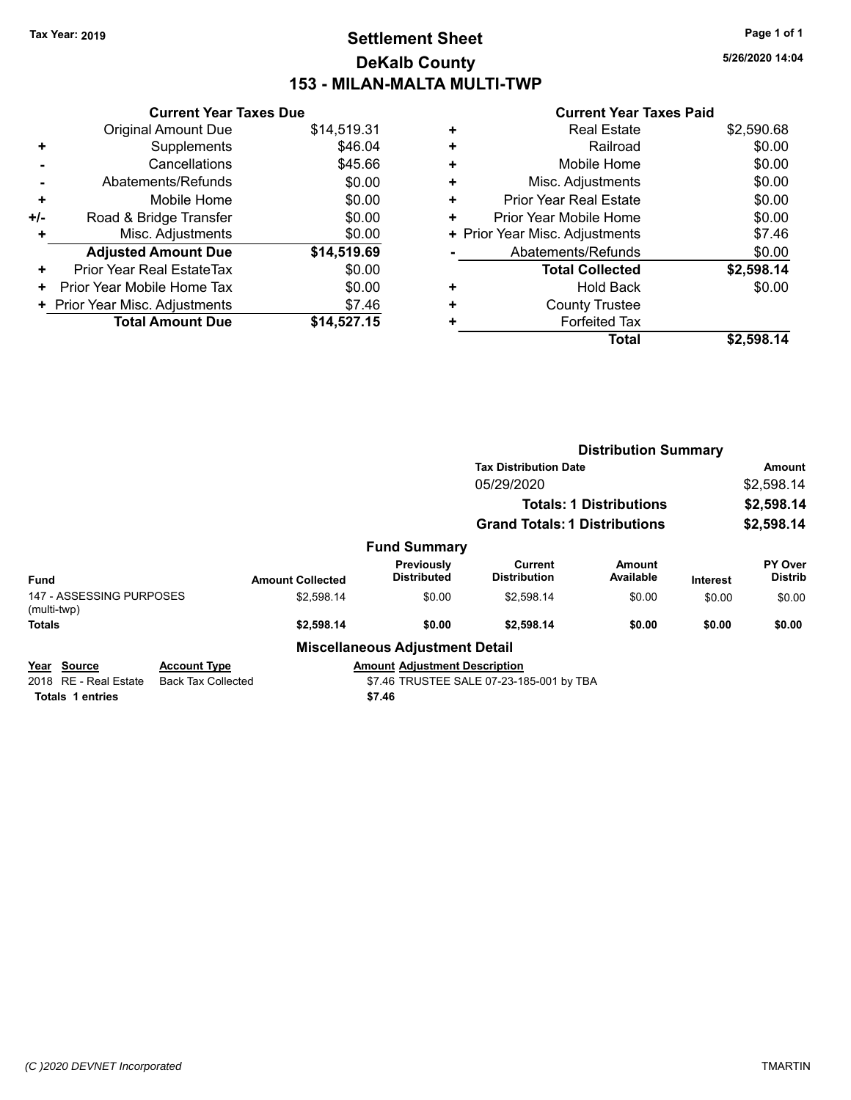# **Settlement Sheet Tax Year: 2019 Page 1 of 1 DeKalb County 153 - MILAN-MALTA MULTI-TWP**

**5/26/2020 14:04**

|     | <b>Current Year Taxes Due</b>  |             |
|-----|--------------------------------|-------------|
|     | <b>Original Amount Due</b>     | \$14,519.31 |
| ٠   | Supplements                    | \$46.04     |
|     | Cancellations                  | \$45.66     |
|     | Abatements/Refunds             | \$0.00      |
| ٠   | Mobile Home                    | \$0.00      |
| +/- | Road & Bridge Transfer         | \$0.00      |
| ٠   | Misc. Adjustments              | \$0.00      |
|     | <b>Adjusted Amount Due</b>     | \$14,519.69 |
| ٠   | Prior Year Real EstateTax      | \$0.00      |
| ٠   | Prior Year Mobile Home Tax     | \$0.00      |
|     | + Prior Year Misc. Adjustments | \$7.46      |
|     | <b>Total Amount Due</b>        | \$14,527.15 |

|   | <b>Real Estate</b>             | \$2,590.68 |
|---|--------------------------------|------------|
| ٠ | Railroad                       | \$0.00     |
| ٠ | Mobile Home                    | \$0.00     |
| ٠ | Misc. Adjustments              | \$0.00     |
| ٠ | Prior Year Real Estate         | \$0.00     |
|   | Prior Year Mobile Home         | \$0.00     |
|   | + Prior Year Misc. Adjustments | \$7.46     |
|   | Abatements/Refunds             | \$0.00     |
|   | <b>Total Collected</b>         | \$2,598.14 |
| ٠ | <b>Hold Back</b>               | \$0.00     |
|   | <b>County Trustee</b>          |            |
|   | <b>Forfeited Tax</b>           |            |
|   | Total                          | \$2,598.14 |

|                                         |                                                  |                         |                                        | <b>Distribution Summary</b>              |                                |                 |                           |
|-----------------------------------------|--------------------------------------------------|-------------------------|----------------------------------------|------------------------------------------|--------------------------------|-----------------|---------------------------|
|                                         |                                                  |                         |                                        | <b>Tax Distribution Date</b>             |                                |                 | Amount                    |
|                                         |                                                  |                         |                                        | 05/29/2020                               |                                |                 | \$2,598.14                |
|                                         |                                                  |                         |                                        |                                          | <b>Totals: 1 Distributions</b> |                 | \$2,598.14                |
|                                         |                                                  |                         |                                        | <b>Grand Totals: 1 Distributions</b>     |                                |                 | \$2,598.14                |
|                                         |                                                  |                         | <b>Fund Summary</b>                    |                                          |                                |                 |                           |
| <b>Fund</b>                             |                                                  | <b>Amount Collected</b> | Previously<br><b>Distributed</b>       | <b>Current</b><br><b>Distribution</b>    | Amount<br>Available            | <b>Interest</b> | PY Over<br><b>Distrib</b> |
| 147 - ASSESSING PURPOSES<br>(multi-twp) |                                                  | \$2,598.14              | \$0.00                                 | \$2,598.14                               | \$0.00                         | \$0.00          | \$0.00                    |
| <b>Totals</b>                           |                                                  | \$2,598.14              | \$0.00                                 | \$2,598.14                               | \$0.00                         | \$0.00          | \$0.00                    |
|                                         |                                                  |                         | <b>Miscellaneous Adjustment Detail</b> |                                          |                                |                 |                           |
| Year Source<br>2018 RE - Real Estate    | <b>Account Type</b><br><b>Back Tax Collected</b> |                         | <b>Amount Adjustment Description</b>   | \$7.46 TRUSTEE SALE 07-23-185-001 by TBA |                                |                 |                           |
| <b>Totals 1 entries</b>                 |                                                  |                         | \$7.46                                 |                                          |                                |                 |                           |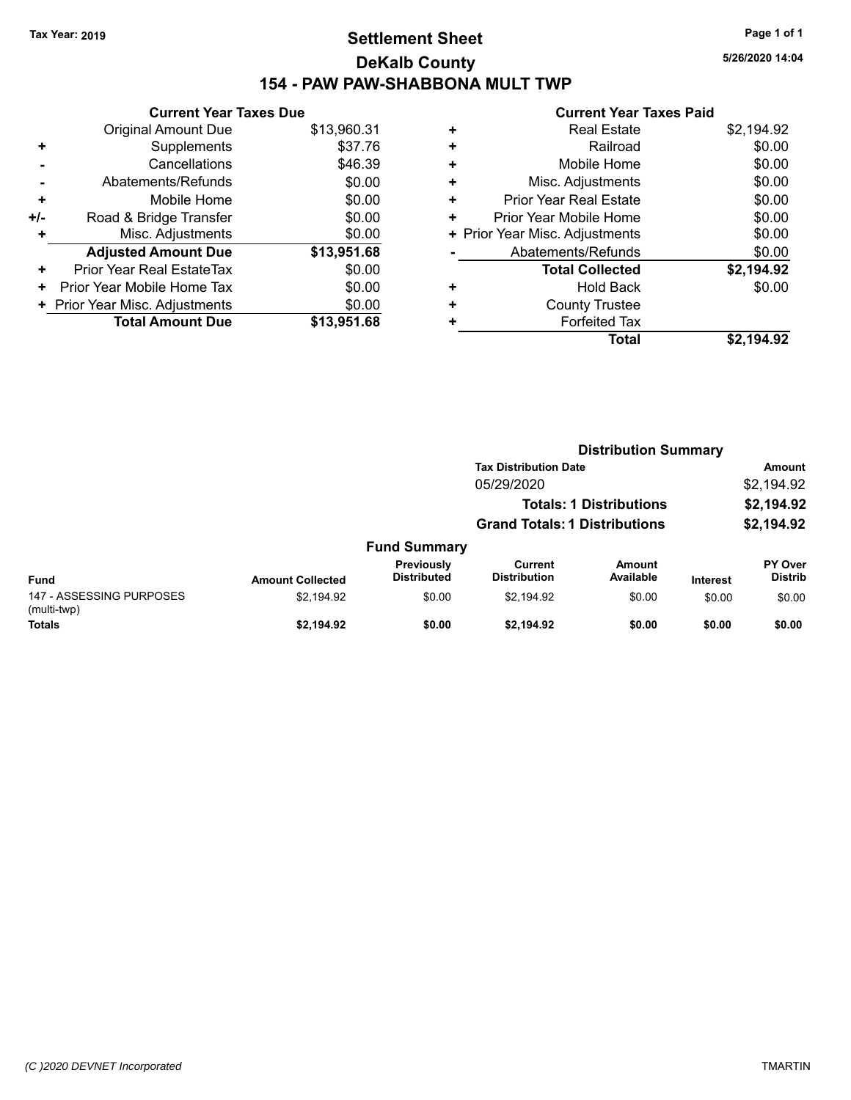# **Settlement Sheet Tax Year: 2019 Page 1 of 1 DeKalb County 154 - PAW PAW-SHABBONA MULT TWP**

|     | <b>Current Year Taxes Due</b>    |             |
|-----|----------------------------------|-------------|
|     | <b>Original Amount Due</b>       | \$13,960.31 |
| ٠   | Supplements                      | \$37.76     |
|     | Cancellations                    | \$46.39     |
|     | Abatements/Refunds               | \$0.00      |
| ٠   | Mobile Home                      | \$0.00      |
| +/- | Road & Bridge Transfer           | \$0.00      |
| ٠   | Misc. Adjustments                | \$0.00      |
|     | <b>Adjusted Amount Due</b>       | \$13,951.68 |
| ٠   | <b>Prior Year Real EstateTax</b> | \$0.00      |
| ٠   | Prior Year Mobile Home Tax       | \$0.00      |
|     | + Prior Year Misc. Adjustments   | \$0.00      |
|     | <b>Total Amount Due</b>          | \$13,951.68 |

#### **Current Year Taxes Paid**

| <b>Real Estate</b>             | \$2,194.92 |
|--------------------------------|------------|
| Railroad                       | \$0.00     |
| Mobile Home                    | \$0.00     |
| Misc. Adjustments              | \$0.00     |
| <b>Prior Year Real Estate</b>  | \$0.00     |
| Prior Year Mobile Home         | \$0.00     |
| + Prior Year Misc. Adjustments | \$0.00     |
| Abatements/Refunds             | \$0.00     |
| <b>Total Collected</b>         | \$2,194.92 |
| Hold Back                      | \$0.00     |
| <b>County Trustee</b>          |            |
| <b>Forfeited Tax</b>           |            |
| Total                          | \$2.194.92 |
|                                |            |

|                                         |                         |                                  |                                      | <b>Distribution Summary</b>    |                 |                           |
|-----------------------------------------|-------------------------|----------------------------------|--------------------------------------|--------------------------------|-----------------|---------------------------|
|                                         |                         |                                  | <b>Tax Distribution Date</b>         |                                |                 | Amount                    |
|                                         |                         |                                  | 05/29/2020                           |                                |                 | \$2,194.92                |
|                                         |                         |                                  |                                      | <b>Totals: 1 Distributions</b> |                 | \$2,194.92                |
|                                         |                         |                                  | <b>Grand Totals: 1 Distributions</b> |                                |                 | \$2,194.92                |
|                                         |                         | <b>Fund Summary</b>              |                                      |                                |                 |                           |
| <b>Fund</b>                             | <b>Amount Collected</b> | Previously<br><b>Distributed</b> | Current<br><b>Distribution</b>       | Amount<br>Available            | <b>Interest</b> | PY Over<br><b>Distrib</b> |
| 147 - ASSESSING PURPOSES<br>(multi-twp) | \$2,194.92              | \$0.00                           | \$2,194.92                           | \$0.00                         | \$0.00          | \$0.00                    |
| <b>Totals</b>                           | \$2,194.92              | \$0.00                           | \$2,194.92                           | \$0.00                         | \$0.00          | \$0.00                    |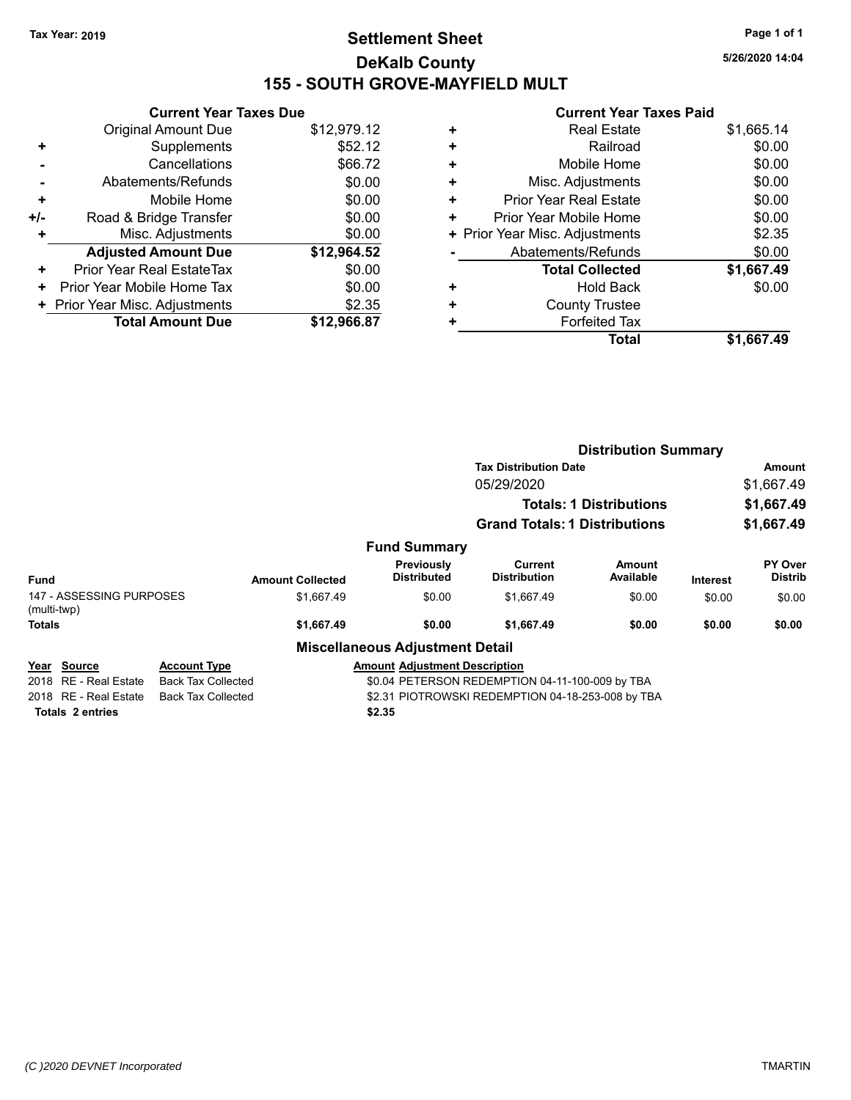# **Settlement Sheet Tax Year: 2019 Page 1 of 1 DeKalb County 155 - SOUTH GROVE-MAYFIELD MULT**

**5/26/2020 14:04**

|     | <b>Current Year Taxes Due</b>    |             |  |  |  |
|-----|----------------------------------|-------------|--|--|--|
|     | <b>Original Amount Due</b>       | \$12,979.12 |  |  |  |
| ٠   | Supplements                      | \$52.12     |  |  |  |
|     | Cancellations                    | \$66.72     |  |  |  |
|     | Abatements/Refunds               | \$0.00      |  |  |  |
| ٠   | Mobile Home                      | \$0.00      |  |  |  |
| +/- | \$0.00<br>Road & Bridge Transfer |             |  |  |  |
| ٠   | Misc. Adjustments                | \$0.00      |  |  |  |
|     | <b>Adjusted Amount Due</b>       | \$12,964.52 |  |  |  |
| ٠   | Prior Year Real EstateTax        | \$0.00      |  |  |  |
| ٠   | Prior Year Mobile Home Tax       | \$0.00      |  |  |  |
|     | + Prior Year Misc. Adjustments   | \$2.35      |  |  |  |
|     | <b>Total Amount Due</b>          | \$12,966.87 |  |  |  |
|     |                                  |             |  |  |  |

| <b>Real Estate</b>             | \$1,665.14 |
|--------------------------------|------------|
| Railroad                       | \$0.00     |
| Mobile Home                    | \$0.00     |
| Misc. Adjustments              | \$0.00     |
| <b>Prior Year Real Estate</b>  | \$0.00     |
| Prior Year Mobile Home         | \$0.00     |
| + Prior Year Misc. Adjustments | \$2.35     |
| Abatements/Refunds             | \$0.00     |
| <b>Total Collected</b>         | \$1,667.49 |
| Hold Back                      | \$0.00     |
| <b>County Trustee</b>          |            |
| <b>Forfeited Tax</b>           |            |
| <b>Total</b>                   | \$1.667.49 |
|                                |            |

|                                         |                                                                                |                                                                              |                                         |                                      | <b>Distribution Summary</b>    |          |                           |
|-----------------------------------------|--------------------------------------------------------------------------------|------------------------------------------------------------------------------|-----------------------------------------|--------------------------------------|--------------------------------|----------|---------------------------|
|                                         |                                                                                |                                                                              |                                         | <b>Tax Distribution Date</b>         |                                |          | Amount                    |
|                                         |                                                                                |                                                                              |                                         | 05/29/2020                           |                                |          | \$1,667.49                |
|                                         |                                                                                |                                                                              |                                         |                                      | <b>Totals: 1 Distributions</b> |          | \$1,667.49                |
|                                         |                                                                                |                                                                              |                                         | <b>Grand Totals: 1 Distributions</b> |                                |          | \$1,667.49                |
|                                         |                                                                                |                                                                              | <b>Fund Summary</b>                     |                                      |                                |          |                           |
| Fund                                    |                                                                                | <b>Amount Collected</b>                                                      | <b>Previously</b><br><b>Distributed</b> | Current<br><b>Distribution</b>       | Amount<br>Available            | Interest | PY Over<br><b>Distrib</b> |
| 147 - ASSESSING PURPOSES<br>(multi-twp) |                                                                                | \$1,667.49                                                                   | \$0.00                                  | \$1,667.49                           | \$0.00                         | \$0.00   | \$0.00                    |
| <b>Totals</b>                           |                                                                                | \$1,667.49                                                                   | \$0.00                                  | \$1,667.49                           | \$0.00                         | \$0.00   | \$0.00                    |
|                                         |                                                                                |                                                                              | <b>Miscellaneous Adjustment Detail</b>  |                                      |                                |          |                           |
| Source<br>Year                          | <b>Account Type</b>                                                            |                                                                              | <b>Amount Adiustment Description</b>    |                                      |                                |          |                           |
| 2018<br>RE - Real Estate                |                                                                                | <b>Back Tax Collected</b><br>\$0.04 PETERSON REDEMPTION 04-11-100-009 by TBA |                                         |                                      |                                |          |                           |
| RE - Real Estate<br>2018                | <b>Back Tax Collected</b><br>\$2.31 PIOTROWSKI REDEMPTION 04-18-253-008 by TBA |                                                                              |                                         |                                      |                                |          |                           |
| <b>Totals 2 entries</b>                 |                                                                                |                                                                              | \$2.35                                  |                                      |                                |          |                           |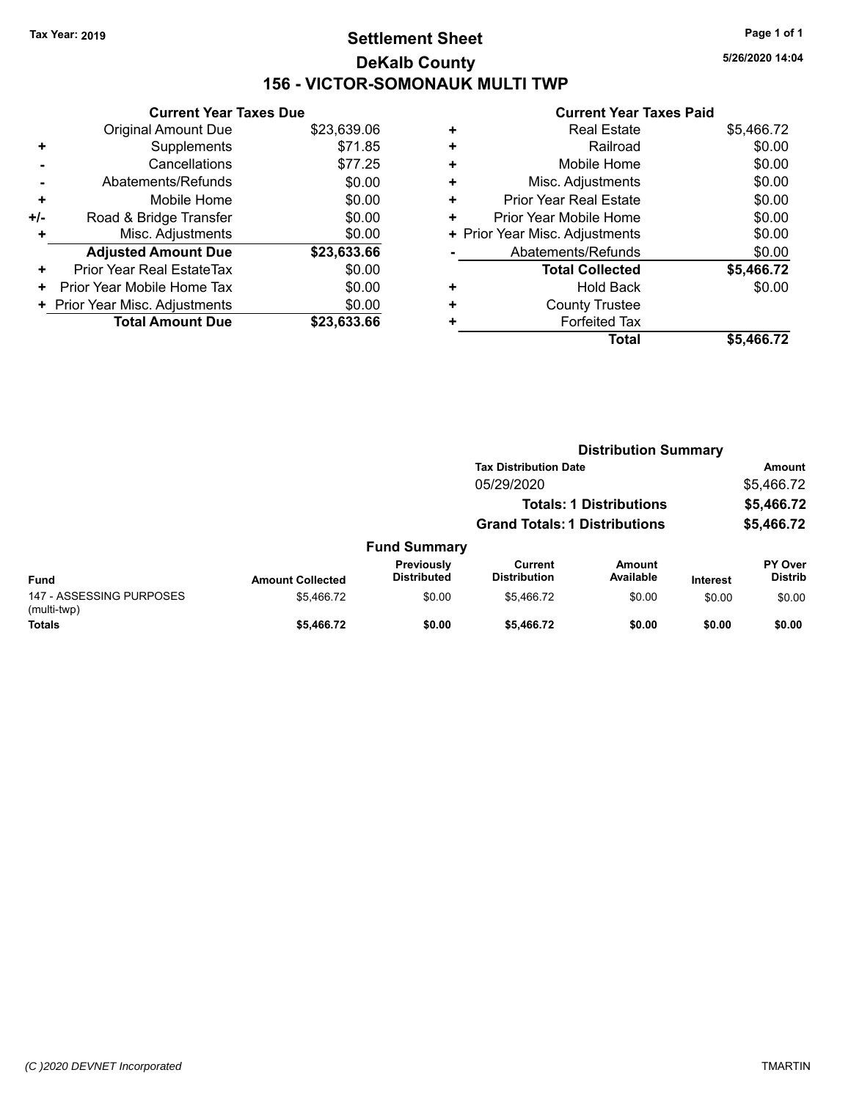# **Settlement Sheet Tax Year: 2019 Page 1 of 1 DeKalb County 156 - VICTOR-SOMONAUK MULTI TWP**

**5/26/2020 14:04**

|     | <b>Current Year Taxes Due</b>  |             |
|-----|--------------------------------|-------------|
|     | <b>Original Amount Due</b>     | \$23,639.06 |
| ٠   | Supplements                    | \$71.85     |
|     | Cancellations                  | \$77.25     |
|     | Abatements/Refunds             | \$0.00      |
| ÷   | Mobile Home                    | \$0.00      |
| +/- | Road & Bridge Transfer         | \$0.00      |
| ٠   | Misc. Adjustments              | \$0.00      |
|     | <b>Adjusted Amount Due</b>     | \$23,633.66 |
| ÷   | Prior Year Real EstateTax      | \$0.00      |
| ÷   | Prior Year Mobile Home Tax     | \$0.00      |
|     | + Prior Year Misc. Adjustments | \$0.00      |
|     | <b>Total Amount Due</b>        | \$23,633.66 |

| <b>Real Estate</b>             | \$5,466.72 |
|--------------------------------|------------|
| Railroad                       | \$0.00     |
| Mobile Home                    | \$0.00     |
| Misc. Adjustments              | \$0.00     |
| <b>Prior Year Real Estate</b>  | \$0.00     |
| Prior Year Mobile Home         | \$0.00     |
| + Prior Year Misc. Adjustments | \$0.00     |
| Abatements/Refunds             | \$0.00     |
| <b>Total Collected</b>         | \$5,466.72 |
| Hold Back                      | \$0.00     |
| <b>County Trustee</b>          |            |
| <b>Forfeited Tax</b>           |            |
| <b>Total</b>                   | \$5.466.72 |
|                                |            |

|                                         |                         |                                  |                                      | <b>Distribution Summary</b>    |                 |                           |
|-----------------------------------------|-------------------------|----------------------------------|--------------------------------------|--------------------------------|-----------------|---------------------------|
|                                         |                         |                                  | <b>Tax Distribution Date</b>         |                                |                 | <b>Amount</b>             |
|                                         |                         |                                  | 05/29/2020                           |                                |                 | \$5,466.72                |
|                                         |                         |                                  |                                      | <b>Totals: 1 Distributions</b> |                 | \$5,466.72                |
|                                         |                         |                                  | <b>Grand Totals: 1 Distributions</b> |                                |                 | \$5,466.72                |
|                                         |                         | <b>Fund Summary</b>              |                                      |                                |                 |                           |
| Fund                                    | <b>Amount Collected</b> | Previously<br><b>Distributed</b> | Current<br><b>Distribution</b>       | Amount<br>Available            | <b>Interest</b> | PY Over<br><b>Distrib</b> |
| 147 - ASSESSING PURPOSES<br>(multi-twp) | \$5.466.72              | \$0.00                           | \$5.466.72                           | \$0.00                         | \$0.00          | \$0.00                    |
| <b>Totals</b>                           | \$5,466.72              | \$0.00                           | \$5,466.72                           | \$0.00                         | \$0.00          | \$0.00                    |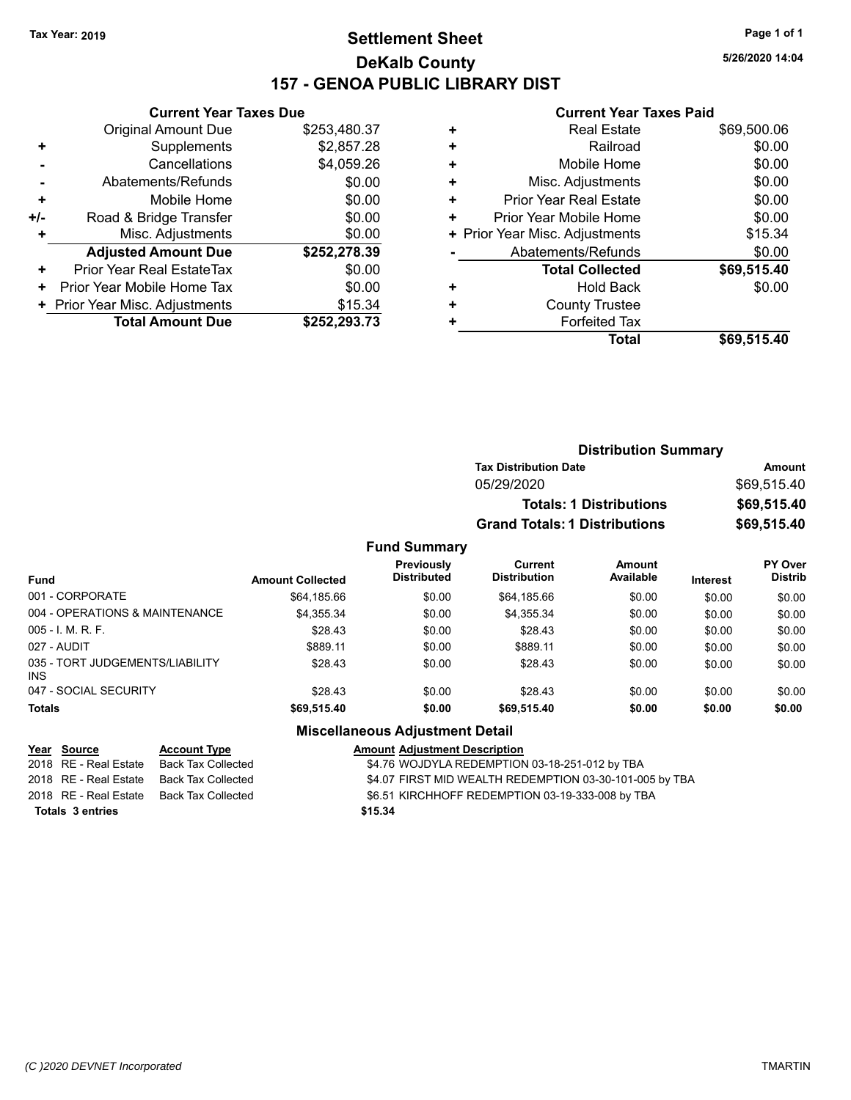# **Settlement Sheet Tax Year: 2019 Page 1 of 1 DeKalb County 157 - GENOA PUBLIC LIBRARY DIST**

**Current Year Taxes Due**

|     | <b>Original Amount Due</b>       | \$253,480.37 |
|-----|----------------------------------|--------------|
| ٠   | Supplements                      | \$2,857.28   |
|     | Cancellations                    | \$4,059.26   |
|     | Abatements/Refunds               | \$0.00       |
| ٠   | Mobile Home                      | \$0.00       |
| +/- | Road & Bridge Transfer           | \$0.00       |
| ٠   | Misc. Adjustments                | \$0.00       |
|     | <b>Adjusted Amount Due</b>       | \$252,278.39 |
| ÷   | <b>Prior Year Real EstateTax</b> | \$0.00       |
| ٠   | Prior Year Mobile Home Tax       | \$0.00       |
|     | + Prior Year Misc. Adjustments   | \$15.34      |
|     | <b>Total Amount Due</b>          | \$252,293.73 |

#### **Current Year Taxes Paid**

| <b>Real Estate</b>     | \$69,500.06                    |
|------------------------|--------------------------------|
| Railroad               | \$0.00                         |
| Mobile Home            | \$0.00                         |
| Misc. Adjustments      | \$0.00                         |
| Prior Year Real Estate | \$0.00                         |
| Prior Year Mobile Home | \$0.00                         |
|                        | \$15.34                        |
| Abatements/Refunds     | \$0.00                         |
| <b>Total Collected</b> | \$69,515.40                    |
| <b>Hold Back</b>       | \$0.00                         |
| <b>County Trustee</b>  |                                |
| <b>Forfeited Tax</b>   |                                |
| Total                  | \$69,515.40                    |
|                        | + Prior Year Misc. Adjustments |

| <b>Distribution Summary</b>          |             |
|--------------------------------------|-------------|
| <b>Tax Distribution Date</b>         | Amount      |
| 05/29/2020                           | \$69.515.40 |
| <b>Totals: 1 Distributions</b>       | \$69,515.40 |
| <b>Grand Totals: 1 Distributions</b> | \$69,515.40 |

#### **Fund Summary**

| <b>Fund</b>                                   | <b>Amount Collected</b> | <b>Previously</b><br><b>Distributed</b> | Current<br><b>Distribution</b> | <b>Amount</b><br>Available | <b>Interest</b> | <b>PY Over</b><br><b>Distrib</b> |
|-----------------------------------------------|-------------------------|-----------------------------------------|--------------------------------|----------------------------|-----------------|----------------------------------|
| 001 - CORPORATE                               | \$64,185.66             | \$0.00                                  | \$64.185.66                    | \$0.00                     | \$0.00          | \$0.00                           |
| 004 - OPERATIONS & MAINTENANCE                | \$4,355.34              | \$0.00                                  | \$4,355.34                     | \$0.00                     | \$0.00          | \$0.00                           |
| $005 - 1$ . M. R. F.                          | \$28.43                 | \$0.00                                  | \$28.43                        | \$0.00                     | \$0.00          | \$0.00                           |
| 027 - AUDIT                                   | \$889.11                | \$0.00                                  | \$889.11                       | \$0.00                     | \$0.00          | \$0.00                           |
| 035 - TORT JUDGEMENTS/LIABILITY<br><b>INS</b> | \$28.43                 | \$0.00                                  | \$28.43                        | \$0.00                     | \$0.00          | \$0.00                           |
| 047 - SOCIAL SECURITY                         | \$28.43                 | \$0.00                                  | \$28.43                        | \$0.00                     | \$0.00          | \$0.00                           |
| <b>Totals</b>                                 | \$69,515.40             | \$0.00                                  | \$69,515.40                    | \$0.00                     | \$0.00          | \$0.00                           |

## **Miscellaneous Adjustment Detail**

| <u>Year Source</u>      | <b>Account Type</b> | <b>Amount Adjustment Description</b>                    |
|-------------------------|---------------------|---------------------------------------------------------|
| 2018   RE - Real Estate | Back Tax Collected  | \$4.76 WOJDYLA REDEMPTION 03-18-251-012 by TBA          |
| 2018 RE - Real Estate   | Back Tax Collected  | \$4.07 FIRST MID WEALTH REDEMPTION 03-30-101-005 by TBA |
| 2018   RE - Real Estate | Back Tax Collected  | \$6.51 KIRCHHOFF REDEMPTION 03-19-333-008 by TBA        |
| <b>Totals 3 entries</b> |                     | \$15.34                                                 |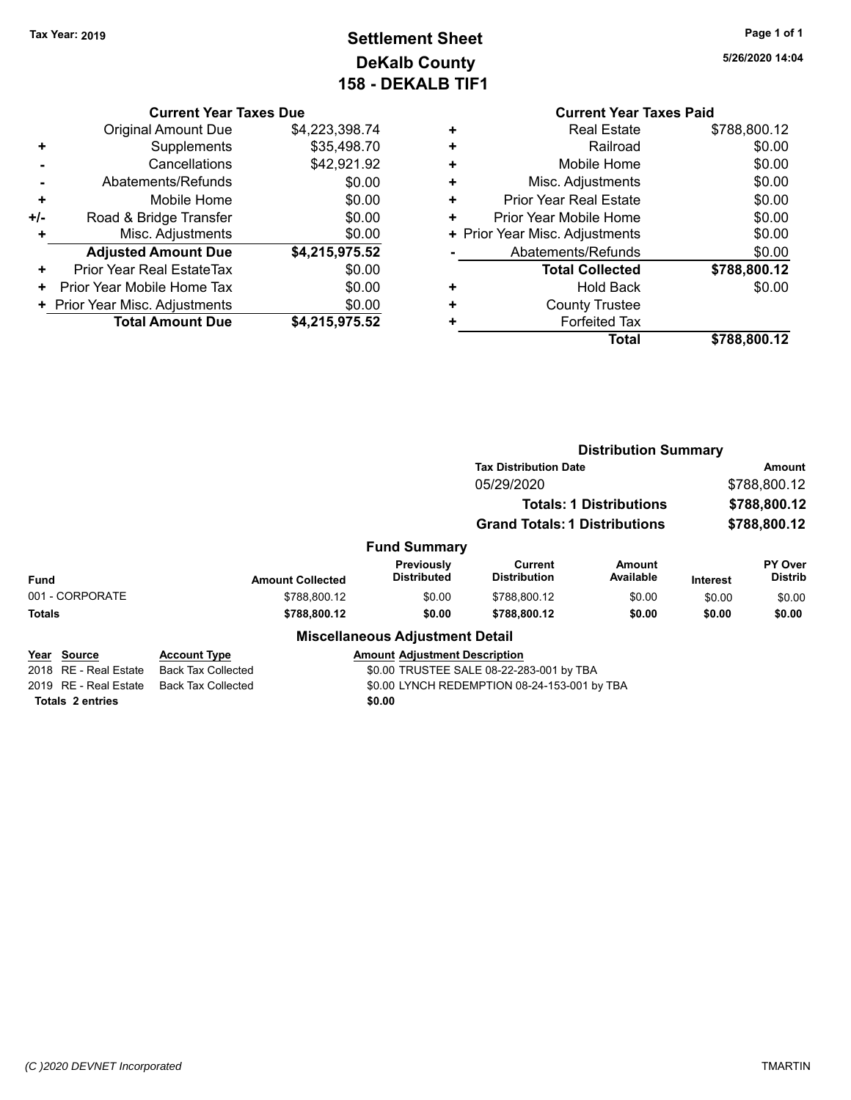# **Settlement Sheet Tax Year: 2019 Page 1 of 1 DeKalb County 158 - DEKALB TIF1**

**5/26/2020 14:04**

# **Current Year Taxes Due**

|       | <b>Original Amount Due</b>       | \$4,223,398.74 |
|-------|----------------------------------|----------------|
| ٠     | Supplements                      | \$35,498.70    |
|       | Cancellations                    | \$42,921.92    |
|       | Abatements/Refunds               | \$0.00         |
| ٠     | Mobile Home                      | \$0.00         |
| $+/-$ | Road & Bridge Transfer           | \$0.00         |
| ٠     | Misc. Adjustments                | \$0.00         |
|       | <b>Adjusted Amount Due</b>       | \$4,215,975.52 |
| ٠     | <b>Prior Year Real EstateTax</b> | \$0.00         |
| ٠     | Prior Year Mobile Home Tax       | \$0.00         |
|       | + Prior Year Misc. Adjustments   | \$0.00         |
|       | <b>Total Amount Due</b>          | \$4.215.975.52 |

|   | <b>Current Year Taxes Paid</b> |              |
|---|--------------------------------|--------------|
| ÷ | <b>Real Estate</b>             | \$788,800.12 |
| ٠ | Railroad                       | \$0.00       |
|   | Mobile Home                    | \$0.00       |
| ٠ | Misc. Adjustments              | \$0.00       |
|   | <b>Prior Year Real Estate</b>  | \$0.00       |
|   | Prior Year Mobile Home         | \$0.00       |
|   | + Prior Year Misc. Adjustments | \$0.00       |
|   | Abatements/Refunds             | \$0.00       |
|   | <b>Total Collected</b>         | \$788,800.12 |
|   | <b>Hold Back</b>               | \$0.00       |
|   | <b>County Trustee</b>          |              |
|   | <b>Forfeited Tax</b>           |              |
|   | Total                          | \$788,800.12 |
|   |                                |              |

|                                      |                                                  |                                         | <b>Distribution Summary</b>              |                                |          |                           |
|--------------------------------------|--------------------------------------------------|-----------------------------------------|------------------------------------------|--------------------------------|----------|---------------------------|
|                                      |                                                  |                                         | <b>Tax Distribution Date</b>             |                                |          | Amount                    |
|                                      |                                                  |                                         | 05/29/2020                               |                                |          | \$788,800.12              |
|                                      |                                                  |                                         |                                          | <b>Totals: 1 Distributions</b> |          | \$788,800.12              |
|                                      |                                                  |                                         | <b>Grand Totals: 1 Distributions</b>     |                                |          | \$788,800.12              |
|                                      |                                                  | <b>Fund Summary</b>                     |                                          |                                |          |                           |
| <b>Fund</b>                          | <b>Amount Collected</b>                          | <b>Previously</b><br><b>Distributed</b> | Current<br><b>Distribution</b>           | Amount<br>Available            | Interest | PY Over<br><b>Distrib</b> |
| 001 - CORPORATE                      | \$788,800.12                                     | \$0.00                                  | \$788,800.12                             | \$0.00                         | \$0.00   | \$0.00                    |
| <b>Totals</b>                        | \$788,800.12                                     | \$0.00                                  | \$788,800.12                             | \$0.00                         | \$0.00   | \$0.00                    |
|                                      |                                                  | <b>Miscellaneous Adjustment Detail</b>  |                                          |                                |          |                           |
| Year Source<br>2018 RE - Real Estate | <b>Account Type</b><br><b>Back Tax Collected</b> | <b>Amount Adjustment Description</b>    | \$0.00 TRUSTEE SALE 08-22-283-001 by TBA |                                |          |                           |

**Totals \$0.00 2 entries**

2019 RE - Real Estate Back Tax Collected \$0.00 LYNCH REDEMPTION 08-24-153-001 by TBA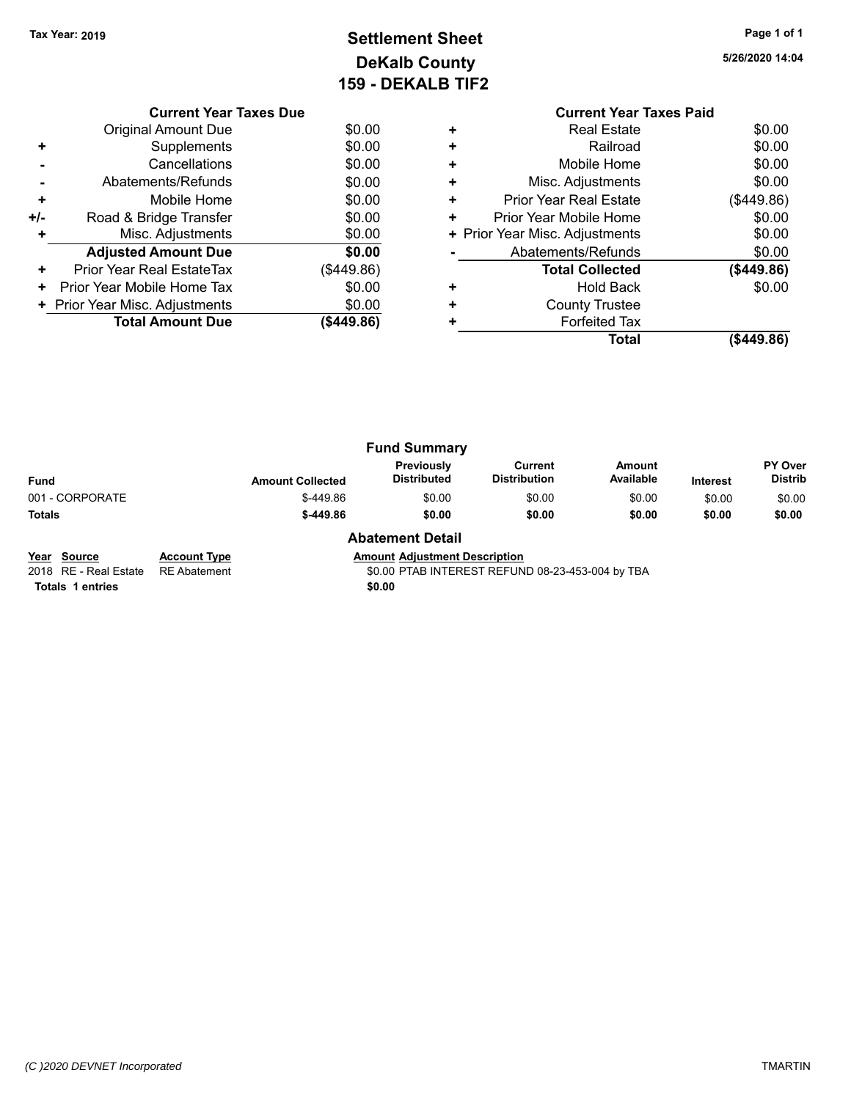# **Settlement Sheet Tax Year: 2019 Page 1 of 1 DeKalb County 159 - DEKALB TIF2**

**5/26/2020 14:04**

|     | <b>Current Year Taxes Due</b>  |            |
|-----|--------------------------------|------------|
|     | <b>Original Amount Due</b>     | \$0.00     |
|     | Supplements                    | \$0.00     |
|     | Cancellations                  | \$0.00     |
|     | Abatements/Refunds             | \$0.00     |
| ٠   | Mobile Home                    | \$0.00     |
| +/- | Road & Bridge Transfer         | \$0.00     |
| ÷   | Misc. Adjustments              | \$0.00     |
|     | <b>Adjusted Amount Due</b>     | \$0.00     |
| ٠   | Prior Year Real EstateTax      | (\$449.86) |
| ٠   | Prior Year Mobile Home Tax     | \$0.00     |
|     | + Prior Year Misc. Adjustments | \$0.00     |
|     | <b>Total Amount Due</b>        | (\$449.86) |
|     |                                |            |

| \$0.00<br>\$0.00<br>\$0.00<br>\$0.00<br>(\$449.86) |
|----------------------------------------------------|
|                                                    |
|                                                    |
|                                                    |
|                                                    |
|                                                    |
| \$0.00                                             |
| \$0.00                                             |
| \$0.00                                             |
| (\$449.86)                                         |
| \$0.00                                             |
|                                                    |
|                                                    |
| (\$449.86)                                         |
|                                                    |

|                 |                         | <b>Fund Summary</b>              |                                |                     |                 |                                  |
|-----------------|-------------------------|----------------------------------|--------------------------------|---------------------|-----------------|----------------------------------|
| Fund            | <b>Amount Collected</b> | Previously<br><b>Distributed</b> | Current<br><b>Distribution</b> | Amount<br>Available | <b>Interest</b> | <b>PY Over</b><br><b>Distrib</b> |
| 001 - CORPORATE | \$-449.86               | \$0.00                           | \$0.00                         | \$0.00              | \$0.00          | \$0.00                           |
| Totals          | $$-449.86$              | \$0.00                           | \$0.00                         | \$0.00              | \$0.00          | \$0.00                           |
|                 |                         | Alberta and a Dutch              |                                |                     |                 |                                  |

**Year Source Account Type Account Type Amount Adjustment Description**<br>2018 RE - Real Estate RE Abatement **Amount Adjustment Adjustment** REFUN **Totals 1 entries** \$0.00

#### **Abatement Detail**

\$0.00 PTAB INTEREST REFUND 08-23-453-004 by TBA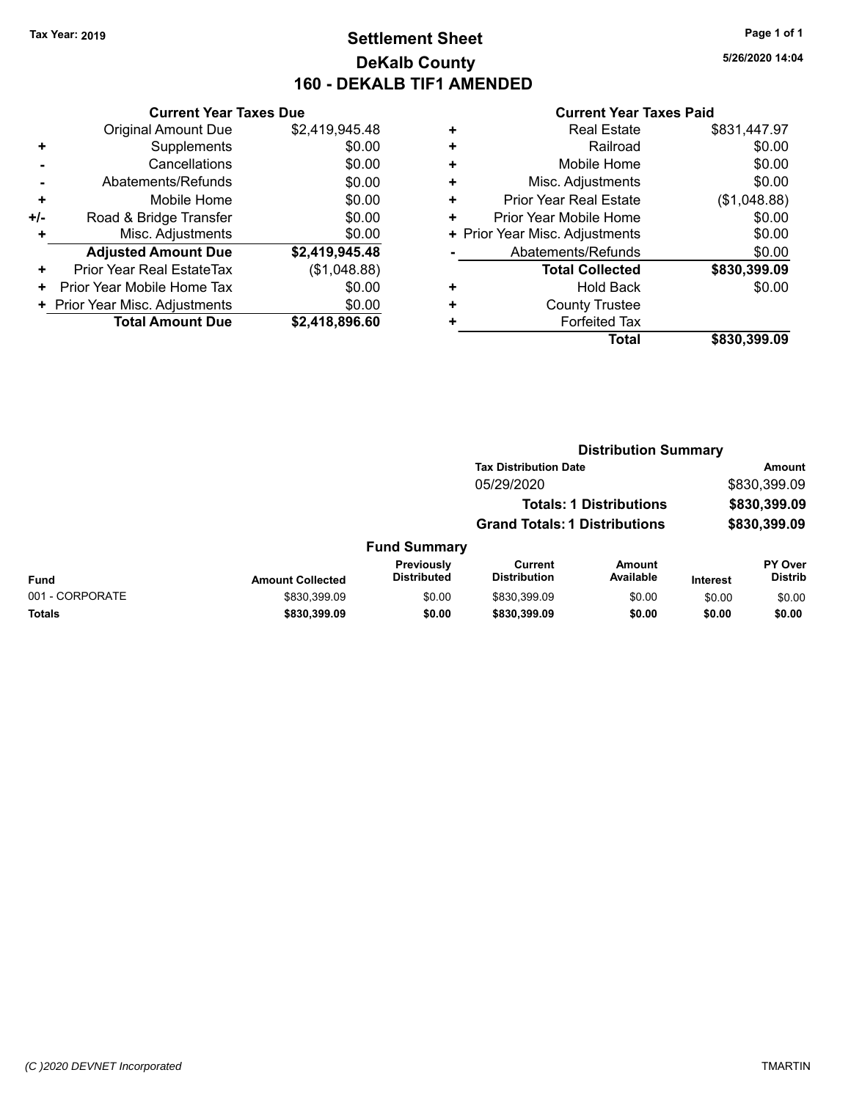# **Settlement Sheet Tax Year: 2019 Page 1 of 1 DeKalb County 160 - DEKALB TIF1 AMENDED**

**5/26/2020 14:04**

|     | <b>Current Year Taxes Due</b>  |                |
|-----|--------------------------------|----------------|
|     | <b>Original Amount Due</b>     | \$2,419,945.48 |
| ٠   | Supplements                    | \$0.00         |
|     | Cancellations                  | \$0.00         |
|     | Abatements/Refunds             | \$0.00         |
| ٠   | Mobile Home                    | \$0.00         |
| +/- | Road & Bridge Transfer         | \$0.00         |
| ٠   | Misc. Adjustments              | \$0.00         |
|     | <b>Adjusted Amount Due</b>     | \$2,419,945.48 |
| ÷   | Prior Year Real EstateTax      | (\$1,048.88)   |
| ٠   | Prior Year Mobile Home Tax     | \$0.00         |
|     | + Prior Year Misc. Adjustments | \$0.00         |
|     | <b>Total Amount Due</b>        | \$2,418,896.60 |
|     |                                |                |

| ٠ | <b>Real Estate</b>             | \$831,447.97 |
|---|--------------------------------|--------------|
| ÷ | Railroad                       | \$0.00       |
| ٠ | Mobile Home                    | \$0.00       |
| ٠ | Misc. Adjustments              | \$0.00       |
| ٠ | <b>Prior Year Real Estate</b>  | (\$1,048.88) |
| ٠ | Prior Year Mobile Home         | \$0.00       |
|   | + Prior Year Misc. Adjustments | \$0.00       |
|   | Abatements/Refunds             | \$0.00       |
|   | <b>Total Collected</b>         | \$830,399.09 |
| ٠ | <b>Hold Back</b>               | \$0.00       |
| ٠ | <b>County Trustee</b>          |              |
| ٠ | <b>Forfeited Tax</b>           |              |
|   | Total                          | \$830,399.09 |
|   |                                |              |

|                         | <b>Distribution Summary</b>      |                                      |                                |                 |                                  |
|-------------------------|----------------------------------|--------------------------------------|--------------------------------|-----------------|----------------------------------|
|                         |                                  | <b>Tax Distribution Date</b>         |                                |                 | Amount                           |
|                         |                                  | 05/29/2020                           |                                |                 | \$830,399.09                     |
|                         |                                  |                                      | <b>Totals: 1 Distributions</b> |                 | \$830,399.09                     |
|                         |                                  | <b>Grand Totals: 1 Distributions</b> |                                |                 | \$830,399.09                     |
|                         | <b>Fund Summary</b>              |                                      |                                |                 |                                  |
| <b>Amount Collected</b> | Previously<br><b>Distributed</b> | Current<br><b>Distribution</b>       | Amount<br>Available            | <b>Interest</b> | <b>PY Over</b><br><b>Distrib</b> |
| na ana acos             | CD, CD                           | na aan aan                           | 0000                           | nn nn           | ሶስ ሰሰ                            |

| <b>Fund</b>     | <b>Amount Collected</b> | PI BYIOUSIV<br>Distributed | uurent<br><b>Distribution</b> | AIIIvuill<br>Available | <b>Interest</b> | г томег<br>Distrib |
|-----------------|-------------------------|----------------------------|-------------------------------|------------------------|-----------------|--------------------|
| 001 - CORPORATE | \$830,399.09            | \$0.00                     | \$830.399.09                  | \$0.00                 | \$0.00          | \$0.00             |
| <b>Totals</b>   | \$830,399.09            | \$0.00                     | \$830,399.09                  | \$0.00                 | \$0.00          | \$0.00             |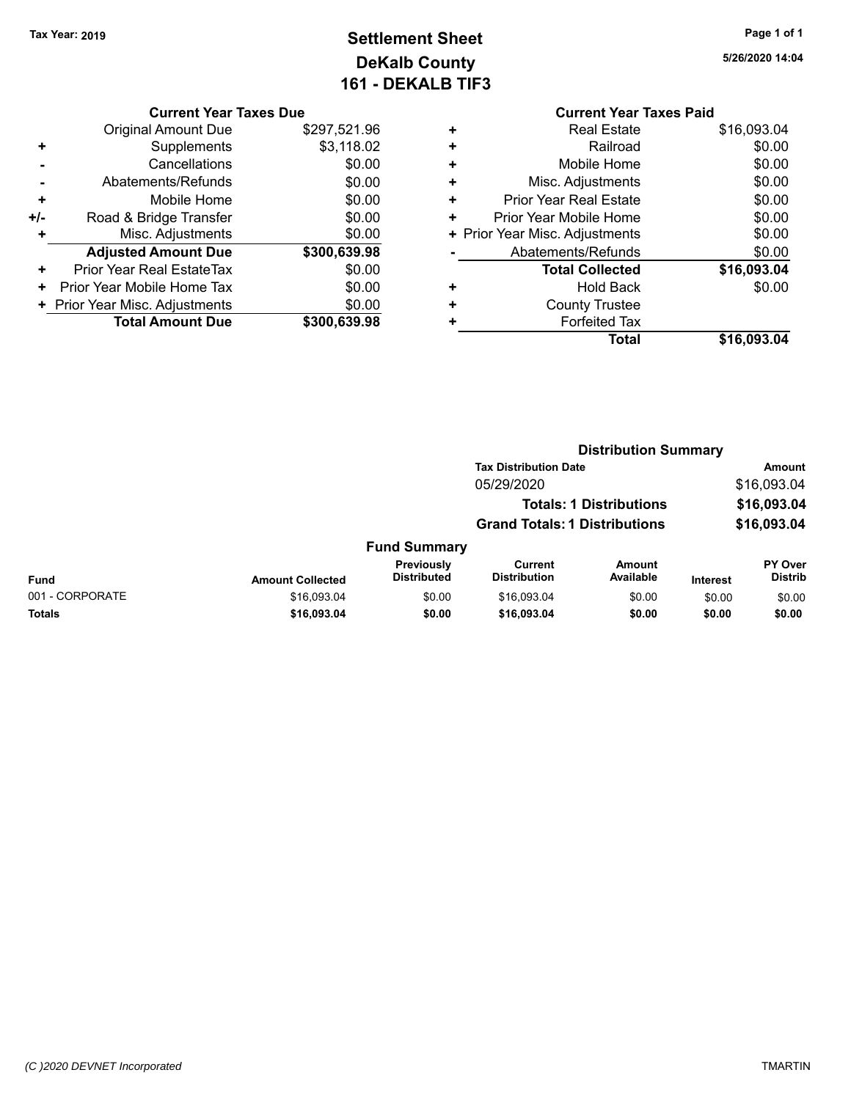# **Settlement Sheet Tax Year: 2019 Page 1 of 1 DeKalb County 161 - DEKALB TIF3**

|  |  | <b>Current Year Taxes Due</b> |  |
|--|--|-------------------------------|--|
|  |  |                               |  |

|       | <b>Original Amount Due</b>     | \$297,521.96 |
|-------|--------------------------------|--------------|
|       | Supplements                    | \$3,118.02   |
|       | Cancellations                  | \$0.00       |
|       | Abatements/Refunds             | \$0.00       |
| ٠     | Mobile Home                    | \$0.00       |
| $+/-$ | Road & Bridge Transfer         | \$0.00       |
| ٠     | Misc. Adjustments              | \$0.00       |
|       | <b>Adjusted Amount Due</b>     | \$300,639.98 |
| ÷     | Prior Year Real EstateTax      | \$0.00       |
|       | Prior Year Mobile Home Tax     | \$0.00       |
|       | + Prior Year Misc. Adjustments | \$0.00       |
|       | <b>Total Amount Due</b>        | \$300,639,98 |

|   | <b>Current Year Taxes Paid</b> |             |
|---|--------------------------------|-------------|
| ٠ | <b>Real Estate</b>             | \$16,093.04 |
| ٠ | Railroad                       | \$0.00      |
| ٠ | Mobile Home                    | \$0.00      |
| ٠ | Misc. Adjustments              | \$0.00      |
| ٠ | <b>Prior Year Real Estate</b>  | \$0.00      |
| ٠ | Prior Year Mobile Home         | \$0.00      |
|   | + Prior Year Misc. Adjustments | \$0.00      |
|   | Abatements/Refunds             | \$0.00      |
|   | <b>Total Collected</b>         | \$16,093.04 |
| ٠ | <b>Hold Back</b>               | \$0.00      |
|   | <b>County Trustee</b>          |             |
|   | <b>Forfeited Tax</b>           |             |
|   | <b>Total</b>                   | \$16,093.04 |
|   |                                |             |

|                 |                         | <b>Distribution Summary</b>      |                                      |                                |                 |                           |
|-----------------|-------------------------|----------------------------------|--------------------------------------|--------------------------------|-----------------|---------------------------|
|                 |                         |                                  | <b>Tax Distribution Date</b>         |                                |                 | Amount                    |
|                 |                         |                                  | 05/29/2020                           |                                |                 | \$16,093.04               |
|                 |                         |                                  |                                      | <b>Totals: 1 Distributions</b> |                 | \$16,093.04               |
|                 |                         |                                  | <b>Grand Totals: 1 Distributions</b> |                                |                 | \$16,093.04               |
|                 |                         | <b>Fund Summary</b>              |                                      |                                |                 |                           |
| <b>Fund</b>     | <b>Amount Collected</b> | Previously<br><b>Distributed</b> | Current<br><b>Distribution</b>       | Amount<br>Available            | <b>Interest</b> | PY Over<br><b>Distrib</b> |
| 001 - CORPORATE | \$16,093.04             | \$0.00                           | \$16,093.04                          | \$0.00                         | \$0.00          | \$0.00                    |
| Totals          | \$16,093.04             | \$0.00                           | \$16,093.04                          | \$0.00                         | \$0.00          | \$0.00                    |
|                 |                         |                                  |                                      |                                |                 |                           |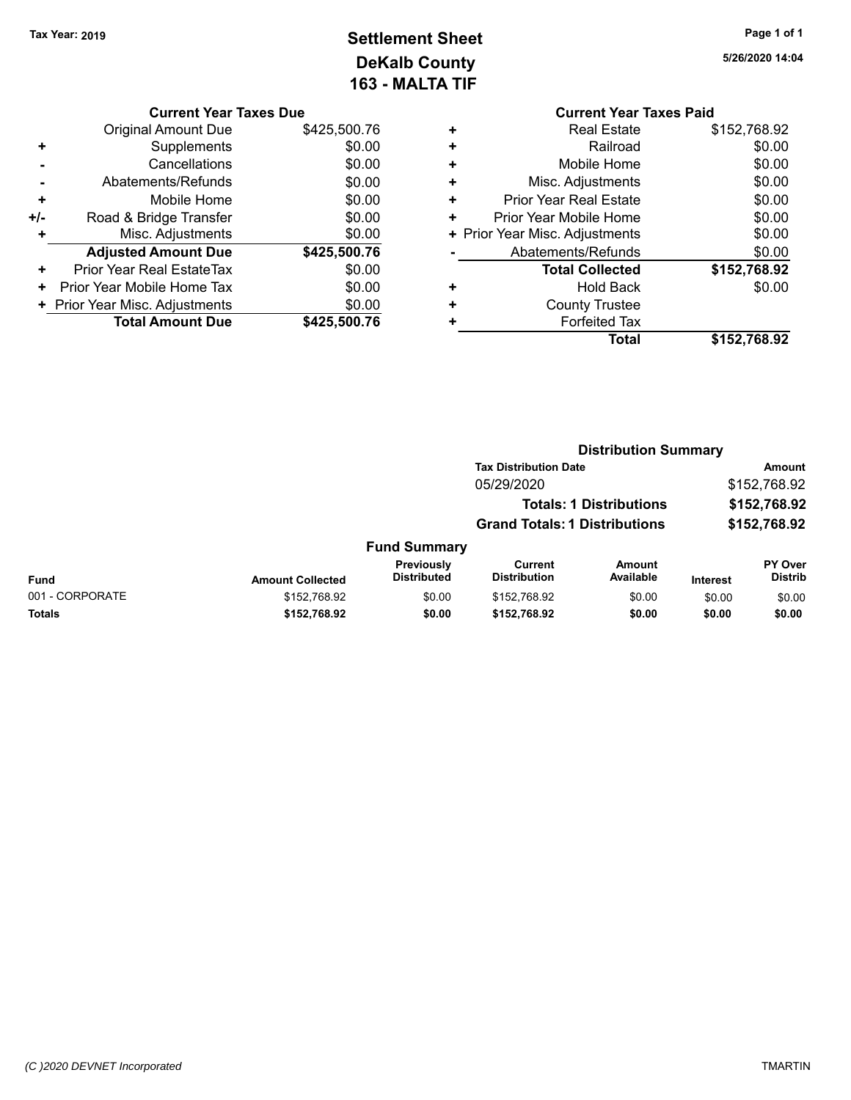# **Settlement Sheet Tax Year: 2019 Page 1 of 1 DeKalb County 163 - MALTA TIF**

| Current Year Taxes Due |  |  |
|------------------------|--|--|

|     | <b>Original Amount Due</b>     | \$425,500.76 |
|-----|--------------------------------|--------------|
| ٠   | Supplements                    | \$0.00       |
|     | Cancellations                  | \$0.00       |
|     | Abatements/Refunds             | \$0.00       |
| ٠   | Mobile Home                    | \$0.00       |
| +/- | Road & Bridge Transfer         | \$0.00       |
| ٠   | Misc. Adjustments              | \$0.00       |
|     | <b>Adjusted Amount Due</b>     | \$425,500.76 |
| ٠   | Prior Year Real EstateTax      | \$0.00       |
| ٠   | Prior Year Mobile Home Tax     | \$0.00       |
|     | + Prior Year Misc. Adjustments | \$0.00       |
|     | <b>Total Amount Due</b>        | \$425,500.76 |

|   | <b>Current Year Taxes Paid</b> |              |  |  |  |  |
|---|--------------------------------|--------------|--|--|--|--|
| ٠ | <b>Real Estate</b>             | \$152,768.92 |  |  |  |  |
| ٠ | Railroad                       | \$0.00       |  |  |  |  |
| ٠ | Mobile Home                    | \$0.00       |  |  |  |  |
| ٠ | Misc. Adjustments              | \$0.00       |  |  |  |  |
| ٠ | <b>Prior Year Real Estate</b>  | \$0.00       |  |  |  |  |
| ٠ | Prior Year Mobile Home         | \$0.00       |  |  |  |  |
|   | + Prior Year Misc. Adjustments | \$0.00       |  |  |  |  |
|   | Abatements/Refunds             | \$0.00       |  |  |  |  |
|   | <b>Total Collected</b>         | \$152,768.92 |  |  |  |  |
|   | Hold Back                      | \$0.00       |  |  |  |  |
| ٠ | <b>County Trustee</b>          |              |  |  |  |  |
|   | <b>Forfeited Tax</b>           |              |  |  |  |  |
|   | Total                          | \$152,768.92 |  |  |  |  |
|   |                                |              |  |  |  |  |

|                         |                                  |                                       |                     |                                                                                                        | <b>Amount</b>               |
|-------------------------|----------------------------------|---------------------------------------|---------------------|--------------------------------------------------------------------------------------------------------|-----------------------------|
|                         |                                  | 05/29/2020                            |                     |                                                                                                        | \$152,768.92                |
|                         |                                  |                                       |                     |                                                                                                        | \$152,768.92                |
|                         |                                  |                                       |                     |                                                                                                        | \$152,768.92                |
|                         |                                  |                                       |                     |                                                                                                        |                             |
| <b>Amount Collected</b> | Previously<br><b>Distributed</b> | <b>Current</b><br><b>Distribution</b> | Amount<br>Available | <b>Interest</b>                                                                                        | PY Over<br><b>Distrib</b>   |
| \$152,768.92            | \$0.00                           | \$152,768.92                          | \$0.00              | \$0.00                                                                                                 | \$0.00                      |
| \$152,768.92            | \$0.00                           | \$152,768.92                          | \$0.00              | \$0.00                                                                                                 | \$0.00                      |
|                         |                                  |                                       | <b>Fund Summary</b> | <b>Tax Distribution Date</b><br><b>Totals: 1 Distributions</b><br><b>Grand Totals: 1 Distributions</b> | <b>Distribution Summary</b> |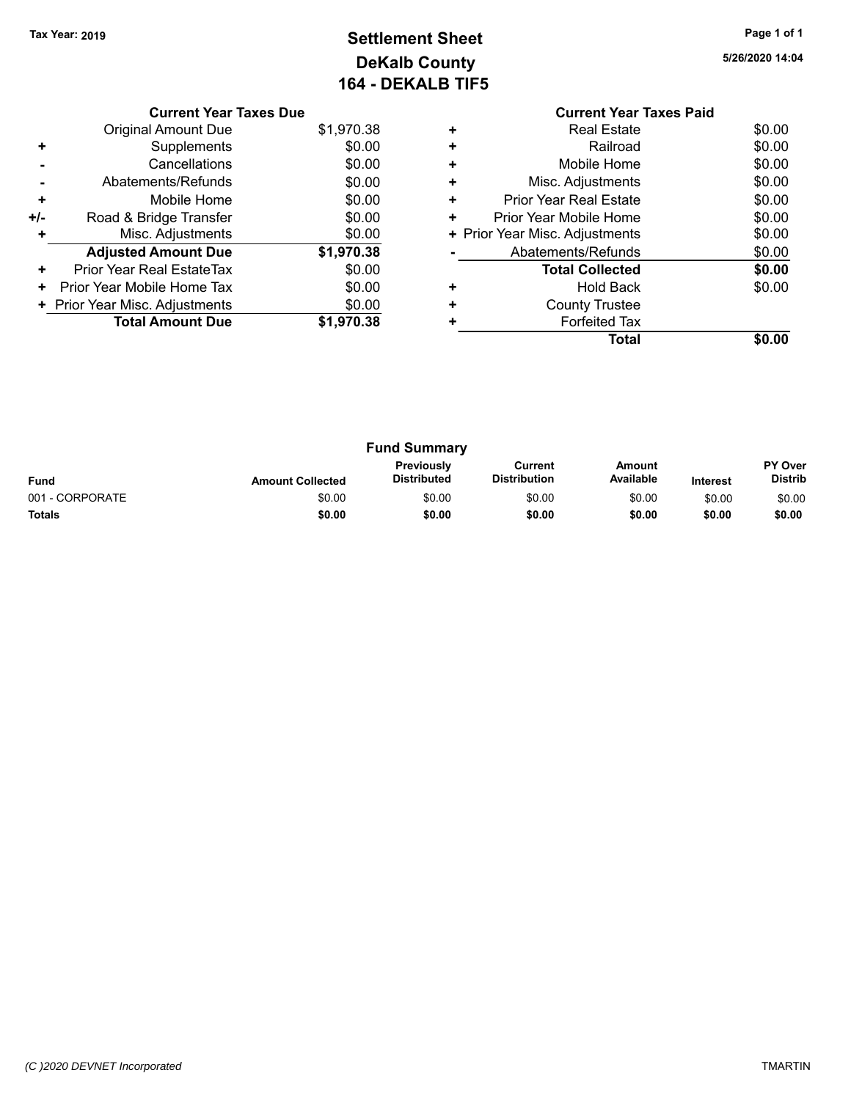# **Settlement Sheet Tax Year: 2019 Page 1 of 1 DeKalb County 164 - DEKALB TIF5**

|     | <b>Current Year Taxes Due</b>  |            |  |  |  |  |
|-----|--------------------------------|------------|--|--|--|--|
|     | <b>Original Amount Due</b>     | \$1,970.38 |  |  |  |  |
|     | Supplements                    | \$0.00     |  |  |  |  |
|     | Cancellations                  | \$0.00     |  |  |  |  |
|     | Abatements/Refunds             | \$0.00     |  |  |  |  |
| ÷   | Mobile Home                    | \$0.00     |  |  |  |  |
| +/- | Road & Bridge Transfer         | \$0.00     |  |  |  |  |
|     | Misc. Adjustments              | \$0.00     |  |  |  |  |
|     | <b>Adjusted Amount Due</b>     | \$1,970.38 |  |  |  |  |
| ٠   | Prior Year Real EstateTax      | \$0.00     |  |  |  |  |
| ٠   | Prior Year Mobile Home Tax     | \$0.00     |  |  |  |  |
|     | + Prior Year Misc. Adjustments | \$0.00     |  |  |  |  |
|     | <b>Total Amount Due</b>        | \$1,970.38 |  |  |  |  |
|     |                                |            |  |  |  |  |

|   | <b>Current Year Taxes Paid</b> |        |
|---|--------------------------------|--------|
| ٠ | <b>Real Estate</b>             | \$0.00 |
| ٠ | Railroad                       | \$0.00 |
| ٠ | Mobile Home                    | \$0.00 |
| ٠ | Misc. Adjustments              | \$0.00 |
| ٠ | Prior Year Real Estate         | \$0.00 |
| ٠ | Prior Year Mobile Home         | \$0.00 |
|   | + Prior Year Misc. Adjustments | \$0.00 |
|   | Abatements/Refunds             | \$0.00 |
|   | <b>Total Collected</b>         | \$0.00 |
| ٠ | <b>Hold Back</b>               | \$0.00 |
| ٠ | <b>County Trustee</b>          |        |
|   | <b>Forfeited Tax</b>           |        |
|   | Total                          | \$0.00 |
|   |                                |        |

| <b>Fund Summary</b> |                         |                                  |                                |                     |                 |                                  |
|---------------------|-------------------------|----------------------------------|--------------------------------|---------------------|-----------------|----------------------------------|
| <b>Fund</b>         | <b>Amount Collected</b> | <b>Previously</b><br>Distributed | Current<br><b>Distribution</b> | Amount<br>Available | <b>Interest</b> | <b>PY Over</b><br><b>Distrib</b> |
| 001 - CORPORATE     | \$0.00                  | \$0.00                           | \$0.00                         | \$0.00              | \$0.00          | \$0.00                           |
| <b>Totals</b>       | \$0.00                  | \$0.00                           | \$0.00                         | \$0.00              | \$0.00          | \$0.00                           |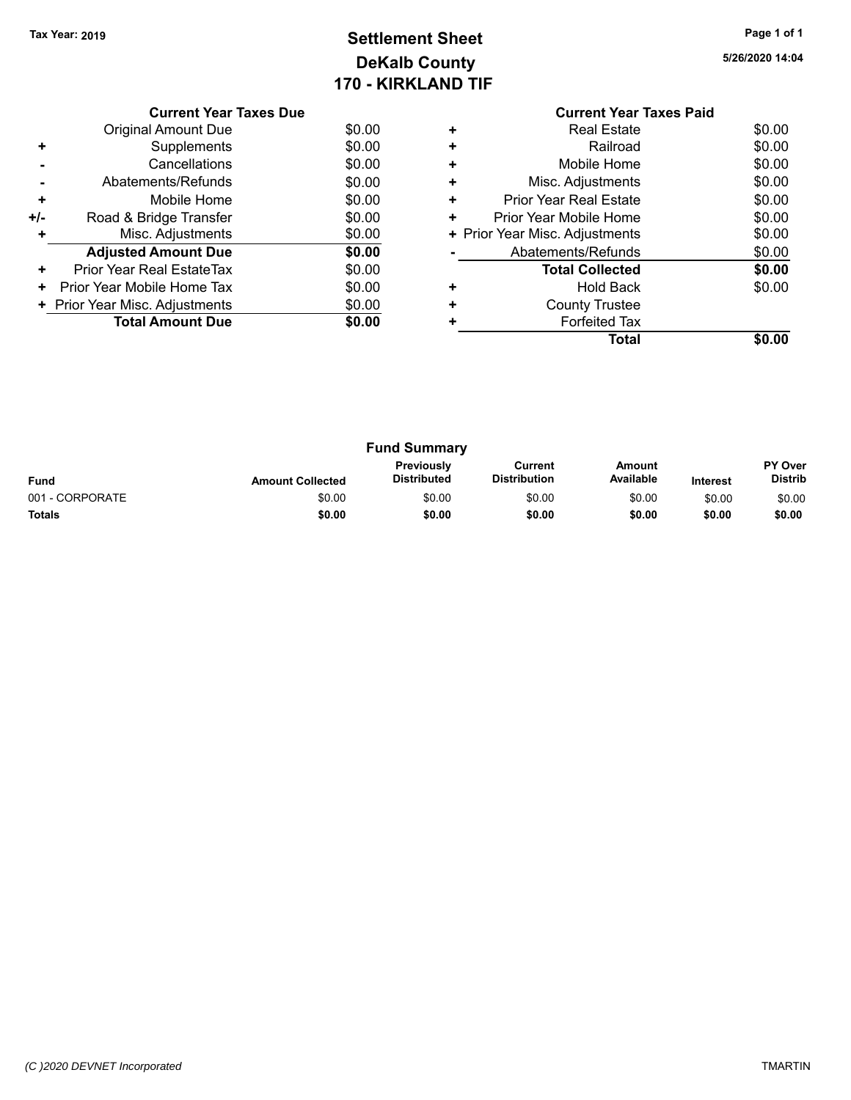### **Settlement Sheet Tax Year: 2019 Page 1 of 1 DeKalb County 170 - KIRKLAND TIF**

**5/26/2020 14:04**

|     | <b>Current Year Taxes Due</b>  |        |  |  |  |  |  |
|-----|--------------------------------|--------|--|--|--|--|--|
|     | <b>Original Amount Due</b>     | \$0.00 |  |  |  |  |  |
| ٠   | Supplements                    | \$0.00 |  |  |  |  |  |
|     | Cancellations                  | \$0.00 |  |  |  |  |  |
|     | Abatements/Refunds             | \$0.00 |  |  |  |  |  |
| ٠   | Mobile Home                    | \$0.00 |  |  |  |  |  |
| +/- | Road & Bridge Transfer         | \$0.00 |  |  |  |  |  |
| ٠   | Misc. Adjustments              | \$0.00 |  |  |  |  |  |
|     | <b>Adjusted Amount Due</b>     | \$0.00 |  |  |  |  |  |
| ٠   | Prior Year Real EstateTax      | \$0.00 |  |  |  |  |  |
| ٠   | Prior Year Mobile Home Tax     | \$0.00 |  |  |  |  |  |
|     | + Prior Year Misc. Adjustments | \$0.00 |  |  |  |  |  |
|     | <b>Total Amount Due</b>        | \$0.00 |  |  |  |  |  |
|     |                                |        |  |  |  |  |  |

#### **Current Year Taxes Paid +** Real Estate \$0.00 **+** Railroad \$0.00 **+** Mobile Home \$0.00 **+** Misc. Adjustments \$0.00 **+** Prior Year Real Estate \$0.00 **+** Prior Year Mobile Home \$0.00<br> **+** Prior Year Misc. Adjustments \$0.00 **+ Prior Year Misc. Adjustments -** Abatements/Refunds \$0.00 **Total Collected \$0.00 +** Hold Back \$0.00 **+** County Trustee **+** Forfeited Tax **Total \$0.00**

| <b>Fund Summary</b> |                         |                                         |                                |                     |                 |                           |
|---------------------|-------------------------|-----------------------------------------|--------------------------------|---------------------|-----------------|---------------------------|
| <b>Fund</b>         | <b>Amount Collected</b> | <b>Previously</b><br><b>Distributed</b> | Current<br><b>Distribution</b> | Amount<br>Available | <b>Interest</b> | PY Over<br><b>Distrib</b> |
| 001 - CORPORATE     | \$0.00                  | \$0.00                                  | \$0.00                         | \$0.00              | \$0.00          | \$0.00                    |
| <b>Totals</b>       | \$0.00                  | \$0.00                                  | \$0.00                         | \$0.00              | \$0.00          | \$0.00                    |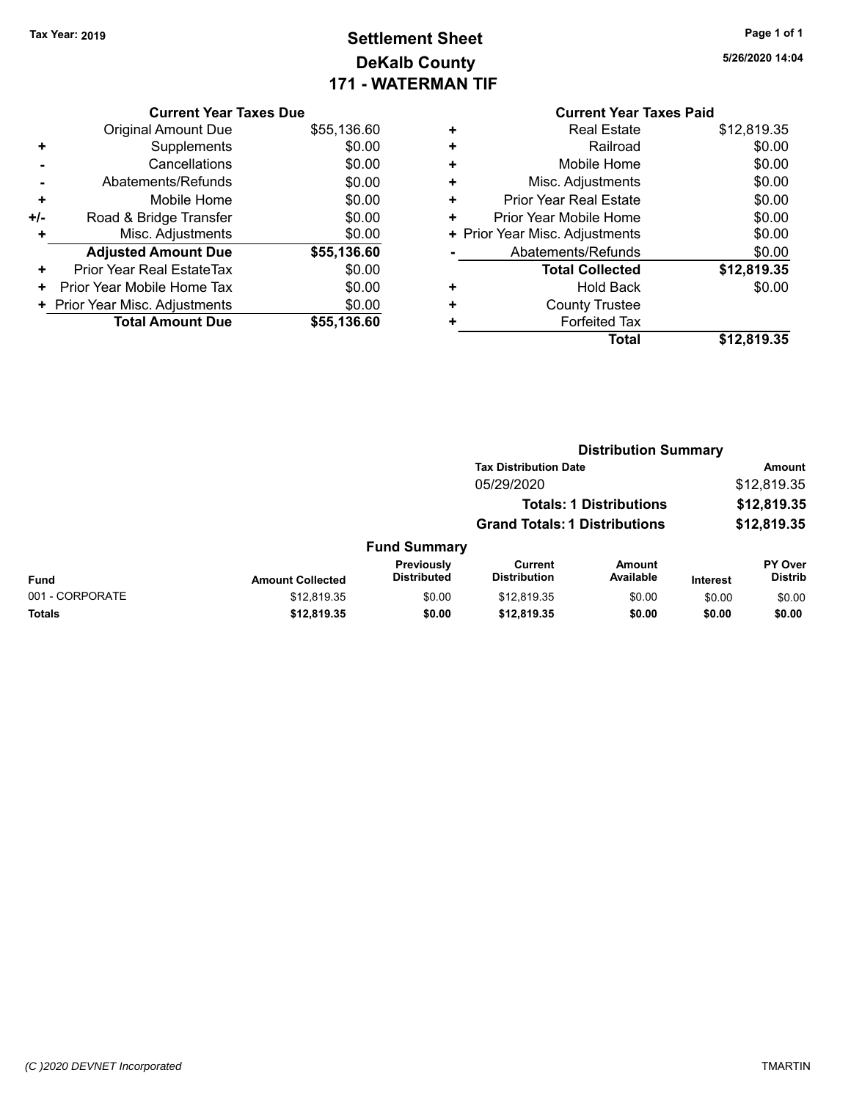### **Settlement Sheet Tax Year: 2019 Page 1 of 1 DeKalb County 171 - WATERMAN TIF**

**5/26/2020 14:04**

|     | <b>Current Year Taxes Due</b>  |             |   |
|-----|--------------------------------|-------------|---|
|     | Original Amount Due            | \$55,136.60 | ٠ |
|     | Supplements                    | \$0.00      |   |
|     | Cancellations                  | \$0.00      |   |
|     | Abatements/Refunds             | \$0.00      |   |
|     | Mobile Home                    | \$0.00      |   |
| +/- | Road & Bridge Transfer         | \$0.00      |   |
|     | Misc. Adjustments              | \$0.00      |   |
|     | <b>Adjusted Amount Due</b>     | \$55,136.60 |   |
| ٠   | Prior Year Real EstateTax      | \$0.00      |   |
| ٠   | Prior Year Mobile Home Tax     | \$0.00      |   |
|     | + Prior Year Misc. Adjustments | \$0.00      |   |
|     | <b>Total Amount Due</b>        | \$55,136.60 |   |
|     |                                |             |   |

|   | <b>Current Year Taxes Paid</b> |             |
|---|--------------------------------|-------------|
| ٠ | <b>Real Estate</b>             | \$12,819.35 |
| ÷ | Railroad                       | \$0.00      |
| ٠ | Mobile Home                    | \$0.00      |
| ٠ | Misc. Adjustments              | \$0.00      |
| ٠ | Prior Year Real Estate         | \$0.00      |
| ٠ | Prior Year Mobile Home         | \$0.00      |
| ٠ | Prior Year Misc. Adjustments   | \$0.00      |
|   | Abatements/Refunds             | \$0.00      |
|   | <b>Total Collected</b>         | \$12,819.35 |
| ٠ | Hold Back                      | \$0.00      |
| ÷ | <b>County Trustee</b>          |             |
|   | <b>Forfeited Tax</b>           |             |
|   | Total                          | \$12,819.35 |

|                 | <b>Distribution Summary</b> |                                  |                                       |                                |                 |                           |
|-----------------|-----------------------------|----------------------------------|---------------------------------------|--------------------------------|-----------------|---------------------------|
|                 |                             |                                  | <b>Tax Distribution Date</b>          |                                |                 | Amount                    |
|                 |                             |                                  | 05/29/2020                            |                                |                 | \$12,819.35               |
|                 |                             |                                  |                                       | <b>Totals: 1 Distributions</b> |                 | \$12,819.35               |
|                 |                             |                                  | <b>Grand Totals: 1 Distributions</b>  |                                |                 | \$12,819.35               |
|                 |                             | <b>Fund Summary</b>              |                                       |                                |                 |                           |
| <b>Fund</b>     | <b>Amount Collected</b>     | Previously<br><b>Distributed</b> | <b>Current</b><br><b>Distribution</b> | <b>Amount</b><br>Available     | <b>Interest</b> | PY Over<br><b>Distrib</b> |
| 001 - CORPORATE | \$12,819.35                 | \$0.00                           | \$12,819.35                           | \$0.00                         | \$0.00          | \$0.00                    |
| Totals          | \$12,819.35                 | \$0.00                           | \$12,819.35                           | \$0.00                         | \$0.00          | \$0.00                    |
|                 |                             |                                  |                                       |                                |                 |                           |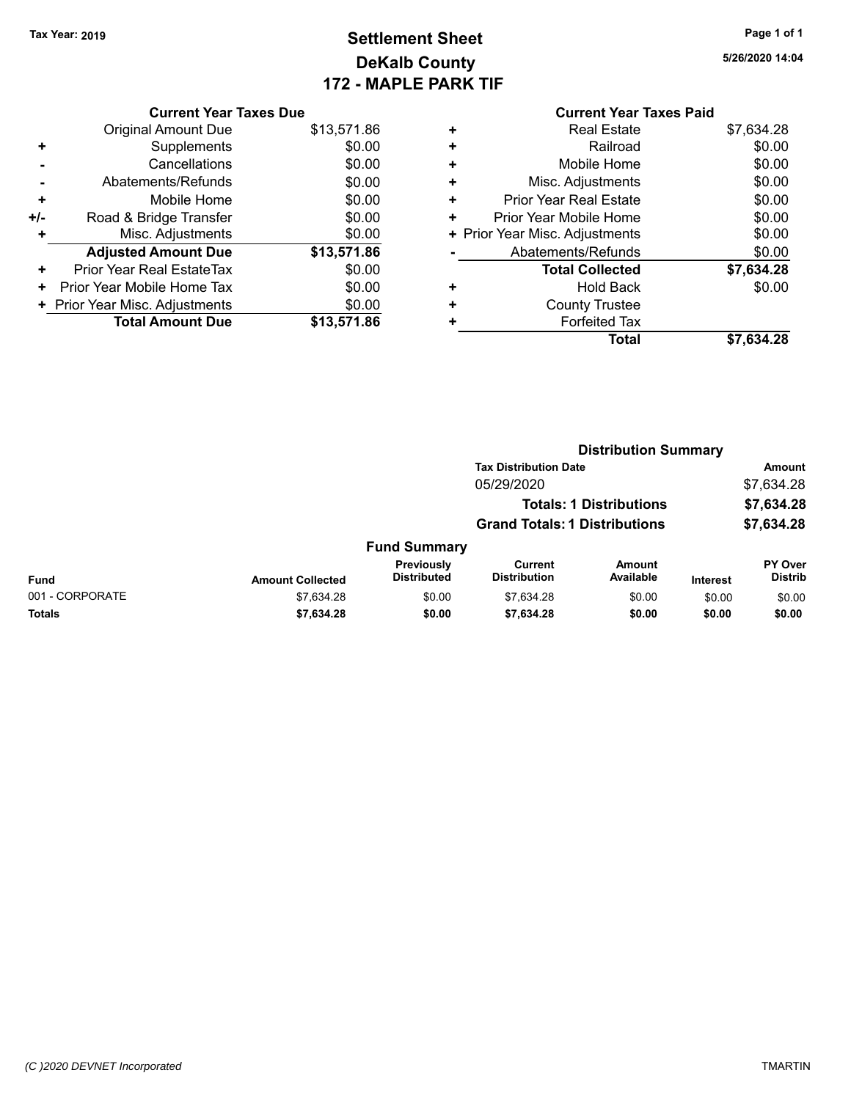### **Settlement Sheet Tax Year: 2019 Page 1 of 1 DeKalb County 172 - MAPLE PARK TIF**

**5/26/2020 14:04**

|     | <b>Current Year Taxes Due</b> |             |  |  |  |  |  |
|-----|-------------------------------|-------------|--|--|--|--|--|
|     | <b>Original Amount Due</b>    | \$13,571.86 |  |  |  |  |  |
| ٠   | Supplements                   | \$0.00      |  |  |  |  |  |
|     | Cancellations                 | \$0.00      |  |  |  |  |  |
|     | Abatements/Refunds            | \$0.00      |  |  |  |  |  |
| ٠   | Mobile Home                   | \$0.00      |  |  |  |  |  |
| +/- | Road & Bridge Transfer        | \$0.00      |  |  |  |  |  |
| ٠   | Misc. Adjustments             | \$0.00      |  |  |  |  |  |
|     | <b>Adjusted Amount Due</b>    | \$13,571.86 |  |  |  |  |  |
| ٠   | Prior Year Real EstateTax     | \$0.00      |  |  |  |  |  |
| ٠   | Prior Year Mobile Home Tax    | \$0.00      |  |  |  |  |  |
|     | Prior Year Misc. Adjustments  | \$0.00      |  |  |  |  |  |
|     | <b>Total Amount Due</b>       | \$13,571.86 |  |  |  |  |  |

|   | <b>Real Estate</b>             | \$7,634.28 |
|---|--------------------------------|------------|
| ٠ | Railroad                       | \$0.00     |
| ٠ | Mobile Home                    | \$0.00     |
| ÷ | Misc. Adjustments              | \$0.00     |
| ٠ | <b>Prior Year Real Estate</b>  | \$0.00     |
| ٠ | Prior Year Mobile Home         | \$0.00     |
|   | + Prior Year Misc. Adjustments | \$0.00     |
|   | Abatements/Refunds             | \$0.00     |
|   | <b>Total Collected</b>         | \$7,634.28 |
| ٠ | <b>Hold Back</b>               | \$0.00     |
| ÷ | <b>County Trustee</b>          |            |
| ٠ | <b>Forfeited Tax</b>           |            |
|   | Total                          | \$7,634,28 |
|   |                                |            |

|                 |                         |                                  | <b>Distribution Summary</b>           |                                |                 |                           |  |
|-----------------|-------------------------|----------------------------------|---------------------------------------|--------------------------------|-----------------|---------------------------|--|
|                 |                         |                                  | <b>Tax Distribution Date</b>          |                                |                 | <b>Amount</b>             |  |
|                 |                         |                                  | 05/29/2020                            |                                |                 | \$7,634.28                |  |
|                 |                         |                                  |                                       | <b>Totals: 1 Distributions</b> |                 | \$7,634.28                |  |
|                 |                         |                                  | <b>Grand Totals: 1 Distributions</b>  |                                |                 | \$7,634.28                |  |
|                 |                         | <b>Fund Summary</b>              |                                       |                                |                 |                           |  |
| <b>Fund</b>     | <b>Amount Collected</b> | Previously<br><b>Distributed</b> | <b>Current</b><br><b>Distribution</b> | <b>Amount</b><br>Available     | <b>Interest</b> | PY Over<br><b>Distrib</b> |  |
| 001 - CORPORATE | \$7,634.28              | \$0.00                           | \$7.634.28                            | \$0.00                         | \$0.00          | \$0.00                    |  |
| Totals          | \$7,634.28              | \$0.00                           | \$7,634.28                            | \$0.00                         | \$0.00          | \$0.00                    |  |
|                 |                         |                                  |                                       |                                |                 |                           |  |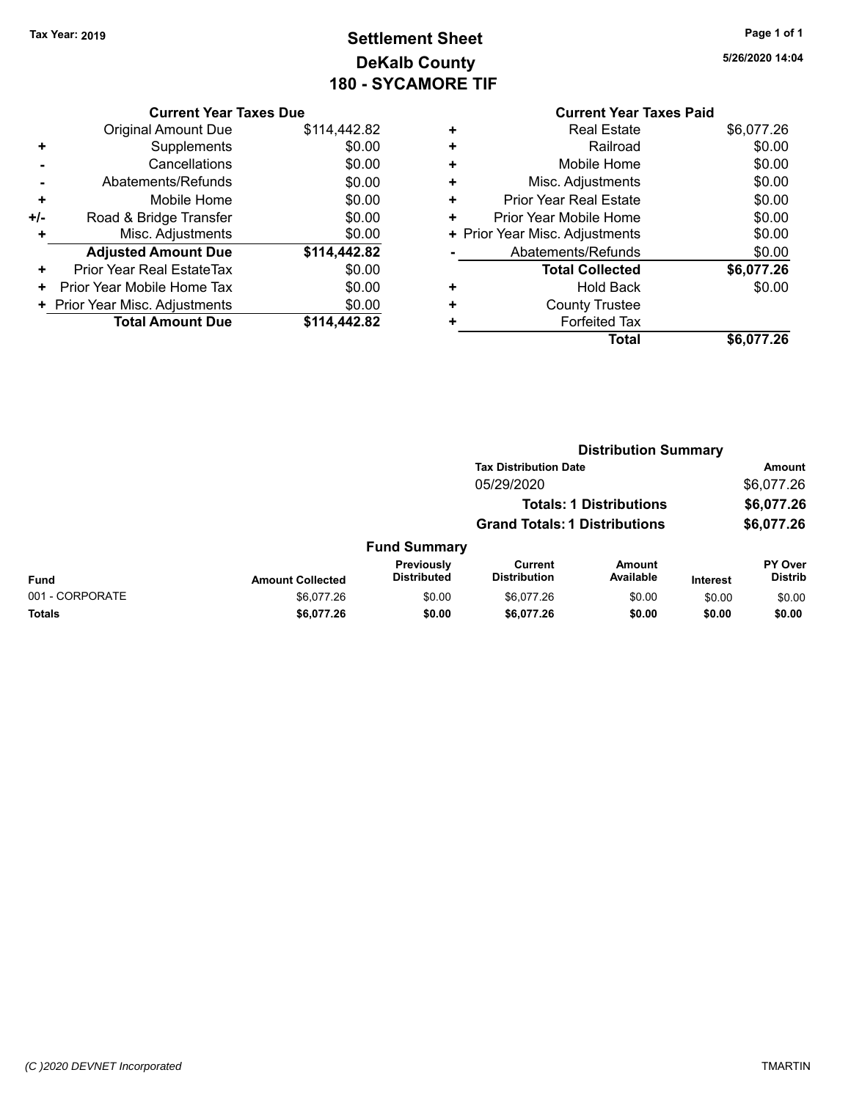### **Settlement Sheet Tax Year: 2019 Page 1 of 1 DeKalb County 180 - SYCAMORE TIF**

**5/26/2020 14:04**

| <b>Current Year Taxes Due</b> |
|-------------------------------|
|-------------------------------|

|       | <b>Original Amount Due</b>     | \$114,442.82 |
|-------|--------------------------------|--------------|
| ٠     | Supplements                    | \$0.00       |
|       | Cancellations                  | \$0.00       |
|       | Abatements/Refunds             | \$0.00       |
| ٠     | Mobile Home                    | \$0.00       |
| $+/-$ | Road & Bridge Transfer         | \$0.00       |
| ٠     | Misc. Adjustments              | \$0.00       |
|       | <b>Adjusted Amount Due</b>     | \$114,442.82 |
| ÷     | Prior Year Real EstateTax      | \$0.00       |
| ٠     | Prior Year Mobile Home Tax     | \$0.00       |
|       | + Prior Year Misc. Adjustments | \$0.00       |
|       | <b>Total Amount Due</b>        | \$114.442.82 |

|   | <b>Real Estate</b>             | \$6,077.26 |
|---|--------------------------------|------------|
| ٠ | Railroad                       | \$0.00     |
| ٠ | Mobile Home                    | \$0.00     |
| ٠ | Misc. Adjustments              | \$0.00     |
| ٠ | <b>Prior Year Real Estate</b>  | \$0.00     |
| ٠ | Prior Year Mobile Home         | \$0.00     |
|   | + Prior Year Misc. Adjustments | \$0.00     |
|   | Abatements/Refunds             | \$0.00     |
|   | <b>Total Collected</b>         | \$6,077.26 |
|   | <b>Hold Back</b>               | \$0.00     |
|   | <b>County Trustee</b>          |            |
|   | <b>Forfeited Tax</b>           |            |
|   | Total                          | \$6,077.26 |
|   |                                |            |

|                 | <b>Distribution Summary</b> |                                  |                                       |                                |                 |                           |
|-----------------|-----------------------------|----------------------------------|---------------------------------------|--------------------------------|-----------------|---------------------------|
|                 |                             |                                  | <b>Tax Distribution Date</b>          |                                |                 | Amount                    |
|                 |                             |                                  | 05/29/2020                            |                                |                 | \$6,077.26                |
|                 |                             |                                  |                                       | <b>Totals: 1 Distributions</b> |                 | \$6,077.26                |
|                 |                             |                                  | <b>Grand Totals: 1 Distributions</b>  |                                |                 | \$6,077.26                |
|                 |                             | <b>Fund Summary</b>              |                                       |                                |                 |                           |
| <b>Fund</b>     | <b>Amount Collected</b>     | Previously<br><b>Distributed</b> | <b>Current</b><br><b>Distribution</b> | Amount<br>Available            | <b>Interest</b> | PY Over<br><b>Distrib</b> |
| 001 - CORPORATE | \$6.077.26                  | \$0.00                           | \$6.077.26                            | \$0.00                         | \$0.00          | \$0.00                    |
| Totals          | \$6,077.26                  | \$0.00                           | \$6,077.26                            | \$0.00                         | \$0.00          | \$0.00                    |
|                 |                             |                                  |                                       |                                |                 |                           |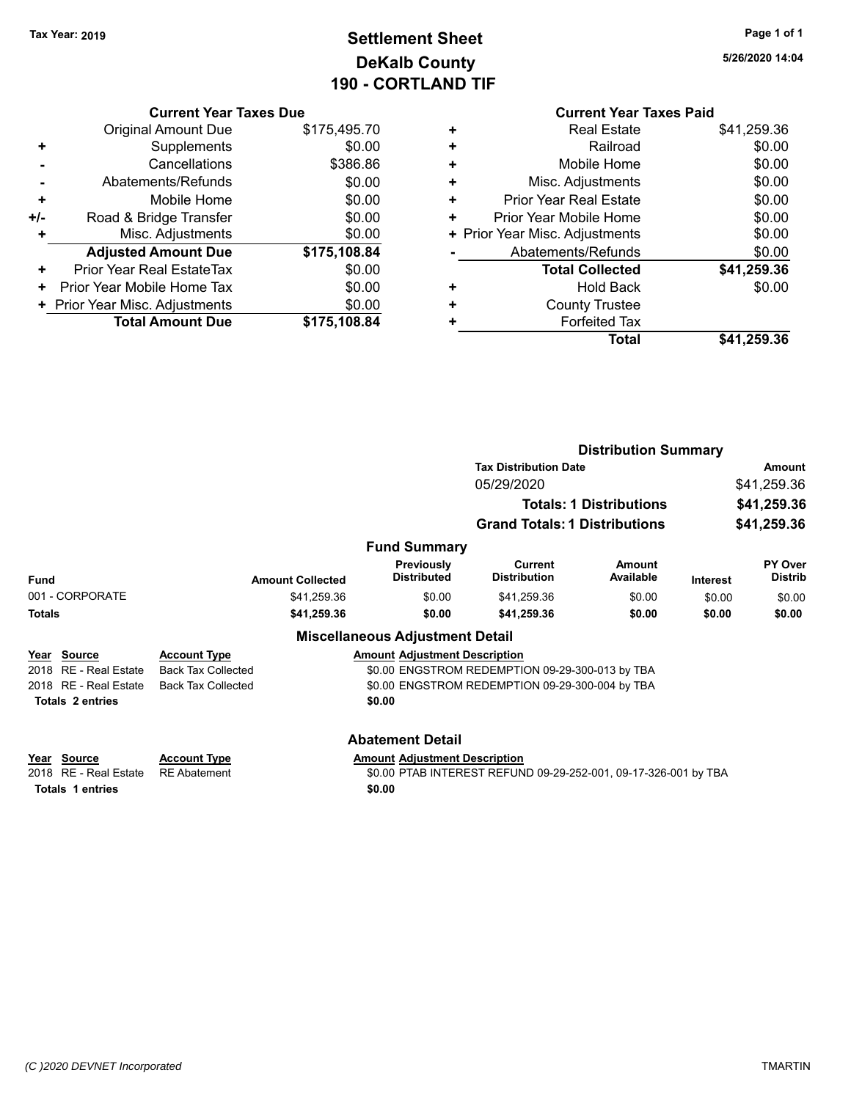### **Settlement Sheet Tax Year: 2019 Page 1 of 1 DeKalb County 190 - CORTLAND TIF**

**5/26/2020 14:04**

|     | <b>Current Year Taxes Due</b>  |              |
|-----|--------------------------------|--------------|
|     | Original Amount Due            | \$175,495.70 |
| ٠   | Supplements                    | \$0.00       |
|     | Cancellations                  | \$386.86     |
|     | Abatements/Refunds             | \$0.00       |
| ÷   | Mobile Home                    | \$0.00       |
| +/- | Road & Bridge Transfer         | \$0.00       |
|     | Misc. Adjustments              | \$0.00       |
|     | <b>Adjusted Amount Due</b>     | \$175,108.84 |
| ٠   | Prior Year Real EstateTax      | \$0.00       |
| ٠   | Prior Year Mobile Home Tax     | \$0.00       |
|     | + Prior Year Misc. Adjustments | \$0.00       |
|     | <b>Total Amount Due</b>        | \$175,108.84 |
|     |                                |              |

#### **Current Year Taxes Paid +** Real Estate \$41,259.36<br>Railroad \$0.00 **+** Railroad \$0.00 **+** Mobile Home \$0.00 **+** Misc. Adjustments \$0.00 **+** Prior Year Real Estate \$0.00 **+** Prior Year Mobile Home \$0.00

| Total                          | \$41,259.36 |
|--------------------------------|-------------|
| <b>Forfeited Tax</b>           |             |
| <b>County Trustee</b>          |             |
| <b>Hold Back</b>               | \$0.00      |
| <b>Total Collected</b>         | \$41,259.36 |
| Abatements/Refunds             | \$0.00      |
| + Prior Year Misc. Adjustments | \$0.00      |
|                                |             |

|                                                                       |                                            |                                                | <b>Distribution Summary</b>                                     |                                |                                           |                           |  |
|-----------------------------------------------------------------------|--------------------------------------------|------------------------------------------------|-----------------------------------------------------------------|--------------------------------|-------------------------------------------|---------------------------|--|
|                                                                       |                                            |                                                | <b>Tax Distribution Date</b>                                    |                                |                                           | Amount                    |  |
|                                                                       |                                            |                                                | 05/29/2020                                                      |                                | \$41,259.36<br>\$41,259.36<br>\$41,259.36 |                           |  |
|                                                                       |                                            |                                                |                                                                 | <b>Totals: 1 Distributions</b> |                                           |                           |  |
|                                                                       |                                            |                                                | <b>Grand Totals: 1 Distributions</b>                            |                                |                                           |                           |  |
|                                                                       |                                            | <b>Fund Summary</b>                            |                                                                 |                                |                                           |                           |  |
| <b>Fund</b>                                                           | <b>Amount Collected</b>                    | Previously<br><b>Distributed</b>               | Current<br><b>Distribution</b>                                  | Amount<br>Available            | <b>Interest</b>                           | PY Over<br><b>Distrib</b> |  |
| 001 - CORPORATE                                                       | \$41,259.36                                | \$0.00                                         | \$41,259.36                                                     | \$0.00                         | \$0.00                                    | \$0.00                    |  |
| <b>Totals</b>                                                         | \$41,259.36                                | \$0.00                                         | \$41,259.36                                                     | \$0.00                         | \$0.00                                    | \$0.00                    |  |
|                                                                       |                                            | <b>Miscellaneous Adjustment Detail</b>         |                                                                 |                                |                                           |                           |  |
| Source<br>Year                                                        | <b>Account Type</b>                        | <b>Amount Adjustment Description</b>           |                                                                 |                                |                                           |                           |  |
| RE - Real Estate<br>2018                                              | <b>Back Tax Collected</b>                  |                                                | \$0.00 ENGSTROM REDEMPTION 09-29-300-013 by TBA                 |                                |                                           |                           |  |
| RE - Real Estate<br>2018                                              | <b>Back Tax Collected</b>                  |                                                | \$0.00 ENGSTROM REDEMPTION 09-29-300-004 by TBA                 |                                |                                           |                           |  |
| <b>Totals 2 entries</b>                                               |                                            | \$0.00                                         |                                                                 |                                |                                           |                           |  |
|                                                                       |                                            | <b>Abatement Detail</b>                        |                                                                 |                                |                                           |                           |  |
| Source<br>Year<br>RE - Real Estate<br>2018<br><b>Totals 1 entries</b> | <b>Account Type</b><br><b>RE</b> Abatement | <b>Amount Adjustment Description</b><br>\$0.00 | \$0.00 PTAB INTEREST REFUND 09-29-252-001, 09-17-326-001 by TBA |                                |                                           |                           |  |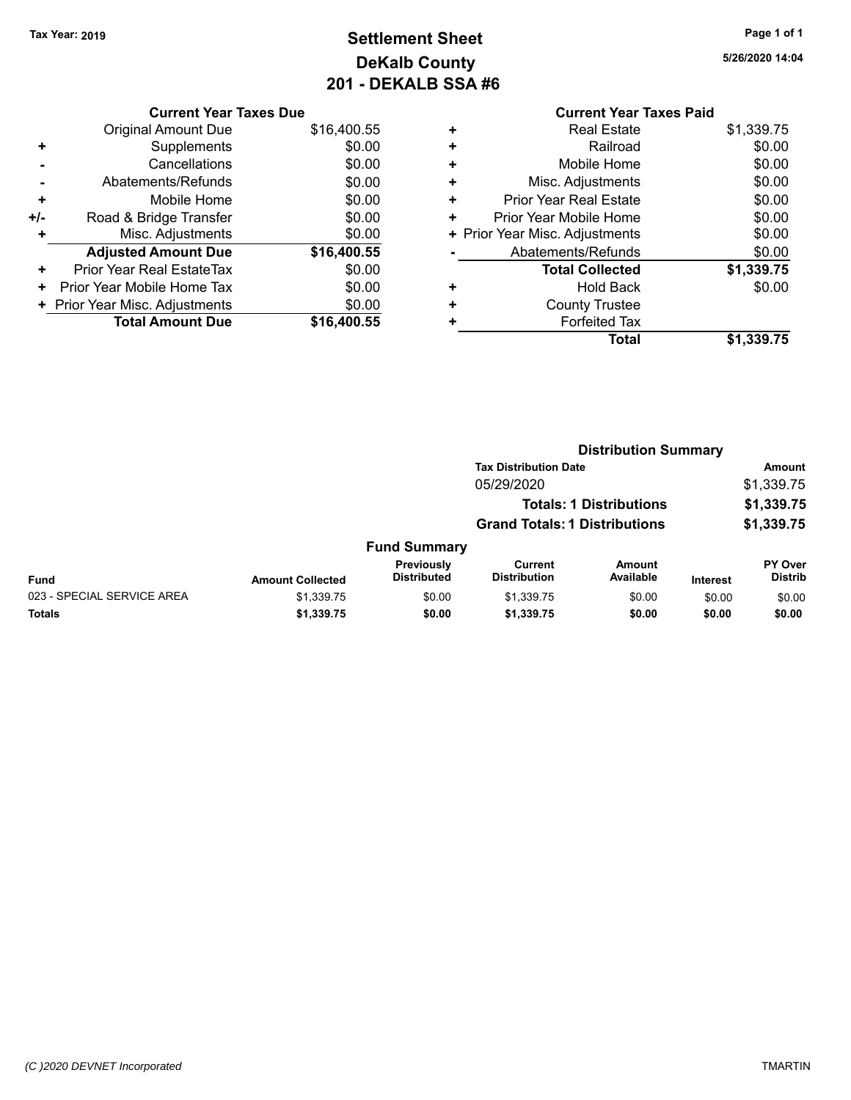### **Settlement Sheet Tax Year: 2019 Page 1 of 1 DeKalb County 201 - DEKALB SSA #6**

**5/26/2020 14:04**

|     | <b>Current Year Taxes Due</b>  |             |  |  |  |
|-----|--------------------------------|-------------|--|--|--|
|     | <b>Original Amount Due</b>     | \$16,400.55 |  |  |  |
| ٠   | Supplements                    | \$0.00      |  |  |  |
|     | Cancellations                  | \$0.00      |  |  |  |
|     | Abatements/Refunds             | \$0.00      |  |  |  |
| ÷   | Mobile Home                    | \$0.00      |  |  |  |
| +/- | Road & Bridge Transfer         | \$0.00      |  |  |  |
|     | Misc. Adjustments              | \$0.00      |  |  |  |
|     | <b>Adjusted Amount Due</b>     | \$16,400.55 |  |  |  |
| ٠   | Prior Year Real EstateTax      | \$0.00      |  |  |  |
| ٠   | Prior Year Mobile Home Tax     | \$0.00      |  |  |  |
|     | + Prior Year Misc. Adjustments | \$0.00      |  |  |  |
|     | <b>Total Amount Due</b>        | \$16,400.55 |  |  |  |
|     |                                |             |  |  |  |

| ٠ | <b>Real Estate</b>             | \$1,339.75 |
|---|--------------------------------|------------|
| ÷ | Railroad                       | \$0.00     |
| ٠ | Mobile Home                    | \$0.00     |
| ٠ | Misc. Adjustments              | \$0.00     |
| ٠ | Prior Year Real Estate         | \$0.00     |
| ٠ | Prior Year Mobile Home         | \$0.00     |
|   | + Prior Year Misc. Adjustments | \$0.00     |
|   | Abatements/Refunds             | \$0.00     |
|   | <b>Total Collected</b>         | \$1,339.75 |
| ٠ | <b>Hold Back</b>               | \$0.00     |
| ٠ | <b>County Trustee</b>          |            |
| ٠ | <b>Forfeited Tax</b>           |            |
|   | <b>Total</b>                   | \$1,339.75 |
|   |                                |            |

|                            |                         |                                  |                                       | <b>Distribution Summary</b>    |          |                           |
|----------------------------|-------------------------|----------------------------------|---------------------------------------|--------------------------------|----------|---------------------------|
|                            |                         |                                  | <b>Tax Distribution Date</b>          |                                |          | <b>Amount</b>             |
|                            |                         |                                  | 05/29/2020                            |                                |          | \$1,339.75                |
|                            |                         |                                  |                                       | <b>Totals: 1 Distributions</b> |          | \$1,339.75                |
|                            |                         |                                  | <b>Grand Totals: 1 Distributions</b>  |                                |          | \$1,339.75                |
|                            |                         | <b>Fund Summary</b>              |                                       |                                |          |                           |
| <b>Fund</b>                | <b>Amount Collected</b> | Previously<br><b>Distributed</b> | <b>Current</b><br><b>Distribution</b> | Amount<br>Available            | Interest | PY Over<br><b>Distrib</b> |
| 023 - SPECIAL SERVICE AREA | \$1,339.75              | \$0.00                           | \$1,339.75                            | \$0.00                         | \$0.00   | \$0.00                    |
| Totals                     | \$1,339.75              | \$0.00                           | \$1,339.75                            | \$0.00                         | \$0.00   | \$0.00                    |
|                            |                         |                                  |                                       |                                |          |                           |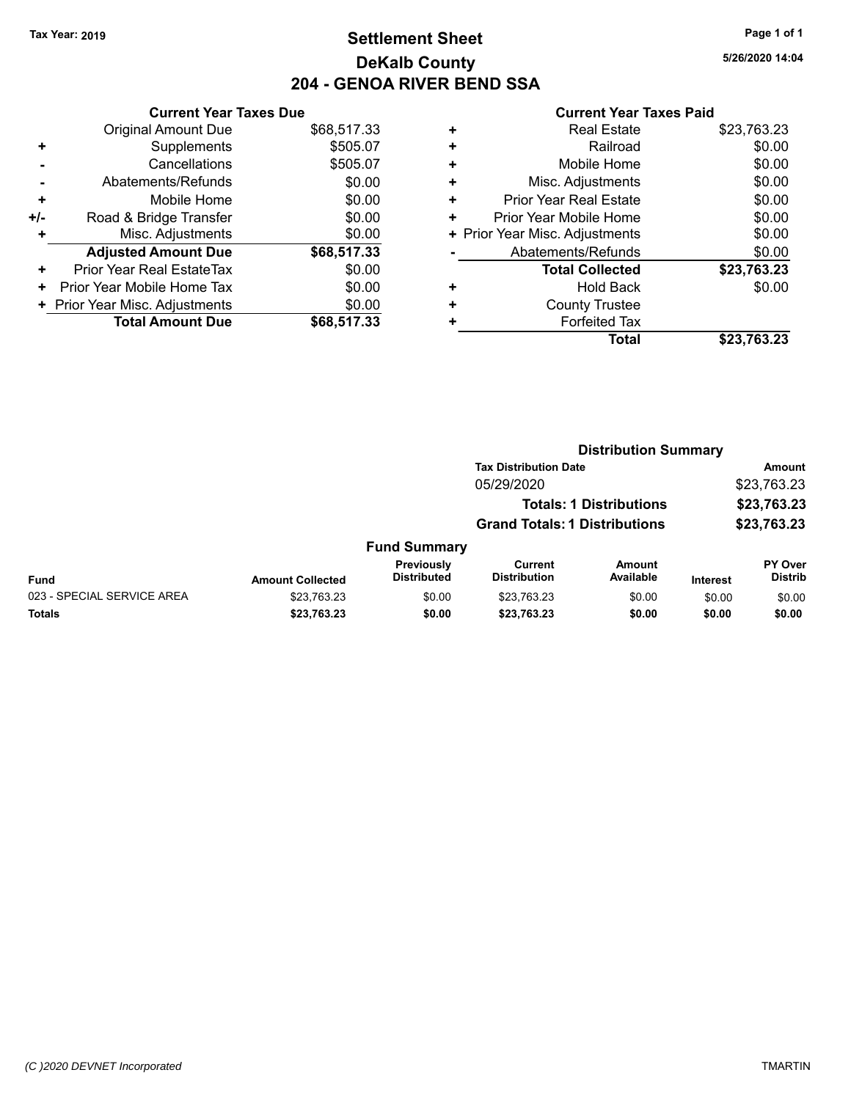### **Settlement Sheet Tax Year: 2019 Page 1 of 1 DeKalb County 204 - GENOA RIVER BEND SSA**

**5/26/2020 14:04**

|       | <b>Current Year Taxes Due</b>  |             |
|-------|--------------------------------|-------------|
|       | <b>Original Amount Due</b>     | \$68,517.33 |
| ٠     | Supplements                    | \$505.07    |
|       | Cancellations                  | \$505.07    |
|       | Abatements/Refunds             | \$0.00      |
| ٠     | Mobile Home                    | \$0.00      |
| $+/-$ | Road & Bridge Transfer         | \$0.00      |
| ٠     | Misc. Adjustments              | \$0.00      |
|       | <b>Adjusted Amount Due</b>     | \$68,517.33 |
| ٠     | Prior Year Real EstateTax      | \$0.00      |
| ÷     | Prior Year Mobile Home Tax     | \$0.00      |
|       | + Prior Year Misc. Adjustments | \$0.00      |
|       | <b>Total Amount Due</b>        | \$68,517,33 |

| ٠ | <b>Real Estate</b>             | \$23,763.23 |
|---|--------------------------------|-------------|
| ٠ | Railroad                       | \$0.00      |
| ٠ | Mobile Home                    | \$0.00      |
| ٠ | Misc. Adjustments              | \$0.00      |
| ٠ | <b>Prior Year Real Estate</b>  | \$0.00      |
| ٠ | Prior Year Mobile Home         | \$0.00      |
|   | + Prior Year Misc. Adjustments | \$0.00      |
|   | Abatements/Refunds             | \$0.00      |
|   | <b>Total Collected</b>         | \$23,763.23 |
| ٠ | Hold Back                      | \$0.00      |
| ٠ | <b>County Trustee</b>          |             |
| ٠ | <b>Forfeited Tax</b>           |             |
|   | Total                          | \$23,763.23 |
|   |                                |             |

|                            |                         |                                  | <b>Distribution Summary</b>           |                                |          |                                  |
|----------------------------|-------------------------|----------------------------------|---------------------------------------|--------------------------------|----------|----------------------------------|
|                            |                         |                                  | <b>Tax Distribution Date</b>          |                                |          | Amount                           |
|                            |                         |                                  | 05/29/2020                            |                                |          | \$23,763.23                      |
|                            |                         |                                  |                                       | <b>Totals: 1 Distributions</b> |          | \$23,763.23                      |
|                            |                         |                                  | <b>Grand Totals: 1 Distributions</b>  |                                |          | \$23,763.23                      |
|                            |                         | <b>Fund Summary</b>              |                                       |                                |          |                                  |
| <b>Fund</b>                | <b>Amount Collected</b> | Previously<br><b>Distributed</b> | <b>Current</b><br><b>Distribution</b> | Amount<br>Available            | Interest | <b>PY Over</b><br><b>Distrib</b> |
| 023 - SPECIAL SERVICE AREA | \$23,763.23             | \$0.00                           | \$23,763.23                           | \$0.00                         | \$0.00   | \$0.00                           |
| Totals                     | \$23,763.23             | \$0.00                           | \$23,763.23                           | \$0.00                         | \$0.00   | \$0.00                           |
|                            |                         |                                  |                                       |                                |          |                                  |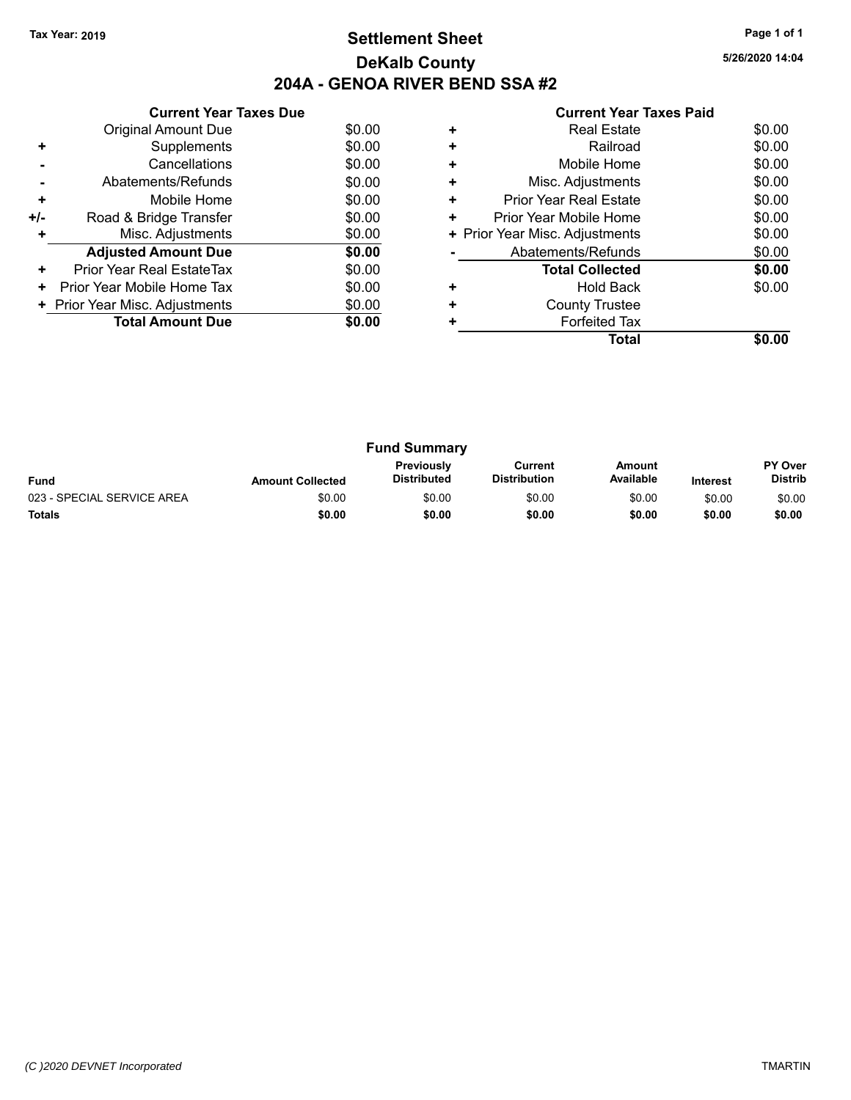### **Settlement Sheet Tax Year: 2019 Page 1 of 1 DeKalb County 204A - GENOA RIVER BEND SSA #2**

**5/26/2020 14:04**

| <b>Current Year Taxes Paid</b> |  |  |
|--------------------------------|--|--|
|                                |  |  |

|     | <b>Current Year Taxes Due</b>            |        |  |
|-----|------------------------------------------|--------|--|
|     | <b>Original Amount Due</b>               | \$0.00 |  |
| ٠   | Supplements                              | \$0.00 |  |
|     | Cancellations                            | \$0.00 |  |
|     | Abatements/Refunds                       | \$0.00 |  |
| ÷   | Mobile Home                              | \$0.00 |  |
| +/- | Road & Bridge Transfer                   | \$0.00 |  |
|     | Misc. Adjustments<br>\$0.00              |        |  |
|     | <b>Adjusted Amount Due</b>               | \$0.00 |  |
| ÷   | Prior Year Real EstateTax                | \$0.00 |  |
| ٠   | Prior Year Mobile Home Tax               | \$0.00 |  |
|     | \$0.00<br>+ Prior Year Misc. Adjustments |        |  |
|     | <b>Total Amount Due</b>                  | \$0.00 |  |
|     |                                          |        |  |

|   | Total                          |        |
|---|--------------------------------|--------|
|   | <b>Forfeited Tax</b>           |        |
| ÷ | <b>County Trustee</b>          |        |
|   | <b>Hold Back</b>               | \$0.00 |
|   | <b>Total Collected</b>         | \$0.00 |
|   | Abatements/Refunds             | \$0.00 |
|   | + Prior Year Misc. Adjustments | \$0.00 |
| ٠ | Prior Year Mobile Home         | \$0.00 |
| ٠ | <b>Prior Year Real Estate</b>  | \$0.00 |
| ٠ | Misc. Adjustments              | \$0.00 |
| ÷ | Mobile Home                    | \$0.00 |
| ٠ | Railroad                       | \$0.00 |
|   | <b>Real Estate</b>             | \$0.00 |
|   |                                |        |

| <b>Fund Summary</b>        |                         |                                         |                                |                     |                 |                                  |
|----------------------------|-------------------------|-----------------------------------------|--------------------------------|---------------------|-----------------|----------------------------------|
| <b>Fund</b>                | <b>Amount Collected</b> | <b>Previously</b><br><b>Distributed</b> | Current<br><b>Distribution</b> | Amount<br>Available | <b>Interest</b> | <b>PY Over</b><br><b>Distrib</b> |
| 023 - SPECIAL SERVICE AREA | \$0.00                  | \$0.00                                  | \$0.00                         | \$0.00              | \$0.00          | \$0.00                           |
| <b>Totals</b>              | \$0.00                  | \$0.00                                  | \$0.00                         | \$0.00              | \$0.00          | \$0.00                           |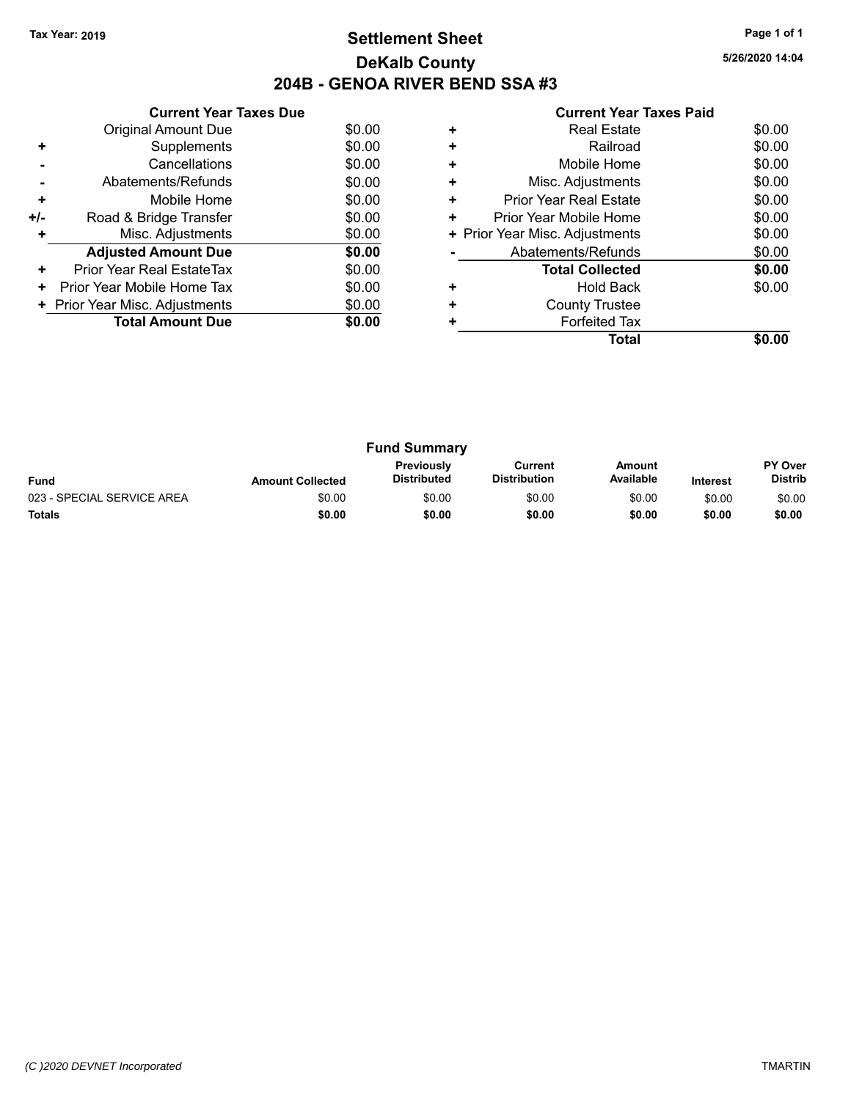### **Settlement Sheet Tax Year: 2019 Page 1 of 1 DeKalb County 204B - GENOA RIVER BEND SSA #3**

**5/26/2020 14:04**

|     | <b>Current Year Taxes Due</b>  |        |
|-----|--------------------------------|--------|
|     | Original Amount Due            | \$0.00 |
| ٠   | Supplements                    | \$0.00 |
|     | Cancellations                  | \$0.00 |
|     | Abatements/Refunds             | \$0.00 |
| ٠   | Mobile Home                    | \$0.00 |
| +/- | Road & Bridge Transfer         | \$0.00 |
| ٠   | Misc. Adjustments              | \$0.00 |
|     | <b>Adjusted Amount Due</b>     | \$0.00 |
| ٠   | Prior Year Real EstateTax      | \$0.00 |
| ٠   | Prior Year Mobile Home Tax     | \$0.00 |
|     | + Prior Year Misc. Adjustments | \$0.00 |
|     | <b>Total Amount Due</b>        | \$0.00 |
|     |                                |        |

|   | Real Estate                    | \$0.00 |
|---|--------------------------------|--------|
| ٠ | Railroad                       | \$0.00 |
| ÷ | Mobile Home                    | \$0.00 |
| ٠ | Misc. Adjustments              | \$0.00 |
| ٠ | <b>Prior Year Real Estate</b>  | \$0.00 |
| ٠ | Prior Year Mobile Home         | \$0.00 |
|   | + Prior Year Misc. Adjustments | \$0.00 |
|   | Abatements/Refunds             | \$0.00 |
|   | <b>Total Collected</b>         | \$0.00 |
|   | <b>Hold Back</b>               | \$0.00 |
| ٠ | <b>County Trustee</b>          |        |
|   | <b>Forfeited Tax</b>           |        |
|   | Total                          |        |

| <b>Fund Summary</b>        |                         |                                         |                                |                     |                 |                                  |
|----------------------------|-------------------------|-----------------------------------------|--------------------------------|---------------------|-----------------|----------------------------------|
| <b>Fund</b>                | <b>Amount Collected</b> | <b>Previously</b><br><b>Distributed</b> | Current<br><b>Distribution</b> | Amount<br>Available | <b>Interest</b> | <b>PY Over</b><br><b>Distrib</b> |
| 023 - SPECIAL SERVICE AREA | \$0.00                  | \$0.00                                  | \$0.00                         | \$0.00              | \$0.00          | \$0.00                           |
| <b>Totals</b>              | \$0.00                  | \$0.00                                  | \$0.00                         | \$0.00              | \$0.00          | \$0.00                           |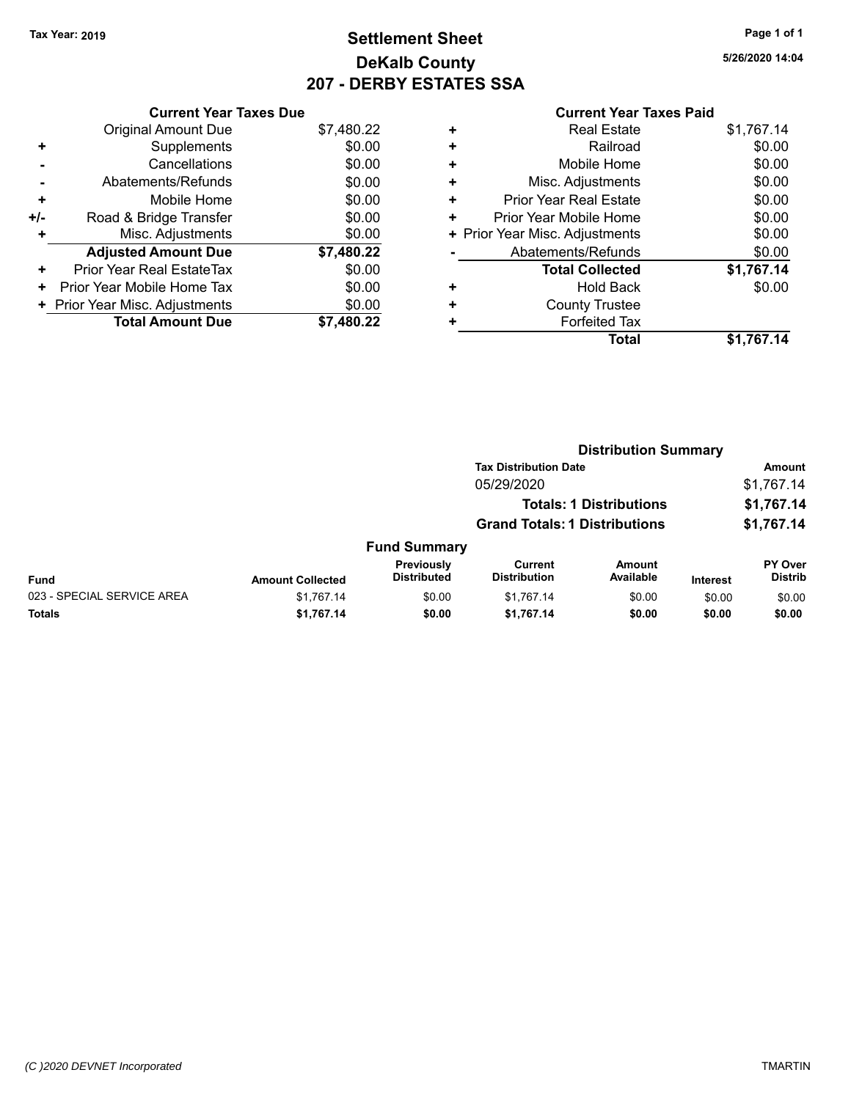### **Settlement Sheet Tax Year: 2019 Page 1 of 1 DeKalb County 207 - DERBY ESTATES SSA**

**5/26/2020 14:04**

| <b>Current Year Taxes Paid</b> |
|--------------------------------|
|--------------------------------|

|     | <b>Current Year Taxes Due</b>  |            |
|-----|--------------------------------|------------|
|     | <b>Original Amount Due</b>     | \$7,480.22 |
| ÷   | Supplements                    | \$0.00     |
|     | Cancellations                  | \$0.00     |
|     | Abatements/Refunds             | \$0.00     |
| ٠   | Mobile Home                    | \$0.00     |
| +/- | Road & Bridge Transfer         | \$0.00     |
|     | Misc. Adjustments              | \$0.00     |
|     | <b>Adjusted Amount Due</b>     | \$7,480.22 |
| ٠   | Prior Year Real EstateTax      | \$0.00     |
| ٠   | Prior Year Mobile Home Tax     | \$0.00     |
|     | + Prior Year Misc. Adjustments | \$0.00     |
|     | <b>Total Amount Due</b>        | \$7,480.22 |

|   | <b>Real Estate</b>             | \$1,767.14 |
|---|--------------------------------|------------|
| ٠ | Railroad                       | \$0.00     |
| ٠ | Mobile Home                    | \$0.00     |
| ٠ | Misc. Adjustments              | \$0.00     |
| ٠ | <b>Prior Year Real Estate</b>  | \$0.00     |
| ٠ | Prior Year Mobile Home         | \$0.00     |
|   | + Prior Year Misc. Adjustments | \$0.00     |
|   | Abatements/Refunds             | \$0.00     |
|   | <b>Total Collected</b>         | \$1,767.14 |
| ٠ | <b>Hold Back</b>               | \$0.00     |
| ٠ | <b>County Trustee</b>          |            |
| ٠ | <b>Forfeited Tax</b>           |            |
|   | Total                          | \$1,767.14 |
|   |                                |            |

|                            |                         |                                  |                                      | <b>Distribution Summary</b>    |          |                           |  |
|----------------------------|-------------------------|----------------------------------|--------------------------------------|--------------------------------|----------|---------------------------|--|
|                            |                         |                                  | <b>Tax Distribution Date</b>         |                                |          | <b>Amount</b>             |  |
|                            |                         |                                  | 05/29/2020                           |                                |          | \$1,767.14                |  |
|                            |                         |                                  |                                      | <b>Totals: 1 Distributions</b> |          | \$1,767.14                |  |
|                            |                         |                                  | <b>Grand Totals: 1 Distributions</b> |                                |          | \$1,767.14                |  |
|                            |                         | <b>Fund Summary</b>              |                                      |                                |          |                           |  |
| <b>Fund</b>                | <b>Amount Collected</b> | Previously<br><b>Distributed</b> | Current<br><b>Distribution</b>       | Amount<br>Available            | Interest | PY Over<br><b>Distrib</b> |  |
| 023 - SPECIAL SERVICE AREA | \$1,767.14              | \$0.00                           | \$1,767.14                           | \$0.00                         | \$0.00   | \$0.00                    |  |
| Totals                     | \$1,767.14              | \$0.00                           | \$1,767.14                           | \$0.00                         | \$0.00   | \$0.00                    |  |
|                            |                         |                                  |                                      |                                |          |                           |  |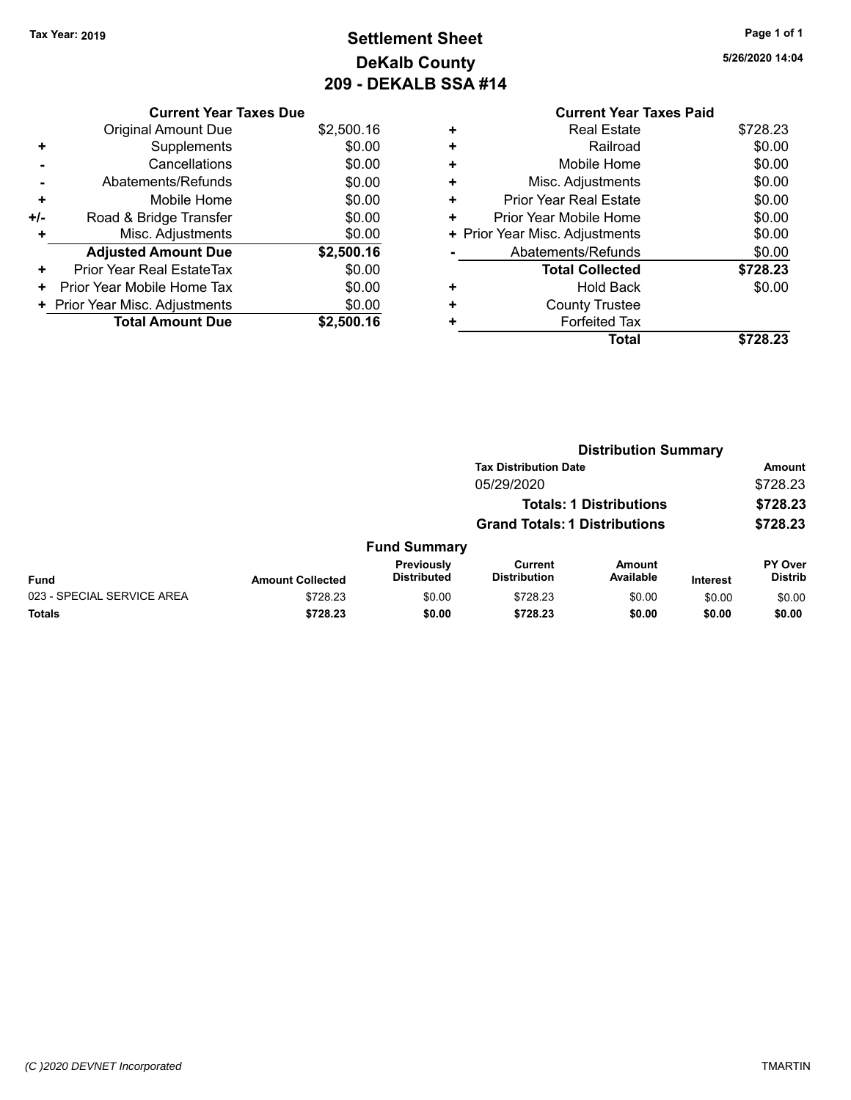### **Settlement Sheet Tax Year: 2019 Page 1 of 1 DeKalb County 209 - DEKALB SSA #14**

**5/26/2020 14:04**

|     | <b>Current Year Taxes Due</b>    |            |
|-----|----------------------------------|------------|
|     | <b>Original Amount Due</b>       | \$2,500.16 |
| ٠   | Supplements                      | \$0.00     |
|     | Cancellations                    | \$0.00     |
|     | Abatements/Refunds               | \$0.00     |
| ٠   | Mobile Home                      | \$0.00     |
| +/- | Road & Bridge Transfer           | \$0.00     |
| ٠   | Misc. Adjustments                | \$0.00     |
|     | <b>Adjusted Amount Due</b>       | \$2,500.16 |
| ٠   | <b>Prior Year Real EstateTax</b> | \$0.00     |
| ٠   | Prior Year Mobile Home Tax       | \$0.00     |
|     | Prior Year Misc. Adjustments     | \$0.00     |
|     | <b>Total Amount Due</b>          | \$2,500.16 |

|   | <b>Current Year Taxes Paid</b> |          |
|---|--------------------------------|----------|
| ٠ | <b>Real Estate</b>             | \$728.23 |
| ٠ | Railroad                       | \$0.00   |
| ٠ | Mobile Home                    | \$0.00   |
| ٠ | Misc. Adjustments              | \$0.00   |
| ٠ | <b>Prior Year Real Estate</b>  | \$0.00   |
| ٠ | Prior Year Mobile Home         | \$0.00   |
|   | + Prior Year Misc. Adjustments | \$0.00   |
|   | Abatements/Refunds             | \$0.00   |
|   | <b>Total Collected</b>         | \$728.23 |
| ٠ | Hold Back                      | \$0.00   |
| ٠ | <b>County Trustee</b>          |          |
|   | <b>Forfeited Tax</b>           |          |
|   | Total                          | \$728.23 |
|   |                                |          |

|                            |                         |                                         |                                      |                                | <b>Distribution Summary</b> |                                  |  |  |
|----------------------------|-------------------------|-----------------------------------------|--------------------------------------|--------------------------------|-----------------------------|----------------------------------|--|--|
|                            |                         |                                         | <b>Tax Distribution Date</b>         |                                |                             | Amount                           |  |  |
|                            |                         |                                         | 05/29/2020                           |                                |                             | \$728.23                         |  |  |
|                            |                         |                                         |                                      | <b>Totals: 1 Distributions</b> |                             | \$728.23                         |  |  |
|                            |                         |                                         | <b>Grand Totals: 1 Distributions</b> |                                |                             | \$728.23                         |  |  |
|                            |                         | <b>Fund Summary</b>                     |                                      |                                |                             |                                  |  |  |
| Fund                       | <b>Amount Collected</b> | <b>Previously</b><br><b>Distributed</b> | Current<br><b>Distribution</b>       | Amount<br>Available            | Interest                    | <b>PY Over</b><br><b>Distrib</b> |  |  |
| 023 - SPECIAL SERVICE AREA | \$728.23                | \$0.00                                  | \$728.23                             | \$0.00                         | \$0.00                      | \$0.00                           |  |  |
| <b>Totals</b>              | \$728.23                | \$0.00                                  | \$728.23                             | \$0.00                         | \$0.00                      | \$0.00                           |  |  |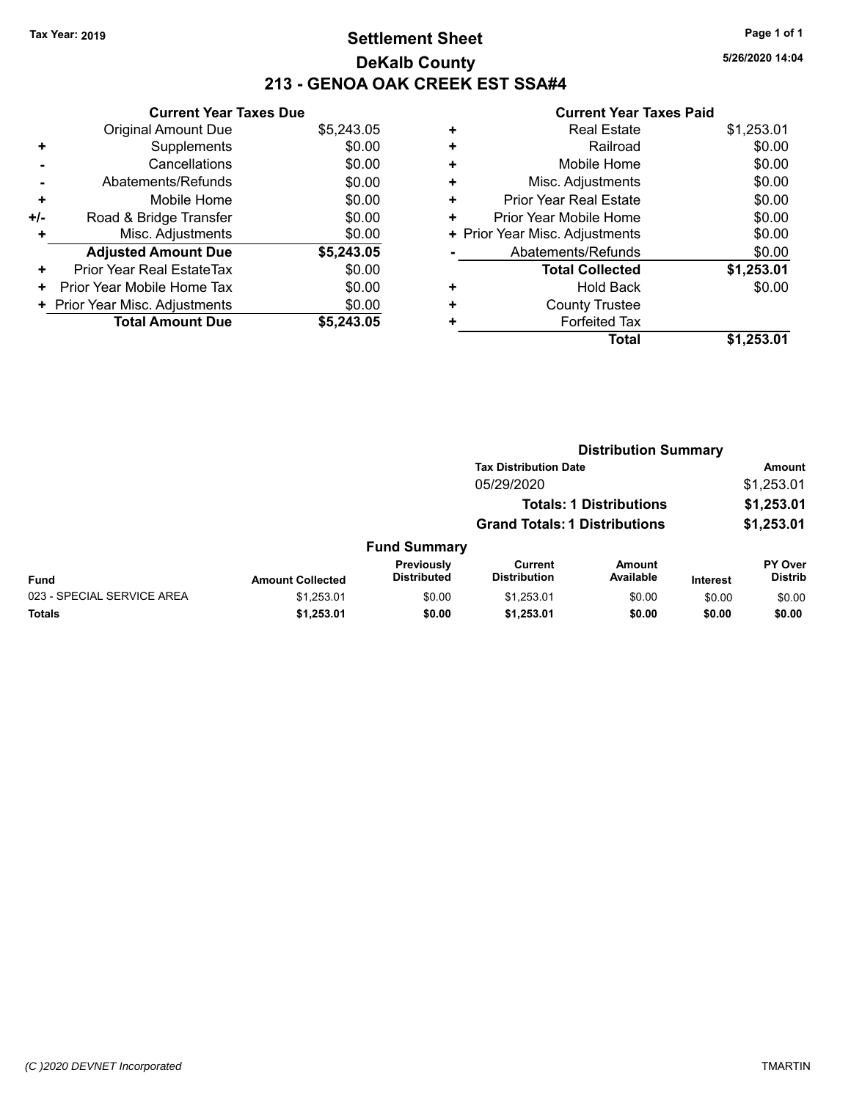### **Settlement Sheet Tax Year: 2019 Page 1 of 1 DeKalb County 213 - GENOA OAK CREEK EST SSA#4**

**5/26/2020 14:04**

|     | <b>Current Year Taxes Due</b>  |            |
|-----|--------------------------------|------------|
|     | <b>Original Amount Due</b>     | \$5,243.05 |
| ٠   | Supplements                    | \$0.00     |
|     | Cancellations                  | \$0.00     |
|     | Abatements/Refunds             | \$0.00     |
| ٠   | Mobile Home                    | \$0.00     |
| +/- | Road & Bridge Transfer         | \$0.00     |
|     | Misc. Adjustments              | \$0.00     |
|     | <b>Adjusted Amount Due</b>     | \$5,243.05 |
| ٠   | Prior Year Real EstateTax      | \$0.00     |
| ٠   | Prior Year Mobile Home Tax     | \$0.00     |
|     | + Prior Year Misc. Adjustments | \$0.00     |
|     | <b>Total Amount Due</b>        | \$5,243,05 |

| \$0.00<br>Railroad<br>٠<br>\$0.00<br>Mobile Home<br>٠<br>\$0.00<br>Misc. Adjustments<br>٠<br>\$0.00<br><b>Prior Year Real Estate</b><br>٠<br>\$0.00<br>Prior Year Mobile Home<br>٠<br>\$0.00<br>+ Prior Year Misc. Adjustments<br>Abatements/Refunds<br>\$0.00<br>\$1,253.01<br><b>Total Collected</b><br>\$0.00<br>Hold Back<br>٠ | ٠ | <b>Real Estate</b>    | \$1,253.01 |
|------------------------------------------------------------------------------------------------------------------------------------------------------------------------------------------------------------------------------------------------------------------------------------------------------------------------------------|---|-----------------------|------------|
|                                                                                                                                                                                                                                                                                                                                    |   |                       |            |
|                                                                                                                                                                                                                                                                                                                                    |   |                       |            |
|                                                                                                                                                                                                                                                                                                                                    |   |                       |            |
|                                                                                                                                                                                                                                                                                                                                    |   |                       |            |
|                                                                                                                                                                                                                                                                                                                                    |   |                       |            |
|                                                                                                                                                                                                                                                                                                                                    |   |                       |            |
|                                                                                                                                                                                                                                                                                                                                    |   |                       |            |
|                                                                                                                                                                                                                                                                                                                                    |   |                       |            |
|                                                                                                                                                                                                                                                                                                                                    |   |                       |            |
| ٠                                                                                                                                                                                                                                                                                                                                  |   | <b>County Trustee</b> |            |
| <b>Forfeited Tax</b><br>٠                                                                                                                                                                                                                                                                                                          |   |                       |            |
| \$1,253.01<br>Total                                                                                                                                                                                                                                                                                                                |   |                       |            |

|                            |                         |                                  | <b>Distribution Summary</b>           |                                |          |                           |
|----------------------------|-------------------------|----------------------------------|---------------------------------------|--------------------------------|----------|---------------------------|
|                            |                         |                                  | <b>Tax Distribution Date</b>          |                                |          | <b>Amount</b>             |
|                            |                         |                                  | 05/29/2020                            |                                |          | \$1,253.01                |
|                            |                         |                                  |                                       | <b>Totals: 1 Distributions</b> |          | \$1,253.01                |
|                            |                         |                                  | <b>Grand Totals: 1 Distributions</b>  |                                |          | \$1,253.01                |
|                            |                         | <b>Fund Summary</b>              |                                       |                                |          |                           |
| <b>Fund</b>                | <b>Amount Collected</b> | Previously<br><b>Distributed</b> | <b>Current</b><br><b>Distribution</b> | Amount<br>Available            | Interest | PY Over<br><b>Distrib</b> |
| 023 - SPECIAL SERVICE AREA | \$1,253.01              | \$0.00                           | \$1,253.01                            | \$0.00                         | \$0.00   | \$0.00                    |
| Totals                     | \$1,253.01              | \$0.00                           | \$1,253.01                            | \$0.00                         | \$0.00   | \$0.00                    |
|                            |                         |                                  |                                       |                                |          |                           |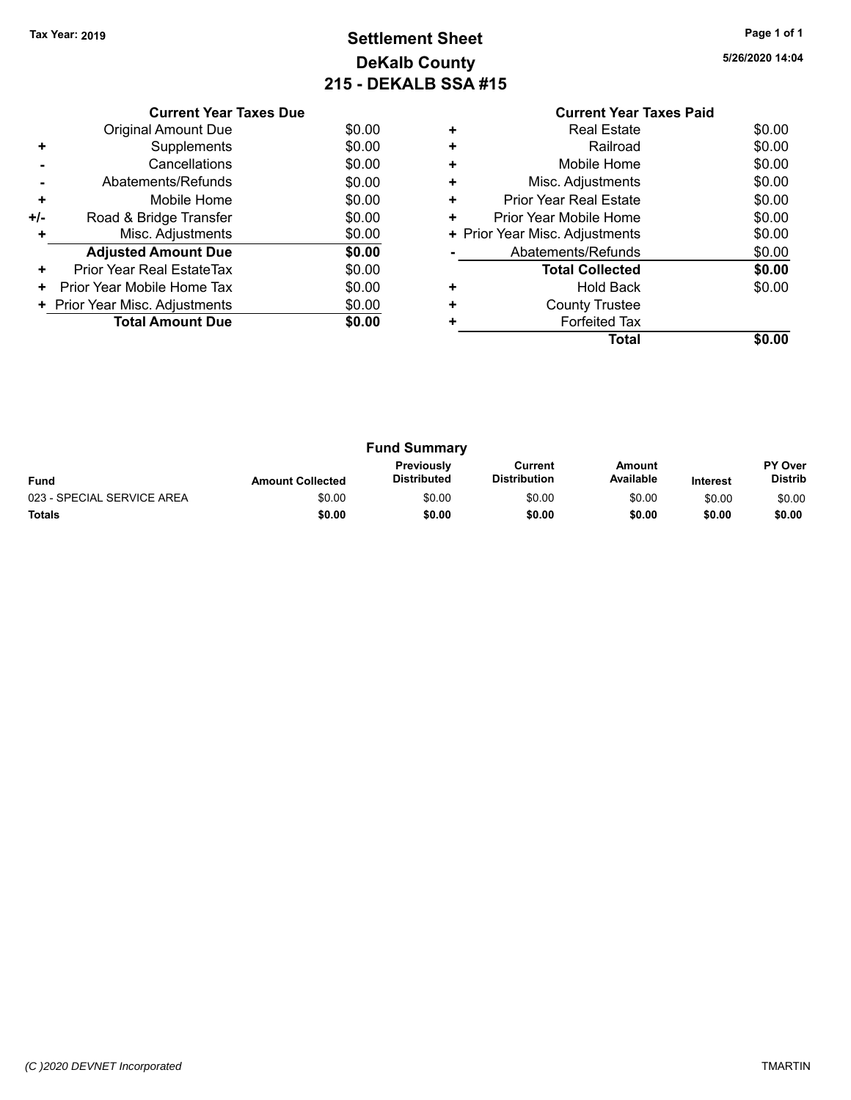### **Settlement Sheet Tax Year: 2019 Page 1 of 1 DeKalb County 215 - DEKALB SSA #15**

**5/26/2020 14:04**

|     | <b>Current Year Taxes Due</b>  |        |
|-----|--------------------------------|--------|
|     | <b>Original Amount Due</b>     | \$0.00 |
| ٠   | Supplements                    | \$0.00 |
|     | Cancellations                  | \$0.00 |
|     | Abatements/Refunds             | \$0.00 |
| ٠   | Mobile Home                    | \$0.00 |
| +/- | Road & Bridge Transfer         | \$0.00 |
| ٠   | Misc. Adjustments              | \$0.00 |
|     | <b>Adjusted Amount Due</b>     | \$0.00 |
| ÷   | Prior Year Real EstateTax      | \$0.00 |
| ٠   | Prior Year Mobile Home Tax     | \$0.00 |
|     | + Prior Year Misc. Adjustments | \$0.00 |
|     | <b>Total Amount Due</b>        | \$0.00 |
|     |                                |        |

#### **Current Year Taxes Paid +** Real Estate \$0.00 **+** Railroad **+** Mobile Home \$0.00 **+** Misc. Adjustments \$0.00 **+** Prior Year Real Estate \$0.00 **+** Prior Year Mobile Home \$0.00<br> **+** Prior Year Misc. Adjustments \$0.00 **+ Prior Year Misc. Adjustments -** Abatements/Refunds \$0.00 **Total Collected \$0.00 +** Hold Back \$0.00 **+** County Trustee **+** Forfeited Tax **Total \$0.00**

| <b>Fund Summary</b>        |                         |                                  |                                |                     |                 |                           |
|----------------------------|-------------------------|----------------------------------|--------------------------------|---------------------|-----------------|---------------------------|
| <b>Fund</b>                | <b>Amount Collected</b> | <b>Previously</b><br>Distributed | Current<br><b>Distribution</b> | Amount<br>Available | <b>Interest</b> | PY Over<br><b>Distrib</b> |
| 023 - SPECIAL SERVICE AREA | \$0.00                  | \$0.00                           | \$0.00                         | \$0.00              | \$0.00          | \$0.00                    |
| <b>Totals</b>              | \$0.00                  | \$0.00                           | \$0.00                         | \$0.00              | \$0.00          | \$0.00                    |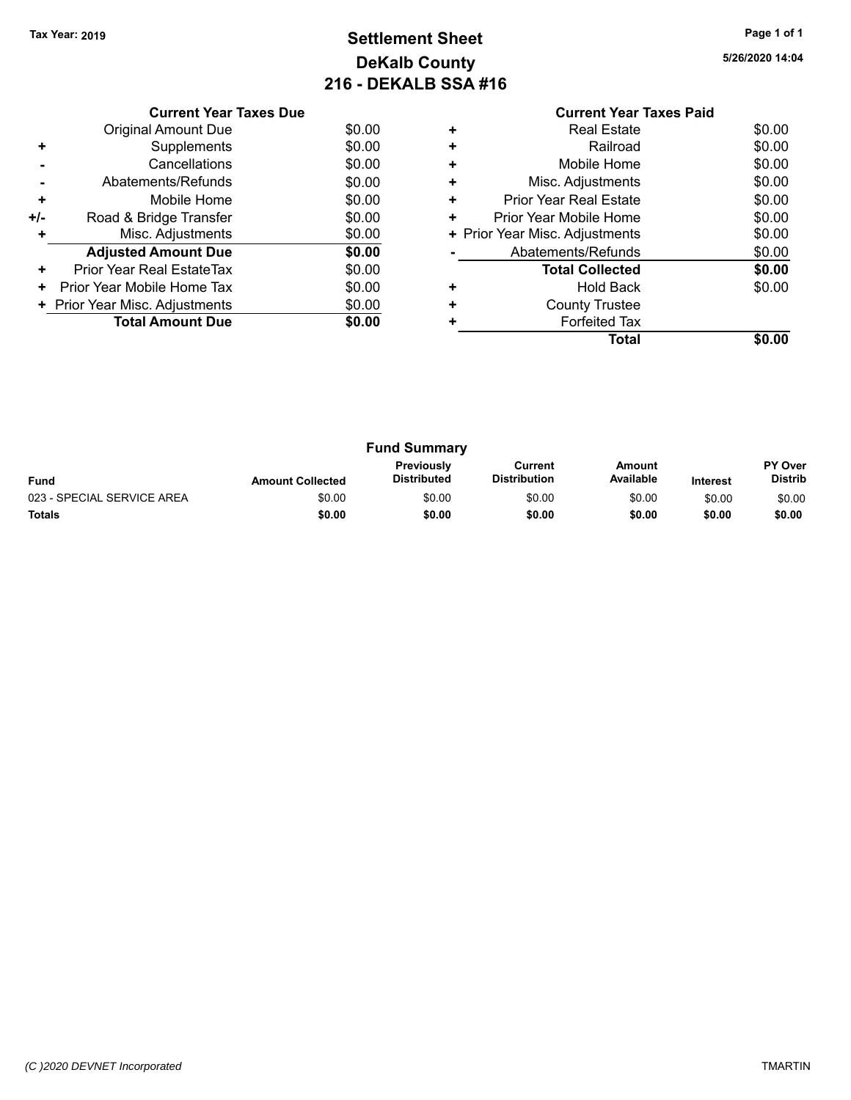### **Settlement Sheet Tax Year: 2019 Page 1 of 1 DeKalb County 216 - DEKALB SSA #16**

| 5/26/2020 14:04 |  |
|-----------------|--|
|-----------------|--|

|     | <b>Current Year Taxes Due</b>  |        |
|-----|--------------------------------|--------|
|     | Original Amount Due            | \$0.00 |
| ٠   | Supplements                    | \$0.00 |
|     | Cancellations                  | \$0.00 |
|     | Abatements/Refunds             | \$0.00 |
| ٠   | Mobile Home                    | \$0.00 |
| +/- | Road & Bridge Transfer         | \$0.00 |
| ٠   | Misc. Adjustments              | \$0.00 |
|     | <b>Adjusted Amount Due</b>     | \$0.00 |
| ٠   | Prior Year Real EstateTax      | \$0.00 |
| ٠   | Prior Year Mobile Home Tax     | \$0.00 |
|     | + Prior Year Misc. Adjustments | \$0.00 |
|     | <b>Total Amount Due</b>        | \$0.00 |
|     |                                |        |

### **Current Year Taxes Paid +** Real Estate \$0.00

|           | Total                          | \$0.00 |
|-----------|--------------------------------|--------|
|           | <b>Forfeited Tax</b>           |        |
| $\ddot{}$ | <b>County Trustee</b>          |        |
|           | <b>Hold Back</b>               | \$0.00 |
|           | <b>Total Collected</b>         | \$0.00 |
|           | Abatements/Refunds             | \$0.00 |
|           | + Prior Year Misc. Adjustments | \$0.00 |
| ÷         | Prior Year Mobile Home         | \$0.00 |
| $\ddot{}$ | <b>Prior Year Real Estate</b>  | \$0.00 |
| $\ddot{}$ | Misc. Adjustments              | \$0.00 |
| $\ddot{}$ | Mobile Home                    | \$0.00 |
| $\ddot{}$ | Railroad                       | \$0.00 |
|           | noar Loiaio                    | 90.UU  |

| <b>Fund Summary</b>        |                         |                                         |                                |                     |                 |                           |
|----------------------------|-------------------------|-----------------------------------------|--------------------------------|---------------------|-----------------|---------------------------|
| <b>Fund</b>                | <b>Amount Collected</b> | <b>Previously</b><br><b>Distributed</b> | Current<br><b>Distribution</b> | Amount<br>Available | <b>Interest</b> | PY Over<br><b>Distrib</b> |
| 023 - SPECIAL SERVICE AREA | \$0.00                  | \$0.00                                  | \$0.00                         | \$0.00              | \$0.00          | \$0.00                    |
| <b>Totals</b>              | \$0.00                  | \$0.00                                  | \$0.00                         | \$0.00              | \$0.00          | \$0.00                    |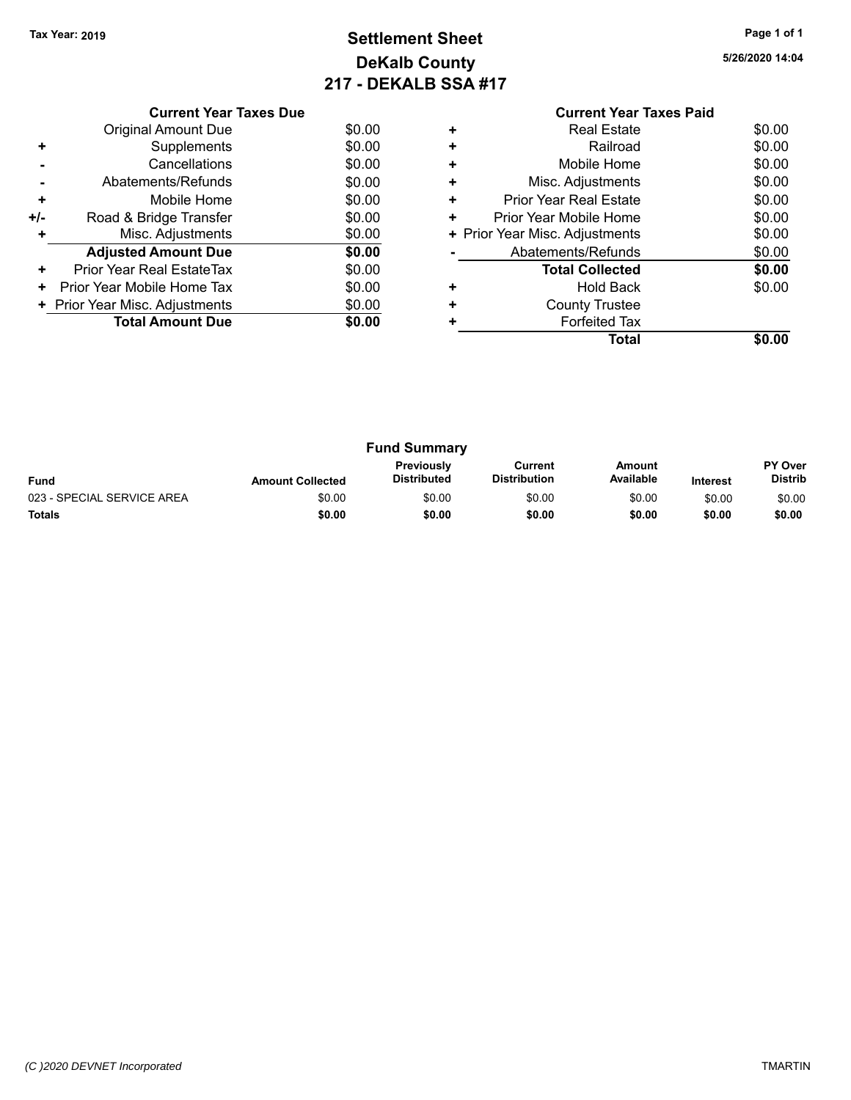### **Settlement Sheet Tax Year: 2019 Page 1 of 1 DeKalb County 217 - DEKALB SSA #17**

**5/26/2020 14:04**

|     | <b>Current Year Taxes Due</b>  |        |
|-----|--------------------------------|--------|
|     | <b>Original Amount Due</b>     | \$0.00 |
| ٠   | Supplements                    | \$0.00 |
|     | Cancellations                  | \$0.00 |
|     | Abatements/Refunds             | \$0.00 |
| ٠   | Mobile Home                    | \$0.00 |
| +/- | Road & Bridge Transfer         | \$0.00 |
|     | Misc. Adjustments              | \$0.00 |
|     | <b>Adjusted Amount Due</b>     | \$0.00 |
| ÷   | Prior Year Real EstateTax      | \$0.00 |
| ٠   | Prior Year Mobile Home Tax     | \$0.00 |
|     | + Prior Year Misc. Adjustments | \$0.00 |
|     | <b>Total Amount Due</b>        | \$0.00 |
|     |                                |        |

|   | <b>Real Estate</b>             | \$0.00 |
|---|--------------------------------|--------|
| ٠ | Railroad                       | \$0.00 |
| ÷ | Mobile Home                    | \$0.00 |
| ٠ | Misc. Adjustments              | \$0.00 |
| ٠ | Prior Year Real Estate         | \$0.00 |
| ٠ | Prior Year Mobile Home         | \$0.00 |
|   | + Prior Year Misc. Adjustments | \$0.00 |
|   | Abatements/Refunds             | \$0.00 |
|   | <b>Total Collected</b>         | \$0.00 |
| ٠ | <b>Hold Back</b>               | \$0.00 |
|   | <b>County Trustee</b>          |        |
|   | <b>Forfeited Tax</b>           |        |
|   | Total                          |        |

| <b>Fund Summary</b>        |                         |                                         |                                |                     |                 |                           |
|----------------------------|-------------------------|-----------------------------------------|--------------------------------|---------------------|-----------------|---------------------------|
| <b>Fund</b>                | <b>Amount Collected</b> | <b>Previously</b><br><b>Distributed</b> | Current<br><b>Distribution</b> | Amount<br>Available | <b>Interest</b> | PY Over<br><b>Distrib</b> |
| 023 - SPECIAL SERVICE AREA | \$0.00                  | \$0.00                                  | \$0.00                         | \$0.00              | \$0.00          | \$0.00                    |
| <b>Totals</b>              | \$0.00                  | \$0.00                                  | \$0.00                         | \$0.00              | \$0.00          | \$0.00                    |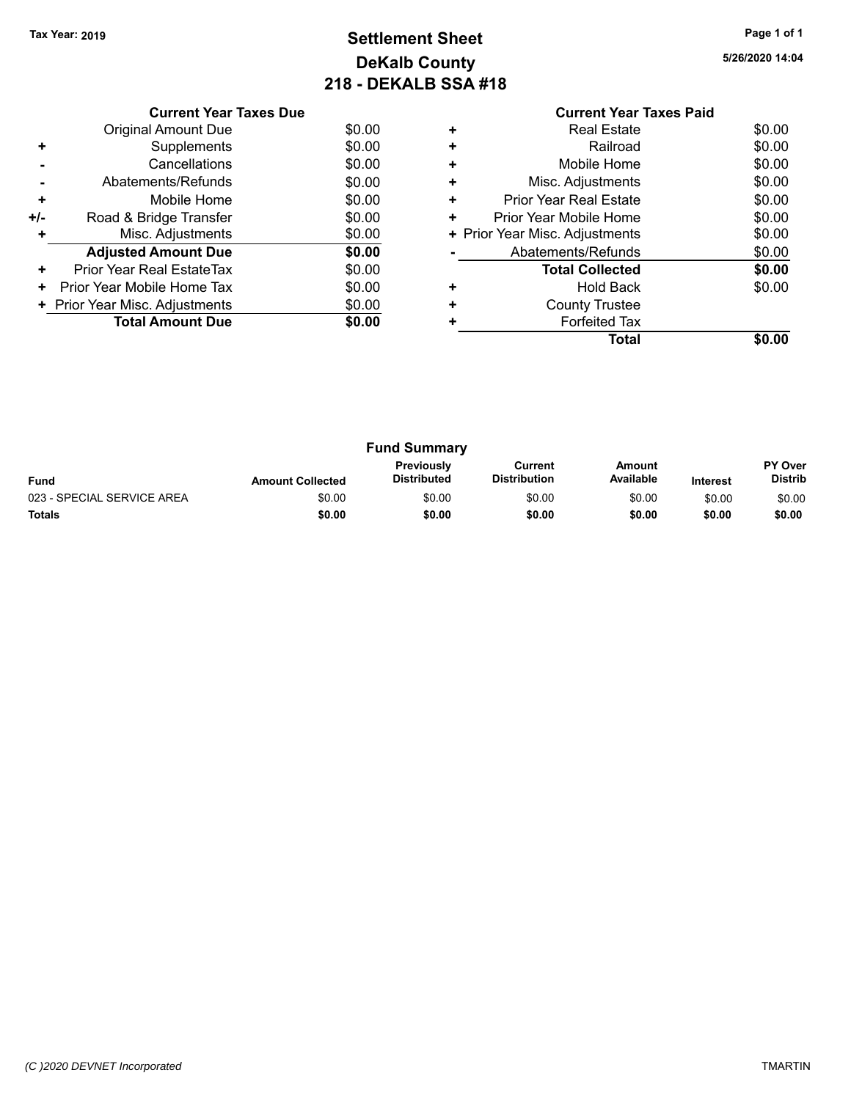### **Settlement Sheet Tax Year: 2019 Page 1 of 1 DeKalb County 218 - DEKALB SSA #18**

| 5/26/2020 14:04 |  |
|-----------------|--|
|-----------------|--|

|     | <b>Current Year Taxes Due</b>  |        |
|-----|--------------------------------|--------|
|     | Original Amount Due            | \$0.00 |
| ٠   | Supplements                    | \$0.00 |
|     | Cancellations                  | \$0.00 |
|     | Abatements/Refunds             | \$0.00 |
| ٠   | Mobile Home                    | \$0.00 |
| +/- | Road & Bridge Transfer         | \$0.00 |
|     | Misc. Adjustments              | \$0.00 |
|     | <b>Adjusted Amount Due</b>     | \$0.00 |
| ÷   | Prior Year Real EstateTax      | \$0.00 |
| ٠   | Prior Year Mobile Home Tax     | \$0.00 |
|     | + Prior Year Misc. Adjustments | \$0.00 |
|     | <b>Total Amount Due</b>        | \$0.00 |
|     |                                |        |

### **Current Year Taxes Paid +** Real Estate \$0.00 **+** Railroad \$0.00 **+** Mobile Home \$0.00 **+** Misc. Adjustments \$0.00

|   | Total                          | \$0.00 |
|---|--------------------------------|--------|
|   | <b>Forfeited Tax</b>           |        |
| ÷ | <b>County Trustee</b>          |        |
|   | <b>Hold Back</b>               | \$0.00 |
|   | <b>Total Collected</b>         | \$0.00 |
|   | Abatements/Refunds             | \$0.00 |
|   | + Prior Year Misc. Adjustments | \$0.00 |
| ÷ | Prior Year Mobile Home         | \$0.00 |
|   | <b>Prior Year Real Estate</b>  | \$0.00 |

| <b>Fund Summary</b>        |                         |                                  |                                |                     |                 |                                  |
|----------------------------|-------------------------|----------------------------------|--------------------------------|---------------------|-----------------|----------------------------------|
| <b>Fund</b>                | <b>Amount Collected</b> | Previously<br><b>Distributed</b> | Current<br><b>Distribution</b> | Amount<br>Available | <b>Interest</b> | <b>PY Over</b><br><b>Distrib</b> |
| 023 - SPECIAL SERVICE AREA | \$0.00                  | \$0.00                           | \$0.00                         | \$0.00              | \$0.00          | \$0.00                           |
| <b>Totals</b>              | \$0.00                  | \$0.00                           | \$0.00                         | \$0.00              | \$0.00          | \$0.00                           |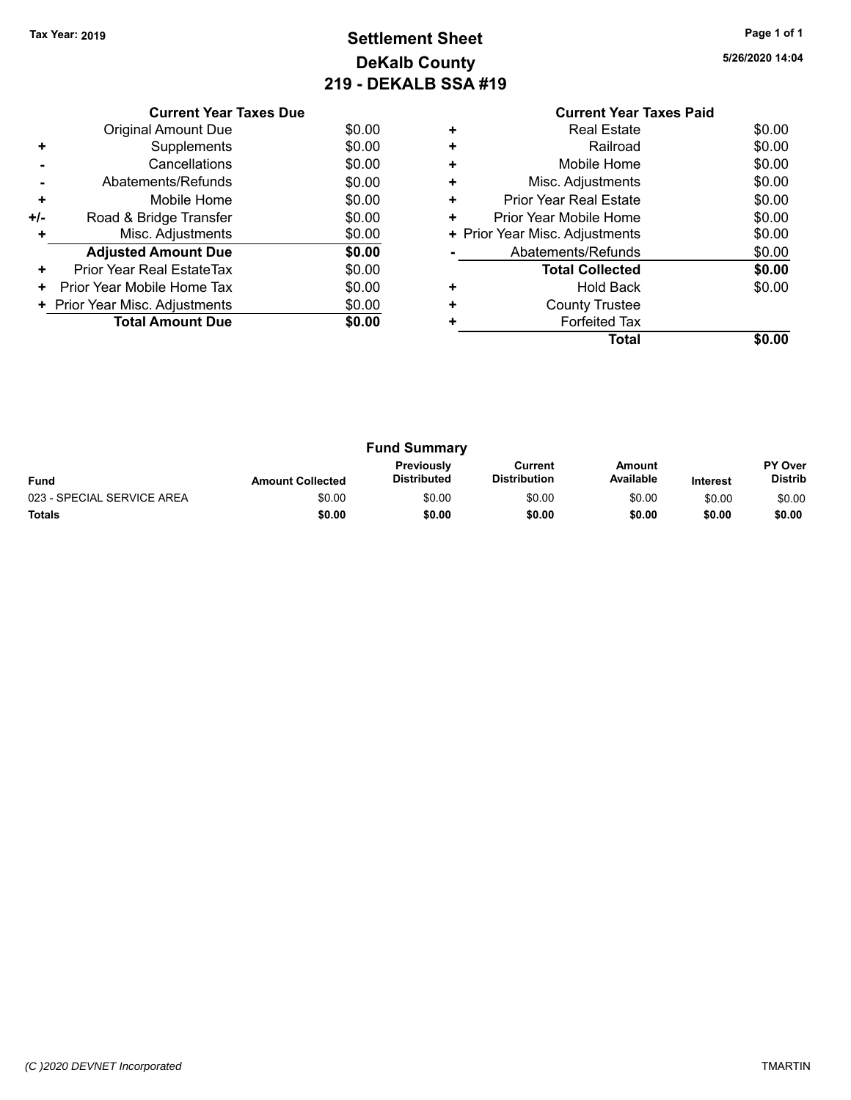### **Settlement Sheet Tax Year: 2019 Page 1 of 1 DeKalb County 219 - DEKALB SSA #19**

| 5/26/2020 14:04 |
|-----------------|
|-----------------|

|     | <b>Current Year Taxes Due</b>  |        |
|-----|--------------------------------|--------|
|     | Original Amount Due            | \$0.00 |
| ٠   | Supplements                    | \$0.00 |
|     | Cancellations                  | \$0.00 |
|     | Abatements/Refunds             | \$0.00 |
| ٠   | Mobile Home                    | \$0.00 |
| +/- | Road & Bridge Transfer         | \$0.00 |
| ٠   | Misc. Adjustments              | \$0.00 |
|     | <b>Adjusted Amount Due</b>     | \$0.00 |
| ٠   | Prior Year Real EstateTax      | \$0.00 |
| ٠   | Prior Year Mobile Home Tax     | \$0.00 |
|     | + Prior Year Misc. Adjustments | \$0.00 |
|     | <b>Total Amount Due</b>        | \$0.00 |
|     |                                |        |

#### **Current Year Taxes Paid +** Real Estate \$0.00 **+** Railroad **+** Mobile Home \$0.00 **+** Misc. Adjustments \$0.00 **+** Prior Year Real Estate \$0.00 **+** Prior Year Mobile Home \$0.00<br> **+** Prior Year Misc. Adjustments \$0.00 **+ Prior Year Misc. Adjustments -** Abatements/Refunds \$0.00 **Total Collected \$0.00 +** Hold Back \$0.00 **+** County Trustee **+** Forfeited Tax

**Total \$0.00**

**Fund Summary Fund Interest Amount Collected Distributed PY Over Distrib Amount Available Current Distribution Previously** 023 - SPECIAL SERVICE AREA  $$0.00$  \$0.00 \$0.00 \$0.00 \$0.00 \$0.00 \$0.00 \$0.00 **Totals \$0.00 \$0.00 \$0.00 \$0.00 \$0.00 \$0.00**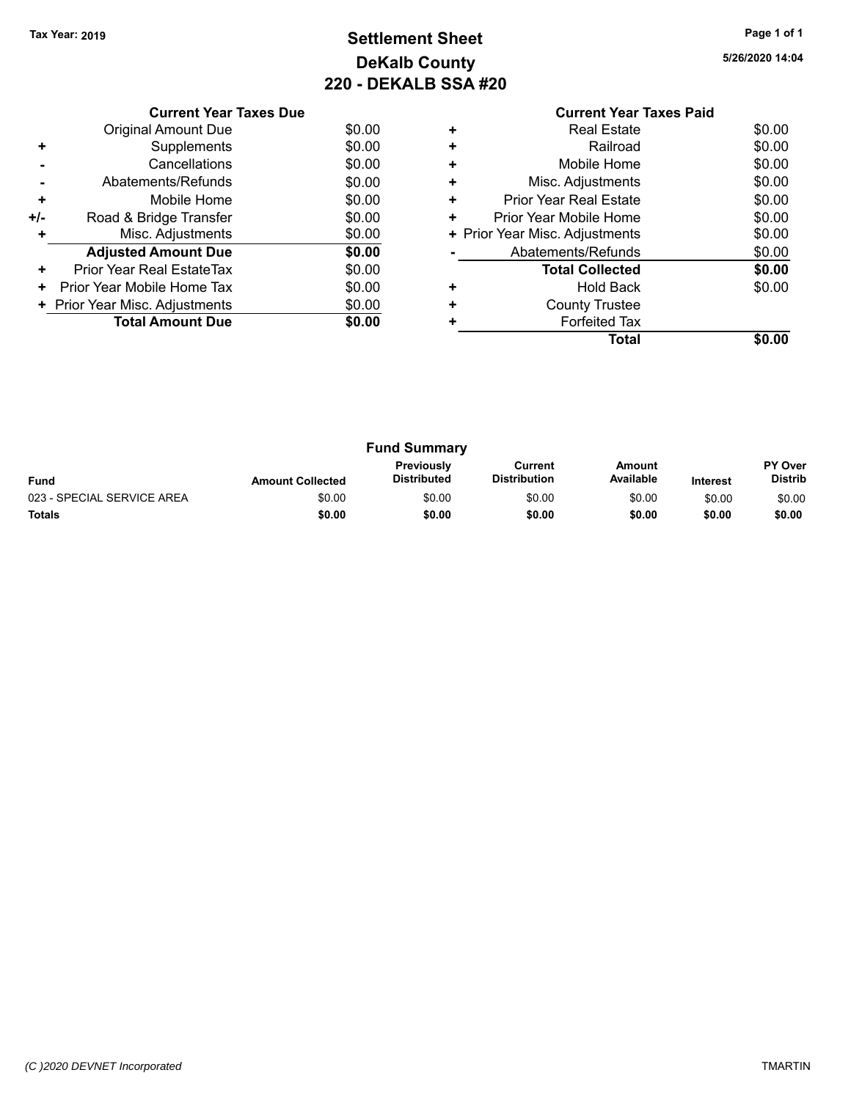### **Settlement Sheet Tax Year: 2019 Page 1 of 1 DeKalb County 220 - DEKALB SSA #20**

**5/26/2020 14:04**

|     | <b>Current Year Taxes Due</b>  |        |
|-----|--------------------------------|--------|
|     | <b>Original Amount Due</b>     | \$0.00 |
|     | Supplements                    | \$0.00 |
|     | Cancellations                  | \$0.00 |
|     | Abatements/Refunds             | \$0.00 |
| ÷   | Mobile Home                    | \$0.00 |
| +/- | Road & Bridge Transfer         | \$0.00 |
|     | Misc. Adjustments              | \$0.00 |
|     | <b>Adjusted Amount Due</b>     | \$0.00 |
| ٠   | Prior Year Real EstateTax      | \$0.00 |
| ٠   | Prior Year Mobile Home Tax     | \$0.00 |
|     | + Prior Year Misc. Adjustments | \$0.00 |
|     | <b>Total Amount Due</b>        | \$0.00 |
|     |                                |        |

|   | <b>Current Year Taxes Paid</b> |        |
|---|--------------------------------|--------|
|   | <b>Real Estate</b>             | \$0.00 |
| ÷ | Railroad                       | \$0.00 |
|   | Mobile Home                    | \$0.00 |
| ٠ | Misc. Adjustments              | \$0.00 |
|   | <b>Prior Year Real Estate</b>  | \$0.00 |
|   | Prior Year Mobile Home         | \$0.00 |
|   | + Prior Year Misc. Adjustments | \$0.00 |
|   | Abatements/Refunds             | \$0.00 |
|   | <b>Total Collected</b>         | \$0.00 |
|   | Hold Back                      | \$0.00 |
|   | <b>County Trustee</b>          |        |
|   | <b>Forfeited Tax</b>           |        |
|   | Total                          |        |
|   |                                |        |

| <b>Fund Summary</b>        |                         |                                  |                                |                     |                 |                           |
|----------------------------|-------------------------|----------------------------------|--------------------------------|---------------------|-----------------|---------------------------|
| <b>Fund</b>                | <b>Amount Collected</b> | <b>Previously</b><br>Distributed | Current<br><b>Distribution</b> | Amount<br>Available | <b>Interest</b> | <b>PY Over</b><br>Distrib |
| 023 - SPECIAL SERVICE AREA | \$0.00                  | \$0.00                           | \$0.00                         | \$0.00              | \$0.00          | \$0.00                    |
| <b>Totals</b>              | \$0.00                  | \$0.00                           | \$0.00                         | \$0.00              | \$0.00          | \$0.00                    |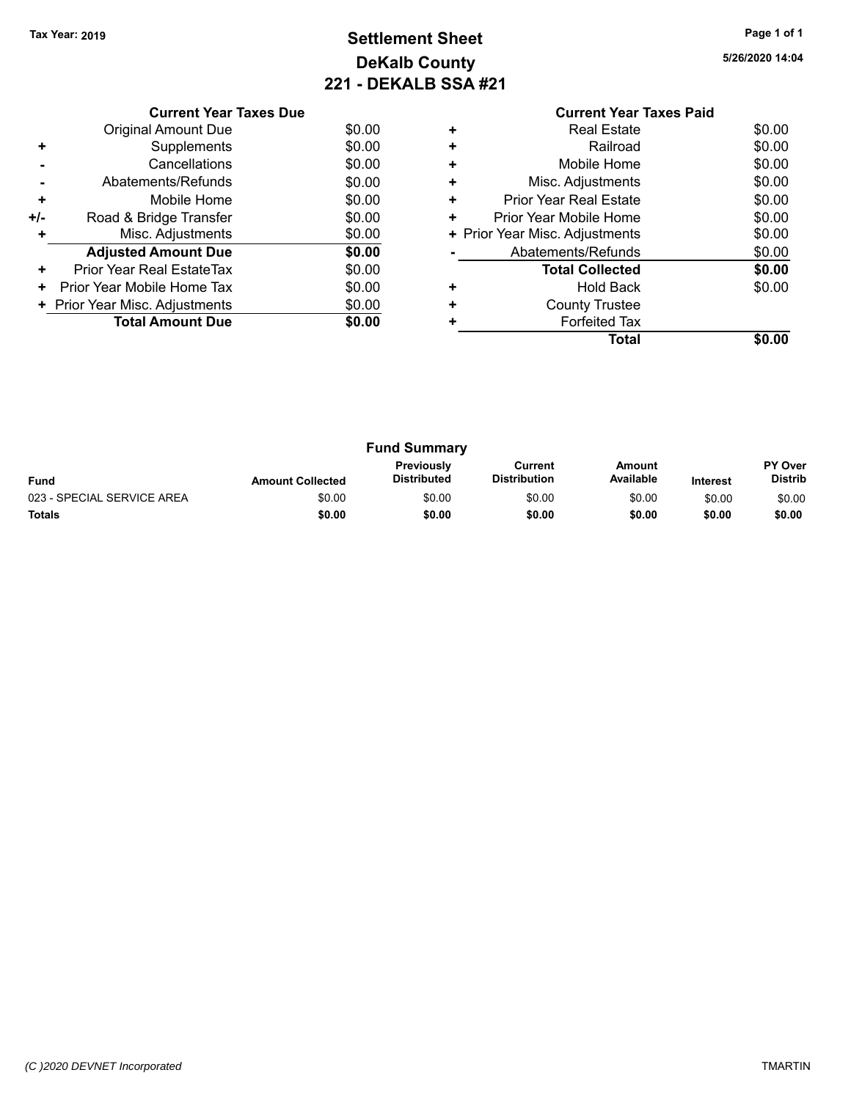### **Settlement Sheet Tax Year: 2019 Page 1 of 1 DeKalb County 221 - DEKALB SSA #21**

**5/26/2020 14:04**

|       | <b>Current Year Taxes Due</b>  |        |
|-------|--------------------------------|--------|
|       | <b>Original Amount Due</b>     | \$0.00 |
|       | Supplements                    | \$0.00 |
|       | Cancellations                  | \$0.00 |
|       | Abatements/Refunds             | \$0.00 |
| ٠     | Mobile Home                    | \$0.00 |
| $+/-$ | Road & Bridge Transfer         | \$0.00 |
| ÷     | Misc. Adjustments              | \$0.00 |
|       | <b>Adjusted Amount Due</b>     | \$0.00 |
| ٠     | Prior Year Real EstateTax      | \$0.00 |
| ٠     | Prior Year Mobile Home Tax     | \$0.00 |
|       | + Prior Year Misc. Adjustments | \$0.00 |
|       | <b>Total Amount Due</b>        | \$0.00 |
|       |                                |        |

#### **Current Year Taxes Paid +** Real Estate \$0.00 **+** Railroad \$0.00 **+** Mobile Home \$0.00 **+** Misc. Adjustments \$0.00 **+** Prior Year Real Estate \$0.00 **+** Prior Year Mobile Home \$0.00<br> **+** Prior Year Misc. Adjustments \$0.00 **+ Prior Year Misc. Adjustments -** Abatements/Refunds \$0.00 **Total Collected \$0.00 +** Hold Back \$0.00 **+** County Trustee **+** Forfeited Tax **Total \$0.00**

| <b>Fund Summary</b>                                                                                                                                           |        |        |        |        |        |                           |
|---------------------------------------------------------------------------------------------------------------------------------------------------------------|--------|--------|--------|--------|--------|---------------------------|
| <b>Previously</b><br>Amount<br>Current<br>Available<br><b>Distribution</b><br><b>Distributed</b><br><b>Fund</b><br><b>Amount Collected</b><br><b>Interest</b> |        |        |        |        |        | PY Over<br><b>Distrib</b> |
| 023 - SPECIAL SERVICE AREA                                                                                                                                    | \$0.00 | \$0.00 | \$0.00 | \$0.00 | \$0.00 | \$0.00                    |
| <b>Totals</b>                                                                                                                                                 | \$0.00 | \$0.00 | \$0.00 | \$0.00 | \$0.00 | \$0.00                    |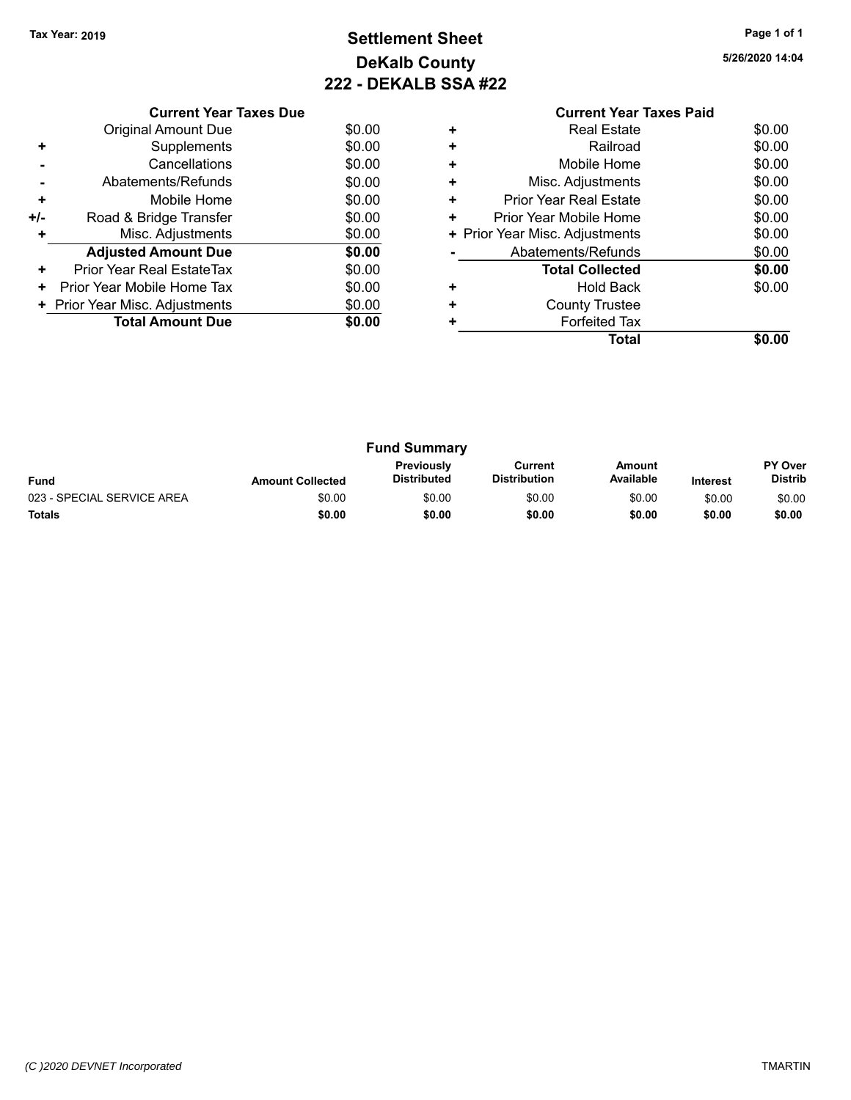### **Settlement Sheet Tax Year: 2019 Page 1 of 1 DeKalb County 222 - DEKALB SSA #22**

**5/26/2020 14:04**

|     | <b>Current Year Taxes Due</b>  |        |
|-----|--------------------------------|--------|
|     | <b>Original Amount Due</b>     | \$0.00 |
| ٠   | Supplements                    | \$0.00 |
|     | Cancellations                  | \$0.00 |
|     | Abatements/Refunds             | \$0.00 |
| ٠   | Mobile Home                    | \$0.00 |
| +/- | Road & Bridge Transfer         | \$0.00 |
|     | Misc. Adjustments              | \$0.00 |
|     | <b>Adjusted Amount Due</b>     | \$0.00 |
| ÷   | Prior Year Real EstateTax      | \$0.00 |
| ٠   | Prior Year Mobile Home Tax     | \$0.00 |
|     | + Prior Year Misc. Adjustments | \$0.00 |
|     | <b>Total Amount Due</b>        | \$0.00 |
|     |                                |        |

|   | <b>Current Year Taxes Paid</b> |        |
|---|--------------------------------|--------|
| ٠ | <b>Real Estate</b>             | \$0.00 |
| ٠ | Railroad                       | \$0.00 |
| ٠ | Mobile Home                    | \$0.00 |
| ٠ | Misc. Adjustments              | \$0.00 |
| ٠ | <b>Prior Year Real Estate</b>  | \$0.00 |
| ٠ | Prior Year Mobile Home         | \$0.00 |
|   | + Prior Year Misc. Adjustments | \$0.00 |
|   | Abatements/Refunds             | \$0.00 |
|   | <b>Total Collected</b>         | \$0.00 |
|   | Hold Back                      | \$0.00 |
| ٠ | <b>County Trustee</b>          |        |
|   | <b>Forfeited Tax</b>           |        |
|   | Total                          | \$0.00 |
|   |                                |        |

| <b>Fund Summary</b>        |                         |                                         |                                |                     |                 |                           |
|----------------------------|-------------------------|-----------------------------------------|--------------------------------|---------------------|-----------------|---------------------------|
| <b>Fund</b>                | <b>Amount Collected</b> | <b>Previously</b><br><b>Distributed</b> | Current<br><b>Distribution</b> | Amount<br>Available | <b>Interest</b> | PY Over<br><b>Distrib</b> |
| 023 - SPECIAL SERVICE AREA | \$0.00                  | \$0.00                                  | \$0.00                         | \$0.00              | \$0.00          | \$0.00                    |
| <b>Totals</b>              | \$0.00                  | \$0.00                                  | \$0.00                         | \$0.00              | \$0.00          | \$0.00                    |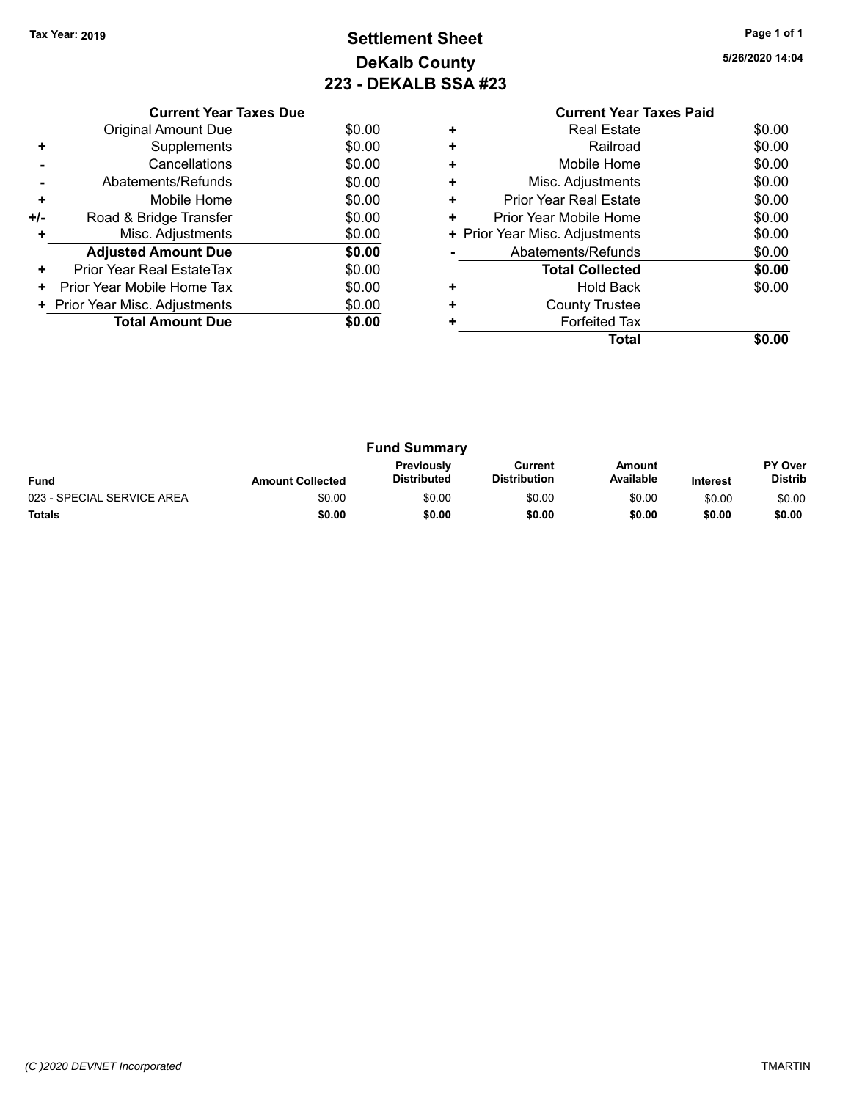### **Settlement Sheet Tax Year: 2019 Page 1 of 1 DeKalb County 223 - DEKALB SSA #23**

**5/26/2020 14:04**

|       | <b>Current Year Taxes Due</b>  |        |  |  |  |
|-------|--------------------------------|--------|--|--|--|
|       | <b>Original Amount Due</b>     | \$0.00 |  |  |  |
| ÷     | Supplements                    | \$0.00 |  |  |  |
|       | Cancellations                  | \$0.00 |  |  |  |
|       | Abatements/Refunds             | \$0.00 |  |  |  |
| ٠     | Mobile Home                    | \$0.00 |  |  |  |
| $+/-$ | Road & Bridge Transfer         | \$0.00 |  |  |  |
| ٠     | Misc. Adjustments              | \$0.00 |  |  |  |
|       | <b>Adjusted Amount Due</b>     | \$0.00 |  |  |  |
| ٠     | Prior Year Real EstateTax      | \$0.00 |  |  |  |
| ٠     | Prior Year Mobile Home Tax     | \$0.00 |  |  |  |
|       | + Prior Year Misc. Adjustments | \$0.00 |  |  |  |
|       | <b>Total Amount Due</b>        | \$0.00 |  |  |  |
|       |                                |        |  |  |  |

#### **Current Year Taxes Paid +** Real Estate \$0.00 **+** Railroad **+** Mobile Home \$0.00 **+** Misc. Adjustments \$0.00 **+** Prior Year Real Estate \$0.00 **+** Prior Year Mobile Home \$0.00<br> **+** Prior Year Misc. Adjustments \$0.00 **+ Prior Year Misc. Adjustments -** Abatements/Refunds \$0.00 **Total Collected \$0.00 +** Hold Back \$0.00 **+** County Trustee **+** Forfeited Tax **Total \$0.00**

| <b>Fund Summary</b>        |                         |                                         |                                |                     |                 |                                  |
|----------------------------|-------------------------|-----------------------------------------|--------------------------------|---------------------|-----------------|----------------------------------|
| <b>Fund</b>                | <b>Amount Collected</b> | <b>Previously</b><br><b>Distributed</b> | Current<br><b>Distribution</b> | Amount<br>Available | <b>Interest</b> | <b>PY Over</b><br><b>Distrib</b> |
| 023 - SPECIAL SERVICE AREA | \$0.00                  | \$0.00                                  | \$0.00                         | \$0.00              | \$0.00          | \$0.00                           |
| <b>Totals</b>              | \$0.00                  | \$0.00                                  | \$0.00                         | \$0.00              | \$0.00          | \$0.00                           |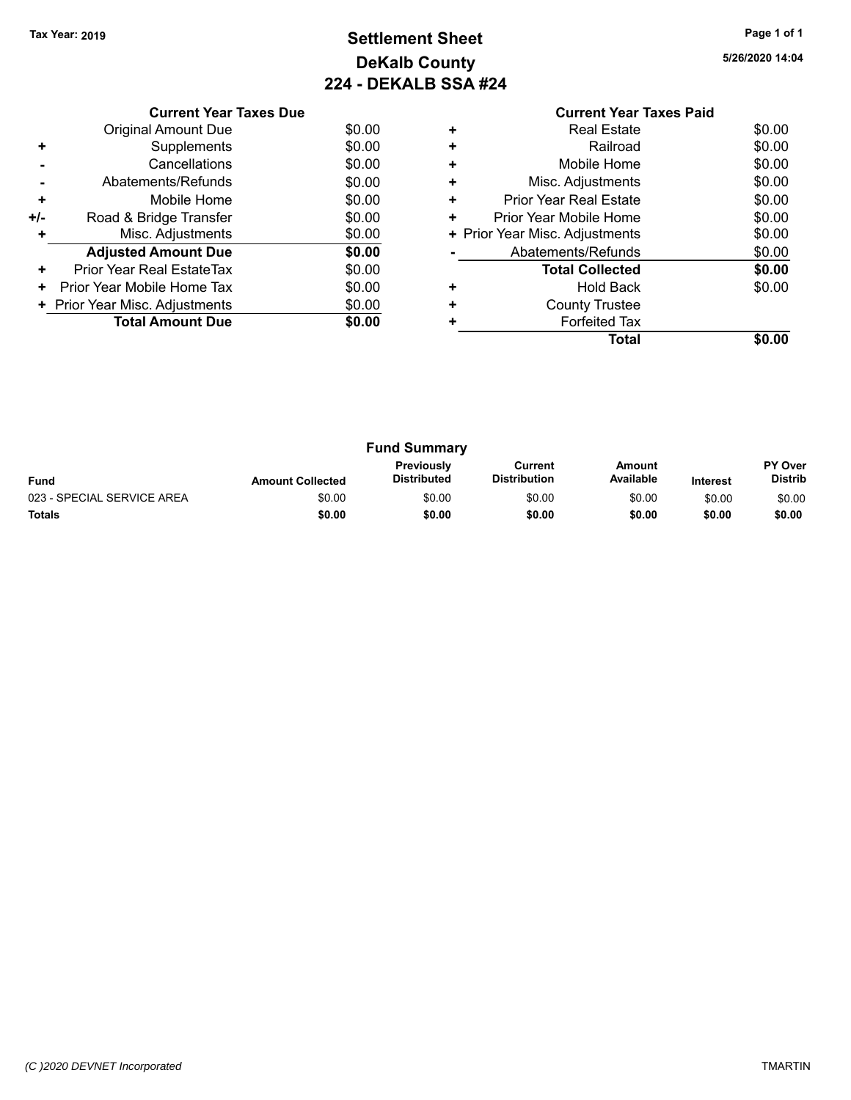### **Settlement Sheet Tax Year: 2019 Page 1 of 1 DeKalb County 224 - DEKALB SSA #24**

**5/26/2020 14:04**

|     | <b>Current Year Taxes Due</b>  |        |
|-----|--------------------------------|--------|
|     | <b>Original Amount Due</b>     | \$0.00 |
| ٠   | Supplements                    | \$0.00 |
|     | Cancellations                  | \$0.00 |
|     | Abatements/Refunds             | \$0.00 |
| ٠   | Mobile Home                    | \$0.00 |
| +/- | Road & Bridge Transfer         | \$0.00 |
|     | Misc. Adjustments              | \$0.00 |
|     | <b>Adjusted Amount Due</b>     | \$0.00 |
| ٠   | Prior Year Real EstateTax      | \$0.00 |
| ٠   | Prior Year Mobile Home Tax     | \$0.00 |
|     | + Prior Year Misc. Adjustments | \$0.00 |
|     | <b>Total Amount Due</b>        | \$0.00 |
|     |                                |        |

#### **Current Year Taxes Paid +** Real Estate \$0.00 **+** Railroad **+** Mobile Home \$0.00 **+** Misc. Adjustments \$0.00 **+** Prior Year Real Estate \$0.00 **+** Prior Year Mobile Home \$0.00<br> **+** Prior Year Misc. Adjustments \$0.00 **+ Prior Year Misc. Adjustments -** Abatements/Refunds \$0.00 **Total Collected \$0.00 +** Hold Back \$0.00 **+** County Trustee **+** Forfeited Tax **Total \$0.00**

| <b>Fund Summary</b>        |                         |                                         |                                |                     |                 |                           |
|----------------------------|-------------------------|-----------------------------------------|--------------------------------|---------------------|-----------------|---------------------------|
| <b>Fund</b>                | <b>Amount Collected</b> | <b>Previously</b><br><b>Distributed</b> | Current<br><b>Distribution</b> | Amount<br>Available | <b>Interest</b> | PY Over<br><b>Distrib</b> |
| 023 - SPECIAL SERVICE AREA | \$0.00                  | \$0.00                                  | \$0.00                         | \$0.00              | \$0.00          | \$0.00                    |
| <b>Totals</b>              | \$0.00                  | \$0.00                                  | \$0.00                         | \$0.00              | \$0.00          | \$0.00                    |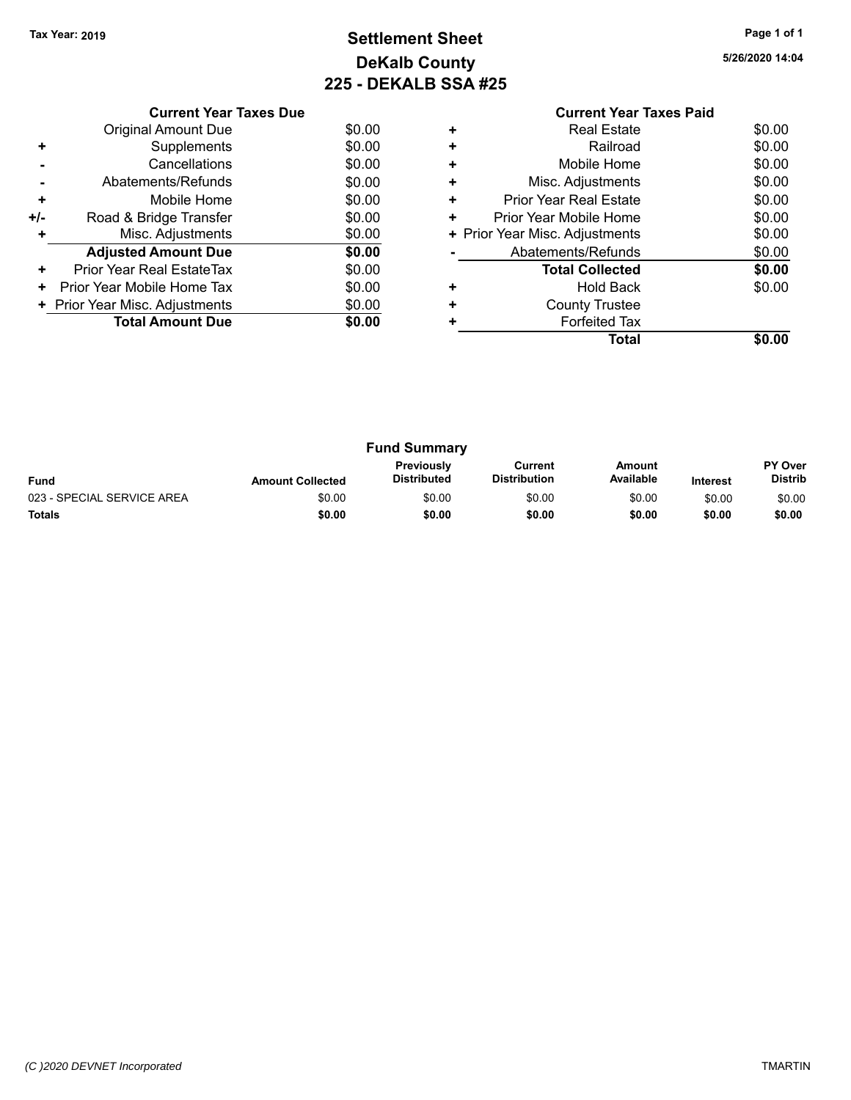### **Settlement Sheet Tax Year: 2019 Page 1 of 1 DeKalb County 225 - DEKALB SSA #25**

**5/26/2020 14:04**

**Total \$0.00**

|     | <b>Current Year Taxes Due</b>  |        |
|-----|--------------------------------|--------|
|     | Original Amount Due            | \$0.00 |
| ٠   | Supplements                    | \$0.00 |
|     | Cancellations                  | \$0.00 |
|     | Abatements/Refunds             | \$0.00 |
| ٠   | Mobile Home                    | \$0.00 |
| +/- | Road & Bridge Transfer         | \$0.00 |
| ٠   | Misc. Adjustments              | \$0.00 |
|     | <b>Adjusted Amount Due</b>     | \$0.00 |
| ٠   | Prior Year Real EstateTax      | \$0.00 |
| ٠   | Prior Year Mobile Home Tax     | \$0.00 |
|     | + Prior Year Misc. Adjustments | \$0.00 |
|     | <b>Total Amount Due</b>        | \$0.00 |
|     |                                |        |

#### **Current Year Taxes Paid +** Real Estate \$0.00 **+** Railroad **+** Mobile Home \$0.00 **+** Misc. Adjustments \$0.00 **+** Prior Year Real Estate \$0.00 **+** Prior Year Mobile Home \$0.00<br> **+** Prior Year Misc. Adjustments \$0.00 **+ Prior Year Misc. Adjustments -** Abatements/Refunds \$0.00 **Total Collected \$0.00 +** Hold Back \$0.00 **+** County Trustee

**+** Forfeited Tax

| <b>Fund Summary</b>        |                         |                                  |                                |                     |                 |                                  |
|----------------------------|-------------------------|----------------------------------|--------------------------------|---------------------|-----------------|----------------------------------|
| <b>Fund</b>                | <b>Amount Collected</b> | <b>Previously</b><br>Distributed | Current<br><b>Distribution</b> | Amount<br>Available | <b>Interest</b> | <b>PY Over</b><br><b>Distrib</b> |
| 023 - SPECIAL SERVICE AREA | \$0.00                  | \$0.00                           | \$0.00                         | \$0.00              | \$0.00          | \$0.00                           |
| <b>Totals</b>              | \$0.00                  | \$0.00                           | \$0.00                         | \$0.00              | \$0.00          | \$0.00                           |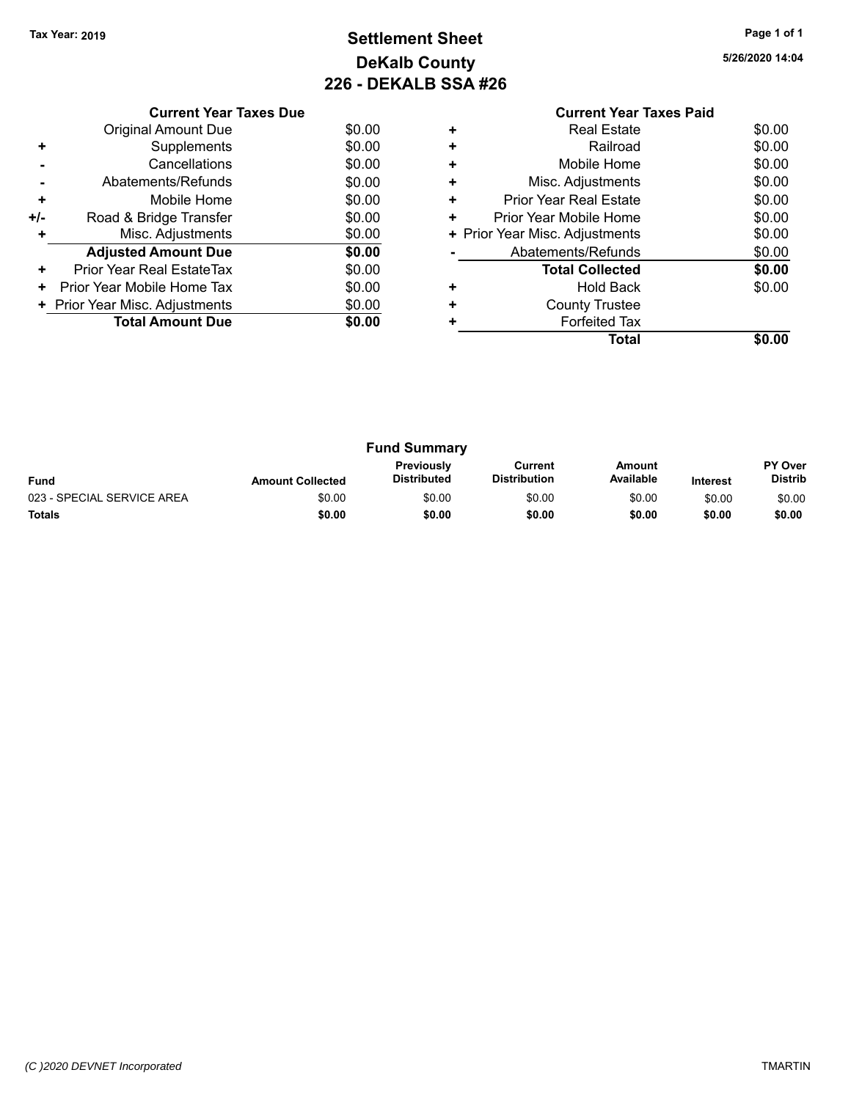### **Settlement Sheet Tax Year: 2019 Page 1 of 1 DeKalb County 226 - DEKALB SSA #26**

**5/26/2020 14:04**

\$0.00

|     | <b>Current Year Taxes Due</b>  |        |
|-----|--------------------------------|--------|
|     | <b>Original Amount Due</b>     | \$0.00 |
| ٠   | Supplements                    | \$0.00 |
|     | Cancellations                  | \$0.00 |
|     | Abatements/Refunds             | \$0.00 |
| ٠   | Mobile Home                    | \$0.00 |
| +/- | Road & Bridge Transfer         | \$0.00 |
| ÷   | Misc. Adjustments              | \$0.00 |
|     | <b>Adjusted Amount Due</b>     | \$0.00 |
| ٠   | Prior Year Real EstateTax      | \$0.00 |
| ٠   | Prior Year Mobile Home Tax     | \$0.00 |
|     | + Prior Year Misc. Adjustments | \$0.00 |
|     | <b>Total Amount Due</b>        | \$0.00 |
|     |                                |        |

#### **Current Year Taxes Paid +** Real Estate \$0.00 **+** Railroad **+** Mobile Home \$0.00 **+** Misc. Adjustments \$0.00 **+** Prior Year Real Estate \$0.00 **+** Prior Year Mobile Home \$0.00<br> **+** Prior Year Misc. Adjustments \$0.00 **+ Prior Year Misc. Adjustments -** Abatements/Refunds \$0.00 **Total Collected \$0.00**

**+** Hold Back \$0.00

| ٠ | <b>County Trustee</b> |  |
|---|-----------------------|--|
| ÷ | <b>Forfeited Tax</b>  |  |
|   | <b>Total</b>          |  |

| <b>Fund Summary</b>        |                         |                                  |                                |                     |                 |                                  |
|----------------------------|-------------------------|----------------------------------|--------------------------------|---------------------|-----------------|----------------------------------|
| <b>Fund</b>                | <b>Amount Collected</b> | Previously<br><b>Distributed</b> | Current<br><b>Distribution</b> | Amount<br>Available | <b>Interest</b> | <b>PY Over</b><br><b>Distrib</b> |
| 023 - SPECIAL SERVICE AREA | \$0.00                  | \$0.00                           | \$0.00                         | \$0.00              | \$0.00          | \$0.00                           |
| <b>Totals</b>              | \$0.00                  | \$0.00                           | \$0.00                         | \$0.00              | \$0.00          | \$0.00                           |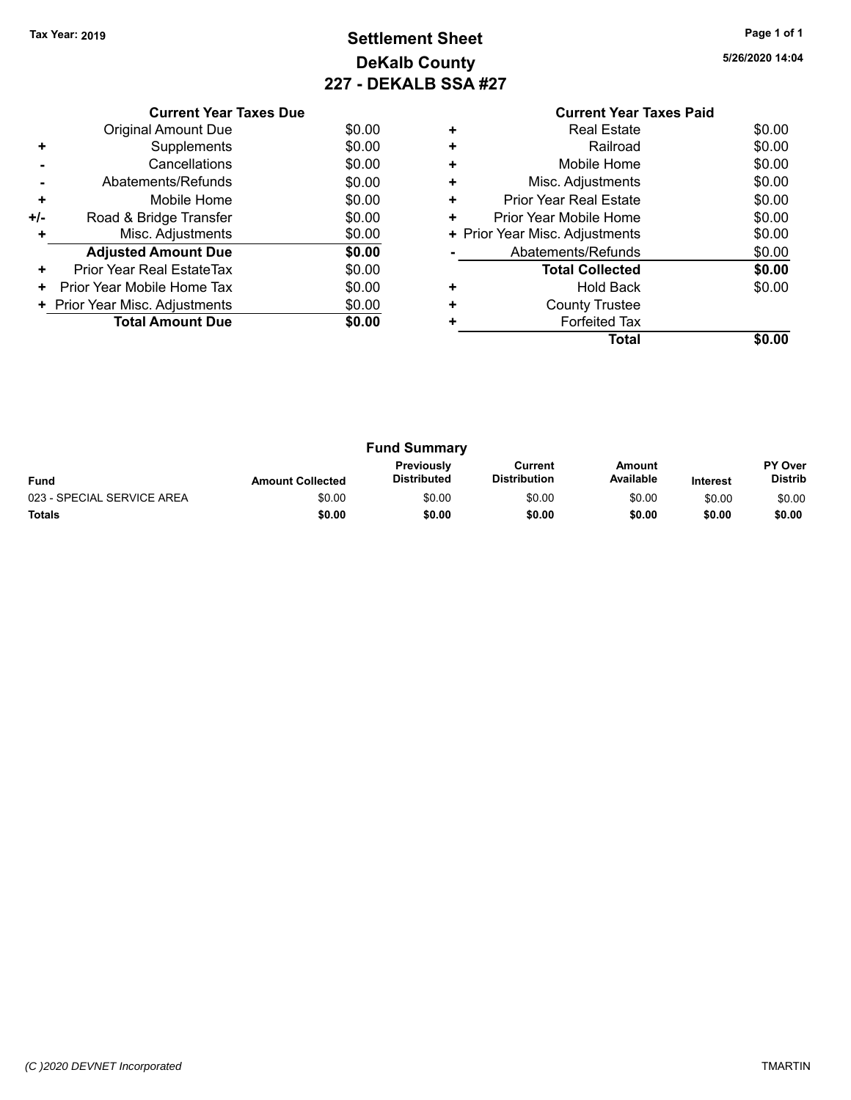### **Settlement Sheet Tax Year: 2019 Page 1 of 1 DeKalb County 227 - DEKALB SSA #27**

**5/26/2020 14:04**

|     | <b>Current Year Taxes Due</b>  |        |
|-----|--------------------------------|--------|
|     | <b>Original Amount Due</b>     | \$0.00 |
| ٠   | Supplements                    | \$0.00 |
|     | Cancellations                  | \$0.00 |
|     | Abatements/Refunds             | \$0.00 |
| ٠   | Mobile Home                    | \$0.00 |
| +/- | Road & Bridge Transfer         | \$0.00 |
|     | Misc. Adjustments              | \$0.00 |
|     | <b>Adjusted Amount Due</b>     | \$0.00 |
| ٠   | Prior Year Real EstateTax      | \$0.00 |
| ٠   | Prior Year Mobile Home Tax     | \$0.00 |
|     | + Prior Year Misc. Adjustments | \$0.00 |
|     | <b>Total Amount Due</b>        | \$0.00 |
|     |                                |        |

#### **Current Year Taxes Paid +** Real Estate \$0.00 **+** Railroad **+** Mobile Home \$0.00 **+** Misc. Adjustments \$0.00 **+** Prior Year Real Estate \$0.00 **+** Prior Year Mobile Home \$0.00<br> **+** Prior Year Misc. Adjustments \$0.00 **+ Prior Year Misc. Adjustments -** Abatements/Refunds \$0.00 **Total Collected \$0.00 +** Hold Back \$0.00 **+** County Trustee **+** Forfeited Tax **Total \$0.00**

| <b>Fund Summary</b>        |                         |                                         |                                |                     |                 |                                  |
|----------------------------|-------------------------|-----------------------------------------|--------------------------------|---------------------|-----------------|----------------------------------|
| <b>Fund</b>                | <b>Amount Collected</b> | <b>Previously</b><br><b>Distributed</b> | Current<br><b>Distribution</b> | Amount<br>Available | <b>Interest</b> | <b>PY Over</b><br><b>Distrib</b> |
| 023 - SPECIAL SERVICE AREA | \$0.00                  | \$0.00                                  | \$0.00                         | \$0.00              | \$0.00          | \$0.00                           |
| <b>Totals</b>              | \$0.00                  | \$0.00                                  | \$0.00                         | \$0.00              | \$0.00          | \$0.00                           |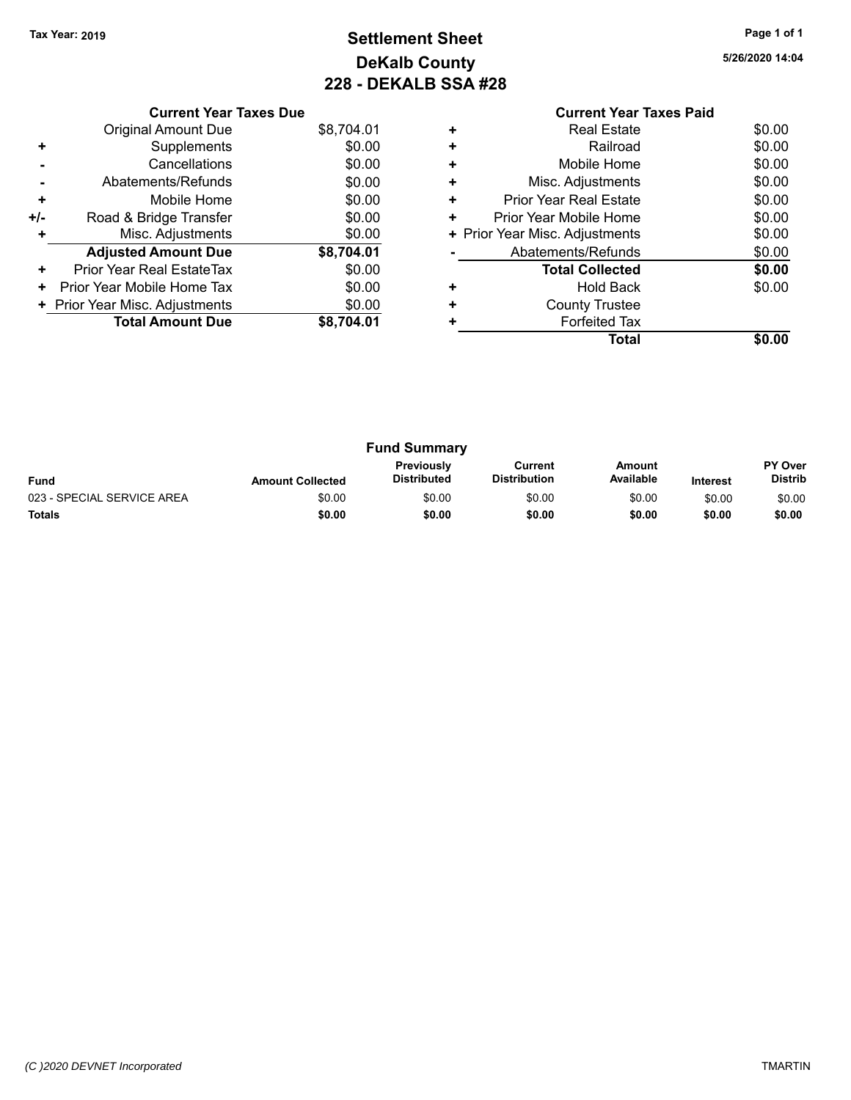### **Settlement Sheet Tax Year: 2019 Page 1 of 1 DeKalb County 228 - DEKALB SSA #28**

**5/26/2020 14:04**

|                      | <b>Current Year Taxes Paid</b> |        |
|----------------------|--------------------------------|--------|
| $\ddot{\phantom{1}}$ | Real Estate                    | \$0.00 |
| $\ddot{}$            | Railroad                       | \$0.00 |
| $\ddot{}$            | Mobile Home                    | \$0.00 |
| $\ddot{}$            | Misc. Adjustments              | \$0.00 |
|                      | Driar Voor Daal Estata         | ሶስ ሰሰ  |

|     | <b>Current Year Taxes Due</b>  |            |
|-----|--------------------------------|------------|
|     | <b>Original Amount Due</b>     | \$8,704.01 |
| ٠   | Supplements                    | \$0.00     |
|     | Cancellations                  | \$0.00     |
|     | Abatements/Refunds             | \$0.00     |
| ٠   | Mobile Home                    | \$0.00     |
| +/- | Road & Bridge Transfer         | \$0.00     |
|     | Misc. Adjustments              | \$0.00     |
|     | <b>Adjusted Amount Due</b>     | \$8,704.01 |
| ٠   | Prior Year Real EstateTax      | \$0.00     |
| ٠   | Prior Year Mobile Home Tax     | \$0.00     |
|     | + Prior Year Misc. Adjustments | \$0.00     |
|     | <b>Total Amount Due</b>        | \$8,704.01 |
|     |                                |            |

| ÷ | Mobile Home                    | \$0.00 |
|---|--------------------------------|--------|
| ÷ | Misc. Adjustments              | \$0.00 |
| ÷ | <b>Prior Year Real Estate</b>  | \$0.00 |
| ÷ | Prior Year Mobile Home         | \$0.00 |
|   | + Prior Year Misc. Adjustments | \$0.00 |
|   | Abatements/Refunds             | \$0.00 |
|   | <b>Total Collected</b>         | \$0.00 |
| ÷ | <b>Hold Back</b>               | \$0.00 |
| ÷ | <b>County Trustee</b>          |        |
| ÷ | <b>Forfeited Tax</b>           |        |
|   | Total                          |        |

| <b>Fund Summary</b>        |                         |                                         |                                |                     |                 |                                  |
|----------------------------|-------------------------|-----------------------------------------|--------------------------------|---------------------|-----------------|----------------------------------|
| <b>Fund</b>                | <b>Amount Collected</b> | <b>Previously</b><br><b>Distributed</b> | Current<br><b>Distribution</b> | Amount<br>Available | <b>Interest</b> | <b>PY Over</b><br><b>Distrib</b> |
| 023 - SPECIAL SERVICE AREA | \$0.00                  | \$0.00                                  | \$0.00                         | \$0.00              | \$0.00          | \$0.00                           |
| <b>Totals</b>              | \$0.00                  | \$0.00                                  | \$0.00                         | \$0.00              | \$0.00          | \$0.00                           |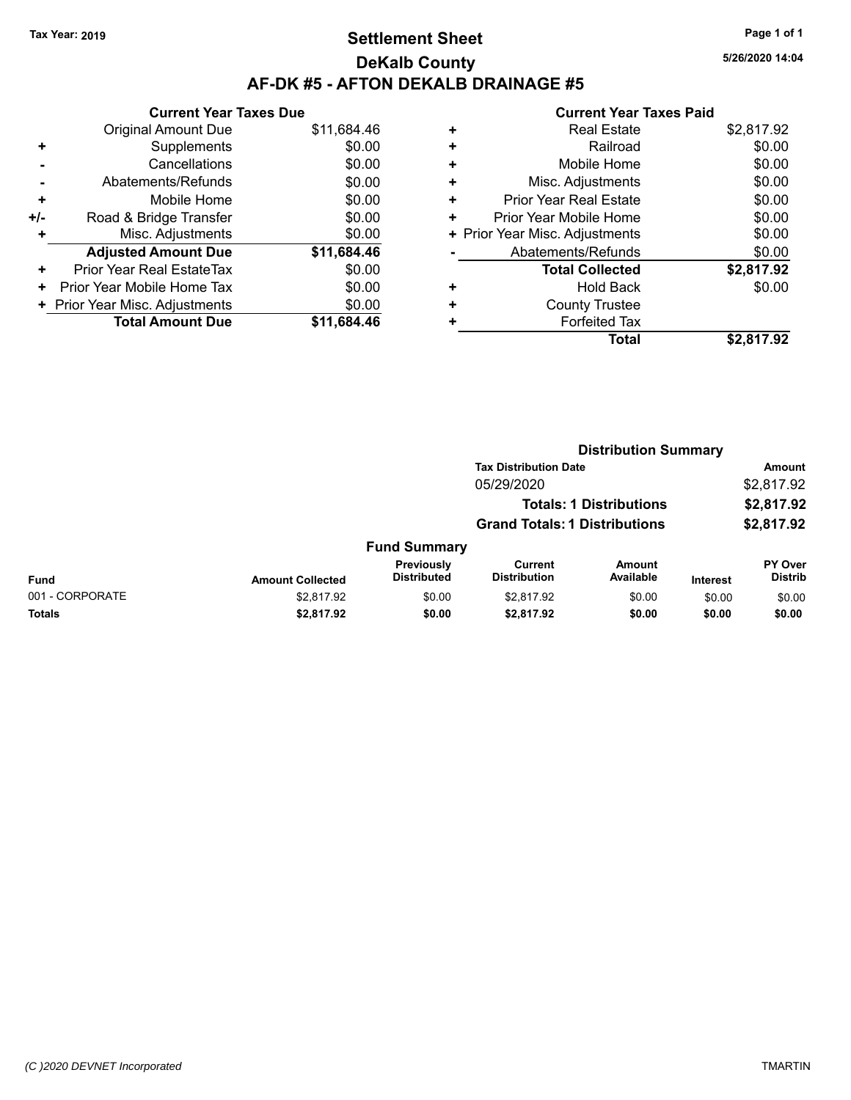### **Settlement Sheet Tax Year: 2019 Page 1 of 1 DeKalb County AF-DK #5 - AFTON DEKALB DRAINAGE #5**

|     | <b>Current Year Taxes Due</b>  |             |
|-----|--------------------------------|-------------|
|     | <b>Original Amount Due</b>     | \$11,684.46 |
|     | Supplements                    | \$0.00      |
|     | Cancellations                  | \$0.00      |
|     | Abatements/Refunds             | \$0.00      |
| ٠   | Mobile Home                    | \$0.00      |
| +/- | Road & Bridge Transfer         | \$0.00      |
| ٠   | Misc. Adjustments              | \$0.00      |
|     | <b>Adjusted Amount Due</b>     | \$11,684.46 |
| ÷   | Prior Year Real EstateTax      | \$0.00      |
| ٠   | Prior Year Mobile Home Tax     | \$0.00      |
|     | + Prior Year Misc. Adjustments | \$0.00      |
|     | <b>Total Amount Due</b>        | \$11.684.46 |
|     |                                |             |

|   | <b>Current Year Taxes Paid</b> |            |
|---|--------------------------------|------------|
| ٠ | <b>Real Estate</b>             | \$2,817.92 |
| ٠ | Railroad                       | \$0.00     |
| ٠ | Mobile Home                    | \$0.00     |
|   | Misc. Adjustments              | \$0.00     |
| ٠ | <b>Prior Year Real Estate</b>  | \$0.00     |
| ٠ | Prior Year Mobile Home         | \$0.00     |
|   | + Prior Year Misc. Adjustments | \$0.00     |
|   | Abatements/Refunds             | \$0.00     |
|   | <b>Total Collected</b>         | \$2,817.92 |
|   | Hold Back                      | \$0.00     |
|   | <b>County Trustee</b>          |            |
|   | <b>Forfeited Tax</b>           |            |
|   | Total                          | \$2.817.92 |

|                 |                         |                                  |                                       | <b>Distribution Summary</b>    |                 |                           |
|-----------------|-------------------------|----------------------------------|---------------------------------------|--------------------------------|-----------------|---------------------------|
|                 |                         |                                  | <b>Tax Distribution Date</b>          |                                |                 | <b>Amount</b>             |
|                 |                         |                                  | 05/29/2020                            |                                |                 | \$2,817.92                |
|                 |                         |                                  |                                       | <b>Totals: 1 Distributions</b> |                 | \$2,817.92                |
|                 |                         |                                  | <b>Grand Totals: 1 Distributions</b>  |                                |                 | \$2,817.92                |
|                 |                         | <b>Fund Summary</b>              |                                       |                                |                 |                           |
| <b>Fund</b>     | <b>Amount Collected</b> | Previously<br><b>Distributed</b> | <b>Current</b><br><b>Distribution</b> | Amount<br>Available            | <b>Interest</b> | PY Over<br><b>Distrib</b> |
| 001 - CORPORATE | \$2,817.92              | \$0.00                           | \$2,817.92                            | \$0.00                         | \$0.00          | \$0.00                    |
| <b>Totals</b>   | \$2,817.92              | \$0.00                           | \$2,817.92                            | \$0.00                         | \$0.00          | \$0.00                    |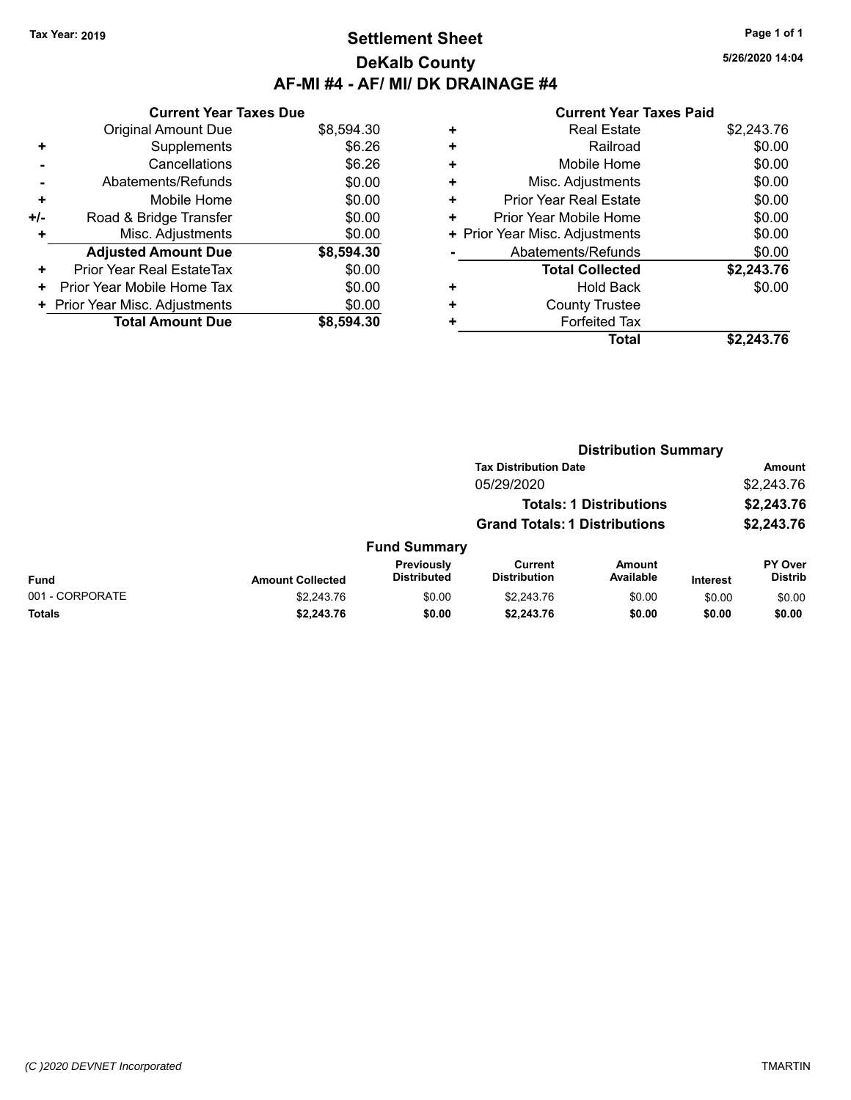### **Settlement Sheet Tax Year: 2019 Page 1 of 1 DeKalb County AF-MI #4 - AF/ MI/ DK DRAINAGE #4**

**5/26/2020 14:04**

|     | <b>Current Year Taxes Due</b>  |            |
|-----|--------------------------------|------------|
|     | <b>Original Amount Due</b>     | \$8,594.30 |
| ٠   | Supplements                    | \$6.26     |
|     | Cancellations                  | \$6.26     |
|     | Abatements/Refunds             | \$0.00     |
| ٠   | Mobile Home                    | \$0.00     |
| +/- | Road & Bridge Transfer         | \$0.00     |
|     | Misc. Adjustments              | \$0.00     |
|     | <b>Adjusted Amount Due</b>     | \$8,594.30 |
| ٠   | Prior Year Real EstateTax      | \$0.00     |
| ٠   | Prior Year Mobile Home Tax     | \$0.00     |
|     | + Prior Year Misc. Adjustments | \$0.00     |
|     | <b>Total Amount Due</b>        | \$8,594.30 |

| <b>Real Estate</b>             | \$2,243.76 |
|--------------------------------|------------|
| Railroad                       | \$0.00     |
| Mobile Home                    | \$0.00     |
| Misc. Adjustments              | \$0.00     |
| <b>Prior Year Real Estate</b>  | \$0.00     |
| Prior Year Mobile Home         | \$0.00     |
| + Prior Year Misc. Adjustments | \$0.00     |
| Abatements/Refunds             | \$0.00     |
| <b>Total Collected</b>         | \$2,243.76 |
| Hold Back                      | \$0.00     |
| <b>County Trustee</b>          |            |
| <b>Forfeited Tax</b>           |            |
| Total                          | \$2.243.76 |
|                                |            |

|                 |                         |                                         | <b>Distribution Summary</b>           |                                |          |                           |
|-----------------|-------------------------|-----------------------------------------|---------------------------------------|--------------------------------|----------|---------------------------|
|                 |                         |                                         | <b>Tax Distribution Date</b>          |                                |          | <b>Amount</b>             |
|                 |                         |                                         | 05/29/2020                            |                                |          | \$2,243.76                |
|                 |                         |                                         |                                       | <b>Totals: 1 Distributions</b> |          | \$2,243.76                |
|                 |                         |                                         | <b>Grand Totals: 1 Distributions</b>  |                                |          | \$2,243.76                |
|                 |                         | <b>Fund Summary</b>                     |                                       |                                |          |                           |
| <b>Fund</b>     | <b>Amount Collected</b> | <b>Previously</b><br><b>Distributed</b> | <b>Current</b><br><b>Distribution</b> | Amount<br>Available            | Interest | PY Over<br><b>Distrib</b> |
| 001 - CORPORATE | \$2,243.76              | \$0.00                                  | \$2,243.76                            | \$0.00                         | \$0.00   | \$0.00                    |
| Totals          | \$2,243.76              | \$0.00                                  | \$2,243.76                            | \$0.00                         | \$0.00   | \$0.00                    |
|                 |                         |                                         |                                       |                                |          |                           |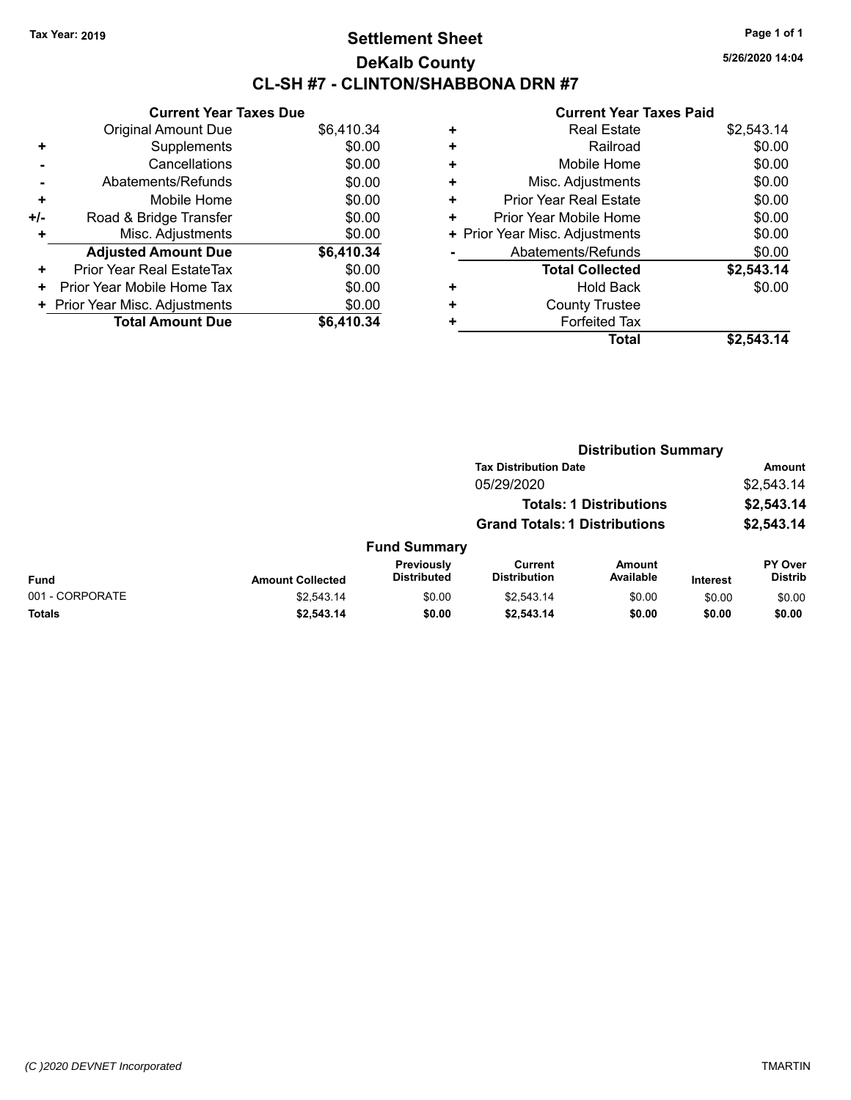### **Settlement Sheet Tax Year: 2019 Page 1 of 1 DeKalb County CL-SH #7 - CLINTON/SHABBONA DRN #7**

**5/26/2020 14:04**

|     | <b>Current Year Taxes Due</b>  |            |
|-----|--------------------------------|------------|
|     | <b>Original Amount Due</b>     | \$6,410.34 |
| ٠   | Supplements                    | \$0.00     |
|     | Cancellations                  | \$0.00     |
|     | Abatements/Refunds             | \$0.00     |
| ٠   | Mobile Home                    | \$0.00     |
| +/- | Road & Bridge Transfer         | \$0.00     |
| ٠   | Misc. Adjustments              | \$0.00     |
|     | <b>Adjusted Amount Due</b>     | \$6,410.34 |
| ÷   | Prior Year Real EstateTax      | \$0.00     |
| ٠   | Prior Year Mobile Home Tax     | \$0.00     |
|     | + Prior Year Misc. Adjustments | \$0.00     |
|     | <b>Total Amount Due</b>        | \$6,410.34 |

| <b>Real Estate</b>            | \$2,543.14                     |
|-------------------------------|--------------------------------|
| Railroad                      | \$0.00                         |
| Mobile Home                   | \$0.00                         |
| Misc. Adjustments             | \$0.00                         |
| <b>Prior Year Real Estate</b> | \$0.00                         |
| Prior Year Mobile Home        | \$0.00                         |
|                               | \$0.00                         |
| Abatements/Refunds            | \$0.00                         |
| <b>Total Collected</b>        | \$2,543.14                     |
| Hold Back                     | \$0.00                         |
| <b>County Trustee</b>         |                                |
| <b>Forfeited Tax</b>          |                                |
| <b>Total</b>                  | \$2,543.14                     |
|                               | + Prior Year Misc. Adjustments |

|                 |                         |                                  | <b>Distribution Summary</b>           |                                |                 |                           |
|-----------------|-------------------------|----------------------------------|---------------------------------------|--------------------------------|-----------------|---------------------------|
|                 |                         |                                  | <b>Tax Distribution Date</b>          |                                |                 | <b>Amount</b>             |
|                 |                         |                                  | 05/29/2020                            |                                |                 | \$2,543.14                |
|                 |                         |                                  |                                       | <b>Totals: 1 Distributions</b> |                 | \$2,543.14                |
|                 |                         |                                  | <b>Grand Totals: 1 Distributions</b>  |                                |                 | \$2,543.14                |
|                 |                         | <b>Fund Summary</b>              |                                       |                                |                 |                           |
| <b>Fund</b>     | <b>Amount Collected</b> | Previously<br><b>Distributed</b> | <b>Current</b><br><b>Distribution</b> | Amount<br>Available            | <b>Interest</b> | PY Over<br><b>Distrib</b> |
| 001 - CORPORATE | \$2,543.14              | \$0.00                           | \$2,543.14                            | \$0.00                         | \$0.00          | \$0.00                    |
| <b>Totals</b>   | \$2,543.14              | \$0.00                           | \$2,543.14                            | \$0.00                         | \$0.00          | \$0.00                    |
|                 |                         |                                  |                                       |                                |                 |                           |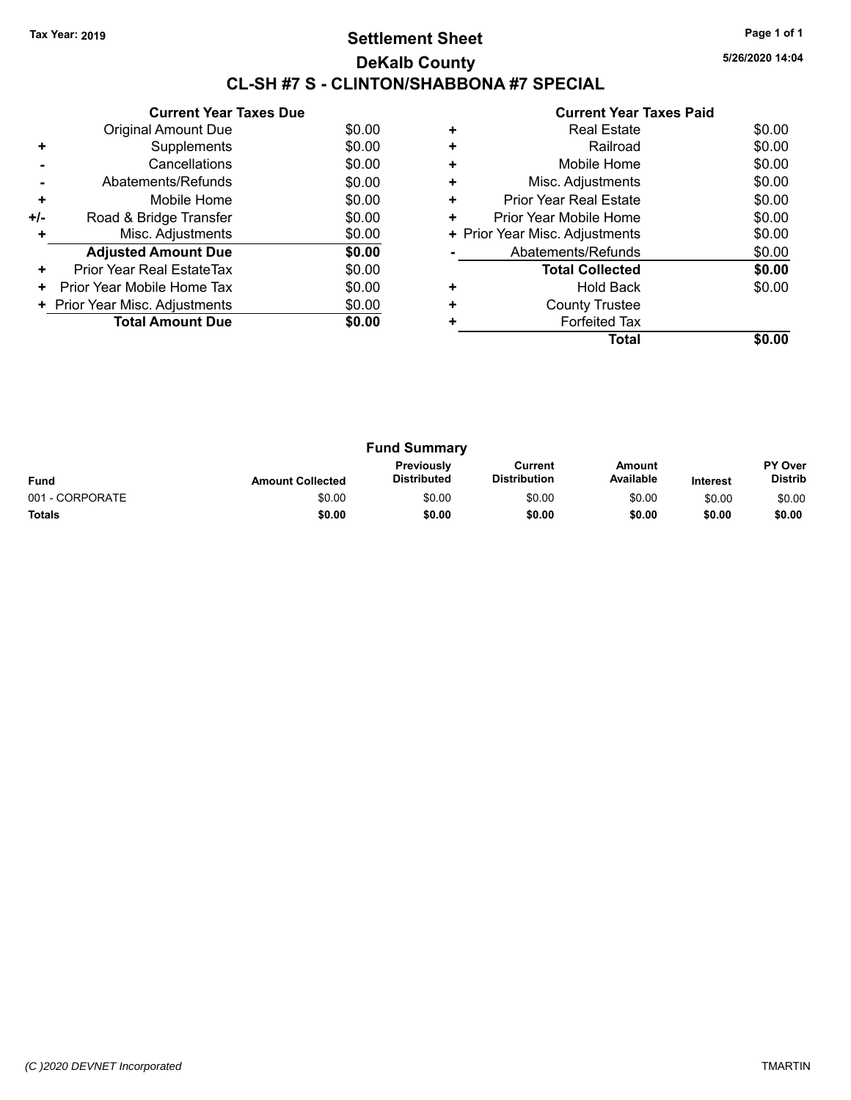### **Settlement Sheet Tax Year: 2019 Page 1 of 1 DeKalb County CL-SH #7 S - CLINTON/SHABBONA #7 SPECIAL**

**5/26/2020 14:04**

|     | <b>Current Year Taxes Due</b>  |        |
|-----|--------------------------------|--------|
|     | Original Amount Due            | \$0.00 |
| ÷   | Supplements                    | \$0.00 |
|     | Cancellations                  | \$0.00 |
|     | Abatements/Refunds             | \$0.00 |
| ٠   | Mobile Home                    | \$0.00 |
| +/- | Road & Bridge Transfer         | \$0.00 |
|     | Misc. Adjustments              | \$0.00 |
|     | <b>Adjusted Amount Due</b>     | \$0.00 |
| ÷   | Prior Year Real EstateTax      | \$0.00 |
| ٠   | Prior Year Mobile Home Tax     | \$0.00 |
|     | + Prior Year Misc. Adjustments | \$0.00 |
|     | <b>Total Amount Due</b>        | \$0.00 |
|     |                                |        |

|   | Total                          |        |
|---|--------------------------------|--------|
|   | <b>Forfeited Tax</b>           |        |
| ÷ | <b>County Trustee</b>          |        |
| ٠ | <b>Hold Back</b>               | \$0.00 |
|   | <b>Total Collected</b>         | \$0.00 |
|   | Abatements/Refunds             | \$0.00 |
|   | + Prior Year Misc. Adjustments | \$0.00 |
| ٠ | Prior Year Mobile Home         | \$0.00 |
| ٠ | <b>Prior Year Real Estate</b>  | \$0.00 |
|   | Misc. Adjustments              | \$0.00 |
| ٠ | Mobile Home                    | \$0.00 |
|   | Railroad                       | \$0.00 |
| ٠ | <b>Real Estate</b>             | \$0.00 |
|   |                                |        |

| <b>Fund Summary</b> |                         |                                         |                                |                     |                 |                                  |
|---------------------|-------------------------|-----------------------------------------|--------------------------------|---------------------|-----------------|----------------------------------|
| <b>Fund</b>         | <b>Amount Collected</b> | <b>Previously</b><br><b>Distributed</b> | Current<br><b>Distribution</b> | Amount<br>Available | <b>Interest</b> | <b>PY Over</b><br><b>Distrib</b> |
| 001 - CORPORATE     | \$0.00                  | \$0.00                                  | \$0.00                         | \$0.00              | \$0.00          | \$0.00                           |
| <b>Totals</b>       | \$0.00                  | \$0.00                                  | \$0.00                         | \$0.00              | \$0.00          | \$0.00                           |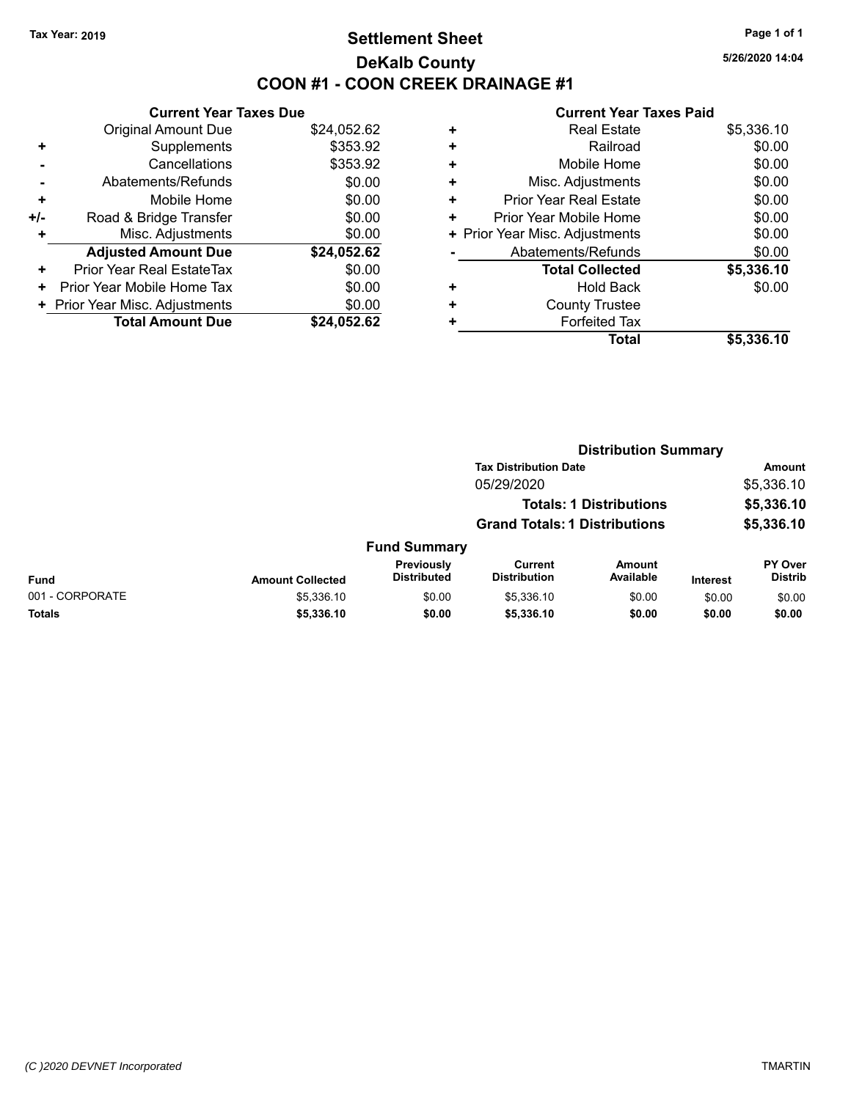### **Settlement Sheet Tax Year: 2019 Page 1 of 1 DeKalb County COON #1 - COON CREEK DRAINAGE #1**

**5/26/2020 14:04**

|     | <b>Current Year Taxes Due</b>  |             |
|-----|--------------------------------|-------------|
|     | <b>Original Amount Due</b>     | \$24,052.62 |
| ٠   | Supplements                    | \$353.92    |
|     | Cancellations                  | \$353.92    |
|     | Abatements/Refunds             | \$0.00      |
| ٠   | Mobile Home                    | \$0.00      |
| +/- | Road & Bridge Transfer         | \$0.00      |
| ٠   | Misc. Adjustments              | \$0.00      |
|     | <b>Adjusted Amount Due</b>     | \$24,052.62 |
| ٠   | Prior Year Real EstateTax      | \$0.00      |
| ٠   | Prior Year Mobile Home Tax     | \$0.00      |
|     | + Prior Year Misc. Adjustments | \$0.00      |
|     | <b>Total Amount Due</b>        | \$24.052.62 |

| \$0.00     |
|------------|
|            |
| \$0.00     |
| \$0.00     |
| \$0.00     |
| \$0.00     |
| \$0.00     |
| \$0.00     |
| \$5,336.10 |
| \$0.00     |
|            |
|            |
| \$5,336.10 |
|            |

|                 |                         |                                  | <b>Distribution Summary</b>           |                                |                 |                           |
|-----------------|-------------------------|----------------------------------|---------------------------------------|--------------------------------|-----------------|---------------------------|
|                 |                         |                                  | <b>Tax Distribution Date</b>          |                                |                 | <b>Amount</b>             |
|                 |                         |                                  | 05/29/2020                            |                                |                 | \$5,336.10                |
|                 |                         |                                  |                                       | <b>Totals: 1 Distributions</b> |                 | \$5,336.10                |
|                 |                         |                                  | <b>Grand Totals: 1 Distributions</b>  |                                |                 | \$5,336.10                |
|                 |                         | <b>Fund Summary</b>              |                                       |                                |                 |                           |
| <b>Fund</b>     | <b>Amount Collected</b> | Previously<br><b>Distributed</b> | <b>Current</b><br><b>Distribution</b> | <b>Amount</b><br>Available     | <b>Interest</b> | PY Over<br><b>Distrib</b> |
| 001 - CORPORATE | \$5,336.10              | \$0.00                           | \$5,336.10                            | \$0.00                         | \$0.00          | \$0.00                    |
| <b>Totals</b>   | \$5,336.10              | \$0.00                           | \$5,336.10                            | \$0.00                         | \$0.00          | \$0.00                    |
|                 |                         |                                  |                                       |                                |                 |                           |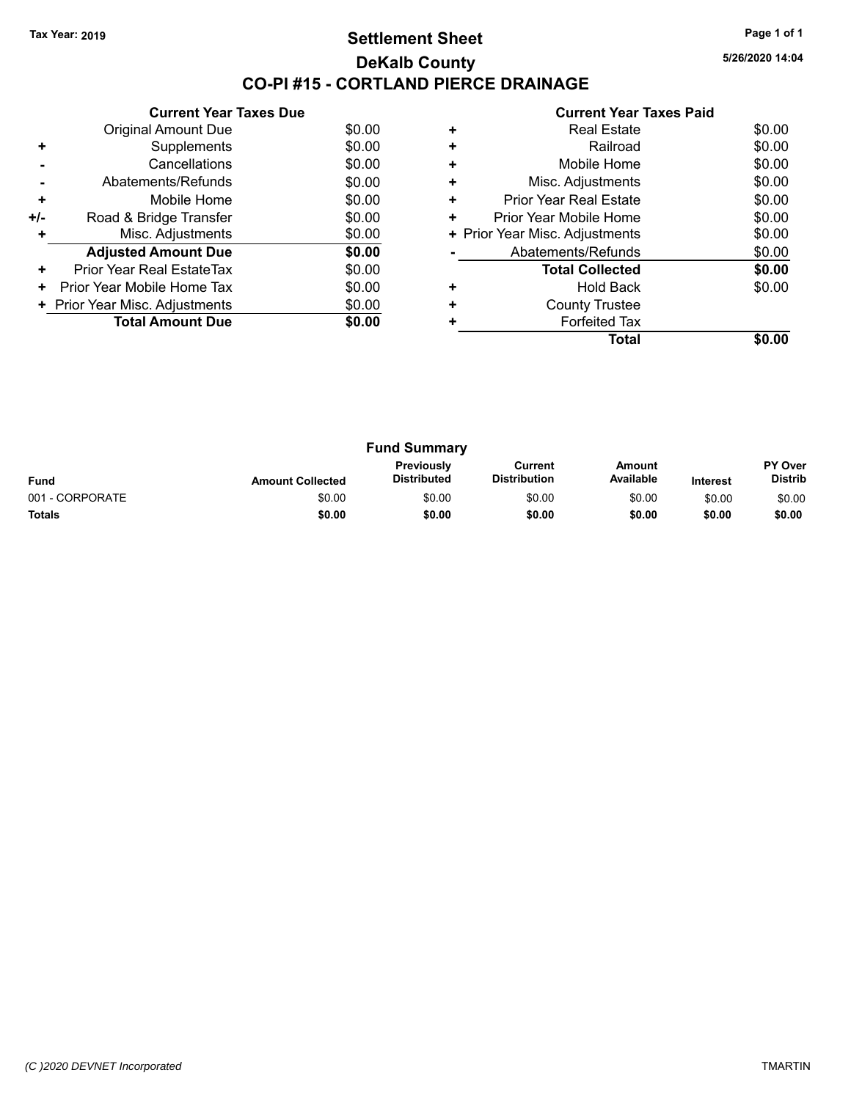### **Settlement Sheet Tax Year: 2019 Page 1 of 1 DeKalb County CO-PI #15 - CORTLAND PIERCE DRAINAGE**

**5/26/2020 14:04**

|       | <b>Current Year Taxes Due</b>  |        |
|-------|--------------------------------|--------|
|       | <b>Original Amount Due</b>     | \$0.00 |
| ٠     | Supplements                    | \$0.00 |
|       | Cancellations                  | \$0.00 |
|       | Abatements/Refunds             | \$0.00 |
| ٠     | Mobile Home                    | \$0.00 |
| $+/-$ | Road & Bridge Transfer         | \$0.00 |
| ٠     | Misc. Adjustments              | \$0.00 |
|       | <b>Adjusted Amount Due</b>     | \$0.00 |
| ÷     | Prior Year Real EstateTax      | \$0.00 |
| ٠     | Prior Year Mobile Home Tax     | \$0.00 |
|       | + Prior Year Misc. Adjustments | \$0.00 |
|       | <b>Total Amount Due</b>        | \$0.00 |
|       |                                |        |

|   | <b>Real Estate</b>             | \$0.00 |
|---|--------------------------------|--------|
| ÷ | Railroad                       | \$0.00 |
| ÷ | Mobile Home                    | \$0.00 |
| ٠ | Misc. Adjustments              | \$0.00 |
| ٠ | <b>Prior Year Real Estate</b>  | \$0.00 |
| ٠ | Prior Year Mobile Home         | \$0.00 |
|   | + Prior Year Misc. Adjustments | \$0.00 |
|   | Abatements/Refunds             | \$0.00 |
|   | <b>Total Collected</b>         | \$0.00 |
| ٠ | <b>Hold Back</b>               | \$0.00 |
| ٠ | <b>County Trustee</b>          |        |
|   | <b>Forfeited Tax</b>           |        |
|   | Total                          |        |

| <b>Fund Summary</b> |                         |                                         |                                |                     |                 |                                  |
|---------------------|-------------------------|-----------------------------------------|--------------------------------|---------------------|-----------------|----------------------------------|
| <b>Fund</b>         | <b>Amount Collected</b> | <b>Previously</b><br><b>Distributed</b> | Current<br><b>Distribution</b> | Amount<br>Available | <b>Interest</b> | <b>PY Over</b><br><b>Distrib</b> |
| 001 - CORPORATE     | \$0.00                  | \$0.00                                  | \$0.00                         | \$0.00              | \$0.00          | \$0.00                           |
| <b>Totals</b>       | \$0.00                  | \$0.00                                  | \$0.00                         | \$0.00              | \$0.00          | \$0.00                           |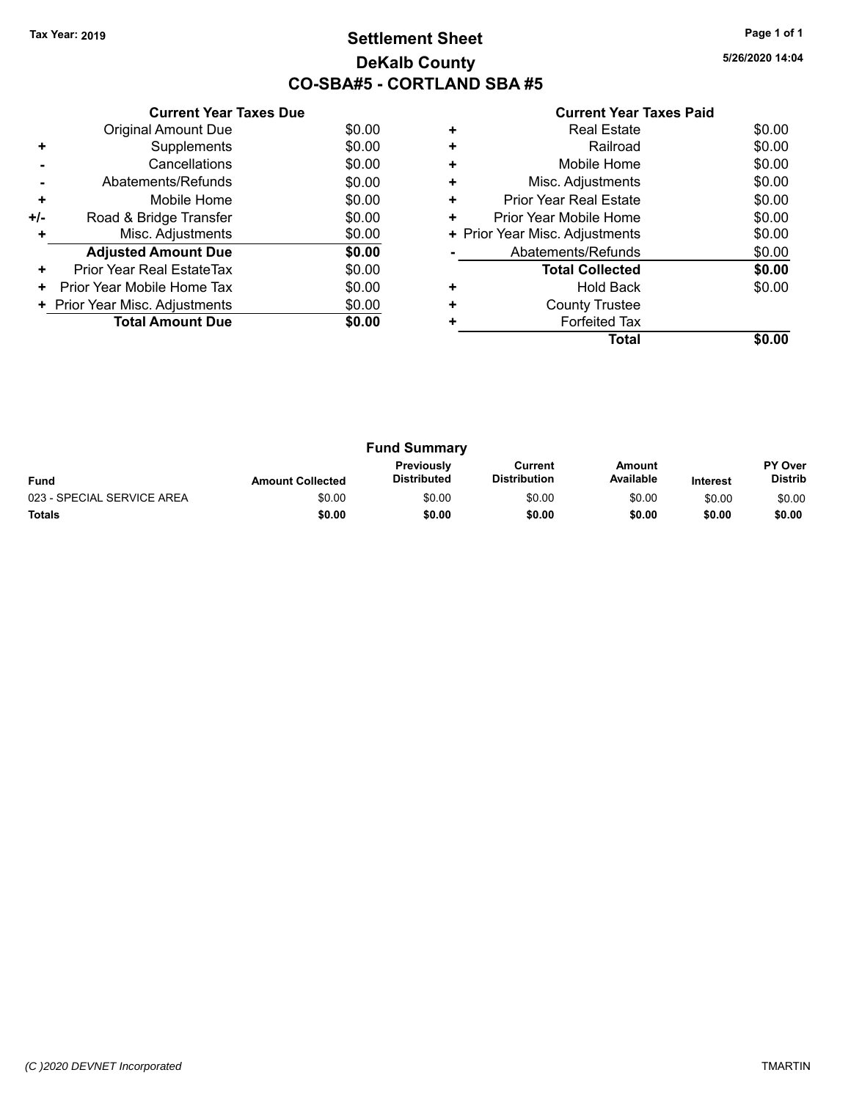### **Settlement Sheet Tax Year: 2019 Page 1 of 1 DeKalb County CO-SBA#5 - CORTLAND SBA #5**

**5/26/2020 14:04**

|     | <b>Current Year Taxes Due</b>  |        |
|-----|--------------------------------|--------|
|     | <b>Original Amount Due</b>     | \$0.00 |
|     | Supplements                    | \$0.00 |
|     | Cancellations                  | \$0.00 |
|     | Abatements/Refunds             | \$0.00 |
| ٠   | Mobile Home                    | \$0.00 |
| +/- | Road & Bridge Transfer         | \$0.00 |
|     | Misc. Adjustments              | \$0.00 |
|     | <b>Adjusted Amount Due</b>     | \$0.00 |
| ٠   | Prior Year Real EstateTax      | \$0.00 |
| ٠   | Prior Year Mobile Home Tax     | \$0.00 |
|     | + Prior Year Misc. Adjustments | \$0.00 |
|     | <b>Total Amount Due</b>        | \$0.00 |
|     |                                |        |

|   | Real Estate                    | \$0.00 |
|---|--------------------------------|--------|
| ٠ | Railroad                       | \$0.00 |
| ٠ | Mobile Home                    | \$0.00 |
| ٠ | Misc. Adjustments              | \$0.00 |
| ٠ | <b>Prior Year Real Estate</b>  | \$0.00 |
| ٠ | Prior Year Mobile Home         | \$0.00 |
|   | + Prior Year Misc. Adjustments | \$0.00 |
|   | Abatements/Refunds             | \$0.00 |
|   | <b>Total Collected</b>         | \$0.00 |
|   | <b>Hold Back</b>               | \$0.00 |
| ٠ | <b>County Trustee</b>          |        |
|   | <b>Forfeited Tax</b>           |        |
|   | Total                          |        |

| <b>Fund Summary</b>        |                         |                                         |                                |                     |                 |                                  |
|----------------------------|-------------------------|-----------------------------------------|--------------------------------|---------------------|-----------------|----------------------------------|
| <b>Fund</b>                | <b>Amount Collected</b> | <b>Previously</b><br><b>Distributed</b> | Current<br><b>Distribution</b> | Amount<br>Available | <b>Interest</b> | <b>PY Over</b><br><b>Distrib</b> |
| 023 - SPECIAL SERVICE AREA | \$0.00                  | \$0.00                                  | \$0.00                         | \$0.00              | \$0.00          | \$0.00                           |
| <b>Totals</b>              | \$0.00                  | \$0.00                                  | \$0.00                         | \$0.00              | \$0.00          | \$0.00                           |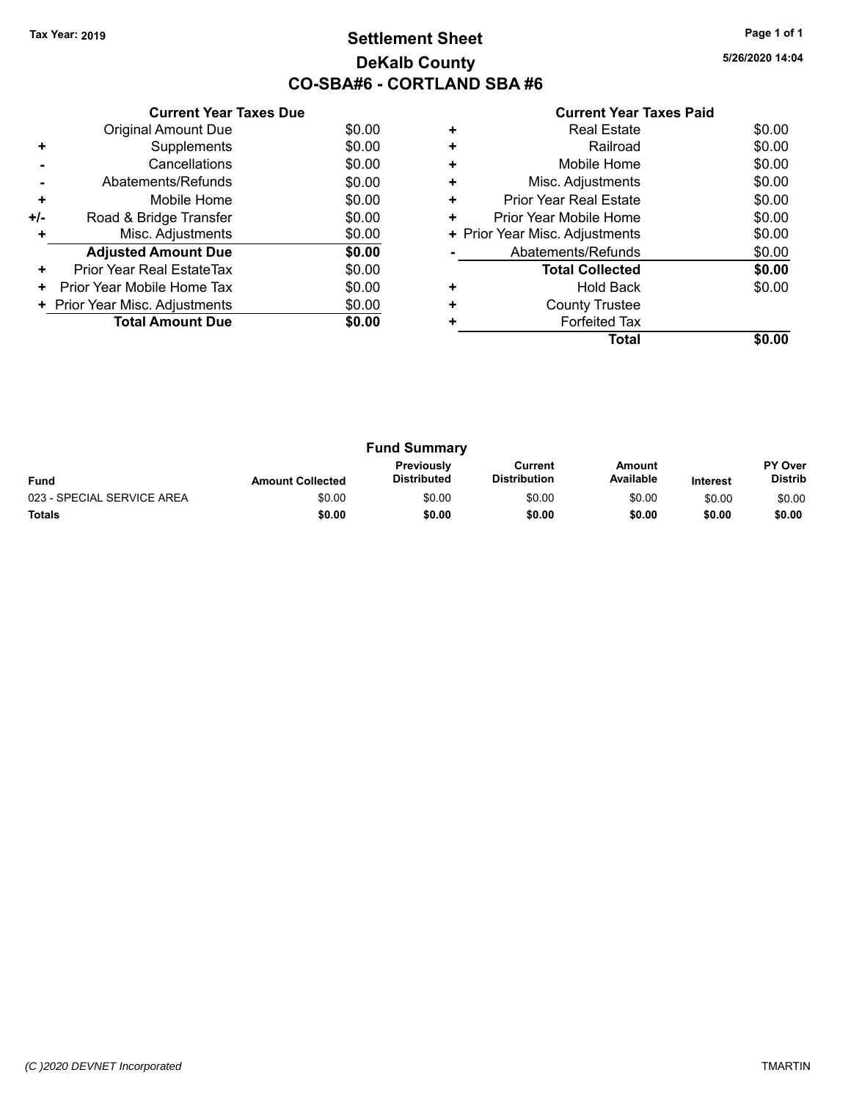### **Settlement Sheet Tax Year: 2019 Page 1 of 1 DeKalb County CO-SBA#6 - CORTLAND SBA #6**

**5/26/2020 14:04**

|     | <b>Current Year Taxes Due</b>  |        |
|-----|--------------------------------|--------|
|     | <b>Original Amount Due</b>     | \$0.00 |
|     | Supplements                    | \$0.00 |
|     | Cancellations                  | \$0.00 |
|     | Abatements/Refunds             | \$0.00 |
| ٠   | Mobile Home                    | \$0.00 |
| +/- | Road & Bridge Transfer         | \$0.00 |
|     | Misc. Adjustments              | \$0.00 |
|     | <b>Adjusted Amount Due</b>     | \$0.00 |
| ٠   | Prior Year Real EstateTax      | \$0.00 |
| ٠   | Prior Year Mobile Home Tax     | \$0.00 |
|     | + Prior Year Misc. Adjustments | \$0.00 |
|     | <b>Total Amount Due</b>        | \$0.00 |
|     |                                |        |

|   | Real Estate                    | \$0.00 |
|---|--------------------------------|--------|
| ٠ | Railroad                       | \$0.00 |
| ٠ | Mobile Home                    | \$0.00 |
| ٠ | Misc. Adjustments              | \$0.00 |
| ٠ | <b>Prior Year Real Estate</b>  | \$0.00 |
| ٠ | Prior Year Mobile Home         | \$0.00 |
|   | + Prior Year Misc. Adjustments | \$0.00 |
|   | Abatements/Refunds             | \$0.00 |
|   | <b>Total Collected</b>         | \$0.00 |
|   | <b>Hold Back</b>               | \$0.00 |
| ٠ | <b>County Trustee</b>          |        |
|   | <b>Forfeited Tax</b>           |        |
|   | Total                          |        |

| <b>Fund Summary</b>        |                         |                                         |                                |                     |                 |                                  |
|----------------------------|-------------------------|-----------------------------------------|--------------------------------|---------------------|-----------------|----------------------------------|
| <b>Fund</b>                | <b>Amount Collected</b> | <b>Previously</b><br><b>Distributed</b> | Current<br><b>Distribution</b> | Amount<br>Available | <b>Interest</b> | <b>PY Over</b><br><b>Distrib</b> |
| 023 - SPECIAL SERVICE AREA | \$0.00                  | \$0.00                                  | \$0.00                         | \$0.00              | \$0.00          | \$0.00                           |
| <b>Totals</b>              | \$0.00                  | \$0.00                                  | \$0.00                         | \$0.00              | \$0.00          | \$0.00                           |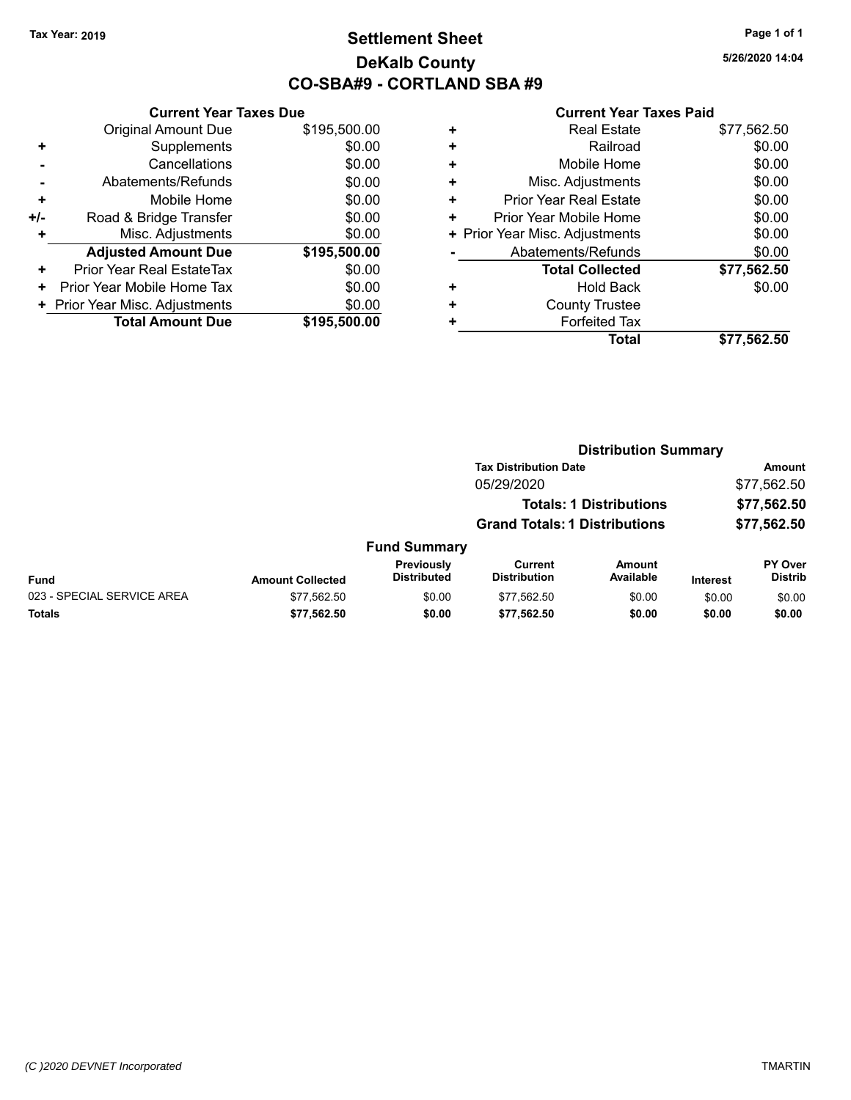### **Settlement Sheet Tax Year: 2019 Page 1 of 1 DeKalb County CO-SBA#9 - CORTLAND SBA #9**

**5/26/2020 14:04**

### **Current Year Taxes Due**

|       | VUITEIIL IEAL TAAES DUG        |              |
|-------|--------------------------------|--------------|
|       | <b>Original Amount Due</b>     | \$195,500.00 |
| ٠     | Supplements                    | \$0.00       |
|       | Cancellations                  | \$0.00       |
|       | Abatements/Refunds             | \$0.00       |
| ٠     | Mobile Home                    | \$0.00       |
| $+/-$ | Road & Bridge Transfer         | \$0.00       |
|       | Misc. Adjustments              | \$0.00       |
|       | <b>Adjusted Amount Due</b>     | \$195,500.00 |
| ٠     | Prior Year Real EstateTax      | \$0.00       |
| ٠     | Prior Year Mobile Home Tax     | \$0.00       |
|       | + Prior Year Misc. Adjustments | \$0.00       |
|       | <b>Total Amount Due</b>        | \$195,500.00 |
|       |                                |              |

|   | <b>Real Estate</b>             | \$77,562.50 |
|---|--------------------------------|-------------|
| ٠ | Railroad                       | \$0.00      |
| ٠ | Mobile Home                    | \$0.00      |
| ٠ | Misc. Adjustments              | \$0.00      |
| ٠ | <b>Prior Year Real Estate</b>  | \$0.00      |
| ٠ | Prior Year Mobile Home         | \$0.00      |
|   | + Prior Year Misc. Adjustments | \$0.00      |
|   | Abatements/Refunds             | \$0.00      |
|   | <b>Total Collected</b>         | \$77,562.50 |
| ٠ | <b>Hold Back</b>               | \$0.00      |
| ٠ | <b>County Trustee</b>          |             |
| ٠ | <b>Forfeited Tax</b>           |             |
|   | Total                          | \$77,562.50 |
|   |                                |             |

|                            | <b>Distribution Summary</b> |                                  |                                       |                                |                 |                                  |  |
|----------------------------|-----------------------------|----------------------------------|---------------------------------------|--------------------------------|-----------------|----------------------------------|--|
|                            |                             |                                  | <b>Tax Distribution Date</b>          |                                |                 | Amount                           |  |
|                            |                             |                                  | 05/29/2020                            |                                |                 | \$77,562.50                      |  |
|                            |                             |                                  |                                       | <b>Totals: 1 Distributions</b> |                 | \$77,562.50                      |  |
|                            |                             |                                  | <b>Grand Totals: 1 Distributions</b>  |                                |                 | \$77,562.50                      |  |
|                            |                             | <b>Fund Summary</b>              |                                       |                                |                 |                                  |  |
| <b>Fund</b>                | <b>Amount Collected</b>     | Previously<br><b>Distributed</b> | <b>Current</b><br><b>Distribution</b> | Amount<br>Available            | <b>Interest</b> | <b>PY Over</b><br><b>Distrib</b> |  |
| 023 - SPECIAL SERVICE AREA | \$77,562.50                 | \$0.00                           | \$77,562.50                           | \$0.00                         | \$0.00          | \$0.00                           |  |
| Totals                     | \$77,562.50                 | \$0.00                           | \$77,562.50                           | \$0.00                         | \$0.00          | \$0.00                           |  |
|                            |                             |                                  |                                       |                                |                 |                                  |  |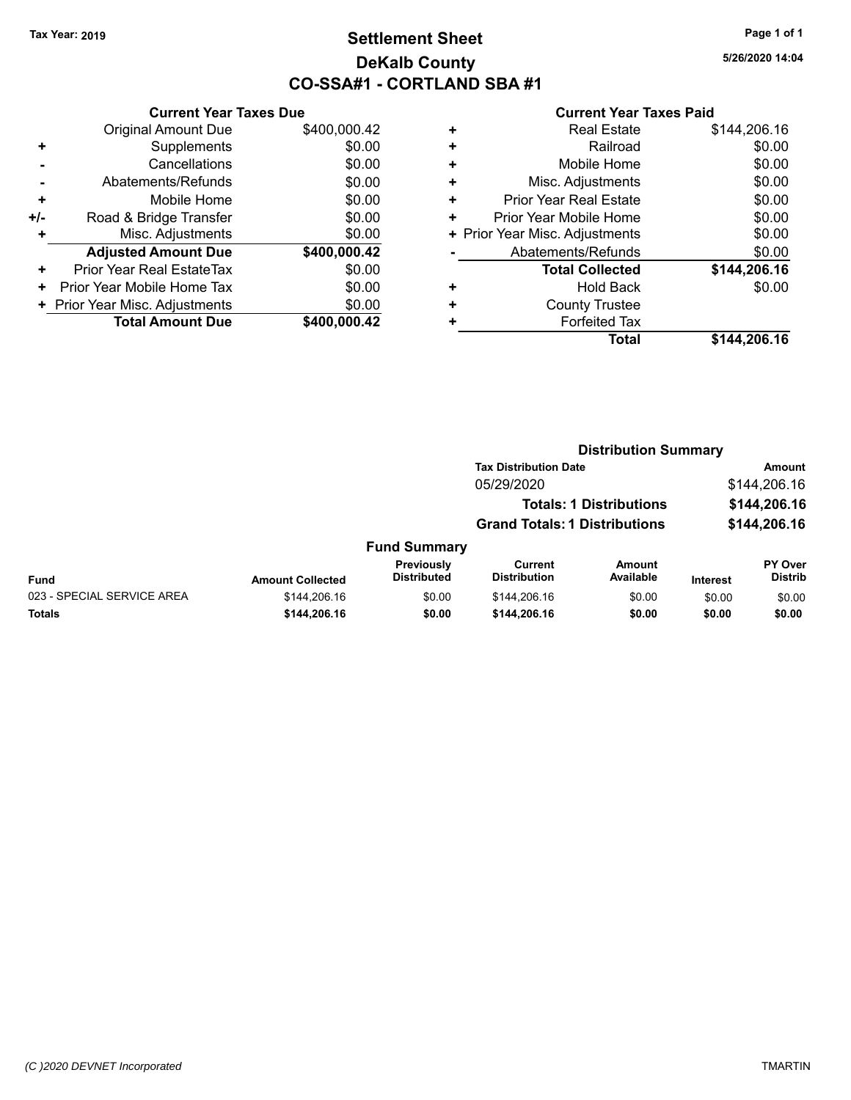### **Settlement Sheet Tax Year: 2019 Page 1 of 1 DeKalb County CO-SSA#1 - CORTLAND SBA #1**

**5/26/2020 14:04**

#### **Current Year Taxes Paid**

|       | <b>Current Year Taxes Due</b>  |              |
|-------|--------------------------------|--------------|
|       | <b>Original Amount Due</b>     | \$400,000.42 |
| ٠     | Supplements                    | \$0.00       |
|       | Cancellations                  | \$0.00       |
|       | Abatements/Refunds             | \$0.00       |
| ٠     | Mobile Home                    | \$0.00       |
| $+/-$ | Road & Bridge Transfer         | \$0.00       |
| ÷     | Misc. Adjustments              | \$0.00       |
|       | <b>Adjusted Amount Due</b>     | \$400,000.42 |
| ٠     | Prior Year Real EstateTax      | \$0.00       |
| ٠     | Prior Year Mobile Home Tax     | \$0.00       |
|       | + Prior Year Misc. Adjustments | \$0.00       |
|       | <b>Total Amount Due</b>        | \$400,000.42 |
|       |                                |              |

| <b>Real Estate</b>             | \$144,206.16 |
|--------------------------------|--------------|
| Railroad                       | \$0.00       |
| Mobile Home                    | \$0.00       |
| Misc. Adjustments              | \$0.00       |
| Prior Year Real Estate         | \$0.00       |
| Prior Year Mobile Home         | \$0.00       |
| + Prior Year Misc. Adjustments | \$0.00       |
| Abatements/Refunds             | \$0.00       |
| <b>Total Collected</b>         | \$144,206.16 |
| <b>Hold Back</b>               | \$0.00       |
| <b>County Trustee</b>          |              |
| <b>Forfeited Tax</b>           |              |
| Total                          | \$144,206.16 |
|                                |              |

|                            |                         |                                  |                                      | <b>Distribution Summary</b> |                 |                           |
|----------------------------|-------------------------|----------------------------------|--------------------------------------|-----------------------------|-----------------|---------------------------|
|                            |                         |                                  | <b>Tax Distribution Date</b>         | Amount                      |                 |                           |
|                            |                         |                                  | 05/29/2020                           |                             |                 | \$144,206.16              |
|                            |                         |                                  | <b>Totals: 1 Distributions</b>       |                             | \$144,206.16    |                           |
|                            |                         |                                  | <b>Grand Totals: 1 Distributions</b> |                             | \$144,206.16    |                           |
|                            |                         | <b>Fund Summary</b>              |                                      |                             |                 |                           |
| <b>Fund</b>                | <b>Amount Collected</b> | Previously<br><b>Distributed</b> | Current<br><b>Distribution</b>       | <b>Amount</b><br>Available  | <b>Interest</b> | PY Over<br><b>Distrib</b> |
| 023 - SPECIAL SERVICE AREA | \$144,206.16            | \$0.00                           | \$144,206.16                         | \$0.00                      | \$0.00          | \$0.00                    |

**Totals \$144,206.16 \$0.00 \$144,206.16 \$0.00 \$0.00 \$0.00**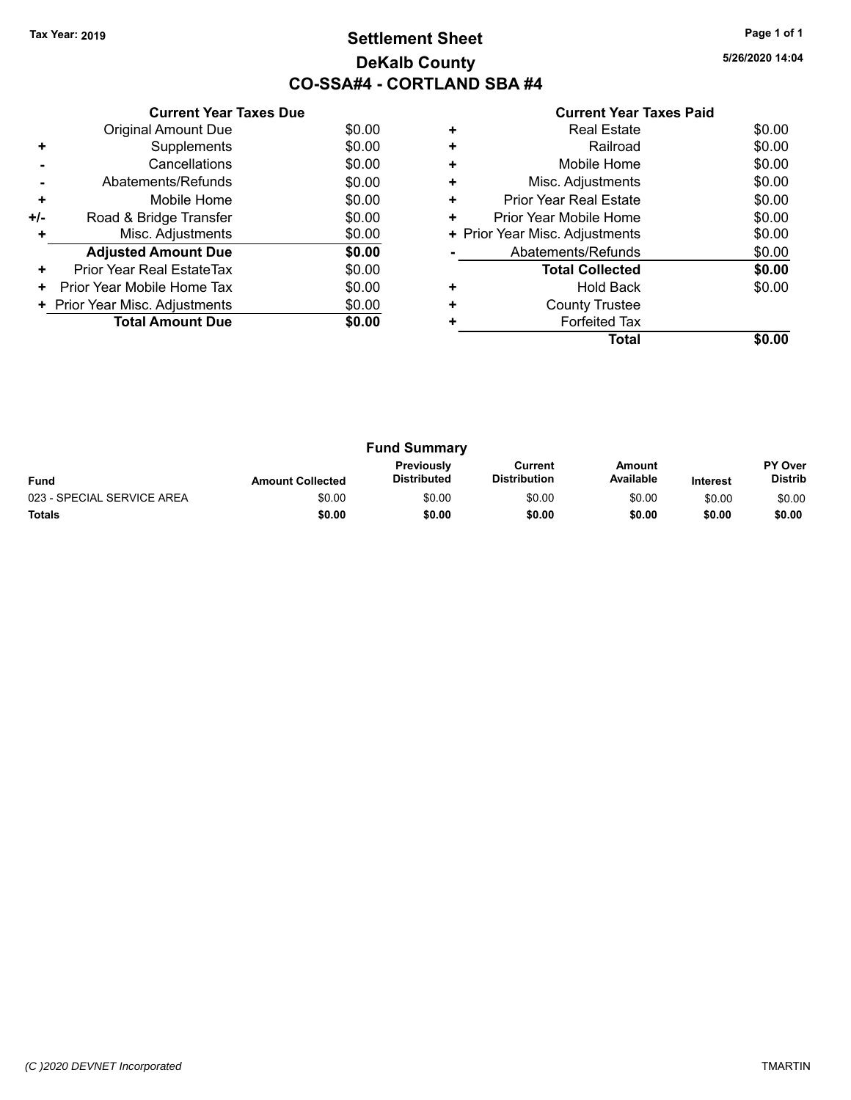# **Settlement Sheet Tax Year: 2019 Page 1 of 1 DeKalb County CO-SSA#4 - CORTLAND SBA #4**

**5/26/2020 14:04**

|     | <b>Current Year Taxes Due</b>  |        |  |  |  |  |  |
|-----|--------------------------------|--------|--|--|--|--|--|
|     | <b>Original Amount Due</b>     | \$0.00 |  |  |  |  |  |
| ٠   | Supplements                    | \$0.00 |  |  |  |  |  |
|     | Cancellations                  | \$0.00 |  |  |  |  |  |
|     | Abatements/Refunds             | \$0.00 |  |  |  |  |  |
| ٠   | Mobile Home                    | \$0.00 |  |  |  |  |  |
| +/- | Road & Bridge Transfer         | \$0.00 |  |  |  |  |  |
| ٠   | Misc. Adjustments<br>\$0.00    |        |  |  |  |  |  |
|     | <b>Adjusted Amount Due</b>     | \$0.00 |  |  |  |  |  |
| ٠   | Prior Year Real EstateTax      | \$0.00 |  |  |  |  |  |
| ٠   | Prior Year Mobile Home Tax     | \$0.00 |  |  |  |  |  |
|     | + Prior Year Misc. Adjustments | \$0.00 |  |  |  |  |  |
|     | <b>Total Amount Due</b>        | \$0.00 |  |  |  |  |  |
|     |                                |        |  |  |  |  |  |

|           | Total                          |        |
|-----------|--------------------------------|--------|
|           | <b>Forfeited Tax</b>           |        |
| ÷         | <b>County Trustee</b>          |        |
| ٠         | Hold Back                      | \$0.00 |
|           | <b>Total Collected</b>         | \$0.00 |
|           | Abatements/Refunds             | \$0.00 |
|           | + Prior Year Misc. Adjustments | \$0.00 |
| ٠         | Prior Year Mobile Home         | \$0.00 |
| ٠         | Prior Year Real Estate         | \$0.00 |
| ٠         | Misc. Adjustments              | \$0.00 |
| ٠         | Mobile Home                    | \$0.00 |
| $\ddot{}$ | Railroad                       | \$0.00 |
|           | <b>Real Estate</b>             | \$0.00 |

| <b>Fund Summary</b>        |                         |                                         |                                |                     |                 |                                  |
|----------------------------|-------------------------|-----------------------------------------|--------------------------------|---------------------|-----------------|----------------------------------|
| <b>Fund</b>                | <b>Amount Collected</b> | <b>Previously</b><br><b>Distributed</b> | Current<br><b>Distribution</b> | Amount<br>Available | <b>Interest</b> | <b>PY Over</b><br><b>Distrib</b> |
| 023 - SPECIAL SERVICE AREA | \$0.00                  | \$0.00                                  | \$0.00                         | \$0.00              | \$0.00          | \$0.00                           |
| <b>Totals</b>              | \$0.00                  | \$0.00                                  | \$0.00                         | \$0.00              | \$0.00          | \$0.00                           |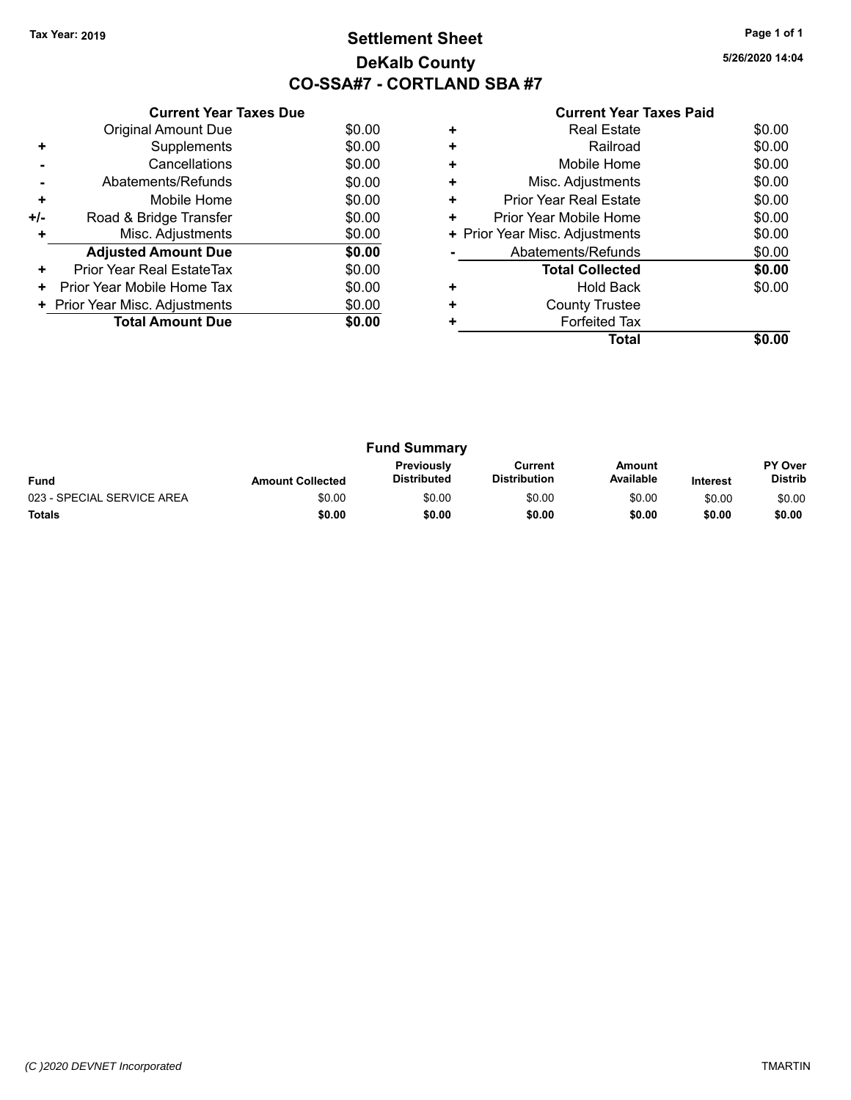# **Settlement Sheet Tax Year: 2019 Page 1 of 1 DeKalb County CO-SSA#7 - CORTLAND SBA #7**

**5/26/2020 14:04**

|     | <b>Current Year Taxes Due</b>  |        |  |  |  |  |  |
|-----|--------------------------------|--------|--|--|--|--|--|
|     | <b>Original Amount Due</b>     | \$0.00 |  |  |  |  |  |
| ٠   | Supplements                    | \$0.00 |  |  |  |  |  |
|     | Cancellations                  | \$0.00 |  |  |  |  |  |
|     | Abatements/Refunds             | \$0.00 |  |  |  |  |  |
| ٠   | Mobile Home                    | \$0.00 |  |  |  |  |  |
| +/- | Road & Bridge Transfer         | \$0.00 |  |  |  |  |  |
|     | Misc. Adjustments              | \$0.00 |  |  |  |  |  |
|     | <b>Adjusted Amount Due</b>     | \$0.00 |  |  |  |  |  |
| ٠   | Prior Year Real EstateTax      | \$0.00 |  |  |  |  |  |
| ٠   | Prior Year Mobile Home Tax     | \$0.00 |  |  |  |  |  |
|     | + Prior Year Misc. Adjustments | \$0.00 |  |  |  |  |  |
|     | <b>Total Amount Due</b>        | \$0.00 |  |  |  |  |  |
|     |                                |        |  |  |  |  |  |

|   | Total                          |        |
|---|--------------------------------|--------|
|   | <b>Forfeited Tax</b>           |        |
| ٠ | <b>County Trustee</b>          |        |
|   | <b>Hold Back</b>               | \$0.00 |
|   | <b>Total Collected</b>         | \$0.00 |
|   | Abatements/Refunds             | \$0.00 |
|   | + Prior Year Misc. Adjustments | \$0.00 |
| ٠ | Prior Year Mobile Home         | \$0.00 |
| ÷ | Prior Year Real Estate         | \$0.00 |
| ٠ | Misc. Adjustments              | \$0.00 |
| ٠ | Mobile Home                    | \$0.00 |
| ÷ | Railroad                       | \$0.00 |
| ٠ | <b>Real Estate</b>             | \$0.00 |

| <b>Fund Summary</b>                                                                                                                                           |        |        |        |        |        |                                  |
|---------------------------------------------------------------------------------------------------------------------------------------------------------------|--------|--------|--------|--------|--------|----------------------------------|
| <b>Previously</b><br>Amount<br>Current<br>Available<br><b>Distributed</b><br><b>Distribution</b><br><b>Fund</b><br><b>Amount Collected</b><br><b>Interest</b> |        |        |        |        |        | <b>PY Over</b><br><b>Distrib</b> |
| 023 - SPECIAL SERVICE AREA                                                                                                                                    | \$0.00 | \$0.00 | \$0.00 | \$0.00 | \$0.00 | \$0.00                           |
| <b>Totals</b>                                                                                                                                                 | \$0.00 | \$0.00 | \$0.00 | \$0.00 | \$0.00 | \$0.00                           |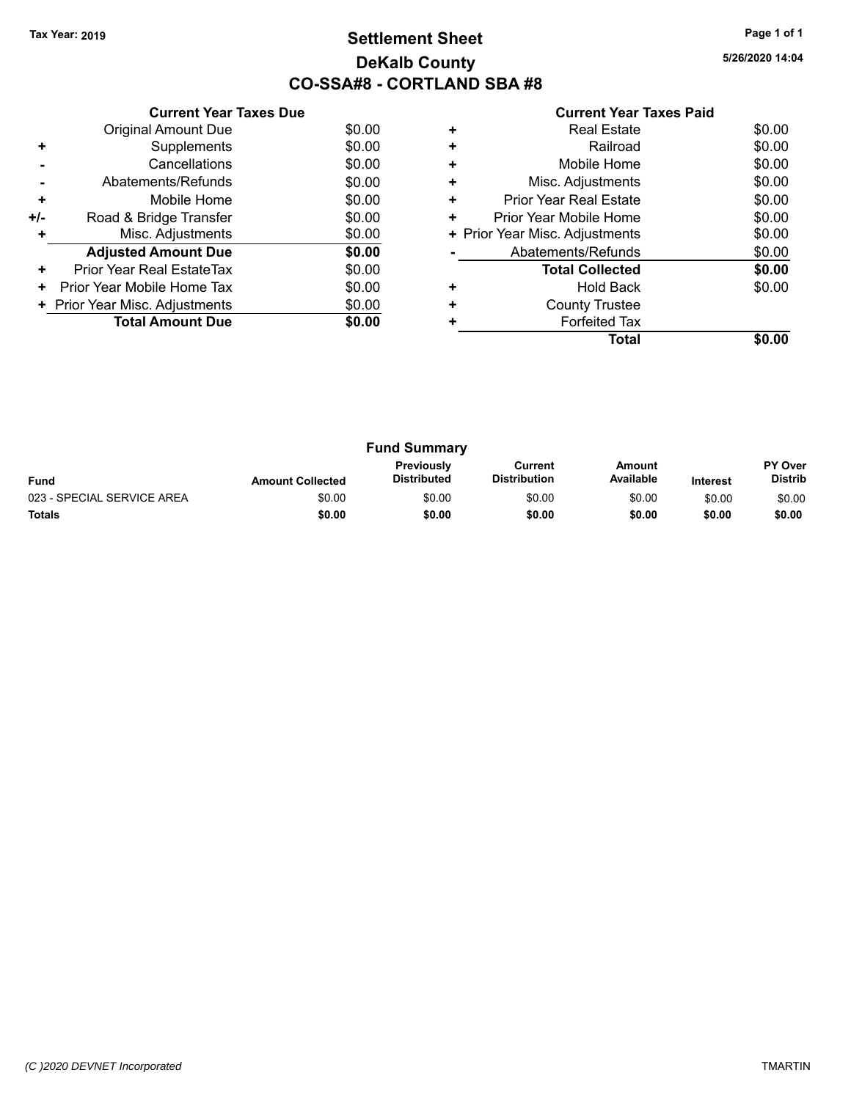# **Settlement Sheet Tax Year: 2019 Page 1 of 1 DeKalb County CO-SSA#8 - CORTLAND SBA #8**

**5/26/2020 14:04**

|     | <b>Current Year Taxes Due</b> |        |  |  |  |  |  |
|-----|-------------------------------|--------|--|--|--|--|--|
|     | <b>Original Amount Due</b>    | \$0.00 |  |  |  |  |  |
| ٠   | Supplements                   | \$0.00 |  |  |  |  |  |
|     | Cancellations                 | \$0.00 |  |  |  |  |  |
|     | Abatements/Refunds            | \$0.00 |  |  |  |  |  |
| ٠   | Mobile Home                   | \$0.00 |  |  |  |  |  |
| +/- | Road & Bridge Transfer        | \$0.00 |  |  |  |  |  |
| ÷   | \$0.00<br>Misc. Adjustments   |        |  |  |  |  |  |
|     | <b>Adjusted Amount Due</b>    | \$0.00 |  |  |  |  |  |
| ٠   | Prior Year Real EstateTax     | \$0.00 |  |  |  |  |  |
| ٠   | Prior Year Mobile Home Tax    | \$0.00 |  |  |  |  |  |
|     | Prior Year Misc. Adjustments  | \$0.00 |  |  |  |  |  |
|     | <b>Total Amount Due</b>       | \$0.00 |  |  |  |  |  |
|     |                               |        |  |  |  |  |  |

| ٠ | <b>Real Estate</b>             | \$0.00 |
|---|--------------------------------|--------|
| ٠ | Railroad                       | \$0.00 |
| ÷ | Mobile Home                    | \$0.00 |
| ٠ | Misc. Adjustments              | \$0.00 |
| ٠ | <b>Prior Year Real Estate</b>  | \$0.00 |
| ÷ | Prior Year Mobile Home         | \$0.00 |
|   | + Prior Year Misc. Adjustments | \$0.00 |
|   | Abatements/Refunds             | \$0.00 |
|   | <b>Total Collected</b>         | \$0.00 |
| ٠ | <b>Hold Back</b>               | \$0.00 |
| ÷ | <b>County Trustee</b>          |        |
|   | <b>Forfeited Tax</b>           |        |
|   | Total                          |        |

| <b>Fund Summary</b>        |                         |                                         |                                |                     |                 |                           |
|----------------------------|-------------------------|-----------------------------------------|--------------------------------|---------------------|-----------------|---------------------------|
| <b>Fund</b>                | <b>Amount Collected</b> | <b>Previously</b><br><b>Distributed</b> | Current<br><b>Distribution</b> | Amount<br>Available | <b>Interest</b> | PY Over<br><b>Distrib</b> |
| 023 - SPECIAL SERVICE AREA | \$0.00                  | \$0.00                                  | \$0.00                         | \$0.00              | \$0.00          | \$0.00                    |
| <b>Totals</b>              | \$0.00                  | \$0.00                                  | \$0.00                         | \$0.00              | \$0.00          | \$0.00                    |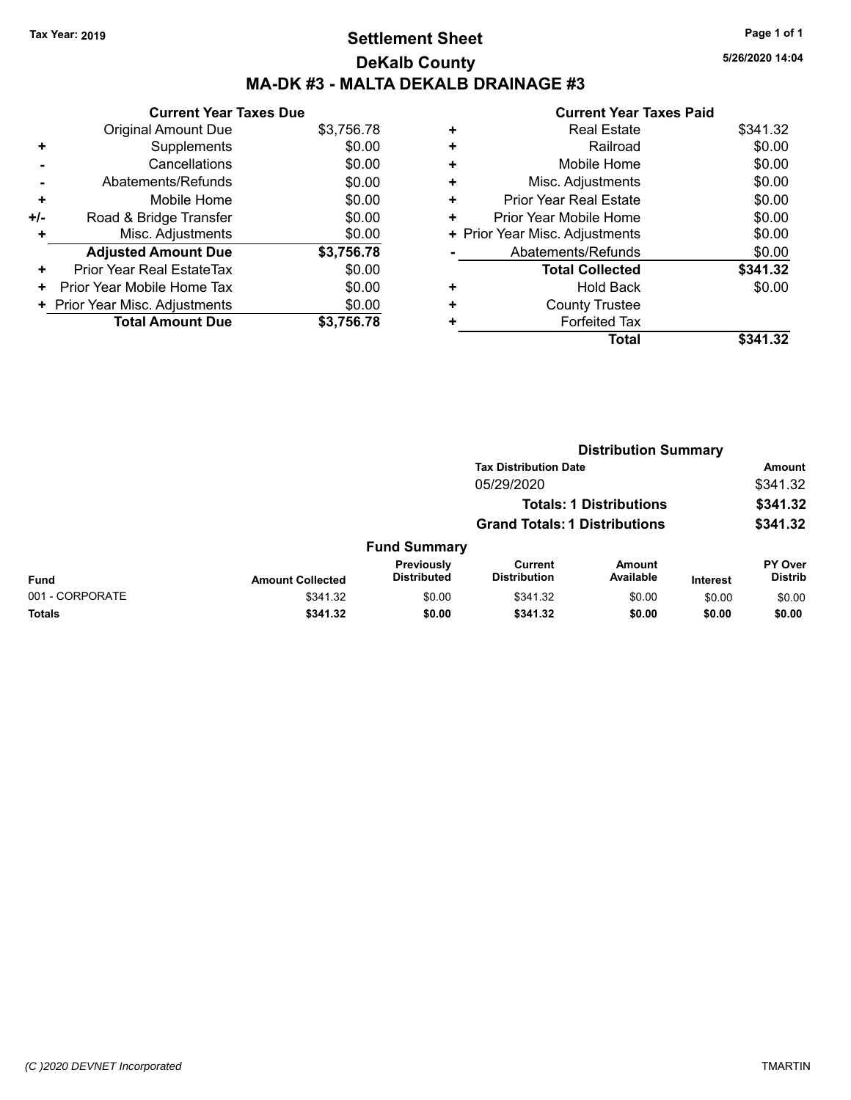# **Settlement Sheet Tax Year: 2019 Page 1 of 1 DeKalb County MA-DK #3 - MALTA DEKALB DRAINAGE #3**

**5/26/2020 14:04**

|     | <b>Current Year Taxes Due</b>  |            |  |  |  |  |  |
|-----|--------------------------------|------------|--|--|--|--|--|
|     | <b>Original Amount Due</b>     | \$3,756.78 |  |  |  |  |  |
| ٠   | Supplements                    | \$0.00     |  |  |  |  |  |
|     | Cancellations                  | \$0.00     |  |  |  |  |  |
|     | Abatements/Refunds             | \$0.00     |  |  |  |  |  |
| ٠   | Mobile Home                    | \$0.00     |  |  |  |  |  |
| +/- | Road & Bridge Transfer         | \$0.00     |  |  |  |  |  |
| ٠   | Misc. Adjustments              | \$0.00     |  |  |  |  |  |
|     | <b>Adjusted Amount Due</b>     | \$3,756.78 |  |  |  |  |  |
| ٠   | Prior Year Real EstateTax      | \$0.00     |  |  |  |  |  |
| ٠   | Prior Year Mobile Home Tax     | \$0.00     |  |  |  |  |  |
|     | + Prior Year Misc. Adjustments | \$0.00     |  |  |  |  |  |
|     | <b>Total Amount Due</b>        | \$3.756.78 |  |  |  |  |  |

|   | Total                          | \$341.32 |
|---|--------------------------------|----------|
| ÷ | <b>Forfeited Tax</b>           |          |
| ٠ | <b>County Trustee</b>          |          |
| ٠ | <b>Hold Back</b>               | \$0.00   |
|   | <b>Total Collected</b>         | \$341.32 |
|   | Abatements/Refunds             | \$0.00   |
|   | + Prior Year Misc. Adjustments | \$0.00   |
| ٠ | Prior Year Mobile Home         | \$0.00   |
| ٠ | <b>Prior Year Real Estate</b>  | \$0.00   |
| ٠ | Misc. Adjustments              | \$0.00   |
| ٠ | Mobile Home                    | \$0.00   |
| ٠ | Railroad                       | \$0.00   |
| ٠ | <b>Real Estate</b>             | \$341.32 |
|   |                                |          |

|                 | <b>Distribution Summary</b> |                                  |                                       |                     |                 |                           |
|-----------------|-----------------------------|----------------------------------|---------------------------------------|---------------------|-----------------|---------------------------|
|                 |                             | <b>Tax Distribution Date</b>     |                                       |                     | <b>Amount</b>   |                           |
|                 |                             |                                  | 05/29/2020                            |                     |                 | \$341.32                  |
|                 |                             | <b>Totals: 1 Distributions</b>   |                                       |                     | \$341.32        |                           |
|                 |                             |                                  | <b>Grand Totals: 1 Distributions</b>  |                     |                 | \$341.32                  |
|                 |                             | <b>Fund Summary</b>              |                                       |                     |                 |                           |
| <b>Fund</b>     | <b>Amount Collected</b>     | Previously<br><b>Distributed</b> | <b>Current</b><br><b>Distribution</b> | Amount<br>Available | <b>Interest</b> | PY Over<br><b>Distrib</b> |
| 001 - CORPORATE | \$341.32                    | \$0.00                           | \$341.32                              | \$0.00              | \$0.00          | \$0.00                    |
| Totals          | \$341.32                    | \$0.00                           | \$341.32                              | \$0.00              | \$0.00          | \$0.00                    |
|                 |                             |                                  |                                       |                     |                 |                           |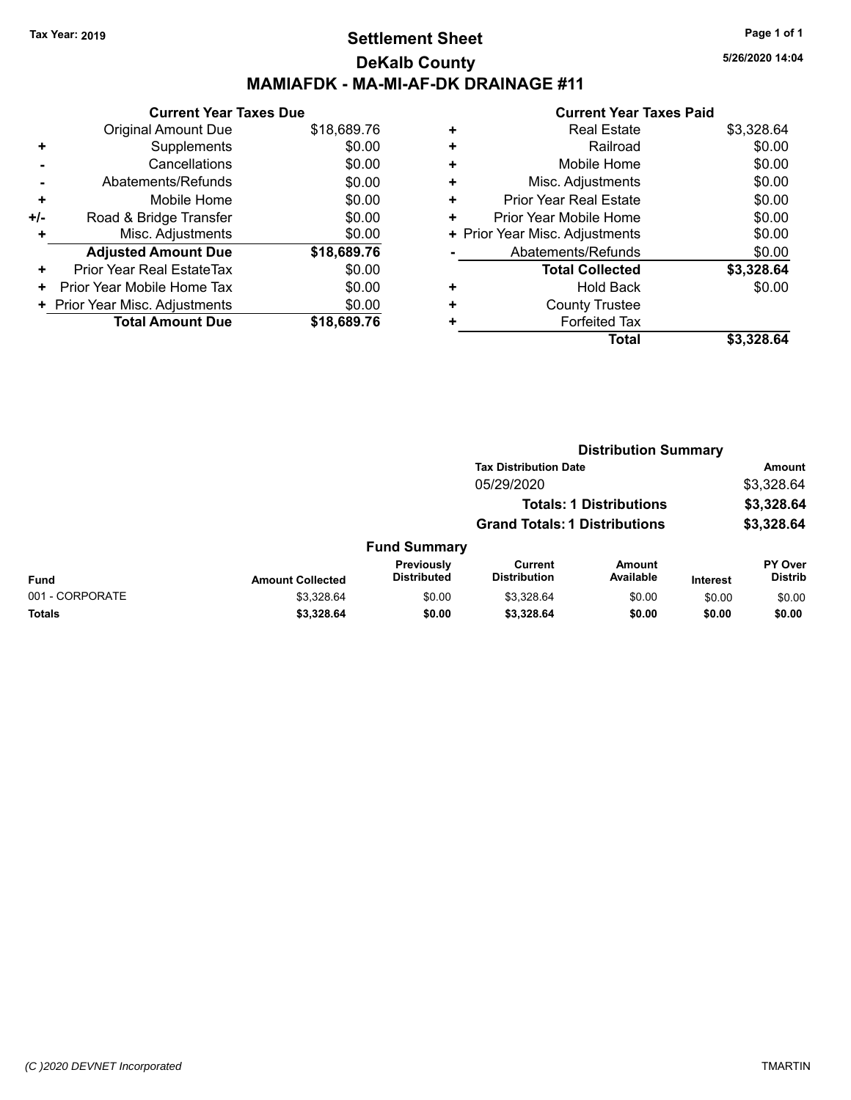## **Settlement Sheet Tax Year: 2019 Page 1 of 1 DeKalb County MAMIAFDK - MA-MI-AF-DK DRAINAGE #11**

|     | <b>Current Year Taxes Due</b>  |             |  |  |  |
|-----|--------------------------------|-------------|--|--|--|
|     | <b>Original Amount Due</b>     | \$18,689.76 |  |  |  |
| ٠   | Supplements                    | \$0.00      |  |  |  |
|     | Cancellations                  | \$0.00      |  |  |  |
|     | Abatements/Refunds             | \$0.00      |  |  |  |
| ٠   | Mobile Home                    | \$0.00      |  |  |  |
| +/- | Road & Bridge Transfer         | \$0.00      |  |  |  |
| ٠   | Misc. Adjustments              | \$0.00      |  |  |  |
|     | <b>Adjusted Amount Due</b>     | \$18,689.76 |  |  |  |
| ٠   | Prior Year Real EstateTax      | \$0.00      |  |  |  |
| ٠   | Prior Year Mobile Home Tax     | \$0.00      |  |  |  |
|     | + Prior Year Misc. Adjustments | \$0.00      |  |  |  |
|     | <b>Total Amount Due</b>        | \$18,689.76 |  |  |  |

#### **Current Year Taxes Paid**

|   | <b>Real Estate</b>             | \$3,328.64 |
|---|--------------------------------|------------|
| ٠ | Railroad                       | \$0.00     |
| ٠ | Mobile Home                    | \$0.00     |
| ٠ | Misc. Adjustments              | \$0.00     |
| ٠ | <b>Prior Year Real Estate</b>  | \$0.00     |
| ٠ | Prior Year Mobile Home         | \$0.00     |
|   | + Prior Year Misc. Adjustments | \$0.00     |
|   | Abatements/Refunds             | \$0.00     |
|   | <b>Total Collected</b>         | \$3,328.64 |
| ٠ | Hold Back                      | \$0.00     |
| ٠ | <b>County Trustee</b>          |            |
| ٠ | <b>Forfeited Tax</b>           |            |
|   | <b>Total</b>                   | \$3,328.64 |
|   |                                |            |

|                 |                         |                                      |                                | <b>Distribution Summary</b>    |                 |                           |
|-----------------|-------------------------|--------------------------------------|--------------------------------|--------------------------------|-----------------|---------------------------|
|                 |                         |                                      | <b>Tax Distribution Date</b>   |                                |                 | Amount                    |
|                 |                         |                                      | 05/29/2020                     |                                |                 | \$3,328.64                |
|                 |                         |                                      |                                | <b>Totals: 1 Distributions</b> |                 | \$3,328.64                |
|                 |                         | <b>Grand Totals: 1 Distributions</b> |                                |                                | \$3,328.64      |                           |
|                 |                         | <b>Fund Summary</b>                  |                                |                                |                 |                           |
| <b>Fund</b>     | <b>Amount Collected</b> | Previously<br><b>Distributed</b>     | Current<br><b>Distribution</b> | Amount<br>Available            | <b>Interest</b> | PY Over<br><b>Distrib</b> |
| 001 - CORPORATE | \$3,328.64              | \$0.00                               | \$3,328.64                     | \$0.00                         | \$0.00          | \$0.00                    |
| <b>Totals</b>   | \$3,328.64              | \$0.00                               | \$3,328.64                     | \$0.00                         | \$0.00          | \$0.00                    |
|                 |                         |                                      |                                |                                |                 |                           |

**5/26/2020 14:04**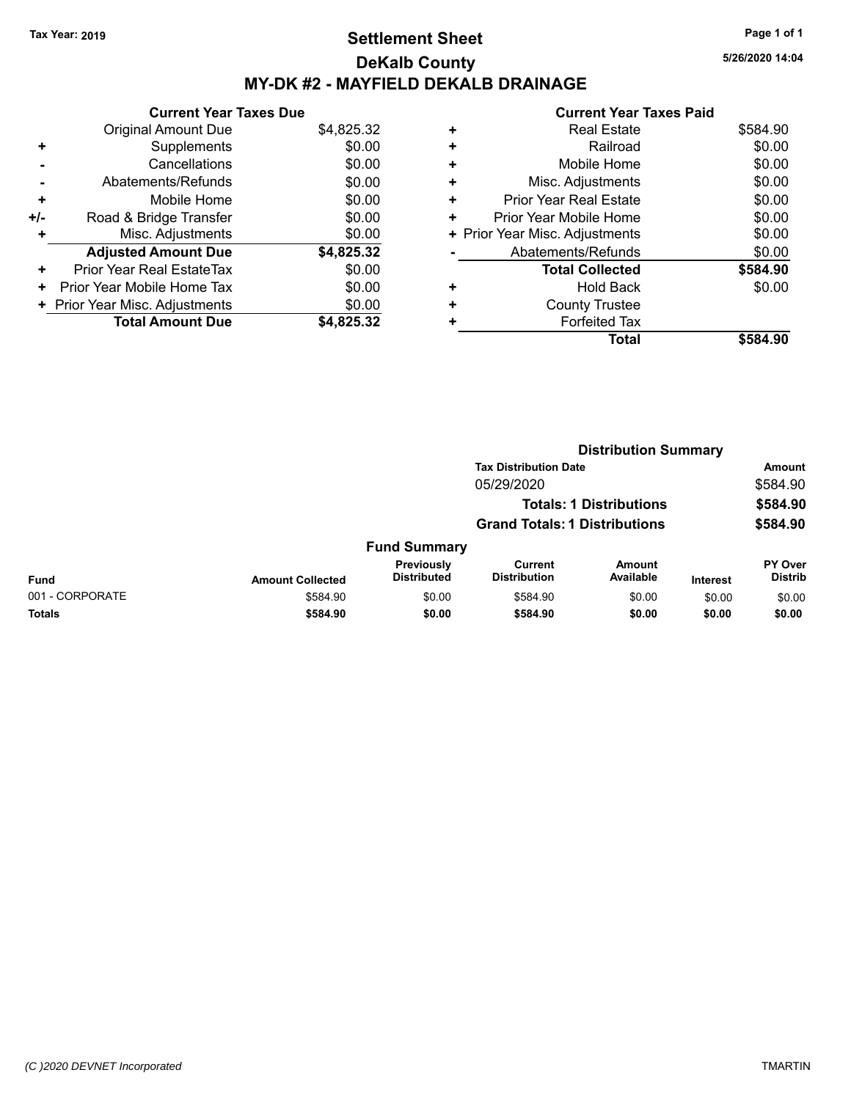# **Settlement Sheet Tax Year: 2019 Page 1 of 1 DeKalb County MY-DK #2 - MAYFIELD DEKALB DRAINAGE**

**Current Year Taxes Due** Original Amount Due \$4,825.32 **+** Supplements \$0.00 **-** Cancellations \$0.00 **-** Abatements/Refunds \$0.00 **+** Mobile Home \$0.00 **+/-** Road & Bridge Transfer \$0.00 **+** Misc. Adjustments \$0.00 **Adjusted Amount Due \$4,825.32 +** Prior Year Real EstateTax \$0.00 **+** Prior Year Mobile Home Tax  $$0.00$ **+ Prior Year Misc. Adjustments**  $$0.00$ **Total Amount Due \$4,825.32**

#### **Current Year Taxes Paid +** Real Estate \$584.90 **+** Railroad \$0.00 **+** Mobile Home \$0.00 **+** Misc. Adjustments \$0.00 **+** Prior Year Real Estate \$0.00 **+** Prior Year Mobile Home \$0.00 **+** Prior Year Misc. Adjustments  $$0.00$ **-** Abatements/Refunds \$0.00 **Total Collected \$584.90 +** Hold Back \$0.00 **+** County Trustee **+** Forfeited Tax **Total \$584.90**

|                 |                                      |                                  |                                | <b>Distribution Summary</b>    |                 |                                  |
|-----------------|--------------------------------------|----------------------------------|--------------------------------|--------------------------------|-----------------|----------------------------------|
|                 |                                      |                                  | <b>Tax Distribution Date</b>   |                                |                 | Amount                           |
|                 |                                      |                                  | 05/29/2020                     |                                |                 | \$584.90                         |
|                 |                                      |                                  |                                | <b>Totals: 1 Distributions</b> |                 | \$584.90                         |
|                 | <b>Grand Totals: 1 Distributions</b> |                                  |                                | \$584.90                       |                 |                                  |
|                 |                                      | <b>Fund Summary</b>              |                                |                                |                 |                                  |
| <b>Fund</b>     | <b>Amount Collected</b>              | Previously<br><b>Distributed</b> | Current<br><b>Distribution</b> | <b>Amount</b><br>Available     | <b>Interest</b> | <b>PY Over</b><br><b>Distrib</b> |
| 001 - CORPORATE | \$584.90                             | \$0.00                           | \$584.90                       | \$0.00                         | \$0.00          | \$0.00                           |
| <b>Totals</b>   | \$584.90                             | \$0.00                           | \$584.90                       | \$0.00                         | \$0.00          | \$0.00                           |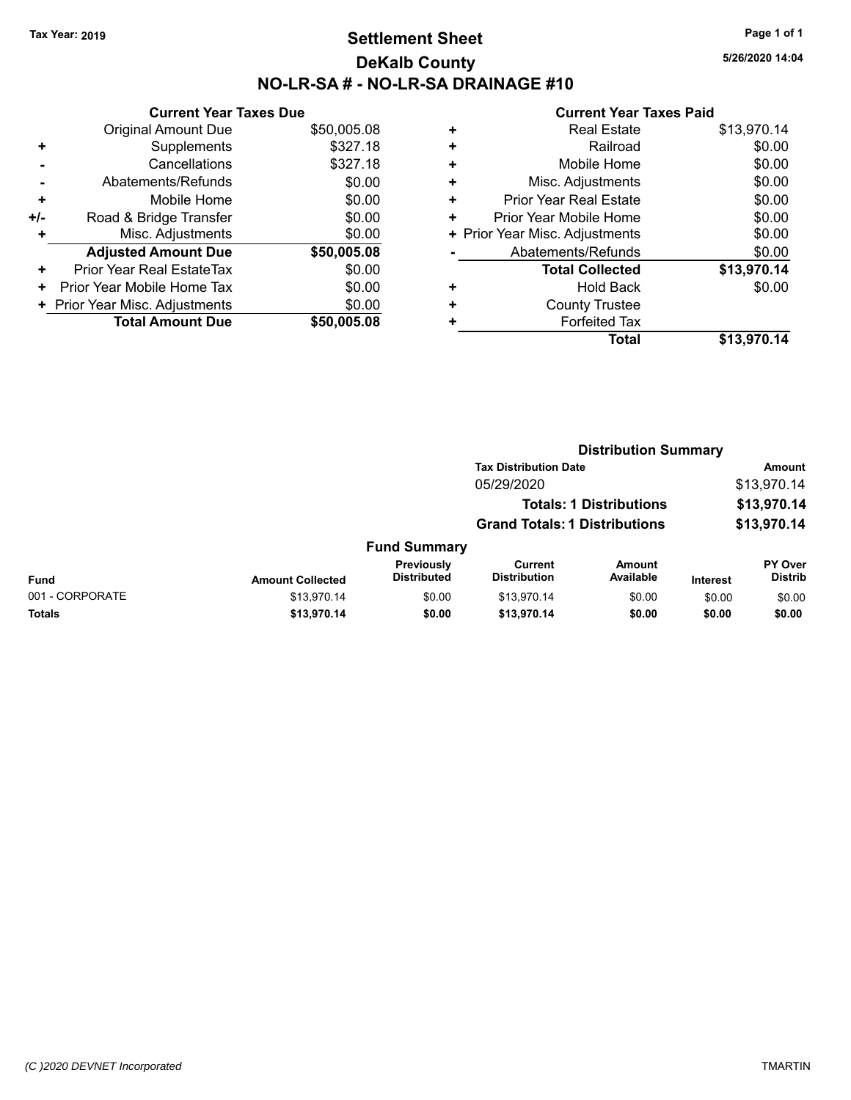## **Settlement Sheet Tax Year: 2019 Page 1 of 1 DeKalb County NO-LR-SA # - NO-LR-SA DRAINAGE #10**

**5/26/2020 14:04**

|     | <b>Current Year Taxes Due</b>  |             |  |  |  |  |
|-----|--------------------------------|-------------|--|--|--|--|
|     | <b>Original Amount Due</b>     | \$50,005.08 |  |  |  |  |
| ٠   | Supplements                    | \$327.18    |  |  |  |  |
|     | Cancellations                  | \$327.18    |  |  |  |  |
|     | Abatements/Refunds             | \$0.00      |  |  |  |  |
| ÷   | Mobile Home                    | \$0.00      |  |  |  |  |
| +/- | Road & Bridge Transfer         | \$0.00      |  |  |  |  |
| ٠   | Misc. Adjustments              | \$0.00      |  |  |  |  |
|     | <b>Adjusted Amount Due</b>     | \$50,005.08 |  |  |  |  |
| ٠   | Prior Year Real EstateTax      | \$0.00      |  |  |  |  |
| ٠   | Prior Year Mobile Home Tax     | \$0.00      |  |  |  |  |
|     | + Prior Year Misc. Adjustments | \$0.00      |  |  |  |  |
|     | <b>Total Amount Due</b>        | \$50,005,08 |  |  |  |  |

|   | <b>Real Estate</b>             | \$13,970.14 |
|---|--------------------------------|-------------|
| ٠ | Railroad                       | \$0.00      |
| ٠ | Mobile Home                    | \$0.00      |
| ٠ | Misc. Adjustments              | \$0.00      |
| ٠ | <b>Prior Year Real Estate</b>  | \$0.00      |
| ٠ | Prior Year Mobile Home         | \$0.00      |
|   | + Prior Year Misc. Adjustments | \$0.00      |
|   | Abatements/Refunds             | \$0.00      |
|   | <b>Total Collected</b>         | \$13,970.14 |
| ٠ | Hold Back                      | \$0.00      |
| ٠ | <b>County Trustee</b>          |             |
|   | <b>Forfeited Tax</b>           |             |
|   | <b>Total</b>                   | \$13,970.14 |
|   |                                |             |

|                 |                         |                                  | <b>Distribution Summary</b>                                            |                     |                            |                                  |
|-----------------|-------------------------|----------------------------------|------------------------------------------------------------------------|---------------------|----------------------------|----------------------------------|
|                 |                         |                                  | <b>Tax Distribution Date</b>                                           |                     | <b>Amount</b>              |                                  |
|                 |                         |                                  | 05/29/2020                                                             |                     |                            | \$13,970.14                      |
|                 |                         |                                  | <b>Totals: 1 Distributions</b><br><b>Grand Totals: 1 Distributions</b> |                     | \$13,970.14<br>\$13,970.14 |                                  |
|                 |                         |                                  |                                                                        |                     |                            |                                  |
|                 |                         | <b>Fund Summary</b>              |                                                                        |                     |                            |                                  |
| <b>Fund</b>     | <b>Amount Collected</b> | Previously<br><b>Distributed</b> | Current<br><b>Distribution</b>                                         | Amount<br>Available | <b>Interest</b>            | <b>PY Over</b><br><b>Distrib</b> |
| 001 - CORPORATE | \$13,970.14             | \$0.00                           | \$13.970.14                                                            | \$0.00              | \$0.00                     | \$0.00                           |
| <b>Totals</b>   | \$13,970.14             | \$0.00                           | \$13,970.14                                                            | \$0.00              | \$0.00                     | \$0.00                           |
|                 |                         |                                  |                                                                        |                     |                            |                                  |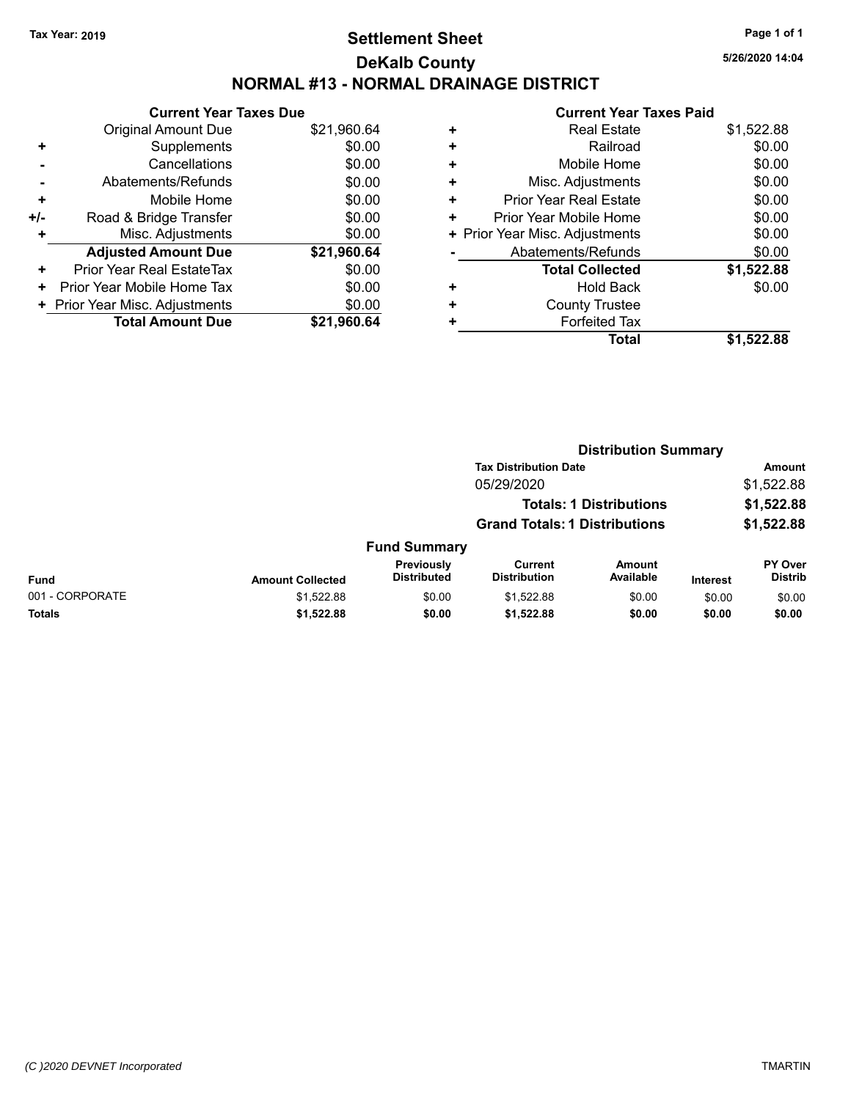# **Settlement Sheet Tax Year: 2019 Page 1 of 1 DeKalb County NORMAL #13 - NORMAL DRAINAGE DISTRICT**

**5/26/2020 14:04**

|     | <b>Current Year Taxes Due</b>  |             |  |  |  |  |
|-----|--------------------------------|-------------|--|--|--|--|
|     | <b>Original Amount Due</b>     | \$21,960.64 |  |  |  |  |
| ٠   | Supplements                    | \$0.00      |  |  |  |  |
|     | Cancellations                  | \$0.00      |  |  |  |  |
|     | Abatements/Refunds             | \$0.00      |  |  |  |  |
| ٠   | Mobile Home                    | \$0.00      |  |  |  |  |
| +/- | Road & Bridge Transfer         | \$0.00      |  |  |  |  |
| ٠   | Misc. Adjustments              | \$0.00      |  |  |  |  |
|     | <b>Adjusted Amount Due</b>     | \$21,960.64 |  |  |  |  |
| ٠   | Prior Year Real EstateTax      | \$0.00      |  |  |  |  |
| ٠   | Prior Year Mobile Home Tax     | \$0.00      |  |  |  |  |
|     | + Prior Year Misc. Adjustments | \$0.00      |  |  |  |  |
|     | <b>Total Amount Due</b>        | \$21.960.64 |  |  |  |  |

| <b>Real Estate</b>             | \$1,522.88 |
|--------------------------------|------------|
| Railroad                       | \$0.00     |
| Mobile Home                    | \$0.00     |
| Misc. Adjustments              | \$0.00     |
| Prior Year Real Estate         | \$0.00     |
| Prior Year Mobile Home         | \$0.00     |
| + Prior Year Misc. Adjustments | \$0.00     |
| Abatements/Refunds             | \$0.00     |
| <b>Total Collected</b>         | \$1,522.88 |
| <b>Hold Back</b>               | \$0.00     |
| <b>County Trustee</b>          |            |
| <b>Forfeited Tax</b>           |            |
| Total                          | \$1.522.88 |
|                                |            |

|                 |                         |                                  |                                       | <b>Distribution Summary</b> |                 |                           |
|-----------------|-------------------------|----------------------------------|---------------------------------------|-----------------------------|-----------------|---------------------------|
|                 |                         |                                  | <b>Tax Distribution Date</b>          |                             |                 | <b>Amount</b>             |
|                 |                         |                                  | 05/29/2020                            |                             |                 | \$1,522.88                |
|                 |                         |                                  | <b>Totals: 1 Distributions</b>        |                             |                 | \$1,522.88                |
|                 |                         |                                  | <b>Grand Totals: 1 Distributions</b>  |                             |                 | \$1,522.88                |
|                 |                         | <b>Fund Summary</b>              |                                       |                             |                 |                           |
| <b>Fund</b>     | <b>Amount Collected</b> | Previously<br><b>Distributed</b> | <b>Current</b><br><b>Distribution</b> | Amount<br>Available         | <b>Interest</b> | PY Over<br><b>Distrib</b> |
| 001 - CORPORATE | \$1,522.88              | \$0.00                           | \$1,522.88                            | \$0.00                      | \$0.00          | \$0.00                    |
| Totals          | \$1,522.88              | \$0.00                           | \$1,522.88                            | \$0.00                      | \$0.00          | \$0.00                    |
|                 |                         |                                  |                                       |                             |                 |                           |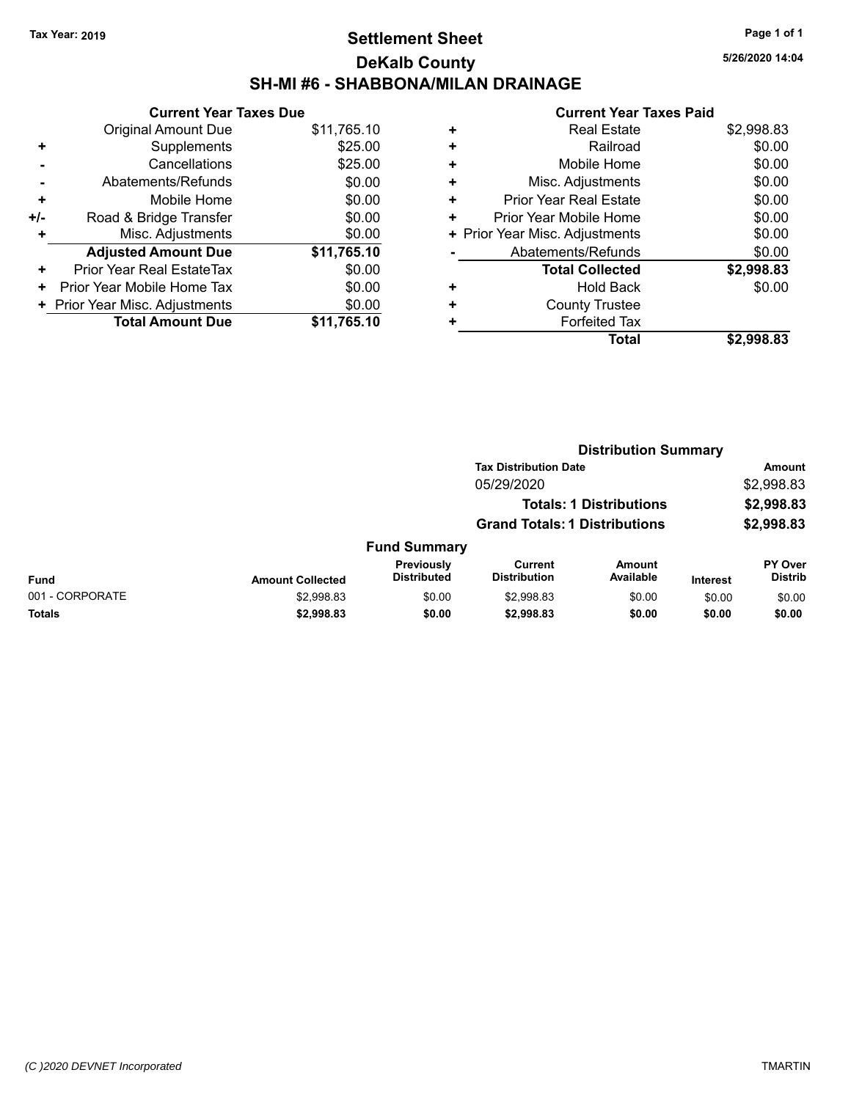# **Settlement Sheet Tax Year: 2019 Page 1 of 1 DeKalb County SH-MI #6 - SHABBONA/MILAN DRAINAGE**

| <b>Current Year Taxes Due</b>  |             |  |  |  |
|--------------------------------|-------------|--|--|--|
| <b>Original Amount Due</b>     | \$11,765.10 |  |  |  |
| Supplements                    | \$25.00     |  |  |  |
| Cancellations                  | \$25.00     |  |  |  |
| Abatements/Refunds             | \$0.00      |  |  |  |
| Mobile Home                    | \$0.00      |  |  |  |
| Road & Bridge Transfer         | \$0.00      |  |  |  |
| Misc. Adjustments              | \$0.00      |  |  |  |
| <b>Adjusted Amount Due</b>     | \$11,765.10 |  |  |  |
| Prior Year Real EstateTax      | \$0.00      |  |  |  |
| Prior Year Mobile Home Tax     | \$0.00      |  |  |  |
| + Prior Year Misc. Adjustments | \$0.00      |  |  |  |
| <b>Total Amount Due</b>        | \$11,765.10 |  |  |  |
|                                |             |  |  |  |

#### **Current Year Taxes Paid +** Real Estate \$2,998.83 **+** Railroad \$0.00 **+** Mobile Home \$0.00 **+** Misc. Adjustments \$0.00 **+** Prior Year Real Estate \$0.00 **+** Prior Year Mobile Home \$0.00 **+ Prior Year Misc. Adjustments**  $$0.00$ **-** Abatements/Refunds \$0.00 **Total Collected \$2,998.83 +** Hold Back \$0.00 **+** County Trustee **+** Forfeited Tax **Total \$2,998.83**

|                 |                         |                                  |                                      | <b>Distribution Summary</b>    |                 |                                  |
|-----------------|-------------------------|----------------------------------|--------------------------------------|--------------------------------|-----------------|----------------------------------|
|                 |                         |                                  | <b>Tax Distribution Date</b>         |                                |                 | Amount                           |
|                 |                         |                                  | 05/29/2020                           |                                |                 | \$2,998.83                       |
|                 |                         |                                  |                                      | <b>Totals: 1 Distributions</b> |                 | \$2,998.83                       |
|                 |                         |                                  | <b>Grand Totals: 1 Distributions</b> |                                |                 | \$2,998.83                       |
|                 |                         | <b>Fund Summary</b>              |                                      |                                |                 |                                  |
| <b>Fund</b>     | <b>Amount Collected</b> | Previously<br><b>Distributed</b> | Current<br><b>Distribution</b>       | <b>Amount</b><br>Available     | <b>Interest</b> | <b>PY Over</b><br><b>Distrib</b> |
| 001 - CORPORATE | \$2,998.83              | \$0.00                           | \$2,998.83                           | \$0.00                         | \$0.00          | \$0.00                           |
| <b>Totals</b>   | \$2,998.83              | \$0.00                           | \$2,998.83                           | \$0.00                         | \$0.00          | \$0.00                           |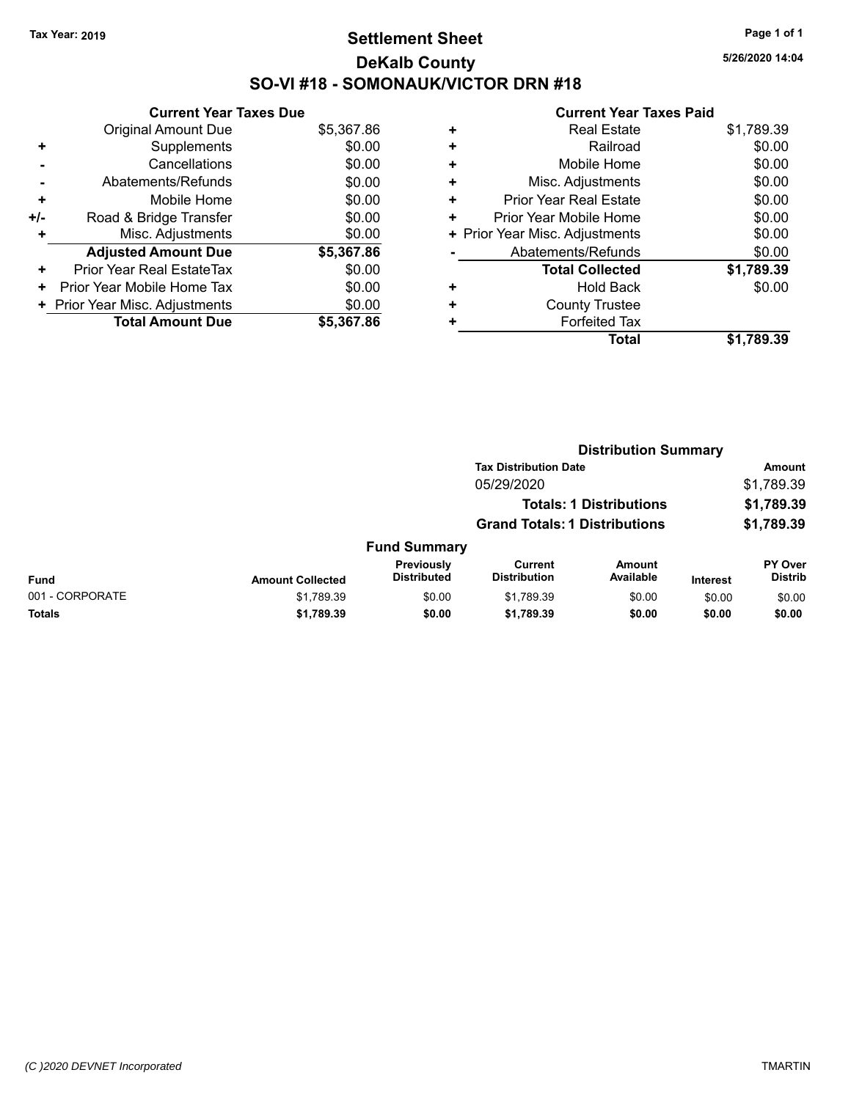# **Settlement Sheet Tax Year: 2019 Page 1 of 1 DeKalb County SO-VI #18 - SOMONAUK/VICTOR DRN #18**

**5/26/2020 14:04**

|     | <b>Current Year Taxes Due</b>  |            |  |  |  |
|-----|--------------------------------|------------|--|--|--|
|     | <b>Original Amount Due</b>     | \$5,367.86 |  |  |  |
| ٠   | Supplements                    | \$0.00     |  |  |  |
|     | Cancellations                  | \$0.00     |  |  |  |
|     | Abatements/Refunds             | \$0.00     |  |  |  |
| ÷   | Mobile Home                    | \$0.00     |  |  |  |
| +/- | Road & Bridge Transfer         | \$0.00     |  |  |  |
| ٠   | Misc. Adjustments              | \$0.00     |  |  |  |
|     | <b>Adjusted Amount Due</b>     | \$5,367.86 |  |  |  |
| ٠   | Prior Year Real EstateTax      | \$0.00     |  |  |  |
| ٠   | Prior Year Mobile Home Tax     | \$0.00     |  |  |  |
|     | + Prior Year Misc. Adjustments | \$0.00     |  |  |  |
|     | <b>Total Amount Due</b>        | \$5,367.86 |  |  |  |

| <b>Real Estate</b>             | \$1,789.39 |
|--------------------------------|------------|
| Railroad                       | \$0.00     |
| Mobile Home                    | \$0.00     |
| Misc. Adjustments              | \$0.00     |
| <b>Prior Year Real Estate</b>  | \$0.00     |
| Prior Year Mobile Home         | \$0.00     |
| + Prior Year Misc. Adjustments | \$0.00     |
| Abatements/Refunds             | \$0.00     |
| <b>Total Collected</b>         | \$1,789.39 |
| <b>Hold Back</b>               | \$0.00     |
| <b>County Trustee</b>          |            |
| <b>Forfeited Tax</b>           |            |
| <b>Total</b>                   | \$1.789.39 |
|                                |            |

|                 |                         |                                         |                                       | <b>Distribution Summary</b>    |                 |                           |  |
|-----------------|-------------------------|-----------------------------------------|---------------------------------------|--------------------------------|-----------------|---------------------------|--|
|                 |                         |                                         | <b>Tax Distribution Date</b>          |                                |                 | <b>Amount</b>             |  |
|                 |                         |                                         | 05/29/2020                            |                                |                 | \$1,789.39                |  |
|                 |                         |                                         |                                       | <b>Totals: 1 Distributions</b> |                 | \$1,789.39                |  |
|                 |                         |                                         | <b>Grand Totals: 1 Distributions</b>  |                                |                 | \$1,789.39                |  |
|                 |                         | <b>Fund Summary</b>                     |                                       |                                |                 |                           |  |
| <b>Fund</b>     | <b>Amount Collected</b> | <b>Previously</b><br><b>Distributed</b> | <b>Current</b><br><b>Distribution</b> | <b>Amount</b><br>Available     | <b>Interest</b> | PY Over<br><b>Distrib</b> |  |
| 001 - CORPORATE | \$1,789.39              | \$0.00                                  | \$1,789.39                            | \$0.00                         | \$0.00          | \$0.00                    |  |
| Totals          | \$1,789.39              | \$0.00                                  | \$1,789.39                            | \$0.00                         | \$0.00          | \$0.00                    |  |
|                 |                         |                                         |                                       |                                |                 |                           |  |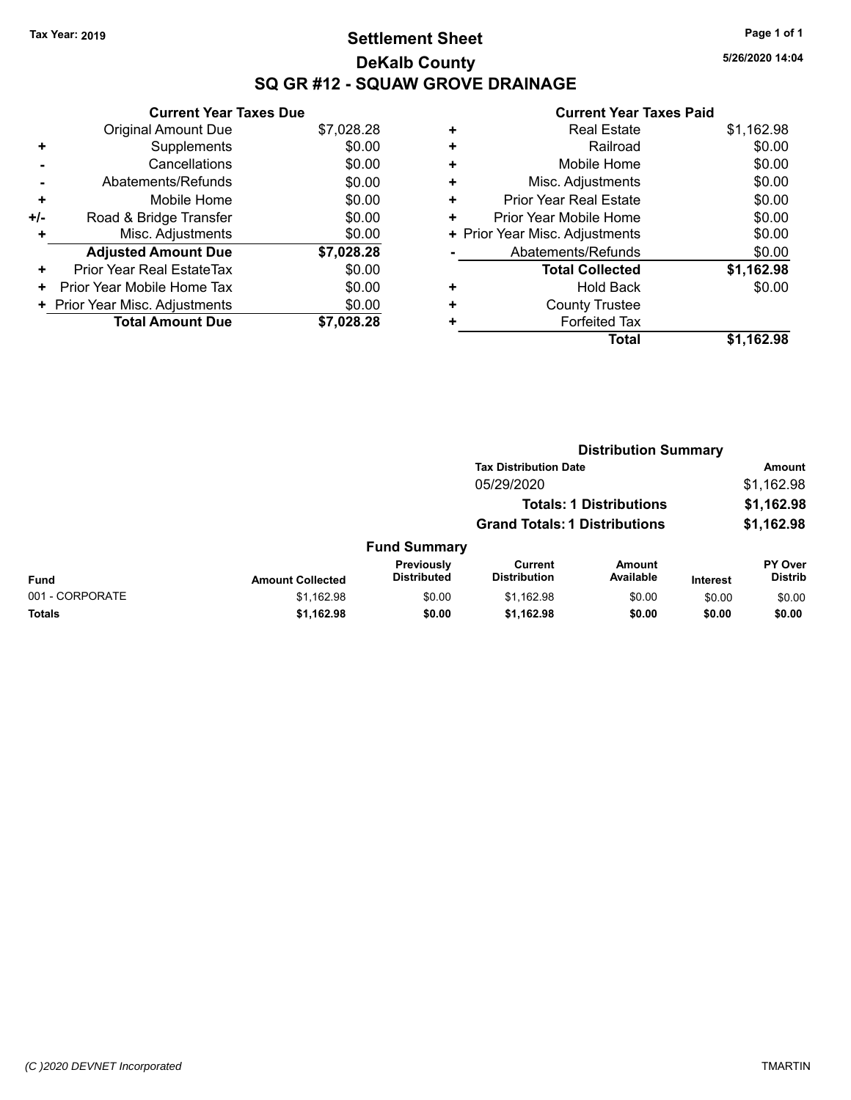# **Settlement Sheet Tax Year: 2019 Page 1 of 1 DeKalb County SQ GR #12 - SQUAW GROVE DRAINAGE**

**5/26/2020 14:04**

|     | <b>Current Year Taxes Due</b>  |            |  |  |  |
|-----|--------------------------------|------------|--|--|--|
|     | <b>Original Amount Due</b>     | \$7,028.28 |  |  |  |
| ٠   | Supplements                    | \$0.00     |  |  |  |
|     | Cancellations                  | \$0.00     |  |  |  |
|     | Abatements/Refunds             | \$0.00     |  |  |  |
| ٠   | Mobile Home                    | \$0.00     |  |  |  |
| +/- | Road & Bridge Transfer         | \$0.00     |  |  |  |
| ٠   | Misc. Adjustments              | \$0.00     |  |  |  |
|     | <b>Adjusted Amount Due</b>     | \$7,028.28 |  |  |  |
| ٠   | Prior Year Real EstateTax      | \$0.00     |  |  |  |
| ٠   | Prior Year Mobile Home Tax     | \$0.00     |  |  |  |
|     | + Prior Year Misc. Adjustments | \$0.00     |  |  |  |
|     | <b>Total Amount Due</b>        | \$7.028.28 |  |  |  |

| <b>Real Estate</b>     | \$1,162.98                     |
|------------------------|--------------------------------|
| Railroad               | \$0.00                         |
| Mobile Home            | \$0.00                         |
| Misc. Adjustments      | \$0.00                         |
| Prior Year Real Estate | \$0.00                         |
| Prior Year Mobile Home | \$0.00                         |
|                        | \$0.00                         |
| Abatements/Refunds     | \$0.00                         |
| <b>Total Collected</b> | \$1,162.98                     |
| Hold Back              | \$0.00                         |
| <b>County Trustee</b>  |                                |
| <b>Forfeited Tax</b>   |                                |
| <b>Total</b>           | \$1.162.98                     |
|                        | + Prior Year Misc. Adjustments |

|                 |                         | <b>Distribution Summary</b>      |                                       |                                |                 |                           |  |
|-----------------|-------------------------|----------------------------------|---------------------------------------|--------------------------------|-----------------|---------------------------|--|
|                 |                         |                                  | <b>Tax Distribution Date</b>          |                                |                 | <b>Amount</b>             |  |
|                 |                         |                                  | 05/29/2020                            |                                |                 | \$1,162.98                |  |
|                 |                         |                                  |                                       | <b>Totals: 1 Distributions</b> |                 | \$1,162.98                |  |
|                 |                         |                                  | <b>Grand Totals: 1 Distributions</b>  |                                |                 | \$1,162.98                |  |
|                 |                         | <b>Fund Summary</b>              |                                       |                                |                 |                           |  |
| <b>Fund</b>     | <b>Amount Collected</b> | Previously<br><b>Distributed</b> | <b>Current</b><br><b>Distribution</b> | <b>Amount</b><br>Available     | <b>Interest</b> | PY Over<br><b>Distrib</b> |  |
| 001 - CORPORATE | \$1,162.98              | \$0.00                           | \$1,162.98                            | \$0.00                         | \$0.00          | \$0.00                    |  |
| <b>Totals</b>   | \$1,162.98              | \$0.00                           | \$1,162.98                            | \$0.00                         | \$0.00          | \$0.00                    |  |
|                 |                         |                                  |                                       |                                |                 |                           |  |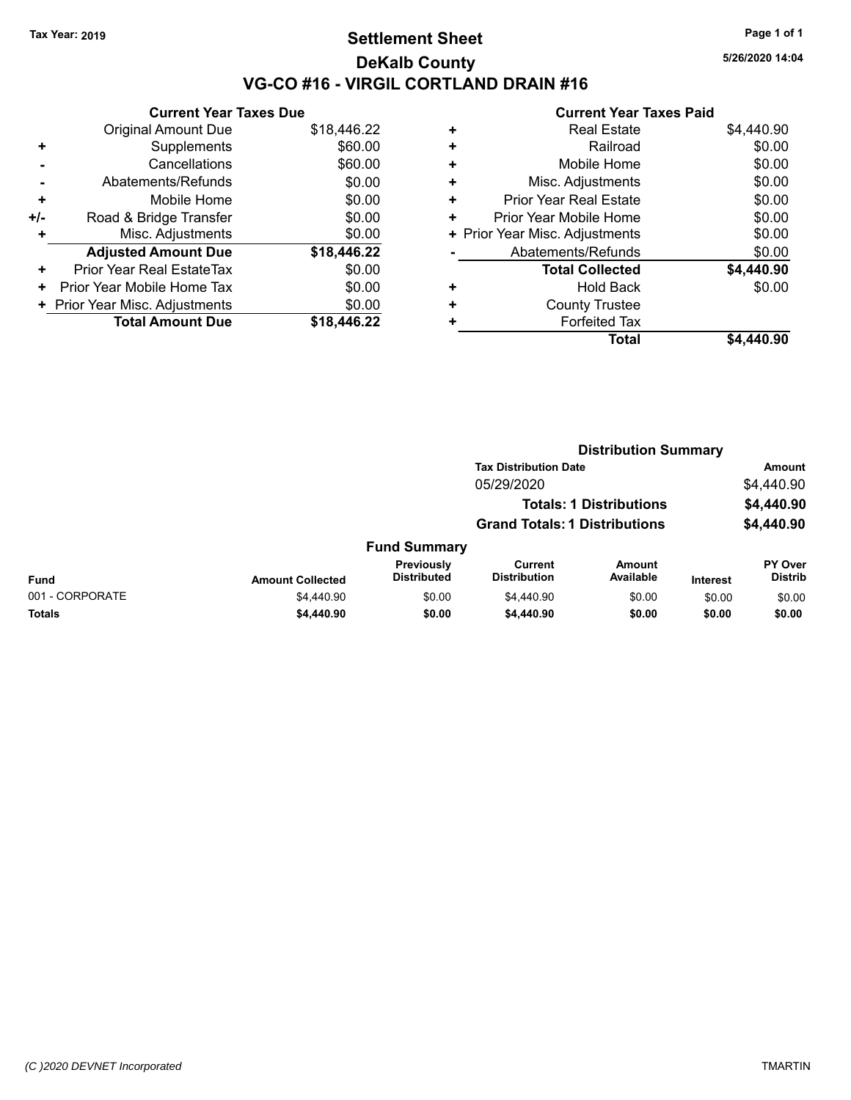## **Settlement Sheet Tax Year: 2019 Page 1 of 1 DeKalb County VG-CO #16 - VIRGIL CORTLAND DRAIN #16**

**5/26/2020 14:04**

|     | <b>Current Year Taxes Due</b>    |             |
|-----|----------------------------------|-------------|
|     | <b>Original Amount Due</b>       | \$18,446.22 |
| ٠   | Supplements                      | \$60.00     |
|     | Cancellations                    | \$60.00     |
|     | Abatements/Refunds               | \$0.00      |
| ٠   | Mobile Home                      | \$0.00      |
| +/- | Road & Bridge Transfer           | \$0.00      |
|     | Misc. Adjustments                | \$0.00      |
|     | <b>Adjusted Amount Due</b>       | \$18,446.22 |
| ٠   | <b>Prior Year Real EstateTax</b> | \$0.00      |
| ٠   | Prior Year Mobile Home Tax       | \$0.00      |
|     | + Prior Year Misc. Adjustments   | \$0.00      |
|     | <b>Total Amount Due</b>          | \$18.446.22 |

| ٠ | <b>Real Estate</b>             | \$4,440.90 |
|---|--------------------------------|------------|
| ٠ | Railroad                       | \$0.00     |
| ٠ | Mobile Home                    | \$0.00     |
| ٠ | Misc. Adjustments              | \$0.00     |
| ٠ | <b>Prior Year Real Estate</b>  | \$0.00     |
| ٠ | Prior Year Mobile Home         | \$0.00     |
|   | + Prior Year Misc. Adjustments | \$0.00     |
|   | Abatements/Refunds             | \$0.00     |
|   | <b>Total Collected</b>         | \$4,440.90 |
| ٠ | Hold Back                      | \$0.00     |
| ٠ | <b>County Trustee</b>          |            |
| ٠ | <b>Forfeited Tax</b>           |            |
|   | Total                          | \$4.440.90 |
|   |                                |            |

|                 |                         |                                  |                                      | <b>Distribution Summary</b>    |                 |                           |
|-----------------|-------------------------|----------------------------------|--------------------------------------|--------------------------------|-----------------|---------------------------|
|                 |                         |                                  | <b>Tax Distribution Date</b>         |                                |                 | Amount                    |
|                 |                         |                                  | 05/29/2020                           |                                |                 | \$4,440.90                |
|                 |                         |                                  |                                      | <b>Totals: 1 Distributions</b> |                 | \$4,440.90                |
|                 |                         |                                  | <b>Grand Totals: 1 Distributions</b> |                                |                 | \$4,440.90                |
|                 |                         | <b>Fund Summary</b>              |                                      |                                |                 |                           |
| <b>Fund</b>     | <b>Amount Collected</b> | Previously<br><b>Distributed</b> | Current<br><b>Distribution</b>       | <b>Amount</b><br>Available     | <b>Interest</b> | PY Over<br><b>Distrib</b> |
| 001 - CORPORATE | \$4,440.90              | \$0.00                           | \$4,440.90                           | \$0.00                         | \$0.00          | \$0.00                    |
| Totals          | \$4,440.90              | \$0.00                           | \$4,440.90                           | \$0.00                         | \$0.00          | \$0.00                    |
|                 |                         |                                  |                                      |                                |                 |                           |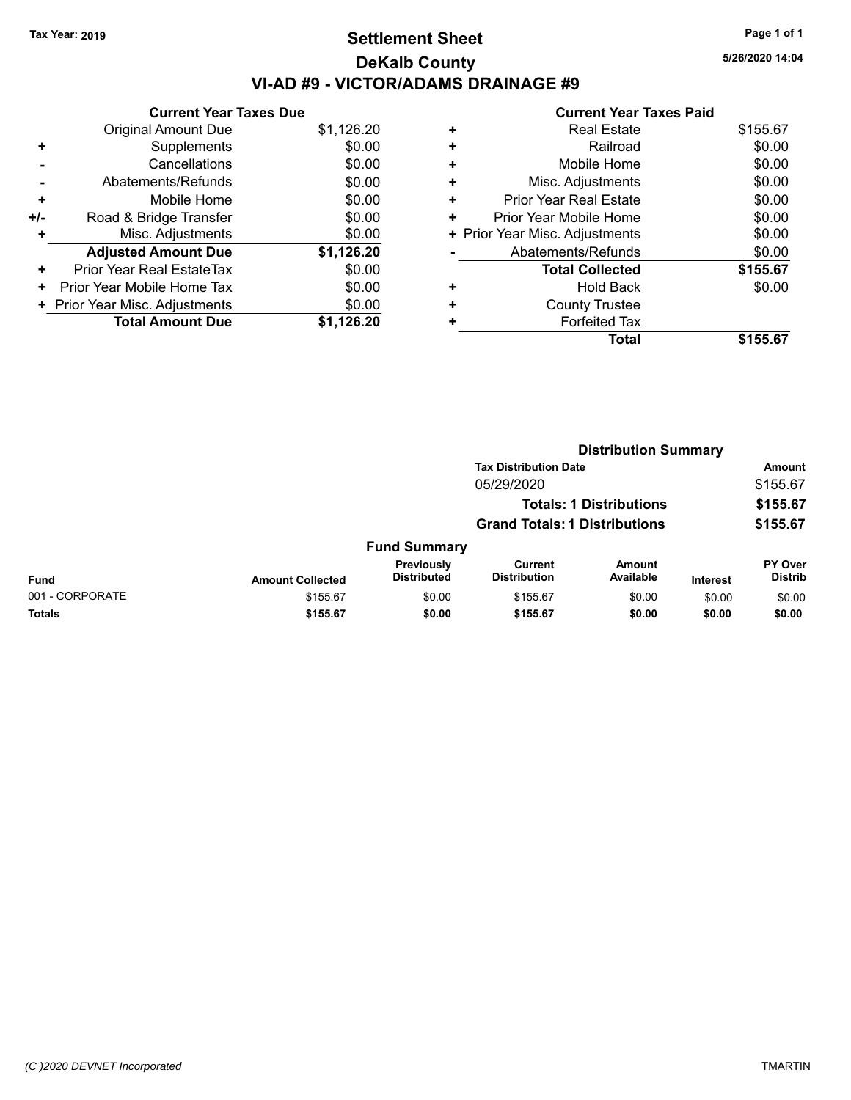# **Settlement Sheet Tax Year: 2019 Page 1 of 1 DeKalb County VI-AD #9 - VICTOR/ADAMS DRAINAGE #9**

**5/26/2020 14:04**

| \$1,126.20<br>\$0.00 |
|----------------------|
|                      |
|                      |
| \$0.00               |
| \$0.00               |
| \$0.00               |
| \$0.00               |
| \$0.00               |
| \$1,126.20           |
| \$0.00               |
| \$0.00               |
| \$0.00               |
| \$1.126.20           |
|                      |

|   | Total                          | \$155.67 |
|---|--------------------------------|----------|
| ٠ | <b>Forfeited Tax</b>           |          |
| ٠ | <b>County Trustee</b>          |          |
| ٠ | <b>Hold Back</b>               | \$0.00   |
|   | <b>Total Collected</b>         | \$155.67 |
|   | Abatements/Refunds             | \$0.00   |
|   | + Prior Year Misc. Adjustments | \$0.00   |
| ٠ | Prior Year Mobile Home         | \$0.00   |
| ٠ | <b>Prior Year Real Estate</b>  | \$0.00   |
| ٠ | Misc. Adjustments              | \$0.00   |
| ٠ | Mobile Home                    | \$0.00   |
| ٠ | Railroad                       | \$0.00   |
| ٠ | <b>Real Estate</b>             | \$155.67 |
|   |                                |          |

|                 |                         | <b>Distribution Summary</b>      |                                       |                                |                 |                                  |
|-----------------|-------------------------|----------------------------------|---------------------------------------|--------------------------------|-----------------|----------------------------------|
|                 |                         |                                  | <b>Tax Distribution Date</b>          |                                |                 | Amount                           |
|                 |                         |                                  | 05/29/2020                            |                                |                 | \$155.67                         |
|                 |                         |                                  |                                       | <b>Totals: 1 Distributions</b> |                 | \$155.67                         |
|                 |                         |                                  | <b>Grand Totals: 1 Distributions</b>  |                                |                 | \$155.67                         |
|                 |                         | <b>Fund Summary</b>              |                                       |                                |                 |                                  |
| <b>Fund</b>     | <b>Amount Collected</b> | Previously<br><b>Distributed</b> | <b>Current</b><br><b>Distribution</b> | <b>Amount</b><br>Available     | <b>Interest</b> | <b>PY Over</b><br><b>Distrib</b> |
| 001 - CORPORATE | \$155.67                | \$0.00                           | \$155.67                              | \$0.00                         | \$0.00          | \$0.00                           |
| <b>Totals</b>   | \$155.67                | \$0.00                           | \$155.67                              | \$0.00                         | \$0.00          | \$0.00                           |
|                 |                         |                                  |                                       |                                |                 |                                  |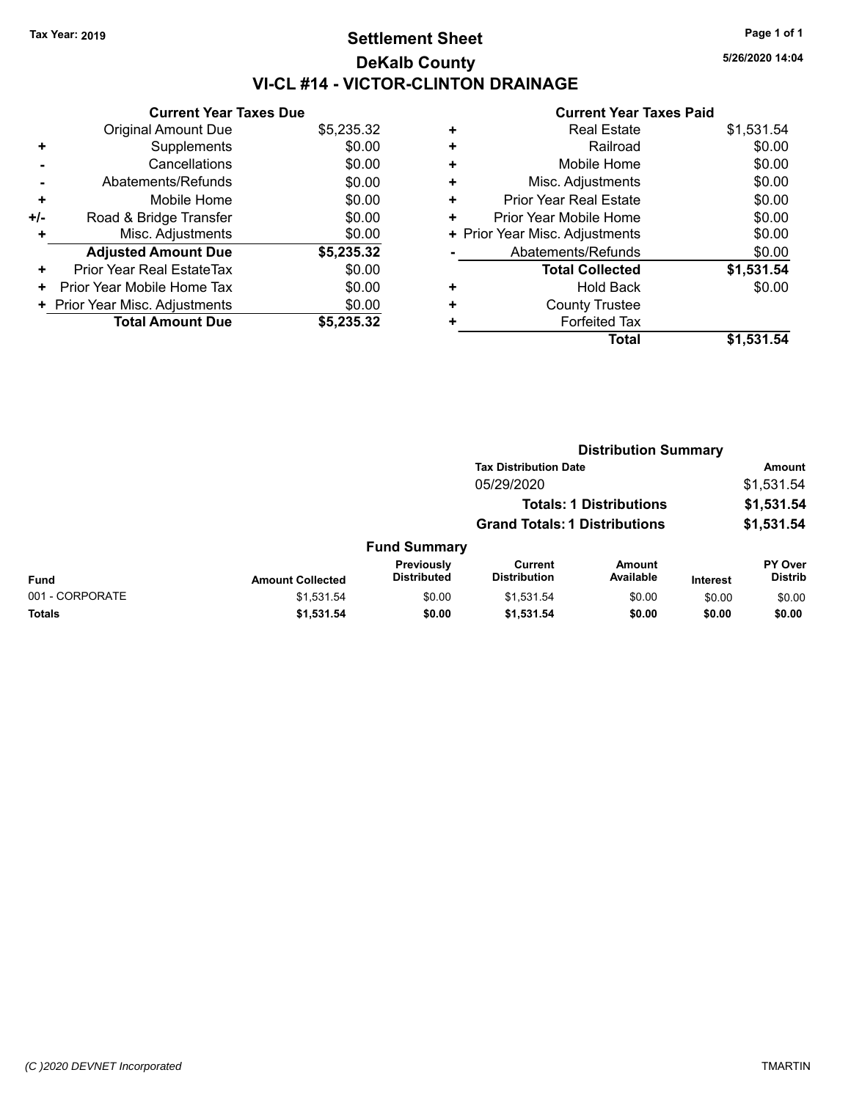# **Settlement Sheet Tax Year: 2019 Page 1 of 1 DeKalb County VI-CL #14 - VICTOR-CLINTON DRAINAGE**

**5/26/2020 14:04**

|     | <b>Current Year Taxes Due</b>  |            |  |  |  |
|-----|--------------------------------|------------|--|--|--|
|     | <b>Original Amount Due</b>     | \$5,235.32 |  |  |  |
| ÷   | Supplements                    | \$0.00     |  |  |  |
|     | \$0.00<br>Cancellations        |            |  |  |  |
|     | \$0.00<br>Abatements/Refunds   |            |  |  |  |
| ٠   | Mobile Home                    | \$0.00     |  |  |  |
| +/- | Road & Bridge Transfer         | \$0.00     |  |  |  |
| ٠   | Misc. Adjustments              | \$0.00     |  |  |  |
|     | <b>Adjusted Amount Due</b>     | \$5,235.32 |  |  |  |
| ٠   | Prior Year Real EstateTax      | \$0.00     |  |  |  |
| ٠   | Prior Year Mobile Home Tax     | \$0.00     |  |  |  |
|     | + Prior Year Misc. Adjustments | \$0.00     |  |  |  |
|     | <b>Total Amount Due</b>        | \$5,235,32 |  |  |  |

| <b>Real Estate</b>             | \$1,531.54 |
|--------------------------------|------------|
| Railroad                       | \$0.00     |
| Mobile Home                    | \$0.00     |
| Misc. Adjustments              | \$0.00     |
| <b>Prior Year Real Estate</b>  | \$0.00     |
| Prior Year Mobile Home         | \$0.00     |
| + Prior Year Misc. Adjustments | \$0.00     |
| Abatements/Refunds             | \$0.00     |
| <b>Total Collected</b>         | \$1,531.54 |
| Hold Back                      | \$0.00     |
| <b>County Trustee</b>          |            |
| <b>Forfeited Tax</b>           |            |
| Total                          | \$1,531.54 |
|                                |            |

|                 |                         |                                  | <b>Distribution Summary</b>                                                                                          |                     |                 |                           |  |
|-----------------|-------------------------|----------------------------------|----------------------------------------------------------------------------------------------------------------------|---------------------|-----------------|---------------------------|--|
|                 |                         |                                  | <b>Tax Distribution Date</b><br>05/29/2020<br><b>Totals: 1 Distributions</b><br><b>Grand Totals: 1 Distributions</b> |                     |                 | <b>Amount</b>             |  |
|                 |                         |                                  |                                                                                                                      |                     |                 | \$1,531.54<br>\$1,531.54  |  |
|                 |                         |                                  |                                                                                                                      |                     |                 |                           |  |
|                 |                         |                                  |                                                                                                                      |                     |                 | \$1,531.54                |  |
|                 |                         | <b>Fund Summary</b>              |                                                                                                                      |                     |                 |                           |  |
| <b>Fund</b>     | <b>Amount Collected</b> | Previously<br><b>Distributed</b> | Current<br><b>Distribution</b>                                                                                       | Amount<br>Available | <b>Interest</b> | PY Over<br><b>Distrib</b> |  |
| 001 - CORPORATE | \$1,531.54              | \$0.00                           | \$1,531.54                                                                                                           | \$0.00              | \$0.00          | \$0.00                    |  |
| Totals          | \$1,531.54              | \$0.00                           | \$1,531.54                                                                                                           | \$0.00              | \$0.00          | \$0.00                    |  |
|                 |                         |                                  |                                                                                                                      |                     |                 |                           |  |